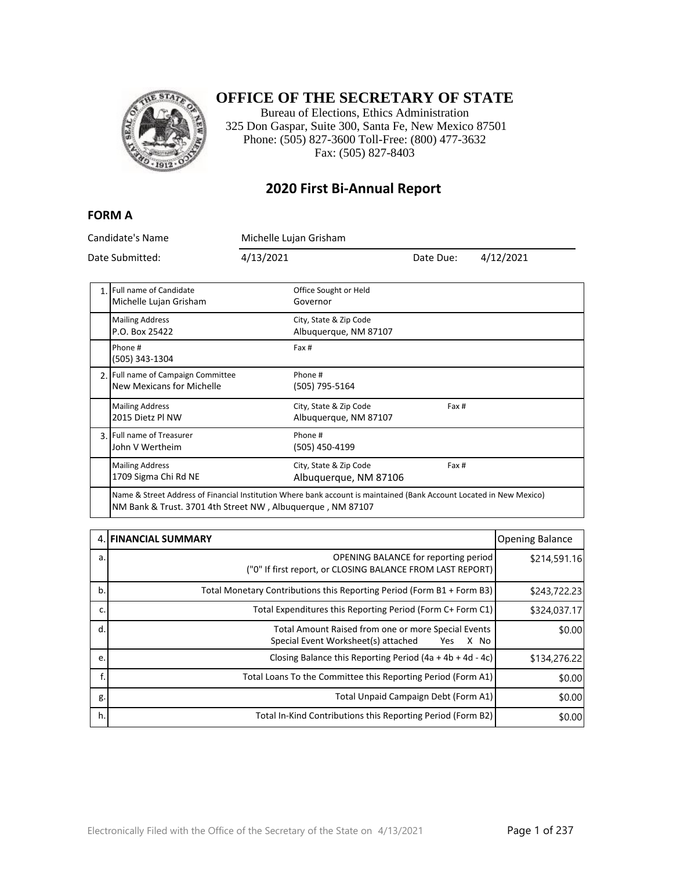

### **OFFICE OF THE SECRETARY OF STATE**

Bureau of Elections, Ethics Administration 325 Don Gaspar, Suite 300, Santa Fe, New Mexico 87501 Phone: (505) 827-3600 Toll-Free: (800) 477-3632 Fax: (505) 827-8403

### **2020 First Bi-Annual Report**

#### **FORM A**

Candidate's Name Michelle Lujan Grisham Date Submitted: 4/13/2021 Date Due: 4/12/2021 1. Full name of Candidate Michelle Lujan Grisham Office Sought or Held Governor Mailing Address P.O. Box 25422 City, State & Zip Code Albuquerque, NM 87107 Phone # (505) 343-1304 Fax # 2. Full name of Campaign Committee New Mexicans for Michelle Phone # (505) 795-5164 Mailing Address 2015 Dietz Pl NW City, State & Zip Code Albuquerque, NM 87107 Fax # 3. Full name of Treasurer John V Wertheim Phone # (505) 450-4199 Mailing Address 1709 Sigma Chi Rd NE City, State & Zip Code Albuquerque, NM 87106 Fax # Name & Street Address of Financial Institution Where bank account is maintained (Bank Account Located in New Mexico)

NM Bank & Trust. 3701 4th Street NW , Albuquerque , NM 87107

|    | 4. FINANCIAL SUMMARY                                                                                      | <b>Opening Balance</b> |
|----|-----------------------------------------------------------------------------------------------------------|------------------------|
| a. | OPENING BALANCE for reporting period<br>("0" If first report, or CLOSING BALANCE FROM LAST REPORT)        | \$214,591.16           |
| b. | Total Monetary Contributions this Reporting Period (Form B1 + Form B3)                                    | \$243,722.23           |
| c. | Total Expenditures this Reporting Period (Form C+ Form C1)                                                | \$324,037.17           |
| d. | Total Amount Raised from one or more Special Events<br>Special Event Worksheet(s) attached<br>X No<br>Yes | \$0.00                 |
| e. | Closing Balance this Reporting Period $(4a + 4b + 4d - 4c)$                                               | \$134,276.22           |
|    | Total Loans To the Committee this Reporting Period (Form A1)                                              | \$0.00                 |
| g. | Total Unpaid Campaign Debt (Form A1)                                                                      | \$0.00                 |
| h. | Total In-Kind Contributions this Reporting Period (Form B2)                                               | \$0.00                 |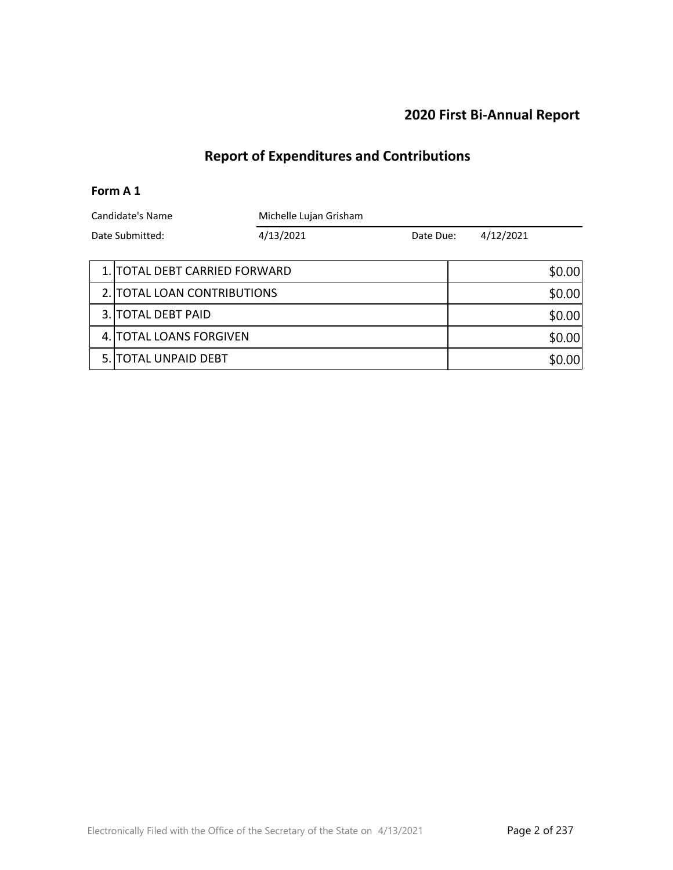### **2020 First Bi-Annual Report**

# **Report of Expenditures and Contributions**

### **Form A 1**

| Candidate's Name |                               | Michelle Lujan Grisham |           |  |           |        |
|------------------|-------------------------------|------------------------|-----------|--|-----------|--------|
| Date Submitted:  |                               | 4/13/2021              | Date Due: |  | 4/12/2021 |        |
|                  |                               |                        |           |  |           |        |
|                  | 1. TOTAL DEBT CARRIED FORWARD |                        |           |  | \$0.00    |        |
|                  | 2. TOTAL LOAN CONTRIBUTIONS   |                        |           |  | \$0.00    |        |
|                  | 3. TOTAL DEBT PAID            |                        |           |  | \$0.00    |        |
|                  | 4. TOTAL LOANS FORGIVEN       |                        |           |  | \$0.00    |        |
|                  | 5. ITOTAL UNPAID DEBT         |                        |           |  |           | \$0.00 |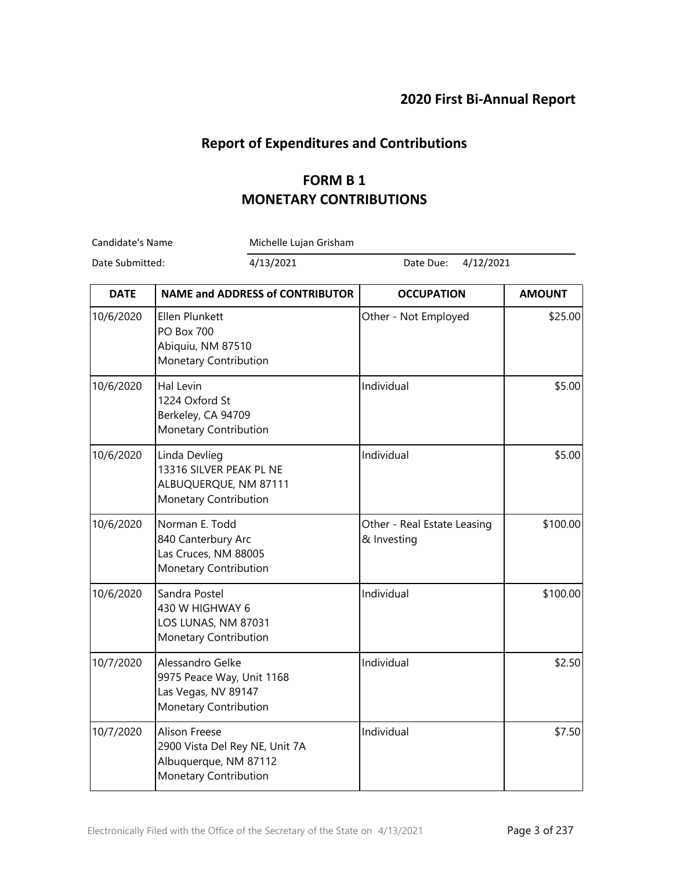## **Report of Expenditures and Contributions**

## **FORM B 1 MONETARY CONTRIBUTIONS**

Candidate's Name Michelle Lujan Grisham

r.

Date Submitted: 4/13/2021 Date Due: 4/12/2021

| <b>DATE</b> | <b>NAME and ADDRESS of CONTRIBUTOR</b>                                                            | <b>OCCUPATION</b>                          | <b>AMOUNT</b> |
|-------------|---------------------------------------------------------------------------------------------------|--------------------------------------------|---------------|
| 10/6/2020   | Ellen Plunkett<br><b>PO Box 700</b><br>Abiquiu, NM 87510<br>Monetary Contribution                 | Other - Not Employed                       | \$25.00       |
| 10/6/2020   | Hal Levin<br>1224 Oxford St<br>Berkeley, CA 94709<br>Monetary Contribution                        | Individual                                 | \$5.00        |
| 10/6/2020   | Linda Devlieg<br>13316 SILVER PEAK PL NE<br>ALBUQUERQUE, NM 87111<br>Monetary Contribution        | Individual                                 | \$5.00        |
| 10/6/2020   | Norman E. Todd<br>840 Canterbury Arc<br>Las Cruces, NM 88005<br>Monetary Contribution             | Other - Real Estate Leasing<br>& Investing | \$100.00      |
| 10/6/2020   | Sandra Postel<br>430 W HIGHWAY 6<br>LOS LUNAS, NM 87031<br>Monetary Contribution                  | Individual                                 | \$100.00      |
| 10/7/2020   | Alessandro Gelke<br>9975 Peace Way, Unit 1168<br>Las Vegas, NV 89147<br>Monetary Contribution     | Individual                                 | \$2.50        |
| 10/7/2020   | Alison Freese<br>2900 Vista Del Rey NE, Unit 7A<br>Albuquerque, NM 87112<br>Monetary Contribution | Individual                                 | \$7.50        |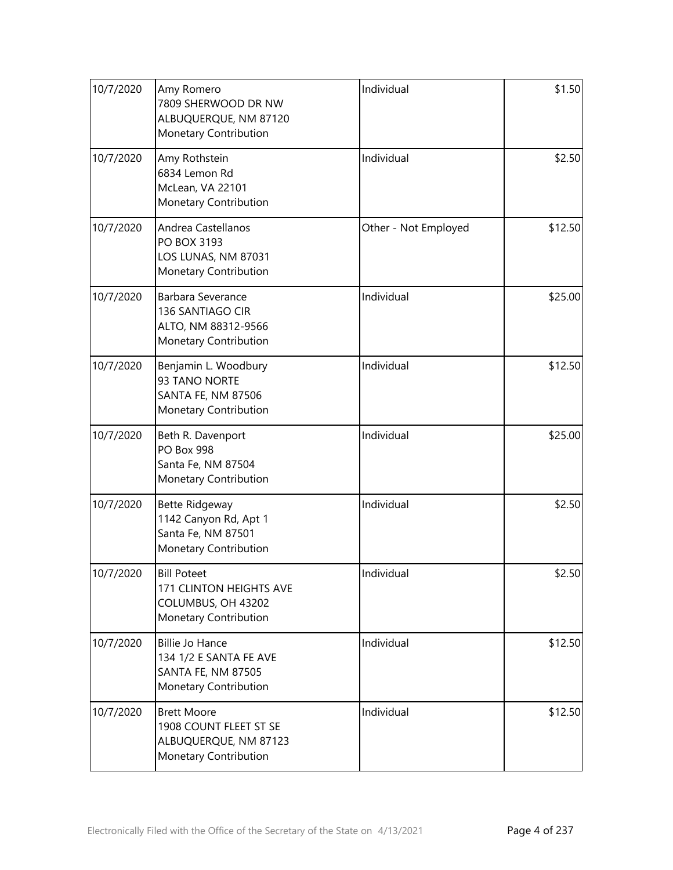| 10/7/2020 | Amy Romero<br>7809 SHERWOOD DR NW<br>ALBUQUERQUE, NM 87120<br>Monetary Contribution             | Individual           | \$1.50  |
|-----------|-------------------------------------------------------------------------------------------------|----------------------|---------|
| 10/7/2020 | Amy Rothstein<br>6834 Lemon Rd<br>McLean, VA 22101<br>Monetary Contribution                     | Individual           | \$2.50  |
| 10/7/2020 | Andrea Castellanos<br>PO BOX 3193<br>LOS LUNAS, NM 87031<br>Monetary Contribution               | Other - Not Employed | \$12.50 |
| 10/7/2020 | Barbara Severance<br>136 SANTIAGO CIR<br>ALTO, NM 88312-9566<br>Monetary Contribution           | Individual           | \$25.00 |
| 10/7/2020 | Benjamin L. Woodbury<br>93 TANO NORTE<br><b>SANTA FE, NM 87506</b><br>Monetary Contribution     | Individual           | \$12.50 |
| 10/7/2020 | Beth R. Davenport<br><b>PO Box 998</b><br>Santa Fe, NM 87504<br>Monetary Contribution           | Individual           | \$25.00 |
| 10/7/2020 | Bette Ridgeway<br>1142 Canyon Rd, Apt 1<br>Santa Fe, NM 87501<br>Monetary Contribution          | Individual           | \$2.50  |
| 10/7/2020 | <b>Bill Poteet</b><br>171 CLINTON HEIGHTS AVE<br>COLUMBUS, OH 43202<br>Monetary Contribution    | Individual           | \$2.50  |
| 10/7/2020 | <b>Billie Jo Hance</b><br>134 1/2 E SANTA FE AVE<br>SANTA FE, NM 87505<br>Monetary Contribution | Individual           | \$12.50 |
| 10/7/2020 | <b>Brett Moore</b><br>1908 COUNT FLEET ST SE<br>ALBUQUERQUE, NM 87123<br>Monetary Contribution  | Individual           | \$12.50 |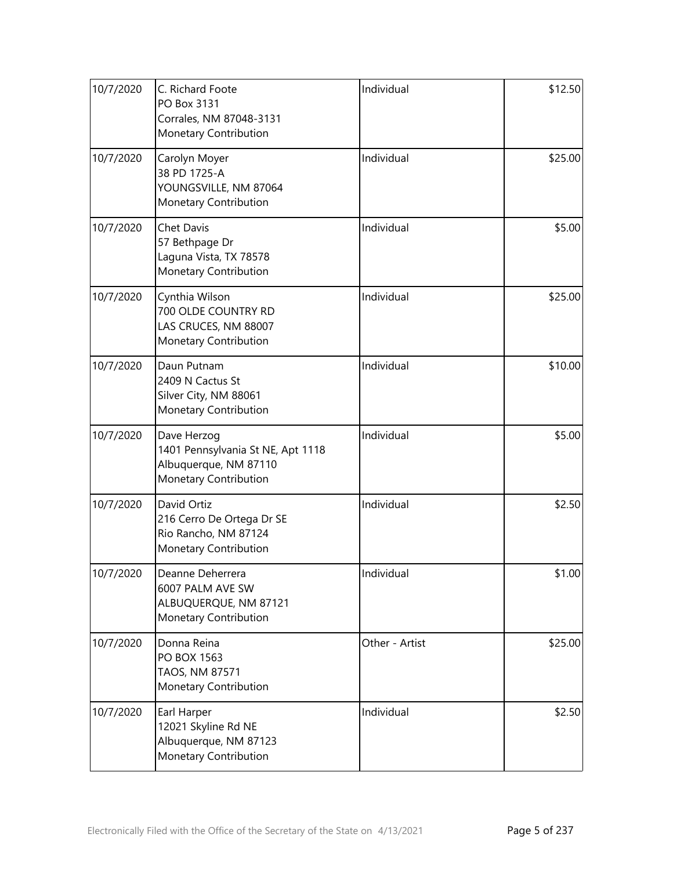| 10/7/2020 | C. Richard Foote<br>PO Box 3131<br>Corrales, NM 87048-3131<br>Monetary Contribution                | Individual     | \$12.50 |
|-----------|----------------------------------------------------------------------------------------------------|----------------|---------|
| 10/7/2020 | Carolyn Moyer<br>38 PD 1725-A<br>YOUNGSVILLE, NM 87064<br>Monetary Contribution                    | Individual     | \$25.00 |
| 10/7/2020 | <b>Chet Davis</b><br>57 Bethpage Dr<br>Laguna Vista, TX 78578<br>Monetary Contribution             | Individual     | \$5.00  |
| 10/7/2020 | Cynthia Wilson<br>700 OLDE COUNTRY RD<br>LAS CRUCES, NM 88007<br>Monetary Contribution             | Individual     | \$25.00 |
| 10/7/2020 | Daun Putnam<br>2409 N Cactus St<br>Silver City, NM 88061<br>Monetary Contribution                  | Individual     | \$10.00 |
| 10/7/2020 | Dave Herzog<br>1401 Pennsylvania St NE, Apt 1118<br>Albuquerque, NM 87110<br>Monetary Contribution | Individual     | \$5.00  |
| 10/7/2020 | David Ortiz<br>216 Cerro De Ortega Dr SE<br>Rio Rancho, NM 87124<br>Monetary Contribution          | Individual     | \$2.50  |
| 10/7/2020 | Deanne Deherrera<br>6007 PALM AVE SW<br>ALBUQUERQUE, NM 87121<br>Monetary Contribution             | Individual     | \$1.00  |
| 10/7/2020 | Donna Reina<br>PO BOX 1563<br>TAOS, NM 87571<br>Monetary Contribution                              | Other - Artist | \$25.00 |
| 10/7/2020 | Earl Harper<br>12021 Skyline Rd NE<br>Albuquerque, NM 87123<br>Monetary Contribution               | Individual     | \$2.50  |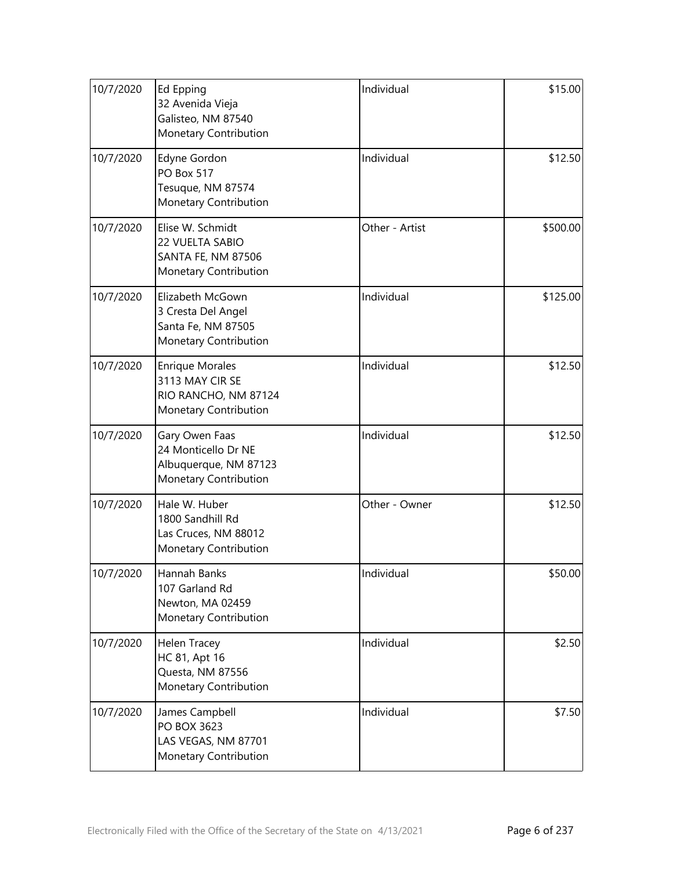| 10/7/2020 | Ed Epping<br>32 Avenida Vieja<br>Galisteo, NM 87540<br>Monetary Contribution               | Individual     | \$15.00  |
|-----------|--------------------------------------------------------------------------------------------|----------------|----------|
| 10/7/2020 | Edyne Gordon<br><b>PO Box 517</b><br>Tesuque, NM 87574<br>Monetary Contribution            | Individual     | \$12.50  |
| 10/7/2020 | Elise W. Schmidt<br>22 VUELTA SABIO<br>SANTA FE, NM 87506<br>Monetary Contribution         | Other - Artist | \$500.00 |
| 10/7/2020 | Elizabeth McGown<br>3 Cresta Del Angel<br>Santa Fe, NM 87505<br>Monetary Contribution      | Individual     | \$125.00 |
| 10/7/2020 | <b>Enrique Morales</b><br>3113 MAY CIR SE<br>RIO RANCHO, NM 87124<br>Monetary Contribution | Individual     | \$12.50  |
| 10/7/2020 | Gary Owen Faas<br>24 Monticello Dr NE<br>Albuquerque, NM 87123<br>Monetary Contribution    | Individual     | \$12.50  |
| 10/7/2020 | Hale W. Huber<br>1800 Sandhill Rd<br>Las Cruces, NM 88012<br>Monetary Contribution         | Other - Owner  | \$12.50  |
| 10/7/2020 | Hannah Banks<br>107 Garland Rd<br>Newton, MA 02459<br>Monetary Contribution                | Individual     | \$50.00  |
| 10/7/2020 | Helen Tracey<br>HC 81, Apt 16<br>Questa, NM 87556<br>Monetary Contribution                 | Individual     | \$2.50   |
| 10/7/2020 | James Campbell<br>PO BOX 3623<br>LAS VEGAS, NM 87701<br>Monetary Contribution              | Individual     | \$7.50   |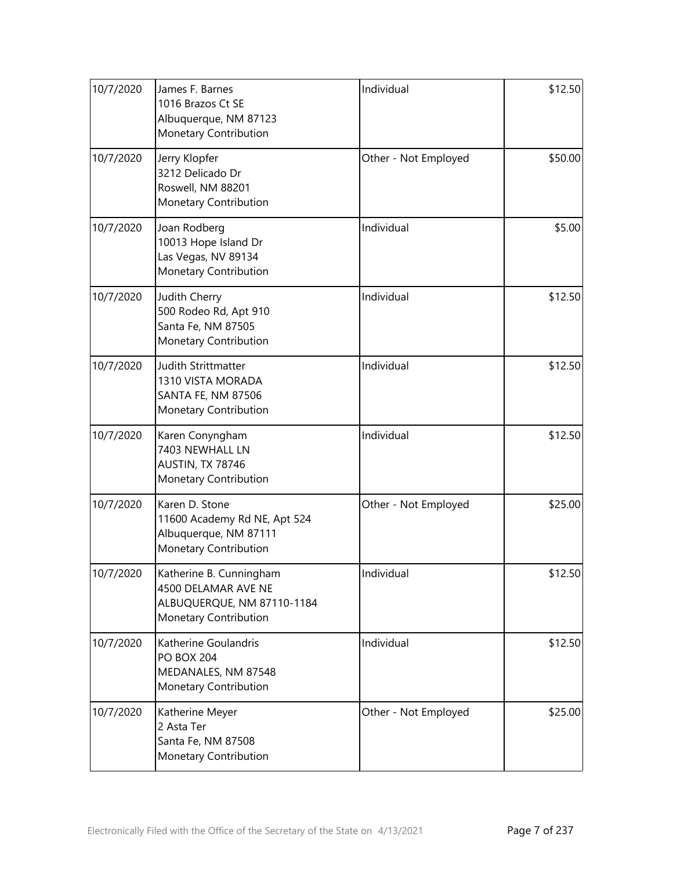| 10/7/2020 | James F. Barnes<br>1016 Brazos Ct SE<br>Albuquerque, NM 87123<br>Monetary Contribution                | Individual           | \$12.50 |
|-----------|-------------------------------------------------------------------------------------------------------|----------------------|---------|
| 10/7/2020 | Jerry Klopfer<br>3212 Delicado Dr<br>Roswell, NM 88201<br>Monetary Contribution                       | Other - Not Employed | \$50.00 |
| 10/7/2020 | Joan Rodberg<br>10013 Hope Island Dr<br>Las Vegas, NV 89134<br>Monetary Contribution                  | Individual           | \$5.00  |
| 10/7/2020 | Judith Cherry<br>500 Rodeo Rd, Apt 910<br>Santa Fe, NM 87505<br>Monetary Contribution                 | Individual           | \$12.50 |
| 10/7/2020 | Judith Strittmatter<br>1310 VISTA MORADA<br>SANTA FE, NM 87506<br>Monetary Contribution               | Individual           | \$12.50 |
| 10/7/2020 | Karen Conyngham<br>7403 NEWHALL LN<br>AUSTIN, TX 78746<br>Monetary Contribution                       | Individual           | \$12.50 |
| 10/7/2020 | Karen D. Stone<br>11600 Academy Rd NE, Apt 524<br>Albuquerque, NM 87111<br>Monetary Contribution      | Other - Not Employed | \$25.00 |
| 10/7/2020 | Katherine B. Cunningham<br>4500 DELAMAR AVE NE<br>ALBUQUERQUE, NM 87110-1184<br>Monetary Contribution | Individual           | \$12.50 |
| 10/7/2020 | Katherine Goulandris<br><b>PO BOX 204</b><br>MEDANALES, NM 87548<br>Monetary Contribution             | Individual           | \$12.50 |
| 10/7/2020 | Katherine Meyer<br>2 Asta Ter<br>Santa Fe, NM 87508<br>Monetary Contribution                          | Other - Not Employed | \$25.00 |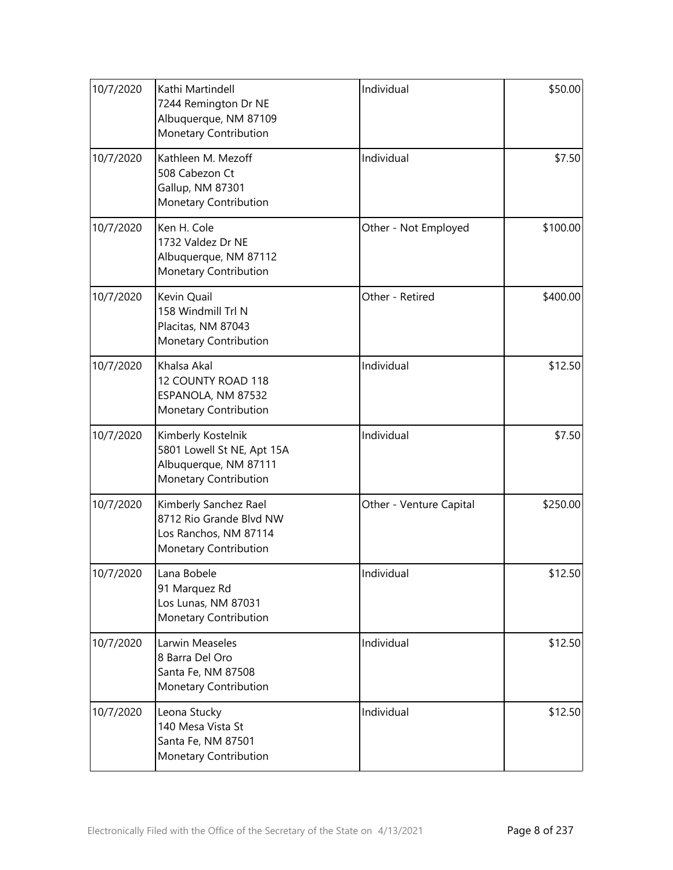| 10/7/2020 | Kathi Martindell<br>7244 Remington Dr NE<br>Albuquerque, NM 87109<br>Monetary Contribution         | Individual              | \$50.00  |
|-----------|----------------------------------------------------------------------------------------------------|-------------------------|----------|
| 10/7/2020 | Kathleen M. Mezoff<br>508 Cabezon Ct<br>Gallup, NM 87301<br>Monetary Contribution                  | Individual              | \$7.50   |
| 10/7/2020 | Ken H. Cole<br>1732 Valdez Dr NE<br>Albuquerque, NM 87112<br>Monetary Contribution                 | Other - Not Employed    | \$100.00 |
| 10/7/2020 | Kevin Quail<br>158 Windmill Trl N<br>Placitas, NM 87043<br>Monetary Contribution                   | Other - Retired         | \$400.00 |
| 10/7/2020 | Khalsa Akal<br>12 COUNTY ROAD 118<br>ESPANOLA, NM 87532<br>Monetary Contribution                   | Individual              | \$12.50  |
| 10/7/2020 | Kimberly Kostelnik<br>5801 Lowell St NE, Apt 15A<br>Albuquerque, NM 87111<br>Monetary Contribution | Individual              | \$7.50   |
| 10/7/2020 | Kimberly Sanchez Rael<br>8712 Rio Grande Blvd NW<br>Los Ranchos, NM 87114<br>Monetary Contribution | Other - Venture Capital | \$250.00 |
| 10/7/2020 | Lana Bobele<br>91 Marquez Rd<br>Los Lunas, NM 87031<br>Monetary Contribution                       | Individual              | \$12.50  |
| 10/7/2020 | Larwin Measeles<br>8 Barra Del Oro<br>Santa Fe, NM 87508<br>Monetary Contribution                  | Individual              | \$12.50  |
| 10/7/2020 | Leona Stucky<br>140 Mesa Vista St<br>Santa Fe, NM 87501<br>Monetary Contribution                   | Individual              | \$12.50  |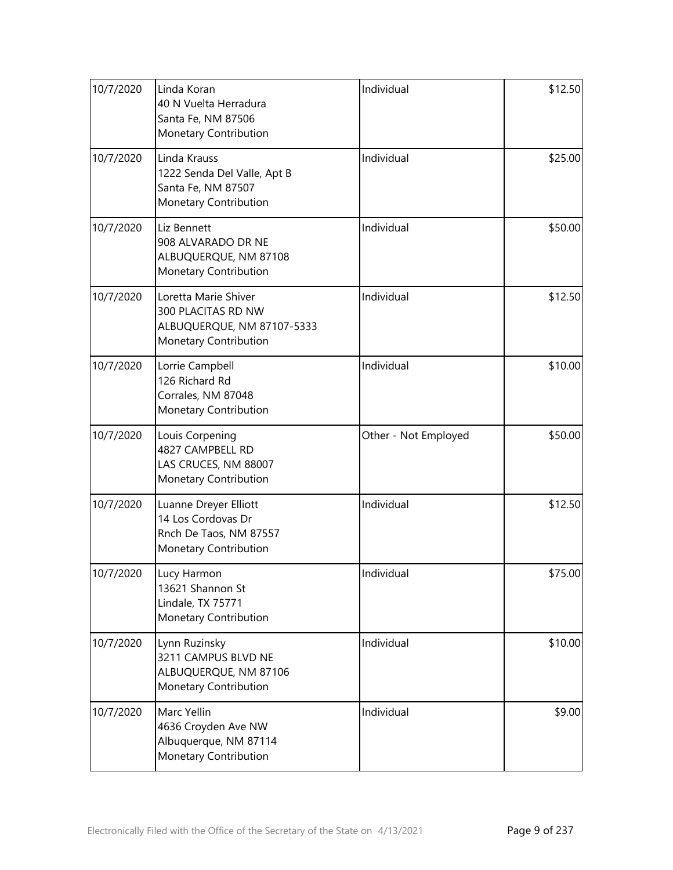| 10/7/2020 | Linda Koran<br>40 N Vuelta Herradura<br>Santa Fe, NM 87506<br>Monetary Contribution                      | Individual           | \$12.50 |
|-----------|----------------------------------------------------------------------------------------------------------|----------------------|---------|
| 10/7/2020 | Linda Krauss<br>1222 Senda Del Valle, Apt B<br>Santa Fe, NM 87507<br>Monetary Contribution               | Individual           | \$25.00 |
| 10/7/2020 | Liz Bennett<br>908 ALVARADO DR NE<br>ALBUQUERQUE, NM 87108<br>Monetary Contribution                      | Individual           | \$50.00 |
| 10/7/2020 | Loretta Marie Shiver<br>300 PLACITAS RD NW<br>ALBUQUERQUE, NM 87107-5333<br><b>Monetary Contribution</b> | Individual           | \$12.50 |
| 10/7/2020 | Lorrie Campbell<br>126 Richard Rd<br>Corrales, NM 87048<br>Monetary Contribution                         | Individual           | \$10.00 |
| 10/7/2020 | Louis Corpening<br>4827 CAMPBELL RD<br>LAS CRUCES, NM 88007<br>Monetary Contribution                     | Other - Not Employed | \$50.00 |
| 10/7/2020 | Luanne Dreyer Elliott<br>14 Los Cordovas Dr<br>Rnch De Taos, NM 87557<br>Monetary Contribution           | Individual           | \$12.50 |
| 10/7/2020 | Lucy Harmon<br>13621 Shannon St<br>Lindale, TX 75771<br>Monetary Contribution                            | Individual           | \$75.00 |
| 10/7/2020 | Lynn Ruzinsky<br>3211 CAMPUS BLVD NE<br>ALBUQUERQUE, NM 87106<br>Monetary Contribution                   | Individual           | \$10.00 |
| 10/7/2020 | Marc Yellin<br>4636 Croyden Ave NW<br>Albuquerque, NM 87114<br>Monetary Contribution                     | Individual           | \$9.00  |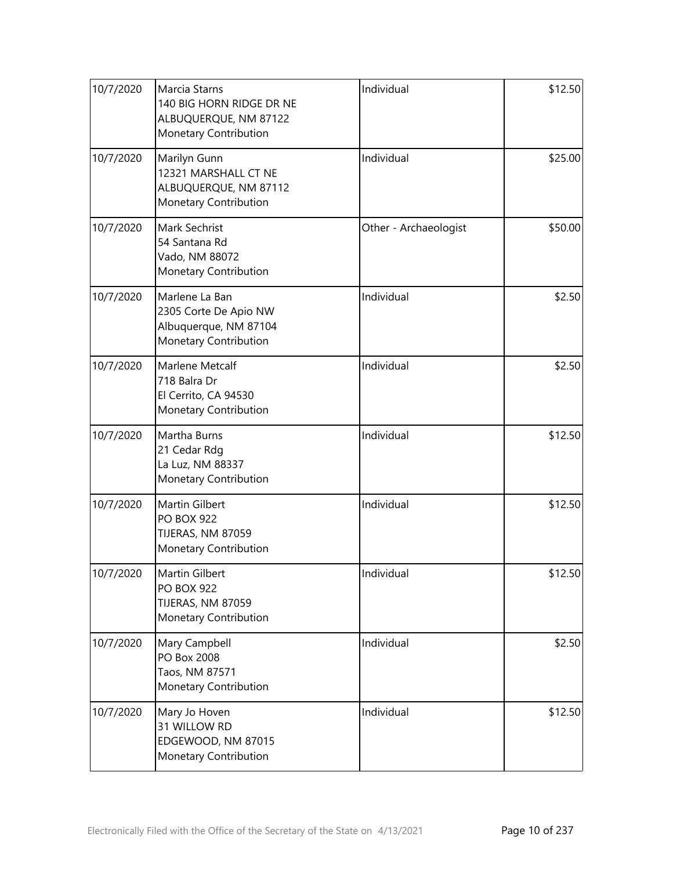| 10/7/2020 | Marcia Starns<br>140 BIG HORN RIDGE DR NE<br>ALBUQUERQUE, NM 87122<br>Monetary Contribution | Individual            | \$12.50 |
|-----------|---------------------------------------------------------------------------------------------|-----------------------|---------|
| 10/7/2020 | Marilyn Gunn<br>12321 MARSHALL CT NE<br>ALBUQUERQUE, NM 87112<br>Monetary Contribution      | Individual            | \$25.00 |
| 10/7/2020 | Mark Sechrist<br>54 Santana Rd<br>Vado, NM 88072<br>Monetary Contribution                   | Other - Archaeologist | \$50.00 |
| 10/7/2020 | Marlene La Ban<br>2305 Corte De Apio NW<br>Albuquerque, NM 87104<br>Monetary Contribution   | Individual            | \$2.50  |
| 10/7/2020 | Marlene Metcalf<br>718 Balra Dr<br>El Cerrito, CA 94530<br>Monetary Contribution            | Individual            | \$2.50  |
| 10/7/2020 | Martha Burns<br>21 Cedar Rdg<br>La Luz, NM 88337<br>Monetary Contribution                   | Individual            | \$12.50 |
| 10/7/2020 | Martin Gilbert<br><b>PO BOX 922</b><br>TIJERAS, NM 87059<br>Monetary Contribution           | Individual            | \$12.50 |
| 10/7/2020 | Martin Gilbert<br><b>PO BOX 922</b><br>TIJERAS, NM 87059<br>Monetary Contribution           | Individual            | \$12.50 |
| 10/7/2020 | Mary Campbell<br>PO Box 2008<br>Taos, NM 87571<br>Monetary Contribution                     | Individual            | \$2.50  |
| 10/7/2020 | Mary Jo Hoven<br>31 WILLOW RD<br>EDGEWOOD, NM 87015<br>Monetary Contribution                | Individual            | \$12.50 |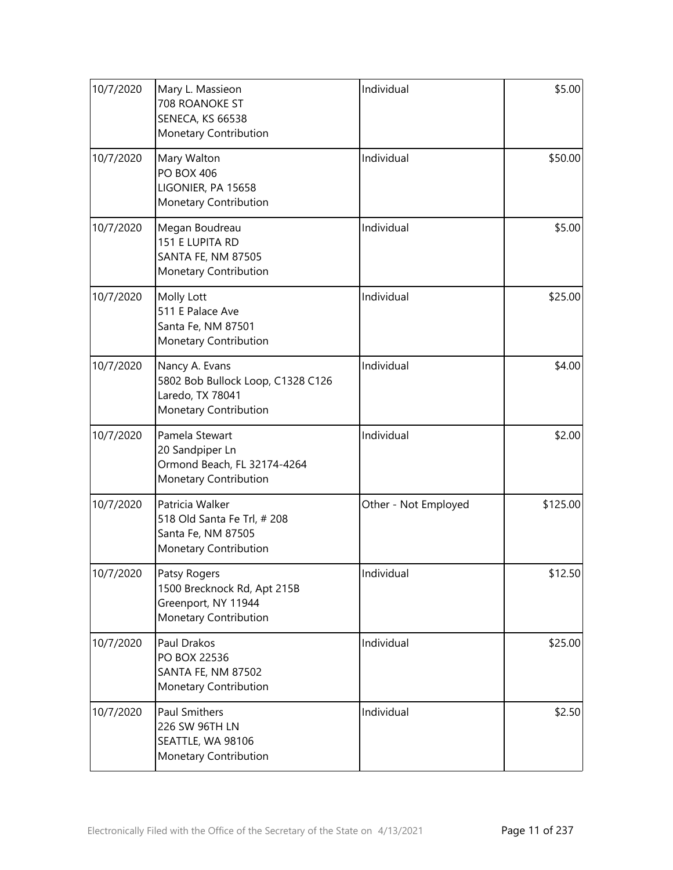| 10/7/2020 | Mary L. Massieon<br>708 ROANOKE ST<br>SENECA, KS 66538<br>Monetary Contribution                  | Individual           | \$5.00   |
|-----------|--------------------------------------------------------------------------------------------------|----------------------|----------|
| 10/7/2020 | Mary Walton<br><b>PO BOX 406</b><br>LIGONIER, PA 15658<br>Monetary Contribution                  | Individual           | \$50.00  |
| 10/7/2020 | Megan Boudreau<br>151 E LUPITA RD<br>SANTA FE, NM 87505<br>Monetary Contribution                 | Individual           | \$5.00   |
| 10/7/2020 | Molly Lott<br>511 E Palace Ave<br>Santa Fe, NM 87501<br>Monetary Contribution                    | Individual           | \$25.00  |
| 10/7/2020 | Nancy A. Evans<br>5802 Bob Bullock Loop, C1328 C126<br>Laredo, TX 78041<br>Monetary Contribution | Individual           | \$4.00   |
| 10/7/2020 | Pamela Stewart<br>20 Sandpiper Ln<br>Ormond Beach, FL 32174-4264<br>Monetary Contribution        | Individual           | \$2.00   |
| 10/7/2020 | Patricia Walker<br>518 Old Santa Fe Trl, # 208<br>Santa Fe, NM 87505<br>Monetary Contribution    | Other - Not Employed | \$125.00 |
| 10/7/2020 | Patsy Rogers<br>1500 Brecknock Rd, Apt 215B<br>Greenport, NY 11944<br>Monetary Contribution      | Individual           | \$12.50  |
| 10/7/2020 | Paul Drakos<br>PO BOX 22536<br>SANTA FE, NM 87502<br>Monetary Contribution                       | Individual           | \$25.00  |
| 10/7/2020 | <b>Paul Smithers</b><br>226 SW 96TH LN<br>SEATTLE, WA 98106<br>Monetary Contribution             | Individual           | \$2.50   |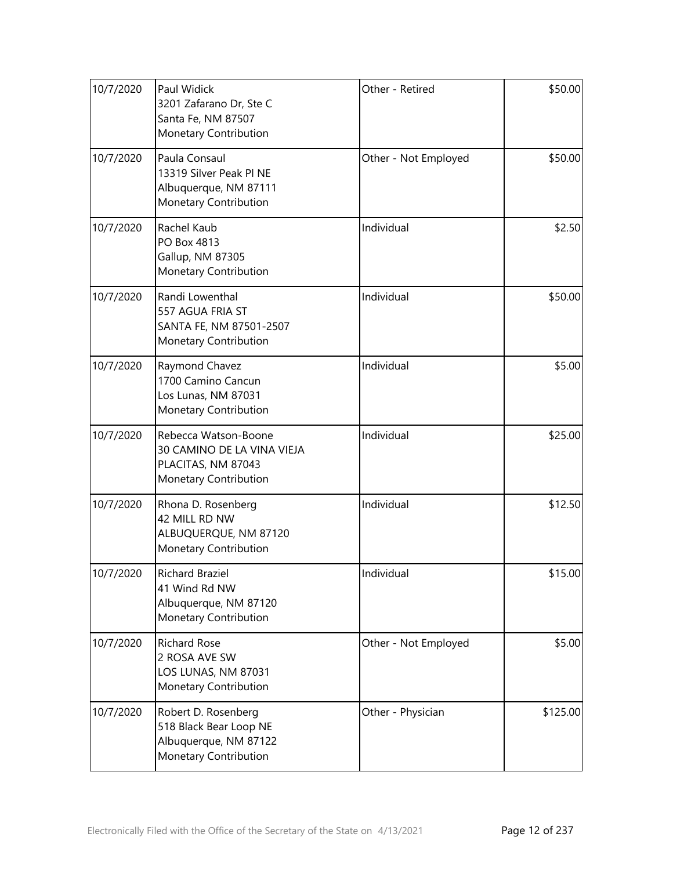| 10/7/2020 | Paul Widick<br>3201 Zafarano Dr, Ste C<br>Santa Fe, NM 87507<br>Monetary Contribution             | Other - Retired      | \$50.00  |
|-----------|---------------------------------------------------------------------------------------------------|----------------------|----------|
| 10/7/2020 | Paula Consaul<br>13319 Silver Peak Pl NE<br>Albuquerque, NM 87111<br>Monetary Contribution        | Other - Not Employed | \$50.00  |
| 10/7/2020 | Rachel Kaub<br>PO Box 4813<br>Gallup, NM 87305<br>Monetary Contribution                           | Individual           | \$2.50   |
| 10/7/2020 | Randi Lowenthal<br>557 AGUA FRIA ST<br>SANTA FE, NM 87501-2507<br><b>Monetary Contribution</b>    | Individual           | \$50.00  |
| 10/7/2020 | Raymond Chavez<br>1700 Camino Cancun<br>Los Lunas, NM 87031<br>Monetary Contribution              | Individual           | \$5.00   |
| 10/7/2020 | Rebecca Watson-Boone<br>30 CAMINO DE LA VINA VIEJA<br>PLACITAS, NM 87043<br>Monetary Contribution | Individual           | \$25.00  |
| 10/7/2020 | Rhona D. Rosenberg<br>42 MILL RD NW<br>ALBUQUERQUE, NM 87120<br>Monetary Contribution             | Individual           | \$12.50  |
| 10/7/2020 | Richard Braziel<br>41 Wind Rd NW<br>Albuquerque, NM 87120<br>Monetary Contribution                | Individual           | \$15.00  |
| 10/7/2020 | <b>Richard Rose</b><br>2 ROSA AVE SW<br>LOS LUNAS, NM 87031<br>Monetary Contribution              | Other - Not Employed | \$5.00   |
| 10/7/2020 | Robert D. Rosenberg<br>518 Black Bear Loop NE<br>Albuquerque, NM 87122<br>Monetary Contribution   | Other - Physician    | \$125.00 |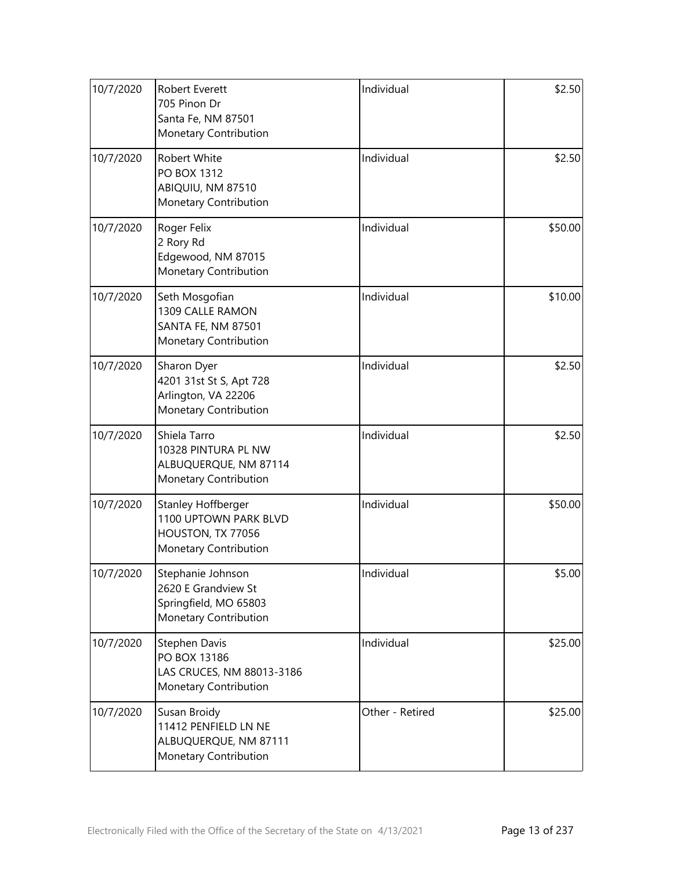| 10/7/2020 | <b>Robert Everett</b><br>705 Pinon Dr<br>Santa Fe, NM 87501<br>Monetary Contribution                    | Individual      | \$2.50  |
|-----------|---------------------------------------------------------------------------------------------------------|-----------------|---------|
| 10/7/2020 | <b>Robert White</b><br>PO BOX 1312<br>ABIQUIU, NM 87510<br>Monetary Contribution                        | Individual      | \$2.50  |
| 10/7/2020 | Roger Felix<br>2 Rory Rd<br>Edgewood, NM 87015<br>Monetary Contribution                                 | Individual      | \$50.00 |
| 10/7/2020 | Seth Mosgofian<br>1309 CALLE RAMON<br><b>SANTA FE, NM 87501</b><br>Monetary Contribution                | Individual      | \$10.00 |
| 10/7/2020 | Sharon Dyer<br>4201 31st St S, Apt 728<br>Arlington, VA 22206<br>Monetary Contribution                  | Individual      | \$2.50  |
| 10/7/2020 | Shiela Tarro<br>10328 PINTURA PL NW<br>ALBUQUERQUE, NM 87114<br>Monetary Contribution                   | Individual      | \$2.50  |
| 10/7/2020 | <b>Stanley Hoffberger</b><br>1100 UPTOWN PARK BLVD<br>HOUSTON, TX 77056<br><b>Monetary Contribution</b> | Individual      | \$50.00 |
| 10/7/2020 | Stephanie Johnson<br>2620 E Grandview St<br>Springfield, MO 65803<br>Monetary Contribution              | Individual      | \$5.00  |
| 10/7/2020 | Stephen Davis<br>PO BOX 13186<br>LAS CRUCES, NM 88013-3186<br>Monetary Contribution                     | Individual      | \$25.00 |
| 10/7/2020 | Susan Broidy<br>11412 PENFIELD LN NE<br>ALBUQUERQUE, NM 87111<br>Monetary Contribution                  | Other - Retired | \$25.00 |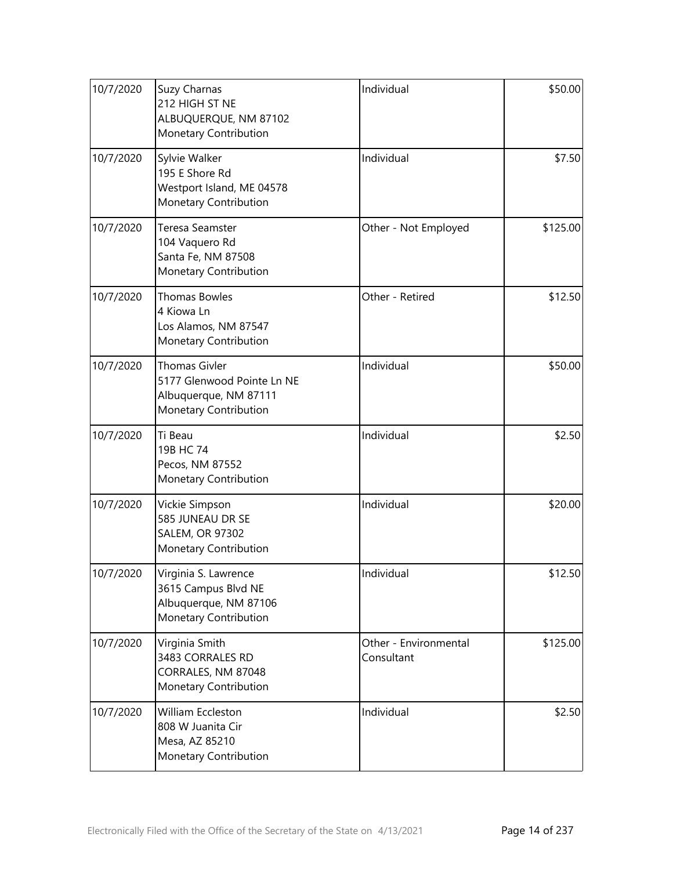| 10/7/2020 | Suzy Charnas<br>212 HIGH ST NE<br>ALBUQUERQUE, NM 87102<br>Monetary Contribution                     | Individual                          | \$50.00  |
|-----------|------------------------------------------------------------------------------------------------------|-------------------------------------|----------|
| 10/7/2020 | Sylvie Walker<br>195 E Shore Rd<br>Westport Island, ME 04578<br>Monetary Contribution                | Individual                          | \$7.50   |
| 10/7/2020 | <b>Teresa Seamster</b><br>104 Vaquero Rd<br>Santa Fe, NM 87508<br>Monetary Contribution              | Other - Not Employed                | \$125.00 |
| 10/7/2020 | <b>Thomas Bowles</b><br>4 Kiowa Ln<br>Los Alamos, NM 87547<br>Monetary Contribution                  | Other - Retired                     | \$12.50  |
| 10/7/2020 | <b>Thomas Givler</b><br>5177 Glenwood Pointe Ln NE<br>Albuquerque, NM 87111<br>Monetary Contribution | Individual                          | \$50.00  |
| 10/7/2020 | Ti Beau<br>19B HC 74<br>Pecos, NM 87552<br>Monetary Contribution                                     | Individual                          | \$2.50   |
| 10/7/2020 | Vickie Simpson<br>585 JUNEAU DR SE<br><b>SALEM, OR 97302</b><br>Monetary Contribution                | Individual                          | \$20.00  |
| 10/7/2020 | Virginia S. Lawrence<br>3615 Campus Blvd NE<br>Albuquerque, NM 87106<br>Monetary Contribution        | Individual                          | \$12.50  |
| 10/7/2020 | Virginia Smith<br>3483 CORRALES RD<br>CORRALES, NM 87048<br>Monetary Contribution                    | Other - Environmental<br>Consultant | \$125.00 |
| 10/7/2020 | William Eccleston<br>808 W Juanita Cir<br>Mesa, AZ 85210<br>Monetary Contribution                    | Individual                          | \$2.50   |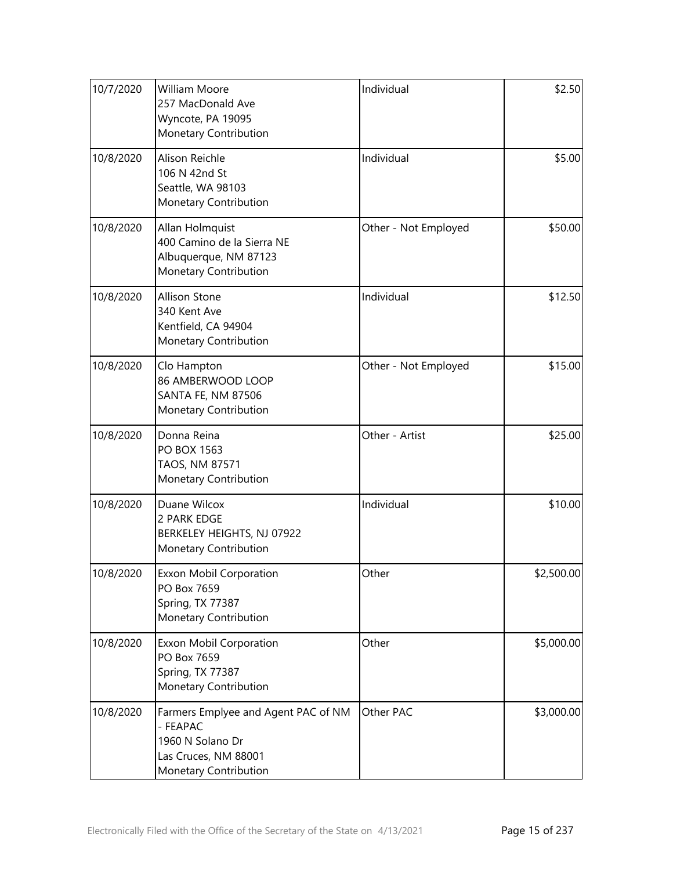| 10/7/2020 | <b>William Moore</b><br>257 MacDonald Ave<br>Wyncote, PA 19095<br>Monetary Contribution                              | Individual           | \$2.50     |
|-----------|----------------------------------------------------------------------------------------------------------------------|----------------------|------------|
| 10/8/2020 | Alison Reichle<br>106 N 42nd St<br>Seattle, WA 98103<br>Monetary Contribution                                        | Individual           | \$5.00     |
| 10/8/2020 | Allan Holmquist<br>400 Camino de la Sierra NE<br>Albuquerque, NM 87123<br>Monetary Contribution                      | Other - Not Employed | \$50.00    |
| 10/8/2020 | <b>Allison Stone</b><br>340 Kent Ave<br>Kentfield, CA 94904<br>Monetary Contribution                                 | Individual           | \$12.50    |
| 10/8/2020 | Clo Hampton<br>86 AMBERWOOD LOOP<br>SANTA FE, NM 87506<br>Monetary Contribution                                      | Other - Not Employed | \$15.00    |
| 10/8/2020 | Donna Reina<br>PO BOX 1563<br>TAOS, NM 87571<br>Monetary Contribution                                                | Other - Artist       | \$25.00    |
| 10/8/2020 | Duane Wilcox<br>2 PARK EDGE<br>BERKELEY HEIGHTS, NJ 07922<br>Monetary Contribution                                   | Individual           | \$10.00    |
| 10/8/2020 | Exxon Mobil Corporation<br>PO Box 7659<br>Spring, TX 77387<br>Monetary Contribution                                  | Other                | \$2,500.00 |
| 10/8/2020 | <b>Exxon Mobil Corporation</b><br>PO Box 7659<br>Spring, TX 77387<br>Monetary Contribution                           | Other                | \$5,000.00 |
| 10/8/2020 | Farmers Emplyee and Agent PAC of NM<br>- FEAPAC<br>1960 N Solano Dr<br>Las Cruces, NM 88001<br>Monetary Contribution | Other PAC            | \$3,000.00 |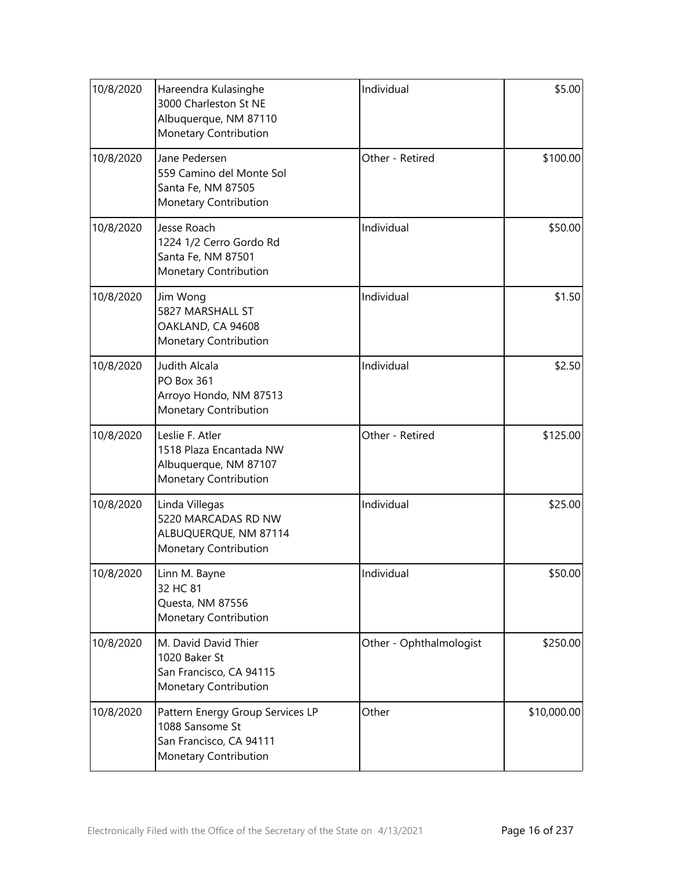| 10/8/2020 | Hareendra Kulasinghe<br>3000 Charleston St NE<br>Albuquerque, NM 87110<br>Monetary Contribution         | Individual              | \$5.00      |
|-----------|---------------------------------------------------------------------------------------------------------|-------------------------|-------------|
| 10/8/2020 | Jane Pedersen<br>559 Camino del Monte Sol<br>Santa Fe, NM 87505<br>Monetary Contribution                | Other - Retired         | \$100.00    |
| 10/8/2020 | Jesse Roach<br>1224 1/2 Cerro Gordo Rd<br>Santa Fe, NM 87501<br>Monetary Contribution                   | Individual              | \$50.00     |
| 10/8/2020 | Jim Wong<br>5827 MARSHALL ST<br>OAKLAND, CA 94608<br>Monetary Contribution                              | Individual              | \$1.50      |
| 10/8/2020 | Judith Alcala<br><b>PO Box 361</b><br>Arroyo Hondo, NM 87513<br>Monetary Contribution                   | Individual              | \$2.50      |
| 10/8/2020 | Leslie F. Atler<br>1518 Plaza Encantada NW<br>Albuquerque, NM 87107<br>Monetary Contribution            | Other - Retired         | \$125.00    |
| 10/8/2020 | Linda Villegas<br>5220 MARCADAS RD NW<br>ALBUQUERQUE, NM 87114<br>Monetary Contribution                 | Individual              | \$25.00     |
| 10/8/2020 | Linn M. Bayne<br>32 HC 81<br>Questa, NM 87556<br>Monetary Contribution                                  | Individual              | \$50.00     |
| 10/8/2020 | M. David David Thier<br>1020 Baker St<br>San Francisco, CA 94115<br>Monetary Contribution               | Other - Ophthalmologist | \$250.00    |
| 10/8/2020 | Pattern Energy Group Services LP<br>1088 Sansome St<br>San Francisco, CA 94111<br>Monetary Contribution | Other                   | \$10,000.00 |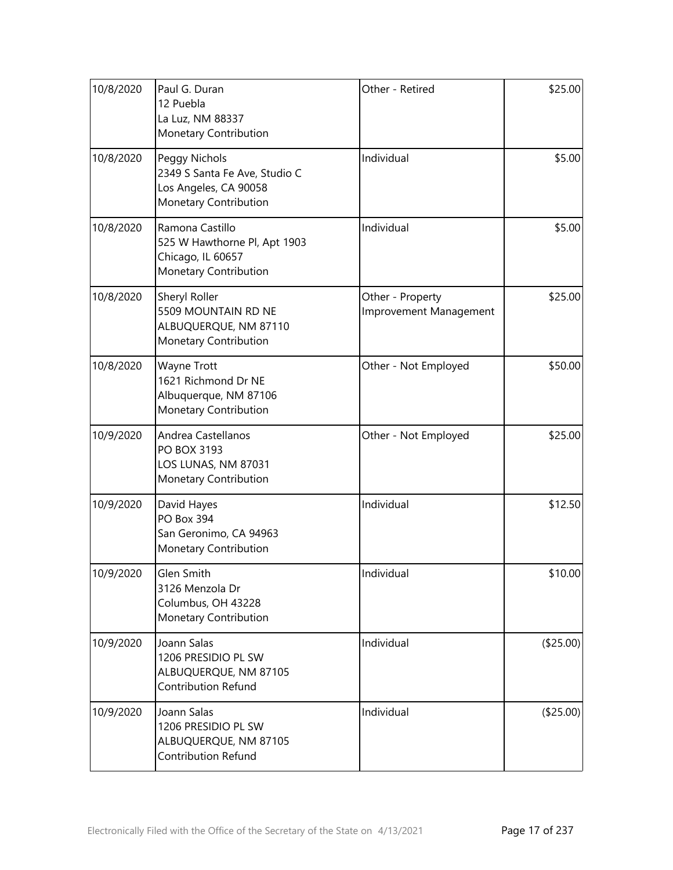| 10/8/2020 | Paul G. Duran<br>12 Puebla<br>La Luz, NM 88337<br>Monetary Contribution                          | Other - Retired                            | \$25.00   |
|-----------|--------------------------------------------------------------------------------------------------|--------------------------------------------|-----------|
| 10/8/2020 | Peggy Nichols<br>2349 S Santa Fe Ave, Studio C<br>Los Angeles, CA 90058<br>Monetary Contribution | Individual                                 | \$5.00    |
| 10/8/2020 | Ramona Castillo<br>525 W Hawthorne Pl, Apt 1903<br>Chicago, IL 60657<br>Monetary Contribution    | Individual                                 | \$5.00    |
| 10/8/2020 | Sheryl Roller<br>5509 MOUNTAIN RD NE<br>ALBUQUERQUE, NM 87110<br>Monetary Contribution           | Other - Property<br>Improvement Management | \$25.00   |
| 10/8/2020 | Wayne Trott<br>1621 Richmond Dr NE<br>Albuquerque, NM 87106<br>Monetary Contribution             | Other - Not Employed                       | \$50.00   |
| 10/9/2020 | Andrea Castellanos<br>PO BOX 3193<br>LOS LUNAS, NM 87031<br>Monetary Contribution                | Other - Not Employed                       | \$25.00   |
| 10/9/2020 | David Hayes<br>PO Box 394<br>San Geronimo, CA 94963<br>Monetary Contribution                     | Individual                                 | \$12.50   |
| 10/9/2020 | Glen Smith<br>3126 Menzola Dr<br>Columbus, OH 43228<br>Monetary Contribution                     | Individual                                 | \$10.00   |
| 10/9/2020 | Joann Salas<br>1206 PRESIDIO PL SW<br>ALBUQUERQUE, NM 87105<br><b>Contribution Refund</b>        | Individual                                 | (\$25.00) |
| 10/9/2020 | Joann Salas<br>1206 PRESIDIO PL SW<br>ALBUQUERQUE, NM 87105<br><b>Contribution Refund</b>        | Individual                                 | (\$25.00) |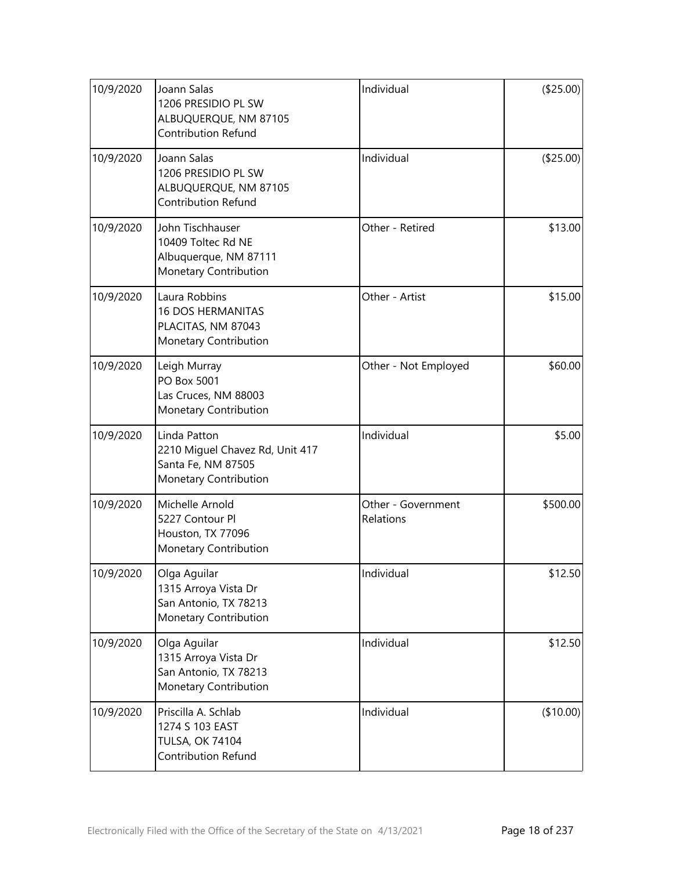| 10/9/2020 | Joann Salas<br>1206 PRESIDIO PL SW<br>ALBUQUERQUE, NM 87105<br><b>Contribution Refund</b>      | Individual                      | (\$25.00) |
|-----------|------------------------------------------------------------------------------------------------|---------------------------------|-----------|
| 10/9/2020 | Joann Salas<br>1206 PRESIDIO PL SW<br>ALBUQUERQUE, NM 87105<br>Contribution Refund             | Individual                      | (\$25.00) |
| 10/9/2020 | John Tischhauser<br>10409 Toltec Rd NE<br>Albuquerque, NM 87111<br>Monetary Contribution       | Other - Retired                 | \$13.00   |
| 10/9/2020 | Laura Robbins<br><b>16 DOS HERMANITAS</b><br>PLACITAS, NM 87043<br>Monetary Contribution       | Other - Artist                  | \$15.00   |
| 10/9/2020 | Leigh Murray<br>PO Box 5001<br>Las Cruces, NM 88003<br>Monetary Contribution                   | Other - Not Employed            | \$60.00   |
| 10/9/2020 | Linda Patton<br>2210 Miguel Chavez Rd, Unit 417<br>Santa Fe, NM 87505<br>Monetary Contribution | Individual                      | \$5.00    |
| 10/9/2020 | Michelle Arnold<br>5227 Contour Pl<br>Houston, TX 77096<br>Monetary Contribution               | Other - Government<br>Relations | \$500.00  |
| 10/9/2020 | Olga Aguilar<br>1315 Arroya Vista Dr<br>San Antonio, TX 78213<br>Monetary Contribution         | Individual                      | \$12.50   |
| 10/9/2020 | Olga Aguilar<br>1315 Arroya Vista Dr<br>San Antonio, TX 78213<br>Monetary Contribution         | Individual                      | \$12.50   |
| 10/9/2020 | Priscilla A. Schlab<br>1274 S 103 EAST<br><b>TULSA, OK 74104</b><br><b>Contribution Refund</b> | Individual                      | (\$10.00) |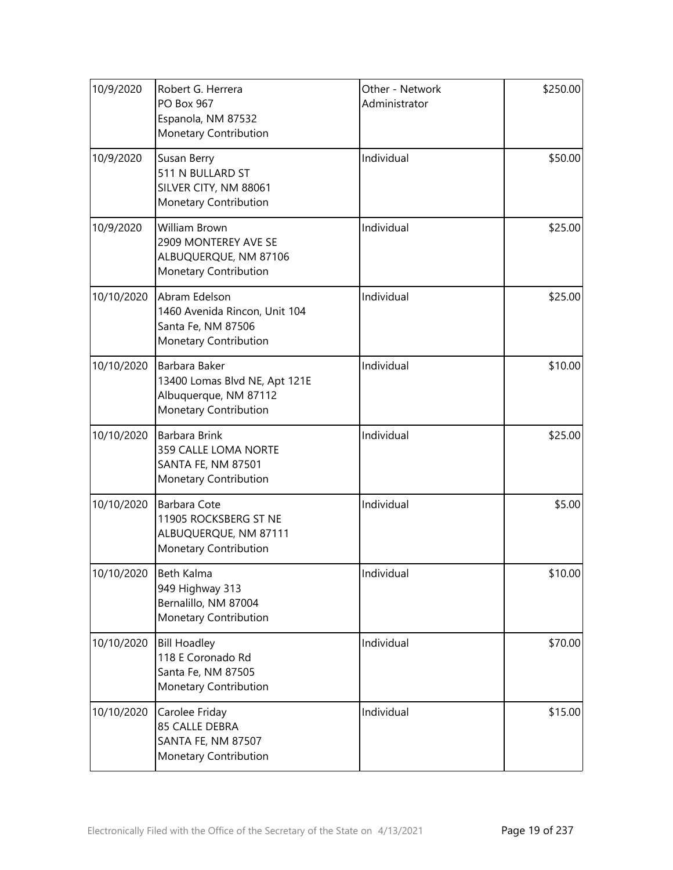| 10/9/2020  | Robert G. Herrera<br>PO Box 967<br>Espanola, NM 87532<br>Monetary Contribution                   | Other - Network<br>Administrator | \$250.00 |
|------------|--------------------------------------------------------------------------------------------------|----------------------------------|----------|
| 10/9/2020  | Susan Berry<br>511 N BULLARD ST<br>SILVER CITY, NM 88061<br>Monetary Contribution                | Individual                       | \$50.00  |
| 10/9/2020  | <b>William Brown</b><br>2909 MONTEREY AVE SE<br>ALBUQUERQUE, NM 87106<br>Monetary Contribution   | Individual                       | \$25.00  |
| 10/10/2020 | Abram Edelson<br>1460 Avenida Rincon, Unit 104<br>Santa Fe, NM 87506<br>Monetary Contribution    | Individual                       | \$25.00  |
| 10/10/2020 | Barbara Baker<br>13400 Lomas Blvd NE, Apt 121E<br>Albuquerque, NM 87112<br>Monetary Contribution | Individual                       | \$10.00  |
| 10/10/2020 | Barbara Brink<br>359 CALLE LOMA NORTE<br><b>SANTA FE, NM 87501</b><br>Monetary Contribution      | Individual                       | \$25.00  |
| 10/10/2020 | <b>Barbara Cote</b><br>11905 ROCKSBERG ST NE<br>ALBUQUERQUE, NM 87111<br>Monetary Contribution   | Individual                       | \$5.00   |
| 10/10/2020 | Beth Kalma<br>949 Highway 313<br>Bernalillo, NM 87004<br>Monetary Contribution                   | Individual                       | \$10.00  |
| 10/10/2020 | <b>Bill Hoadley</b><br>118 E Coronado Rd<br>Santa Fe, NM 87505<br>Monetary Contribution          | Individual                       | \$70.00  |
| 10/10/2020 | Carolee Friday<br>85 CALLE DEBRA<br>SANTA FE, NM 87507<br>Monetary Contribution                  | Individual                       | \$15.00  |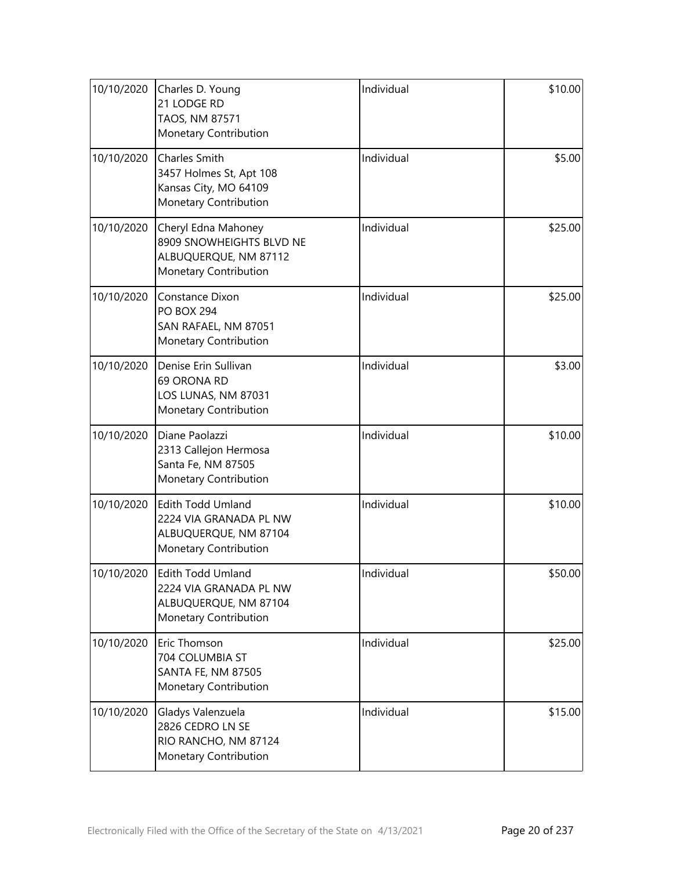| 10/10/2020 | Charles D. Young<br>21 LODGE RD<br>TAOS, NM 87571<br>Monetary Contribution                        | Individual | \$10.00 |
|------------|---------------------------------------------------------------------------------------------------|------------|---------|
| 10/10/2020 | <b>Charles Smith</b><br>3457 Holmes St, Apt 108<br>Kansas City, MO 64109<br>Monetary Contribution | Individual | \$5.00  |
| 10/10/2020 | Cheryl Edna Mahoney<br>8909 SNOWHEIGHTS BLVD NE<br>ALBUQUERQUE, NM 87112<br>Monetary Contribution | Individual | \$25.00 |
| 10/10/2020 | Constance Dixon<br><b>PO BOX 294</b><br>SAN RAFAEL, NM 87051<br>Monetary Contribution             | Individual | \$25.00 |
| 10/10/2020 | Denise Erin Sullivan<br>69 ORONA RD<br>LOS LUNAS, NM 87031<br>Monetary Contribution               | Individual | \$3.00  |
| 10/10/2020 | Diane Paolazzi<br>2313 Callejon Hermosa<br>Santa Fe, NM 87505<br>Monetary Contribution            | Individual | \$10.00 |
| 10/10/2020 | Edith Todd Umland<br>2224 VIA GRANADA PL NW<br>ALBUQUERQUE, NM 87104<br>Monetary Contribution     | Individual | \$10.00 |
| 10/10/2020 | Edith Todd Umland<br>2224 VIA GRANADA PL NW<br>ALBUQUERQUE, NM 87104<br>Monetary Contribution     | Individual | \$50.00 |
| 10/10/2020 | Eric Thomson<br>704 COLUMBIA ST<br><b>SANTA FE, NM 87505</b><br>Monetary Contribution             | Individual | \$25.00 |
| 10/10/2020 | Gladys Valenzuela<br>2826 CEDRO LN SE<br>RIO RANCHO, NM 87124<br>Monetary Contribution            | Individual | \$15.00 |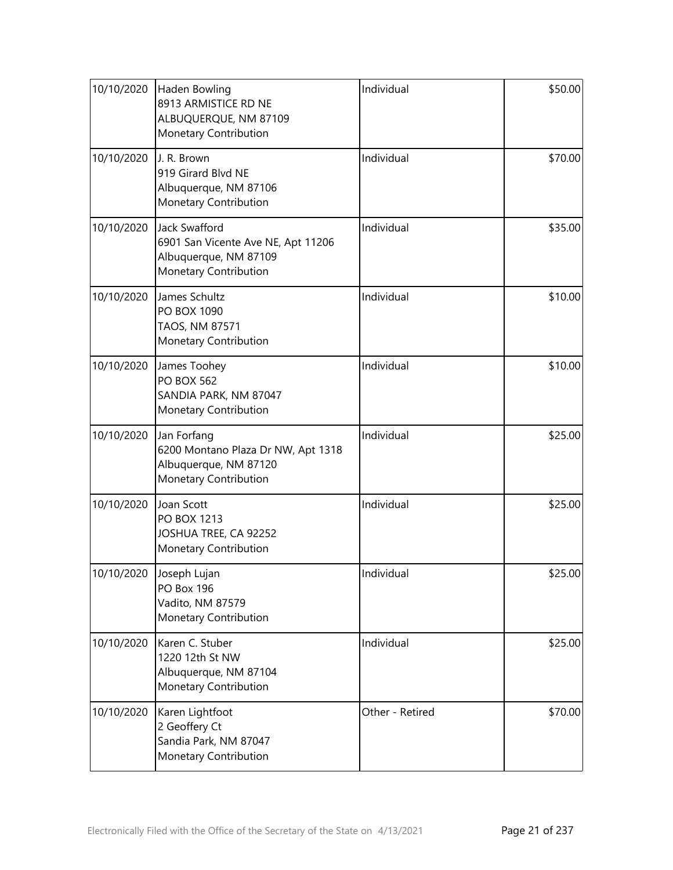| 10/10/2020 | Haden Bowling<br>8913 ARMISTICE RD NE<br>ALBUQUERQUE, NM 87109<br>Monetary Contribution               | Individual      | \$50.00 |
|------------|-------------------------------------------------------------------------------------------------------|-----------------|---------|
| 10/10/2020 | J. R. Brown<br>919 Girard Blvd NE<br>Albuquerque, NM 87106<br>Monetary Contribution                   | Individual      | \$70.00 |
| 10/10/2020 | Jack Swafford<br>6901 San Vicente Ave NE, Apt 11206<br>Albuquerque, NM 87109<br>Monetary Contribution | Individual      | \$35.00 |
| 10/10/2020 | James Schultz<br><b>PO BOX 1090</b><br>TAOS, NM 87571<br>Monetary Contribution                        | Individual      | \$10.00 |
| 10/10/2020 | James Toohey<br><b>PO BOX 562</b><br>SANDIA PARK, NM 87047<br>Monetary Contribution                   | Individual      | \$10.00 |
| 10/10/2020 | Jan Forfang<br>6200 Montano Plaza Dr NW, Apt 1318<br>Albuquerque, NM 87120<br>Monetary Contribution   | Individual      | \$25.00 |
| 10/10/2020 | Joan Scott<br>PO BOX 1213<br>JOSHUA TREE, CA 92252<br>Monetary Contribution                           | Individual      | \$25.00 |
| 10/10/2020 | Joseph Lujan<br>PO Box 196<br>Vadito, NM 87579<br>Monetary Contribution                               | Individual      | \$25.00 |
| 10/10/2020 | Karen C. Stuber<br>1220 12th St NW<br>Albuquerque, NM 87104<br>Monetary Contribution                  | Individual      | \$25.00 |
| 10/10/2020 | Karen Lightfoot<br>2 Geoffery Ct<br>Sandia Park, NM 87047<br>Monetary Contribution                    | Other - Retired | \$70.00 |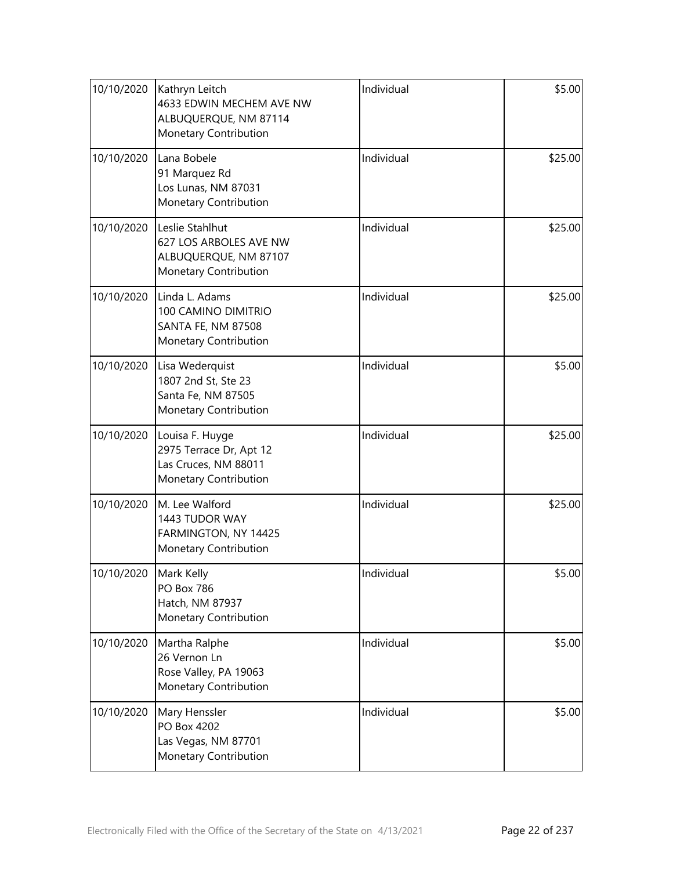| 10/10/2020 | Kathryn Leitch<br>4633 EDWIN MECHEM AVE NW<br>ALBUQUERQUE, NM 87114<br>Monetary Contribution | Individual | \$5.00  |
|------------|----------------------------------------------------------------------------------------------|------------|---------|
| 10/10/2020 | Lana Bobele<br>91 Marquez Rd<br>Los Lunas, NM 87031<br><b>Monetary Contribution</b>          | Individual | \$25.00 |
| 10/10/2020 | Leslie Stahlhut<br>627 LOS ARBOLES AVE NW<br>ALBUQUERQUE, NM 87107<br>Monetary Contribution  | Individual | \$25.00 |
| 10/10/2020 | Linda L. Adams<br>100 CAMINO DIMITRIO<br>SANTA FE, NM 87508<br><b>Monetary Contribution</b>  | Individual | \$25.00 |
| 10/10/2020 | Lisa Wederquist<br>1807 2nd St, Ste 23<br>Santa Fe, NM 87505<br>Monetary Contribution        | Individual | \$5.00  |
| 10/10/2020 | Louisa F. Huyge<br>2975 Terrace Dr, Apt 12<br>Las Cruces, NM 88011<br>Monetary Contribution  | Individual | \$25.00 |
| 10/10/2020 | M. Lee Walford<br>1443 TUDOR WAY<br>FARMINGTON, NY 14425<br>Monetary Contribution            | Individual | \$25.00 |
| 10/10/2020 | Mark Kelly<br><b>PO Box 786</b><br>Hatch, NM 87937<br>Monetary Contribution                  | Individual | \$5.00  |
| 10/10/2020 | Martha Ralphe<br>26 Vernon Ln<br>Rose Valley, PA 19063<br>Monetary Contribution              | Individual | \$5.00  |
| 10/10/2020 | Mary Henssler<br>PO Box 4202<br>Las Vegas, NM 87701<br>Monetary Contribution                 | Individual | \$5.00  |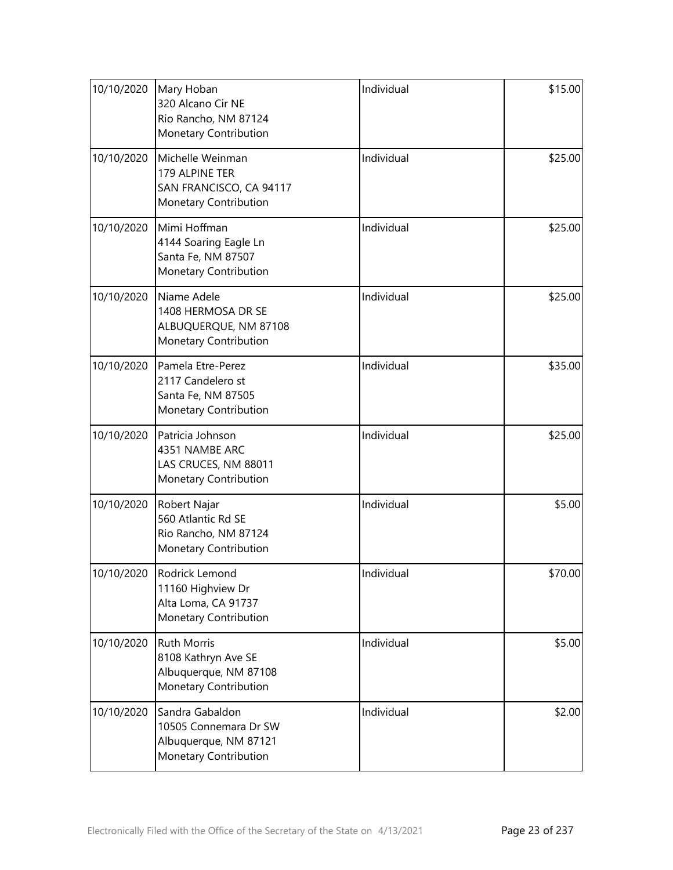| 10/10/2020 | Mary Hoban<br>320 Alcano Cir NE<br>Rio Rancho, NM 87124<br>Monetary Contribution            | Individual | \$15.00 |
|------------|---------------------------------------------------------------------------------------------|------------|---------|
| 10/10/2020 | Michelle Weinman<br>179 ALPINE TER<br>SAN FRANCISCO, CA 94117<br>Monetary Contribution      | Individual | \$25.00 |
| 10/10/2020 | Mimi Hoffman<br>4144 Soaring Eagle Ln<br>Santa Fe, NM 87507<br>Monetary Contribution        | Individual | \$25.00 |
| 10/10/2020 | Niame Adele<br>1408 HERMOSA DR SE<br>ALBUQUERQUE, NM 87108<br>Monetary Contribution         | Individual | \$25.00 |
| 10/10/2020 | Pamela Etre-Perez<br>2117 Candelero st<br>Santa Fe, NM 87505<br>Monetary Contribution       | Individual | \$35.00 |
| 10/10/2020 | Patricia Johnson<br>4351 NAMBE ARC<br>LAS CRUCES, NM 88011<br>Monetary Contribution         | Individual | \$25.00 |
| 10/10/2020 | Robert Najar<br>560 Atlantic Rd SE<br>Rio Rancho, NM 87124<br>Monetary Contribution         | Individual | \$5.00  |
| 10/10/2020 | Rodrick Lemond<br>11160 Highview Dr<br>Alta Loma, CA 91737<br>Monetary Contribution         | Individual | \$70.00 |
| 10/10/2020 | <b>Ruth Morris</b><br>8108 Kathryn Ave SE<br>Albuquerque, NM 87108<br>Monetary Contribution | Individual | \$5.00  |
| 10/10/2020 | Sandra Gabaldon<br>10505 Connemara Dr SW<br>Albuquerque, NM 87121<br>Monetary Contribution  | Individual | \$2.00  |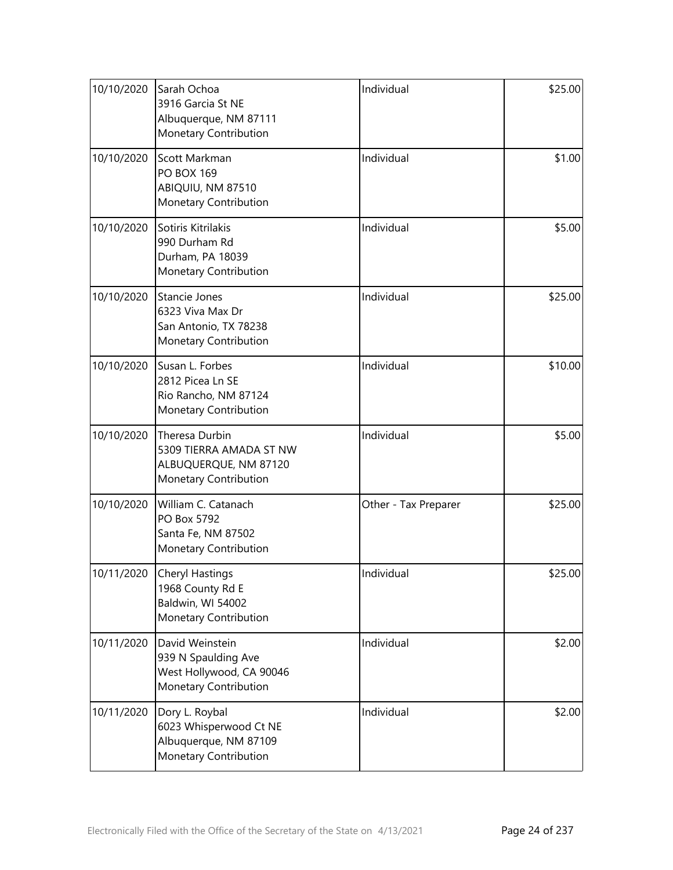| 10/10/2020 | Sarah Ochoa<br>3916 Garcia St NE<br>Albuquerque, NM 87111<br>Monetary Contribution          | Individual           | \$25.00 |
|------------|---------------------------------------------------------------------------------------------|----------------------|---------|
| 10/10/2020 | Scott Markman<br><b>PO BOX 169</b><br>ABIQUIU, NM 87510<br>Monetary Contribution            | Individual           | \$1.00  |
| 10/10/2020 | Sotiris Kitrilakis<br>990 Durham Rd<br>Durham, PA 18039<br>Monetary Contribution            | Individual           | \$5.00  |
| 10/10/2020 | Stancie Jones<br>6323 Viva Max Dr<br>San Antonio, TX 78238<br>Monetary Contribution         | Individual           | \$25.00 |
| 10/10/2020 | Susan L. Forbes<br>2812 Picea Ln SE<br>Rio Rancho, NM 87124<br>Monetary Contribution        | Individual           | \$10.00 |
| 10/10/2020 | Theresa Durbin<br>5309 TIERRA AMADA ST NW<br>ALBUQUERQUE, NM 87120<br>Monetary Contribution | Individual           | \$5.00  |
| 10/10/2020 | William C. Catanach<br>PO Box 5792<br>Santa Fe, NM 87502<br>Monetary Contribution           | Other - Tax Preparer | \$25.00 |
| 10/11/2020 | <b>Cheryl Hastings</b><br>1968 County Rd E<br>Baldwin, WI 54002<br>Monetary Contribution    | Individual           | \$25.00 |
| 10/11/2020 | David Weinstein<br>939 N Spaulding Ave<br>West Hollywood, CA 90046<br>Monetary Contribution | Individual           | \$2.00  |
| 10/11/2020 | Dory L. Roybal<br>6023 Whisperwood Ct NE<br>Albuquerque, NM 87109<br>Monetary Contribution  | Individual           | \$2.00  |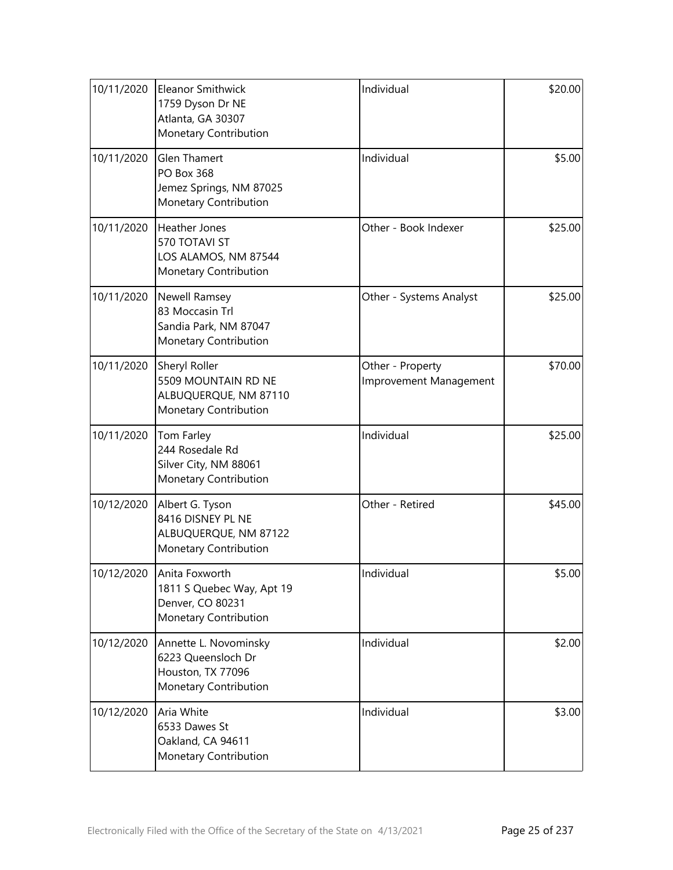| 10/11/2020 | <b>Eleanor Smithwick</b><br>1759 Dyson Dr NE<br>Atlanta, GA 30307<br>Monetary Contribution   | Individual                                 | \$20.00 |
|------------|----------------------------------------------------------------------------------------------|--------------------------------------------|---------|
| 10/11/2020 | <b>Glen Thamert</b><br><b>PO Box 368</b><br>Jemez Springs, NM 87025<br>Monetary Contribution | Individual                                 | \$5.00  |
| 10/11/2020 | <b>Heather Jones</b><br>570 TOTAVI ST<br>LOS ALAMOS, NM 87544<br>Monetary Contribution       | Other - Book Indexer                       | \$25.00 |
| 10/11/2020 | Newell Ramsey<br>83 Moccasin Trl<br>Sandia Park, NM 87047<br>Monetary Contribution           | Other - Systems Analyst                    | \$25.00 |
| 10/11/2020 | Sheryl Roller<br>5509 MOUNTAIN RD NE<br>ALBUQUERQUE, NM 87110<br>Monetary Contribution       | Other - Property<br>Improvement Management | \$70.00 |
| 10/11/2020 | Tom Farley<br>244 Rosedale Rd<br>Silver City, NM 88061<br>Monetary Contribution              | Individual                                 | \$25.00 |
| 10/12/2020 | Albert G. Tyson<br>8416 DISNEY PL NE<br>ALBUQUERQUE, NM 87122<br>Monetary Contribution       | Other - Retired                            | \$45.00 |
| 10/12/2020 | Anita Foxworth<br>1811 S Quebec Way, Apt 19<br>Denver, CO 80231<br>Monetary Contribution     | Individual                                 | \$5.00  |
| 10/12/2020 | Annette L. Novominsky<br>6223 Queensloch Dr<br>Houston, TX 77096<br>Monetary Contribution    | Individual                                 | \$2.00  |
| 10/12/2020 | Aria White<br>6533 Dawes St<br>Oakland, CA 94611<br>Monetary Contribution                    | Individual                                 | \$3.00  |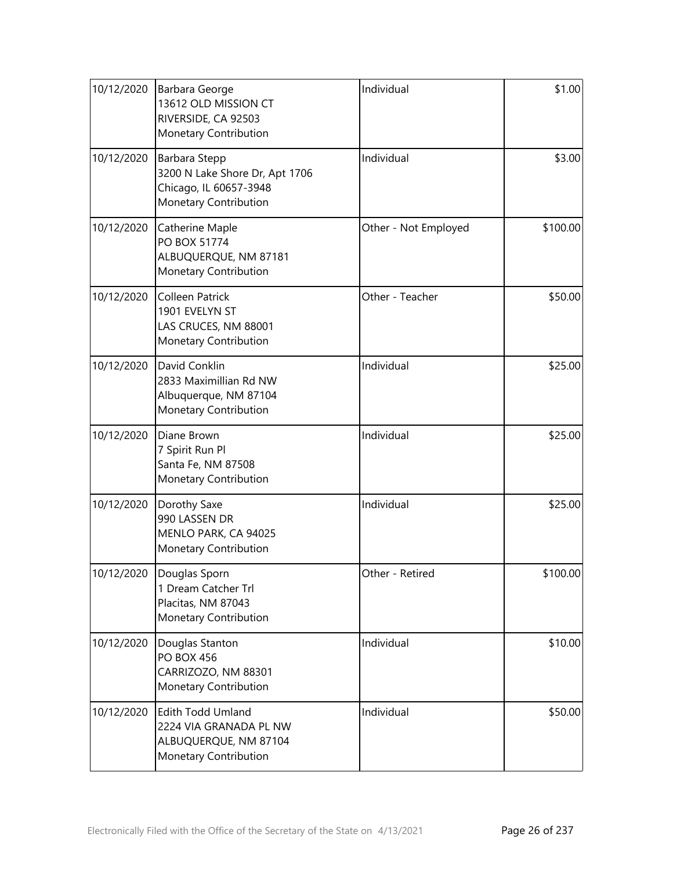| 10/12/2020 | Barbara George<br>13612 OLD MISSION CT<br>RIVERSIDE, CA 92503<br>Monetary Contribution             | Individual           | \$1.00   |
|------------|----------------------------------------------------------------------------------------------------|----------------------|----------|
| 10/12/2020 | Barbara Stepp<br>3200 N Lake Shore Dr, Apt 1706<br>Chicago, IL 60657-3948<br>Monetary Contribution | Individual           | \$3.00   |
| 10/12/2020 | Catherine Maple<br>PO BOX 51774<br>ALBUQUERQUE, NM 87181<br>Monetary Contribution                  | Other - Not Employed | \$100.00 |
| 10/12/2020 | <b>Colleen Patrick</b><br>1901 EVELYN ST<br>LAS CRUCES, NM 88001<br>Monetary Contribution          | Other - Teacher      | \$50.00  |
| 10/12/2020 | David Conklin<br>2833 Maximillian Rd NW<br>Albuquerque, NM 87104<br>Monetary Contribution          | Individual           | \$25.00  |
| 10/12/2020 | Diane Brown<br>7 Spirit Run Pl<br>Santa Fe, NM 87508<br>Monetary Contribution                      | Individual           | \$25.00  |
| 10/12/2020 | Dorothy Saxe<br>990 LASSEN DR<br>MENLO PARK, CA 94025<br>Monetary Contribution                     | Individual           | \$25.00  |
|            | 10/12/2020 Douglas Sporn<br>1 Dream Catcher Trl<br>Placitas, NM 87043<br>Monetary Contribution     | Other - Retired      | \$100.00 |
| 10/12/2020 | Douglas Stanton<br><b>PO BOX 456</b><br>CARRIZOZO, NM 88301<br>Monetary Contribution               | Individual           | \$10.00  |
| 10/12/2020 | Edith Todd Umland<br>2224 VIA GRANADA PL NW<br>ALBUQUERQUE, NM 87104<br>Monetary Contribution      | Individual           | \$50.00  |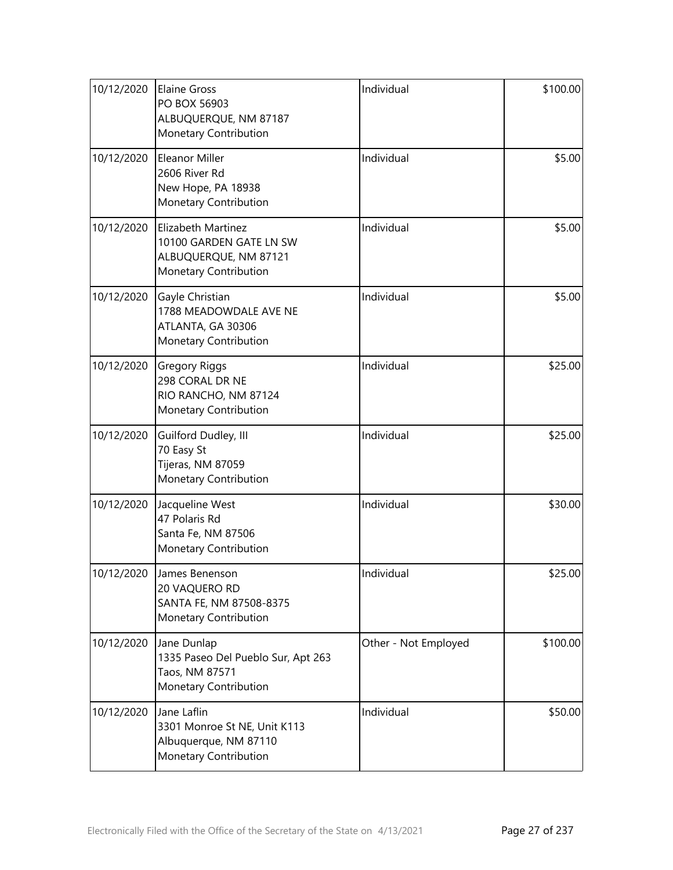| 10/12/2020 | <b>Elaine Gross</b><br>PO BOX 56903<br>ALBUQUERQUE, NM 87187<br>Monetary Contribution           | Individual           | \$100.00 |
|------------|-------------------------------------------------------------------------------------------------|----------------------|----------|
| 10/12/2020 | Eleanor Miller<br>2606 River Rd<br>New Hope, PA 18938<br>Monetary Contribution                  | Individual           | \$5.00   |
| 10/12/2020 | Elizabeth Martinez<br>10100 GARDEN GATE LN SW<br>ALBUQUERQUE, NM 87121<br>Monetary Contribution | Individual           | \$5.00   |
| 10/12/2020 | Gayle Christian<br>1788 MEADOWDALE AVE NE<br>ATLANTA, GA 30306<br>Monetary Contribution         | Individual           | \$5.00   |
| 10/12/2020 | <b>Gregory Riggs</b><br>298 CORAL DR NE<br>RIO RANCHO, NM 87124<br>Monetary Contribution        | Individual           | \$25.00  |
| 10/12/2020 | Guilford Dudley, III<br>70 Easy St<br>Tijeras, NM 87059<br>Monetary Contribution                | Individual           | \$25.00  |
| 10/12/2020 | Jacqueline West<br>47 Polaris Rd<br>Santa Fe, NM 87506<br>Monetary Contribution                 | Individual           | \$30.00  |
| 10/12/2020 | James Benenson<br>20 VAQUERO RD<br>SANTA FE, NM 87508-8375<br>Monetary Contribution             | Individual           | \$25.00  |
| 10/12/2020 | Jane Dunlap<br>1335 Paseo Del Pueblo Sur, Apt 263<br>Taos, NM 87571<br>Monetary Contribution    | Other - Not Employed | \$100.00 |
| 10/12/2020 | Jane Laflin<br>3301 Monroe St NE, Unit K113<br>Albuquerque, NM 87110<br>Monetary Contribution   | Individual           | \$50.00  |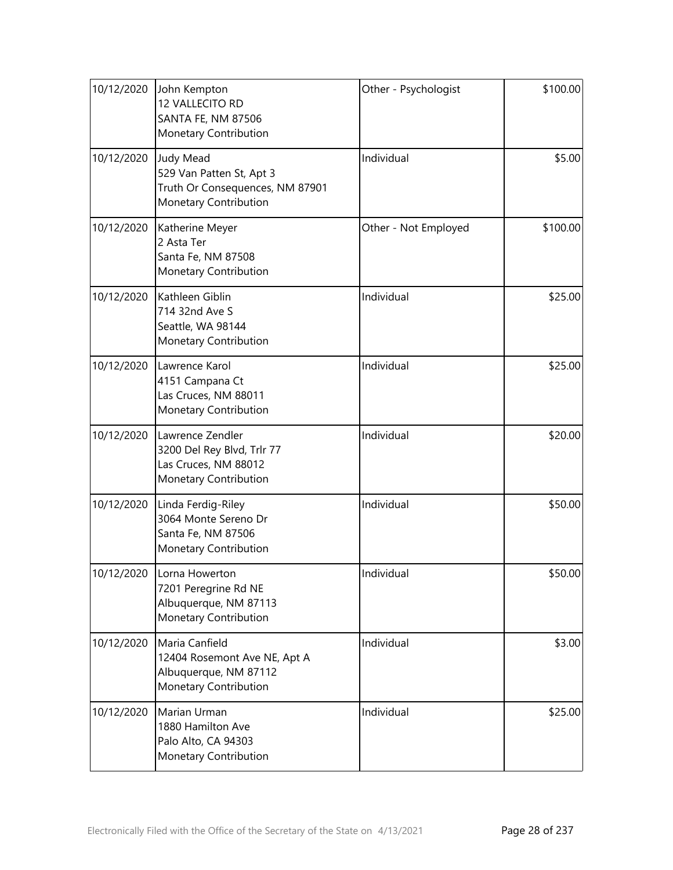| 10/12/2020 | John Kempton<br>12 VALLECITO RD<br><b>SANTA FE, NM 87506</b><br>Monetary Contribution                    | Other - Psychologist | \$100.00 |
|------------|----------------------------------------------------------------------------------------------------------|----------------------|----------|
| 10/12/2020 | <b>Judy Mead</b><br>529 Van Patten St, Apt 3<br>Truth Or Consequences, NM 87901<br>Monetary Contribution | Individual           | \$5.00   |
| 10/12/2020 | Katherine Meyer<br>2 Asta Ter<br>Santa Fe, NM 87508<br>Monetary Contribution                             | Other - Not Employed | \$100.00 |
| 10/12/2020 | Kathleen Giblin<br>714 32nd Ave S<br>Seattle, WA 98144<br>Monetary Contribution                          | Individual           | \$25.00  |
| 10/12/2020 | Lawrence Karol<br>4151 Campana Ct<br>Las Cruces, NM 88011<br>Monetary Contribution                       | Individual           | \$25.00  |
| 10/12/2020 | Lawrence Zendler<br>3200 Del Rey Blvd, Trlr 77<br>Las Cruces, NM 88012<br>Monetary Contribution          | Individual           | \$20.00  |
| 10/12/2020 | Linda Ferdig-Riley<br>3064 Monte Sereno Dr<br>Santa Fe, NM 87506<br>Monetary Contribution                | Individual           | \$50.00  |
| 10/12/2020 | Lorna Howerton<br>7201 Peregrine Rd NE<br>Albuquerque, NM 87113<br>Monetary Contribution                 | Individual           | \$50.00  |
| 10/12/2020 | Maria Canfield<br>12404 Rosemont Ave NE, Apt A<br>Albuquerque, NM 87112<br>Monetary Contribution         | Individual           | \$3.00   |
| 10/12/2020 | Marian Urman<br>1880 Hamilton Ave<br>Palo Alto, CA 94303<br>Monetary Contribution                        | Individual           | \$25.00  |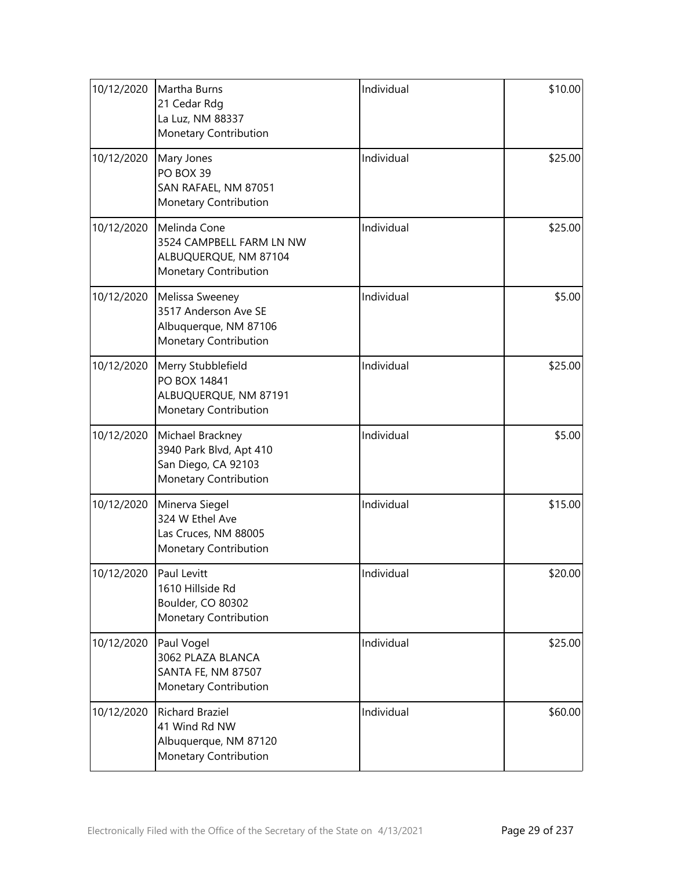| 10/12/2020 | Martha Burns<br>21 Cedar Rdg<br>La Luz, NM 88337<br>Monetary Contribution                   | Individual | \$10.00 |
|------------|---------------------------------------------------------------------------------------------|------------|---------|
| 10/12/2020 | Mary Jones<br>PO BOX 39<br>SAN RAFAEL, NM 87051<br>Monetary Contribution                    | Individual | \$25.00 |
| 10/12/2020 | Melinda Cone<br>3524 CAMPBELL FARM LN NW<br>ALBUQUERQUE, NM 87104<br>Monetary Contribution  | Individual | \$25.00 |
| 10/12/2020 | Melissa Sweeney<br>3517 Anderson Ave SE<br>Albuquerque, NM 87106<br>Monetary Contribution   | Individual | \$5.00  |
| 10/12/2020 | Merry Stubblefield<br>PO BOX 14841<br>ALBUQUERQUE, NM 87191<br>Monetary Contribution        | Individual | \$25.00 |
| 10/12/2020 | Michael Brackney<br>3940 Park Blvd, Apt 410<br>San Diego, CA 92103<br>Monetary Contribution | Individual | \$5.00  |
| 10/12/2020 | Minerva Siegel<br>324 W Ethel Ave<br>Las Cruces, NM 88005<br>Monetary Contribution          | Individual | \$15.00 |
| 10/12/2020 | Paul Levitt<br>1610 Hillside Rd<br>Boulder, CO 80302<br>Monetary Contribution               | Individual | \$20.00 |
| 10/12/2020 | Paul Vogel<br>3062 PLAZA BLANCA<br>SANTA FE, NM 87507<br>Monetary Contribution              | Individual | \$25.00 |
| 10/12/2020 | <b>Richard Braziel</b><br>41 Wind Rd NW<br>Albuquerque, NM 87120<br>Monetary Contribution   | Individual | \$60.00 |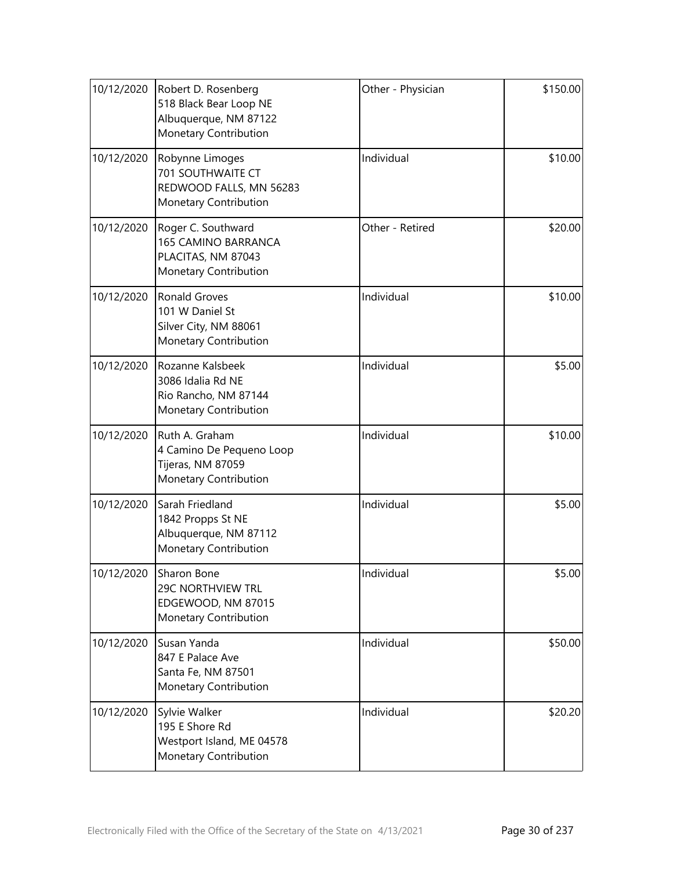| 10/12/2020 | Robert D. Rosenberg<br>518 Black Bear Loop NE<br>Albuquerque, NM 87122<br>Monetary Contribution | Other - Physician | \$150.00 |
|------------|-------------------------------------------------------------------------------------------------|-------------------|----------|
| 10/12/2020 | Robynne Limoges<br>701 SOUTHWAITE CT<br>REDWOOD FALLS, MN 56283<br>Monetary Contribution        | Individual        | \$10.00  |
| 10/12/2020 | Roger C. Southward<br><b>165 CAMINO BARRANCA</b><br>PLACITAS, NM 87043<br>Monetary Contribution | Other - Retired   | \$20.00  |
| 10/12/2020 | <b>Ronald Groves</b><br>101 W Daniel St<br>Silver City, NM 88061<br>Monetary Contribution       | Individual        | \$10.00  |
| 10/12/2020 | Rozanne Kalsbeek<br>3086 Idalia Rd NE<br>Rio Rancho, NM 87144<br>Monetary Contribution          | Individual        | \$5.00   |
| 10/12/2020 | Ruth A. Graham<br>4 Camino De Pequeno Loop<br>Tijeras, NM 87059<br>Monetary Contribution        | Individual        | \$10.00  |
| 10/12/2020 | Sarah Friedland<br>1842 Propps St NE<br>Albuquerque, NM 87112<br>Monetary Contribution          | Individual        | \$5.00   |
| 10/12/2020 | Sharon Bone<br><b>29C NORTHVIEW TRL</b><br>EDGEWOOD, NM 87015<br>Monetary Contribution          | Individual        | \$5.00   |
| 10/12/2020 | Susan Yanda<br>847 E Palace Ave<br>Santa Fe, NM 87501<br>Monetary Contribution                  | Individual        | \$50.00  |
| 10/12/2020 | Sylvie Walker<br>195 E Shore Rd<br>Westport Island, ME 04578<br>Monetary Contribution           | Individual        | \$20.20  |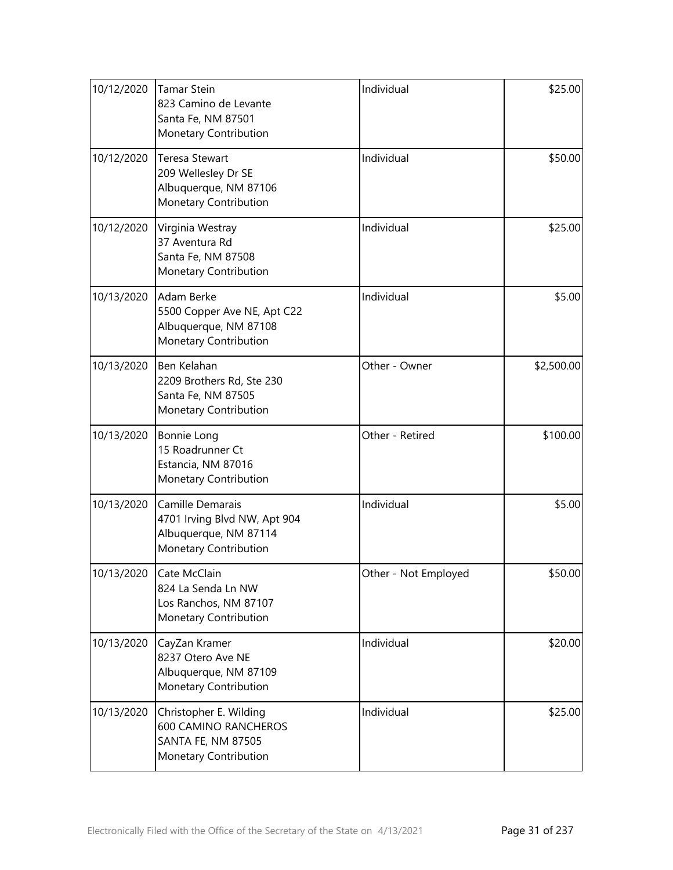| 10/12/2020 | <b>Tamar Stein</b><br>823 Camino de Levante<br>Santa Fe, NM 87501<br>Monetary Contribution           | Individual           | \$25.00    |
|------------|------------------------------------------------------------------------------------------------------|----------------------|------------|
| 10/12/2020 | <b>Teresa Stewart</b><br>209 Wellesley Dr SE<br>Albuquerque, NM 87106<br>Monetary Contribution       | Individual           | \$50.00    |
| 10/12/2020 | Virginia Westray<br>37 Aventura Rd<br>Santa Fe, NM 87508<br>Monetary Contribution                    | Individual           | \$25.00    |
| 10/13/2020 | Adam Berke<br>5500 Copper Ave NE, Apt C22<br>Albuquerque, NM 87108<br>Monetary Contribution          | Individual           | \$5.00     |
| 10/13/2020 | Ben Kelahan<br>2209 Brothers Rd, Ste 230<br>Santa Fe, NM 87505<br>Monetary Contribution              | Other - Owner        | \$2,500.00 |
| 10/13/2020 | Bonnie Long<br>15 Roadrunner Ct<br>Estancia, NM 87016<br>Monetary Contribution                       | Other - Retired      | \$100.00   |
| 10/13/2020 | Camille Demarais<br>4701 Irving Blvd NW, Apt 904<br>Albuquerque, NM 87114<br>Monetary Contribution   | Individual           | \$5.00     |
| 10/13/2020 | Cate McClain<br>824 La Senda Ln NW<br>Los Ranchos, NM 87107<br>Monetary Contribution                 | Other - Not Employed | \$50.00    |
| 10/13/2020 | CayZan Kramer<br>8237 Otero Ave NE<br>Albuquerque, NM 87109<br>Monetary Contribution                 | Individual           | \$20.00    |
| 10/13/2020 | Christopher E. Wilding<br><b>600 CAMINO RANCHEROS</b><br>SANTA FE, NM 87505<br>Monetary Contribution | Individual           | \$25.00    |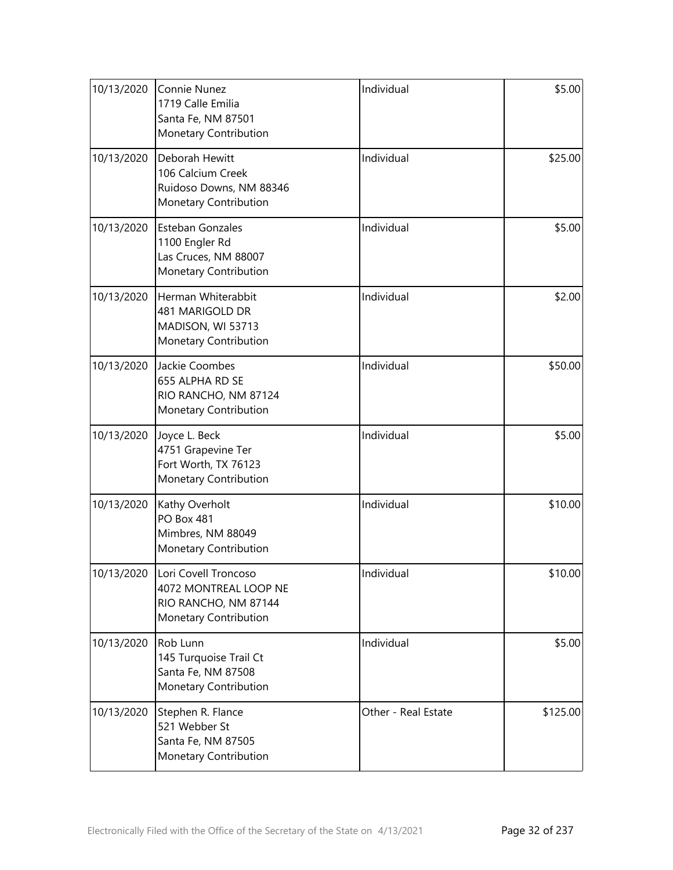| 10/13/2020 | Connie Nunez<br>1719 Calle Emilia<br>Santa Fe, NM 87501<br>Monetary Contribution               | Individual          | \$5.00   |
|------------|------------------------------------------------------------------------------------------------|---------------------|----------|
| 10/13/2020 | Deborah Hewitt<br>106 Calcium Creek<br>Ruidoso Downs, NM 88346<br>Monetary Contribution        | Individual          | \$25.00  |
| 10/13/2020 | <b>Esteban Gonzales</b><br>1100 Engler Rd<br>Las Cruces, NM 88007<br>Monetary Contribution     | Individual          | \$5.00   |
| 10/13/2020 | Herman Whiterabbit<br>481 MARIGOLD DR<br>MADISON, WI 53713<br>Monetary Contribution            | Individual          | \$2.00   |
| 10/13/2020 | Jackie Coombes<br>655 ALPHA RD SE<br>RIO RANCHO, NM 87124<br>Monetary Contribution             | Individual          | \$50.00  |
| 10/13/2020 | Joyce L. Beck<br>4751 Grapevine Ter<br>Fort Worth, TX 76123<br>Monetary Contribution           | Individual          | \$5.00   |
| 10/13/2020 | Kathy Overholt<br><b>PO Box 481</b><br>Mimbres, NM 88049<br>Monetary Contribution              | Individual          | \$10.00  |
| 10/13/2020 | Lori Covell Troncoso<br>4072 MONTREAL LOOP NE<br>RIO RANCHO, NM 87144<br>Monetary Contribution | Individual          | \$10.00  |
| 10/13/2020 | Rob Lunn<br>145 Turquoise Trail Ct<br>Santa Fe, NM 87508<br>Monetary Contribution              | Individual          | \$5.00   |
| 10/13/2020 | Stephen R. Flance<br>521 Webber St<br>Santa Fe, NM 87505<br>Monetary Contribution              | Other - Real Estate | \$125.00 |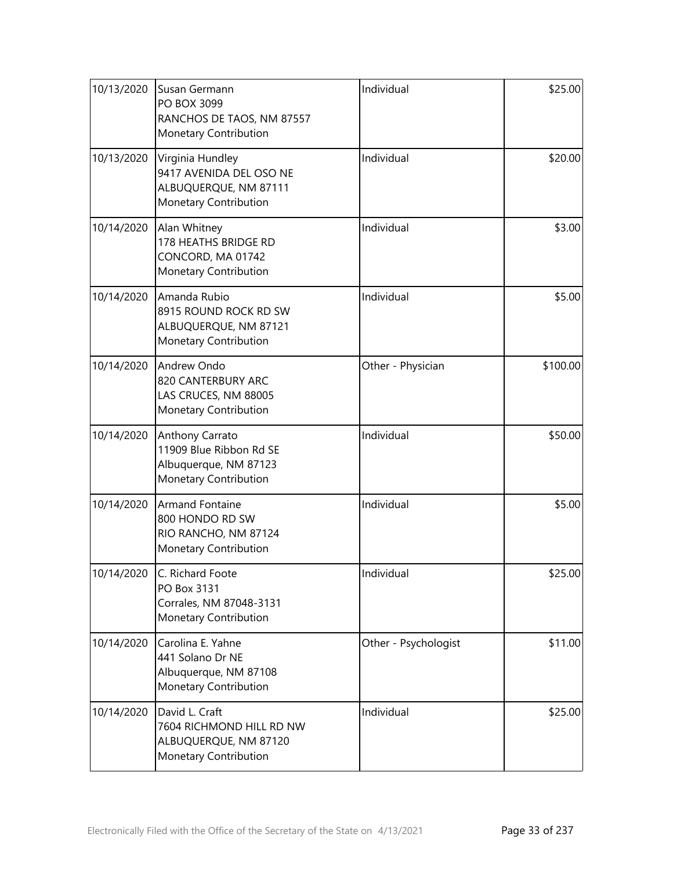| 10/13/2020 | Susan Germann<br>PO BOX 3099<br>RANCHOS DE TAOS, NM 87557<br>Monetary Contribution            | Individual           | \$25.00  |
|------------|-----------------------------------------------------------------------------------------------|----------------------|----------|
| 10/13/2020 | Virginia Hundley<br>9417 AVENIDA DEL OSO NE<br>ALBUQUERQUE, NM 87111<br>Monetary Contribution | Individual           | \$20.00  |
| 10/14/2020 | Alan Whitney<br>178 HEATHS BRIDGE RD<br>CONCORD, MA 01742<br>Monetary Contribution            | Individual           | \$3.00   |
| 10/14/2020 | Amanda Rubio<br>8915 ROUND ROCK RD SW<br>ALBUQUERQUE, NM 87121<br>Monetary Contribution       | Individual           | \$5.00   |
| 10/14/2020 | Andrew Ondo<br>820 CANTERBURY ARC<br>LAS CRUCES, NM 88005<br>Monetary Contribution            | Other - Physician    | \$100.00 |
| 10/14/2020 | Anthony Carrato<br>11909 Blue Ribbon Rd SE<br>Albuquerque, NM 87123<br>Monetary Contribution  | Individual           | \$50.00  |
| 10/14/2020 | <b>Armand Fontaine</b><br>800 HONDO RD SW<br>RIO RANCHO, NM 87124<br>Monetary Contribution    | Individual           | \$5.00   |
| 10/14/2020 | C. Richard Foote<br>PO Box 3131<br>Corrales, NM 87048-3131<br>Monetary Contribution           | Individual           | \$25.00  |
| 10/14/2020 | Carolina E. Yahne<br>441 Solano Dr NE<br>Albuquerque, NM 87108<br>Monetary Contribution       | Other - Psychologist | \$11.00  |
| 10/14/2020 | David L. Craft<br>7604 RICHMOND HILL RD NW<br>ALBUQUERQUE, NM 87120<br>Monetary Contribution  | Individual           | \$25.00  |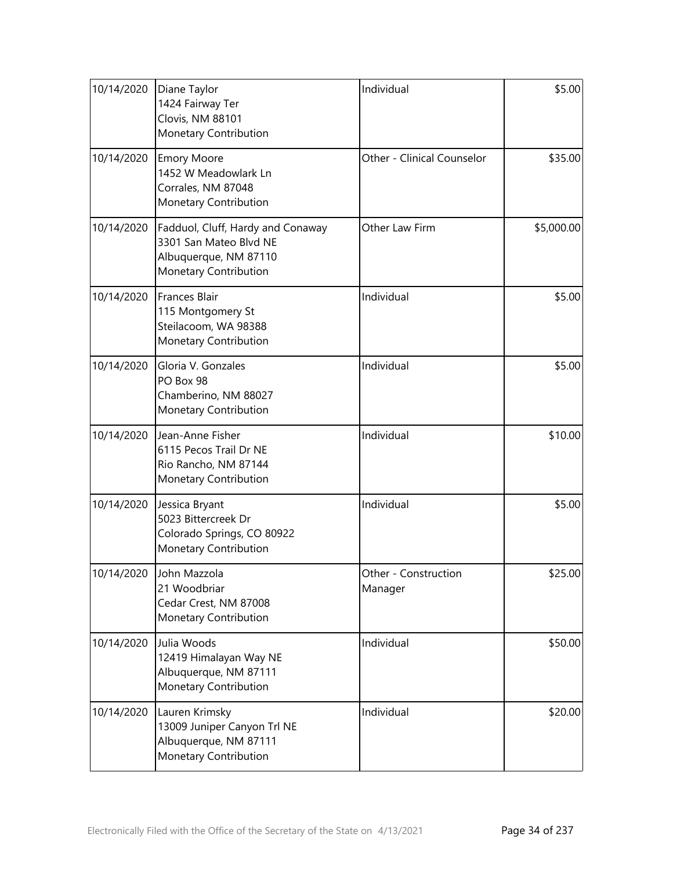| 10/14/2020 | Diane Taylor<br>1424 Fairway Ter<br>Clovis, NM 88101<br>Monetary Contribution                                 | Individual                      | \$5.00     |
|------------|---------------------------------------------------------------------------------------------------------------|---------------------------------|------------|
| 10/14/2020 | <b>Emory Moore</b><br>1452 W Meadowlark Ln<br>Corrales, NM 87048<br>Monetary Contribution                     | Other - Clinical Counselor      | \$35.00    |
| 10/14/2020 | Fadduol, Cluff, Hardy and Conaway<br>3301 San Mateo Blvd NE<br>Albuquerque, NM 87110<br>Monetary Contribution | Other Law Firm                  | \$5,000.00 |
| 10/14/2020 | Frances Blair<br>115 Montgomery St<br>Steilacoom, WA 98388<br>Monetary Contribution                           | Individual                      | \$5.00     |
| 10/14/2020 | Gloria V. Gonzales<br>PO Box 98<br>Chamberino, NM 88027<br>Monetary Contribution                              | Individual                      | \$5.00     |
| 10/14/2020 | Jean-Anne Fisher<br>6115 Pecos Trail Dr NE<br>Rio Rancho, NM 87144<br>Monetary Contribution                   | Individual                      | \$10.00    |
| 10/14/2020 | Jessica Bryant<br>5023 Bittercreek Dr<br>Colorado Springs, CO 80922<br><b>Monetary Contribution</b>           | Individual                      | \$5.00     |
| 10/14/2020 | John Mazzola<br>21 Woodbriar<br>Cedar Crest, NM 87008<br>Monetary Contribution                                | Other - Construction<br>Manager | \$25.00    |
| 10/14/2020 | Julia Woods<br>12419 Himalayan Way NE<br>Albuquerque, NM 87111<br>Monetary Contribution                       | Individual                      | \$50.00    |
| 10/14/2020 | Lauren Krimsky<br>13009 Juniper Canyon Trl NE<br>Albuquerque, NM 87111<br>Monetary Contribution               | Individual                      | \$20.00    |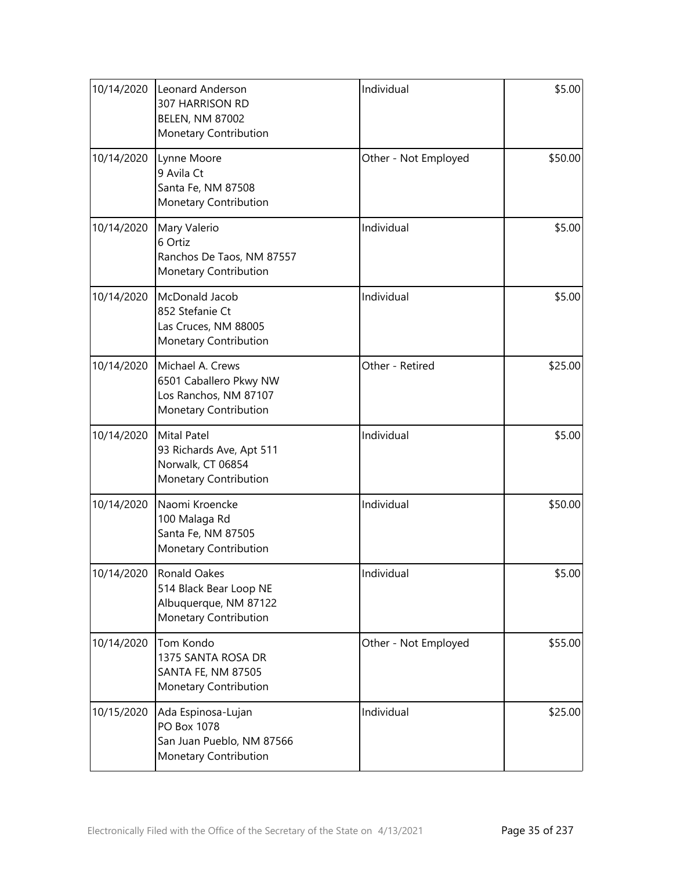| 10/14/2020 | Leonard Anderson<br>307 HARRISON RD<br><b>BELEN, NM 87002</b><br>Monetary Contribution       | Individual           | \$5.00  |
|------------|----------------------------------------------------------------------------------------------|----------------------|---------|
| 10/14/2020 | Lynne Moore<br>9 Avila Ct<br>Santa Fe, NM 87508<br>Monetary Contribution                     | Other - Not Employed | \$50.00 |
| 10/14/2020 | Mary Valerio<br>6 Ortiz<br>Ranchos De Taos, NM 87557<br>Monetary Contribution                | Individual           | \$5.00  |
| 10/14/2020 | McDonald Jacob<br>852 Stefanie Ct<br>Las Cruces, NM 88005<br>Monetary Contribution           | Individual           | \$5.00  |
| 10/14/2020 | Michael A. Crews<br>6501 Caballero Pkwy NW<br>Los Ranchos, NM 87107<br>Monetary Contribution | Other - Retired      | \$25.00 |
| 10/14/2020 | <b>Mital Patel</b><br>93 Richards Ave, Apt 511<br>Norwalk, CT 06854<br>Monetary Contribution | Individual           | \$5.00  |
| 10/14/2020 | Naomi Kroencke<br>100 Malaga Rd<br>Santa Fe, NM 87505<br>Monetary Contribution               | Individual           | \$50.00 |
| 10/14/2020 | Ronald Oakes<br>514 Black Bear Loop NE<br>Albuquerque, NM 87122<br>Monetary Contribution     | Individual           | \$5.00  |
| 10/14/2020 | Tom Kondo<br>1375 SANTA ROSA DR<br>SANTA FE, NM 87505<br>Monetary Contribution               | Other - Not Employed | \$55.00 |
| 10/15/2020 | Ada Espinosa-Lujan<br>PO Box 1078<br>San Juan Pueblo, NM 87566<br>Monetary Contribution      | Individual           | \$25.00 |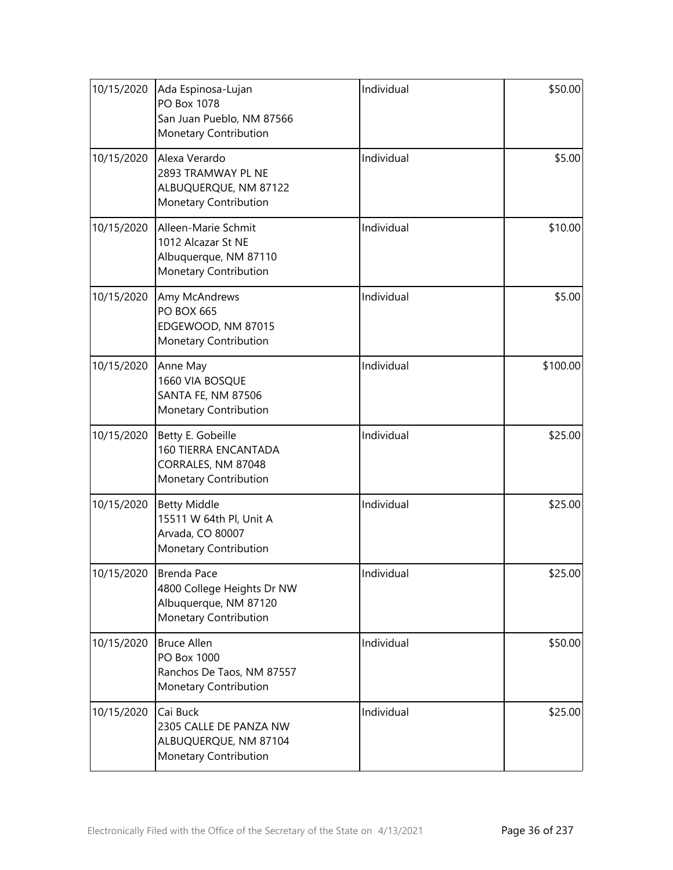| 10/15/2020 | Ada Espinosa-Lujan<br>PO Box 1078<br>San Juan Pueblo, NM 87566<br>Monetary Contribution         | Individual | \$50.00  |
|------------|-------------------------------------------------------------------------------------------------|------------|----------|
| 10/15/2020 | Alexa Verardo<br>2893 TRAMWAY PL NE<br>ALBUQUERQUE, NM 87122<br>Monetary Contribution           | Individual | \$5.00   |
| 10/15/2020 | Alleen-Marie Schmit<br>1012 Alcazar St NE<br>Albuquerque, NM 87110<br>Monetary Contribution     | Individual | \$10.00  |
| 10/15/2020 | Amy McAndrews<br><b>PO BOX 665</b><br>EDGEWOOD, NM 87015<br>Monetary Contribution               | Individual | \$5.00   |
| 10/15/2020 | Anne May<br>1660 VIA BOSQUE<br>SANTA FE, NM 87506<br>Monetary Contribution                      | Individual | \$100.00 |
| 10/15/2020 | Betty E. Gobeille<br><b>160 TIERRA ENCANTADA</b><br>CORRALES, NM 87048<br>Monetary Contribution | Individual | \$25.00  |
| 10/15/2020 | <b>Betty Middle</b><br>15511 W 64th Pl, Unit A<br>Arvada, CO 80007<br>Monetary Contribution     | Individual | \$25.00  |
| 10/15/2020 | Brenda Pace<br>4800 College Heights Dr NW<br>Albuquerque, NM 87120<br>Monetary Contribution     | Individual | \$25.00  |
| 10/15/2020 | <b>Bruce Allen</b><br>PO Box 1000<br>Ranchos De Taos, NM 87557<br>Monetary Contribution         | Individual | \$50.00  |
| 10/15/2020 | Cai Buck<br>2305 CALLE DE PANZA NW<br>ALBUQUERQUE, NM 87104<br>Monetary Contribution            | Individual | \$25.00  |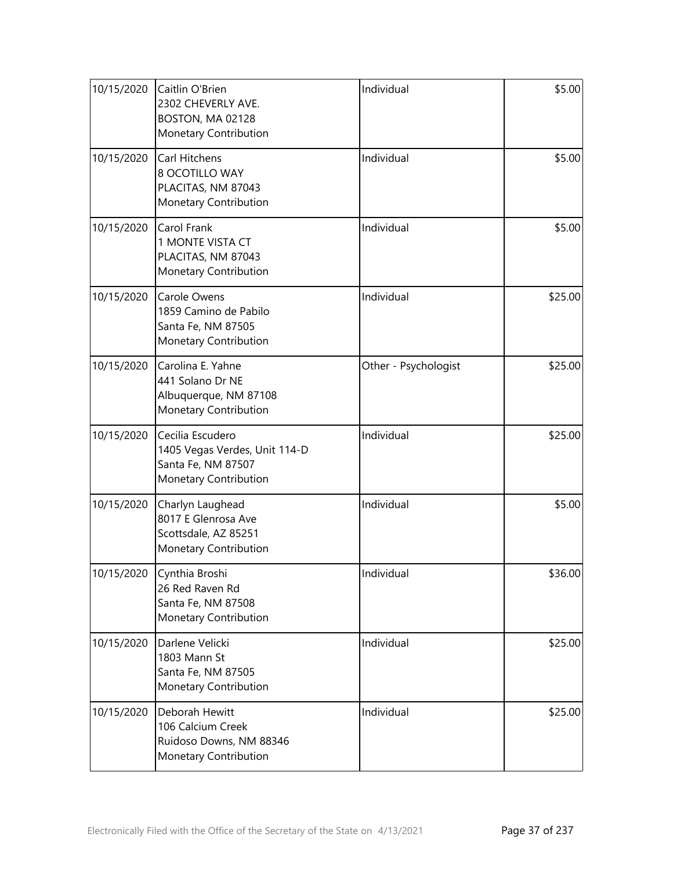| 10/15/2020 | Caitlin O'Brien<br>2302 CHEVERLY AVE.<br>BOSTON, MA 02128<br>Monetary Contribution               | Individual           | \$5.00  |
|------------|--------------------------------------------------------------------------------------------------|----------------------|---------|
| 10/15/2020 | Carl Hitchens<br>8 OCOTILLO WAY<br>PLACITAS, NM 87043<br>Monetary Contribution                   | Individual           | \$5.00  |
| 10/15/2020 | Carol Frank<br>1 MONTE VISTA CT<br>PLACITAS, NM 87043<br>Monetary Contribution                   | Individual           | \$5.00  |
| 10/15/2020 | Carole Owens<br>1859 Camino de Pabilo<br>Santa Fe, NM 87505<br>Monetary Contribution             | Individual           | \$25.00 |
| 10/15/2020 | Carolina E. Yahne<br>441 Solano Dr NE<br>Albuquerque, NM 87108<br>Monetary Contribution          | Other - Psychologist | \$25.00 |
| 10/15/2020 | Cecilia Escudero<br>1405 Vegas Verdes, Unit 114-D<br>Santa Fe, NM 87507<br>Monetary Contribution | Individual           | \$25.00 |
| 10/15/2020 | Charlyn Laughead<br>8017 E Glenrosa Ave<br>Scottsdale, AZ 85251<br>Monetary Contribution         | Individual           | \$5.00  |
| 10/15/2020 | Cynthia Broshi<br>26 Red Raven Rd<br>Santa Fe, NM 87508<br>Monetary Contribution                 | Individual           | \$36.00 |
| 10/15/2020 | Darlene Velicki<br>1803 Mann St<br>Santa Fe, NM 87505<br>Monetary Contribution                   | Individual           | \$25.00 |
| 10/15/2020 | Deborah Hewitt<br>106 Calcium Creek<br>Ruidoso Downs, NM 88346<br>Monetary Contribution          | Individual           | \$25.00 |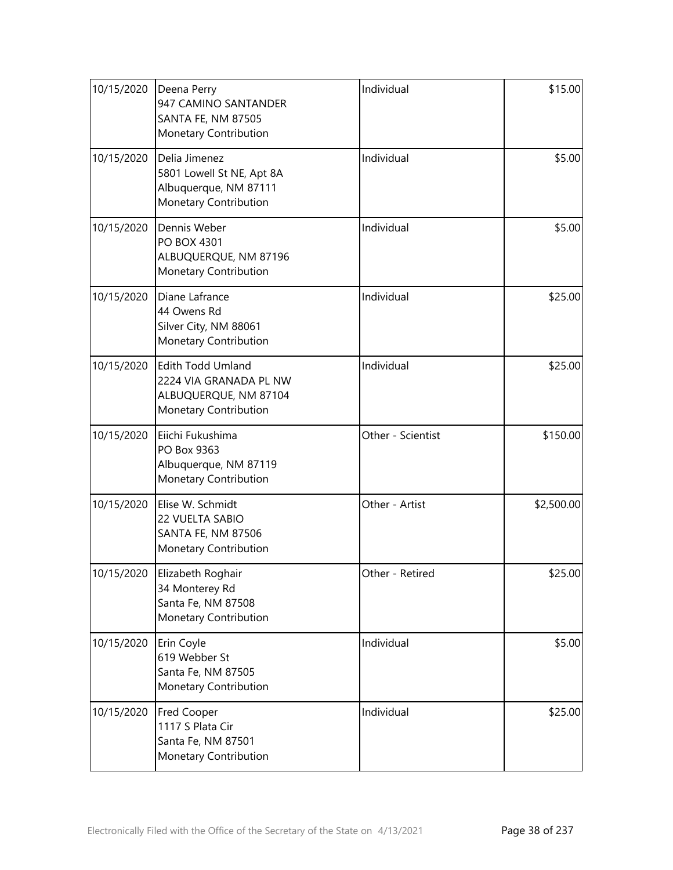| 10/15/2020 | Deena Perry<br>947 CAMINO SANTANDER<br><b>SANTA FE, NM 87505</b><br>Monetary Contribution     | Individual        | \$15.00    |
|------------|-----------------------------------------------------------------------------------------------|-------------------|------------|
| 10/15/2020 | Delia Jimenez<br>5801 Lowell St NE, Apt 8A<br>Albuquerque, NM 87111<br>Monetary Contribution  | Individual        | \$5.00     |
| 10/15/2020 | Dennis Weber<br>PO BOX 4301<br>ALBUQUERQUE, NM 87196<br>Monetary Contribution                 | Individual        | \$5.00     |
| 10/15/2020 | Diane Lafrance<br>44 Owens Rd<br>Silver City, NM 88061<br>Monetary Contribution               | Individual        | \$25.00    |
| 10/15/2020 | Edith Todd Umland<br>2224 VIA GRANADA PL NW<br>ALBUQUERQUE, NM 87104<br>Monetary Contribution | Individual        | \$25.00    |
| 10/15/2020 | Eiichi Fukushima<br>PO Box 9363<br>Albuquerque, NM 87119<br>Monetary Contribution             | Other - Scientist | \$150.00   |
| 10/15/2020 | Elise W. Schmidt<br>22 VUELTA SABIO<br>SANTA FE, NM 87506<br>Monetary Contribution            | Other - Artist    | \$2,500.00 |
| 10/15/2020 | Elizabeth Roghair<br>34 Monterey Rd<br>Santa Fe, NM 87508<br>Monetary Contribution            | Other - Retired   | \$25.00    |
| 10/15/2020 | Erin Coyle<br>619 Webber St<br>Santa Fe, NM 87505<br>Monetary Contribution                    | Individual        | \$5.00     |
| 10/15/2020 | Fred Cooper<br>1117 S Plata Cir<br>Santa Fe, NM 87501<br>Monetary Contribution                | Individual        | \$25.00    |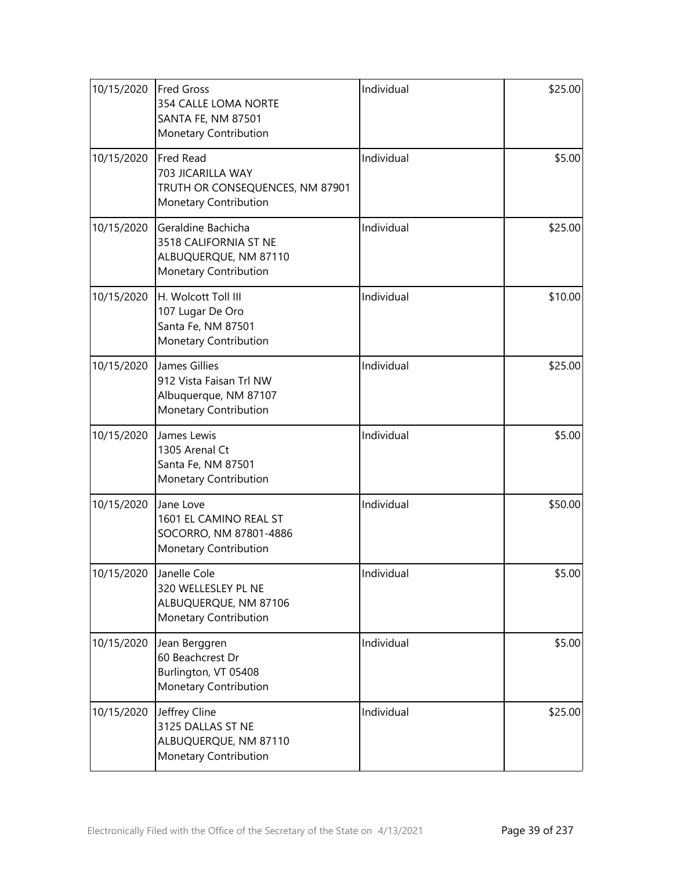| 10/15/2020 | <b>Fred Gross</b><br>354 CALLE LOMA NORTE<br><b>SANTA FE, NM 87501</b><br>Monetary Contribution | Individual | \$25.00 |
|------------|-------------------------------------------------------------------------------------------------|------------|---------|
| 10/15/2020 | Fred Read<br>703 JICARILLA WAY<br>TRUTH OR CONSEQUENCES, NM 87901<br>Monetary Contribution      | Individual | \$5.00  |
| 10/15/2020 | Geraldine Bachicha<br>3518 CALIFORNIA ST NE<br>ALBUQUERQUE, NM 87110<br>Monetary Contribution   | Individual | \$25.00 |
| 10/15/2020 | H. Wolcott Toll III<br>107 Lugar De Oro<br>Santa Fe, NM 87501<br>Monetary Contribution          | Individual | \$10.00 |
| 10/15/2020 | James Gillies<br>912 Vista Faisan Trl NW<br>Albuquerque, NM 87107<br>Monetary Contribution      | Individual | \$25.00 |
| 10/15/2020 | James Lewis<br>1305 Arenal Ct<br>Santa Fe, NM 87501<br>Monetary Contribution                    | Individual | \$5.00  |
| 10/15/2020 | Jane Love<br>1601 EL CAMINO REAL ST<br>SOCORRO, NM 87801-4886<br>Monetary Contribution          | Individual | \$50.00 |
| 10/15/2020 | Janelle Cole<br>320 WELLESLEY PL NE<br>ALBUQUERQUE, NM 87106<br>Monetary Contribution           | Individual | \$5.00  |
| 10/15/2020 | Jean Berggren<br>60 Beachcrest Dr<br>Burlington, VT 05408<br>Monetary Contribution              | Individual | \$5.00  |
| 10/15/2020 | Jeffrey Cline<br>3125 DALLAS ST NE<br>ALBUQUERQUE, NM 87110<br>Monetary Contribution            | Individual | \$25.00 |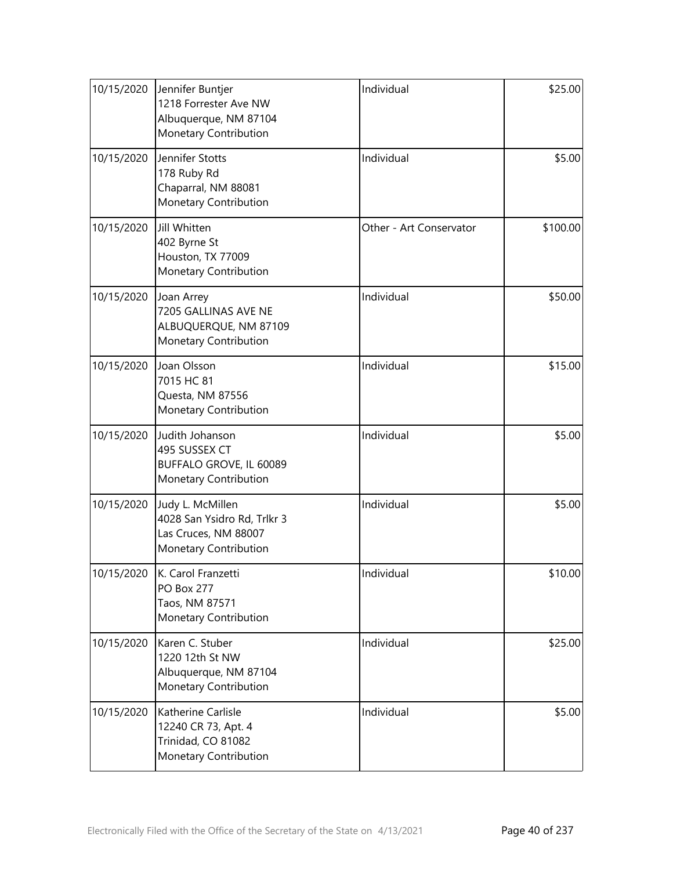| 10/15/2020 | Jennifer Buntjer<br>1218 Forrester Ave NW<br>Albuquerque, NM 87104<br>Monetary Contribution      | Individual              | \$25.00  |
|------------|--------------------------------------------------------------------------------------------------|-------------------------|----------|
| 10/15/2020 | Jennifer Stotts<br>178 Ruby Rd<br>Chaparral, NM 88081<br>Monetary Contribution                   | Individual              | \$5.00   |
| 10/15/2020 | Jill Whitten<br>402 Byrne St<br>Houston, TX 77009<br>Monetary Contribution                       | Other - Art Conservator | \$100.00 |
| 10/15/2020 | Joan Arrey<br>7205 GALLINAS AVE NE<br>ALBUQUERQUE, NM 87109<br>Monetary Contribution             | Individual              | \$50.00  |
| 10/15/2020 | Joan Olsson<br>7015 HC 81<br>Questa, NM 87556<br>Monetary Contribution                           | Individual              | \$15.00  |
| 10/15/2020 | Judith Johanson<br>495 SUSSEX CT<br>BUFFALO GROVE, IL 60089<br>Monetary Contribution             | Individual              | \$5.00   |
| 10/15/2020 | Judy L. McMillen<br>4028 San Ysidro Rd, Trlkr 3<br>Las Cruces, NM 88007<br>Monetary Contribution | Individual              | \$5.00   |
| 10/15/2020 | K. Carol Franzetti<br><b>PO Box 277</b><br>Taos, NM 87571<br>Monetary Contribution               | Individual              | \$10.00  |
| 10/15/2020 | Karen C. Stuber<br>1220 12th St NW<br>Albuquerque, NM 87104<br>Monetary Contribution             | Individual              | \$25.00  |
| 10/15/2020 | Katherine Carlisle<br>12240 CR 73, Apt. 4<br>Trinidad, CO 81082<br>Monetary Contribution         | Individual              | \$5.00   |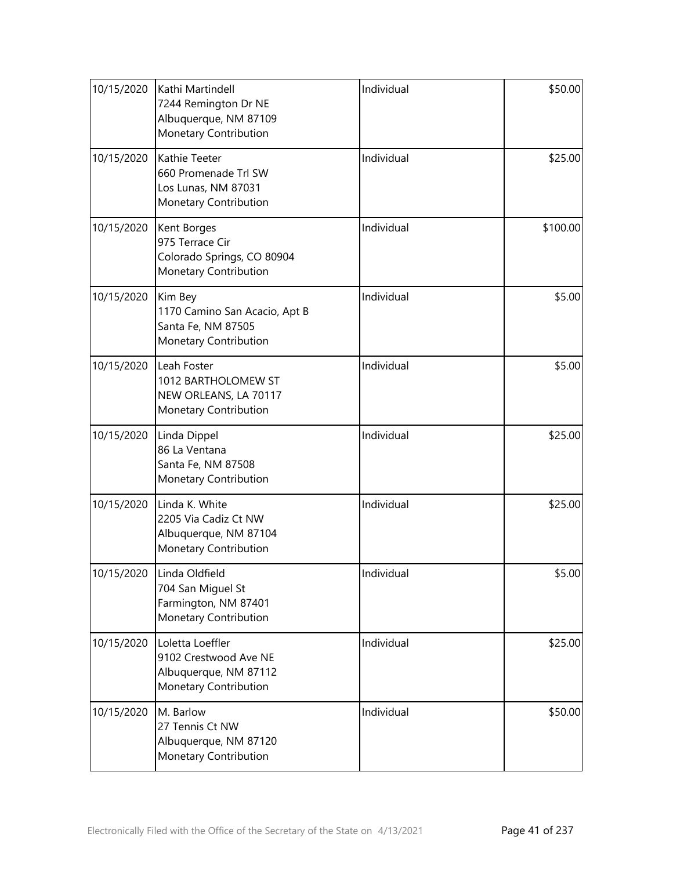| 10/15/2020 | Kathi Martindell<br>7244 Remington Dr NE<br>Albuquerque, NM 87109<br>Monetary Contribution  | Individual | \$50.00  |
|------------|---------------------------------------------------------------------------------------------|------------|----------|
| 10/15/2020 | Kathie Teeter<br>660 Promenade Trl SW<br>Los Lunas, NM 87031<br>Monetary Contribution       | Individual | \$25.00  |
| 10/15/2020 | Kent Borges<br>975 Terrace Cir<br>Colorado Springs, CO 80904<br>Monetary Contribution       | Individual | \$100.00 |
| 10/15/2020 | Kim Bey<br>1170 Camino San Acacio, Apt B<br>Santa Fe, NM 87505<br>Monetary Contribution     | Individual | \$5.00   |
| 10/15/2020 | Leah Foster<br>1012 BARTHOLOMEW ST<br>NEW ORLEANS, LA 70117<br>Monetary Contribution        | Individual | \$5.00   |
| 10/15/2020 | Linda Dippel<br>86 La Ventana<br>Santa Fe, NM 87508<br>Monetary Contribution                | Individual | \$25.00  |
| 10/15/2020 | Linda K. White<br>2205 Via Cadiz Ct NW<br>Albuquerque, NM 87104<br>Monetary Contribution    | Individual | \$25.00  |
| 10/15/2020 | Linda Oldfield<br>704 San Miguel St<br>Farmington, NM 87401<br>Monetary Contribution        | Individual | \$5.00   |
| 10/15/2020 | Loletta Loeffler<br>9102 Crestwood Ave NE<br>Albuquerque, NM 87112<br>Monetary Contribution | Individual | \$25.00  |
| 10/15/2020 | M. Barlow<br>27 Tennis Ct NW<br>Albuquerque, NM 87120<br>Monetary Contribution              | Individual | \$50.00  |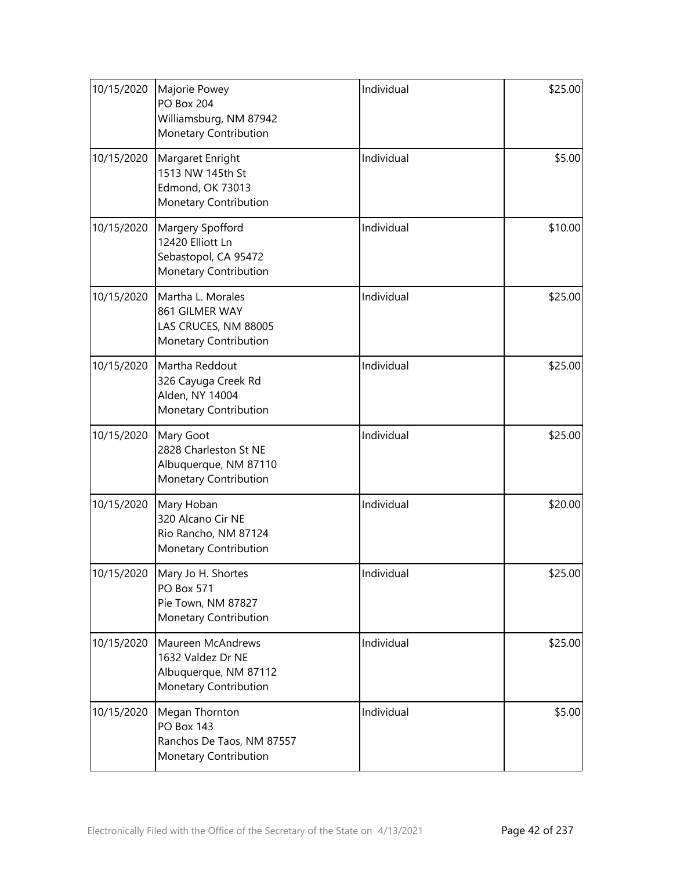| 10/15/2020 | Majorie Powey<br><b>PO Box 204</b><br>Williamsburg, NM 87942<br>Monetary Contribution     | Individual | \$25.00 |
|------------|-------------------------------------------------------------------------------------------|------------|---------|
| 10/15/2020 | Margaret Enright<br>1513 NW 145th St<br><b>Edmond, OK 73013</b><br>Monetary Contribution  | Individual | \$5.00  |
| 10/15/2020 | Margery Spofford<br>12420 Elliott Ln<br>Sebastopol, CA 95472<br>Monetary Contribution     | Individual | \$10.00 |
| 10/15/2020 | Martha L. Morales<br>861 GILMER WAY<br>LAS CRUCES, NM 88005<br>Monetary Contribution      | Individual | \$25.00 |
| 10/15/2020 | Martha Reddout<br>326 Cayuga Creek Rd<br>Alden, NY 14004<br>Monetary Contribution         | Individual | \$25.00 |
| 10/15/2020 | Mary Goot<br>2828 Charleston St NE<br>Albuquerque, NM 87110<br>Monetary Contribution      | Individual | \$25.00 |
| 10/15/2020 | Mary Hoban<br>320 Alcano Cir NE<br>Rio Rancho, NM 87124<br>Monetary Contribution          | Individual | \$20.00 |
| 10/15/2020 | Mary Jo H. Shortes<br><b>PO Box 571</b><br>Pie Town, NM 87827<br>Monetary Contribution    | Individual | \$25.00 |
| 10/15/2020 | Maureen McAndrews<br>1632 Valdez Dr NE<br>Albuquerque, NM 87112<br>Monetary Contribution  | Individual | \$25.00 |
| 10/15/2020 | Megan Thornton<br><b>PO Box 143</b><br>Ranchos De Taos, NM 87557<br>Monetary Contribution | Individual | \$5.00  |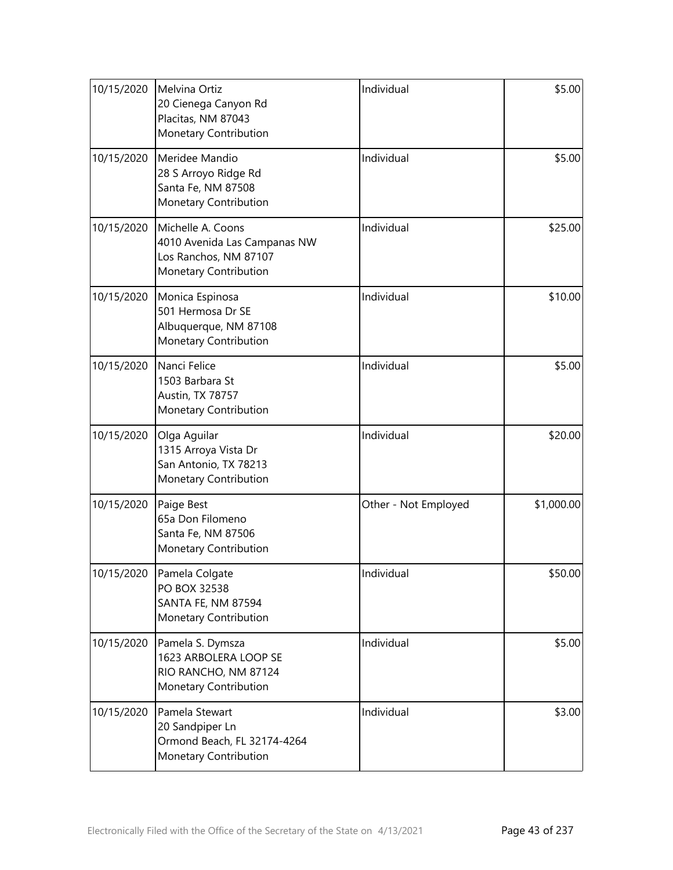| 10/15/2020 | Melvina Ortiz<br>20 Cienega Canyon Rd<br>Placitas, NM 87043<br>Monetary Contribution                | Individual           | \$5.00     |
|------------|-----------------------------------------------------------------------------------------------------|----------------------|------------|
| 10/15/2020 | Meridee Mandio<br>28 S Arroyo Ridge Rd<br>Santa Fe, NM 87508<br>Monetary Contribution               | Individual           | \$5.00     |
| 10/15/2020 | Michelle A. Coons<br>4010 Avenida Las Campanas NW<br>Los Ranchos, NM 87107<br>Monetary Contribution | Individual           | \$25.00    |
| 10/15/2020 | Monica Espinosa<br>501 Hermosa Dr SE<br>Albuquerque, NM 87108<br>Monetary Contribution              | Individual           | \$10.00    |
| 10/15/2020 | Nanci Felice<br>1503 Barbara St<br>Austin, TX 78757<br>Monetary Contribution                        | Individual           | \$5.00     |
| 10/15/2020 | Olga Aguilar<br>1315 Arroya Vista Dr<br>San Antonio, TX 78213<br>Monetary Contribution              | Individual           | \$20.00    |
| 10/15/2020 | Paige Best<br>65a Don Filomeno<br>Santa Fe, NM 87506<br>Monetary Contribution                       | Other - Not Employed | \$1,000.00 |
| 10/15/2020 | Pamela Colgate<br>PO BOX 32538<br>SANTA FE, NM 87594<br>Monetary Contribution                       | Individual           | \$50.00    |
| 10/15/2020 | Pamela S. Dymsza<br>1623 ARBOLERA LOOP SE<br>RIO RANCHO, NM 87124<br>Monetary Contribution          | Individual           | \$5.00     |
| 10/15/2020 | Pamela Stewart<br>20 Sandpiper Ln<br>Ormond Beach, FL 32174-4264<br>Monetary Contribution           | Individual           | \$3.00     |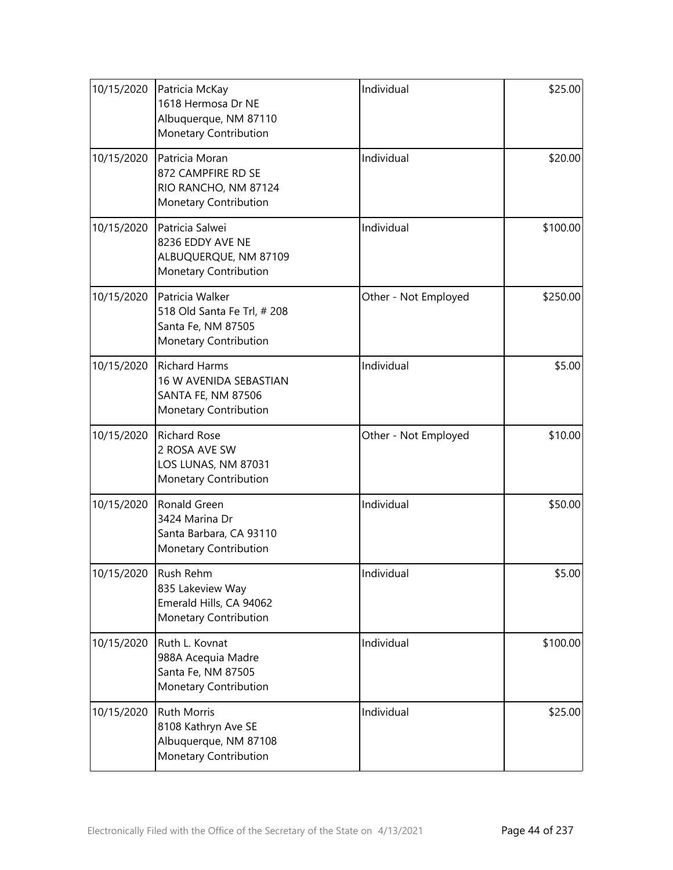| 10/15/2020 | Patricia McKay<br>1618 Hermosa Dr NE<br>Albuquerque, NM 87110<br>Monetary Contribution        | Individual           | \$25.00  |
|------------|-----------------------------------------------------------------------------------------------|----------------------|----------|
| 10/15/2020 | Patricia Moran<br>872 CAMPFIRE RD SE<br>RIO RANCHO, NM 87124<br>Monetary Contribution         | Individual           | \$20.00  |
| 10/15/2020 | Patricia Salwei<br>8236 EDDY AVE NE<br>ALBUQUERQUE, NM 87109<br>Monetary Contribution         | Individual           | \$100.00 |
| 10/15/2020 | Patricia Walker<br>518 Old Santa Fe Trl, # 208<br>Santa Fe, NM 87505<br>Monetary Contribution | Other - Not Employed | \$250.00 |
| 10/15/2020 | <b>Richard Harms</b><br>16 W AVENIDA SEBASTIAN<br>SANTA FE, NM 87506<br>Monetary Contribution | Individual           | \$5.00   |
| 10/15/2020 | <b>Richard Rose</b><br>2 ROSA AVE SW<br>LOS LUNAS, NM 87031<br>Monetary Contribution          | Other - Not Employed | \$10.00  |
| 10/15/2020 | Ronald Green<br>3424 Marina Dr<br>Santa Barbara, CA 93110<br>Monetary Contribution            | Individual           | \$50.00  |
| 10/15/2020 | Rush Rehm<br>835 Lakeview Way<br>Emerald Hills, CA 94062<br>Monetary Contribution             | Individual           | \$5.00   |
| 10/15/2020 | Ruth L. Kovnat<br>988A Acequia Madre<br>Santa Fe, NM 87505<br>Monetary Contribution           | Individual           | \$100.00 |
| 10/15/2020 | <b>Ruth Morris</b><br>8108 Kathryn Ave SE<br>Albuquerque, NM 87108<br>Monetary Contribution   | Individual           | \$25.00  |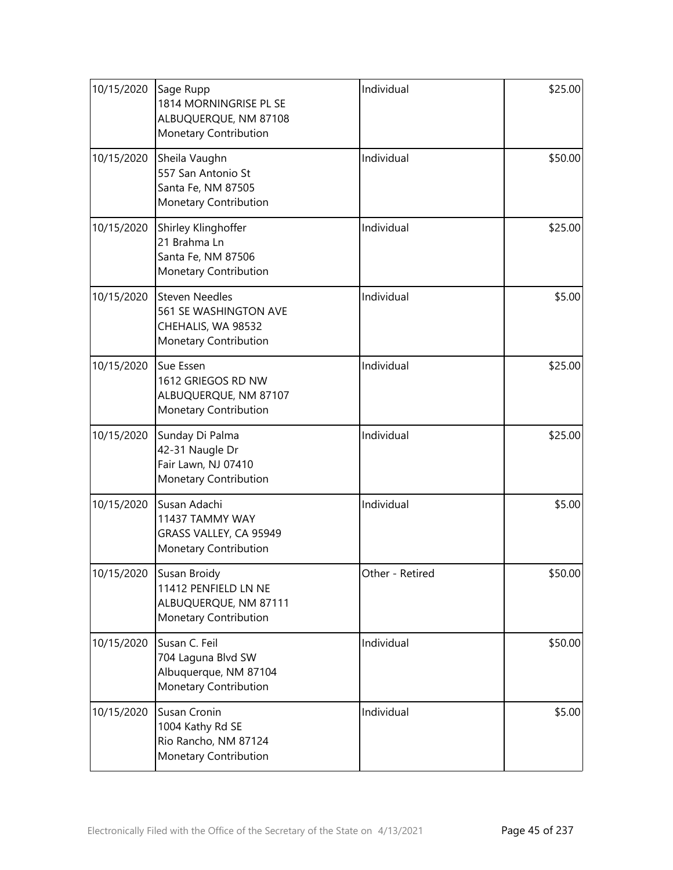| 10/15/2020 | Sage Rupp<br>1814 MORNINGRISE PL SE<br>ALBUQUERQUE, NM 87108<br>Monetary Contribution         | Individual      | \$25.00 |
|------------|-----------------------------------------------------------------------------------------------|-----------------|---------|
| 10/15/2020 | Sheila Vaughn<br>557 San Antonio St<br>Santa Fe, NM 87505<br>Monetary Contribution            | Individual      | \$50.00 |
| 10/15/2020 | Shirley Klinghoffer<br>21 Brahma Ln<br>Santa Fe, NM 87506<br>Monetary Contribution            | Individual      | \$25.00 |
| 10/15/2020 | <b>Steven Needles</b><br>561 SE WASHINGTON AVE<br>CHEHALIS, WA 98532<br>Monetary Contribution | Individual      | \$5.00  |
| 10/15/2020 | Sue Essen<br>1612 GRIEGOS RD NW<br>ALBUQUERQUE, NM 87107<br>Monetary Contribution             | Individual      | \$25.00 |
| 10/15/2020 | Sunday Di Palma<br>42-31 Naugle Dr<br>Fair Lawn, NJ 07410<br>Monetary Contribution            | Individual      | \$25.00 |
| 10/15/2020 | Susan Adachi<br>11437 TAMMY WAY<br>GRASS VALLEY, CA 95949<br>Monetary Contribution            | Individual      | \$5.00  |
| 10/15/2020 | Susan Broidy<br>11412 PENFIELD LN NE<br>ALBUQUERQUE, NM 87111<br>Monetary Contribution        | Other - Retired | \$50.00 |
| 10/15/2020 | Susan C. Feil<br>704 Laguna Blvd SW<br>Albuquerque, NM 87104<br>Monetary Contribution         | Individual      | \$50.00 |
| 10/15/2020 | Susan Cronin<br>1004 Kathy Rd SE<br>Rio Rancho, NM 87124<br>Monetary Contribution             | Individual      | \$5.00  |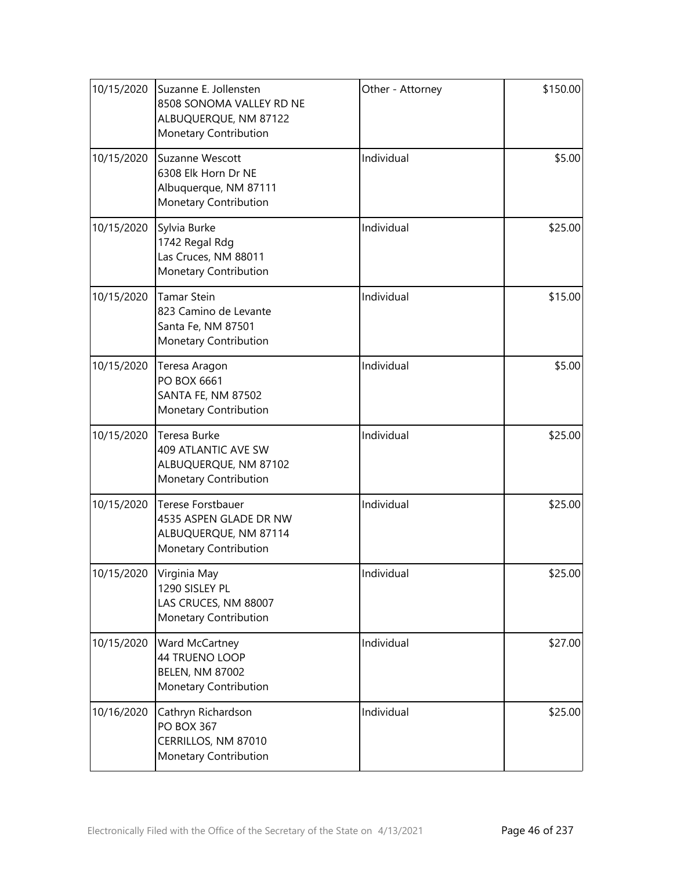| 10/15/2020 | Suzanne E. Jollensten<br>8508 SONOMA VALLEY RD NE<br>ALBUQUERQUE, NM 87122<br>Monetary Contribution | Other - Attorney | \$150.00 |
|------------|-----------------------------------------------------------------------------------------------------|------------------|----------|
| 10/15/2020 | Suzanne Wescott<br>6308 Elk Horn Dr NE<br>Albuquerque, NM 87111<br>Monetary Contribution            | Individual       | \$5.00   |
| 10/15/2020 | Sylvia Burke<br>1742 Regal Rdg<br>Las Cruces, NM 88011<br>Monetary Contribution                     | Individual       | \$25.00  |
| 10/15/2020 | <b>Tamar Stein</b><br>823 Camino de Levante<br>Santa Fe, NM 87501<br>Monetary Contribution          | Individual       | \$15.00  |
| 10/15/2020 | Teresa Aragon<br>PO BOX 6661<br>SANTA FE, NM 87502<br>Monetary Contribution                         | Individual       | \$5.00   |
| 10/15/2020 | Teresa Burke<br>409 ATLANTIC AVE SW<br>ALBUQUERQUE, NM 87102<br>Monetary Contribution               | Individual       | \$25.00  |
| 10/15/2020 | Terese Forstbauer<br>4535 ASPEN GLADE DR NW<br>ALBUQUERQUE, NM 87114<br>Monetary Contribution       | Individual       | \$25.00  |
| 10/15/2020 | Virginia May<br>1290 SISLEY PL<br>LAS CRUCES, NM 88007<br>Monetary Contribution                     | Individual       | \$25.00  |
| 10/15/2020 | Ward McCartney<br>44 TRUENO LOOP<br><b>BELEN, NM 87002</b><br>Monetary Contribution                 | Individual       | \$27.00  |
| 10/16/2020 | Cathryn Richardson<br><b>PO BOX 367</b><br>CERRILLOS, NM 87010<br>Monetary Contribution             | Individual       | \$25.00  |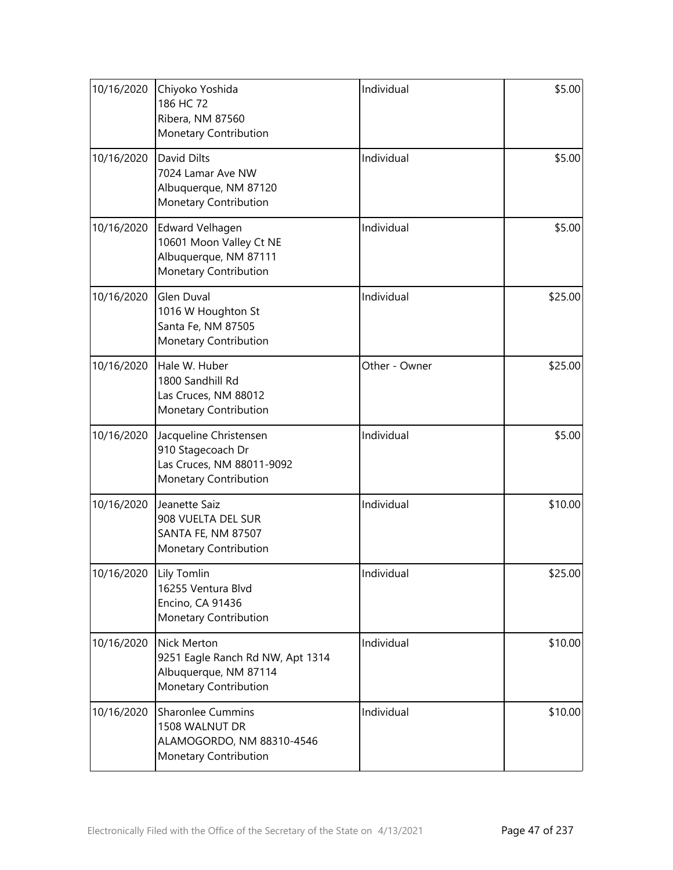| 10/16/2020 | Chiyoko Yoshida<br>186 HC 72<br>Ribera, NM 87560<br>Monetary Contribution                                       | Individual    | \$5.00  |
|------------|-----------------------------------------------------------------------------------------------------------------|---------------|---------|
| 10/16/2020 | David Dilts<br>7024 Lamar Ave NW<br>Albuquerque, NM 87120<br>Monetary Contribution                              | Individual    | \$5.00  |
| 10/16/2020 | Edward Velhagen<br>10601 Moon Valley Ct NE<br>Albuquerque, NM 87111<br>Monetary Contribution                    | Individual    | \$5.00  |
| 10/16/2020 | <b>Glen Duval</b><br>1016 W Houghton St<br>Santa Fe, NM 87505<br>Monetary Contribution                          | Individual    | \$25.00 |
| 10/16/2020 | Hale W. Huber<br>1800 Sandhill Rd<br>Las Cruces, NM 88012<br>Monetary Contribution                              | Other - Owner | \$25.00 |
| 10/16/2020 | Jacqueline Christensen<br>910 Stagecoach Dr<br>Las Cruces, NM 88011-9092<br>Monetary Contribution               | Individual    | \$5.00  |
| 10/16/2020 | Jeanette Saiz<br>908 VUELTA DEL SUR<br>SANTA FE, NM 87507<br>Monetary Contribution                              | Individual    | \$10.00 |
| 10/16/2020 | Lily Tomlin<br>16255 Ventura Blvd<br>Encino, CA 91436<br>Monetary Contribution                                  | Individual    | \$25.00 |
| 10/16/2020 | <b>Nick Merton</b><br>9251 Eagle Ranch Rd NW, Apt 1314<br>Albuquerque, NM 87114<br><b>Monetary Contribution</b> | Individual    | \$10.00 |
| 10/16/2020 | <b>Sharonlee Cummins</b><br>1508 WALNUT DR<br>ALAMOGORDO, NM 88310-4546<br>Monetary Contribution                | Individual    | \$10.00 |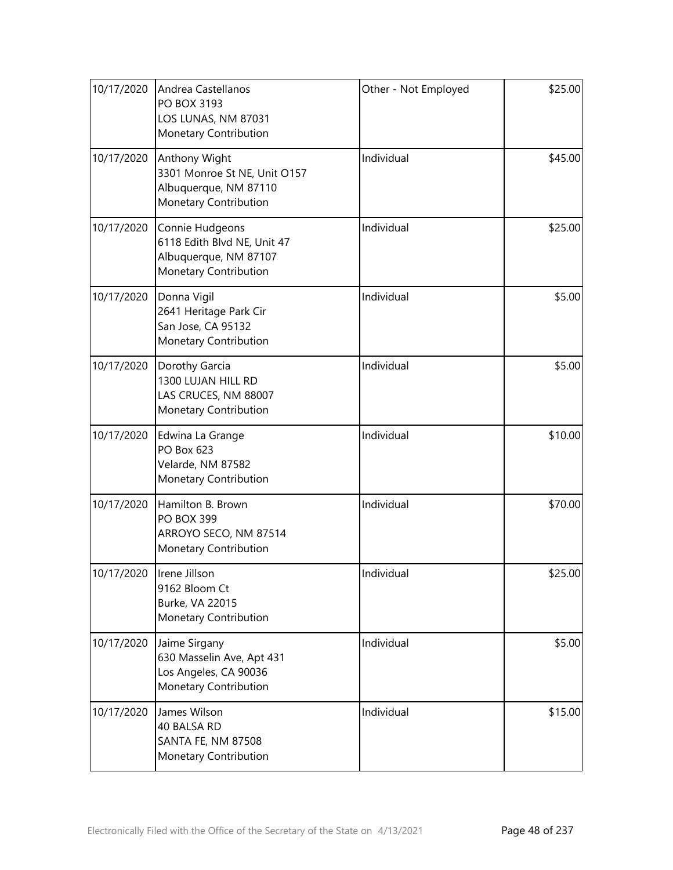| 10/17/2020 | Andrea Castellanos<br>PO BOX 3193<br>LOS LUNAS, NM 87031<br>Monetary Contribution                | Other - Not Employed | \$25.00 |
|------------|--------------------------------------------------------------------------------------------------|----------------------|---------|
| 10/17/2020 | Anthony Wight<br>3301 Monroe St NE, Unit O157<br>Albuquerque, NM 87110<br>Monetary Contribution  | Individual           | \$45.00 |
| 10/17/2020 | Connie Hudgeons<br>6118 Edith Blvd NE, Unit 47<br>Albuquerque, NM 87107<br>Monetary Contribution | Individual           | \$25.00 |
| 10/17/2020 | Donna Vigil<br>2641 Heritage Park Cir<br>San Jose, CA 95132<br>Monetary Contribution             | Individual           | \$5.00  |
| 10/17/2020 | Dorothy Garcia<br>1300 LUJAN HILL RD<br>LAS CRUCES, NM 88007<br>Monetary Contribution            | Individual           | \$5.00  |
| 10/17/2020 | Edwina La Grange<br>PO Box 623<br>Velarde, NM 87582<br>Monetary Contribution                     | Individual           | \$10.00 |
| 10/17/2020 | Hamilton B. Brown<br><b>PO BOX 399</b><br>ARROYO SECO, NM 87514<br>Monetary Contribution         | Individual           | \$70.00 |
| 10/17/2020 | Irene Jillson<br>9162 Bloom Ct<br>Burke, VA 22015<br>Monetary Contribution                       | Individual           | \$25.00 |
| 10/17/2020 | Jaime Sirgany<br>630 Masselin Ave, Apt 431<br>Los Angeles, CA 90036<br>Monetary Contribution     | Individual           | \$5.00  |
| 10/17/2020 | James Wilson<br>40 BALSA RD<br>SANTA FE, NM 87508<br>Monetary Contribution                       | Individual           | \$15.00 |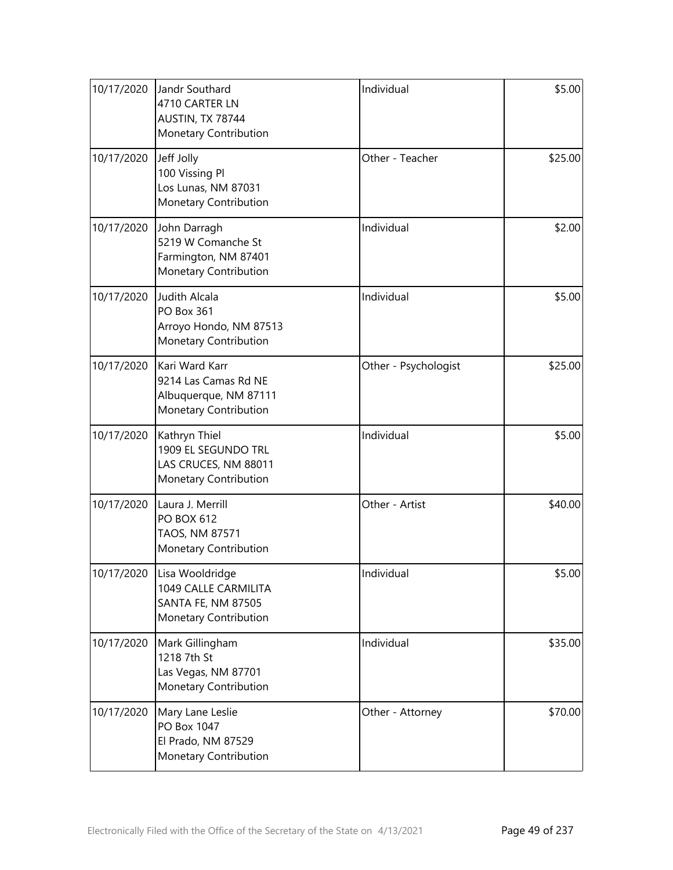| 10/17/2020 | Jandr Southard<br>4710 CARTER LN<br>AUSTIN, TX 78744<br>Monetary Contribution            | Individual           | \$5.00  |
|------------|------------------------------------------------------------------------------------------|----------------------|---------|
| 10/17/2020 | Jeff Jolly<br>100 Vissing Pl<br>Los Lunas, NM 87031<br>Monetary Contribution             | Other - Teacher      | \$25.00 |
| 10/17/2020 | John Darragh<br>5219 W Comanche St<br>Farmington, NM 87401<br>Monetary Contribution      | Individual           | \$2.00  |
| 10/17/2020 | Judith Alcala<br><b>PO Box 361</b><br>Arroyo Hondo, NM 87513<br>Monetary Contribution    | Individual           | \$5.00  |
| 10/17/2020 | Kari Ward Karr<br>9214 Las Camas Rd NE<br>Albuquerque, NM 87111<br>Monetary Contribution | Other - Psychologist | \$25.00 |
| 10/17/2020 | Kathryn Thiel<br>1909 EL SEGUNDO TRL<br>LAS CRUCES, NM 88011<br>Monetary Contribution    | Individual           | \$5.00  |
| 10/17/2020 | Laura J. Merrill<br><b>PO BOX 612</b><br>TAOS, NM 87571<br>Monetary Contribution         | Other - Artist       | \$40.00 |
| 10/17/2020 | Lisa Wooldridge<br>1049 CALLE CARMILITA<br>SANTA FE, NM 87505<br>Monetary Contribution   | Individual           | \$5.00  |
| 10/17/2020 | Mark Gillingham<br>1218 7th St<br>Las Vegas, NM 87701<br>Monetary Contribution           | Individual           | \$35.00 |
| 10/17/2020 | Mary Lane Leslie<br>PO Box 1047<br>El Prado, NM 87529<br>Monetary Contribution           | Other - Attorney     | \$70.00 |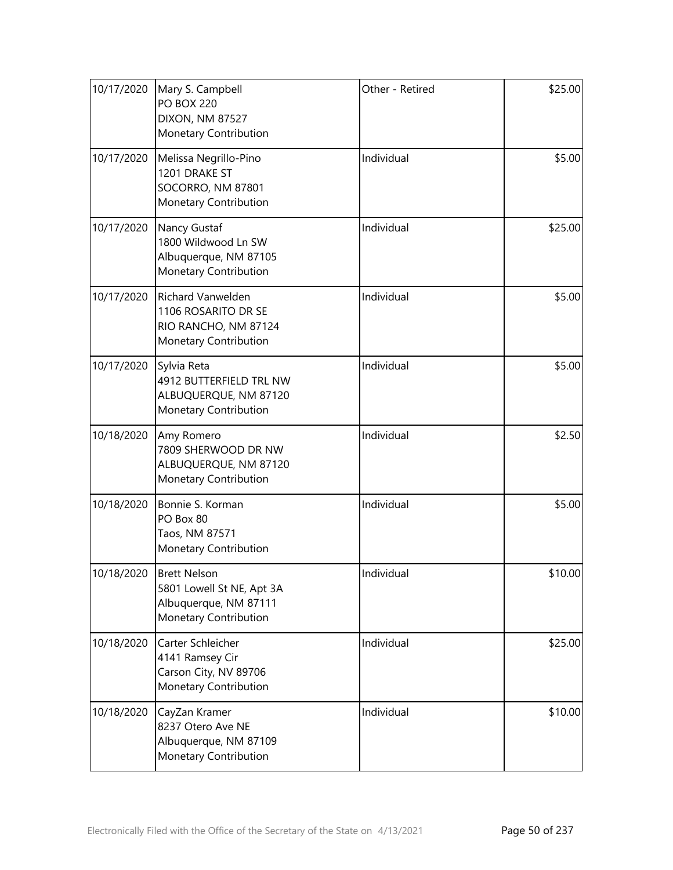| 10/17/2020 | Mary S. Campbell<br><b>PO BOX 220</b><br><b>DIXON, NM 87527</b><br>Monetary Contribution           | Other - Retired | \$25.00 |
|------------|----------------------------------------------------------------------------------------------------|-----------------|---------|
| 10/17/2020 | Melissa Negrillo-Pino<br>1201 DRAKE ST<br>SOCORRO, NM 87801<br>Monetary Contribution               | Individual      | \$5.00  |
| 10/17/2020 | Nancy Gustaf<br>1800 Wildwood Ln SW<br>Albuquerque, NM 87105<br>Monetary Contribution              | Individual      | \$25.00 |
| 10/17/2020 | <b>Richard Vanwelden</b><br>1106 ROSARITO DR SE<br>RIO RANCHO, NM 87124<br>Monetary Contribution   | Individual      | \$5.00  |
| 10/17/2020 | Sylvia Reta<br>4912 BUTTERFIELD TRL NW<br>ALBUQUERQUE, NM 87120<br>Monetary Contribution           | Individual      | \$5.00  |
| 10/18/2020 | Amy Romero<br>7809 SHERWOOD DR NW<br>ALBUQUERQUE, NM 87120<br>Monetary Contribution                | Individual      | \$2.50  |
| 10/18/2020 | Bonnie S. Korman<br>PO Box 80<br>Taos, NM 87571<br>Monetary Contribution                           | Individual      | \$5.00  |
| 10/18/2020 | <b>Brett Nelson</b><br>5801 Lowell St NE, Apt 3A<br>Albuquerque, NM 87111<br>Monetary Contribution | Individual      | \$10.00 |
| 10/18/2020 | Carter Schleicher<br>4141 Ramsey Cir<br>Carson City, NV 89706<br>Monetary Contribution             | Individual      | \$25.00 |
| 10/18/2020 | CayZan Kramer<br>8237 Otero Ave NE<br>Albuquerque, NM 87109<br>Monetary Contribution               | Individual      | \$10.00 |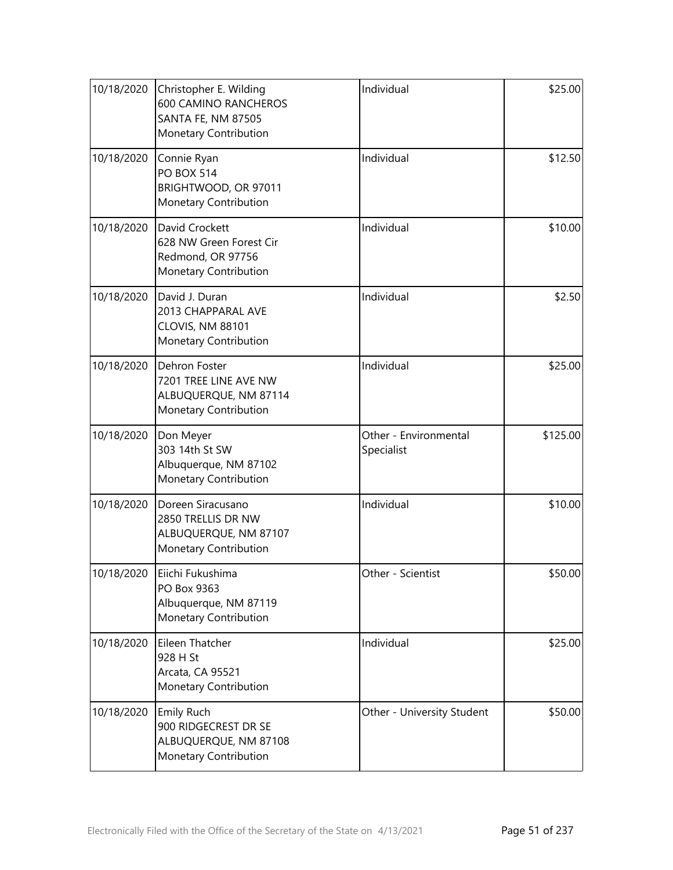| 10/18/2020 | Christopher E. Wilding<br><b>600 CAMINO RANCHEROS</b><br><b>SANTA FE, NM 87505</b><br>Monetary Contribution | Individual                          | \$25.00  |
|------------|-------------------------------------------------------------------------------------------------------------|-------------------------------------|----------|
| 10/18/2020 | Connie Ryan<br><b>PO BOX 514</b><br>BRIGHTWOOD, OR 97011<br>Monetary Contribution                           | Individual                          | \$12.50  |
| 10/18/2020 | David Crockett<br>628 NW Green Forest Cir<br>Redmond, OR 97756<br>Monetary Contribution                     | Individual                          | \$10.00  |
| 10/18/2020 | David J. Duran<br>2013 CHAPPARAL AVE<br>CLOVIS, NM 88101<br>Monetary Contribution                           | Individual                          | \$2.50   |
| 10/18/2020 | Dehron Foster<br>7201 TREE LINE AVE NW<br>ALBUQUERQUE, NM 87114<br>Monetary Contribution                    | Individual                          | \$25.00  |
| 10/18/2020 | Don Meyer<br>303 14th St SW<br>Albuquerque, NM 87102<br>Monetary Contribution                               | Other - Environmental<br>Specialist | \$125.00 |
| 10/18/2020 | Doreen Siracusano<br>2850 TRELLIS DR NW<br>ALBUQUERQUE, NM 87107<br>Monetary Contribution                   | Individual                          | \$10.00  |
| 10/18/2020 | Eiichi Fukushima<br>PO Box 9363<br>Albuquerque, NM 87119<br>Monetary Contribution                           | Other - Scientist                   | \$50.00  |
| 10/18/2020 | Eileen Thatcher<br>928 H St<br>Arcata, CA 95521<br>Monetary Contribution                                    | Individual                          | \$25.00  |
| 10/18/2020 | <b>Emily Ruch</b><br>900 RIDGECREST DR SE<br>ALBUQUERQUE, NM 87108<br>Monetary Contribution                 | Other - University Student          | \$50.00  |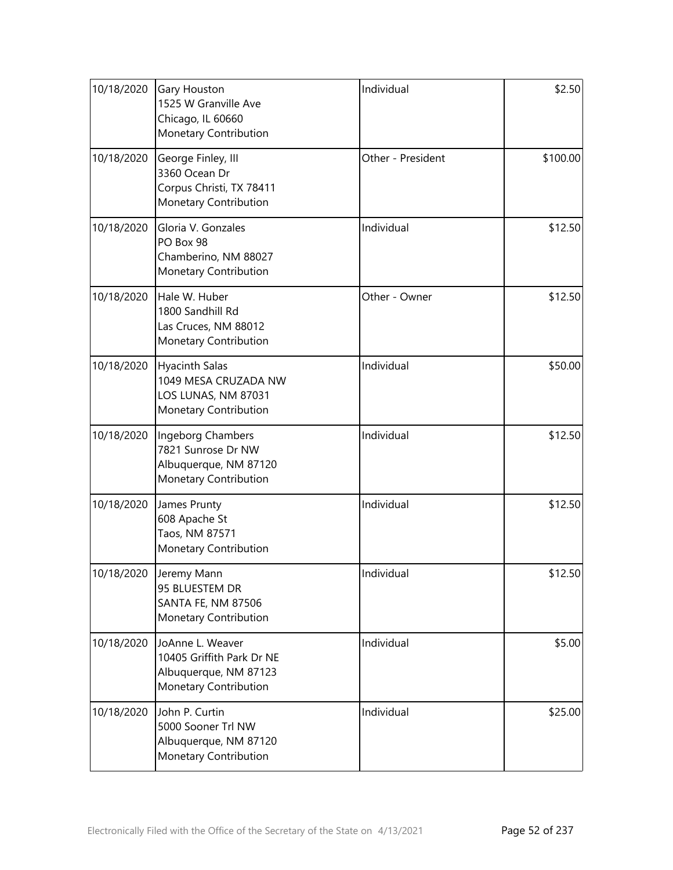| 10/18/2020 | Gary Houston<br>1525 W Granville Ave<br>Chicago, IL 60660<br>Monetary Contribution              | Individual        | \$2.50   |
|------------|-------------------------------------------------------------------------------------------------|-------------------|----------|
| 10/18/2020 | George Finley, III<br>3360 Ocean Dr<br>Corpus Christi, TX 78411<br>Monetary Contribution        | Other - President | \$100.00 |
| 10/18/2020 | Gloria V. Gonzales<br>PO Box 98<br>Chamberino, NM 88027<br>Monetary Contribution                | Individual        | \$12.50  |
| 10/18/2020 | Hale W. Huber<br>1800 Sandhill Rd<br>Las Cruces, NM 88012<br>Monetary Contribution              | Other - Owner     | \$12.50  |
| 10/18/2020 | <b>Hyacinth Salas</b><br>1049 MESA CRUZADA NW<br>LOS LUNAS, NM 87031<br>Monetary Contribution   | Individual        | \$50.00  |
| 10/18/2020 | Ingeborg Chambers<br>7821 Sunrose Dr NW<br>Albuquerque, NM 87120<br>Monetary Contribution       | Individual        | \$12.50  |
| 10/18/2020 | James Prunty<br>608 Apache St<br>Taos, NM 87571<br>Monetary Contribution                        | Individual        | \$12.50  |
| 10/18/2020 | Jeremy Mann<br>95 BLUESTEM DR<br><b>SANTA FE, NM 87506</b><br>Monetary Contribution             | Individual        | \$12.50  |
| 10/18/2020 | JoAnne L. Weaver<br>10405 Griffith Park Dr NE<br>Albuquerque, NM 87123<br>Monetary Contribution | Individual        | \$5.00   |
| 10/18/2020 | John P. Curtin<br>5000 Sooner Trl NW<br>Albuquerque, NM 87120<br>Monetary Contribution          | Individual        | \$25.00  |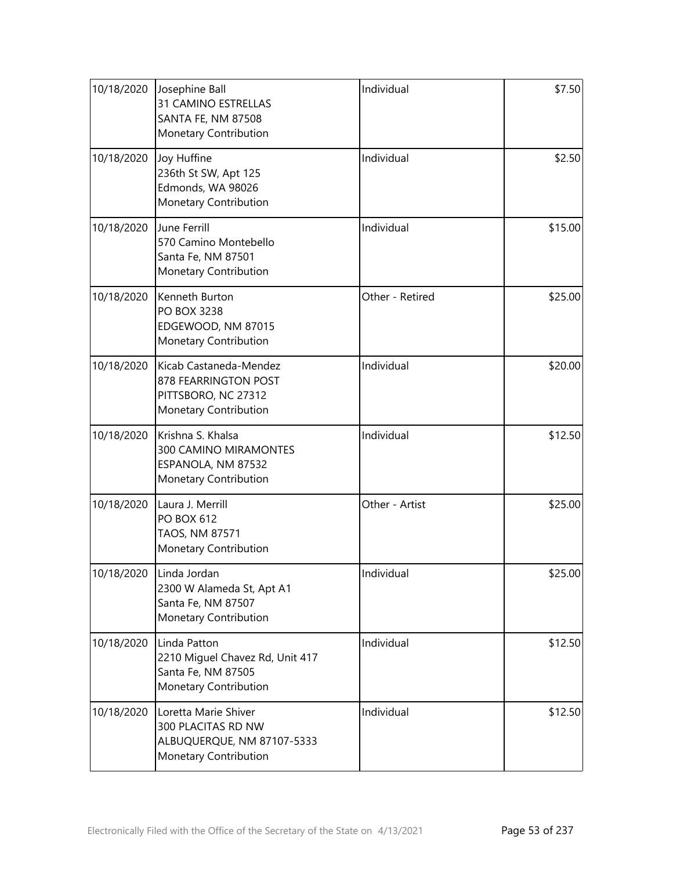| 10/18/2020 | Josephine Ball<br>31 CAMINO ESTRELLAS<br>SANTA FE, NM 87508<br>Monetary Contribution              | Individual      | \$7.50  |
|------------|---------------------------------------------------------------------------------------------------|-----------------|---------|
| 10/18/2020 | Joy Huffine<br>236th St SW, Apt 125<br>Edmonds, WA 98026<br>Monetary Contribution                 | Individual      | \$2.50  |
| 10/18/2020 | June Ferrill<br>570 Camino Montebello<br>Santa Fe, NM 87501<br>Monetary Contribution              | Individual      | \$15.00 |
| 10/18/2020 | Kenneth Burton<br><b>PO BOX 3238</b><br>EDGEWOOD, NM 87015<br>Monetary Contribution               | Other - Retired | \$25.00 |
| 10/18/2020 | Kicab Castaneda-Mendez<br>878 FEARRINGTON POST<br>PITTSBORO, NC 27312<br>Monetary Contribution    | Individual      | \$20.00 |
| 10/18/2020 | Krishna S. Khalsa<br>300 CAMINO MIRAMONTES<br>ESPANOLA, NM 87532<br>Monetary Contribution         | Individual      | \$12.50 |
| 10/18/2020 | Laura J. Merrill<br><b>PO BOX 612</b><br>TAOS, NM 87571<br>Monetary Contribution                  | Other - Artist  | \$25.00 |
| 10/18/2020 | Linda Jordan<br>2300 W Alameda St, Apt A1<br>Santa Fe, NM 87507<br>Monetary Contribution          | Individual      | \$25.00 |
| 10/18/2020 | Linda Patton<br>2210 Miguel Chavez Rd, Unit 417<br>Santa Fe, NM 87505<br>Monetary Contribution    | Individual      | \$12.50 |
| 10/18/2020 | Loretta Marie Shiver<br>300 PLACITAS RD NW<br>ALBUQUERQUE, NM 87107-5333<br>Monetary Contribution | Individual      | \$12.50 |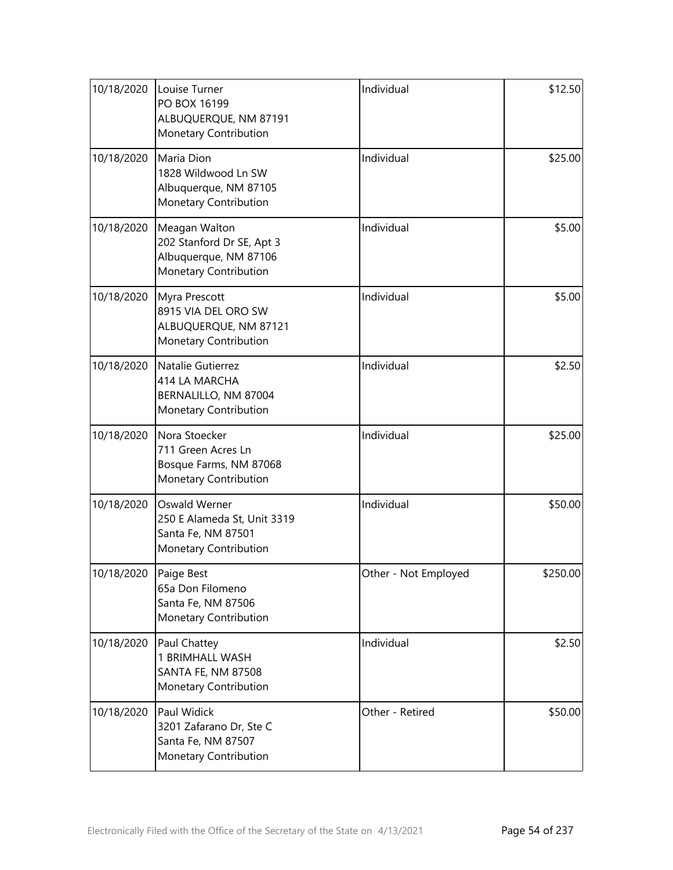| 10/18/2020 | Louise Turner<br>PO BOX 16199<br>ALBUQUERQUE, NM 87191<br>Monetary Contribution              | Individual           | \$12.50  |
|------------|----------------------------------------------------------------------------------------------|----------------------|----------|
| 10/18/2020 | Maria Dion<br>1828 Wildwood Ln SW<br>Albuquerque, NM 87105<br>Monetary Contribution          | Individual           | \$25.00  |
| 10/18/2020 | Meagan Walton<br>202 Stanford Dr SE, Apt 3<br>Albuquerque, NM 87106<br>Monetary Contribution | Individual           | \$5.00   |
| 10/18/2020 | Myra Prescott<br>8915 VIA DEL ORO SW<br>ALBUQUERQUE, NM 87121<br>Monetary Contribution       | Individual           | \$5.00   |
| 10/18/2020 | Natalie Gutierrez<br>414 LA MARCHA<br>BERNALILLO, NM 87004<br>Monetary Contribution          | Individual           | \$2.50   |
| 10/18/2020 | Nora Stoecker<br>711 Green Acres Ln<br>Bosque Farms, NM 87068<br>Monetary Contribution       | Individual           | \$25.00  |
| 10/18/2020 | Oswald Werner<br>250 E Alameda St, Unit 3319<br>Santa Fe, NM 87501<br>Monetary Contribution  | Individual           | \$50.00  |
| 10/18/2020 | Paige Best<br>65a Don Filomeno<br>Santa Fe, NM 87506<br>Monetary Contribution                | Other - Not Employed | \$250.00 |
| 10/18/2020 | Paul Chattey<br>1 BRIMHALL WASH<br>SANTA FE, NM 87508<br>Monetary Contribution               | Individual           | \$2.50   |
| 10/18/2020 | Paul Widick<br>3201 Zafarano Dr, Ste C<br>Santa Fe, NM 87507<br>Monetary Contribution        | Other - Retired      | \$50.00  |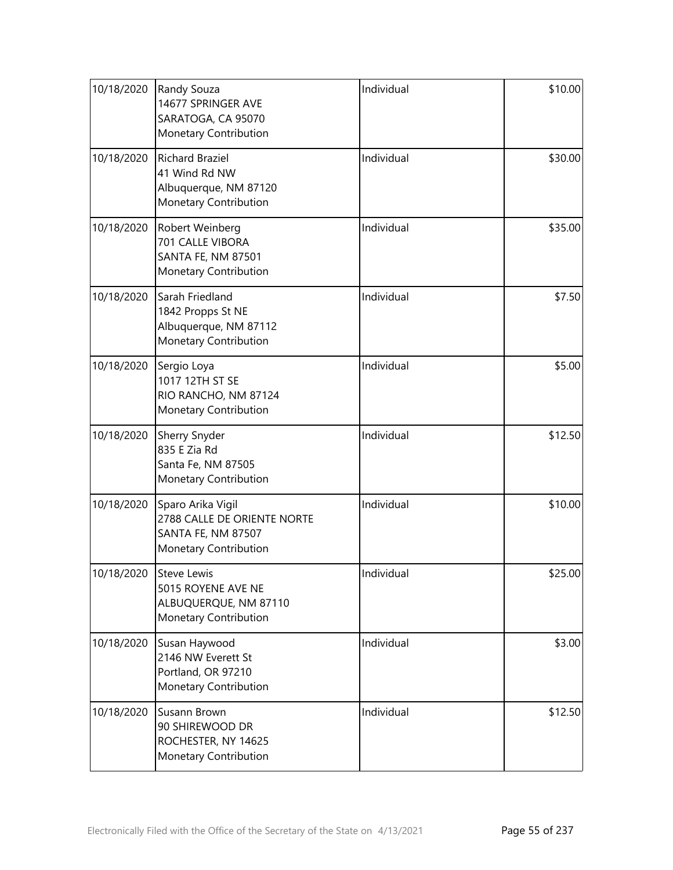| 10/18/2020 | Randy Souza<br>14677 SPRINGER AVE<br>SARATOGA, CA 95070<br>Monetary Contribution                | Individual | \$10.00 |
|------------|-------------------------------------------------------------------------------------------------|------------|---------|
| 10/18/2020 | <b>Richard Braziel</b><br>41 Wind Rd NW<br>Albuquerque, NM 87120<br>Monetary Contribution       | Individual | \$30.00 |
| 10/18/2020 | Robert Weinberg<br>701 CALLE VIBORA<br><b>SANTA FE, NM 87501</b><br>Monetary Contribution       | Individual | \$35.00 |
| 10/18/2020 | Sarah Friedland<br>1842 Propps St NE<br>Albuquerque, NM 87112<br>Monetary Contribution          | Individual | \$7.50  |
| 10/18/2020 | Sergio Loya<br>1017 12TH ST SE<br>RIO RANCHO, NM 87124<br>Monetary Contribution                 | Individual | \$5.00  |
| 10/18/2020 | Sherry Snyder<br>835 E Zia Rd<br>Santa Fe, NM 87505<br>Monetary Contribution                    | Individual | \$12.50 |
| 10/18/2020 | Sparo Arika Vigil<br>2788 CALLE DE ORIENTE NORTE<br>SANTA FE, NM 87507<br>Monetary Contribution | Individual | \$10.00 |
| 10/18/2020 | <b>Steve Lewis</b><br>5015 ROYENE AVE NE<br>ALBUQUERQUE, NM 87110<br>Monetary Contribution      | Individual | \$25.00 |
| 10/18/2020 | Susan Haywood<br>2146 NW Everett St<br>Portland, OR 97210<br>Monetary Contribution              | Individual | \$3.00  |
| 10/18/2020 | Susann Brown<br>90 SHIREWOOD DR<br>ROCHESTER, NY 14625<br>Monetary Contribution                 | Individual | \$12.50 |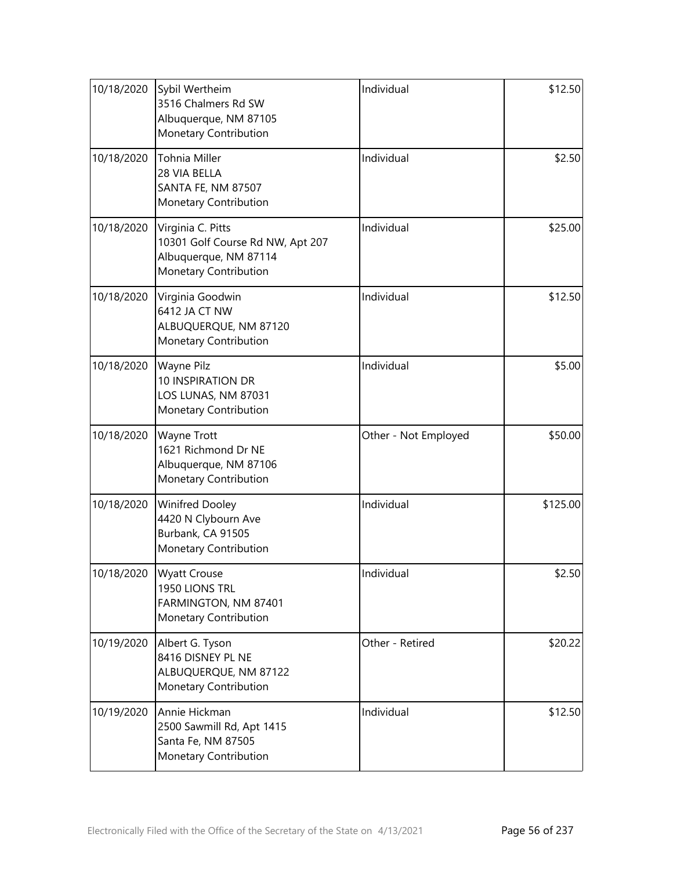| 10/18/2020 | Sybil Wertheim<br>3516 Chalmers Rd SW<br>Albuquerque, NM 87105<br>Monetary Contribution                 | Individual           | \$12.50  |
|------------|---------------------------------------------------------------------------------------------------------|----------------------|----------|
| 10/18/2020 | Tohnia Miller<br>28 VIA BELLA<br>SANTA FE, NM 87507<br>Monetary Contribution                            | Individual           | \$2.50   |
| 10/18/2020 | Virginia C. Pitts<br>10301 Golf Course Rd NW, Apt 207<br>Albuquerque, NM 87114<br>Monetary Contribution | Individual           | \$25.00  |
| 10/18/2020 | Virginia Goodwin<br>6412 JA CT NW<br>ALBUQUERQUE, NM 87120<br>Monetary Contribution                     | Individual           | \$12.50  |
| 10/18/2020 | Wayne Pilz<br><b>10 INSPIRATION DR</b><br>LOS LUNAS, NM 87031<br>Monetary Contribution                  | Individual           | \$5.00   |
| 10/18/2020 | Wayne Trott<br>1621 Richmond Dr NE<br>Albuquerque, NM 87106<br>Monetary Contribution                    | Other - Not Employed | \$50.00  |
| 10/18/2020 | <b>Winifred Dooley</b><br>4420 N Clybourn Ave<br>Burbank, CA 91505<br>Monetary Contribution             | Individual           | \$125.00 |
| 10/18/2020 | <b>Wyatt Crouse</b><br>1950 LIONS TRL<br>FARMINGTON, NM 87401<br>Monetary Contribution                  | Individual           | \$2.50   |
| 10/19/2020 | Albert G. Tyson<br>8416 DISNEY PL NE<br>ALBUQUERQUE, NM 87122<br>Monetary Contribution                  | Other - Retired      | \$20.22  |
| 10/19/2020 | Annie Hickman<br>2500 Sawmill Rd, Apt 1415<br>Santa Fe, NM 87505<br>Monetary Contribution               | Individual           | \$12.50  |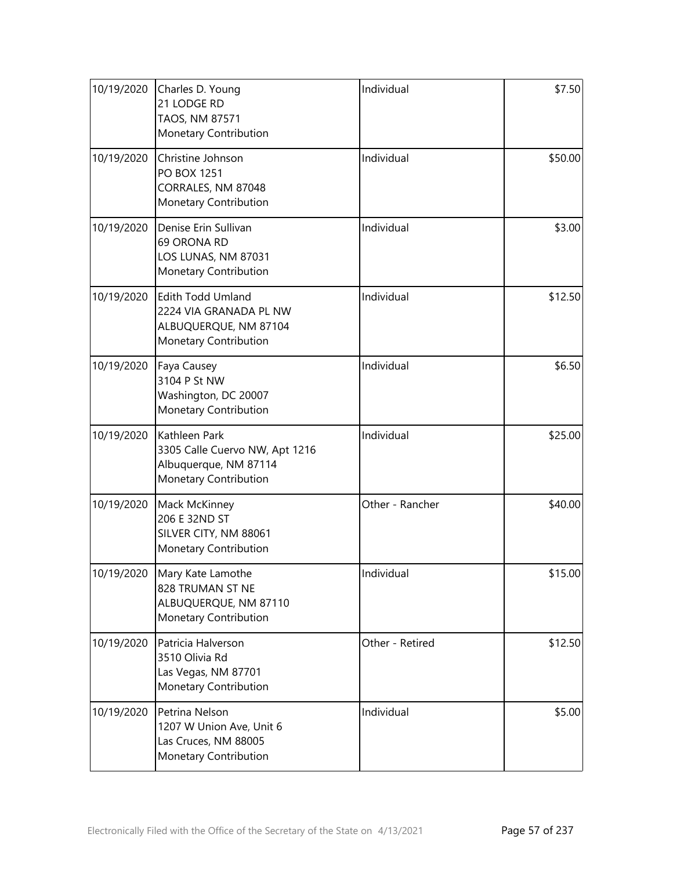| 10/19/2020 | Charles D. Young<br>21 LODGE RD<br>TAOS, NM 87571<br>Monetary Contribution                           | Individual      | \$7.50  |
|------------|------------------------------------------------------------------------------------------------------|-----------------|---------|
| 10/19/2020 | Christine Johnson<br><b>PO BOX 1251</b><br>CORRALES, NM 87048<br>Monetary Contribution               | Individual      | \$50.00 |
| 10/19/2020 | Denise Erin Sullivan<br>69 ORONA RD<br>LOS LUNAS, NM 87031<br>Monetary Contribution                  | Individual      | \$3.00  |
| 10/19/2020 | <b>Edith Todd Umland</b><br>2224 VIA GRANADA PL NW<br>ALBUQUERQUE, NM 87104<br>Monetary Contribution | Individual      | \$12.50 |
| 10/19/2020 | Faya Causey<br>3104 P St NW<br>Washington, DC 20007<br>Monetary Contribution                         | Individual      | \$6.50  |
| 10/19/2020 | Kathleen Park<br>3305 Calle Cuervo NW, Apt 1216<br>Albuquerque, NM 87114<br>Monetary Contribution    | Individual      | \$25.00 |
| 10/19/2020 | Mack McKinney<br>206 E 32ND ST<br>SILVER CITY, NM 88061<br>Monetary Contribution                     | Other - Rancher | \$40.00 |
| 10/19/2020 | Mary Kate Lamothe<br>828 TRUMAN ST NE<br>ALBUQUERQUE, NM 87110<br>Monetary Contribution              | Individual      | \$15.00 |
| 10/19/2020 | Patricia Halverson<br>3510 Olivia Rd<br>Las Vegas, NM 87701<br>Monetary Contribution                 | Other - Retired | \$12.50 |
| 10/19/2020 | Petrina Nelson<br>1207 W Union Ave, Unit 6<br>Las Cruces, NM 88005<br>Monetary Contribution          | Individual      | \$5.00  |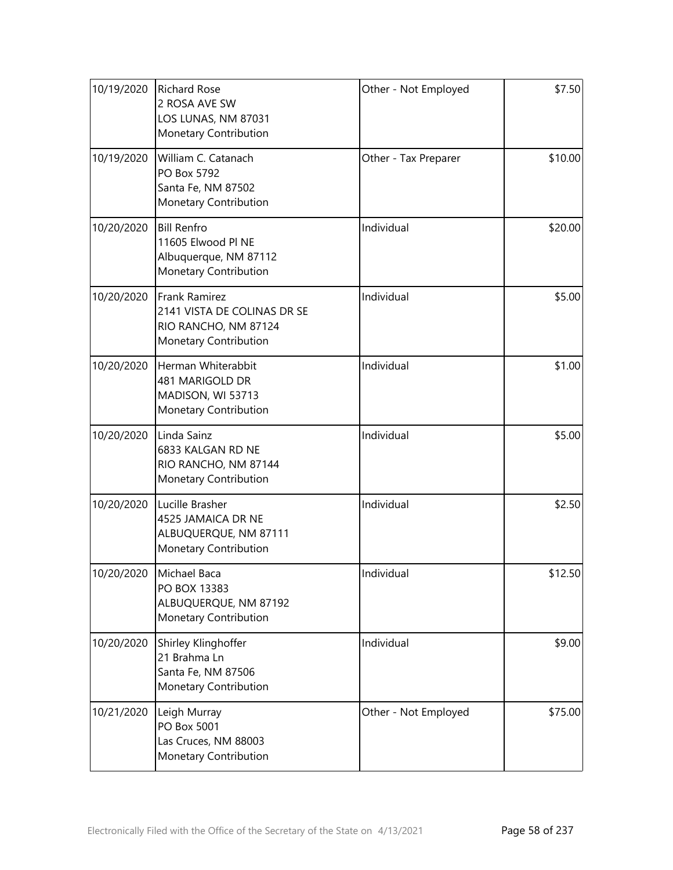| 10/19/2020 | <b>Richard Rose</b><br>2 ROSA AVE SW<br>LOS LUNAS, NM 87031<br>Monetary Contribution                 | Other - Not Employed | \$7.50  |
|------------|------------------------------------------------------------------------------------------------------|----------------------|---------|
| 10/19/2020 | William C. Catanach<br>PO Box 5792<br>Santa Fe, NM 87502<br>Monetary Contribution                    | Other - Tax Preparer | \$10.00 |
| 10/20/2020 | <b>Bill Renfro</b><br>11605 Elwood Pl NE<br>Albuquerque, NM 87112<br>Monetary Contribution           | Individual           | \$20.00 |
| 10/20/2020 | <b>Frank Ramirez</b><br>2141 VISTA DE COLINAS DR SE<br>RIO RANCHO, NM 87124<br>Monetary Contribution | Individual           | \$5.00  |
| 10/20/2020 | Herman Whiterabbit<br>481 MARIGOLD DR<br>MADISON, WI 53713<br>Monetary Contribution                  | Individual           | \$1.00  |
| 10/20/2020 | Linda Sainz<br>6833 KALGAN RD NE<br>RIO RANCHO, NM 87144<br>Monetary Contribution                    | Individual           | \$5.00  |
| 10/20/2020 | Lucille Brasher<br>4525 JAMAICA DR NE<br>ALBUQUERQUE, NM 87111<br>Monetary Contribution              | Individual           | \$2.50  |
| 10/20/2020 | Michael Baca<br>PO BOX 13383<br>ALBUQUERQUE, NM 87192<br>Monetary Contribution                       | Individual           | \$12.50 |
| 10/20/2020 | Shirley Klinghoffer<br>21 Brahma Ln<br>Santa Fe, NM 87506<br>Monetary Contribution                   | Individual           | \$9.00  |
| 10/21/2020 | Leigh Murray<br>PO Box 5001<br>Las Cruces, NM 88003<br>Monetary Contribution                         | Other - Not Employed | \$75.00 |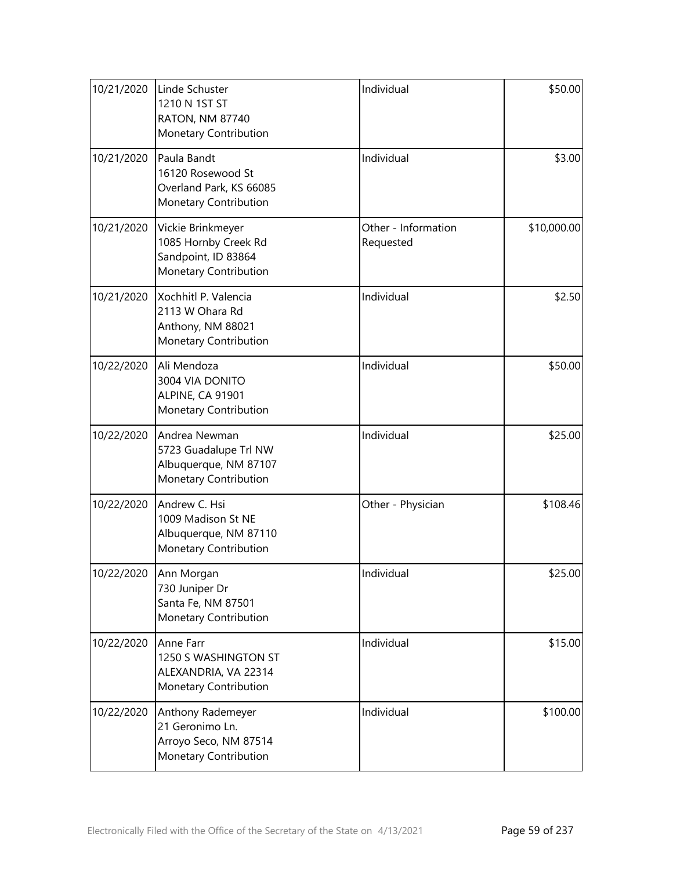| 10/21/2020 | Linde Schuster<br>1210 N 1ST ST<br><b>RATON, NM 87740</b><br>Monetary Contribution           | Individual                       | \$50.00     |
|------------|----------------------------------------------------------------------------------------------|----------------------------------|-------------|
| 10/21/2020 | Paula Bandt<br>16120 Rosewood St<br>Overland Park, KS 66085<br>Monetary Contribution         | Individual                       | \$3.00      |
| 10/21/2020 | Vickie Brinkmeyer<br>1085 Hornby Creek Rd<br>Sandpoint, ID 83864<br>Monetary Contribution    | Other - Information<br>Requested | \$10,000.00 |
| 10/21/2020 | Xochhitl P. Valencia<br>2113 W Ohara Rd<br>Anthony, NM 88021<br>Monetary Contribution        | Individual                       | \$2.50      |
| 10/22/2020 | Ali Mendoza<br>3004 VIA DONITO<br>ALPINE, CA 91901<br>Monetary Contribution                  | Individual                       | \$50.00     |
| 10/22/2020 | Andrea Newman<br>5723 Guadalupe Trl NW<br>Albuquerque, NM 87107<br>Monetary Contribution     | Individual                       | \$25.00     |
| 10/22/2020 | Andrew C. Hsi<br>1009 Madison St NE<br>Albuquerque, NM 87110<br><b>Monetary Contribution</b> | Other - Physician                | \$108.46    |
|            | 10/22/2020  Ann Morgan<br>730 Juniper Dr<br>Santa Fe, NM 87501<br>Monetary Contribution      | Individual                       | \$25.00     |
| 10/22/2020 | Anne Farr<br>1250 S WASHINGTON ST<br>ALEXANDRIA, VA 22314<br>Monetary Contribution           | Individual                       | \$15.00     |
| 10/22/2020 | Anthony Rademeyer<br>21 Geronimo Ln.<br>Arroyo Seco, NM 87514<br>Monetary Contribution       | Individual                       | \$100.00    |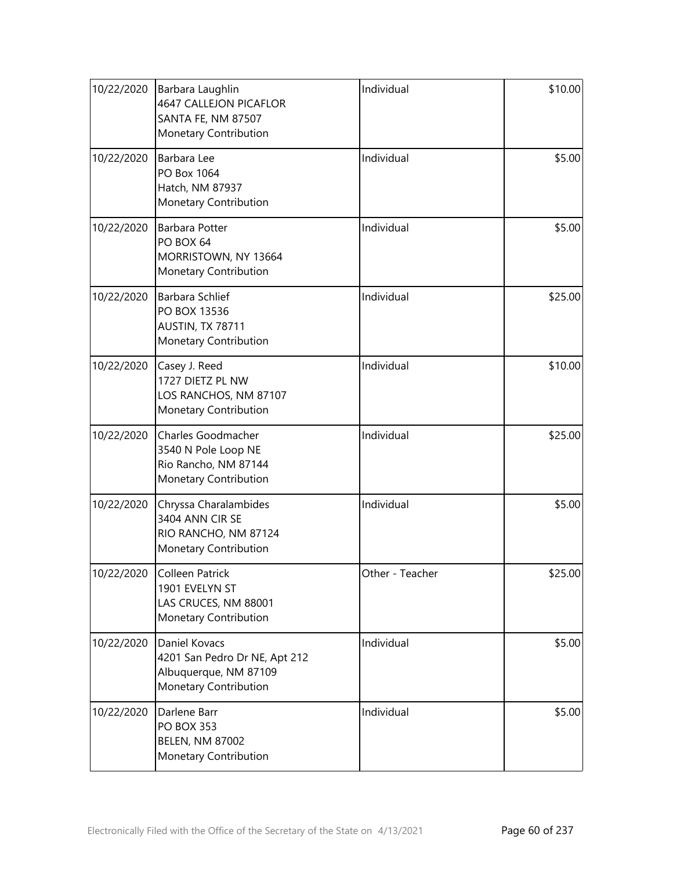| 10/22/2020 | Barbara Laughlin<br><b>4647 CALLEJON PICAFLOR</b><br>SANTA FE, NM 87507<br>Monetary Contribution        | Individual      | \$10.00 |
|------------|---------------------------------------------------------------------------------------------------------|-----------------|---------|
| 10/22/2020 | Barbara Lee<br>PO Box 1064<br>Hatch, NM 87937<br>Monetary Contribution                                  | Individual      | \$5.00  |
| 10/22/2020 | <b>Barbara Potter</b><br>PO BOX 64<br>MORRISTOWN, NY 13664<br>Monetary Contribution                     | Individual      | \$5.00  |
| 10/22/2020 | Barbara Schlief<br>PO BOX 13536<br>AUSTIN, TX 78711<br>Monetary Contribution                            | Individual      | \$25.00 |
| 10/22/2020 | Casey J. Reed<br>1727 DIETZ PL NW<br>LOS RANCHOS, NM 87107<br>Monetary Contribution                     | Individual      | \$10.00 |
| 10/22/2020 | Charles Goodmacher<br>3540 N Pole Loop NE<br>Rio Rancho, NM 87144<br>Monetary Contribution              | Individual      | \$25.00 |
| 10/22/2020 | Chryssa Charalambides<br>3404 ANN CIR SE<br>RIO RANCHO, NM 87124<br>Monetary Contribution               | Individual      | \$5.00  |
| 10/22/2020 | Colleen Patrick<br>1901 EVELYN ST<br>LAS CRUCES, NM 88001<br>Monetary Contribution                      | Other - Teacher | \$25.00 |
| 10/22/2020 | <b>Daniel Kovacs</b><br>4201 San Pedro Dr NE, Apt 212<br>Albuquerque, NM 87109<br>Monetary Contribution | Individual      | \$5.00  |
| 10/22/2020 | Darlene Barr<br><b>PO BOX 353</b><br><b>BELEN, NM 87002</b><br>Monetary Contribution                    | Individual      | \$5.00  |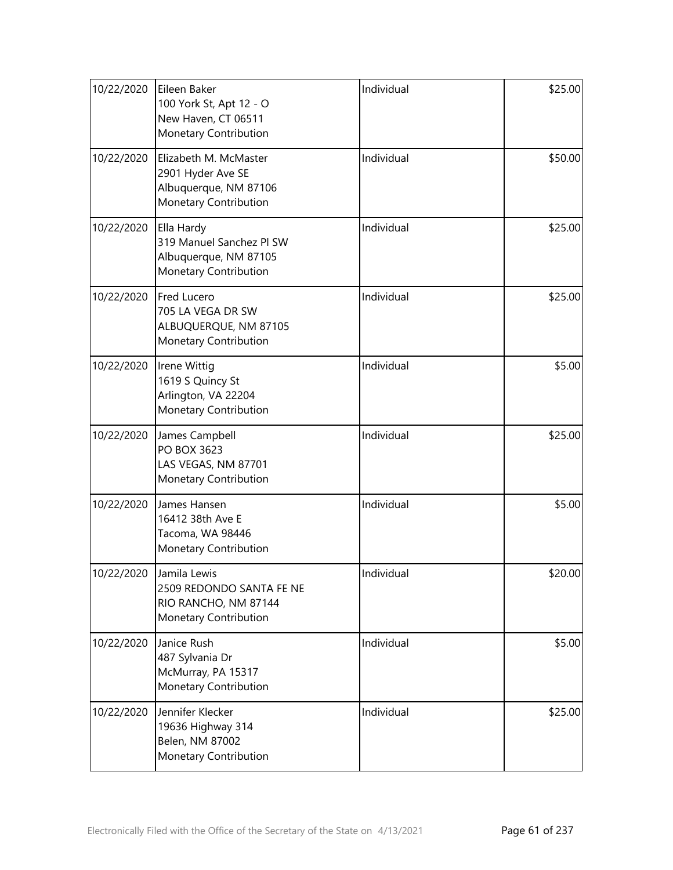| 10/22/2020 | Eileen Baker<br>100 York St, Apt 12 - O<br>New Haven, CT 06511<br>Monetary Contribution      | Individual | \$25.00 |
|------------|----------------------------------------------------------------------------------------------|------------|---------|
| 10/22/2020 | Elizabeth M. McMaster<br>2901 Hyder Ave SE<br>Albuquerque, NM 87106<br>Monetary Contribution | Individual | \$50.00 |
| 10/22/2020 | Ella Hardy<br>319 Manuel Sanchez Pl SW<br>Albuquerque, NM 87105<br>Monetary Contribution     | Individual | \$25.00 |
| 10/22/2020 | Fred Lucero<br>705 LA VEGA DR SW<br>ALBUQUERQUE, NM 87105<br>Monetary Contribution           | Individual | \$25.00 |
| 10/22/2020 | Irene Wittig<br>1619 S Quincy St<br>Arlington, VA 22204<br>Monetary Contribution             | Individual | \$5.00  |
| 10/22/2020 | James Campbell<br>PO BOX 3623<br>LAS VEGAS, NM 87701<br>Monetary Contribution                | Individual | \$25.00 |
| 10/22/2020 | James Hansen<br>16412 38th Ave E<br>Tacoma, WA 98446<br>Monetary Contribution                | Individual | \$5.00  |
| 10/22/2020 | Jamila Lewis<br>2509 REDONDO SANTA FE NE<br>RIO RANCHO, NM 87144<br>Monetary Contribution    | Individual | \$20.00 |
| 10/22/2020 | Janice Rush<br>487 Sylvania Dr<br>McMurray, PA 15317<br>Monetary Contribution                | Individual | \$5.00  |
| 10/22/2020 | Jennifer Klecker<br>19636 Highway 314<br>Belen, NM 87002<br>Monetary Contribution            | Individual | \$25.00 |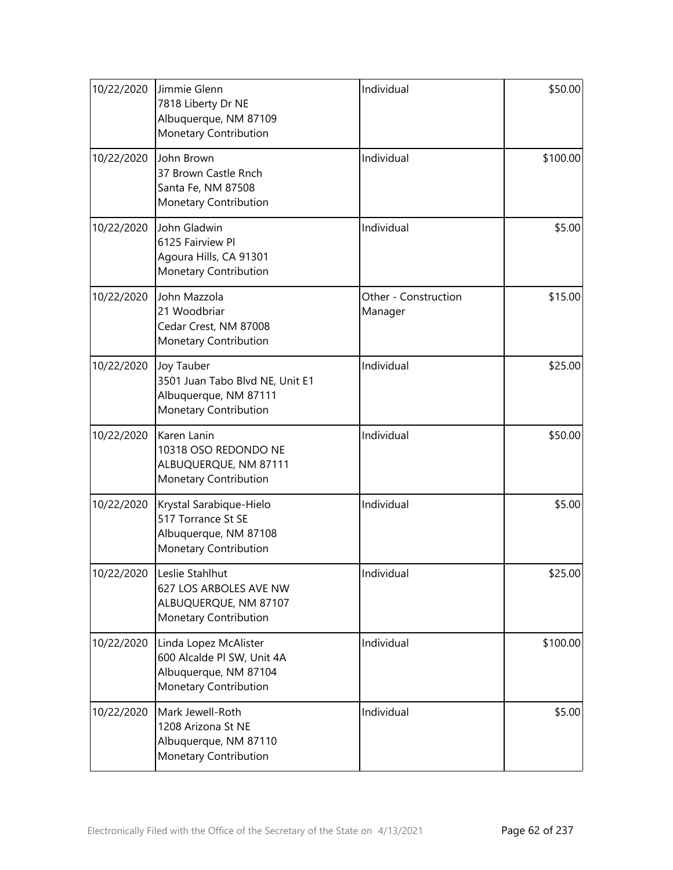| 10/22/2020 | Jimmie Glenn<br>7818 Liberty Dr NE<br>Albuquerque, NM 87109<br>Monetary Contribution                  | Individual                      | \$50.00  |
|------------|-------------------------------------------------------------------------------------------------------|---------------------------------|----------|
| 10/22/2020 | John Brown<br>37 Brown Castle Rnch<br>Santa Fe, NM 87508<br>Monetary Contribution                     | Individual                      | \$100.00 |
| 10/22/2020 | John Gladwin<br>6125 Fairview Pl<br>Agoura Hills, CA 91301<br>Monetary Contribution                   | Individual                      | \$5.00   |
| 10/22/2020 | John Mazzola<br>21 Woodbriar<br>Cedar Crest, NM 87008<br>Monetary Contribution                        | Other - Construction<br>Manager | \$15.00  |
| 10/22/2020 | Joy Tauber<br>3501 Juan Tabo Blvd NE, Unit E1<br>Albuquerque, NM 87111<br>Monetary Contribution       | Individual                      | \$25.00  |
| 10/22/2020 | Karen Lanin<br>10318 OSO REDONDO NE<br>ALBUQUERQUE, NM 87111<br>Monetary Contribution                 | Individual                      | \$50.00  |
| 10/22/2020 | Krystal Sarabique-Hielo<br>517 Torrance St SE<br>Albuquerque, NM 87108<br>Monetary Contribution       | Individual                      | \$5.00   |
| 10/22/2020 | Leslie Stahlhut<br>627 LOS ARBOLES AVE NW<br>ALBUQUERQUE, NM 87107<br>Monetary Contribution           | Individual                      | \$25.00  |
| 10/22/2020 | Linda Lopez McAlister<br>600 Alcalde Pl SW, Unit 4A<br>Albuquerque, NM 87104<br>Monetary Contribution | Individual                      | \$100.00 |
| 10/22/2020 | Mark Jewell-Roth<br>1208 Arizona St NE<br>Albuquerque, NM 87110<br>Monetary Contribution              | Individual                      | \$5.00   |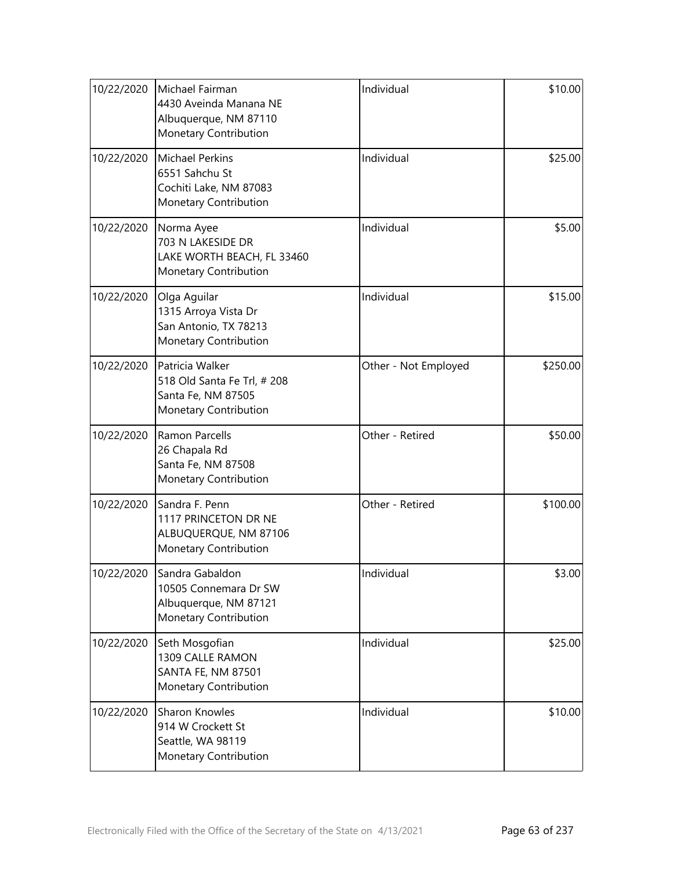| 10/22/2020 | Michael Fairman<br>4430 Aveinda Manana NE<br>Albuquerque, NM 87110<br>Monetary Contribution   | Individual           | \$10.00  |
|------------|-----------------------------------------------------------------------------------------------|----------------------|----------|
| 10/22/2020 | <b>Michael Perkins</b><br>6551 Sahchu St<br>Cochiti Lake, NM 87083<br>Monetary Contribution   | Individual           | \$25.00  |
| 10/22/2020 | Norma Ayee<br>703 N LAKESIDE DR<br>LAKE WORTH BEACH, FL 33460<br>Monetary Contribution        | Individual           | \$5.00   |
| 10/22/2020 | Olga Aguilar<br>1315 Arroya Vista Dr<br>San Antonio, TX 78213<br>Monetary Contribution        | Individual           | \$15.00  |
| 10/22/2020 | Patricia Walker<br>518 Old Santa Fe Trl, # 208<br>Santa Fe, NM 87505<br>Monetary Contribution | Other - Not Employed | \$250.00 |
| 10/22/2020 | <b>Ramon Parcells</b><br>26 Chapala Rd<br>Santa Fe, NM 87508<br>Monetary Contribution         | Other - Retired      | \$50.00  |
| 10/22/2020 | Sandra F. Penn<br>1117 PRINCETON DR NE<br>ALBUQUERQUE, NM 87106<br>Monetary Contribution      | Other - Retired      | \$100.00 |
| 10/22/2020 | Sandra Gabaldon<br>10505 Connemara Dr SW<br>Albuquerque, NM 87121<br>Monetary Contribution    | Individual           | \$3.00   |
| 10/22/2020 | Seth Mosgofian<br>1309 CALLE RAMON<br><b>SANTA FE, NM 87501</b><br>Monetary Contribution      | Individual           | \$25.00  |
| 10/22/2020 | Sharon Knowles<br>914 W Crockett St<br>Seattle, WA 98119<br>Monetary Contribution             | Individual           | \$10.00  |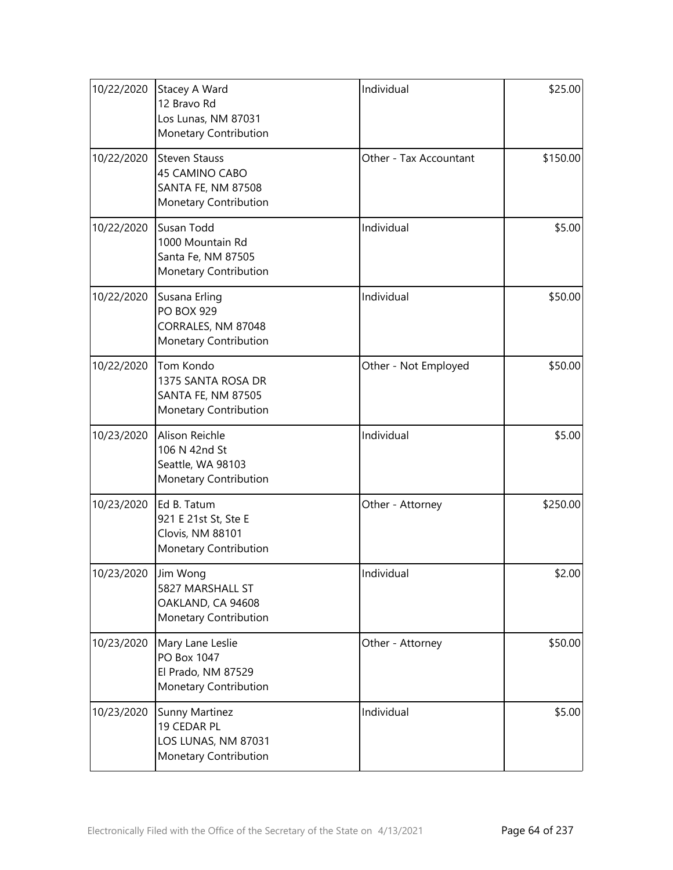| 10/22/2020 | Stacey A Ward<br>12 Bravo Rd<br>Los Lunas, NM 87031<br>Monetary Contribution          | Individual             | \$25.00  |
|------------|---------------------------------------------------------------------------------------|------------------------|----------|
| 10/22/2020 | <b>Steven Stauss</b><br>45 CAMINO CABO<br>SANTA FE, NM 87508<br>Monetary Contribution | Other - Tax Accountant | \$150.00 |
| 10/22/2020 | Susan Todd<br>1000 Mountain Rd<br>Santa Fe, NM 87505<br>Monetary Contribution         | Individual             | \$5.00   |
| 10/22/2020 | Susana Erling<br><b>PO BOX 929</b><br>CORRALES, NM 87048<br>Monetary Contribution     | Individual             | \$50.00  |
| 10/22/2020 | Tom Kondo<br>1375 SANTA ROSA DR<br><b>SANTA FE, NM 87505</b><br>Monetary Contribution | Other - Not Employed   | \$50.00  |
| 10/23/2020 | Alison Reichle<br>106 N 42nd St<br>Seattle, WA 98103<br>Monetary Contribution         | Individual             | \$5.00   |
| 10/23/2020 | Ed B. Tatum<br>921 E 21st St, Ste E<br>Clovis, NM 88101<br>Monetary Contribution      | Other - Attorney       | \$250.00 |
| 10/23/2020 | Jim Wong<br>5827 MARSHALL ST<br>OAKLAND, CA 94608<br>Monetary Contribution            | Individual             | \$2.00   |
| 10/23/2020 | Mary Lane Leslie<br>PO Box 1047<br>El Prado, NM 87529<br>Monetary Contribution        | Other - Attorney       | \$50.00  |
| 10/23/2020 | Sunny Martinez<br>19 CEDAR PL<br>LOS LUNAS, NM 87031<br>Monetary Contribution         | Individual             | \$5.00   |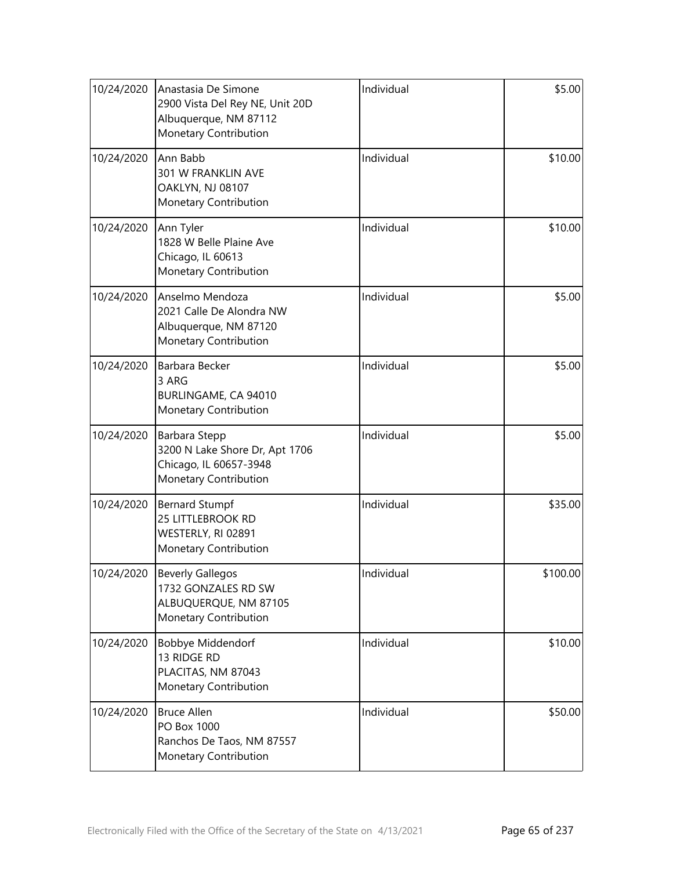| 10/24/2020 | Anastasia De Simone<br>2900 Vista Del Rey NE, Unit 20D<br>Albuquerque, NM 87112<br>Monetary Contribution | Individual | \$5.00   |
|------------|----------------------------------------------------------------------------------------------------------|------------|----------|
| 10/24/2020 | Ann Babb<br>301 W FRANKLIN AVE<br>OAKLYN, NJ 08107<br>Monetary Contribution                              | Individual | \$10.00  |
| 10/24/2020 | Ann Tyler<br>1828 W Belle Plaine Ave<br>Chicago, IL 60613<br>Monetary Contribution                       | Individual | \$10.00  |
| 10/24/2020 | Anselmo Mendoza<br>2021 Calle De Alondra NW<br>Albuquerque, NM 87120<br>Monetary Contribution            | Individual | \$5.00   |
| 10/24/2020 | Barbara Becker<br>3 ARG<br>BURLINGAME, CA 94010<br>Monetary Contribution                                 | Individual | \$5.00   |
| 10/24/2020 | Barbara Stepp<br>3200 N Lake Shore Dr, Apt 1706<br>Chicago, IL 60657-3948<br>Monetary Contribution       | Individual | \$5.00   |
| 10/24/2020 | <b>Bernard Stumpf</b><br>25 LITTLEBROOK RD<br>WESTERLY, RI 02891<br>Monetary Contribution                | Individual | \$35.00  |
| 10/24/2020 | <b>Beverly Gallegos</b><br>1732 GONZALES RD SW<br>ALBUQUERQUE, NM 87105<br>Monetary Contribution         | Individual | \$100.00 |
| 10/24/2020 | Bobbye Middendorf<br>13 RIDGE RD<br>PLACITAS, NM 87043<br>Monetary Contribution                          | Individual | \$10.00  |
| 10/24/2020 | <b>Bruce Allen</b><br>PO Box 1000<br>Ranchos De Taos, NM 87557<br>Monetary Contribution                  | Individual | \$50.00  |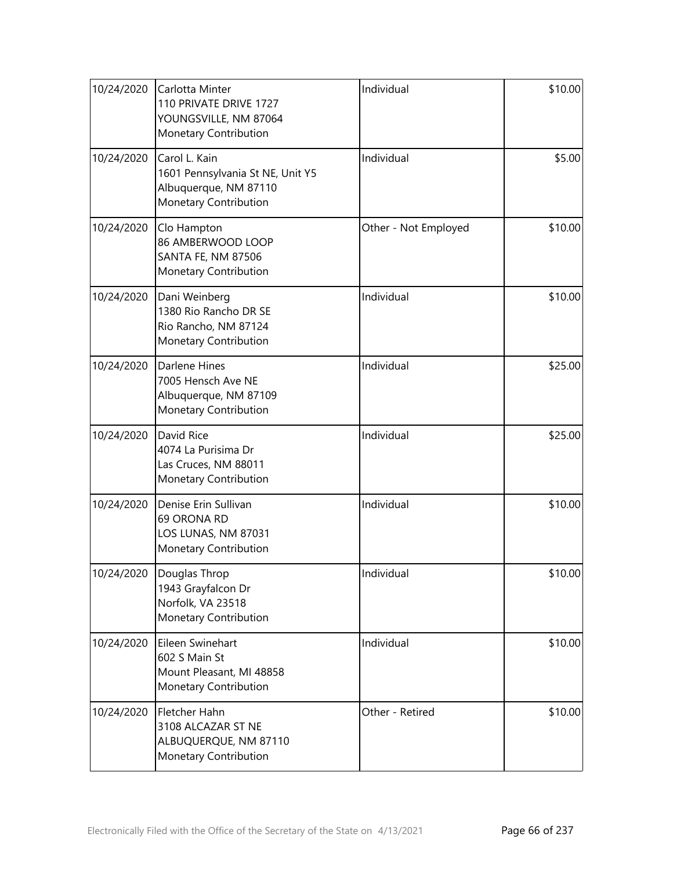| 10/24/2020 | Carlotta Minter<br>110 PRIVATE DRIVE 1727<br>YOUNGSVILLE, NM 87064<br>Monetary Contribution         | Individual           | \$10.00 |
|------------|-----------------------------------------------------------------------------------------------------|----------------------|---------|
| 10/24/2020 | Carol L. Kain<br>1601 Pennsylvania St NE, Unit Y5<br>Albuquerque, NM 87110<br>Monetary Contribution | Individual           | \$5.00  |
| 10/24/2020 | Clo Hampton<br>86 AMBERWOOD LOOP<br><b>SANTA FE, NM 87506</b><br>Monetary Contribution              | Other - Not Employed | \$10.00 |
| 10/24/2020 | Dani Weinberg<br>1380 Rio Rancho DR SE<br>Rio Rancho, NM 87124<br>Monetary Contribution             | Individual           | \$10.00 |
| 10/24/2020 | <b>Darlene Hines</b><br>7005 Hensch Ave NE<br>Albuquerque, NM 87109<br>Monetary Contribution        | Individual           | \$25.00 |
| 10/24/2020 | David Rice<br>4074 La Purisima Dr<br>Las Cruces, NM 88011<br>Monetary Contribution                  | Individual           | \$25.00 |
| 10/24/2020 | Denise Erin Sullivan<br>69 ORONA RD<br>LOS LUNAS, NM 87031<br>Monetary Contribution                 | Individual           | \$10.00 |
| 10/24/2020 | Douglas Throp<br>1943 Grayfalcon Dr<br>Norfolk, VA 23518<br>Monetary Contribution                   | Individual           | \$10.00 |
| 10/24/2020 | Eileen Swinehart<br>602 S Main St<br>Mount Pleasant, MI 48858<br>Monetary Contribution              | Individual           | \$10.00 |
| 10/24/2020 | Fletcher Hahn<br>3108 ALCAZAR ST NE<br>ALBUQUERQUE, NM 87110<br>Monetary Contribution               | Other - Retired      | \$10.00 |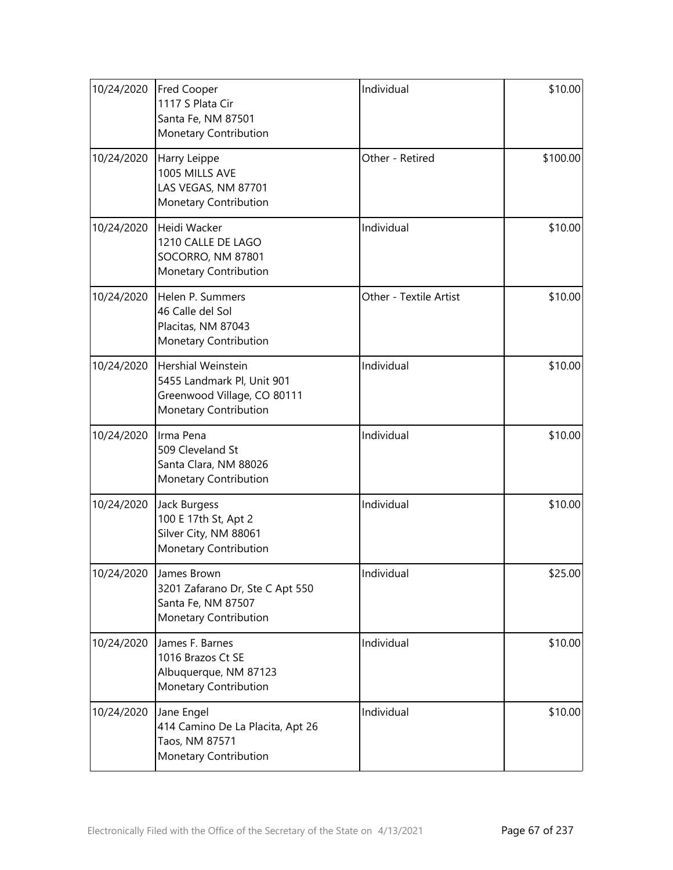| 10/24/2020 | <b>Fred Cooper</b><br>1117 S Plata Cir<br>Santa Fe, NM 87501<br>Monetary Contribution                           | Individual             | \$10.00  |
|------------|-----------------------------------------------------------------------------------------------------------------|------------------------|----------|
| 10/24/2020 | Harry Leippe<br>1005 MILLS AVE<br>LAS VEGAS, NM 87701<br>Monetary Contribution                                  | Other - Retired        | \$100.00 |
| 10/24/2020 | Heidi Wacker<br>1210 CALLE DE LAGO<br>SOCORRO, NM 87801<br>Monetary Contribution                                | Individual             | \$10.00  |
| 10/24/2020 | Helen P. Summers<br>46 Calle del Sol<br>Placitas, NM 87043<br>Monetary Contribution                             | Other - Textile Artist | \$10.00  |
| 10/24/2020 | <b>Hershial Weinstein</b><br>5455 Landmark Pl, Unit 901<br>Greenwood Village, CO 80111<br>Monetary Contribution | Individual             | \$10.00  |
| 10/24/2020 | Irma Pena<br>509 Cleveland St<br>Santa Clara, NM 88026<br>Monetary Contribution                                 | Individual             | \$10.00  |
| 10/24/2020 | Jack Burgess<br>100 E 17th St, Apt 2<br>Silver City, NM 88061<br>Monetary Contribution                          | Individual             | \$10.00  |
| 10/24/2020 | James Brown<br>3201 Zafarano Dr, Ste C Apt 550<br>Santa Fe, NM 87507<br>Monetary Contribution                   | Individual             | \$25.00  |
| 10/24/2020 | James F. Barnes<br>1016 Brazos Ct SE<br>Albuquerque, NM 87123<br>Monetary Contribution                          | Individual             | \$10.00  |
| 10/24/2020 | Jane Engel<br>414 Camino De La Placita, Apt 26<br>Taos, NM 87571<br>Monetary Contribution                       | Individual             | \$10.00  |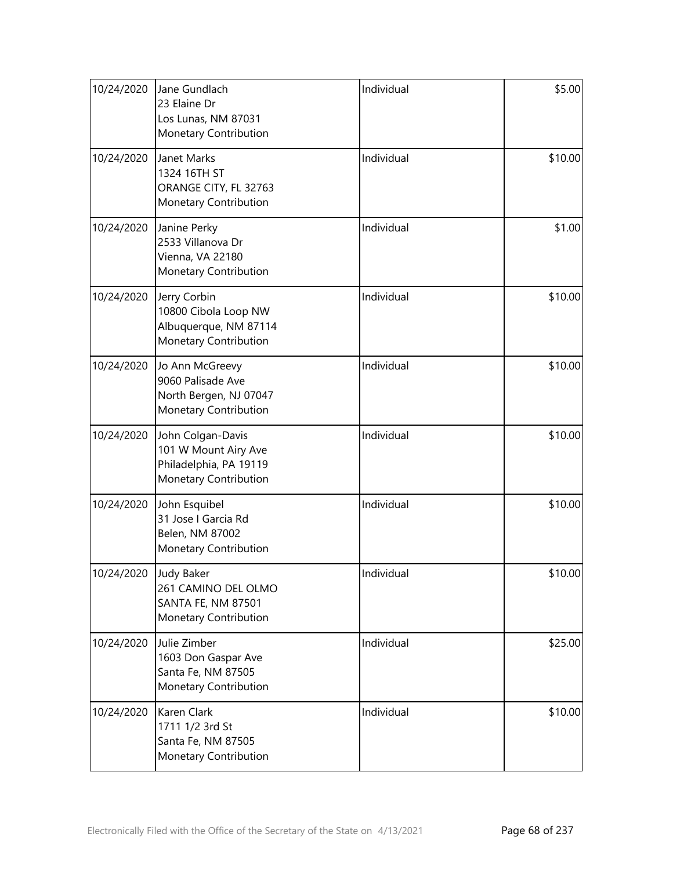| 10/24/2020            | Jane Gundlach<br>23 Elaine Dr<br>Los Lunas, NM 87031<br>Monetary Contribution                | Individual | \$5.00  |
|-----------------------|----------------------------------------------------------------------------------------------|------------|---------|
| 10/24/2020            | Janet Marks<br>1324 16TH ST<br>ORANGE CITY, FL 32763<br>Monetary Contribution                | Individual | \$10.00 |
| 10/24/2020            | Janine Perky<br>2533 Villanova Dr<br>Vienna, VA 22180<br>Monetary Contribution               | Individual | \$1.00  |
| 10/24/2020            | Jerry Corbin<br>10800 Cibola Loop NW<br>Albuquerque, NM 87114<br>Monetary Contribution       | Individual | \$10.00 |
| 10/24/2020            | Jo Ann McGreevy<br>9060 Palisade Ave<br>North Bergen, NJ 07047<br>Monetary Contribution      | Individual | \$10.00 |
| 10/24/2020            | John Colgan-Davis<br>101 W Mount Airy Ave<br>Philadelphia, PA 19119<br>Monetary Contribution | Individual | \$10.00 |
| 10/24/2020            | John Esquibel<br>31 Jose I Garcia Rd<br>Belen, NM 87002<br>Monetary Contribution             | Individual | \$10.00 |
| 10/24/2020 Judy Baker | 261 CAMINO DEL OLMO<br><b>SANTA FE, NM 87501</b><br>Monetary Contribution                    | Individual | \$10.00 |
| 10/24/2020            | Julie Zimber<br>1603 Don Gaspar Ave<br>Santa Fe, NM 87505<br>Monetary Contribution           | Individual | \$25.00 |
| 10/24/2020            | Karen Clark<br>1711 1/2 3rd St<br>Santa Fe, NM 87505<br>Monetary Contribution                | Individual | \$10.00 |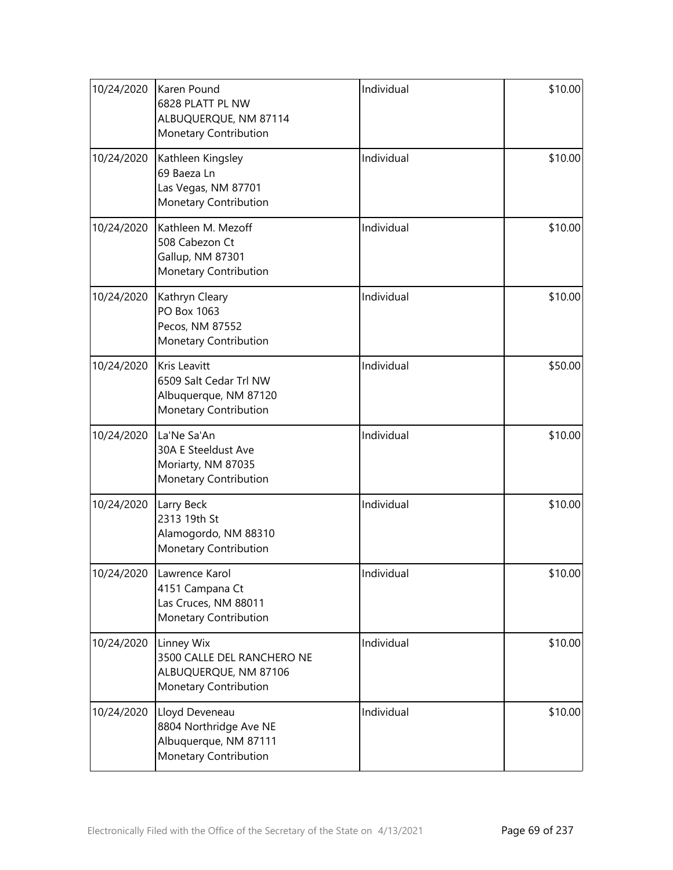| 10/24/2020 | Karen Pound<br>6828 PLATT PL NW<br>ALBUQUERQUE, NM 87114<br>Monetary Contribution               | Individual | \$10.00 |
|------------|-------------------------------------------------------------------------------------------------|------------|---------|
| 10/24/2020 | Kathleen Kingsley<br>69 Baeza Ln<br>Las Vegas, NM 87701<br>Monetary Contribution                | Individual | \$10.00 |
| 10/24/2020 | Kathleen M. Mezoff<br>508 Cabezon Ct<br>Gallup, NM 87301<br>Monetary Contribution               | Individual | \$10.00 |
| 10/24/2020 | Kathryn Cleary<br>PO Box 1063<br>Pecos, NM 87552<br>Monetary Contribution                       | Individual | \$10.00 |
| 10/24/2020 | <b>Kris Leavitt</b><br>6509 Salt Cedar Trl NW<br>Albuquerque, NM 87120<br>Monetary Contribution | Individual | \$50.00 |
| 10/24/2020 | La'Ne Sa'An<br>30A E Steeldust Ave<br>Moriarty, NM 87035<br>Monetary Contribution               | Individual | \$10.00 |
| 10/24/2020 | Larry Beck<br>2313 19th St<br>Alamogordo, NM 88310<br>Monetary Contribution                     | Individual | \$10.00 |
| 10/24/2020 | Lawrence Karol<br>4151 Campana Ct<br>Las Cruces, NM 88011<br>Monetary Contribution              | Individual | \$10.00 |
| 10/24/2020 | Linney Wix<br>3500 CALLE DEL RANCHERO NE<br>ALBUQUERQUE, NM 87106<br>Monetary Contribution      | Individual | \$10.00 |
| 10/24/2020 | Lloyd Deveneau<br>8804 Northridge Ave NE<br>Albuquerque, NM 87111<br>Monetary Contribution      | Individual | \$10.00 |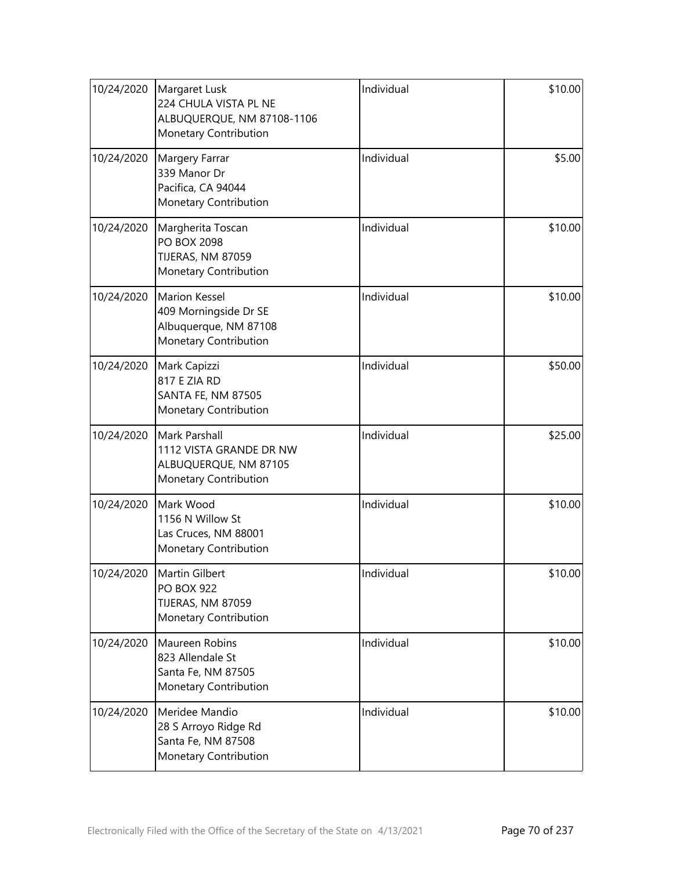| 10/24/2020 | Margaret Lusk<br>224 CHULA VISTA PL NE<br>ALBUQUERQUE, NM 87108-1106<br>Monetary Contribution   | Individual | \$10.00 |
|------------|-------------------------------------------------------------------------------------------------|------------|---------|
| 10/24/2020 | Margery Farrar<br>339 Manor Dr<br>Pacifica, CA 94044<br>Monetary Contribution                   | Individual | \$5.00  |
| 10/24/2020 | Margherita Toscan<br>PO BOX 2098<br>TIJERAS, NM 87059<br>Monetary Contribution                  | Individual | \$10.00 |
| 10/24/2020 | <b>Marion Kessel</b><br>409 Morningside Dr SE<br>Albuquerque, NM 87108<br>Monetary Contribution | Individual | \$10.00 |
| 10/24/2020 | Mark Capizzi<br>817 E ZIA RD<br><b>SANTA FE, NM 87505</b><br>Monetary Contribution              | Individual | \$50.00 |
| 10/24/2020 | Mark Parshall<br>1112 VISTA GRANDE DR NW<br>ALBUQUERQUE, NM 87105<br>Monetary Contribution      | Individual | \$25.00 |
| 10/24/2020 | Mark Wood<br>1156 N Willow St<br>Las Cruces, NM 88001<br>Monetary Contribution                  | Individual | \$10.00 |
| 10/24/2020 | Martin Gilbert<br><b>PO BOX 922</b><br>TIJERAS, NM 87059<br>Monetary Contribution               | Individual | \$10.00 |
| 10/24/2020 | Maureen Robins<br>823 Allendale St<br>Santa Fe, NM 87505<br>Monetary Contribution               | Individual | \$10.00 |
| 10/24/2020 | Meridee Mandio<br>28 S Arroyo Ridge Rd<br>Santa Fe, NM 87508<br>Monetary Contribution           | Individual | \$10.00 |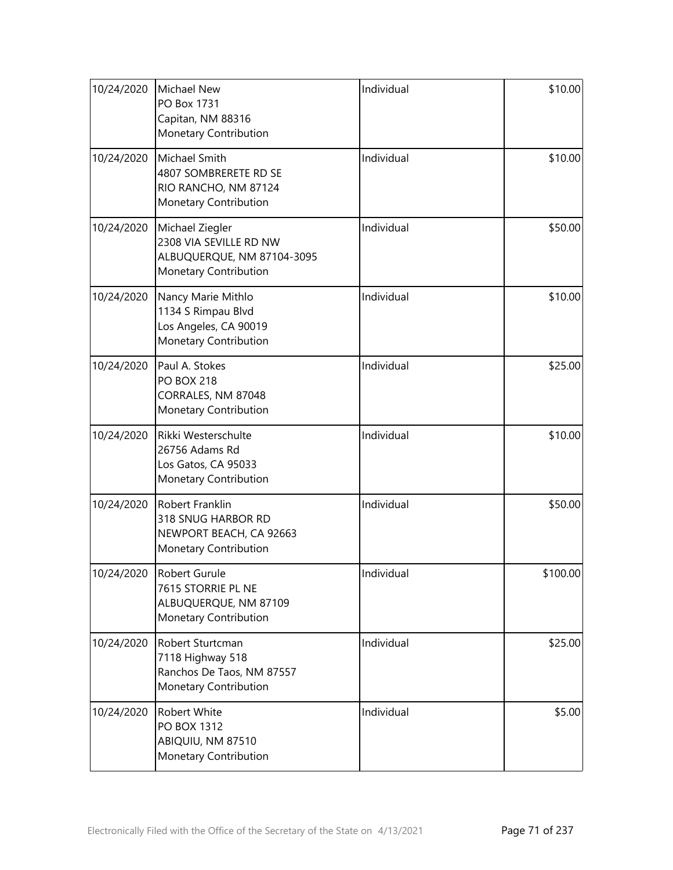| 10/24/2020 | <b>Michael New</b><br>PO Box 1731<br>Capitan, NM 88316<br>Monetary Contribution                  | Individual | \$10.00  |
|------------|--------------------------------------------------------------------------------------------------|------------|----------|
| 10/24/2020 | Michael Smith<br>4807 SOMBRERETE RD SE<br>RIO RANCHO, NM 87124<br>Monetary Contribution          | Individual | \$10.00  |
| 10/24/2020 | Michael Ziegler<br>2308 VIA SEVILLE RD NW<br>ALBUQUERQUE, NM 87104-3095<br>Monetary Contribution | Individual | \$50.00  |
| 10/24/2020 | Nancy Marie Mithlo<br>1134 S Rimpau Blvd<br>Los Angeles, CA 90019<br>Monetary Contribution       | Individual | \$10.00  |
| 10/24/2020 | Paul A. Stokes<br><b>PO BOX 218</b><br>CORRALES, NM 87048<br>Monetary Contribution               | Individual | \$25.00  |
| 10/24/2020 | Rikki Westerschulte<br>26756 Adams Rd<br>Los Gatos, CA 95033<br>Monetary Contribution            | Individual | \$10.00  |
| 10/24/2020 | Robert Franklin<br>318 SNUG HARBOR RD<br>NEWPORT BEACH, CA 92663<br><b>Monetary Contribution</b> | Individual | \$50.00  |
| 10/24/2020 | Robert Gurule<br>7615 STORRIE PL NE<br>ALBUQUERQUE, NM 87109<br>Monetary Contribution            | Individual | \$100.00 |
| 10/24/2020 | Robert Sturtcman<br>7118 Highway 518<br>Ranchos De Taos, NM 87557<br>Monetary Contribution       | Individual | \$25.00  |
| 10/24/2020 | Robert White<br>PO BOX 1312<br>ABIQUIU, NM 87510<br>Monetary Contribution                        | Individual | \$5.00   |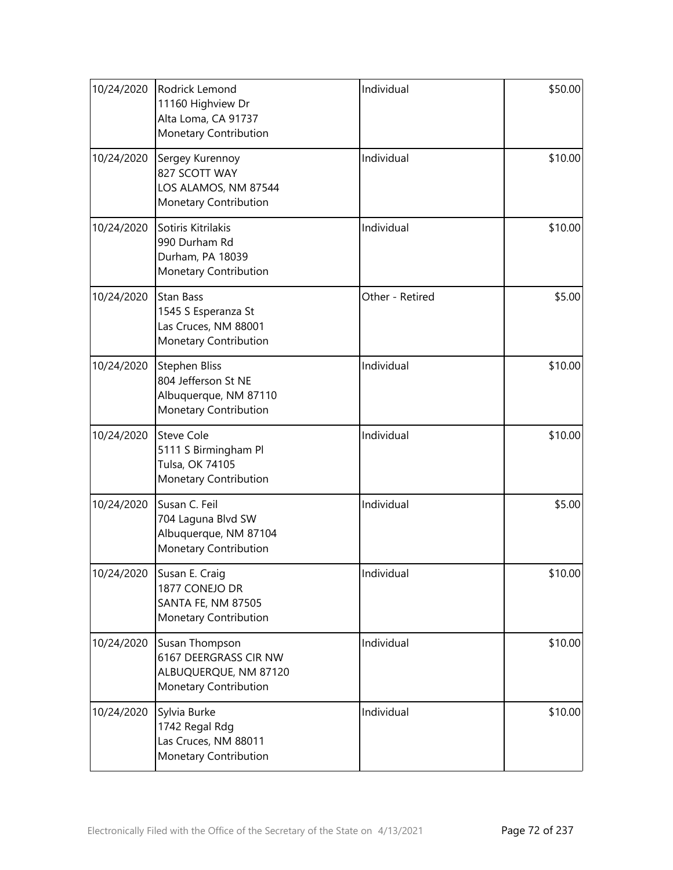| 10/24/2020 | Rodrick Lemond<br>11160 Highview Dr<br>Alta Loma, CA 91737<br>Monetary Contribution              | Individual      | \$50.00 |
|------------|--------------------------------------------------------------------------------------------------|-----------------|---------|
| 10/24/2020 | Sergey Kurennoy<br>827 SCOTT WAY<br>LOS ALAMOS, NM 87544<br>Monetary Contribution                | Individual      | \$10.00 |
| 10/24/2020 | Sotiris Kitrilakis<br>990 Durham Rd<br>Durham, PA 18039<br>Monetary Contribution                 | Individual      | \$10.00 |
| 10/24/2020 | <b>Stan Bass</b><br>1545 S Esperanza St<br>Las Cruces, NM 88001<br>Monetary Contribution         | Other - Retired | \$5.00  |
| 10/24/2020 | <b>Stephen Bliss</b><br>804 Jefferson St NE<br>Albuquerque, NM 87110<br>Monetary Contribution    | Individual      | \$10.00 |
| 10/24/2020 | <b>Steve Cole</b><br>5111 S Birmingham Pl<br>Tulsa, OK 74105<br>Monetary Contribution            | Individual      | \$10.00 |
| 10/24/2020 | Susan C. Feil<br>704 Laguna Blvd SW<br>Albuquerque, NM 87104<br>Monetary Contribution            | Individual      | \$5.00  |
| 10/24/2020 | Susan E. Craig<br>1877 CONEJO DR<br><b>SANTA FE, NM 87505</b><br>Monetary Contribution           | Individual      | \$10.00 |
| 10/24/2020 | Susan Thompson<br>6167 DEERGRASS CIR NW<br>ALBUQUERQUE, NM 87120<br><b>Monetary Contribution</b> | Individual      | \$10.00 |
| 10/24/2020 | Sylvia Burke<br>1742 Regal Rdg<br>Las Cruces, NM 88011<br>Monetary Contribution                  | Individual      | \$10.00 |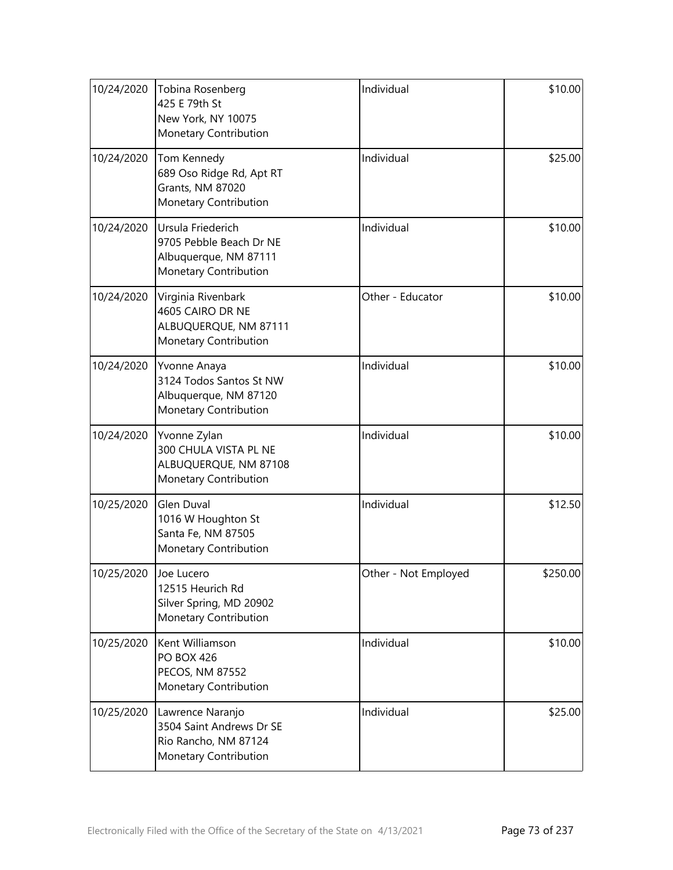| 10/24/2020 | Tobina Rosenberg<br>425 E 79th St<br>New York, NY 10075<br>Monetary Contribution               | Individual           | \$10.00  |
|------------|------------------------------------------------------------------------------------------------|----------------------|----------|
| 10/24/2020 | Tom Kennedy<br>689 Oso Ridge Rd, Apt RT<br>Grants, NM 87020<br>Monetary Contribution           | Individual           | \$25.00  |
| 10/24/2020 | Ursula Friederich<br>9705 Pebble Beach Dr NE<br>Albuquerque, NM 87111<br>Monetary Contribution | Individual           | \$10.00  |
| 10/24/2020 | Virginia Rivenbark<br>4605 CAIRO DR NE<br>ALBUQUERQUE, NM 87111<br>Monetary Contribution       | Other - Educator     | \$10.00  |
| 10/24/2020 | Yvonne Anaya<br>3124 Todos Santos St NW<br>Albuquerque, NM 87120<br>Monetary Contribution      | Individual           | \$10.00  |
| 10/24/2020 | Yvonne Zylan<br>300 CHULA VISTA PL NE<br>ALBUQUERQUE, NM 87108<br>Monetary Contribution        | Individual           | \$10.00  |
| 10/25/2020 | Glen Duval<br>1016 W Houghton St<br>Santa Fe, NM 87505<br>Monetary Contribution                | Individual           | \$12.50  |
| 10/25/2020 | Joe Lucero<br>12515 Heurich Rd<br>Silver Spring, MD 20902<br>Monetary Contribution             | Other - Not Employed | \$250.00 |
| 10/25/2020 | Kent Williamson<br><b>PO BOX 426</b><br>PECOS, NM 87552<br>Monetary Contribution               | Individual           | \$10.00  |
| 10/25/2020 | Lawrence Naranjo<br>3504 Saint Andrews Dr SE<br>Rio Rancho, NM 87124<br>Monetary Contribution  | Individual           | \$25.00  |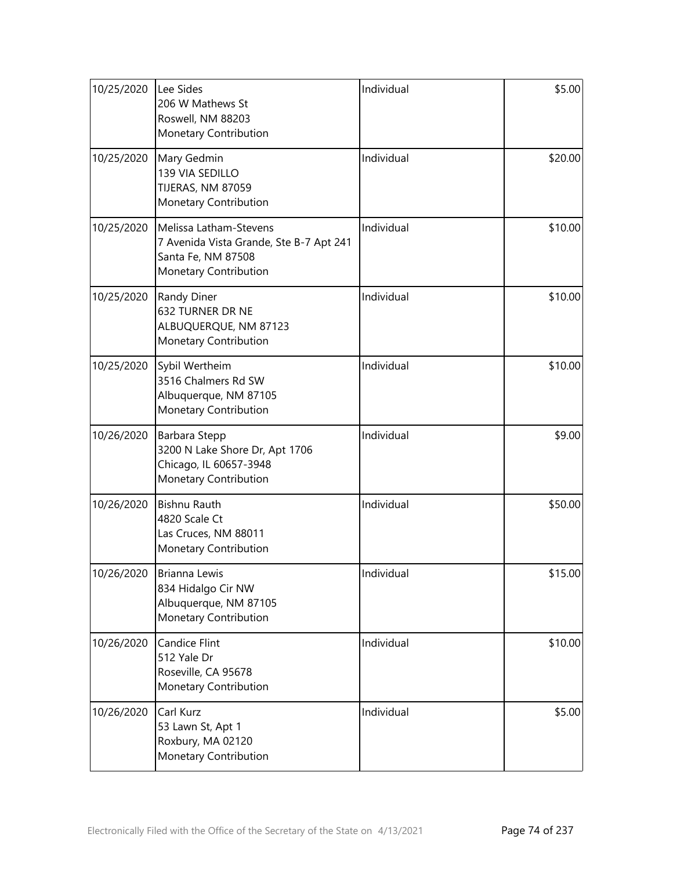| 10/25/2020 | Lee Sides<br>206 W Mathews St<br>Roswell, NM 88203<br>Monetary Contribution                                      | Individual | \$5.00  |
|------------|------------------------------------------------------------------------------------------------------------------|------------|---------|
| 10/25/2020 | Mary Gedmin<br>139 VIA SEDILLO<br>TIJERAS, NM 87059<br>Monetary Contribution                                     | Individual | \$20.00 |
| 10/25/2020 | Melissa Latham-Stevens<br>7 Avenida Vista Grande, Ste B-7 Apt 241<br>Santa Fe, NM 87508<br>Monetary Contribution | Individual | \$10.00 |
| 10/25/2020 | Randy Diner<br>632 TURNER DR NE<br>ALBUQUERQUE, NM 87123<br>Monetary Contribution                                | Individual | \$10.00 |
| 10/25/2020 | Sybil Wertheim<br>3516 Chalmers Rd SW<br>Albuquerque, NM 87105<br>Monetary Contribution                          | Individual | \$10.00 |
| 10/26/2020 | Barbara Stepp<br>3200 N Lake Shore Dr, Apt 1706<br>Chicago, IL 60657-3948<br>Monetary Contribution               | Individual | \$9.00  |
| 10/26/2020 | <b>Bishnu Rauth</b><br>4820 Scale Ct<br>Las Cruces, NM 88011<br>Monetary Contribution                            | Individual | \$50.00 |
| 10/26/2020 | Brianna Lewis<br>834 Hidalgo Cir NW<br>Albuquerque, NM 87105<br>Monetary Contribution                            | Individual | \$15.00 |
| 10/26/2020 | <b>Candice Flint</b><br>512 Yale Dr<br>Roseville, CA 95678<br>Monetary Contribution                              | Individual | \$10.00 |
| 10/26/2020 | Carl Kurz<br>53 Lawn St, Apt 1<br>Roxbury, MA 02120<br>Monetary Contribution                                     | Individual | \$5.00  |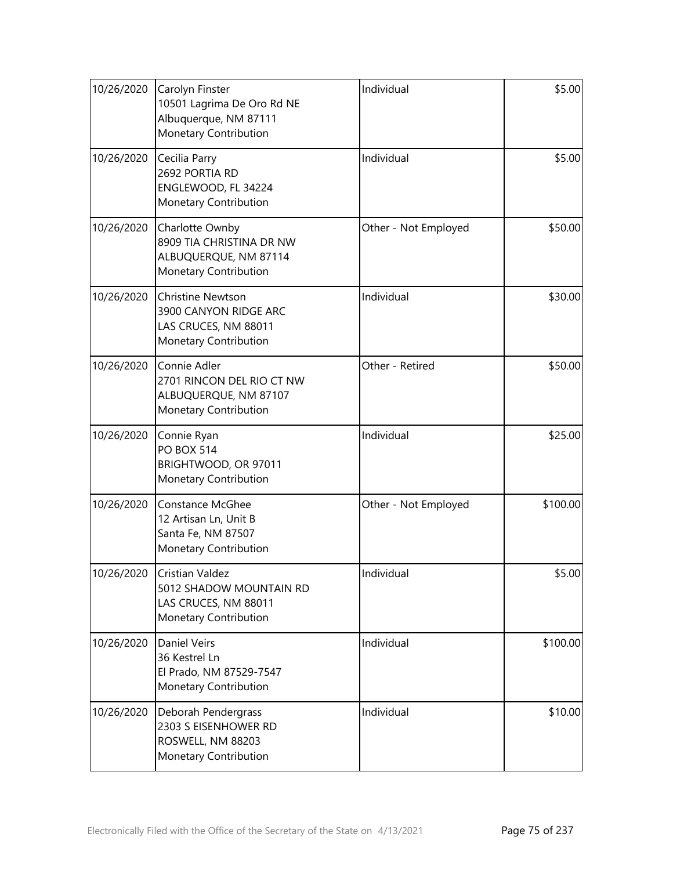| 10/26/2020 | Carolyn Finster<br>10501 Lagrima De Oro Rd NE<br>Albuquerque, NM 87111<br>Monetary Contribution    | Individual           | \$5.00   |
|------------|----------------------------------------------------------------------------------------------------|----------------------|----------|
| 10/26/2020 | Cecilia Parry<br>2692 PORTIA RD<br>ENGLEWOOD, FL 34224<br>Monetary Contribution                    | Individual           | \$5.00   |
| 10/26/2020 | Charlotte Ownby<br>8909 TIA CHRISTINA DR NW<br>ALBUQUERQUE, NM 87114<br>Monetary Contribution      | Other - Not Employed | \$50.00  |
| 10/26/2020 | <b>Christine Newtson</b><br>3900 CANYON RIDGE ARC<br>LAS CRUCES, NM 88011<br>Monetary Contribution | Individual           | \$30.00  |
| 10/26/2020 | Connie Adler<br>2701 RINCON DEL RIO CT NW<br>ALBUQUERQUE, NM 87107<br>Monetary Contribution        | Other - Retired      | \$50.00  |
| 10/26/2020 | Connie Ryan<br><b>PO BOX 514</b><br>BRIGHTWOOD, OR 97011<br>Monetary Contribution                  | Individual           | \$25.00  |
| 10/26/2020 | <b>Constance McGhee</b><br>12 Artisan Ln, Unit B<br>Santa Fe, NM 87507<br>Monetary Contribution    | Other - Not Employed | \$100.00 |
| 10/26/2020 | Cristian Valdez<br>5012 SHADOW MOUNTAIN RD<br>LAS CRUCES, NM 88011<br>Monetary Contribution        | Individual           | \$5.00   |
| 10/26/2020 | <b>Daniel Veirs</b><br>36 Kestrel Ln<br>El Prado, NM 87529-7547<br>Monetary Contribution           | Individual           | \$100.00 |
| 10/26/2020 | Deborah Pendergrass<br>2303 S EISENHOWER RD<br>ROSWELL, NM 88203<br>Monetary Contribution          | Individual           | \$10.00  |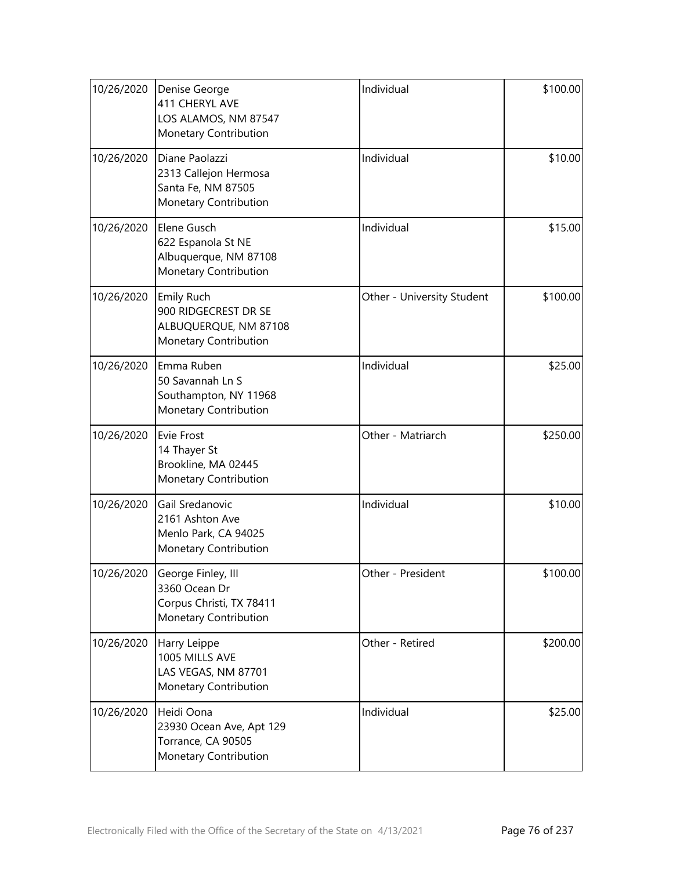| 10/26/2020 | Denise George<br>411 CHERYL AVE<br>LOS ALAMOS, NM 87547<br>Monetary Contribution         | Individual                 | \$100.00 |
|------------|------------------------------------------------------------------------------------------|----------------------------|----------|
| 10/26/2020 | Diane Paolazzi<br>2313 Callejon Hermosa<br>Santa Fe, NM 87505<br>Monetary Contribution   | Individual                 | \$10.00  |
| 10/26/2020 | Elene Gusch<br>622 Espanola St NE<br>Albuquerque, NM 87108<br>Monetary Contribution      | Individual                 | \$15.00  |
| 10/26/2020 | Emily Ruch<br>900 RIDGECREST DR SE<br>ALBUQUERQUE, NM 87108<br>Monetary Contribution     | Other - University Student | \$100.00 |
| 10/26/2020 | Emma Ruben<br>50 Savannah Ln S<br>Southampton, NY 11968<br>Monetary Contribution         | Individual                 | \$25.00  |
| 10/26/2020 | Evie Frost<br>14 Thayer St<br>Brookline, MA 02445<br>Monetary Contribution               | Other - Matriarch          | \$250.00 |
| 10/26/2020 | Gail Sredanovic<br>2161 Ashton Ave<br>Menlo Park, CA 94025<br>Monetary Contribution      | Individual                 | \$10.00  |
| 10/26/2020 | George Finley, III<br>3360 Ocean Dr<br>Corpus Christi, TX 78411<br>Monetary Contribution | Other - President          | \$100.00 |
| 10/26/2020 | Harry Leippe<br>1005 MILLS AVE<br>LAS VEGAS, NM 87701<br>Monetary Contribution           | Other - Retired            | \$200.00 |
| 10/26/2020 | Heidi Oona<br>23930 Ocean Ave, Apt 129<br>Torrance, CA 90505<br>Monetary Contribution    | Individual                 | \$25.00  |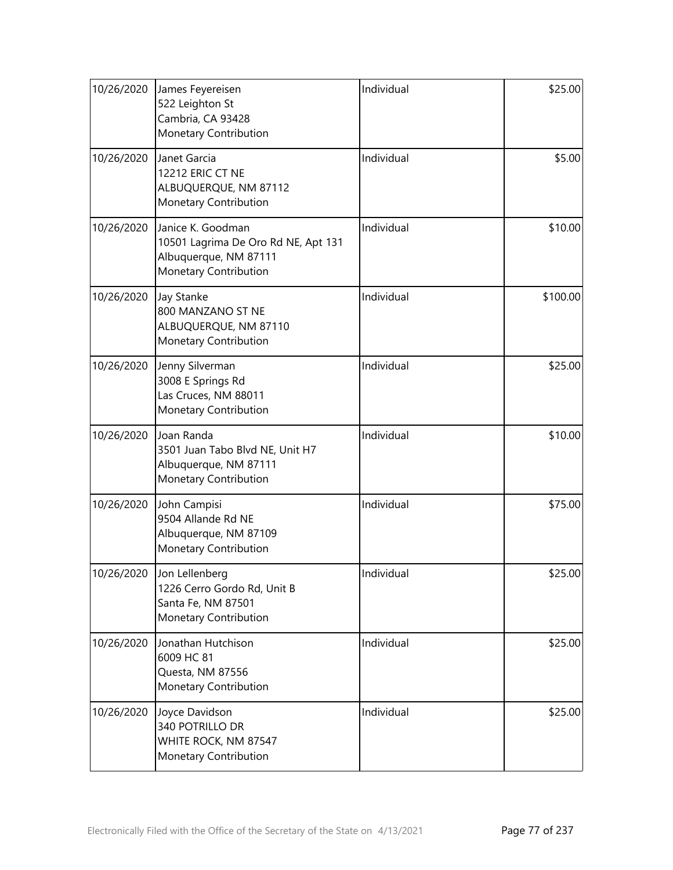| 10/26/2020 | James Feyereisen<br>522 Leighton St<br>Cambria, CA 93428<br>Monetary Contribution                          | Individual | \$25.00  |
|------------|------------------------------------------------------------------------------------------------------------|------------|----------|
| 10/26/2020 | Janet Garcia<br>12212 ERIC CT NE<br>ALBUQUERQUE, NM 87112<br>Monetary Contribution                         | Individual | \$5.00   |
| 10/26/2020 | Janice K. Goodman<br>10501 Lagrima De Oro Rd NE, Apt 131<br>Albuquerque, NM 87111<br>Monetary Contribution | Individual | \$10.00  |
| 10/26/2020 | <b>Jay Stanke</b><br>800 MANZANO ST NE<br>ALBUQUERQUE, NM 87110<br>Monetary Contribution                   | Individual | \$100.00 |
| 10/26/2020 | Jenny Silverman<br>3008 E Springs Rd<br>Las Cruces, NM 88011<br>Monetary Contribution                      | Individual | \$25.00  |
| 10/26/2020 | Joan Randa<br>3501 Juan Tabo Blvd NE, Unit H7<br>Albuquerque, NM 87111<br>Monetary Contribution            | Individual | \$10.00  |
| 10/26/2020 | John Campisi<br>9504 Allande Rd NE<br>Albuquerque, NM 87109<br>Monetary Contribution                       | Individual | \$75.00  |
|            | 10/26/2020 Jon Lellenberg<br>1226 Cerro Gordo Rd, Unit B<br>Santa Fe, NM 87501<br>Monetary Contribution    | Individual | \$25.00  |
| 10/26/2020 | Jonathan Hutchison<br>6009 HC 81<br>Questa, NM 87556<br>Monetary Contribution                              | Individual | \$25.00  |
| 10/26/2020 | Joyce Davidson<br>340 POTRILLO DR<br>WHITE ROCK, NM 87547<br>Monetary Contribution                         | Individual | \$25.00  |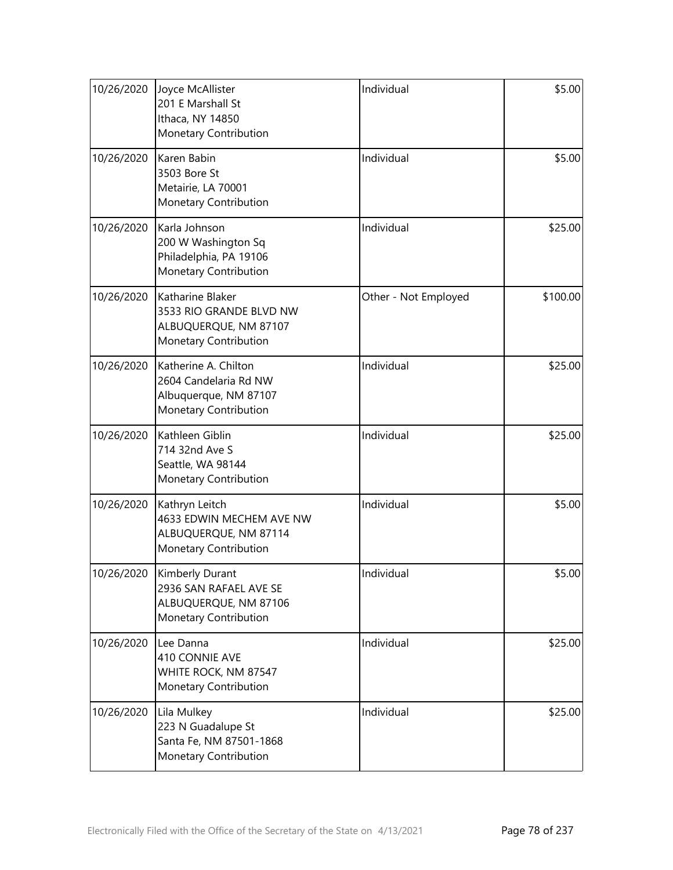| 10/26/2020 | Joyce McAllister<br>201 E Marshall St<br>Ithaca, NY 14850<br>Monetary Contribution                 | Individual           | \$5.00   |
|------------|----------------------------------------------------------------------------------------------------|----------------------|----------|
| 10/26/2020 | Karen Babin<br>3503 Bore St<br>Metairie, LA 70001<br>Monetary Contribution                         | Individual           | \$5.00   |
| 10/26/2020 | Karla Johnson<br>200 W Washington Sq<br>Philadelphia, PA 19106<br>Monetary Contribution            | Individual           | \$25.00  |
| 10/26/2020 | Katharine Blaker<br>3533 RIO GRANDE BLVD NW<br>ALBUQUERQUE, NM 87107<br>Monetary Contribution      | Other - Not Employed | \$100.00 |
| 10/26/2020 | Katherine A. Chilton<br>2604 Candelaria Rd NW<br>Albuquerque, NM 87107<br>Monetary Contribution    | Individual           | \$25.00  |
| 10/26/2020 | Kathleen Giblin<br>714 32nd Ave S<br>Seattle, WA 98144<br>Monetary Contribution                    | Individual           | \$25.00  |
| 10/26/2020 | Kathryn Leitch<br>4633 EDWIN MECHEM AVE NW<br>ALBUQUERQUE, NM 87114<br>Monetary Contribution       | Individual           | \$5.00   |
| 10/26/2020 | <b>Kimberly Durant</b><br>2936 SAN RAFAEL AVE SE<br>ALBUQUERQUE, NM 87106<br>Monetary Contribution | Individual           | \$5.00   |
| 10/26/2020 | Lee Danna<br>410 CONNIE AVE<br>WHITE ROCK, NM 87547<br>Monetary Contribution                       | Individual           | \$25.00  |
| 10/26/2020 | Lila Mulkey<br>223 N Guadalupe St<br>Santa Fe, NM 87501-1868<br>Monetary Contribution              | Individual           | \$25.00  |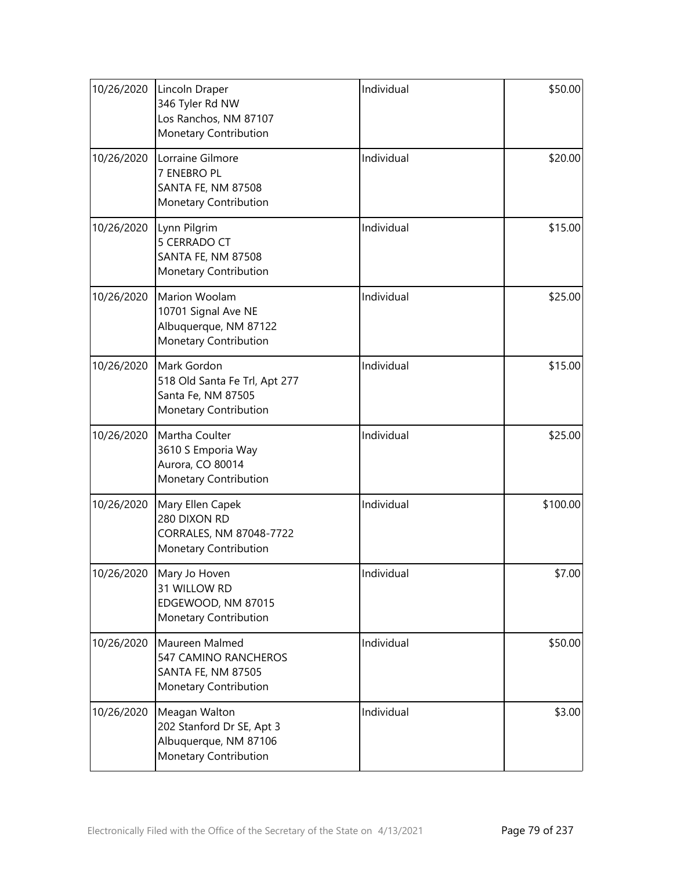| 10/26/2020 | Lincoln Draper<br>346 Tyler Rd NW<br>Los Ranchos, NM 87107<br>Monetary Contribution          | Individual | \$50.00  |
|------------|----------------------------------------------------------------------------------------------|------------|----------|
| 10/26/2020 | Lorraine Gilmore<br>7 ENEBRO PL<br><b>SANTA FE, NM 87508</b><br>Monetary Contribution        | Individual | \$20.00  |
| 10/26/2020 | Lynn Pilgrim<br>5 CERRADO CT<br>SANTA FE, NM 87508<br>Monetary Contribution                  | Individual | \$15.00  |
| 10/26/2020 | Marion Woolam<br>10701 Signal Ave NE<br>Albuquerque, NM 87122<br>Monetary Contribution       | Individual | \$25.00  |
| 10/26/2020 | Mark Gordon<br>518 Old Santa Fe Trl, Apt 277<br>Santa Fe, NM 87505<br>Monetary Contribution  | Individual | \$15.00  |
| 10/26/2020 | Martha Coulter<br>3610 S Emporia Way<br>Aurora, CO 80014<br>Monetary Contribution            | Individual | \$25.00  |
| 10/26/2020 | Mary Ellen Capek<br>280 DIXON RD<br>CORRALES, NM 87048-7722<br>Monetary Contribution         | Individual | \$100.00 |
| 10/26/2020 | Mary Jo Hoven<br>31 WILLOW RD<br>EDGEWOOD, NM 87015<br><b>Monetary Contribution</b>          | Individual | \$7.00   |
| 10/26/2020 | Maureen Malmed<br>547 CAMINO RANCHEROS<br>SANTA FE, NM 87505<br>Monetary Contribution        | Individual | \$50.00  |
| 10/26/2020 | Meagan Walton<br>202 Stanford Dr SE, Apt 3<br>Albuquerque, NM 87106<br>Monetary Contribution | Individual | \$3.00   |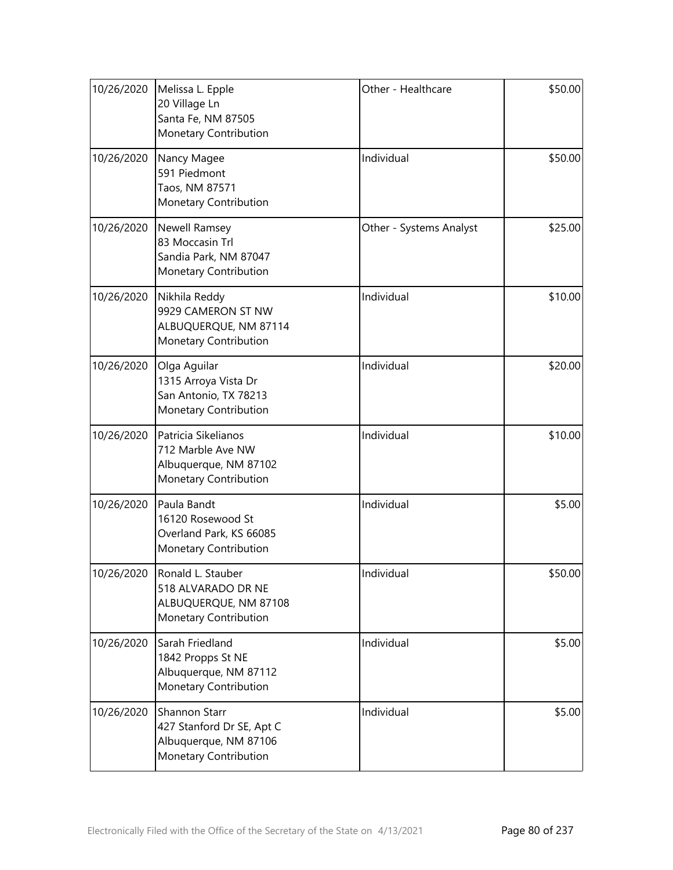| 10/26/2020 | Melissa L. Epple<br>20 Village Ln<br>Santa Fe, NM 87505<br>Monetary Contribution             | Other - Healthcare      | \$50.00 |
|------------|----------------------------------------------------------------------------------------------|-------------------------|---------|
| 10/26/2020 | Nancy Magee<br>591 Piedmont<br>Taos, NM 87571<br>Monetary Contribution                       | Individual              | \$50.00 |
| 10/26/2020 | <b>Newell Ramsey</b><br>83 Moccasin Trl<br>Sandia Park, NM 87047<br>Monetary Contribution    | Other - Systems Analyst | \$25.00 |
| 10/26/2020 | Nikhila Reddy<br>9929 CAMERON ST NW<br>ALBUQUERQUE, NM 87114<br>Monetary Contribution        | Individual              | \$10.00 |
| 10/26/2020 | Olga Aguilar<br>1315 Arroya Vista Dr<br>San Antonio, TX 78213<br>Monetary Contribution       | Individual              | \$20.00 |
| 10/26/2020 | Patricia Sikelianos<br>712 Marble Ave NW<br>Albuquerque, NM 87102<br>Monetary Contribution   | Individual              | \$10.00 |
| 10/26/2020 | Paula Bandt<br>16120 Rosewood St<br>Overland Park, KS 66085<br>Monetary Contribution         | Individual              | \$5.00  |
| 10/26/2020 | Ronald L. Stauber<br>518 ALVARADO DR NE<br>ALBUQUERQUE, NM 87108<br>Monetary Contribution    | Individual              | \$50.00 |
| 10/26/2020 | Sarah Friedland<br>1842 Propps St NE<br>Albuquerque, NM 87112<br>Monetary Contribution       | Individual              | \$5.00  |
| 10/26/2020 | Shannon Starr<br>427 Stanford Dr SE, Apt C<br>Albuquerque, NM 87106<br>Monetary Contribution | Individual              | \$5.00  |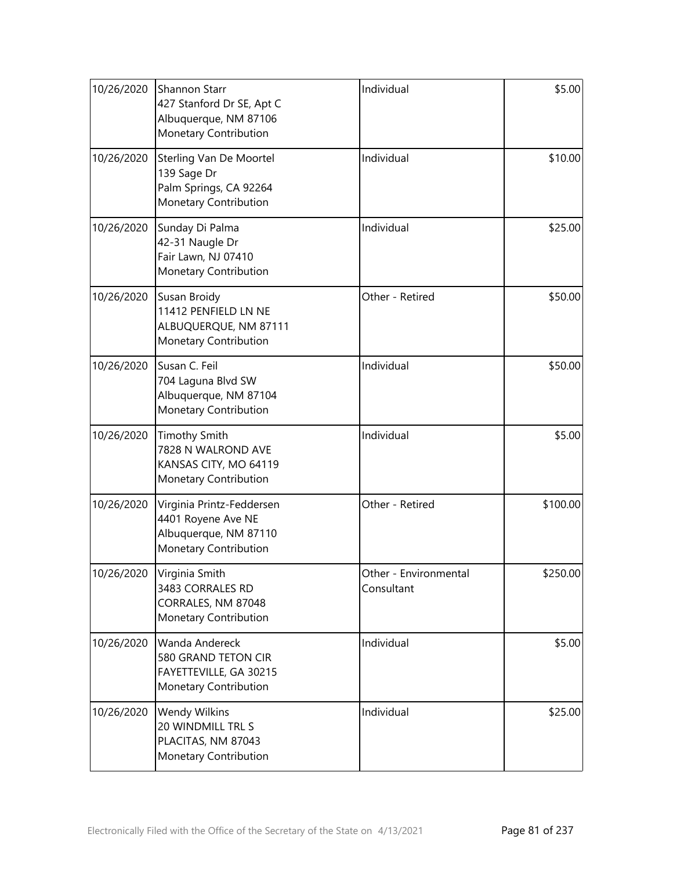| 10/26/2020 | <b>Shannon Starr</b><br>427 Stanford Dr SE, Apt C<br>Albuquerque, NM 87106<br>Monetary Contribution | Individual                          | \$5.00   |
|------------|-----------------------------------------------------------------------------------------------------|-------------------------------------|----------|
| 10/26/2020 | Sterling Van De Moortel<br>139 Sage Dr<br>Palm Springs, CA 92264<br>Monetary Contribution           | Individual                          | \$10.00  |
| 10/26/2020 | Sunday Di Palma<br>42-31 Naugle Dr<br>Fair Lawn, NJ 07410<br>Monetary Contribution                  | Individual                          | \$25.00  |
| 10/26/2020 | Susan Broidy<br>11412 PENFIELD LN NE<br>ALBUQUERQUE, NM 87111<br>Monetary Contribution              | Other - Retired                     | \$50.00  |
| 10/26/2020 | Susan C. Feil<br>704 Laguna Blvd SW<br>Albuquerque, NM 87104<br>Monetary Contribution               | Individual                          | \$50.00  |
| 10/26/2020 | <b>Timothy Smith</b><br>7828 N WALROND AVE<br>KANSAS CITY, MO 64119<br>Monetary Contribution        | Individual                          | \$5.00   |
| 10/26/2020 | Virginia Printz-Feddersen<br>4401 Royene Ave NE<br>Albuquerque, NM 87110<br>Monetary Contribution   | Other - Retired                     | \$100.00 |
| 10/26/2020 | Virginia Smith<br>3483 CORRALES RD<br>CORRALES, NM 87048<br>Monetary Contribution                   | Other - Environmental<br>Consultant | \$250.00 |
| 10/26/2020 | Wanda Andereck<br>580 GRAND TETON CIR<br>FAYETTEVILLE, GA 30215<br>Monetary Contribution            | Individual                          | \$5.00   |
| 10/26/2020 | <b>Wendy Wilkins</b><br>20 WINDMILL TRL S<br>PLACITAS, NM 87043<br>Monetary Contribution            | Individual                          | \$25.00  |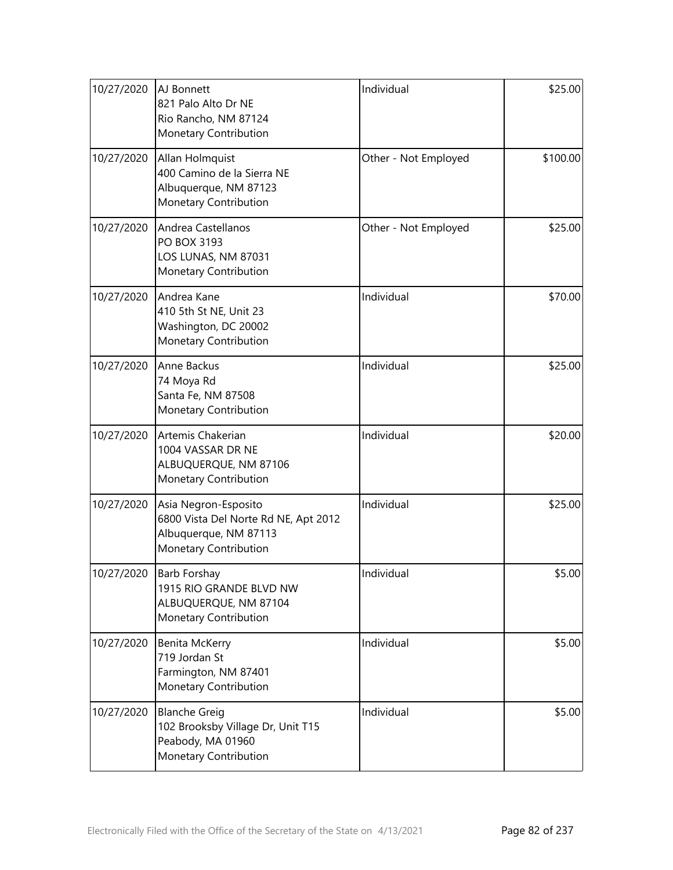| 10/27/2020 | AJ Bonnett<br>821 Palo Alto Dr NE<br>Rio Rancho, NM 87124<br>Monetary Contribution                                    | Individual           | \$25.00  |
|------------|-----------------------------------------------------------------------------------------------------------------------|----------------------|----------|
| 10/27/2020 | Allan Holmquist<br>400 Camino de la Sierra NE<br>Albuquerque, NM 87123<br><b>Monetary Contribution</b>                | Other - Not Employed | \$100.00 |
| 10/27/2020 | Andrea Castellanos<br>PO BOX 3193<br>LOS LUNAS, NM 87031<br>Monetary Contribution                                     | Other - Not Employed | \$25.00  |
| 10/27/2020 | Andrea Kane<br>410 5th St NE, Unit 23<br>Washington, DC 20002<br>Monetary Contribution                                | Individual           | \$70.00  |
| 10/27/2020 | Anne Backus<br>74 Moya Rd<br>Santa Fe, NM 87508<br>Monetary Contribution                                              | Individual           | \$25.00  |
| 10/27/2020 | Artemis Chakerian<br>1004 VASSAR DR NE<br>ALBUQUERQUE, NM 87106<br>Monetary Contribution                              | Individual           | \$20.00  |
| 10/27/2020 | Asia Negron-Esposito<br>6800 Vista Del Norte Rd NE, Apt 2012<br>Albuquerque, NM 87113<br><b>Monetary Contribution</b> | Individual           | \$25.00  |
| 10/27/2020 | <b>Barb Forshay</b><br>1915 RIO GRANDE BLVD NW<br>ALBUQUERQUE, NM 87104<br>Monetary Contribution                      | Individual           | \$5.00   |
| 10/27/2020 | Benita McKerry<br>719 Jordan St<br>Farmington, NM 87401<br>Monetary Contribution                                      | Individual           | \$5.00   |
| 10/27/2020 | <b>Blanche Greig</b><br>102 Brooksby Village Dr, Unit T15<br>Peabody, MA 01960<br>Monetary Contribution               | Individual           | \$5.00   |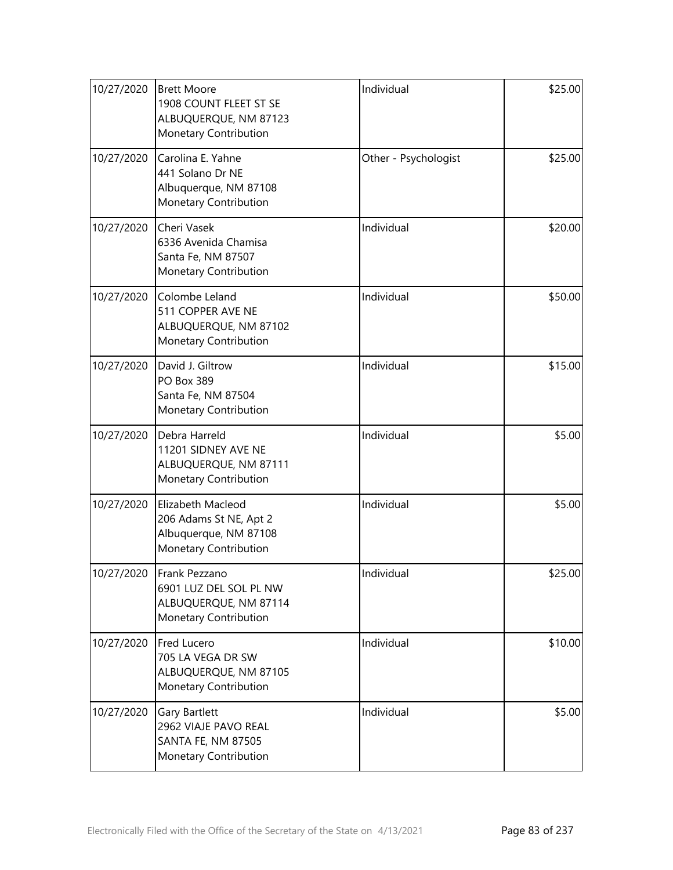| 10/27/2020 | <b>Brett Moore</b><br>1908 COUNT FLEET ST SE<br>ALBUQUERQUE, NM 87123<br>Monetary Contribution | Individual           | \$25.00 |
|------------|------------------------------------------------------------------------------------------------|----------------------|---------|
| 10/27/2020 | Carolina E. Yahne<br>441 Solano Dr NE<br>Albuquerque, NM 87108<br>Monetary Contribution        | Other - Psychologist | \$25.00 |
| 10/27/2020 | Cheri Vasek<br>6336 Avenida Chamisa<br>Santa Fe, NM 87507<br>Monetary Contribution             | Individual           | \$20.00 |
| 10/27/2020 | Colombe Leland<br>511 COPPER AVE NE<br>ALBUQUERQUE, NM 87102<br>Monetary Contribution          | Individual           | \$50.00 |
| 10/27/2020 | David J. Giltrow<br><b>PO Box 389</b><br>Santa Fe, NM 87504<br>Monetary Contribution           | Individual           | \$15.00 |
| 10/27/2020 | Debra Harreld<br>11201 SIDNEY AVE NE<br>ALBUQUERQUE, NM 87111<br>Monetary Contribution         | Individual           | \$5.00  |
| 10/27/2020 | Elizabeth Macleod<br>206 Adams St NE, Apt 2<br>Albuquerque, NM 87108<br>Monetary Contribution  | Individual           | \$5.00  |
| 10/27/2020 | Frank Pezzano<br>6901 LUZ DEL SOL PL NW<br>ALBUQUERQUE, NM 87114<br>Monetary Contribution      | Individual           | \$25.00 |
| 10/27/2020 | Fred Lucero<br>705 LA VEGA DR SW<br>ALBUQUERQUE, NM 87105<br>Monetary Contribution             | Individual           | \$10.00 |
| 10/27/2020 | Gary Bartlett<br>2962 VIAJE PAVO REAL<br><b>SANTA FE, NM 87505</b><br>Monetary Contribution    | Individual           | \$5.00  |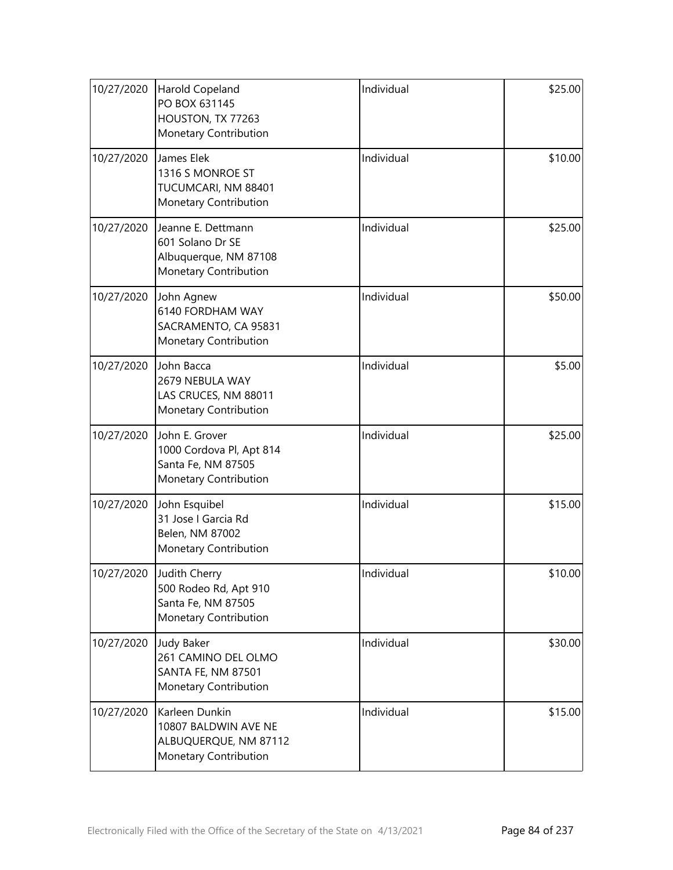| 10/27/2020 | Harold Copeland<br>PO BOX 631145<br>HOUSTON, TX 77263<br>Monetary Contribution                 | Individual | \$25.00 |
|------------|------------------------------------------------------------------------------------------------|------------|---------|
| 10/27/2020 | James Elek<br>1316 S MONROE ST<br>TUCUMCARI, NM 88401<br>Monetary Contribution                 | Individual | \$10.00 |
| 10/27/2020 | Jeanne E. Dettmann<br>601 Solano Dr SE<br>Albuquerque, NM 87108<br>Monetary Contribution       | Individual | \$25.00 |
| 10/27/2020 | John Agnew<br>6140 FORDHAM WAY<br>SACRAMENTO, CA 95831<br>Monetary Contribution                | Individual | \$50.00 |
| 10/27/2020 | John Bacca<br>2679 NEBULA WAY<br>LAS CRUCES, NM 88011<br>Monetary Contribution                 | Individual | \$5.00  |
| 10/27/2020 | John E. Grover<br>1000 Cordova Pl, Apt 814<br>Santa Fe, NM 87505<br>Monetary Contribution      | Individual | \$25.00 |
| 10/27/2020 | John Esquibel<br>31 Jose I Garcia Rd<br>Belen, NM 87002<br>Monetary Contribution               | Individual | \$15.00 |
| 10/27/2020 | Judith Cherry<br>500 Rodeo Rd, Apt 910<br>Santa Fe, NM 87505<br><b>Monetary Contribution</b>   | Individual | \$10.00 |
| 10/27/2020 | <b>Judy Baker</b><br>261 CAMINO DEL OLMO<br><b>SANTA FE, NM 87501</b><br>Monetary Contribution | Individual | \$30.00 |
| 10/27/2020 | Karleen Dunkin<br>10807 BALDWIN AVE NE<br>ALBUQUERQUE, NM 87112<br>Monetary Contribution       | Individual | \$15.00 |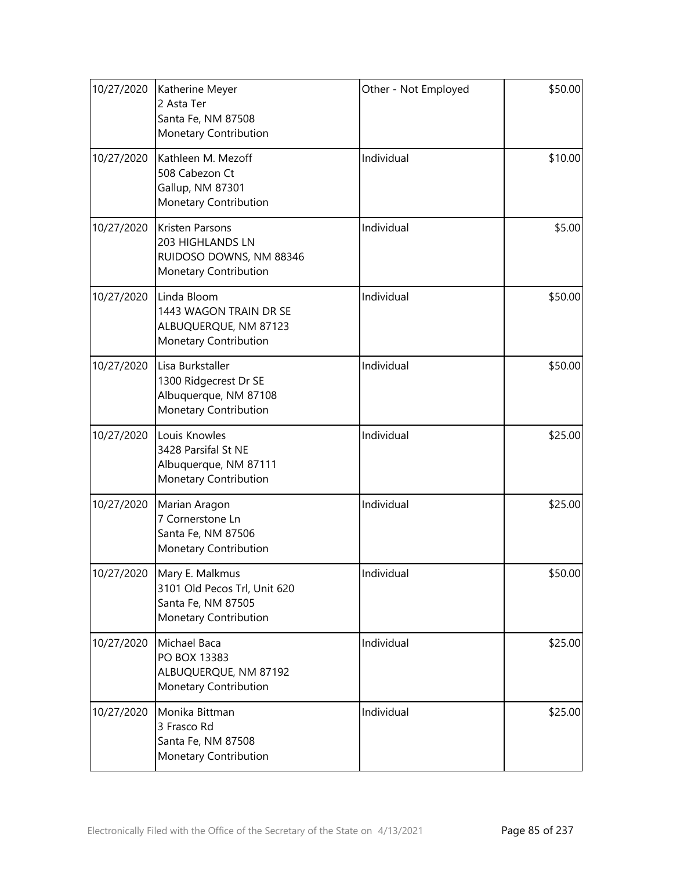| 10/27/2020 | Katherine Meyer<br>2 Asta Ter<br>Santa Fe, NM 87508<br>Monetary Contribution                              | Other - Not Employed | \$50.00 |
|------------|-----------------------------------------------------------------------------------------------------------|----------------------|---------|
| 10/27/2020 | Kathleen M. Mezoff<br>508 Cabezon Ct<br>Gallup, NM 87301<br>Monetary Contribution                         | Individual           | \$10.00 |
| 10/27/2020 | <b>Kristen Parsons</b><br>203 HIGHLANDS LN<br>RUIDOSO DOWNS, NM 88346<br>Monetary Contribution            | Individual           | \$5.00  |
| 10/27/2020 | Linda Bloom<br>1443 WAGON TRAIN DR SE<br>ALBUQUERQUE, NM 87123<br>Monetary Contribution                   | Individual           | \$50.00 |
| 10/27/2020 | Lisa Burkstaller<br>1300 Ridgecrest Dr SE<br>Albuquerque, NM 87108<br>Monetary Contribution               | Individual           | \$50.00 |
| 10/27/2020 | Louis Knowles<br>3428 Parsifal St NE<br>Albuquerque, NM 87111<br>Monetary Contribution                    | Individual           | \$25.00 |
| 10/27/2020 | Marian Aragon<br>7 Cornerstone Ln<br>Santa Fe, NM 87506<br>Monetary Contribution                          | Individual           | \$25.00 |
|            | 10/27/2020 Mary E. Malkmus<br>3101 Old Pecos Trl, Unit 620<br>Santa Fe, NM 87505<br>Monetary Contribution | Individual           | \$50.00 |
| 10/27/2020 | Michael Baca<br>PO BOX 13383<br>ALBUQUERQUE, NM 87192<br>Monetary Contribution                            | Individual           | \$25.00 |
| 10/27/2020 | Monika Bittman<br>3 Frasco Rd<br>Santa Fe, NM 87508<br>Monetary Contribution                              | Individual           | \$25.00 |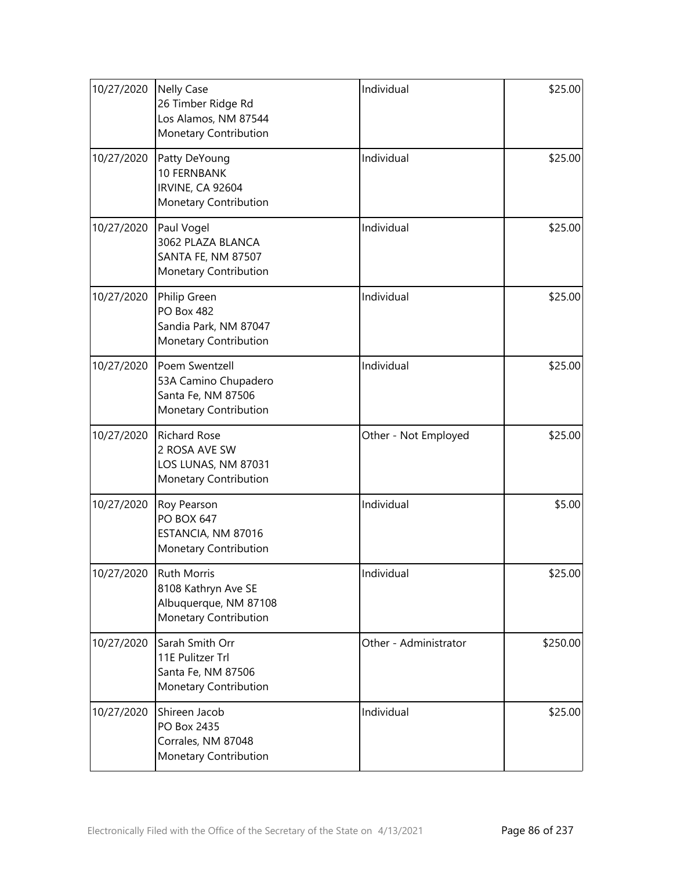| 10/27/2020 | <b>Nelly Case</b><br>26 Timber Ridge Rd<br>Los Alamos, NM 87544<br>Monetary Contribution    | Individual            | \$25.00  |
|------------|---------------------------------------------------------------------------------------------|-----------------------|----------|
| 10/27/2020 | Patty DeYoung<br><b>10 FERNBANK</b><br><b>IRVINE, CA 92604</b><br>Monetary Contribution     | Individual            | \$25.00  |
| 10/27/2020 | Paul Vogel<br>3062 PLAZA BLANCA<br>SANTA FE, NM 87507<br>Monetary Contribution              | Individual            | \$25.00  |
| 10/27/2020 | Philip Green<br><b>PO Box 482</b><br>Sandia Park, NM 87047<br>Monetary Contribution         | Individual            | \$25.00  |
| 10/27/2020 | Poem Swentzell<br>53A Camino Chupadero<br>Santa Fe, NM 87506<br>Monetary Contribution       | Individual            | \$25.00  |
| 10/27/2020 | <b>Richard Rose</b><br>2 ROSA AVE SW<br>LOS LUNAS, NM 87031<br>Monetary Contribution        | Other - Not Employed  | \$25.00  |
| 10/27/2020 | Roy Pearson<br><b>PO BOX 647</b><br>ESTANCIA, NM 87016<br>Monetary Contribution             | Individual            | \$5.00   |
| 10/27/2020 | <b>Ruth Morris</b><br>8108 Kathryn Ave SE<br>Albuquerque, NM 87108<br>Monetary Contribution | Individual            | \$25.00  |
| 10/27/2020 | Sarah Smith Orr<br>11E Pulitzer Trl<br>Santa Fe, NM 87506<br>Monetary Contribution          | Other - Administrator | \$250.00 |
| 10/27/2020 | Shireen Jacob<br>PO Box 2435<br>Corrales, NM 87048<br>Monetary Contribution                 | Individual            | \$25.00  |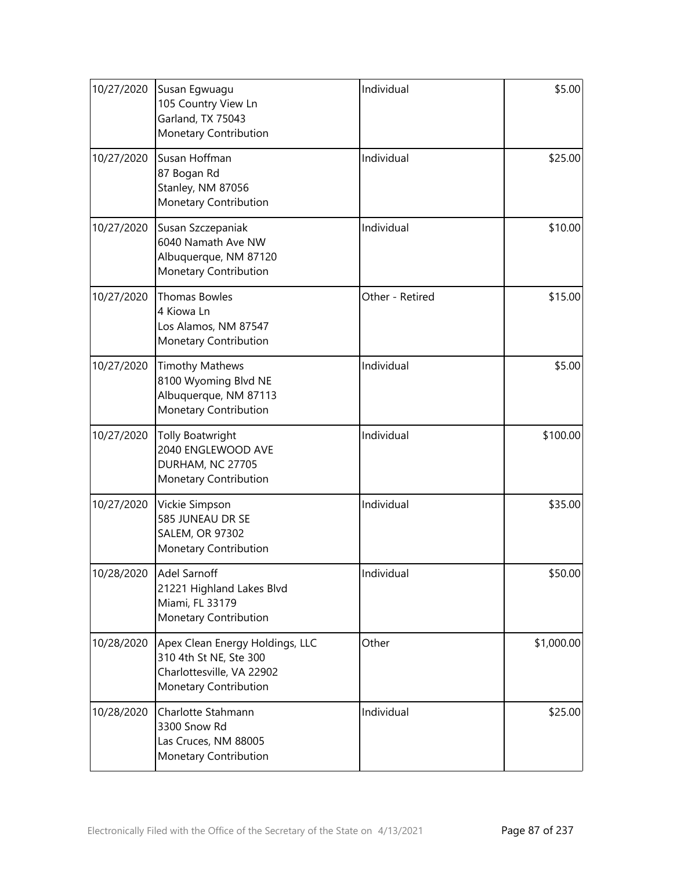| 10/27/2020 | Susan Egwuagu<br>105 Country View Ln<br>Garland, TX 75043<br>Monetary Contribution                              | Individual      | \$5.00     |
|------------|-----------------------------------------------------------------------------------------------------------------|-----------------|------------|
| 10/27/2020 | Susan Hoffman<br>87 Bogan Rd<br>Stanley, NM 87056<br>Monetary Contribution                                      | Individual      | \$25.00    |
| 10/27/2020 | Susan Szczepaniak<br>6040 Namath Ave NW<br>Albuquerque, NM 87120<br>Monetary Contribution                       | Individual      | \$10.00    |
| 10/27/2020 | <b>Thomas Bowles</b><br>4 Kiowa Ln<br>Los Alamos, NM 87547<br>Monetary Contribution                             | Other - Retired | \$15.00    |
| 10/27/2020 | <b>Timothy Mathews</b><br>8100 Wyoming Blvd NE<br>Albuquerque, NM 87113<br>Monetary Contribution                | Individual      | \$5.00     |
| 10/27/2020 | <b>Tolly Boatwright</b><br>2040 ENGLEWOOD AVE<br>DURHAM, NC 27705<br>Monetary Contribution                      | Individual      | \$100.00   |
| 10/27/2020 | Vickie Simpson<br>585 JUNEAU DR SE<br><b>SALEM, OR 97302</b><br>Monetary Contribution                           | Individual      | \$35.00    |
| 10/28/2020 | <b>Adel Sarnoff</b><br>21221 Highland Lakes Blvd<br>Miami, FL 33179<br>Monetary Contribution                    | Individual      | \$50.00    |
| 10/28/2020 | Apex Clean Energy Holdings, LLC<br>310 4th St NE, Ste 300<br>Charlottesville, VA 22902<br>Monetary Contribution | Other           | \$1,000.00 |
| 10/28/2020 | Charlotte Stahmann<br>3300 Snow Rd<br>Las Cruces, NM 88005<br>Monetary Contribution                             | Individual      | \$25.00    |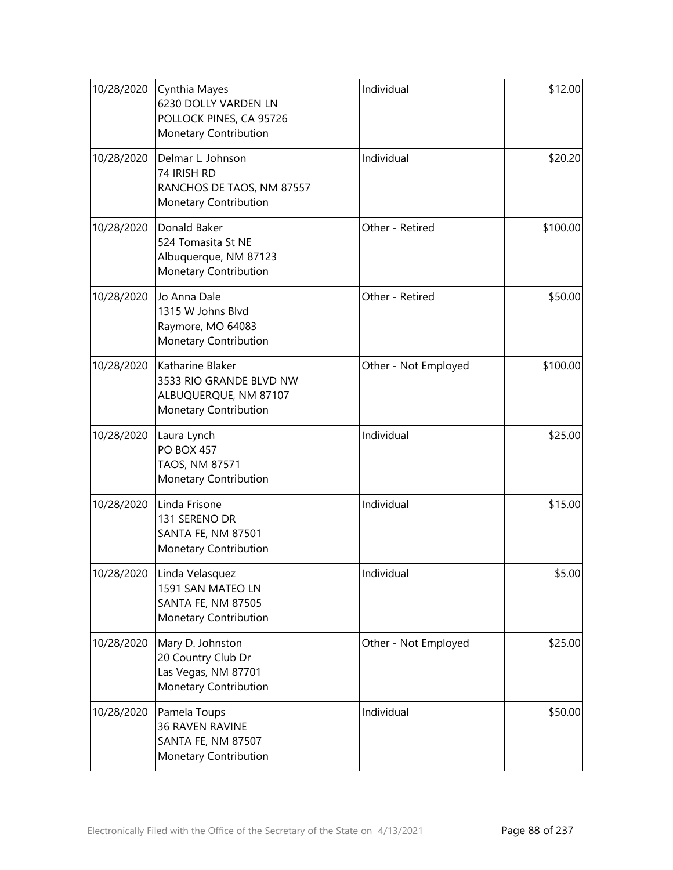| 10/28/2020 | Cynthia Mayes<br>6230 DOLLY VARDEN LN<br>POLLOCK PINES, CA 95726<br>Monetary Contribution     | Individual           | \$12.00  |
|------------|-----------------------------------------------------------------------------------------------|----------------------|----------|
| 10/28/2020 | Delmar L. Johnson<br>74 IRISH RD<br>RANCHOS DE TAOS, NM 87557<br>Monetary Contribution        | Individual           | \$20.20  |
| 10/28/2020 | Donald Baker<br>524 Tomasita St NE<br>Albuquerque, NM 87123<br>Monetary Contribution          | Other - Retired      | \$100.00 |
| 10/28/2020 | Jo Anna Dale<br>1315 W Johns Blvd<br>Raymore, MO 64083<br>Monetary Contribution               | Other - Retired      | \$50.00  |
| 10/28/2020 | Katharine Blaker<br>3533 RIO GRANDE BLVD NW<br>ALBUQUERQUE, NM 87107<br>Monetary Contribution | Other - Not Employed | \$100.00 |
| 10/28/2020 | Laura Lynch<br><b>PO BOX 457</b><br>TAOS, NM 87571<br>Monetary Contribution                   | Individual           | \$25.00  |
| 10/28/2020 | Linda Frisone<br>131 SERENO DR<br><b>SANTA FE, NM 87501</b><br>Monetary Contribution          | Individual           | \$15.00  |
| 10/28/2020 | Linda Velasquez<br>1591 SAN MATEO LN<br><b>SANTA FE, NM 87505</b><br>Monetary Contribution    | Individual           | \$5.00   |
| 10/28/2020 | Mary D. Johnston<br>20 Country Club Dr<br>Las Vegas, NM 87701<br>Monetary Contribution        | Other - Not Employed | \$25.00  |
| 10/28/2020 | Pamela Toups<br>36 RAVEN RAVINE<br>SANTA FE, NM 87507<br>Monetary Contribution                | Individual           | \$50.00  |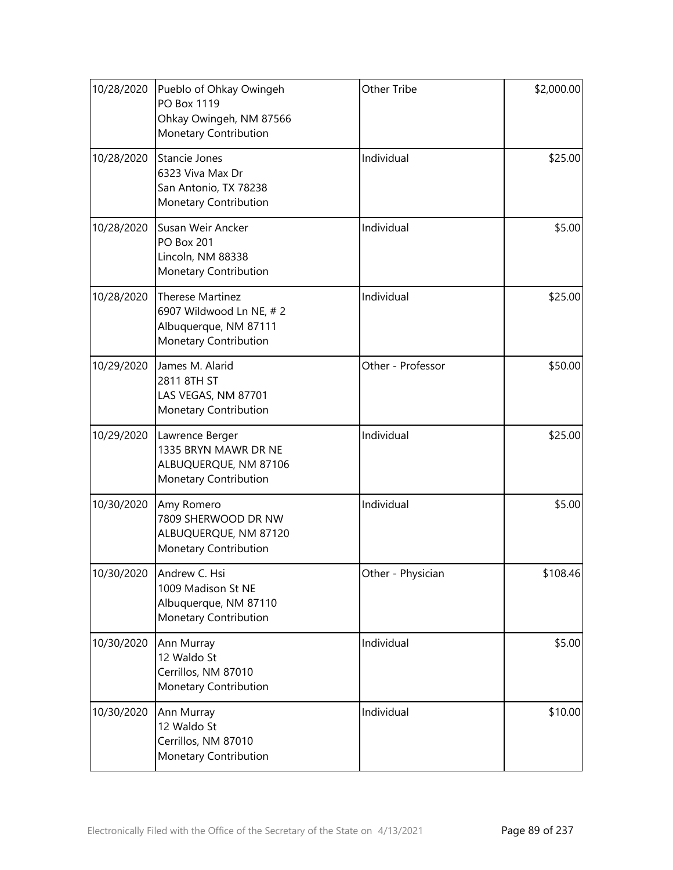| 10/28/2020 | Pueblo of Ohkay Owingeh<br>PO Box 1119<br>Ohkay Owingeh, NM 87566<br>Monetary Contribution           | Other Tribe       | \$2,000.00 |
|------------|------------------------------------------------------------------------------------------------------|-------------------|------------|
| 10/28/2020 | Stancie Jones<br>6323 Viva Max Dr<br>San Antonio, TX 78238<br>Monetary Contribution                  | Individual        | \$25.00    |
| 10/28/2020 | Susan Weir Ancker<br><b>PO Box 201</b><br>Lincoln, NM 88338<br>Monetary Contribution                 | Individual        | \$5.00     |
| 10/28/2020 | <b>Therese Martinez</b><br>6907 Wildwood Ln NE, #2<br>Albuquerque, NM 87111<br>Monetary Contribution | Individual        | \$25.00    |
| 10/29/2020 | James M. Alarid<br>2811 8TH ST<br>LAS VEGAS, NM 87701<br>Monetary Contribution                       | Other - Professor | \$50.00    |
| 10/29/2020 | Lawrence Berger<br>1335 BRYN MAWR DR NE<br>ALBUQUERQUE, NM 87106<br>Monetary Contribution            | Individual        | \$25.00    |
| 10/30/2020 | Amy Romero<br>7809 SHERWOOD DR NW<br>ALBUQUERQUE, NM 87120<br>Monetary Contribution                  | Individual        | \$5.00     |
| 10/30/2020 | Andrew C. Hsi<br>1009 Madison St NE<br>Albuquerque, NM 87110<br>Monetary Contribution                | Other - Physician | \$108.46   |
| 10/30/2020 | Ann Murray<br>12 Waldo St<br>Cerrillos, NM 87010<br>Monetary Contribution                            | Individual        | \$5.00     |
| 10/30/2020 | Ann Murray<br>12 Waldo St<br>Cerrillos, NM 87010<br>Monetary Contribution                            | Individual        | \$10.00    |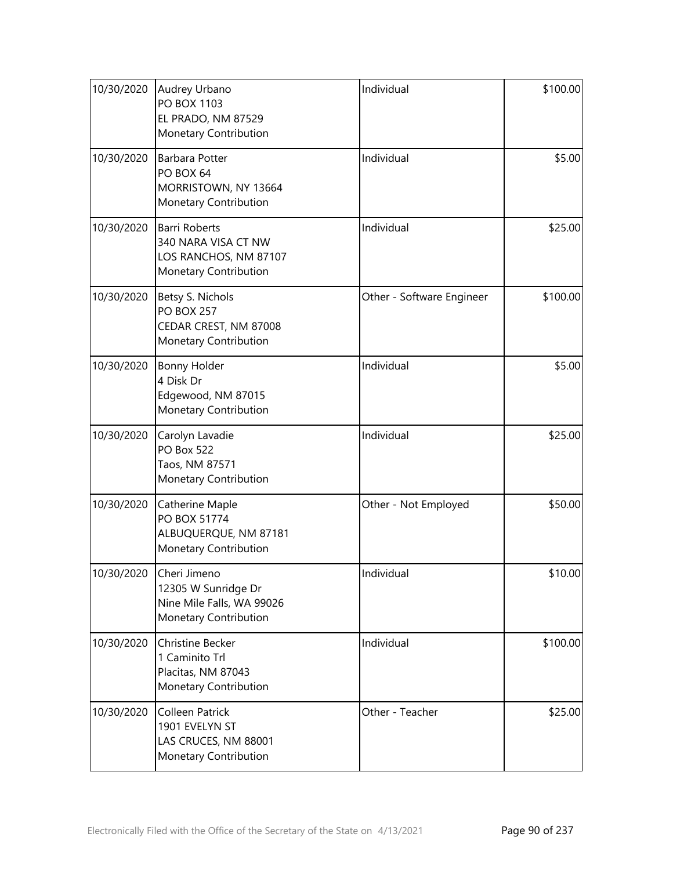| 10/30/2020 | Audrey Urbano<br>PO BOX 1103<br>EL PRADO, NM 87529<br>Monetary Contribution                   | Individual                | \$100.00 |
|------------|-----------------------------------------------------------------------------------------------|---------------------------|----------|
| 10/30/2020 | <b>Barbara Potter</b><br>PO BOX 64<br>MORRISTOWN, NY 13664<br>Monetary Contribution           | Individual                | \$5.00   |
| 10/30/2020 | <b>Barri Roberts</b><br>340 NARA VISA CT NW<br>LOS RANCHOS, NM 87107<br>Monetary Contribution | Individual                | \$25.00  |
| 10/30/2020 | Betsy S. Nichols<br><b>PO BOX 257</b><br>CEDAR CREST, NM 87008<br>Monetary Contribution       | Other - Software Engineer | \$100.00 |
| 10/30/2020 | <b>Bonny Holder</b><br>4 Disk Dr<br>Edgewood, NM 87015<br>Monetary Contribution               | Individual                | \$5.00   |
| 10/30/2020 | Carolyn Lavadie<br><b>PO Box 522</b><br>Taos, NM 87571<br>Monetary Contribution               | Individual                | \$25.00  |
| 10/30/2020 | Catherine Maple<br>PO BOX 51774<br>ALBUQUERQUE, NM 87181<br>Monetary Contribution             | Other - Not Employed      | \$50.00  |
| 10/30/2020 | Cheri Jimeno<br>12305 W Sunridge Dr<br>Nine Mile Falls, WA 99026<br>Monetary Contribution     | Individual                | \$10.00  |
| 10/30/2020 | <b>Christine Becker</b><br>1 Caminito Trl<br>Placitas, NM 87043<br>Monetary Contribution      | Individual                | \$100.00 |
| 10/30/2020 | <b>Colleen Patrick</b><br>1901 EVELYN ST<br>LAS CRUCES, NM 88001<br>Monetary Contribution     | Other - Teacher           | \$25.00  |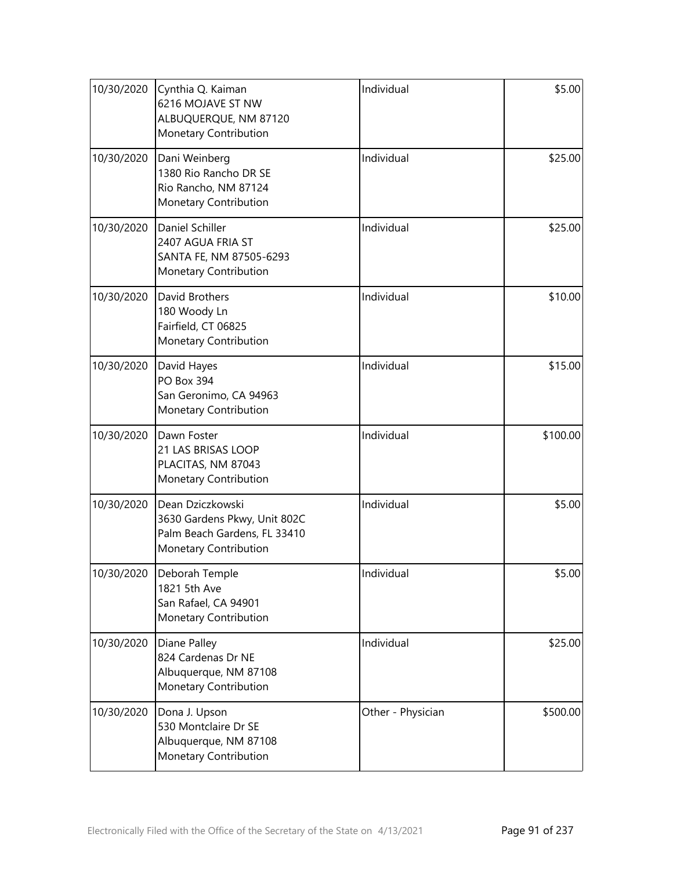| 10/30/2020 | Cynthia Q. Kaiman<br>6216 MOJAVE ST NW<br>ALBUQUERQUE, NM 87120<br>Monetary Contribution                  | Individual        | \$5.00   |
|------------|-----------------------------------------------------------------------------------------------------------|-------------------|----------|
| 10/30/2020 | Dani Weinberg<br>1380 Rio Rancho DR SE<br>Rio Rancho, NM 87124<br>Monetary Contribution                   | Individual        | \$25.00  |
| 10/30/2020 | Daniel Schiller<br>2407 AGUA FRIA ST<br>SANTA FE, NM 87505-6293<br>Monetary Contribution                  | Individual        | \$25.00  |
| 10/30/2020 | David Brothers<br>180 Woody Ln<br>Fairfield, CT 06825<br>Monetary Contribution                            | Individual        | \$10.00  |
| 10/30/2020 | David Hayes<br><b>PO Box 394</b><br>San Geronimo, CA 94963<br>Monetary Contribution                       | Individual        | \$15.00  |
| 10/30/2020 | Dawn Foster<br>21 LAS BRISAS LOOP<br>PLACITAS, NM 87043<br>Monetary Contribution                          | Individual        | \$100.00 |
| 10/30/2020 | Dean Dziczkowski<br>3630 Gardens Pkwy, Unit 802C<br>Palm Beach Gardens, FL 33410<br>Monetary Contribution | Individual        | \$5.00   |
| 10/30/2020 | Deborah Temple<br>1821 5th Ave<br>San Rafael, CA 94901<br>Monetary Contribution                           | Individual        | \$5.00   |
| 10/30/2020 | Diane Palley<br>824 Cardenas Dr NE<br>Albuquerque, NM 87108<br>Monetary Contribution                      | Individual        | \$25.00  |
| 10/30/2020 | Dona J. Upson<br>530 Montclaire Dr SE<br>Albuquerque, NM 87108<br>Monetary Contribution                   | Other - Physician | \$500.00 |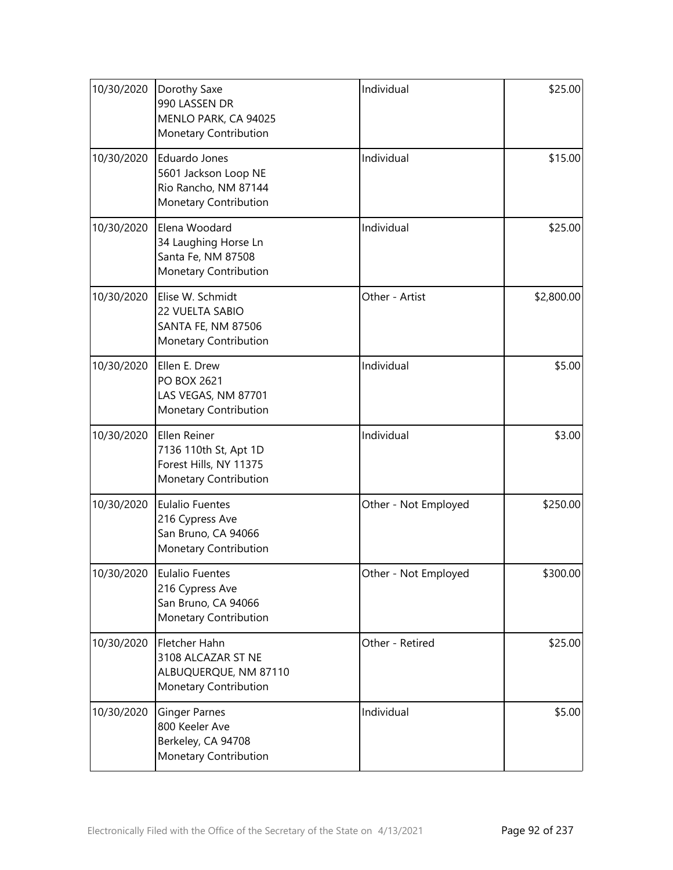| 10/30/2020 | Dorothy Saxe<br>990 LASSEN DR<br>MENLO PARK, CA 94025<br>Monetary Contribution            | Individual           | \$25.00    |
|------------|-------------------------------------------------------------------------------------------|----------------------|------------|
| 10/30/2020 | Eduardo Jones<br>5601 Jackson Loop NE<br>Rio Rancho, NM 87144<br>Monetary Contribution    | Individual           | \$15.00    |
| 10/30/2020 | Elena Woodard<br>34 Laughing Horse Ln<br>Santa Fe, NM 87508<br>Monetary Contribution      | Individual           | \$25.00    |
| 10/30/2020 | Elise W. Schmidt<br>22 VUELTA SABIO<br><b>SANTA FE, NM 87506</b><br>Monetary Contribution | Other - Artist       | \$2,800.00 |
| 10/30/2020 | Ellen E. Drew<br>PO BOX 2621<br>LAS VEGAS, NM 87701<br>Monetary Contribution              | Individual           | \$5.00     |
| 10/30/2020 | Ellen Reiner<br>7136 110th St, Apt 1D<br>Forest Hills, NY 11375<br>Monetary Contribution  | Individual           | \$3.00     |
| 10/30/2020 | <b>Eulalio Fuentes</b><br>216 Cypress Ave<br>San Bruno, CA 94066<br>Monetary Contribution | Other - Not Employed | \$250.00   |
| 10/30/2020 | Eulalio Fuentes<br>216 Cypress Ave<br>San Bruno, CA 94066<br>Monetary Contribution        | Other - Not Employed | \$300.00   |
| 10/30/2020 | Fletcher Hahn<br>3108 ALCAZAR ST NE<br>ALBUQUERQUE, NM 87110<br>Monetary Contribution     | Other - Retired      | \$25.00    |
| 10/30/2020 | <b>Ginger Parnes</b><br>800 Keeler Ave<br>Berkeley, CA 94708<br>Monetary Contribution     | Individual           | \$5.00     |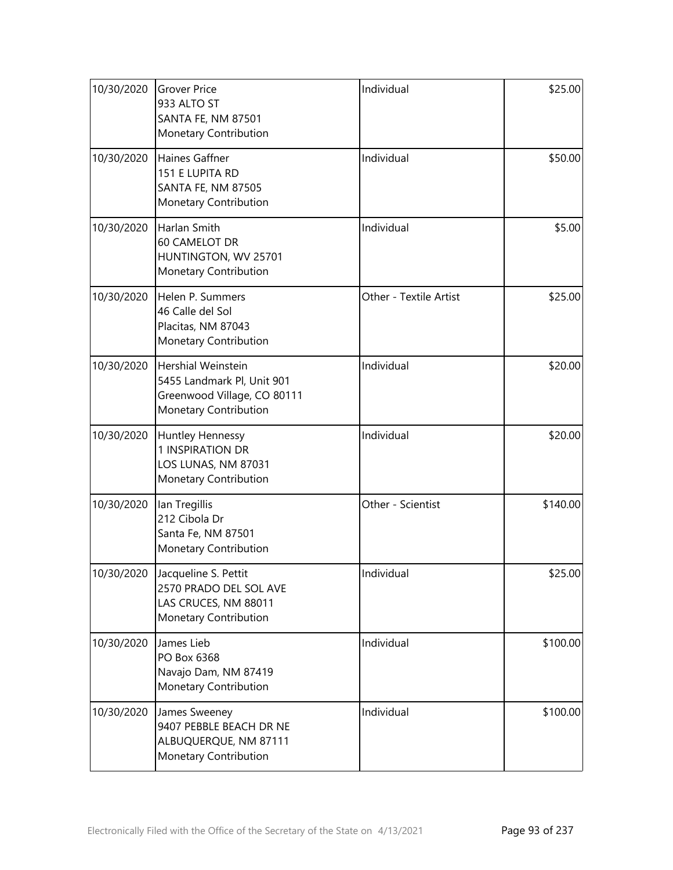| 10/30/2020 | <b>Grover Price</b><br>933 ALTO ST<br><b>SANTA FE, NM 87501</b><br>Monetary Contribution                        | Individual             | \$25.00  |
|------------|-----------------------------------------------------------------------------------------------------------------|------------------------|----------|
| 10/30/2020 | Haines Gaffner<br>151 E LUPITA RD<br><b>SANTA FE, NM 87505</b><br>Monetary Contribution                         | Individual             | \$50.00  |
| 10/30/2020 | Harlan Smith<br>60 CAMELOT DR<br>HUNTINGTON, WV 25701<br>Monetary Contribution                                  | Individual             | \$5.00   |
| 10/30/2020 | Helen P. Summers<br>46 Calle del Sol<br>Placitas, NM 87043<br>Monetary Contribution                             | Other - Textile Artist | \$25.00  |
| 10/30/2020 | <b>Hershial Weinstein</b><br>5455 Landmark Pl, Unit 901<br>Greenwood Village, CO 80111<br>Monetary Contribution | Individual             | \$20.00  |
| 10/30/2020 | Huntley Hennessy<br>1 INSPIRATION DR<br>LOS LUNAS, NM 87031<br>Monetary Contribution                            | Individual             | \$20.00  |
| 10/30/2020 | lan Tregillis<br>212 Cibola Dr<br>Santa Fe, NM 87501<br>Monetary Contribution                                   | Other - Scientist      | \$140.00 |
| 10/30/2020 | Jacqueline S. Pettit<br>2570 PRADO DEL SOL AVE<br>LAS CRUCES, NM 88011<br>Monetary Contribution                 | Individual             | \$25.00  |
| 10/30/2020 | James Lieb<br>PO Box 6368<br>Navajo Dam, NM 87419<br>Monetary Contribution                                      | Individual             | \$100.00 |
| 10/30/2020 | James Sweeney<br>9407 PEBBLE BEACH DR NE<br>ALBUQUERQUE, NM 87111<br>Monetary Contribution                      | Individual             | \$100.00 |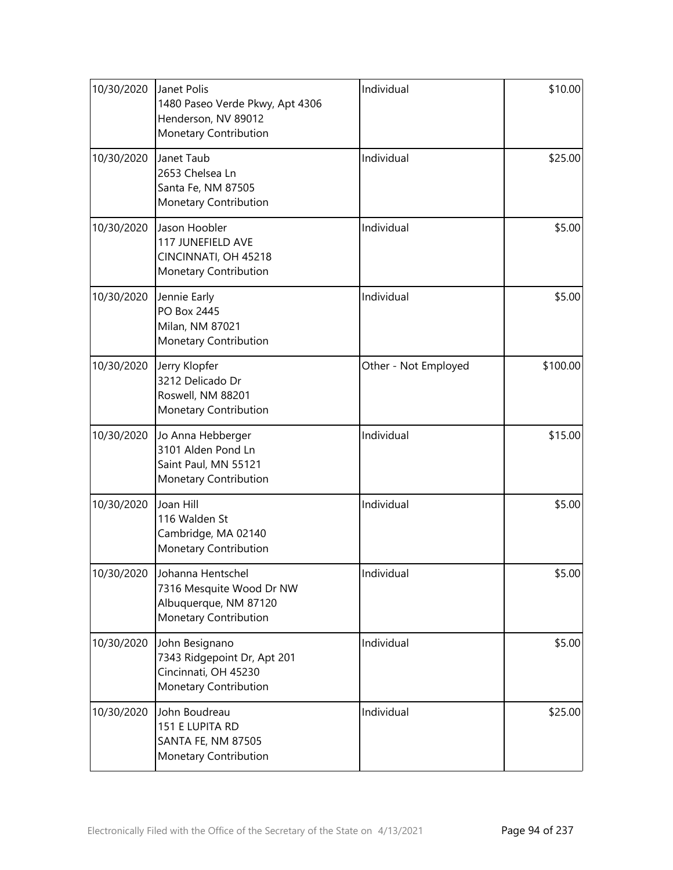| 10/30/2020 | Janet Polis<br>1480 Paseo Verde Pkwy, Apt 4306<br>Henderson, NV 89012<br>Monetary Contribution  | Individual           | \$10.00  |
|------------|-------------------------------------------------------------------------------------------------|----------------------|----------|
| 10/30/2020 | Janet Taub<br>2653 Chelsea Ln<br>Santa Fe, NM 87505<br>Monetary Contribution                    | Individual           | \$25.00  |
| 10/30/2020 | Jason Hoobler<br>117 JUNEFIELD AVE<br>CINCINNATI, OH 45218<br>Monetary Contribution             | Individual           | \$5.00   |
| 10/30/2020 | Jennie Early<br>PO Box 2445<br>Milan, NM 87021<br>Monetary Contribution                         | Individual           | \$5.00   |
| 10/30/2020 | Jerry Klopfer<br>3212 Delicado Dr<br>Roswell, NM 88201<br>Monetary Contribution                 | Other - Not Employed | \$100.00 |
| 10/30/2020 | Jo Anna Hebberger<br>3101 Alden Pond Ln<br>Saint Paul, MN 55121<br>Monetary Contribution        | Individual           | \$15.00  |
| 10/30/2020 | Joan Hill<br>116 Walden St<br>Cambridge, MA 02140<br>Monetary Contribution                      | Individual           | \$5.00   |
| 10/30/2020 | Johanna Hentschel<br>7316 Mesquite Wood Dr NW<br>Albuquerque, NM 87120<br>Monetary Contribution | Individual           | \$5.00   |
| 10/30/2020 | John Besignano<br>7343 Ridgepoint Dr, Apt 201<br>Cincinnati, OH 45230<br>Monetary Contribution  | Individual           | \$5.00   |
| 10/30/2020 | John Boudreau<br>151 E LUPITA RD<br>SANTA FE, NM 87505<br>Monetary Contribution                 | Individual           | \$25.00  |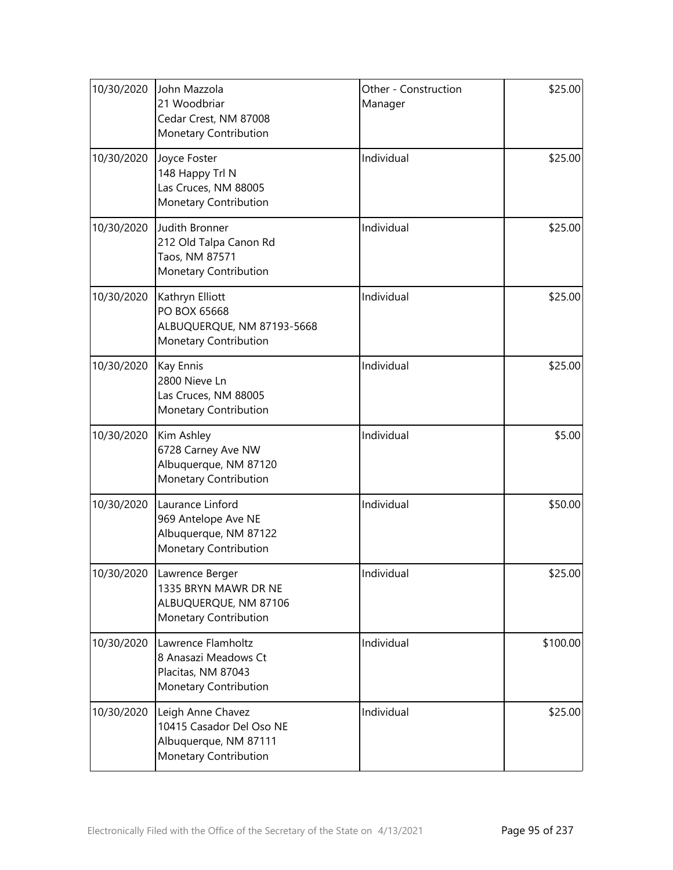| 10/30/2020 | John Mazzola<br>21 Woodbriar<br>Cedar Crest, NM 87008<br>Monetary Contribution                       | Other - Construction<br>Manager | \$25.00  |
|------------|------------------------------------------------------------------------------------------------------|---------------------------------|----------|
| 10/30/2020 | Joyce Foster<br>148 Happy Trl N<br>Las Cruces, NM 88005<br>Monetary Contribution                     | Individual                      | \$25.00  |
| 10/30/2020 | Judith Bronner<br>212 Old Talpa Canon Rd<br>Taos, NM 87571<br>Monetary Contribution                  | Individual                      | \$25.00  |
| 10/30/2020 | Kathryn Elliott<br>PO BOX 65668<br>ALBUQUERQUE, NM 87193-5668<br>Monetary Contribution               | Individual                      | \$25.00  |
| 10/30/2020 | Kay Ennis<br>2800 Nieve Ln<br>Las Cruces, NM 88005<br>Monetary Contribution                          | Individual                      | \$25.00  |
| 10/30/2020 | Kim Ashley<br>6728 Carney Ave NW<br>Albuquerque, NM 87120<br>Monetary Contribution                   | Individual                      | \$5.00   |
| 10/30/2020 | Laurance Linford<br>969 Antelope Ave NE<br>Albuquerque, NM 87122<br>Monetary Contribution            | Individual                      | \$50.00  |
|            | 10/30/2020 Lawrence Berger<br>1335 BRYN MAWR DR NE<br>ALBUQUERQUE, NM 87106<br>Monetary Contribution | Individual                      | \$25.00  |
| 10/30/2020 | Lawrence Flamholtz<br>8 Anasazi Meadows Ct<br>Placitas, NM 87043<br>Monetary Contribution            | Individual                      | \$100.00 |
| 10/30/2020 | Leigh Anne Chavez<br>10415 Casador Del Oso NE<br>Albuquerque, NM 87111<br>Monetary Contribution      | Individual                      | \$25.00  |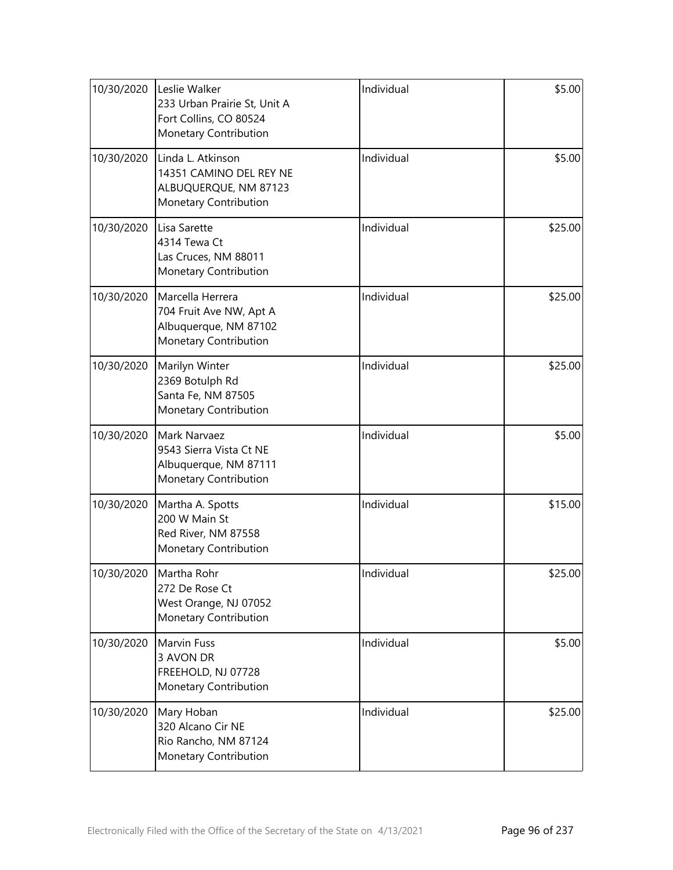| 10/30/2020 | Leslie Walker<br>233 Urban Prairie St, Unit A<br>Fort Collins, CO 80524<br>Monetary Contribution | Individual | \$5.00  |
|------------|--------------------------------------------------------------------------------------------------|------------|---------|
| 10/30/2020 | Linda L. Atkinson<br>14351 CAMINO DEL REY NE<br>ALBUQUERQUE, NM 87123<br>Monetary Contribution   | Individual | \$5.00  |
| 10/30/2020 | Lisa Sarette<br>4314 Tewa Ct<br>Las Cruces, NM 88011<br>Monetary Contribution                    | Individual | \$25.00 |
| 10/30/2020 | Marcella Herrera<br>704 Fruit Ave NW, Apt A<br>Albuquerque, NM 87102<br>Monetary Contribution    | Individual | \$25.00 |
| 10/30/2020 | Marilyn Winter<br>2369 Botulph Rd<br>Santa Fe, NM 87505<br>Monetary Contribution                 | Individual | \$25.00 |
| 10/30/2020 | Mark Narvaez<br>9543 Sierra Vista Ct NE<br>Albuquerque, NM 87111<br>Monetary Contribution        | Individual | \$5.00  |
| 10/30/2020 | Martha A. Spotts<br>200 W Main St<br>Red River, NM 87558<br>Monetary Contribution                | Individual | \$15.00 |
| 10/30/2020 | Martha Rohr<br>272 De Rose Ct<br>West Orange, NJ 07052<br>Monetary Contribution                  | Individual | \$25.00 |
| 10/30/2020 | <b>Marvin Fuss</b><br>3 AVON DR<br>FREEHOLD, NJ 07728<br>Monetary Contribution                   | Individual | \$5.00  |
| 10/30/2020 | Mary Hoban<br>320 Alcano Cir NE<br>Rio Rancho, NM 87124<br>Monetary Contribution                 | Individual | \$25.00 |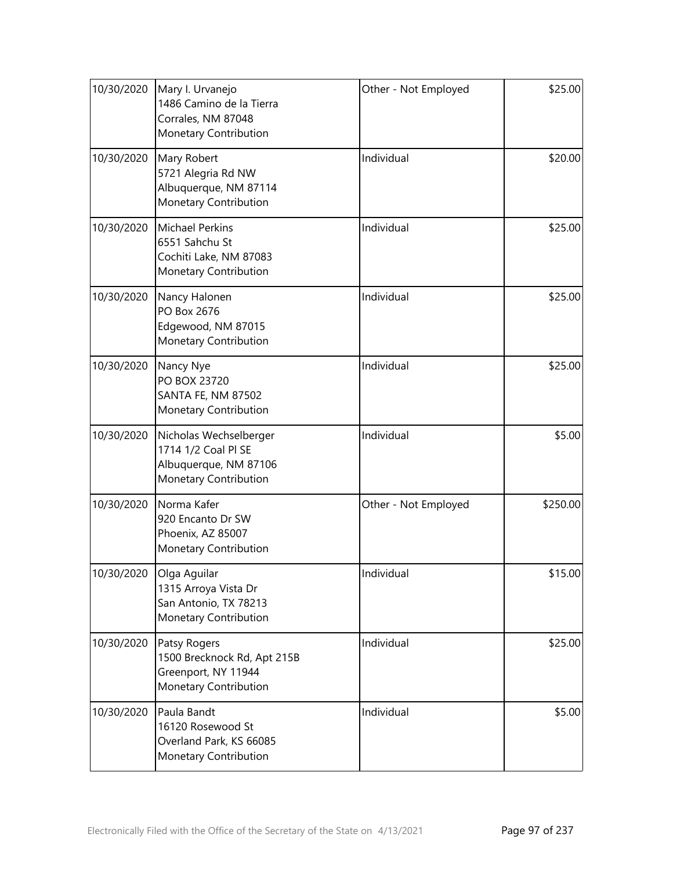| 10/30/2020 | Mary I. Urvanejo<br>1486 Camino de la Tierra<br>Corrales, NM 87048<br>Monetary Contribution     | Other - Not Employed | \$25.00  |
|------------|-------------------------------------------------------------------------------------------------|----------------------|----------|
| 10/30/2020 | Mary Robert<br>5721 Alegria Rd NW<br>Albuquerque, NM 87114<br>Monetary Contribution             | Individual           | \$20.00  |
| 10/30/2020 | <b>Michael Perkins</b><br>6551 Sahchu St<br>Cochiti Lake, NM 87083<br>Monetary Contribution     | Individual           | \$25.00  |
| 10/30/2020 | Nancy Halonen<br>PO Box 2676<br>Edgewood, NM 87015<br>Monetary Contribution                     | Individual           | \$25.00  |
| 10/30/2020 | Nancy Nye<br>PO BOX 23720<br>SANTA FE, NM 87502<br>Monetary Contribution                        | Individual           | \$25.00  |
| 10/30/2020 | Nicholas Wechselberger<br>1714 1/2 Coal PI SE<br>Albuquerque, NM 87106<br>Monetary Contribution | Individual           | \$5.00   |
| 10/30/2020 | Norma Kafer<br>920 Encanto Dr SW<br>Phoenix, AZ 85007<br>Monetary Contribution                  | Other - Not Employed | \$250.00 |
| 10/30/2020 | Olga Aguilar<br>1315 Arroya Vista Dr<br>San Antonio, TX 78213<br>Monetary Contribution          | Individual           | \$15.00  |
| 10/30/2020 | Patsy Rogers<br>1500 Brecknock Rd, Apt 215B<br>Greenport, NY 11944<br>Monetary Contribution     | Individual           | \$25.00  |
| 10/30/2020 | Paula Bandt<br>16120 Rosewood St<br>Overland Park, KS 66085<br>Monetary Contribution            | Individual           | \$5.00   |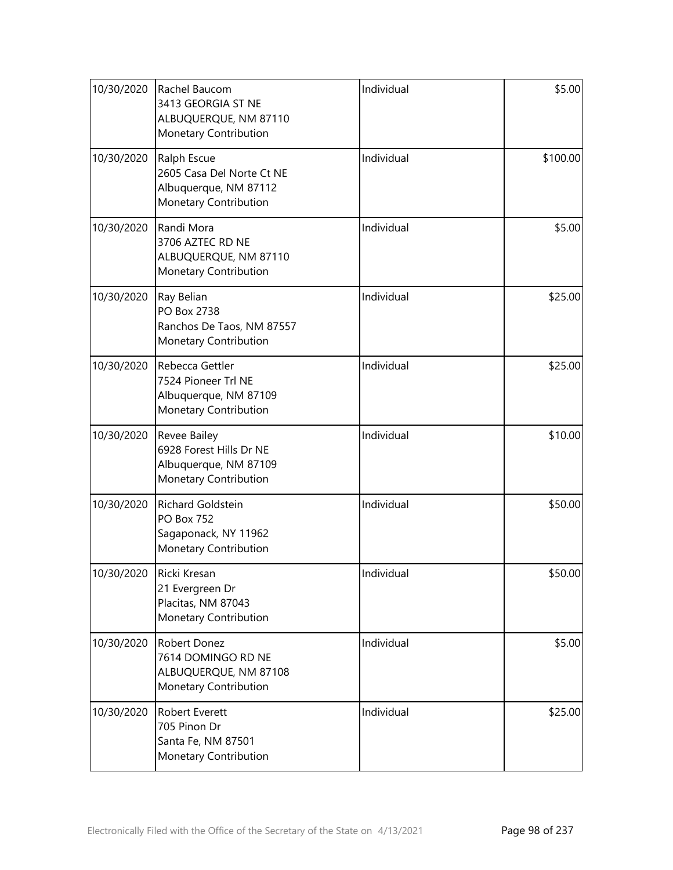| 10/30/2020 | Rachel Baucom<br>3413 GEORGIA ST NE<br>ALBUQUERQUE, NM 87110<br>Monetary Contribution      | Individual | \$5.00   |
|------------|--------------------------------------------------------------------------------------------|------------|----------|
| 10/30/2020 | Ralph Escue<br>2605 Casa Del Norte Ct NE<br>Albuquerque, NM 87112<br>Monetary Contribution | Individual | \$100.00 |
| 10/30/2020 | Randi Mora<br>3706 AZTEC RD NE<br>ALBUQUERQUE, NM 87110<br>Monetary Contribution           | Individual | \$5.00   |
| 10/30/2020 | Ray Belian<br>PO Box 2738<br>Ranchos De Taos, NM 87557<br>Monetary Contribution            | Individual | \$25.00  |
| 10/30/2020 | Rebecca Gettler<br>7524 Pioneer Trl NE<br>Albuquerque, NM 87109<br>Monetary Contribution   | Individual | \$25.00  |
| 10/30/2020 | Revee Bailey<br>6928 Forest Hills Dr NE<br>Albuquerque, NM 87109<br>Monetary Contribution  | Individual | \$10.00  |
| 10/30/2020 | Richard Goldstein<br><b>PO Box 752</b><br>Sagaponack, NY 11962<br>Monetary Contribution    | Individual | \$50.00  |
| 10/30/2020 | Ricki Kresan<br>21 Evergreen Dr<br>Placitas, NM 87043<br><b>Monetary Contribution</b>      | Individual | \$50.00  |
| 10/30/2020 | Robert Donez<br>7614 DOMINGO RD NE<br>ALBUQUERQUE, NM 87108<br>Monetary Contribution       | Individual | \$5.00   |
| 10/30/2020 | Robert Everett<br>705 Pinon Dr<br>Santa Fe, NM 87501<br>Monetary Contribution              | Individual | \$25.00  |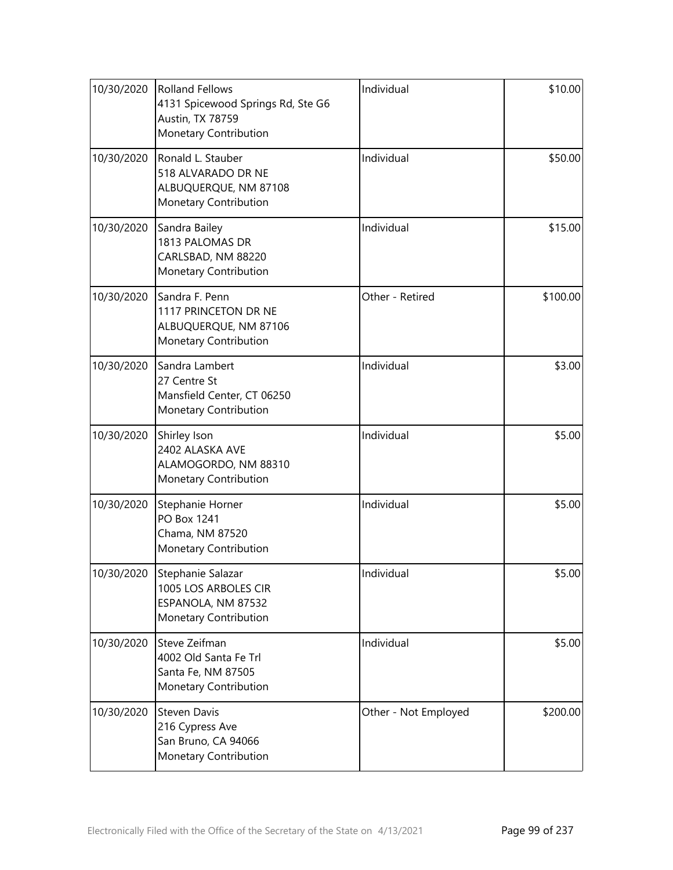| 10/30/2020 | <b>Rolland Fellows</b><br>4131 Spicewood Springs Rd, Ste G6<br>Austin, TX 78759<br>Monetary Contribution | Individual           | \$10.00  |
|------------|----------------------------------------------------------------------------------------------------------|----------------------|----------|
| 10/30/2020 | Ronald L. Stauber<br>518 ALVARADO DR NE<br>ALBUQUERQUE, NM 87108<br>Monetary Contribution                | Individual           | \$50.00  |
| 10/30/2020 | Sandra Bailey<br>1813 PALOMAS DR<br>CARLSBAD, NM 88220<br>Monetary Contribution                          | Individual           | \$15.00  |
| 10/30/2020 | Sandra F. Penn<br>1117 PRINCETON DR NE<br>ALBUQUERQUE, NM 87106<br>Monetary Contribution                 | Other - Retired      | \$100.00 |
| 10/30/2020 | Sandra Lambert<br>27 Centre St<br>Mansfield Center, CT 06250<br>Monetary Contribution                    | Individual           | \$3.00   |
| 10/30/2020 | Shirley Ison<br>2402 ALASKA AVE<br>ALAMOGORDO, NM 88310<br>Monetary Contribution                         | Individual           | \$5.00   |
| 10/30/2020 | Stephanie Horner<br><b>PO Box 1241</b><br>Chama, NM 87520<br>Monetary Contribution                       | Individual           | \$5.00   |
| 10/30/2020 | Stephanie Salazar<br>1005 LOS ARBOLES CIR<br>ESPANOLA, NM 87532<br>Monetary Contribution                 | Individual           | \$5.00   |
| 10/30/2020 | Steve Zeifman<br>4002 Old Santa Fe Trl<br>Santa Fe, NM 87505<br>Monetary Contribution                    | Individual           | \$5.00   |
| 10/30/2020 | <b>Steven Davis</b><br>216 Cypress Ave<br>San Bruno, CA 94066<br>Monetary Contribution                   | Other - Not Employed | \$200.00 |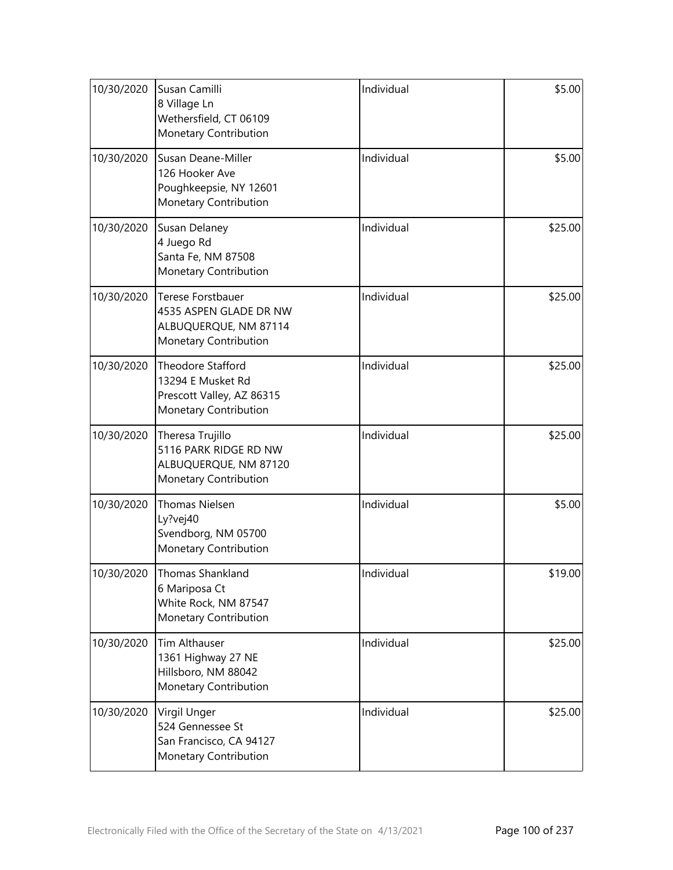| 10/30/2020 | Susan Camilli<br>8 Village Ln<br>Wethersfield, CT 06109<br>Monetary Contribution              | Individual | \$5.00  |
|------------|-----------------------------------------------------------------------------------------------|------------|---------|
| 10/30/2020 | Susan Deane-Miller<br>126 Hooker Ave<br>Poughkeepsie, NY 12601<br>Monetary Contribution       | Individual | \$5.00  |
| 10/30/2020 | Susan Delaney<br>4 Juego Rd<br>Santa Fe, NM 87508<br>Monetary Contribution                    | Individual | \$25.00 |
| 10/30/2020 | Terese Forstbauer<br>4535 ASPEN GLADE DR NW<br>ALBUQUERQUE, NM 87114<br>Monetary Contribution | Individual | \$25.00 |
| 10/30/2020 | Theodore Stafford<br>13294 E Musket Rd<br>Prescott Valley, AZ 86315<br>Monetary Contribution  | Individual | \$25.00 |
| 10/30/2020 | Theresa Trujillo<br>5116 PARK RIDGE RD NW<br>ALBUQUERQUE, NM 87120<br>Monetary Contribution   | Individual | \$25.00 |
| 10/30/2020 | <b>Thomas Nielsen</b><br>Ly?vej40<br>Svendborg, NM 05700<br>Monetary Contribution             | Individual | \$5.00  |
| 10/30/2020 | Thomas Shankland<br>6 Mariposa Ct<br>White Rock, NM 87547<br>Monetary Contribution            | Individual | \$19.00 |
| 10/30/2020 | Tim Althauser<br>1361 Highway 27 NE<br>Hillsboro, NM 88042<br>Monetary Contribution           | Individual | \$25.00 |
| 10/30/2020 | Virgil Unger<br>524 Gennessee St<br>San Francisco, CA 94127<br>Monetary Contribution          | Individual | \$25.00 |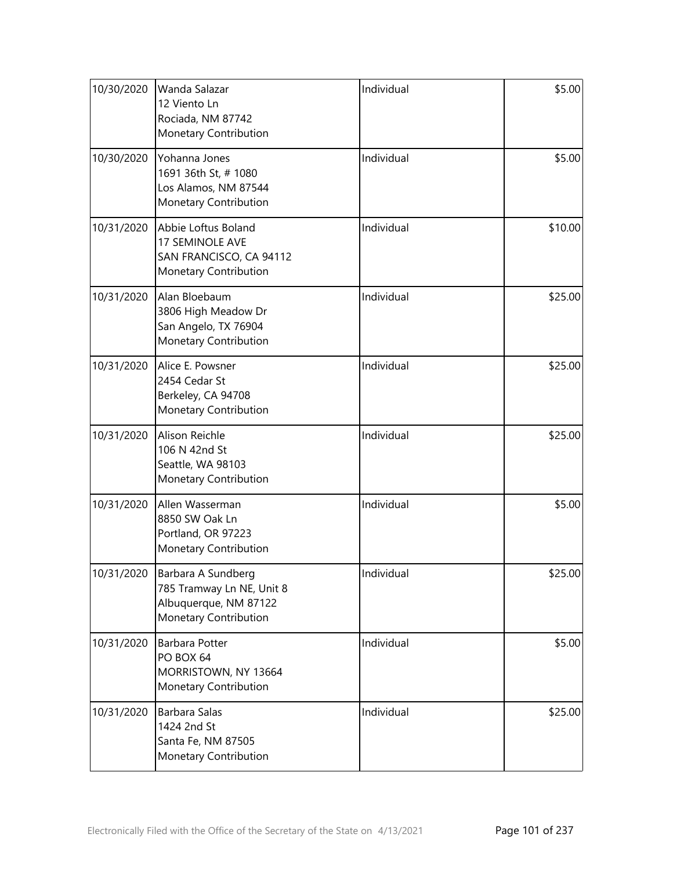| 10/30/2020 | Wanda Salazar<br>12 Viento Ln<br>Rociada, NM 87742<br>Monetary Contribution                       | Individual | \$5.00  |
|------------|---------------------------------------------------------------------------------------------------|------------|---------|
| 10/30/2020 | Yohanna Jones<br>1691 36th St, # 1080<br>Los Alamos, NM 87544<br>Monetary Contribution            | Individual | \$5.00  |
| 10/31/2020 | Abbie Loftus Boland<br>17 SEMINOLE AVE<br>SAN FRANCISCO, CA 94112<br>Monetary Contribution        | Individual | \$10.00 |
| 10/31/2020 | Alan Bloebaum<br>3806 High Meadow Dr<br>San Angelo, TX 76904<br>Monetary Contribution             | Individual | \$25.00 |
| 10/31/2020 | Alice E. Powsner<br>2454 Cedar St<br>Berkeley, CA 94708<br>Monetary Contribution                  | Individual | \$25.00 |
| 10/31/2020 | Alison Reichle<br>106 N 42nd St<br>Seattle, WA 98103<br>Monetary Contribution                     | Individual | \$25.00 |
| 10/31/2020 | Allen Wasserman<br>8850 SW Oak Ln<br>Portland, OR 97223<br>Monetary Contribution                  | Individual | \$5.00  |
| 10/31/2020 | Barbara A Sundberg<br>785 Tramway Ln NE, Unit 8<br>Albuquerque, NM 87122<br>Monetary Contribution | Individual | \$25.00 |
| 10/31/2020 | <b>Barbara Potter</b><br>PO BOX 64<br>MORRISTOWN, NY 13664<br>Monetary Contribution               | Individual | \$5.00  |
| 10/31/2020 | Barbara Salas<br>1424 2nd St<br>Santa Fe, NM 87505<br>Monetary Contribution                       | Individual | \$25.00 |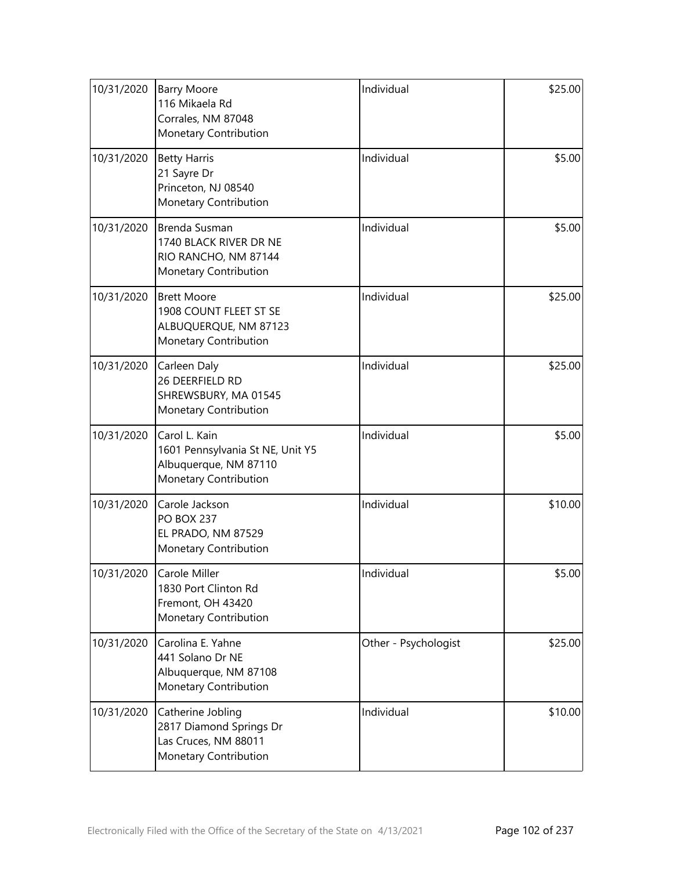| 10/31/2020 | <b>Barry Moore</b><br>116 Mikaela Rd<br>Corrales, NM 87048<br>Monetary Contribution                 | Individual           | \$25.00 |
|------------|-----------------------------------------------------------------------------------------------------|----------------------|---------|
| 10/31/2020 | <b>Betty Harris</b><br>21 Sayre Dr<br>Princeton, NJ 08540<br>Monetary Contribution                  | Individual           | \$5.00  |
| 10/31/2020 | Brenda Susman<br>1740 BLACK RIVER DR NE<br>RIO RANCHO, NM 87144<br>Monetary Contribution            | Individual           | \$5.00  |
| 10/31/2020 | <b>Brett Moore</b><br>1908 COUNT FLEET ST SE<br>ALBUQUERQUE, NM 87123<br>Monetary Contribution      | Individual           | \$25.00 |
| 10/31/2020 | Carleen Daly<br>26 DEERFIELD RD<br>SHREWSBURY, MA 01545<br>Monetary Contribution                    | Individual           | \$25.00 |
| 10/31/2020 | Carol L. Kain<br>1601 Pennsylvania St NE, Unit Y5<br>Albuquerque, NM 87110<br>Monetary Contribution | Individual           | \$5.00  |
| 10/31/2020 | Carole Jackson<br><b>PO BOX 237</b><br>EL PRADO, NM 87529<br>Monetary Contribution                  | Individual           | \$10.00 |
| 10/31/2020 | Carole Miller<br>1830 Port Clinton Rd<br>Fremont, OH 43420<br>Monetary Contribution                 | Individual           | \$5.00  |
| 10/31/2020 | Carolina E. Yahne<br>441 Solano Dr NE<br>Albuquerque, NM 87108<br>Monetary Contribution             | Other - Psychologist | \$25.00 |
| 10/31/2020 | Catherine Jobling<br>2817 Diamond Springs Dr<br>Las Cruces, NM 88011<br>Monetary Contribution       | Individual           | \$10.00 |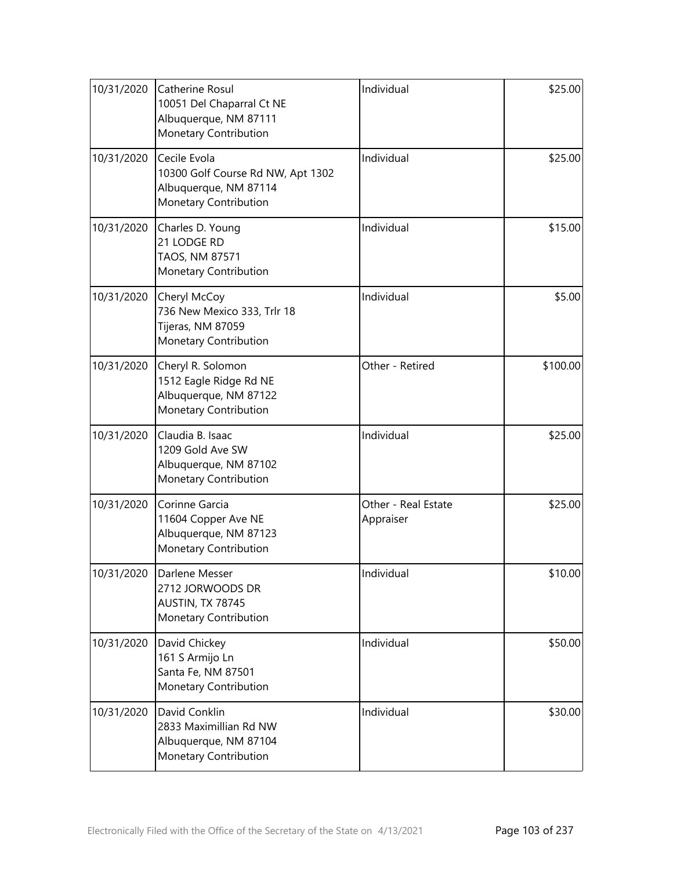| 10/31/2020 | Catherine Rosul<br>10051 Del Chaparral Ct NE<br>Albuquerque, NM 87111<br>Monetary Contribution      | Individual                       | \$25.00  |
|------------|-----------------------------------------------------------------------------------------------------|----------------------------------|----------|
| 10/31/2020 | Cecile Evola<br>10300 Golf Course Rd NW, Apt 1302<br>Albuquerque, NM 87114<br>Monetary Contribution | Individual                       | \$25.00  |
| 10/31/2020 | Charles D. Young<br>21 LODGE RD<br>TAOS, NM 87571<br>Monetary Contribution                          | Individual                       | \$15.00  |
| 10/31/2020 | Cheryl McCoy<br>736 New Mexico 333, Trlr 18<br>Tijeras, NM 87059<br>Monetary Contribution           | Individual                       | \$5.00   |
| 10/31/2020 | Cheryl R. Solomon<br>1512 Eagle Ridge Rd NE<br>Albuquerque, NM 87122<br>Monetary Contribution       | Other - Retired                  | \$100.00 |
| 10/31/2020 | Claudia B. Isaac<br>1209 Gold Ave SW<br>Albuquerque, NM 87102<br>Monetary Contribution              | Individual                       | \$25.00  |
| 10/31/2020 | Corinne Garcia<br>11604 Copper Ave NE<br>Albuquerque, NM 87123<br>Monetary Contribution             | Other - Real Estate<br>Appraiser | \$25.00  |
| 10/31/2020 | Darlene Messer<br>2712 JORWOODS DR<br>AUSTIN, TX 78745<br>Monetary Contribution                     | Individual                       | \$10.00  |
| 10/31/2020 | David Chickey<br>161 S Armijo Ln<br>Santa Fe, NM 87501<br>Monetary Contribution                     | Individual                       | \$50.00  |
| 10/31/2020 | David Conklin<br>2833 Maximillian Rd NW<br>Albuquerque, NM 87104<br>Monetary Contribution           | Individual                       | \$30.00  |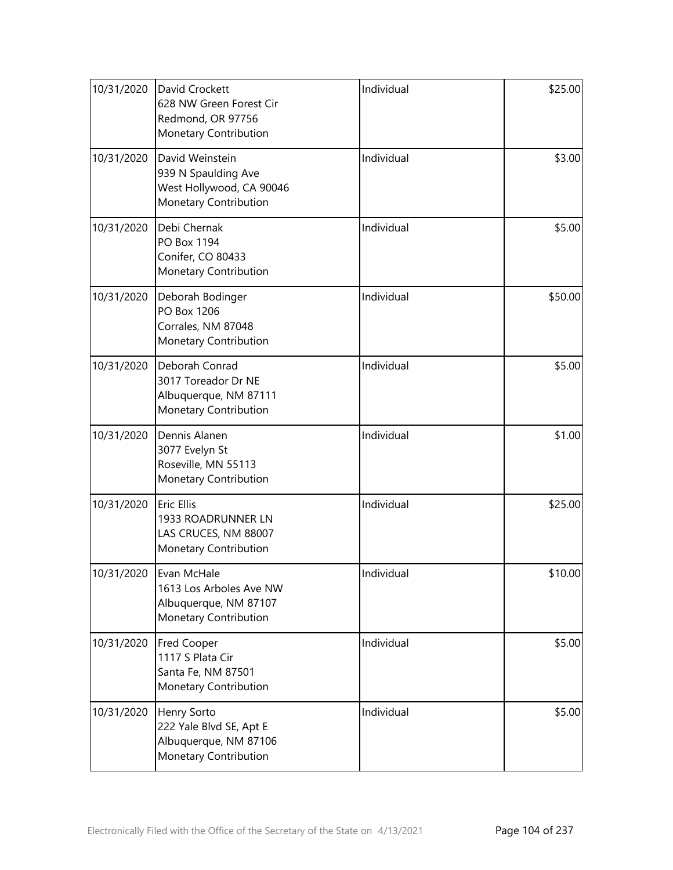| 10/31/2020 | David Crockett<br>628 NW Green Forest Cir<br>Redmond, OR 97756<br>Monetary Contribution     | Individual | \$25.00 |
|------------|---------------------------------------------------------------------------------------------|------------|---------|
| 10/31/2020 | David Weinstein<br>939 N Spaulding Ave<br>West Hollywood, CA 90046<br>Monetary Contribution | Individual | \$3.00  |
| 10/31/2020 | Debi Chernak<br>PO Box 1194<br>Conifer, CO 80433<br>Monetary Contribution                   | Individual | \$5.00  |
| 10/31/2020 | Deborah Bodinger<br>PO Box 1206<br>Corrales, NM 87048<br>Monetary Contribution              | Individual | \$50.00 |
| 10/31/2020 | Deborah Conrad<br>3017 Toreador Dr NE<br>Albuquerque, NM 87111<br>Monetary Contribution     | Individual | \$5.00  |
| 10/31/2020 | Dennis Alanen<br>3077 Evelyn St<br>Roseville, MN 55113<br>Monetary Contribution             | Individual | \$1.00  |
| 10/31/2020 | Eric Ellis<br>1933 ROADRUNNER LN<br>LAS CRUCES, NM 88007<br>Monetary Contribution           | Individual | \$25.00 |
| 10/31/2020 | Evan McHale<br>1613 Los Arboles Ave NW<br>Albuquerque, NM 87107<br>Monetary Contribution    | Individual | \$10.00 |
| 10/31/2020 | <b>Fred Cooper</b><br>1117 S Plata Cir<br>Santa Fe, NM 87501<br>Monetary Contribution       | Individual | \$5.00  |
| 10/31/2020 | Henry Sorto<br>222 Yale Blvd SE, Apt E<br>Albuquerque, NM 87106<br>Monetary Contribution    | Individual | \$5.00  |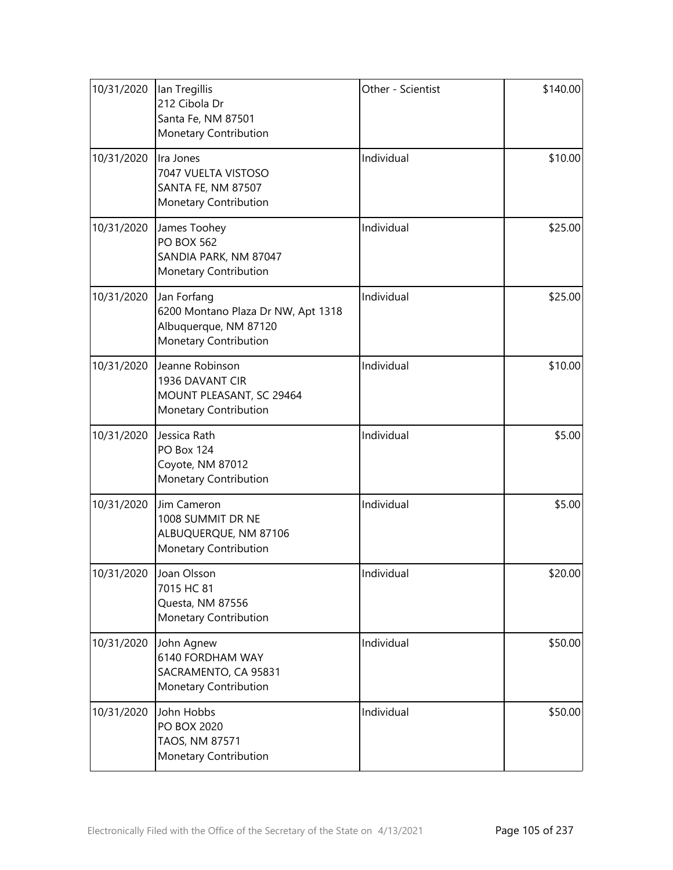| 10/31/2020 | lan Tregillis<br>212 Cibola Dr<br>Santa Fe, NM 87501<br>Monetary Contribution                       | Other - Scientist | \$140.00 |
|------------|-----------------------------------------------------------------------------------------------------|-------------------|----------|
| 10/31/2020 | Ira Jones<br>7047 VUELTA VISTOSO<br>SANTA FE, NM 87507<br>Monetary Contribution                     | Individual        | \$10.00  |
| 10/31/2020 | James Toohey<br><b>PO BOX 562</b><br>SANDIA PARK, NM 87047<br>Monetary Contribution                 | Individual        | \$25.00  |
| 10/31/2020 | Jan Forfang<br>6200 Montano Plaza Dr NW, Apt 1318<br>Albuquerque, NM 87120<br>Monetary Contribution | Individual        | \$25.00  |
| 10/31/2020 | Jeanne Robinson<br>1936 DAVANT CIR<br>MOUNT PLEASANT, SC 29464<br>Monetary Contribution             | Individual        | \$10.00  |
| 10/31/2020 | Jessica Rath<br><b>PO Box 124</b><br>Coyote, NM 87012<br>Monetary Contribution                      | Individual        | \$5.00   |
| 10/31/2020 | Jim Cameron<br>1008 SUMMIT DR NE<br>ALBUQUERQUE, NM 87106<br>Monetary Contribution                  | Individual        | \$5.00   |
| 10/31/2020 | Joan Olsson<br>7015 HC 81<br>Questa, NM 87556<br>Monetary Contribution                              | Individual        | \$20.00  |
| 10/31/2020 | John Agnew<br>6140 FORDHAM WAY<br>SACRAMENTO, CA 95831<br>Monetary Contribution                     | Individual        | \$50.00  |
| 10/31/2020 | John Hobbs<br>PO BOX 2020<br>TAOS, NM 87571<br>Monetary Contribution                                | Individual        | \$50.00  |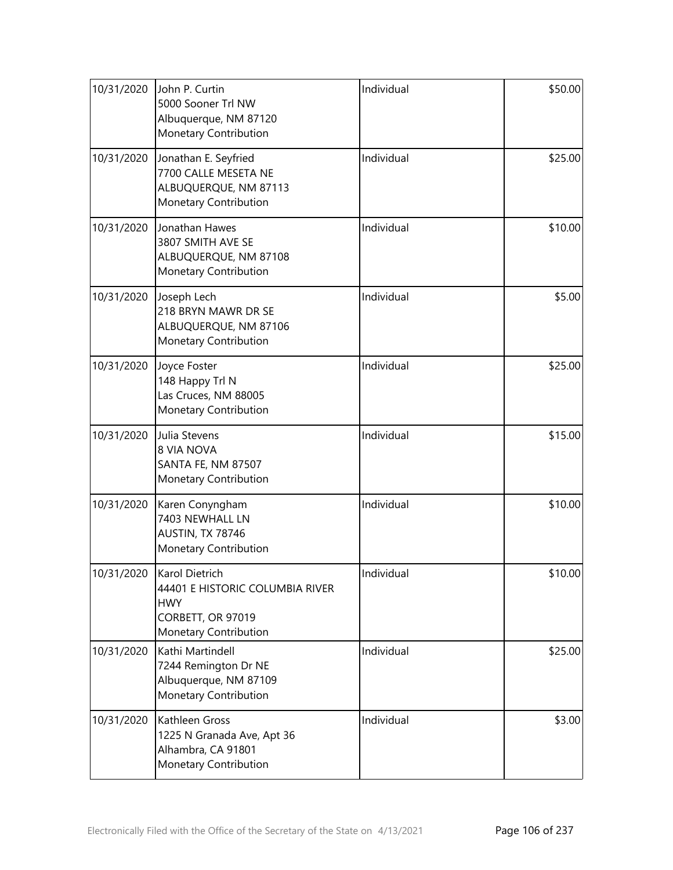| 10/31/2020 | John P. Curtin<br>5000 Sooner Trl NW<br>Albuquerque, NM 87120<br>Monetary Contribution                        | Individual | \$50.00 |
|------------|---------------------------------------------------------------------------------------------------------------|------------|---------|
| 10/31/2020 | Jonathan E. Seyfried<br>7700 CALLE MESETA NE<br>ALBUQUERQUE, NM 87113<br>Monetary Contribution                | Individual | \$25.00 |
| 10/31/2020 | Jonathan Hawes<br>3807 SMITH AVE SE<br>ALBUQUERQUE, NM 87108<br>Monetary Contribution                         | Individual | \$10.00 |
| 10/31/2020 | Joseph Lech<br>218 BRYN MAWR DR SE<br>ALBUQUERQUE, NM 87106<br>Monetary Contribution                          | Individual | \$5.00  |
| 10/31/2020 | Joyce Foster<br>148 Happy Trl N<br>Las Cruces, NM 88005<br>Monetary Contribution                              | Individual | \$25.00 |
| 10/31/2020 | Julia Stevens<br><b>8 VIA NOVA</b><br>SANTA FE, NM 87507<br>Monetary Contribution                             | Individual | \$15.00 |
| 10/31/2020 | Karen Conyngham<br>7403 NEWHALL LN<br>AUSTIN, TX 78746<br>Monetary Contribution                               | Individual | \$10.00 |
| 10/31/2020 | Karol Dietrich<br>44401 E HISTORIC COLUMBIA RIVER<br><b>HWY</b><br>CORBETT, OR 97019<br>Monetary Contribution | Individual | \$10.00 |
| 10/31/2020 | Kathi Martindell<br>7244 Remington Dr NE<br>Albuquerque, NM 87109<br>Monetary Contribution                    | Individual | \$25.00 |
| 10/31/2020 | Kathleen Gross<br>1225 N Granada Ave, Apt 36<br>Alhambra, CA 91801<br>Monetary Contribution                   | Individual | \$3.00  |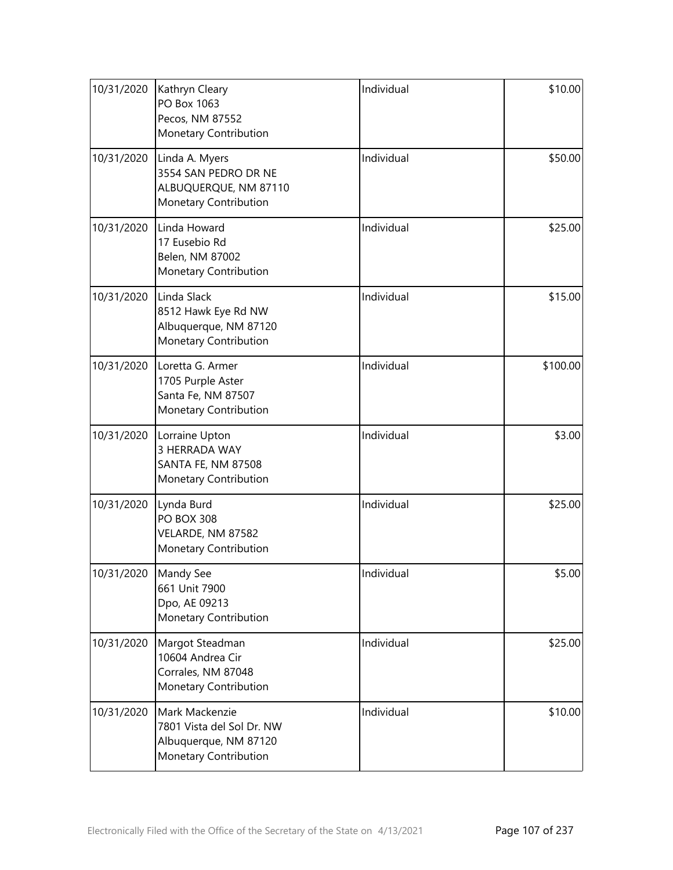| 10/31/2020 | Kathryn Cleary<br>PO Box 1063<br>Pecos, NM 87552<br>Monetary Contribution                     | Individual | \$10.00  |
|------------|-----------------------------------------------------------------------------------------------|------------|----------|
| 10/31/2020 | Linda A. Myers<br>3554 SAN PEDRO DR NE<br>ALBUQUERQUE, NM 87110<br>Monetary Contribution      | Individual | \$50.00  |
| 10/31/2020 | Linda Howard<br>17 Eusebio Rd<br>Belen, NM 87002<br>Monetary Contribution                     | Individual | \$25.00  |
| 10/31/2020 | Linda Slack<br>8512 Hawk Eye Rd NW<br>Albuquerque, NM 87120<br>Monetary Contribution          | Individual | \$15.00  |
| 10/31/2020 | Loretta G. Armer<br>1705 Purple Aster<br>Santa Fe, NM 87507<br>Monetary Contribution          | Individual | \$100.00 |
| 10/31/2020 | Lorraine Upton<br>3 HERRADA WAY<br>SANTA FE, NM 87508<br>Monetary Contribution                | Individual | \$3.00   |
| 10/31/2020 | Lynda Burd<br><b>PO BOX 308</b><br>VELARDE, NM 87582<br>Monetary Contribution                 | Individual | \$25.00  |
| 10/31/2020 | Mandy See<br>661 Unit 7900<br>Dpo, AE 09213<br>Monetary Contribution                          | Individual | \$5.00   |
| 10/31/2020 | Margot Steadman<br>10604 Andrea Cir<br>Corrales, NM 87048<br>Monetary Contribution            | Individual | \$25.00  |
| 10/31/2020 | Mark Mackenzie<br>7801 Vista del Sol Dr. NW<br>Albuquerque, NM 87120<br>Monetary Contribution | Individual | \$10.00  |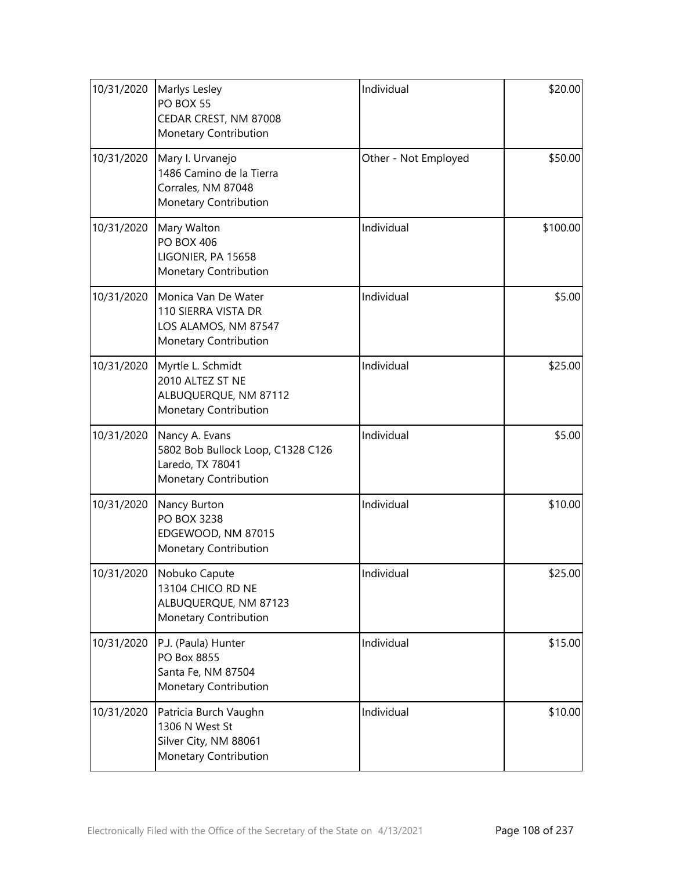| 10/31/2020 | Marlys Lesley<br>PO BOX 55<br>CEDAR CREST, NM 87008<br>Monetary Contribution                     | Individual           | \$20.00  |
|------------|--------------------------------------------------------------------------------------------------|----------------------|----------|
| 10/31/2020 | Mary I. Urvanejo<br>1486 Camino de la Tierra<br>Corrales, NM 87048<br>Monetary Contribution      | Other - Not Employed | \$50.00  |
| 10/31/2020 | Mary Walton<br><b>PO BOX 406</b><br>LIGONIER, PA 15658<br>Monetary Contribution                  | Individual           | \$100.00 |
| 10/31/2020 | Monica Van De Water<br>110 SIERRA VISTA DR<br>LOS ALAMOS, NM 87547<br>Monetary Contribution      | Individual           | \$5.00   |
| 10/31/2020 | Myrtle L. Schmidt<br>2010 ALTEZ ST NE<br>ALBUQUERQUE, NM 87112<br>Monetary Contribution          | Individual           | \$25.00  |
| 10/31/2020 | Nancy A. Evans<br>5802 Bob Bullock Loop, C1328 C126<br>Laredo, TX 78041<br>Monetary Contribution | Individual           | \$5.00   |
| 10/31/2020 | Nancy Burton<br>PO BOX 3238<br>EDGEWOOD, NM 87015<br>Monetary Contribution                       | Individual           | \$10.00  |
|            | 10/31/2020 Nobuko Capute<br>13104 CHICO RD NE<br>ALBUQUERQUE, NM 87123<br>Monetary Contribution  | Individual           | \$25.00  |
| 10/31/2020 | P.J. (Paula) Hunter<br>PO Box 8855<br>Santa Fe, NM 87504<br>Monetary Contribution                | Individual           | \$15.00  |
| 10/31/2020 | Patricia Burch Vaughn<br>1306 N West St<br>Silver City, NM 88061<br>Monetary Contribution        | Individual           | \$10.00  |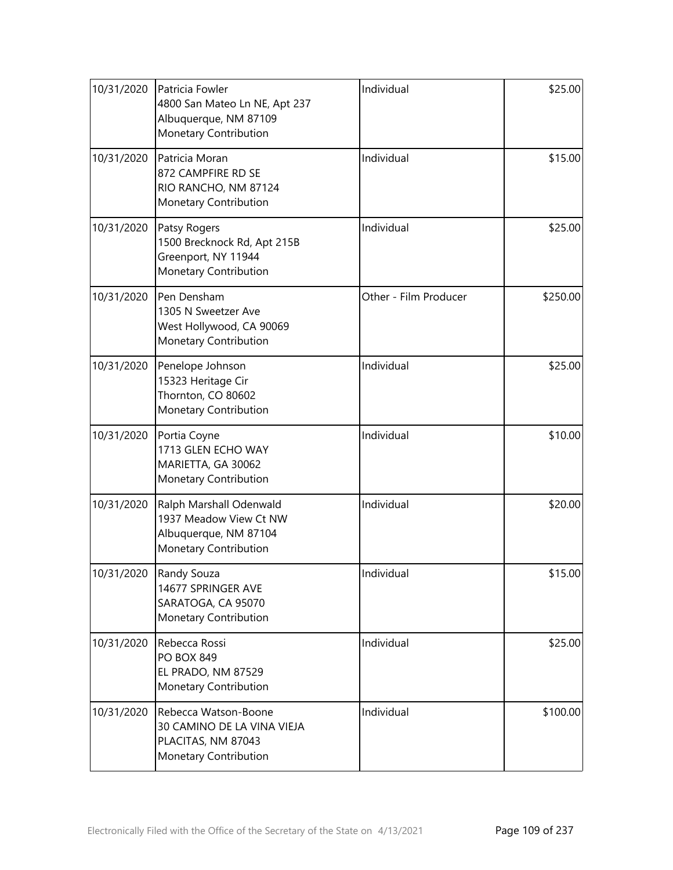| 10/31/2020 | Patricia Fowler<br>4800 San Mateo Ln NE, Apt 237<br>Albuquerque, NM 87109<br>Monetary Contribution  | Individual            | \$25.00  |
|------------|-----------------------------------------------------------------------------------------------------|-----------------------|----------|
| 10/31/2020 | Patricia Moran<br>872 CAMPFIRE RD SE<br>RIO RANCHO, NM 87124<br>Monetary Contribution               | Individual            | \$15.00  |
| 10/31/2020 | Patsy Rogers<br>1500 Brecknock Rd, Apt 215B<br>Greenport, NY 11944<br>Monetary Contribution         | Individual            | \$25.00  |
| 10/31/2020 | Pen Densham<br>1305 N Sweetzer Ave<br>West Hollywood, CA 90069<br>Monetary Contribution             | Other - Film Producer | \$250.00 |
| 10/31/2020 | Penelope Johnson<br>15323 Heritage Cir<br>Thornton, CO 80602<br>Monetary Contribution               | Individual            | \$25.00  |
| 10/31/2020 | Portia Coyne<br>1713 GLEN ECHO WAY<br>MARIETTA, GA 30062<br>Monetary Contribution                   | Individual            | \$10.00  |
| 10/31/2020 | Ralph Marshall Odenwald<br>1937 Meadow View Ct NW<br>Albuquerque, NM 87104<br>Monetary Contribution | Individual            | \$20.00  |
| 10/31/2020 | Randy Souza<br>14677 SPRINGER AVE<br>SARATOGA, CA 95070<br>Monetary Contribution                    | Individual            | \$15.00  |
| 10/31/2020 | Rebecca Rossi<br><b>PO BOX 849</b><br>EL PRADO, NM 87529<br>Monetary Contribution                   | Individual            | \$25.00  |
| 10/31/2020 | Rebecca Watson-Boone<br>30 CAMINO DE LA VINA VIEJA<br>PLACITAS, NM 87043<br>Monetary Contribution   | Individual            | \$100.00 |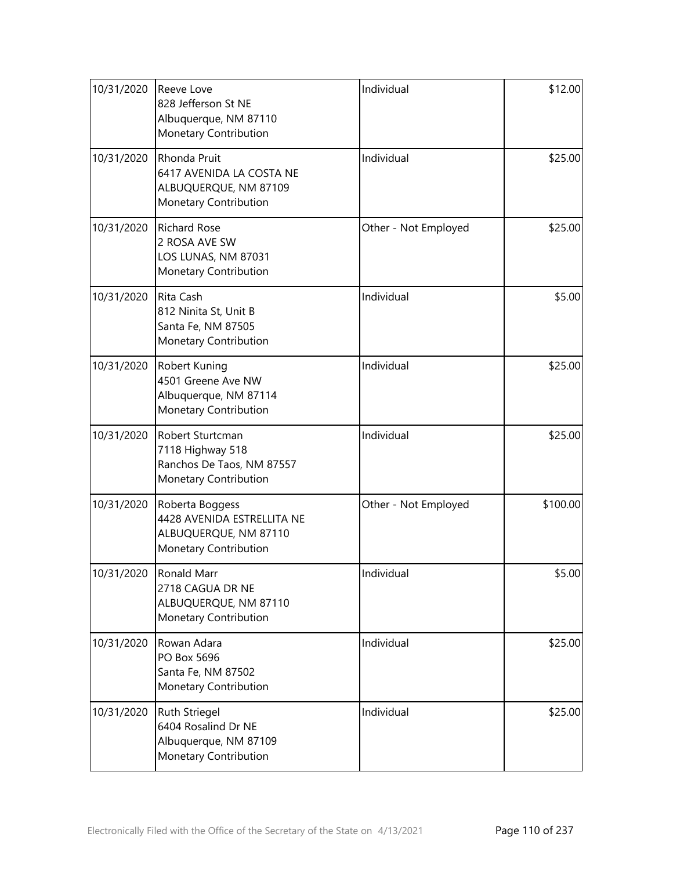| 10/31/2020 | Reeve Love<br>828 Jefferson St NE<br>Albuquerque, NM 87110<br>Monetary Contribution                    | Individual           | \$12.00  |
|------------|--------------------------------------------------------------------------------------------------------|----------------------|----------|
| 10/31/2020 | Rhonda Pruit<br>6417 AVENIDA LA COSTA NE<br>ALBUQUERQUE, NM 87109<br>Monetary Contribution             | Individual           | \$25.00  |
| 10/31/2020 | <b>Richard Rose</b><br>2 ROSA AVE SW<br>LOS LUNAS, NM 87031<br>Monetary Contribution                   | Other - Not Employed | \$25.00  |
| 10/31/2020 | Rita Cash<br>812 Ninita St, Unit B<br>Santa Fe, NM 87505<br>Monetary Contribution                      | Individual           | \$5.00   |
| 10/31/2020 | Robert Kuning<br>4501 Greene Ave NW<br>Albuquerque, NM 87114<br>Monetary Contribution                  | Individual           | \$25.00  |
| 10/31/2020 | Robert Sturtcman<br>7118 Highway 518<br>Ranchos De Taos, NM 87557<br>Monetary Contribution             | Individual           | \$25.00  |
| 10/31/2020 | Roberta Boggess<br>4428 AVENIDA ESTRELLITA NE<br>ALBUQUERQUE, NM 87110<br><b>Monetary Contribution</b> | Other - Not Employed | \$100.00 |
| 10/31/2020 | Ronald Marr<br>2718 CAGUA DR NE<br>ALBUQUERQUE, NM 87110<br>Monetary Contribution                      | Individual           | \$5.00   |
| 10/31/2020 | Rowan Adara<br>PO Box 5696<br>Santa Fe, NM 87502<br>Monetary Contribution                              | Individual           | \$25.00  |
| 10/31/2020 | Ruth Striegel<br>6404 Rosalind Dr NE<br>Albuquerque, NM 87109<br>Monetary Contribution                 | Individual           | \$25.00  |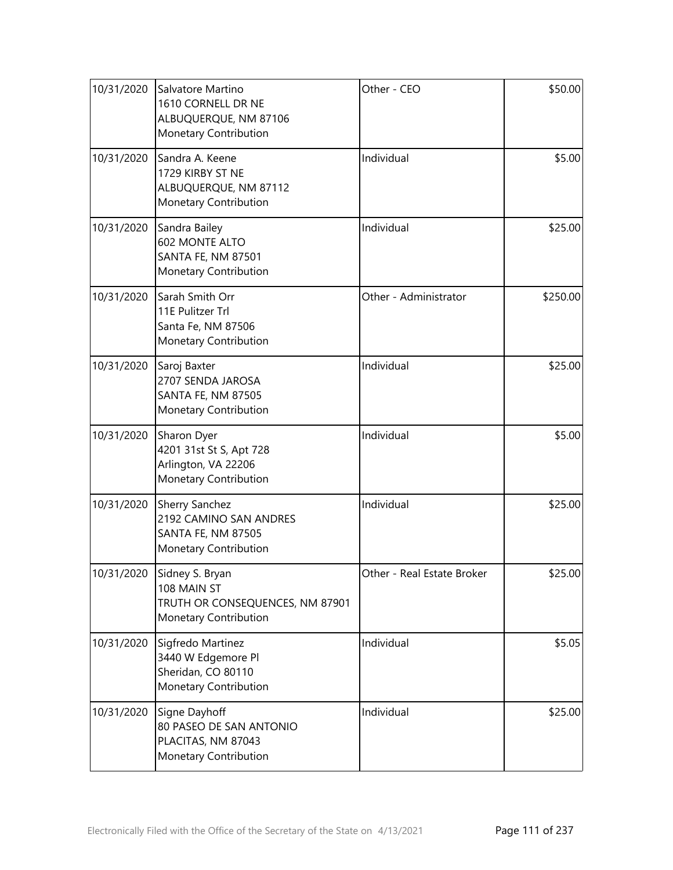| 10/31/2020 | Salvatore Martino<br>1610 CORNELL DR NE<br>ALBUQUERQUE, NM 87106<br>Monetary Contribution      | Other - CEO                | \$50.00  |
|------------|------------------------------------------------------------------------------------------------|----------------------------|----------|
| 10/31/2020 | Sandra A. Keene<br>1729 KIRBY ST NE<br>ALBUQUERQUE, NM 87112<br>Monetary Contribution          | Individual                 | \$5.00   |
| 10/31/2020 | Sandra Bailey<br>602 MONTE ALTO<br><b>SANTA FE, NM 87501</b><br>Monetary Contribution          | Individual                 | \$25.00  |
| 10/31/2020 | Sarah Smith Orr<br>11E Pulitzer Trl<br>Santa Fe, NM 87506<br>Monetary Contribution             | Other - Administrator      | \$250.00 |
| 10/31/2020 | Saroj Baxter<br>2707 SENDA JAROSA<br><b>SANTA FE, NM 87505</b><br>Monetary Contribution        | Individual                 | \$25.00  |
| 10/31/2020 | Sharon Dyer<br>4201 31st St S, Apt 728<br>Arlington, VA 22206<br>Monetary Contribution         | Individual                 | \$5.00   |
| 10/31/2020 | Sherry Sanchez<br>2192 CAMINO SAN ANDRES<br><b>SANTA FE, NM 87505</b><br>Monetary Contribution | Individual                 | \$25.00  |
| 10/31/2020 | Sidney S. Bryan<br>108 MAIN ST<br>TRUTH OR CONSEQUENCES, NM 87901<br>Monetary Contribution     | Other - Real Estate Broker | \$25.00  |
| 10/31/2020 | Sigfredo Martinez<br>3440 W Edgemore Pl<br>Sheridan, CO 80110<br>Monetary Contribution         | Individual                 | \$5.05   |
| 10/31/2020 | Signe Dayhoff<br>80 PASEO DE SAN ANTONIO<br>PLACITAS, NM 87043<br>Monetary Contribution        | Individual                 | \$25.00  |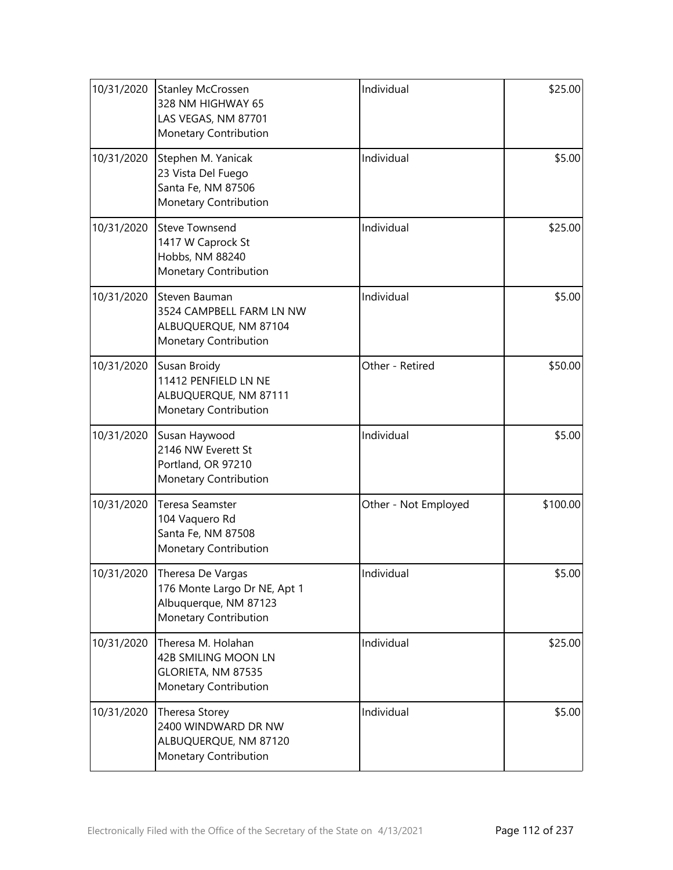| 10/31/2020 | <b>Stanley McCrossen</b><br>328 NM HIGHWAY 65<br>LAS VEGAS, NM 87701<br>Monetary Contribution       | Individual           | \$25.00  |
|------------|-----------------------------------------------------------------------------------------------------|----------------------|----------|
| 10/31/2020 | Stephen M. Yanicak<br>23 Vista Del Fuego<br>Santa Fe, NM 87506<br>Monetary Contribution             | Individual           | \$5.00   |
| 10/31/2020 | <b>Steve Townsend</b><br>1417 W Caprock St<br>Hobbs, NM 88240<br>Monetary Contribution              | Individual           | \$25.00  |
| 10/31/2020 | Steven Bauman<br>3524 CAMPBELL FARM LN NW<br>ALBUQUERQUE, NM 87104<br>Monetary Contribution         | Individual           | \$5.00   |
| 10/31/2020 | Susan Broidy<br>11412 PENFIELD LN NE<br>ALBUQUERQUE, NM 87111<br>Monetary Contribution              | Other - Retired      | \$50.00  |
| 10/31/2020 | Susan Haywood<br>2146 NW Everett St<br>Portland, OR 97210<br>Monetary Contribution                  | Individual           | \$5.00   |
| 10/31/2020 | Teresa Seamster<br>104 Vaquero Rd<br>Santa Fe, NM 87508<br>Monetary Contribution                    | Other - Not Employed | \$100.00 |
| 10/31/2020 | Theresa De Vargas<br>176 Monte Largo Dr NE, Apt 1<br>Albuquerque, NM 87123<br>Monetary Contribution | Individual           | \$5.00   |
| 10/31/2020 | Theresa M. Holahan<br>42B SMILING MOON LN<br>GLORIETA, NM 87535<br>Monetary Contribution            | Individual           | \$25.00  |
| 10/31/2020 | Theresa Storey<br>2400 WINDWARD DR NW<br>ALBUQUERQUE, NM 87120<br>Monetary Contribution             | Individual           | \$5.00   |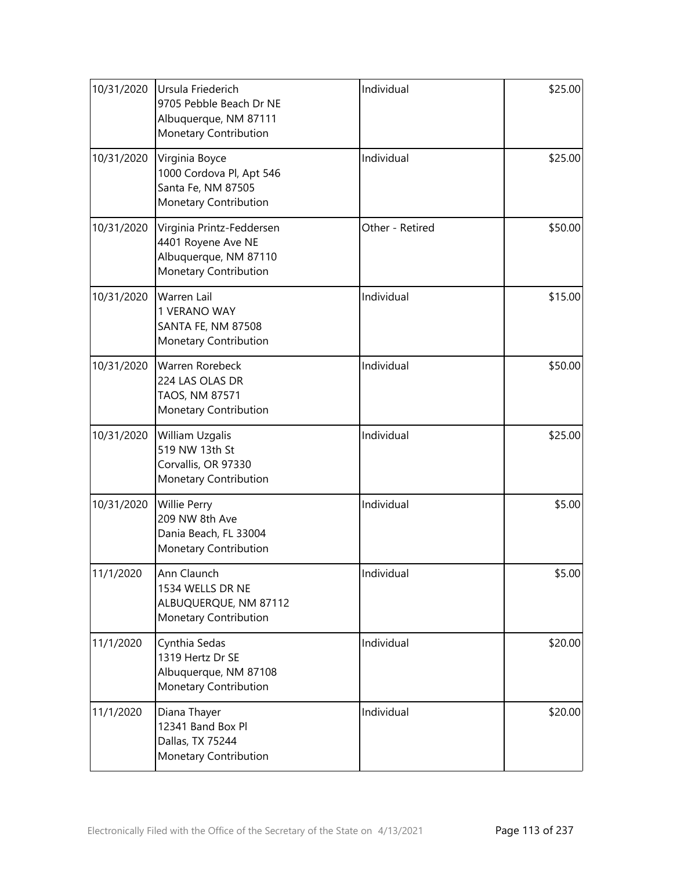| 10/31/2020 | Ursula Friederich<br>9705 Pebble Beach Dr NE<br>Albuquerque, NM 87111<br>Monetary Contribution    | Individual      | \$25.00 |
|------------|---------------------------------------------------------------------------------------------------|-----------------|---------|
| 10/31/2020 | Virginia Boyce<br>1000 Cordova Pl, Apt 546<br>Santa Fe, NM 87505<br>Monetary Contribution         | Individual      | \$25.00 |
| 10/31/2020 | Virginia Printz-Feddersen<br>4401 Royene Ave NE<br>Albuquerque, NM 87110<br>Monetary Contribution | Other - Retired | \$50.00 |
| 10/31/2020 | <b>Warren Lail</b><br>1 VERANO WAY<br><b>SANTA FE, NM 87508</b><br>Monetary Contribution          | Individual      | \$15.00 |
| 10/31/2020 | <b>Warren Rorebeck</b><br>224 LAS OLAS DR<br>TAOS, NM 87571<br>Monetary Contribution              | Individual      | \$50.00 |
| 10/31/2020 | William Uzgalis<br>519 NW 13th St<br>Corvallis, OR 97330<br>Monetary Contribution                 | Individual      | \$25.00 |
| 10/31/2020 | Willie Perry<br>209 NW 8th Ave<br>Dania Beach, FL 33004<br>Monetary Contribution                  | Individual      | \$5.00  |
| 11/1/2020  | Ann Claunch<br>1534 WELLS DR NE<br>ALBUQUERQUE, NM 87112<br><b>Monetary Contribution</b>          | Individual      | \$5.00  |
| 11/1/2020  | Cynthia Sedas<br>1319 Hertz Dr SE<br>Albuquerque, NM 87108<br>Monetary Contribution               | Individual      | \$20.00 |
| 11/1/2020  | Diana Thayer<br>12341 Band Box Pl<br>Dallas, TX 75244<br>Monetary Contribution                    | Individual      | \$20.00 |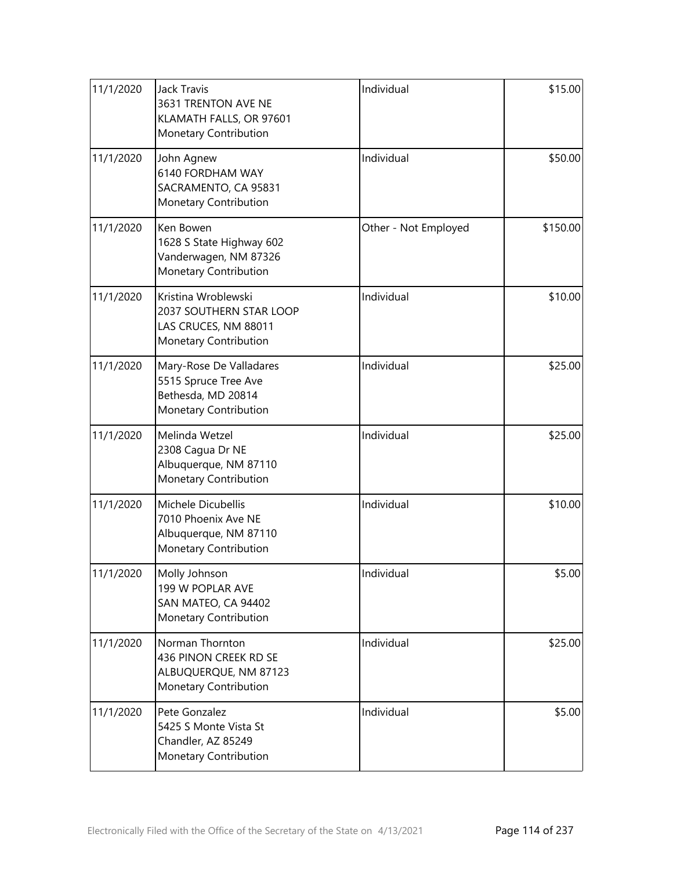| 11/1/2020 | <b>Jack Travis</b><br>3631 TRENTON AVE NE<br>KLAMATH FALLS, OR 97601<br>Monetary Contribution          | Individual           | \$15.00  |
|-----------|--------------------------------------------------------------------------------------------------------|----------------------|----------|
| 11/1/2020 | John Agnew<br>6140 FORDHAM WAY<br>SACRAMENTO, CA 95831<br>Monetary Contribution                        | Individual           | \$50.00  |
| 11/1/2020 | Ken Bowen<br>1628 S State Highway 602<br>Vanderwagen, NM 87326<br>Monetary Contribution                | Other - Not Employed | \$150.00 |
| 11/1/2020 | Kristina Wroblewski<br>2037 SOUTHERN STAR LOOP<br>LAS CRUCES, NM 88011<br><b>Monetary Contribution</b> | Individual           | \$10.00  |
| 11/1/2020 | Mary-Rose De Valladares<br>5515 Spruce Tree Ave<br>Bethesda, MD 20814<br>Monetary Contribution         | Individual           | \$25.00  |
| 11/1/2020 | Melinda Wetzel<br>2308 Cagua Dr NE<br>Albuquerque, NM 87110<br>Monetary Contribution                   | Individual           | \$25.00  |
| 11/1/2020 | Michele Dicubellis<br>7010 Phoenix Ave NE<br>Albuquerque, NM 87110<br>Monetary Contribution            | Individual           | \$10.00  |
| 11/1/2020 | Molly Johnson<br>199 W POPLAR AVE<br>SAN MATEO, CA 94402<br>Monetary Contribution                      | Individual           | \$5.00   |
| 11/1/2020 | Norman Thornton<br>436 PINON CREEK RD SE<br>ALBUQUERQUE, NM 87123<br>Monetary Contribution             | Individual           | \$25.00  |
| 11/1/2020 | Pete Gonzalez<br>5425 S Monte Vista St<br>Chandler, AZ 85249<br>Monetary Contribution                  | Individual           | \$5.00   |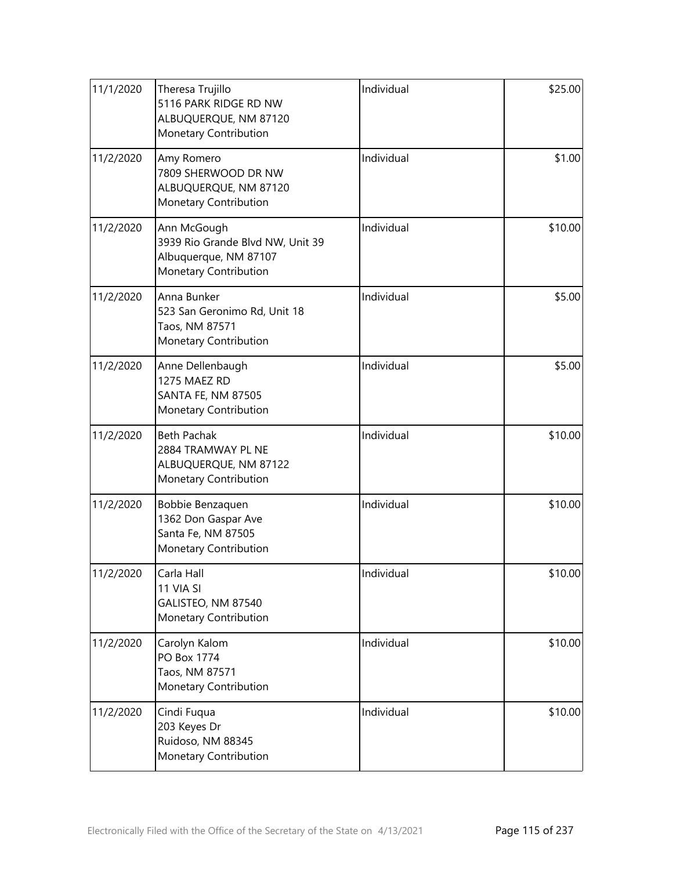| 11/1/2020 | Theresa Trujillo<br>5116 PARK RIDGE RD NW<br>ALBUQUERQUE, NM 87120<br>Monetary Contribution       | Individual | \$25.00 |
|-----------|---------------------------------------------------------------------------------------------------|------------|---------|
| 11/2/2020 | Amy Romero<br>7809 SHERWOOD DR NW<br>ALBUQUERQUE, NM 87120<br>Monetary Contribution               | Individual | \$1.00  |
| 11/2/2020 | Ann McGough<br>3939 Rio Grande Blvd NW, Unit 39<br>Albuquerque, NM 87107<br>Monetary Contribution | Individual | \$10.00 |
| 11/2/2020 | Anna Bunker<br>523 San Geronimo Rd, Unit 18<br>Taos, NM 87571<br>Monetary Contribution            | Individual | \$5.00  |
| 11/2/2020 | Anne Dellenbaugh<br>1275 MAEZ RD<br><b>SANTA FE, NM 87505</b><br>Monetary Contribution            | Individual | \$5.00  |
| 11/2/2020 | <b>Beth Pachak</b><br>2884 TRAMWAY PL NE<br>ALBUQUERQUE, NM 87122<br>Monetary Contribution        | Individual | \$10.00 |
| 11/2/2020 | Bobbie Benzaquen<br>1362 Don Gaspar Ave<br>Santa Fe, NM 87505<br>Monetary Contribution            | Individual | \$10.00 |
| 11/2/2020 | Carla Hall<br>11 VIA SI<br>GALISTEO, NM 87540<br>Monetary Contribution                            | Individual | \$10.00 |
| 11/2/2020 | Carolyn Kalom<br><b>PO Box 1774</b><br>Taos, NM 87571<br>Monetary Contribution                    | Individual | \$10.00 |
| 11/2/2020 | Cindi Fuqua<br>203 Keyes Dr<br>Ruidoso, NM 88345<br>Monetary Contribution                         | Individual | \$10.00 |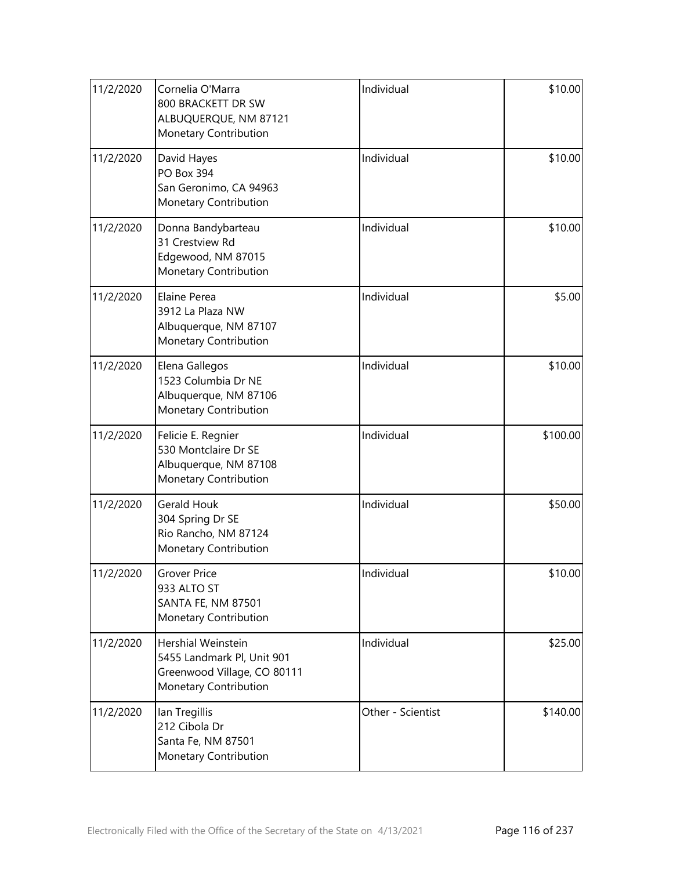| 11/2/2020 | Cornelia O'Marra<br>800 BRACKETT DR SW<br>ALBUQUERQUE, NM 87121<br>Monetary Contribution                 | Individual        | \$10.00  |
|-----------|----------------------------------------------------------------------------------------------------------|-------------------|----------|
| 11/2/2020 | David Hayes<br>PO Box 394<br>San Geronimo, CA 94963<br>Monetary Contribution                             | Individual        | \$10.00  |
| 11/2/2020 | Donna Bandybarteau<br>31 Crestview Rd<br>Edgewood, NM 87015<br>Monetary Contribution                     | Individual        | \$10.00  |
| 11/2/2020 | Elaine Perea<br>3912 La Plaza NW<br>Albuquerque, NM 87107<br>Monetary Contribution                       | Individual        | \$5.00   |
| 11/2/2020 | Elena Gallegos<br>1523 Columbia Dr NE<br>Albuquerque, NM 87106<br>Monetary Contribution                  | Individual        | \$10.00  |
| 11/2/2020 | Felicie E. Regnier<br>530 Montclaire Dr SE<br>Albuquerque, NM 87108<br>Monetary Contribution             | Individual        | \$100.00 |
| 11/2/2020 | <b>Gerald Houk</b><br>304 Spring Dr SE<br>Rio Rancho, NM 87124<br>Monetary Contribution                  | Individual        | \$50.00  |
| 11/2/2020 | <b>Grover Price</b><br>933 ALTO ST<br><b>SANTA FE, NM 87501</b><br>Monetary Contribution                 | Individual        | \$10.00  |
| 11/2/2020 | Hershial Weinstein<br>5455 Landmark Pl, Unit 901<br>Greenwood Village, CO 80111<br>Monetary Contribution | Individual        | \$25.00  |
| 11/2/2020 | lan Tregillis<br>212 Cibola Dr<br>Santa Fe, NM 87501<br>Monetary Contribution                            | Other - Scientist | \$140.00 |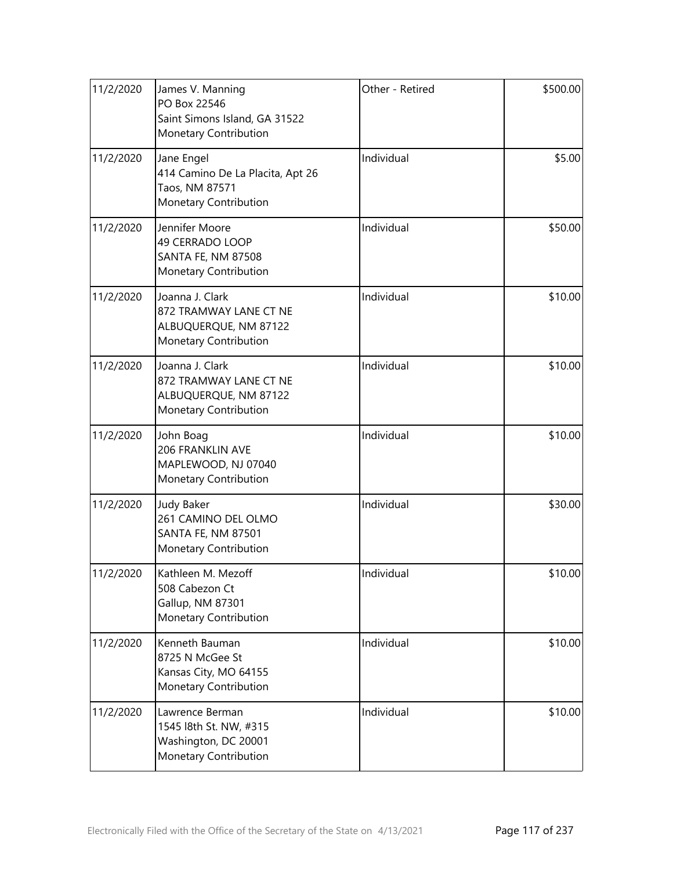| 11/2/2020 | James V. Manning<br>PO Box 22546<br>Saint Simons Island, GA 31522<br>Monetary Contribution     | Other - Retired | \$500.00 |
|-----------|------------------------------------------------------------------------------------------------|-----------------|----------|
| 11/2/2020 | Jane Engel<br>414 Camino De La Placita, Apt 26<br>Taos, NM 87571<br>Monetary Contribution      | Individual      | \$5.00   |
| 11/2/2020 | Jennifer Moore<br>49 CERRADO LOOP<br>SANTA FE, NM 87508<br>Monetary Contribution               | Individual      | \$50.00  |
| 11/2/2020 | Joanna J. Clark<br>872 TRAMWAY LANE CT NE<br>ALBUQUERQUE, NM 87122<br>Monetary Contribution    | Individual      | \$10.00  |
| 11/2/2020 | Joanna J. Clark<br>872 TRAMWAY LANE CT NE<br>ALBUQUERQUE, NM 87122<br>Monetary Contribution    | Individual      | \$10.00  |
| 11/2/2020 | John Boag<br>206 FRANKLIN AVE<br>MAPLEWOOD, NJ 07040<br>Monetary Contribution                  | Individual      | \$10.00  |
| 11/2/2020 | <b>Judy Baker</b><br>261 CAMINO DEL OLMO<br><b>SANTA FE, NM 87501</b><br>Monetary Contribution | Individual      | \$30.00  |
| 11/2/2020 | Kathleen M. Mezoff<br>508 Cabezon Ct<br>Gallup, NM 87301<br>Monetary Contribution              | Individual      | \$10.00  |
| 11/2/2020 | Kenneth Bauman<br>8725 N McGee St<br>Kansas City, MO 64155<br>Monetary Contribution            | Individual      | \$10.00  |
| 11/2/2020 | Lawrence Berman<br>1545 l8th St. NW, #315<br>Washington, DC 20001<br>Monetary Contribution     | Individual      | \$10.00  |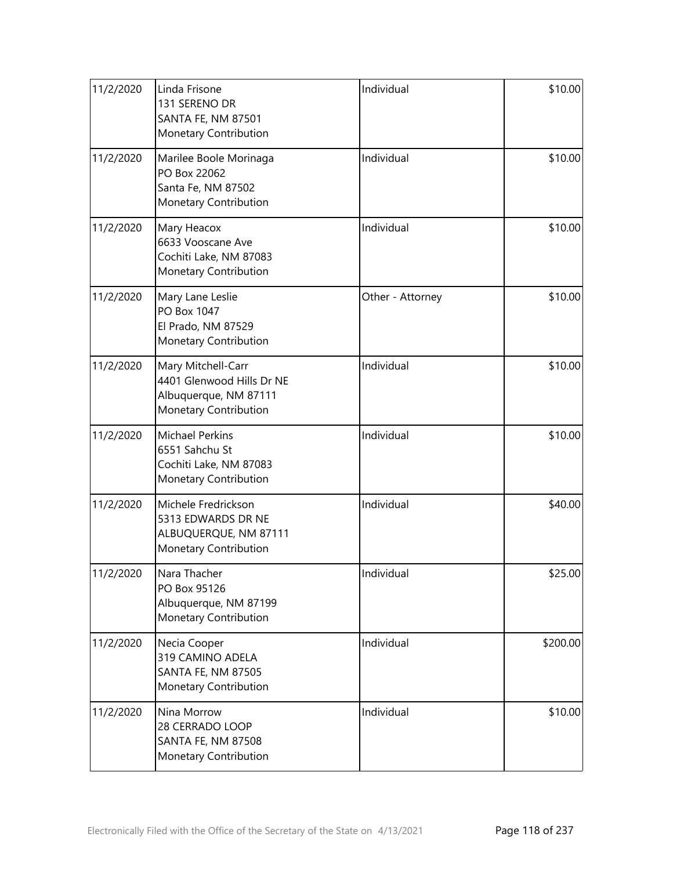| 11/2/2020 | Linda Frisone<br>131 SERENO DR<br><b>SANTA FE, NM 87501</b><br>Monetary Contribution              | Individual       | \$10.00  |
|-----------|---------------------------------------------------------------------------------------------------|------------------|----------|
| 11/2/2020 | Marilee Boole Morinaga<br>PO Box 22062<br>Santa Fe, NM 87502<br>Monetary Contribution             | Individual       | \$10.00  |
| 11/2/2020 | Mary Heacox<br>6633 Vooscane Ave<br>Cochiti Lake, NM 87083<br>Monetary Contribution               | Individual       | \$10.00  |
| 11/2/2020 | Mary Lane Leslie<br>PO Box 1047<br>El Prado, NM 87529<br>Monetary Contribution                    | Other - Attorney | \$10.00  |
| 11/2/2020 | Mary Mitchell-Carr<br>4401 Glenwood Hills Dr NE<br>Albuquerque, NM 87111<br>Monetary Contribution | Individual       | \$10.00  |
| 11/2/2020 | <b>Michael Perkins</b><br>6551 Sahchu St<br>Cochiti Lake, NM 87083<br>Monetary Contribution       | Individual       | \$10.00  |
| 11/2/2020 | Michele Fredrickson<br>5313 EDWARDS DR NE<br>ALBUQUERQUE, NM 87111<br>Monetary Contribution       | Individual       | \$40.00  |
| 11/2/2020 | Nara Thacher<br>PO Box 95126<br>Albuquerque, NM 87199<br>Monetary Contribution                    | Individual       | \$25.00  |
| 11/2/2020 | Necia Cooper<br>319 CAMINO ADELA<br>SANTA FE, NM 87505<br>Monetary Contribution                   | Individual       | \$200.00 |
| 11/2/2020 | Nina Morrow<br>28 CERRADO LOOP<br>SANTA FE, NM 87508<br>Monetary Contribution                     | Individual       | \$10.00  |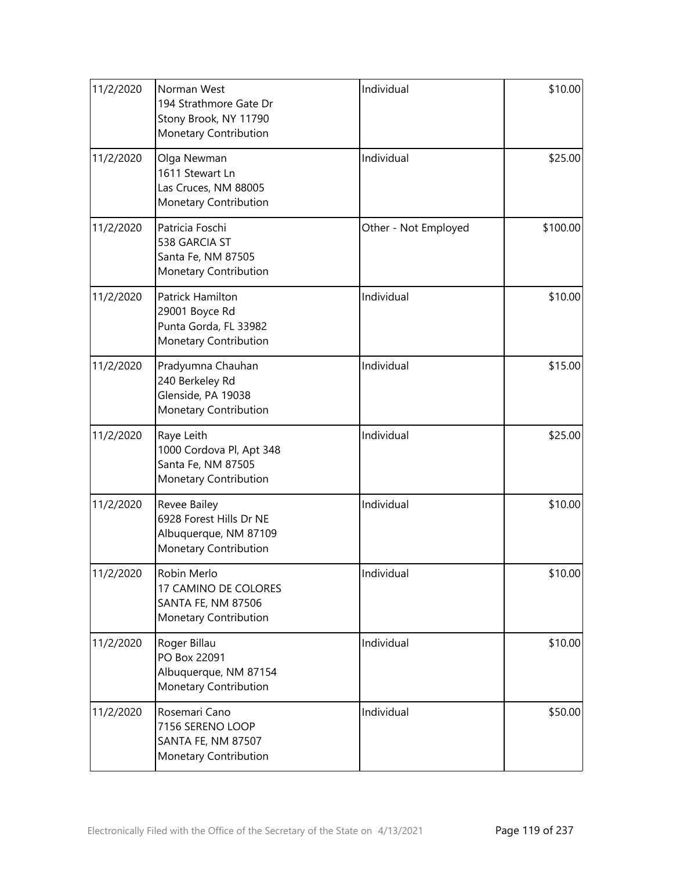| 11/2/2020 | Norman West<br>194 Strathmore Gate Dr<br>Stony Brook, NY 11790<br>Monetary Contribution   | Individual           | \$10.00  |
|-----------|-------------------------------------------------------------------------------------------|----------------------|----------|
| 11/2/2020 | Olga Newman<br>1611 Stewart Ln<br>Las Cruces, NM 88005<br>Monetary Contribution           | Individual           | \$25.00  |
| 11/2/2020 | Patricia Foschi<br>538 GARCIA ST<br>Santa Fe, NM 87505<br>Monetary Contribution           | Other - Not Employed | \$100.00 |
| 11/2/2020 | Patrick Hamilton<br>29001 Boyce Rd<br>Punta Gorda, FL 33982<br>Monetary Contribution      | Individual           | \$10.00  |
| 11/2/2020 | Pradyumna Chauhan<br>240 Berkeley Rd<br>Glenside, PA 19038<br>Monetary Contribution       | Individual           | \$15.00  |
| 11/2/2020 | Raye Leith<br>1000 Cordova Pl, Apt 348<br>Santa Fe, NM 87505<br>Monetary Contribution     | Individual           | \$25.00  |
| 11/2/2020 | Revee Bailey<br>6928 Forest Hills Dr NE<br>Albuquerque, NM 87109<br>Monetary Contribution | Individual           | \$10.00  |
| 11/2/2020 | Robin Merlo<br>17 CAMINO DE COLORES<br><b>SANTA FE, NM 87506</b><br>Monetary Contribution | Individual           | \$10.00  |
| 11/2/2020 | Roger Billau<br>PO Box 22091<br>Albuquerque, NM 87154<br>Monetary Contribution            | Individual           | \$10.00  |
| 11/2/2020 | Rosemari Cano<br>7156 SERENO LOOP<br>SANTA FE, NM 87507<br>Monetary Contribution          | Individual           | \$50.00  |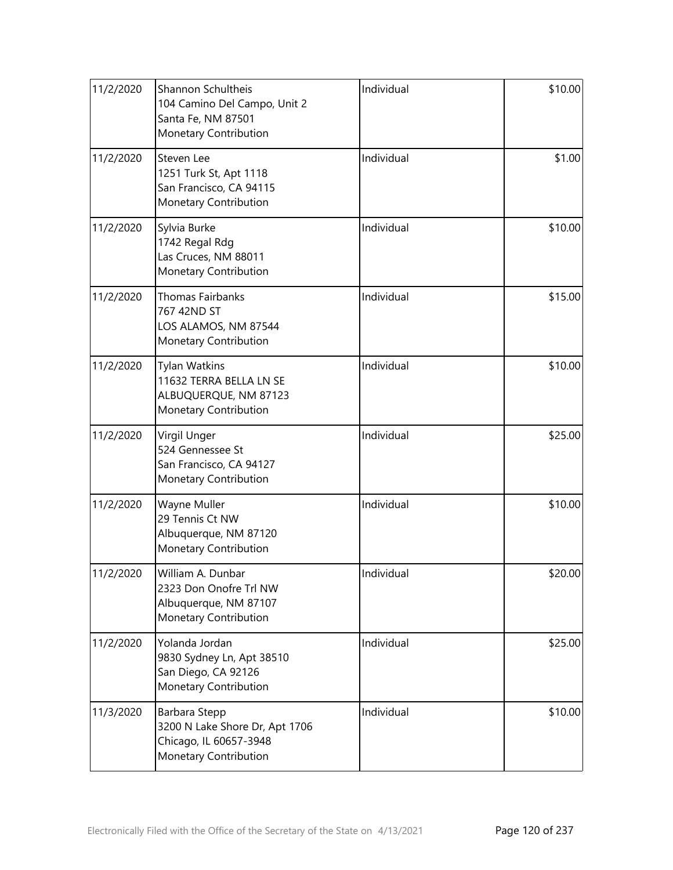| 11/2/2020 | Shannon Schultheis<br>104 Camino Del Campo, Unit 2<br>Santa Fe, NM 87501<br>Monetary Contribution  | Individual | \$10.00 |
|-----------|----------------------------------------------------------------------------------------------------|------------|---------|
| 11/2/2020 | Steven Lee<br>1251 Turk St, Apt 1118<br>San Francisco, CA 94115<br>Monetary Contribution           | Individual | \$1.00  |
| 11/2/2020 | Sylvia Burke<br>1742 Regal Rdg<br>Las Cruces, NM 88011<br>Monetary Contribution                    | Individual | \$10.00 |
| 11/2/2020 | <b>Thomas Fairbanks</b><br>767 42ND ST<br>LOS ALAMOS, NM 87544<br>Monetary Contribution            | Individual | \$15.00 |
| 11/2/2020 | <b>Tylan Watkins</b><br>11632 TERRA BELLA LN SE<br>ALBUQUERQUE, NM 87123<br>Monetary Contribution  | Individual | \$10.00 |
| 11/2/2020 | Virgil Unger<br>524 Gennessee St<br>San Francisco, CA 94127<br>Monetary Contribution               | Individual | \$25.00 |
| 11/2/2020 | Wayne Muller<br>29 Tennis Ct NW<br>Albuquerque, NM 87120<br>Monetary Contribution                  | Individual | \$10.00 |
| 11/2/2020 | William A. Dunbar<br>2323 Don Onofre Trl NW<br>Albuquerque, NM 87107<br>Monetary Contribution      | Individual | \$20.00 |
| 11/2/2020 | Yolanda Jordan<br>9830 Sydney Ln, Apt 38510<br>San Diego, CA 92126<br>Monetary Contribution        | Individual | \$25.00 |
| 11/3/2020 | Barbara Stepp<br>3200 N Lake Shore Dr, Apt 1706<br>Chicago, IL 60657-3948<br>Monetary Contribution | Individual | \$10.00 |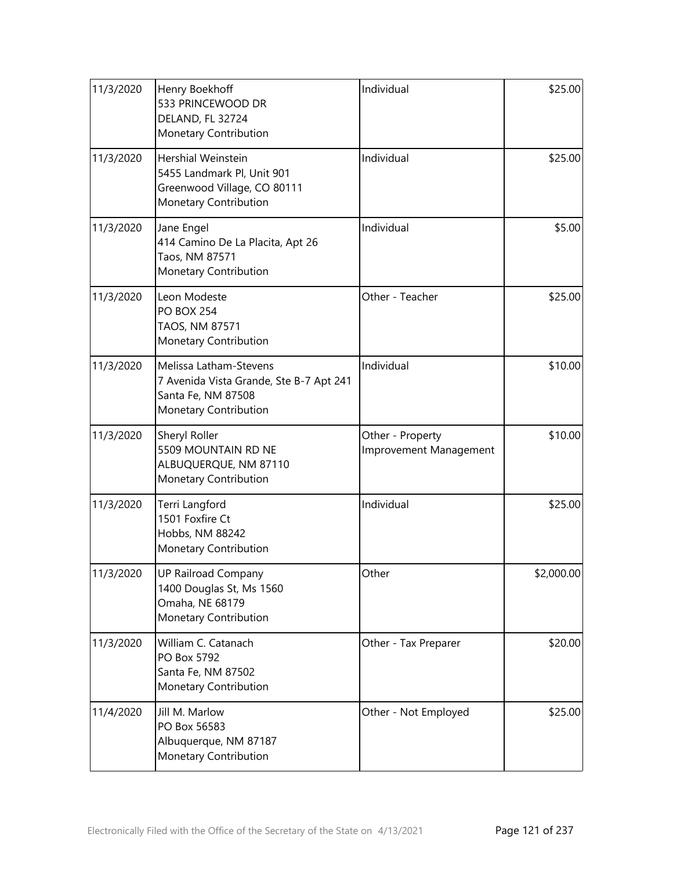| 11/3/2020 | Henry Boekhoff<br>533 PRINCEWOOD DR<br>DELAND, FL 32724<br>Monetary Contribution                                 | Individual                                 | \$25.00    |
|-----------|------------------------------------------------------------------------------------------------------------------|--------------------------------------------|------------|
| 11/3/2020 | Hershial Weinstein<br>5455 Landmark Pl, Unit 901<br>Greenwood Village, CO 80111<br>Monetary Contribution         | Individual                                 | \$25.00    |
| 11/3/2020 | Jane Engel<br>414 Camino De La Placita, Apt 26<br>Taos, NM 87571<br>Monetary Contribution                        | Individual                                 | \$5.00     |
| 11/3/2020 | Leon Modeste<br><b>PO BOX 254</b><br>TAOS, NM 87571<br>Monetary Contribution                                     | Other - Teacher                            | \$25.00    |
| 11/3/2020 | Melissa Latham-Stevens<br>7 Avenida Vista Grande, Ste B-7 Apt 241<br>Santa Fe, NM 87508<br>Monetary Contribution | Individual                                 | \$10.00    |
| 11/3/2020 | Sheryl Roller<br>5509 MOUNTAIN RD NE<br>ALBUQUERQUE, NM 87110<br>Monetary Contribution                           | Other - Property<br>Improvement Management | \$10.00    |
| 11/3/2020 | Terri Langford<br>1501 Foxfire Ct<br>Hobbs, NM 88242<br>Monetary Contribution                                    | Individual                                 | \$25.00    |
| 11/3/2020 | <b>UP Railroad Company</b><br>1400 Douglas St, Ms 1560<br>Omaha, NE 68179<br>Monetary Contribution               | Other                                      | \$2,000.00 |
| 11/3/2020 | William C. Catanach<br>PO Box 5792<br>Santa Fe, NM 87502<br>Monetary Contribution                                | Other - Tax Preparer                       | \$20.00    |
| 11/4/2020 | Jill M. Marlow<br>PO Box 56583<br>Albuquerque, NM 87187<br>Monetary Contribution                                 | Other - Not Employed                       | \$25.00    |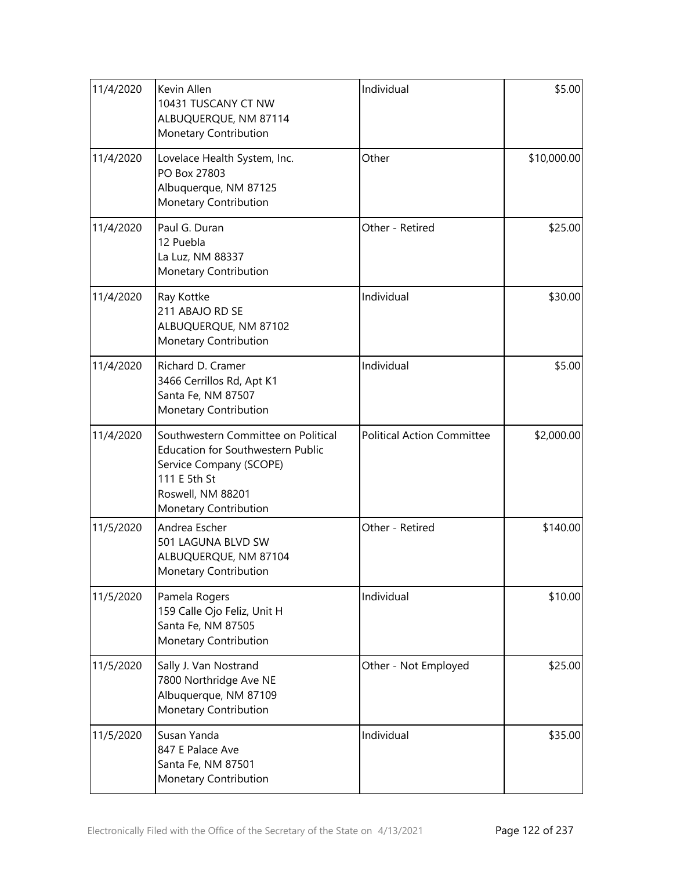| 11/4/2020 | Kevin Allen<br>10431 TUSCANY CT NW<br>ALBUQUERQUE, NM 87114<br>Monetary Contribution                                                                                     | Individual                        | \$5.00      |
|-----------|--------------------------------------------------------------------------------------------------------------------------------------------------------------------------|-----------------------------------|-------------|
| 11/4/2020 | Lovelace Health System, Inc.<br>PO Box 27803<br>Albuquerque, NM 87125<br>Monetary Contribution                                                                           | Other                             | \$10,000.00 |
| 11/4/2020 | Paul G. Duran<br>12 Puebla<br>La Luz, NM 88337<br>Monetary Contribution                                                                                                  | Other - Retired                   | \$25.00     |
| 11/4/2020 | Ray Kottke<br>211 ABAJO RD SE<br>ALBUQUERQUE, NM 87102<br>Monetary Contribution                                                                                          | Individual                        | \$30.00     |
| 11/4/2020 | Richard D. Cramer<br>3466 Cerrillos Rd, Apt K1<br>Santa Fe, NM 87507<br>Monetary Contribution                                                                            | Individual                        | \$5.00      |
| 11/4/2020 | Southwestern Committee on Political<br><b>Education for Southwestern Public</b><br>Service Company (SCOPE)<br>111 E 5th St<br>Roswell, NM 88201<br>Monetary Contribution | <b>Political Action Committee</b> | \$2,000.00  |
| 11/5/2020 | Andrea Escher<br>501 LAGUNA BLVD SW<br>ALBUQUERQUE, NM 87104<br>Monetary Contribution                                                                                    | Other - Retired                   | \$140.00    |
| 11/5/2020 | Pamela Rogers<br>159 Calle Ojo Feliz, Unit H<br>Santa Fe, NM 87505<br>Monetary Contribution                                                                              | Individual                        | \$10.00     |
| 11/5/2020 | Sally J. Van Nostrand<br>7800 Northridge Ave NE<br>Albuquerque, NM 87109<br>Monetary Contribution                                                                        | Other - Not Employed              | \$25.00     |
| 11/5/2020 | Susan Yanda<br>847 E Palace Ave<br>Santa Fe, NM 87501<br>Monetary Contribution                                                                                           | Individual                        | \$35.00     |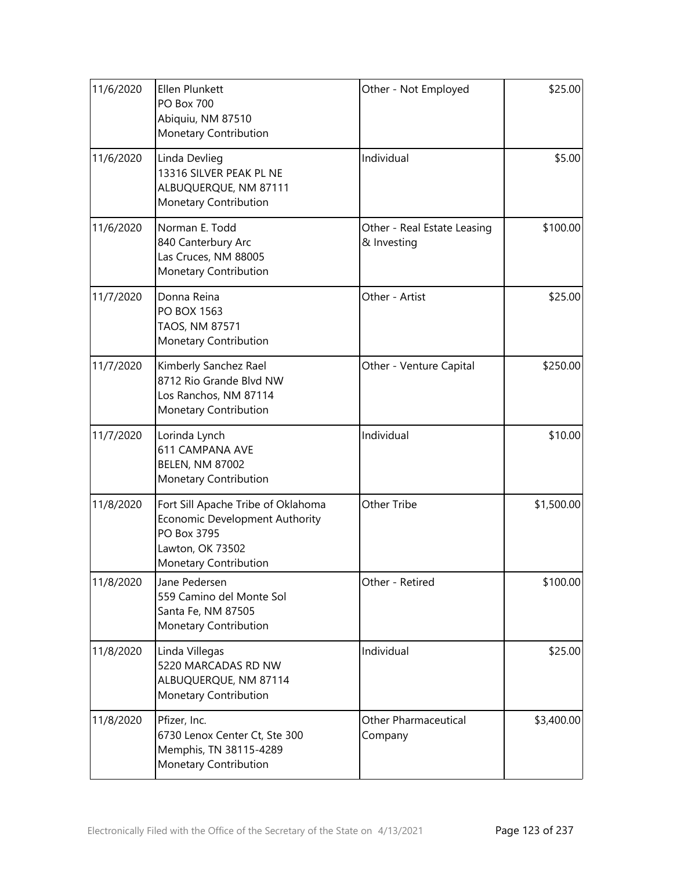| 11/6/2020 | Ellen Plunkett<br><b>PO Box 700</b><br>Abiquiu, NM 87510<br>Monetary Contribution                                                | Other - Not Employed                       | \$25.00    |
|-----------|----------------------------------------------------------------------------------------------------------------------------------|--------------------------------------------|------------|
| 11/6/2020 | Linda Devlieg<br>13316 SILVER PEAK PL NE<br>ALBUQUERQUE, NM 87111<br>Monetary Contribution                                       | Individual                                 | \$5.00     |
| 11/6/2020 | Norman E. Todd<br>840 Canterbury Arc<br>Las Cruces, NM 88005<br>Monetary Contribution                                            | Other - Real Estate Leasing<br>& Investing | \$100.00   |
| 11/7/2020 | Donna Reina<br>PO BOX 1563<br>TAOS, NM 87571<br>Monetary Contribution                                                            | Other - Artist                             | \$25.00    |
| 11/7/2020 | Kimberly Sanchez Rael<br>8712 Rio Grande Blvd NW<br>Los Ranchos, NM 87114<br>Monetary Contribution                               | Other - Venture Capital                    | \$250.00   |
| 11/7/2020 | Lorinda Lynch<br><b>611 CAMPANA AVE</b><br><b>BELEN, NM 87002</b><br>Monetary Contribution                                       | Individual                                 | \$10.00    |
| 11/8/2020 | Fort Sill Apache Tribe of Oklahoma<br>Economic Development Authority<br>PO Box 3795<br>Lawton, OK 73502<br>Monetary Contribution | Other Tribe                                | \$1,500.00 |
| 11/8/2020 | Jane Pedersen<br>559 Camino del Monte Sol<br>Santa Fe, NM 87505<br>Monetary Contribution                                         | Other - Retired                            | \$100.00   |
| 11/8/2020 | Linda Villegas<br>5220 MARCADAS RD NW<br>ALBUQUERQUE, NM 87114<br>Monetary Contribution                                          | Individual                                 | \$25.00    |
| 11/8/2020 | Pfizer, Inc.<br>6730 Lenox Center Ct, Ste 300<br>Memphis, TN 38115-4289<br>Monetary Contribution                                 | <b>Other Pharmaceutical</b><br>Company     | \$3,400.00 |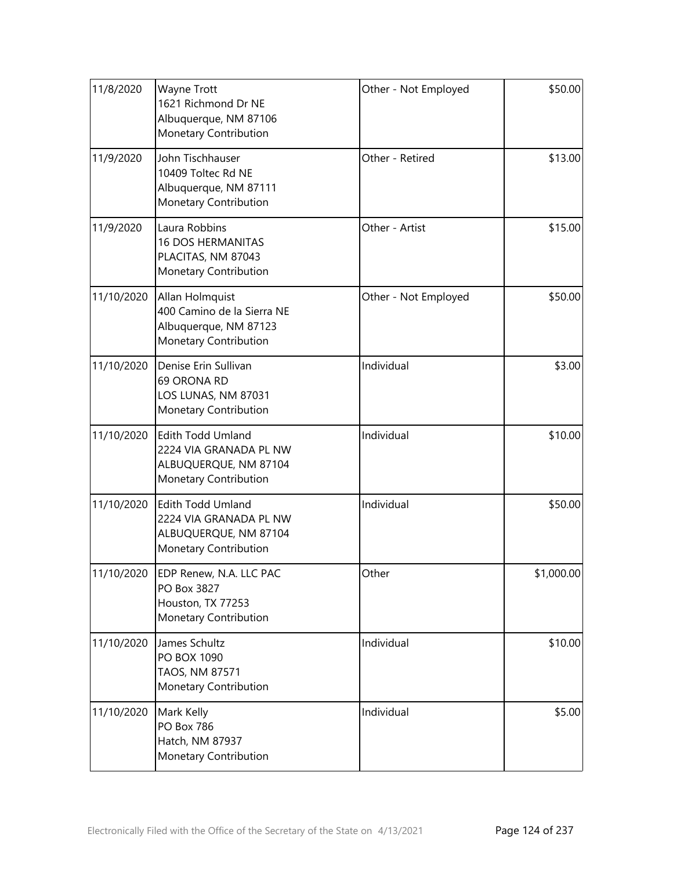| 11/8/2020  | Wayne Trott<br>1621 Richmond Dr NE<br>Albuquerque, NM 87106<br>Monetary Contribution                 | Other - Not Employed | \$50.00    |
|------------|------------------------------------------------------------------------------------------------------|----------------------|------------|
| 11/9/2020  | John Tischhauser<br>10409 Toltec Rd NE<br>Albuquerque, NM 87111<br>Monetary Contribution             | Other - Retired      | \$13.00    |
| 11/9/2020  | Laura Robbins<br><b>16 DOS HERMANITAS</b><br>PLACITAS, NM 87043<br>Monetary Contribution             | Other - Artist       | \$15.00    |
| 11/10/2020 | Allan Holmquist<br>400 Camino de la Sierra NE<br>Albuquerque, NM 87123<br>Monetary Contribution      | Other - Not Employed | \$50.00    |
| 11/10/2020 | Denise Erin Sullivan<br>69 ORONA RD<br>LOS LUNAS, NM 87031<br>Monetary Contribution                  | Individual           | \$3.00     |
| 11/10/2020 | <b>Edith Todd Umland</b><br>2224 VIA GRANADA PL NW<br>ALBUQUERQUE, NM 87104<br>Monetary Contribution | Individual           | \$10.00    |
| 11/10/2020 | <b>Edith Todd Umland</b><br>2224 VIA GRANADA PL NW<br>ALBUQUERQUE, NM 87104<br>Monetary Contribution | Individual           | \$50.00    |
| 11/10/2020 | <b>EDP Renew, N.A. LLC PAC</b><br>PO Box 3827<br>Houston, TX 77253<br>Monetary Contribution          | Other                | \$1,000.00 |
| 11/10/2020 | James Schultz<br>PO BOX 1090<br>TAOS, NM 87571<br>Monetary Contribution                              | Individual           | \$10.00    |
| 11/10/2020 | Mark Kelly<br>PO Box 786<br>Hatch, NM 87937<br>Monetary Contribution                                 | Individual           | \$5.00     |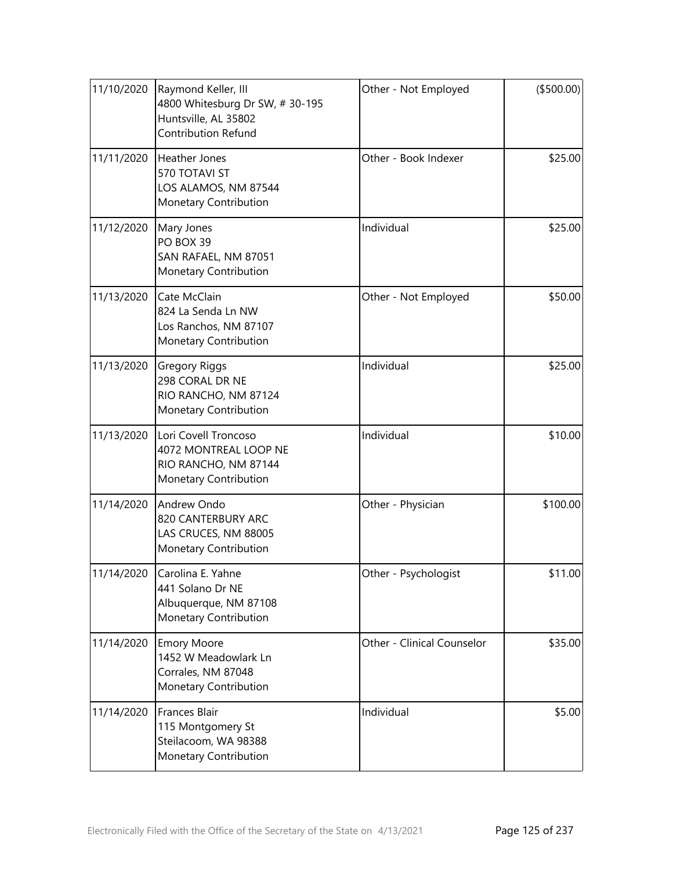| 11/10/2020 | Raymond Keller, III<br>4800 Whitesburg Dr SW, #30-195<br>Huntsville, AL 35802<br>Contribution Refund | Other - Not Employed       | ( \$500.00] |
|------------|------------------------------------------------------------------------------------------------------|----------------------------|-------------|
| 11/11/2020 | Heather Jones<br>570 TOTAVI ST<br>LOS ALAMOS, NM 87544<br>Monetary Contribution                      | Other - Book Indexer       | \$25.00     |
| 11/12/2020 | Mary Jones<br>PO BOX 39<br>SAN RAFAEL, NM 87051<br>Monetary Contribution                             | Individual                 | \$25.00     |
| 11/13/2020 | Cate McClain<br>824 La Senda Ln NW<br>Los Ranchos, NM 87107<br>Monetary Contribution                 | Other - Not Employed       | \$50.00     |
| 11/13/2020 | <b>Gregory Riggs</b><br>298 CORAL DR NE<br>RIO RANCHO, NM 87124<br>Monetary Contribution             | Individual                 | \$25.00     |
| 11/13/2020 | Lori Covell Troncoso<br>4072 MONTREAL LOOP NE<br>RIO RANCHO, NM 87144<br>Monetary Contribution       | Individual                 | \$10.00     |
| 11/14/2020 | Andrew Ondo<br>820 CANTERBURY ARC<br>LAS CRUCES, NM 88005<br>Monetary Contribution                   | Other - Physician          | \$100.00    |
| 11/14/2020 | Carolina E. Yahne<br>441 Solano Dr NE<br>Albuquerque, NM 87108<br>Monetary Contribution              | Other - Psychologist       | \$11.00     |
| 11/14/2020 | <b>Emory Moore</b><br>1452 W Meadowlark Ln<br>Corrales, NM 87048<br>Monetary Contribution            | Other - Clinical Counselor | \$35.00     |
| 11/14/2020 | <b>Frances Blair</b><br>115 Montgomery St<br>Steilacoom, WA 98388<br>Monetary Contribution           | Individual                 | \$5.00      |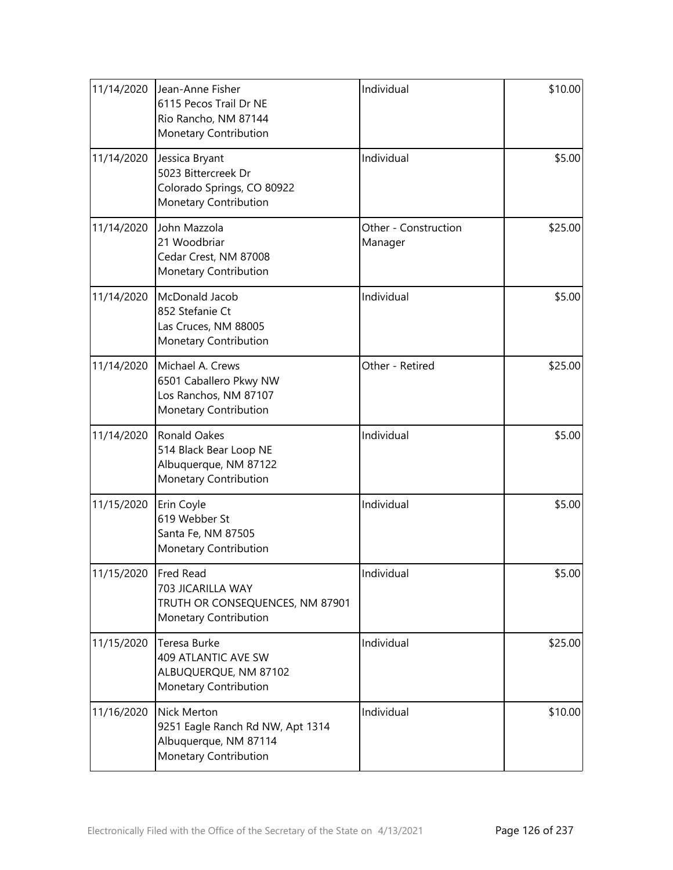| 11/14/2020 | Jean-Anne Fisher<br>6115 Pecos Trail Dr NE<br>Rio Rancho, NM 87144<br>Monetary Contribution       | Individual                      | \$10.00 |
|------------|---------------------------------------------------------------------------------------------------|---------------------------------|---------|
| 11/14/2020 | Jessica Bryant<br>5023 Bittercreek Dr<br>Colorado Springs, CO 80922<br>Monetary Contribution      | Individual                      | \$5.00  |
| 11/14/2020 | John Mazzola<br>21 Woodbriar<br>Cedar Crest, NM 87008<br>Monetary Contribution                    | Other - Construction<br>Manager | \$25.00 |
| 11/14/2020 | McDonald Jacob<br>852 Stefanie Ct<br>Las Cruces, NM 88005<br>Monetary Contribution                | Individual                      | \$5.00  |
| 11/14/2020 | Michael A. Crews<br>6501 Caballero Pkwy NW<br>Los Ranchos, NM 87107<br>Monetary Contribution      | Other - Retired                 | \$25.00 |
| 11/14/2020 | <b>Ronald Oakes</b><br>514 Black Bear Loop NE<br>Albuquerque, NM 87122<br>Monetary Contribution   | Individual                      | \$5.00  |
| 11/15/2020 | Erin Coyle<br>619 Webber St<br>Santa Fe, NM 87505<br>Monetary Contribution                        | Individual                      | \$5.00  |
| 11/15/2020 | Fred Read<br>703 JICARILLA WAY<br>TRUTH OR CONSEQUENCES, NM 87901<br>Monetary Contribution        | Individual                      | \$5.00  |
| 11/15/2020 | Teresa Burke<br>409 ATLANTIC AVE SW<br>ALBUQUERQUE, NM 87102<br>Monetary Contribution             | Individual                      | \$25.00 |
| 11/16/2020 | Nick Merton<br>9251 Eagle Ranch Rd NW, Apt 1314<br>Albuquerque, NM 87114<br>Monetary Contribution | Individual                      | \$10.00 |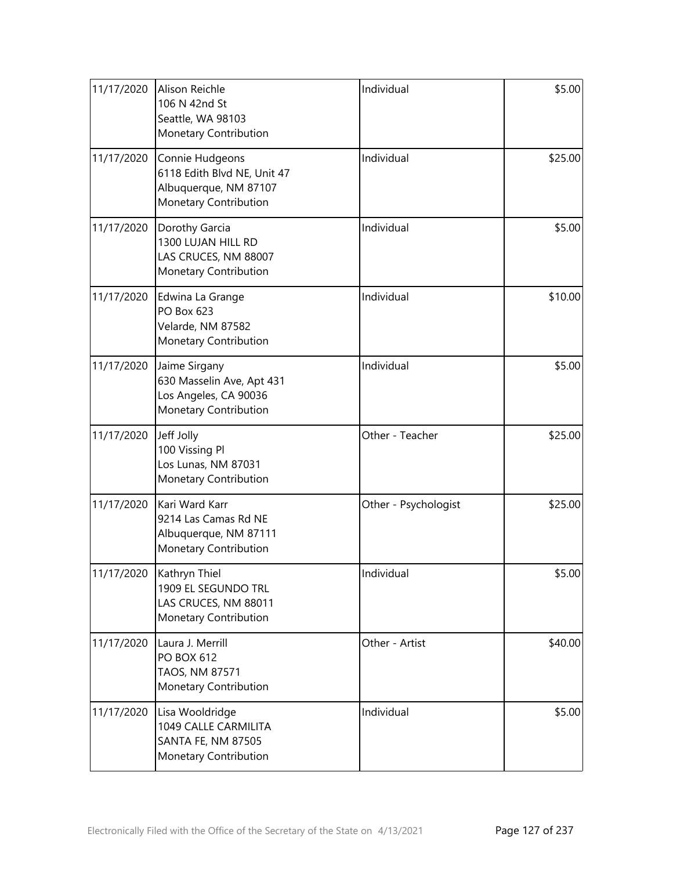| 11/17/2020 | Alison Reichle<br>106 N 42nd St<br>Seattle, WA 98103<br>Monetary Contribution                    | Individual           | \$5.00  |
|------------|--------------------------------------------------------------------------------------------------|----------------------|---------|
| 11/17/2020 | Connie Hudgeons<br>6118 Edith Blvd NE, Unit 47<br>Albuquerque, NM 87107<br>Monetary Contribution | Individual           | \$25.00 |
| 11/17/2020 | Dorothy Garcia<br>1300 LUJAN HILL RD<br>LAS CRUCES, NM 88007<br>Monetary Contribution            | Individual           | \$5.00  |
| 11/17/2020 | Edwina La Grange<br><b>PO Box 623</b><br>Velarde, NM 87582<br>Monetary Contribution              | Individual           | \$10.00 |
| 11/17/2020 | Jaime Sirgany<br>630 Masselin Ave, Apt 431<br>Los Angeles, CA 90036<br>Monetary Contribution     | Individual           | \$5.00  |
| 11/17/2020 | Jeff Jolly<br>100 Vissing Pl<br>Los Lunas, NM 87031<br>Monetary Contribution                     | Other - Teacher      | \$25.00 |
| 11/17/2020 | Kari Ward Karr<br>9214 Las Camas Rd NE<br>Albuquerque, NM 87111<br>Monetary Contribution         | Other - Psychologist | \$25.00 |
| 11/17/2020 | Kathryn Thiel<br>1909 EL SEGUNDO TRL<br>LAS CRUCES, NM 88011<br>Monetary Contribution            | Individual           | \$5.00  |
| 11/17/2020 | Laura J. Merrill<br><b>PO BOX 612</b><br>TAOS, NM 87571<br>Monetary Contribution                 | Other - Artist       | \$40.00 |
| 11/17/2020 | Lisa Wooldridge<br>1049 CALLE CARMILITA<br><b>SANTA FE, NM 87505</b><br>Monetary Contribution    | Individual           | \$5.00  |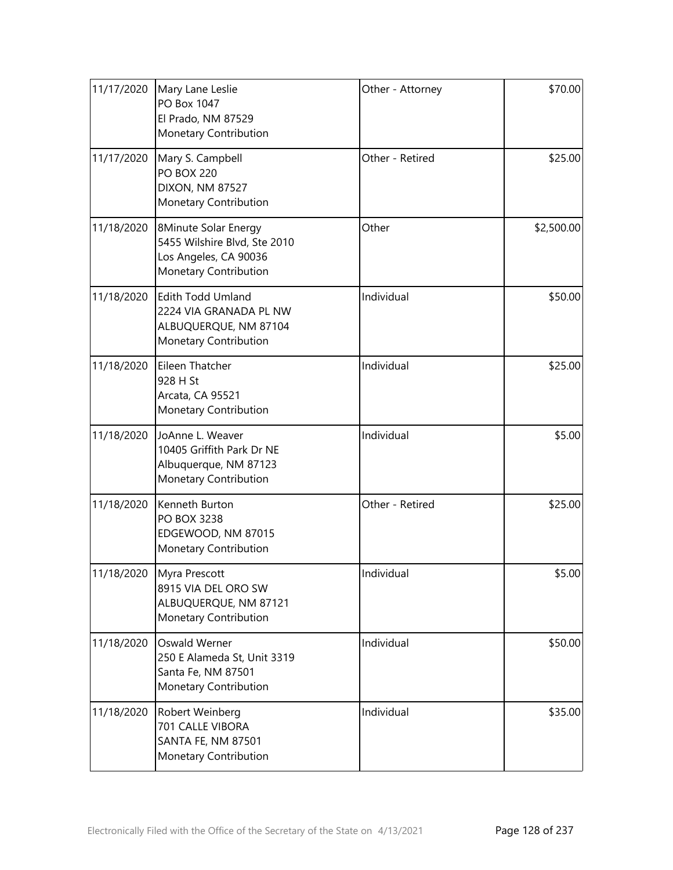| 11/17/2020 | Mary Lane Leslie<br>PO Box 1047<br>El Prado, NM 87529<br>Monetary Contribution                         | Other - Attorney | \$70.00    |
|------------|--------------------------------------------------------------------------------------------------------|------------------|------------|
| 11/17/2020 | Mary S. Campbell<br><b>PO BOX 220</b><br><b>DIXON, NM 87527</b><br>Monetary Contribution               | Other - Retired  | \$25.00    |
| 11/18/2020 | 8Minute Solar Energy<br>5455 Wilshire Blvd, Ste 2010<br>Los Angeles, CA 90036<br>Monetary Contribution | Other            | \$2,500.00 |
| 11/18/2020 | <b>Edith Todd Umland</b><br>2224 VIA GRANADA PL NW<br>ALBUQUERQUE, NM 87104<br>Monetary Contribution   | Individual       | \$50.00    |
| 11/18/2020 | Eileen Thatcher<br>928 H St<br>Arcata, CA 95521<br>Monetary Contribution                               | Individual       | \$25.00    |
| 11/18/2020 | JoAnne L. Weaver<br>10405 Griffith Park Dr NE<br>Albuquerque, NM 87123<br>Monetary Contribution        | Individual       | \$5.00     |
| 11/18/2020 | Kenneth Burton<br>PO BOX 3238<br>EDGEWOOD, NM 87015<br>Monetary Contribution                           | Other - Retired  | \$25.00    |
| 11/18/2020 | Myra Prescott<br>8915 VIA DEL ORO SW<br>ALBUQUERQUE, NM 87121<br>Monetary Contribution                 | Individual       | \$5.00     |
| 11/18/2020 | Oswald Werner<br>250 E Alameda St, Unit 3319<br>Santa Fe, NM 87501<br>Monetary Contribution            | Individual       | \$50.00    |
| 11/18/2020 | Robert Weinberg<br>701 CALLE VIBORA<br>SANTA FE, NM 87501<br>Monetary Contribution                     | Individual       | \$35.00    |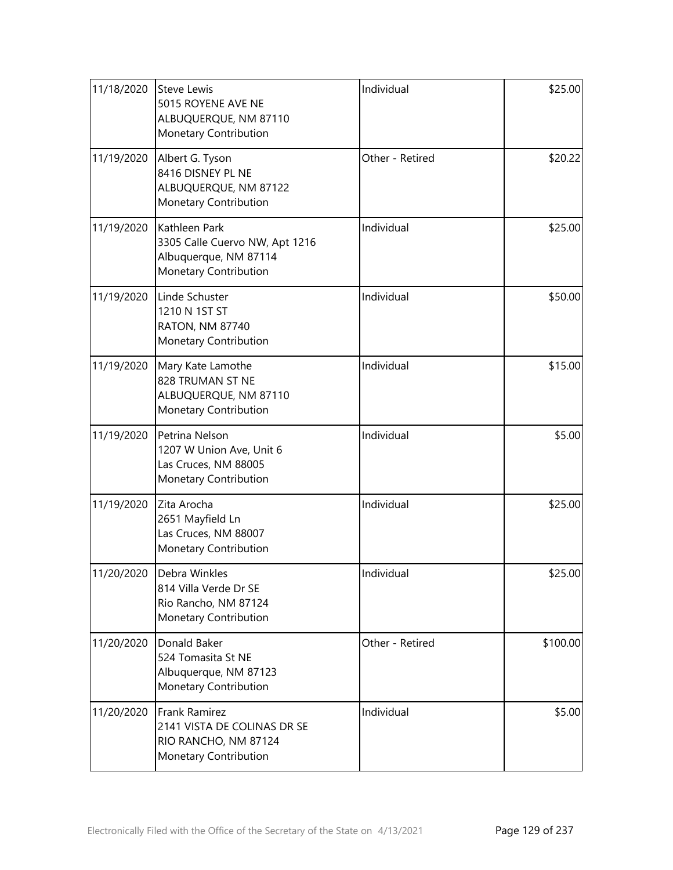| 11/18/2020 | <b>Steve Lewis</b><br>5015 ROYENE AVE NE<br>ALBUQUERQUE, NM 87110<br>Monetary Contribution        | Individual      | \$25.00  |
|------------|---------------------------------------------------------------------------------------------------|-----------------|----------|
| 11/19/2020 | Albert G. Tyson<br>8416 DISNEY PL NE<br>ALBUQUERQUE, NM 87122<br>Monetary Contribution            | Other - Retired | \$20.22  |
| 11/19/2020 | Kathleen Park<br>3305 Calle Cuervo NW, Apt 1216<br>Albuquerque, NM 87114<br>Monetary Contribution | Individual      | \$25.00  |
| 11/19/2020 | Linde Schuster<br>1210 N 1ST ST<br><b>RATON, NM 87740</b><br>Monetary Contribution                | Individual      | \$50.00  |
| 11/19/2020 | Mary Kate Lamothe<br>828 TRUMAN ST NE<br>ALBUQUERQUE, NM 87110<br>Monetary Contribution           | Individual      | \$15.00  |
| 11/19/2020 | Petrina Nelson<br>1207 W Union Ave, Unit 6<br>Las Cruces, NM 88005<br>Monetary Contribution       | Individual      | \$5.00   |
| 11/19/2020 | Zita Arocha<br>2651 Mayfield Ln<br>Las Cruces, NM 88007<br>Monetary Contribution                  | Individual      | \$25.00  |
| 11/20/2020 | Debra Winkles<br>814 Villa Verde Dr SE<br>Rio Rancho, NM 87124<br>Monetary Contribution           | Individual      | \$25.00  |
| 11/20/2020 | Donald Baker<br>524 Tomasita St NE<br>Albuquerque, NM 87123<br>Monetary Contribution              | Other - Retired | \$100.00 |
| 11/20/2020 | Frank Ramirez<br>2141 VISTA DE COLINAS DR SE<br>RIO RANCHO, NM 87124<br>Monetary Contribution     | Individual      | \$5.00   |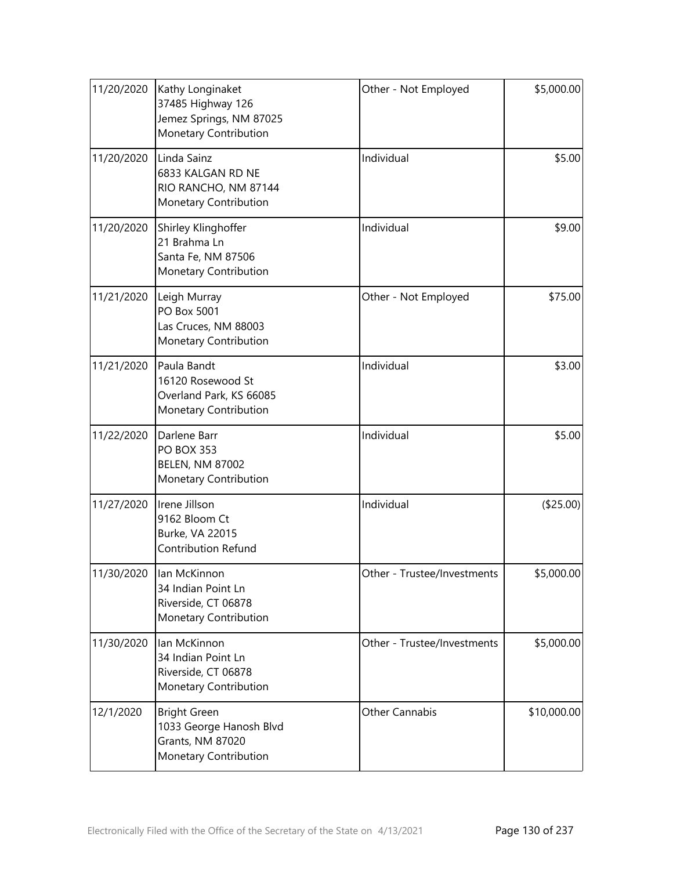| 11/20/2020 | Kathy Longinaket<br>37485 Highway 126<br>Jemez Springs, NM 87025<br>Monetary Contribution   | Other - Not Employed        | \$5,000.00  |
|------------|---------------------------------------------------------------------------------------------|-----------------------------|-------------|
| 11/20/2020 | Linda Sainz<br>6833 KALGAN RD NE<br>RIO RANCHO, NM 87144<br>Monetary Contribution           | Individual                  | \$5.00      |
| 11/20/2020 | Shirley Klinghoffer<br>21 Brahma Ln<br>Santa Fe, NM 87506<br>Monetary Contribution          | Individual                  | \$9.00      |
| 11/21/2020 | Leigh Murray<br>PO Box 5001<br>Las Cruces, NM 88003<br>Monetary Contribution                | Other - Not Employed        | \$75.00     |
| 11/21/2020 | Paula Bandt<br>16120 Rosewood St<br>Overland Park, KS 66085<br>Monetary Contribution        | Individual                  | \$3.00      |
| 11/22/2020 | Darlene Barr<br><b>PO BOX 353</b><br><b>BELEN, NM 87002</b><br>Monetary Contribution        | Individual                  | \$5.00      |
| 11/27/2020 | Irene Jillson<br>9162 Bloom Ct<br>Burke, VA 22015<br><b>Contribution Refund</b>             | Individual                  | (\$25.00)   |
| 11/30/2020 | lan McKinnon<br>34 Indian Point Ln<br>Riverside, CT 06878<br>Monetary Contribution          | Other - Trustee/Investments | \$5,000.00  |
| 11/30/2020 | lan McKinnon<br>34 Indian Point Ln<br>Riverside, CT 06878<br>Monetary Contribution          | Other - Trustee/Investments | \$5,000.00  |
| 12/1/2020  | <b>Bright Green</b><br>1033 George Hanosh Blvd<br>Grants, NM 87020<br>Monetary Contribution | Other Cannabis              | \$10,000.00 |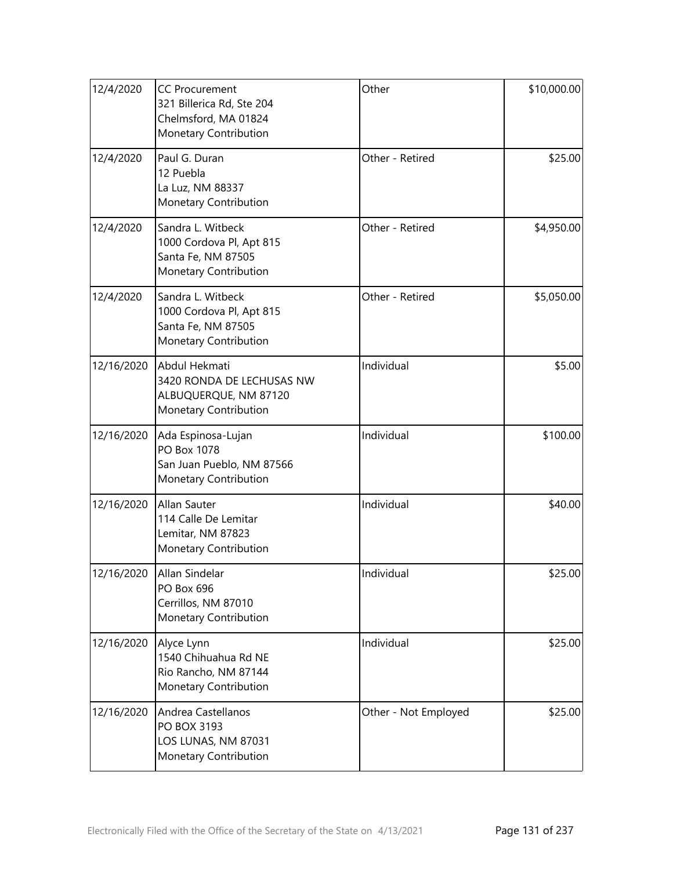| 12/4/2020  | <b>CC Procurement</b><br>321 Billerica Rd, Ste 204<br>Chelmsford, MA 01824<br>Monetary Contribution | Other                | \$10,000.00 |
|------------|-----------------------------------------------------------------------------------------------------|----------------------|-------------|
| 12/4/2020  | Paul G. Duran<br>12 Puebla<br>La Luz, NM 88337<br>Monetary Contribution                             | Other - Retired      | \$25.00     |
| 12/4/2020  | Sandra L. Witbeck<br>1000 Cordova Pl, Apt 815<br>Santa Fe, NM 87505<br>Monetary Contribution        | Other - Retired      | \$4,950.00  |
| 12/4/2020  | Sandra L. Witbeck<br>1000 Cordova Pl, Apt 815<br>Santa Fe, NM 87505<br>Monetary Contribution        | Other - Retired      | \$5,050.00  |
| 12/16/2020 | Abdul Hekmati<br>3420 RONDA DE LECHUSAS NW<br>ALBUQUERQUE, NM 87120<br>Monetary Contribution        | Individual           | \$5.00      |
| 12/16/2020 | Ada Espinosa-Lujan<br>PO Box 1078<br>San Juan Pueblo, NM 87566<br>Monetary Contribution             | Individual           | \$100.00    |
| 12/16/2020 | Allan Sauter<br>114 Calle De Lemitar<br>Lemitar, NM 87823<br>Monetary Contribution                  | Individual           | \$40.00     |
| 12/16/2020 | Allan Sindelar<br>PO Box 696<br>Cerrillos, NM 87010<br>Monetary Contribution                        | Individual           | \$25.00     |
| 12/16/2020 | Alyce Lynn<br>1540 Chihuahua Rd NE<br>Rio Rancho, NM 87144<br>Monetary Contribution                 | Individual           | \$25.00     |
| 12/16/2020 | Andrea Castellanos<br>PO BOX 3193<br>LOS LUNAS, NM 87031<br>Monetary Contribution                   | Other - Not Employed | \$25.00     |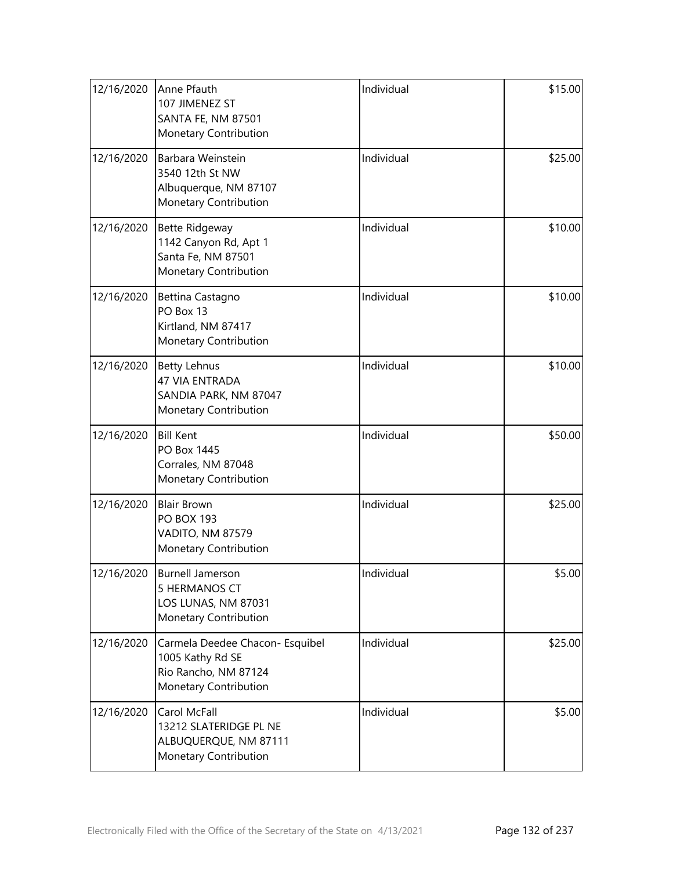| 12/16/2020 | Anne Pfauth<br>107 JIMENEZ ST<br><b>SANTA FE, NM 87501</b><br>Monetary Contribution                  | Individual | \$15.00 |
|------------|------------------------------------------------------------------------------------------------------|------------|---------|
| 12/16/2020 | Barbara Weinstein<br>3540 12th St NW<br>Albuquerque, NM 87107<br>Monetary Contribution               | Individual | \$25.00 |
| 12/16/2020 | <b>Bette Ridgeway</b><br>1142 Canyon Rd, Apt 1<br>Santa Fe, NM 87501<br>Monetary Contribution        | Individual | \$10.00 |
| 12/16/2020 | Bettina Castagno<br>PO Box 13<br>Kirtland, NM 87417<br>Monetary Contribution                         | Individual | \$10.00 |
| 12/16/2020 | <b>Betty Lehnus</b><br><b>47 VIA ENTRADA</b><br>SANDIA PARK, NM 87047<br>Monetary Contribution       | Individual | \$10.00 |
| 12/16/2020 | <b>Bill Kent</b><br>PO Box 1445<br>Corrales, NM 87048<br>Monetary Contribution                       | Individual | \$50.00 |
| 12/16/2020 | <b>Blair Brown</b><br><b>PO BOX 193</b><br>VADITO, NM 87579<br>Monetary Contribution                 | Individual | \$25.00 |
| 12/16/2020 | Burnell Jamerson<br><b>5 HERMANOS CT</b><br>LOS LUNAS, NM 87031<br>Monetary Contribution             | Individual | \$5.00  |
| 12/16/2020 | Carmela Deedee Chacon- Esquibel<br>1005 Kathy Rd SE<br>Rio Rancho, NM 87124<br>Monetary Contribution | Individual | \$25.00 |
| 12/16/2020 | Carol McFall<br>13212 SLATERIDGE PL NE<br>ALBUQUERQUE, NM 87111<br>Monetary Contribution             | Individual | \$5.00  |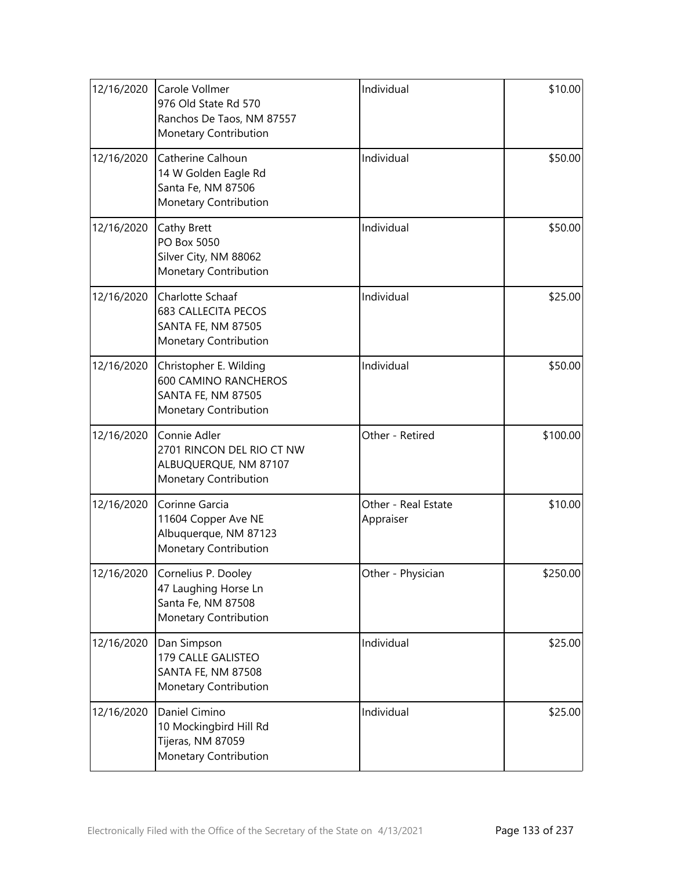| 12/16/2020 | Carole Vollmer<br>976 Old State Rd 570<br>Ranchos De Taos, NM 87557<br>Monetary Contribution                | Individual                       | \$10.00  |
|------------|-------------------------------------------------------------------------------------------------------------|----------------------------------|----------|
| 12/16/2020 | Catherine Calhoun<br>14 W Golden Eagle Rd<br>Santa Fe, NM 87506<br>Monetary Contribution                    | Individual                       | \$50.00  |
| 12/16/2020 | Cathy Brett<br>PO Box 5050<br>Silver City, NM 88062<br>Monetary Contribution                                | Individual                       | \$50.00  |
| 12/16/2020 | Charlotte Schaaf<br><b>683 CALLECITA PECOS</b><br><b>SANTA FE, NM 87505</b><br>Monetary Contribution        | Individual                       | \$25.00  |
| 12/16/2020 | Christopher E. Wilding<br><b>600 CAMINO RANCHEROS</b><br><b>SANTA FE, NM 87505</b><br>Monetary Contribution | Individual                       | \$50.00  |
| 12/16/2020 | Connie Adler<br>2701 RINCON DEL RIO CT NW<br>ALBUQUERQUE, NM 87107<br>Monetary Contribution                 | Other - Retired                  | \$100.00 |
| 12/16/2020 | Corinne Garcia<br>11604 Copper Ave NE<br>Albuquerque, NM 87123<br>Monetary Contribution                     | Other - Real Estate<br>Appraiser | \$10.00  |
| 12/16/2020 | Cornelius P. Dooley<br>47 Laughing Horse Ln<br>Santa Fe, NM 87508<br>Monetary Contribution                  | Other - Physician                | \$250.00 |
| 12/16/2020 | Dan Simpson<br>179 CALLE GALISTEO<br>SANTA FE, NM 87508<br>Monetary Contribution                            | Individual                       | \$25.00  |
| 12/16/2020 | Daniel Cimino<br>10 Mockingbird Hill Rd<br>Tijeras, NM 87059<br>Monetary Contribution                       | Individual                       | \$25.00  |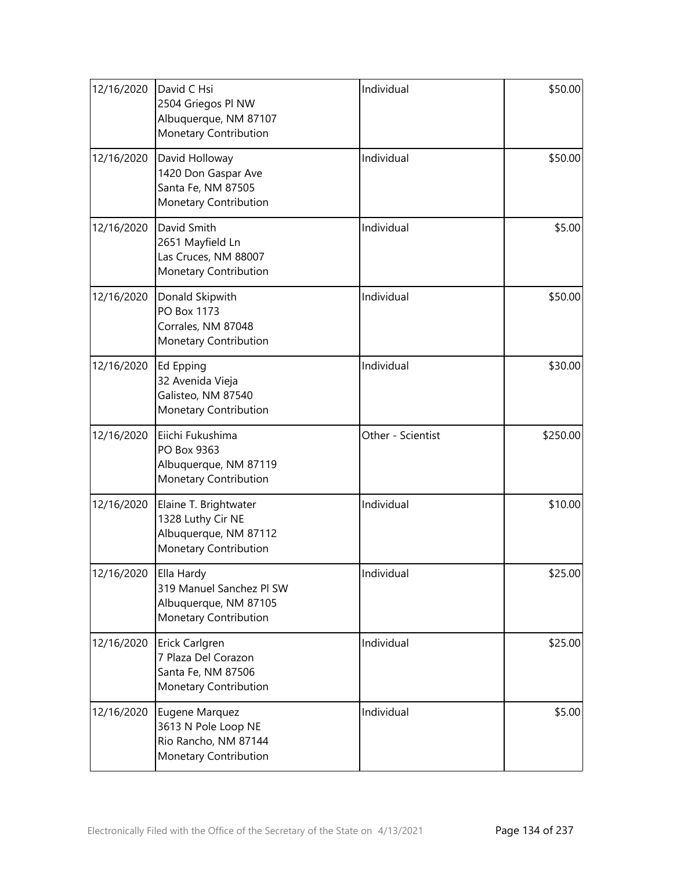| 12/16/2020 | David C Hsi<br>2504 Griegos Pl NW<br>Albuquerque, NM 87107<br>Monetary Contribution             | Individual        | \$50.00  |
|------------|-------------------------------------------------------------------------------------------------|-------------------|----------|
| 12/16/2020 | David Holloway<br>1420 Don Gaspar Ave<br>Santa Fe, NM 87505<br>Monetary Contribution            | Individual        | \$50.00  |
| 12/16/2020 | David Smith<br>2651 Mayfield Ln<br>Las Cruces, NM 88007<br>Monetary Contribution                | Individual        | \$5.00   |
| 12/16/2020 | Donald Skipwith<br>PO Box 1173<br>Corrales, NM 87048<br>Monetary Contribution                   | Individual        | \$50.00  |
| 12/16/2020 | Ed Epping<br>32 Avenida Vieja<br>Galisteo, NM 87540<br>Monetary Contribution                    | Individual        | \$30.00  |
| 12/16/2020 | Eiichi Fukushima<br>PO Box 9363<br>Albuquerque, NM 87119<br>Monetary Contribution               | Other - Scientist | \$250.00 |
| 12/16/2020 | Elaine T. Brightwater<br>1328 Luthy Cir NE<br>Albuquerque, NM 87112<br>Monetary Contribution    | Individual        | \$10.00  |
| 12/16/2020 | Ella Hardy<br>319 Manuel Sanchez PI SW<br>Albuquerque, NM 87105<br><b>Monetary Contribution</b> | Individual        | \$25.00  |
| 12/16/2020 | Erick Carlgren<br>7 Plaza Del Corazon<br>Santa Fe, NM 87506<br>Monetary Contribution            | Individual        | \$25.00  |
| 12/16/2020 | Eugene Marquez<br>3613 N Pole Loop NE<br>Rio Rancho, NM 87144<br>Monetary Contribution          | Individual        | \$5.00   |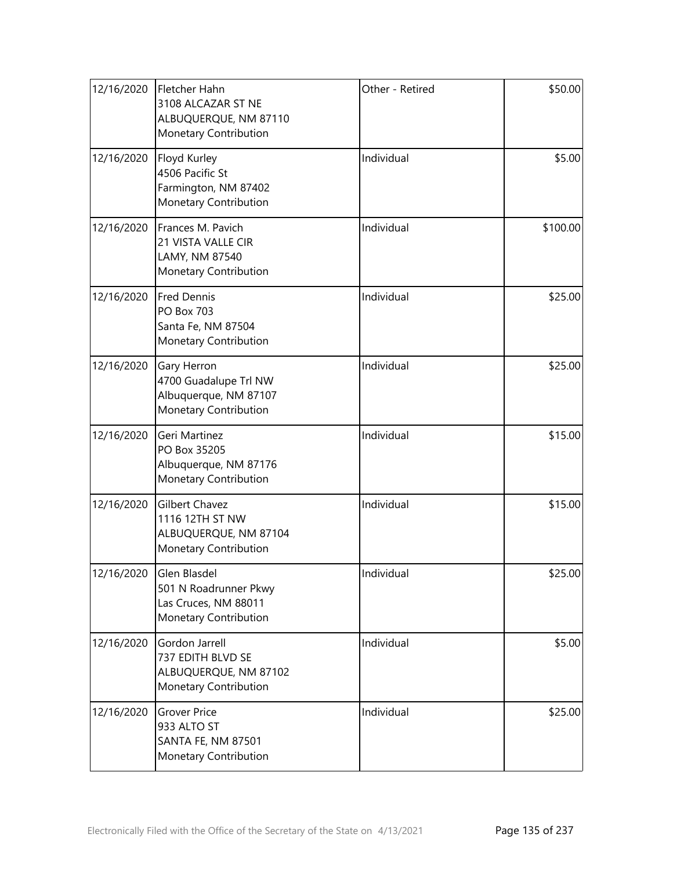| 12/16/2020 | Fletcher Hahn<br>3108 ALCAZAR ST NE<br>ALBUQUERQUE, NM 87110<br>Monetary Contribution      | Other - Retired | \$50.00  |
|------------|--------------------------------------------------------------------------------------------|-----------------|----------|
| 12/16/2020 | Floyd Kurley<br>4506 Pacific St<br>Farmington, NM 87402<br>Monetary Contribution           | Individual      | \$5.00   |
| 12/16/2020 | Frances M. Pavich<br>21 VISTA VALLE CIR<br>LAMY, NM 87540<br>Monetary Contribution         | Individual      | \$100.00 |
| 12/16/2020 | <b>Fred Dennis</b><br><b>PO Box 703</b><br>Santa Fe, NM 87504<br>Monetary Contribution     | Individual      | \$25.00  |
| 12/16/2020 | Gary Herron<br>4700 Guadalupe Trl NW<br>Albuquerque, NM 87107<br>Monetary Contribution     | Individual      | \$25.00  |
| 12/16/2020 | Geri Martinez<br>PO Box 35205<br>Albuquerque, NM 87176<br>Monetary Contribution            | Individual      | \$15.00  |
| 12/16/2020 | <b>Gilbert Chavez</b><br>1116 12TH ST NW<br>ALBUQUERQUE, NM 87104<br>Monetary Contribution | Individual      | \$15.00  |
| 12/16/2020 | Glen Blasdel<br>501 N Roadrunner Pkwy<br>Las Cruces, NM 88011<br>Monetary Contribution     | Individual      | \$25.00  |
| 12/16/2020 | Gordon Jarrell<br>737 EDITH BLVD SE<br>ALBUQUERQUE, NM 87102<br>Monetary Contribution      | Individual      | \$5.00   |
| 12/16/2020 | <b>Grover Price</b><br>933 ALTO ST<br>SANTA FE, NM 87501<br>Monetary Contribution          | Individual      | \$25.00  |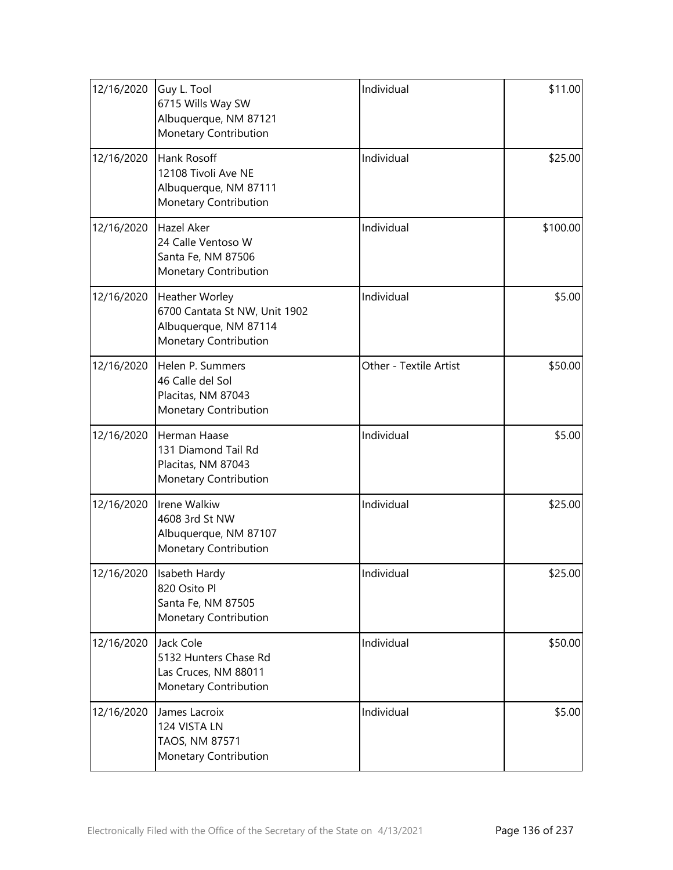| 12/16/2020 | Guy L. Tool<br>6715 Wills Way SW<br>Albuquerque, NM 87121<br>Monetary Contribution                | Individual             | \$11.00  |
|------------|---------------------------------------------------------------------------------------------------|------------------------|----------|
| 12/16/2020 | Hank Rosoff<br>12108 Tivoli Ave NE<br>Albuquerque, NM 87111<br>Monetary Contribution              | Individual             | \$25.00  |
| 12/16/2020 | Hazel Aker<br>24 Calle Ventoso W<br>Santa Fe, NM 87506<br>Monetary Contribution                   | Individual             | \$100.00 |
| 12/16/2020 | Heather Worley<br>6700 Cantata St NW, Unit 1902<br>Albuquerque, NM 87114<br>Monetary Contribution | Individual             | \$5.00   |
| 12/16/2020 | Helen P. Summers<br>46 Calle del Sol<br>Placitas, NM 87043<br>Monetary Contribution               | Other - Textile Artist | \$50.00  |
| 12/16/2020 | Herman Haase<br>131 Diamond Tail Rd<br>Placitas, NM 87043<br>Monetary Contribution                | Individual             | \$5.00   |
| 12/16/2020 | Irene Walkiw<br>4608 3rd St NW<br>Albuquerque, NM 87107<br><b>Monetary Contribution</b>           | Individual             | \$25.00  |
| 12/16/2020 | Isabeth Hardy<br>820 Osito Pl<br>Santa Fe, NM 87505<br>Monetary Contribution                      | Individual             | \$25.00  |
| 12/16/2020 | Jack Cole<br>5132 Hunters Chase Rd<br>Las Cruces, NM 88011<br>Monetary Contribution               | Individual             | \$50.00  |
| 12/16/2020 | James Lacroix<br>124 VISTA LN<br>TAOS, NM 87571<br>Monetary Contribution                          | Individual             | \$5.00   |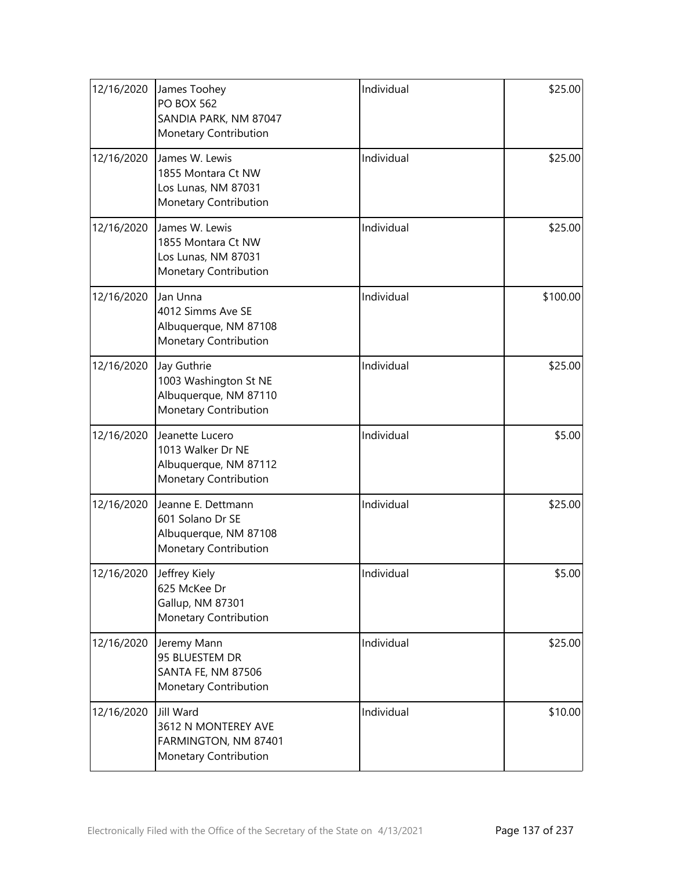| 12/16/2020 | James Toohey<br><b>PO BOX 562</b><br>SANDIA PARK, NM 87047<br>Monetary Contribution      | Individual | \$25.00  |
|------------|------------------------------------------------------------------------------------------|------------|----------|
| 12/16/2020 | James W. Lewis<br>1855 Montara Ct NW<br>Los Lunas, NM 87031<br>Monetary Contribution     | Individual | \$25.00  |
| 12/16/2020 | James W. Lewis<br>1855 Montara Ct NW<br>Los Lunas, NM 87031<br>Monetary Contribution     | Individual | \$25.00  |
| 12/16/2020 | Jan Unna<br>4012 Simms Ave SE<br>Albuquerque, NM 87108<br>Monetary Contribution          | Individual | \$100.00 |
| 12/16/2020 | Jay Guthrie<br>1003 Washington St NE<br>Albuquerque, NM 87110<br>Monetary Contribution   | Individual | \$25.00  |
| 12/16/2020 | Jeanette Lucero<br>1013 Walker Dr NE<br>Albuquerque, NM 87112<br>Monetary Contribution   | Individual | \$5.00   |
| 12/16/2020 | Jeanne E. Dettmann<br>601 Solano Dr SE<br>Albuquerque, NM 87108<br>Monetary Contribution | Individual | \$25.00  |
| 12/16/2020 | Jeffrey Kiely<br>625 McKee Dr<br>Gallup, NM 87301<br>Monetary Contribution               | Individual | \$5.00   |
| 12/16/2020 | Jeremy Mann<br>95 BLUESTEM DR<br>SANTA FE, NM 87506<br>Monetary Contribution             | Individual | \$25.00  |
| 12/16/2020 | <b>Jill Ward</b><br>3612 N MONTEREY AVE<br>FARMINGTON, NM 87401<br>Monetary Contribution | Individual | \$10.00  |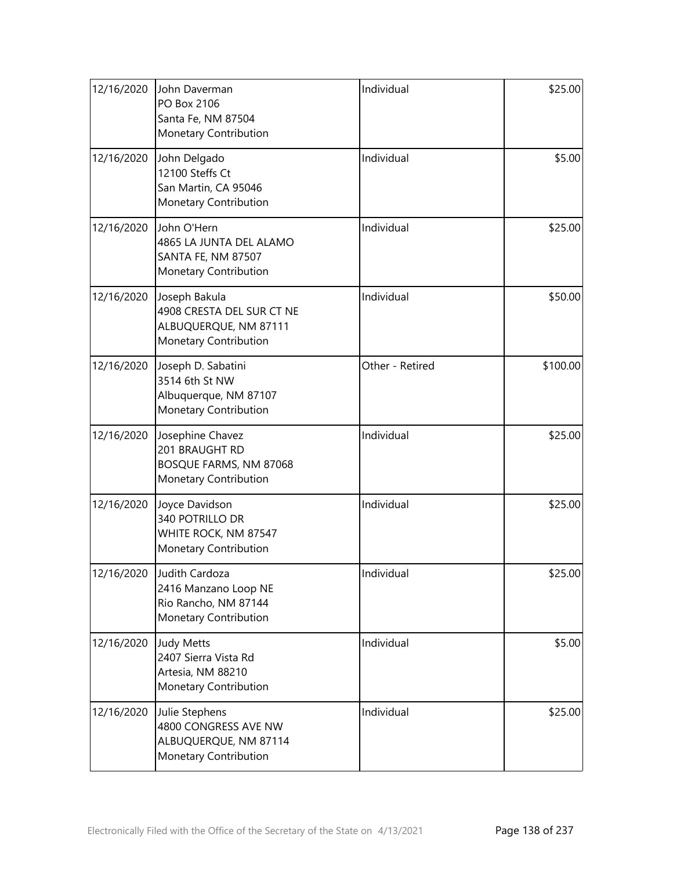| 12/16/2020 | John Daverman<br>PO Box 2106<br>Santa Fe, NM 87504<br>Monetary Contribution                  | Individual      | \$25.00  |
|------------|----------------------------------------------------------------------------------------------|-----------------|----------|
| 12/16/2020 | John Delgado<br>12100 Steffs Ct<br>San Martin, CA 95046<br>Monetary Contribution             | Individual      | \$5.00   |
| 12/16/2020 | John O'Hern<br>4865 LA JUNTA DEL ALAMO<br>SANTA FE, NM 87507<br>Monetary Contribution        | Individual      | \$25.00  |
| 12/16/2020 | Joseph Bakula<br>4908 CRESTA DEL SUR CT NE<br>ALBUQUERQUE, NM 87111<br>Monetary Contribution | Individual      | \$50.00  |
| 12/16/2020 | Joseph D. Sabatini<br>3514 6th St NW<br>Albuquerque, NM 87107<br>Monetary Contribution       | Other - Retired | \$100.00 |
| 12/16/2020 | Josephine Chavez<br>201 BRAUGHT RD<br>BOSQUE FARMS, NM 87068<br>Monetary Contribution        | Individual      | \$25.00  |
| 12/16/2020 | Joyce Davidson<br>340 POTRILLO DR<br>WHITE ROCK, NM 87547<br>Monetary Contribution           | Individual      | \$25.00  |
| 12/16/2020 | Judith Cardoza<br>2416 Manzano Loop NE<br>Rio Rancho, NM 87144<br>Monetary Contribution      | Individual      | \$25.00  |
| 12/16/2020 | <b>Judy Metts</b><br>2407 Sierra Vista Rd<br>Artesia, NM 88210<br>Monetary Contribution      | Individual      | \$5.00   |
| 12/16/2020 | Julie Stephens<br>4800 CONGRESS AVE NW<br>ALBUQUERQUE, NM 87114<br>Monetary Contribution     | Individual      | \$25.00  |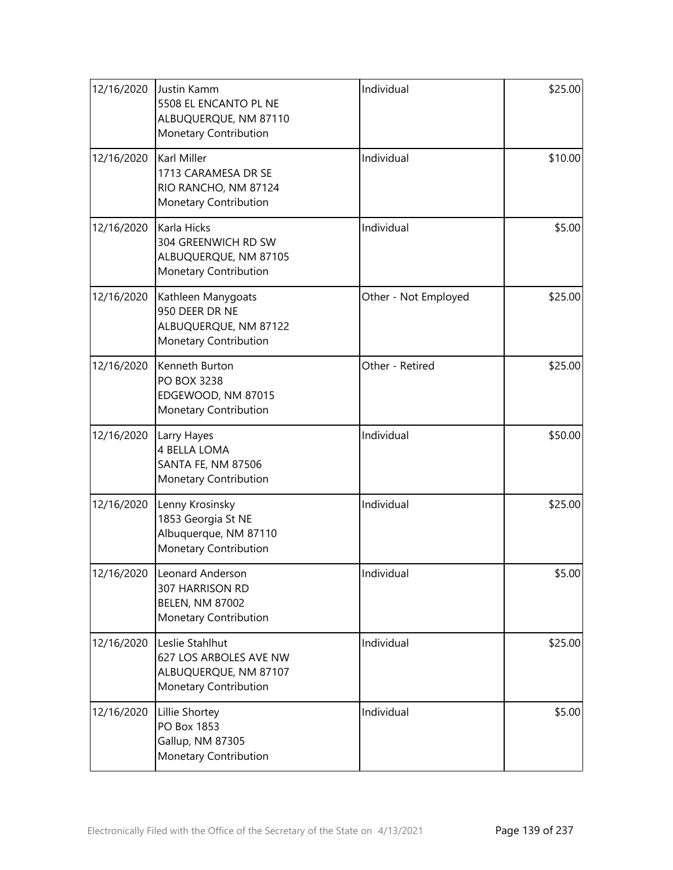| 12/16/2020 | Justin Kamm<br>5508 EL ENCANTO PL NE<br>ALBUQUERQUE, NM 87110<br>Monetary Contribution      | Individual           | \$25.00 |
|------------|---------------------------------------------------------------------------------------------|----------------------|---------|
| 12/16/2020 | Karl Miller<br>1713 CARAMESA DR SE<br>RIO RANCHO, NM 87124<br><b>Monetary Contribution</b>  | Individual           | \$10.00 |
| 12/16/2020 | Karla Hicks<br>304 GREENWICH RD SW<br>ALBUQUERQUE, NM 87105<br>Monetary Contribution        | Individual           | \$5.00  |
| 12/16/2020 | Kathleen Manygoats<br>950 DEER DR NE<br>ALBUQUERQUE, NM 87122<br>Monetary Contribution      | Other - Not Employed | \$25.00 |
| 12/16/2020 | Kenneth Burton<br>PO BOX 3238<br>EDGEWOOD, NM 87015<br>Monetary Contribution                | Other - Retired      | \$25.00 |
| 12/16/2020 | Larry Hayes<br>4 BELLA LOMA<br>SANTA FE, NM 87506<br>Monetary Contribution                  | Individual           | \$50.00 |
| 12/16/2020 | Lenny Krosinsky<br>1853 Georgia St NE<br>Albuquerque, NM 87110<br>Monetary Contribution     | Individual           | \$25.00 |
| 12/16/2020 | Leonard Anderson<br>307 HARRISON RD<br><b>BELEN, NM 87002</b><br>Monetary Contribution      | Individual           | \$5.00  |
| 12/16/2020 | Leslie Stahlhut<br>627 LOS ARBOLES AVE NW<br>ALBUQUERQUE, NM 87107<br>Monetary Contribution | Individual           | \$25.00 |
| 12/16/2020 | Lillie Shortey<br>PO Box 1853<br>Gallup, NM 87305<br>Monetary Contribution                  | Individual           | \$5.00  |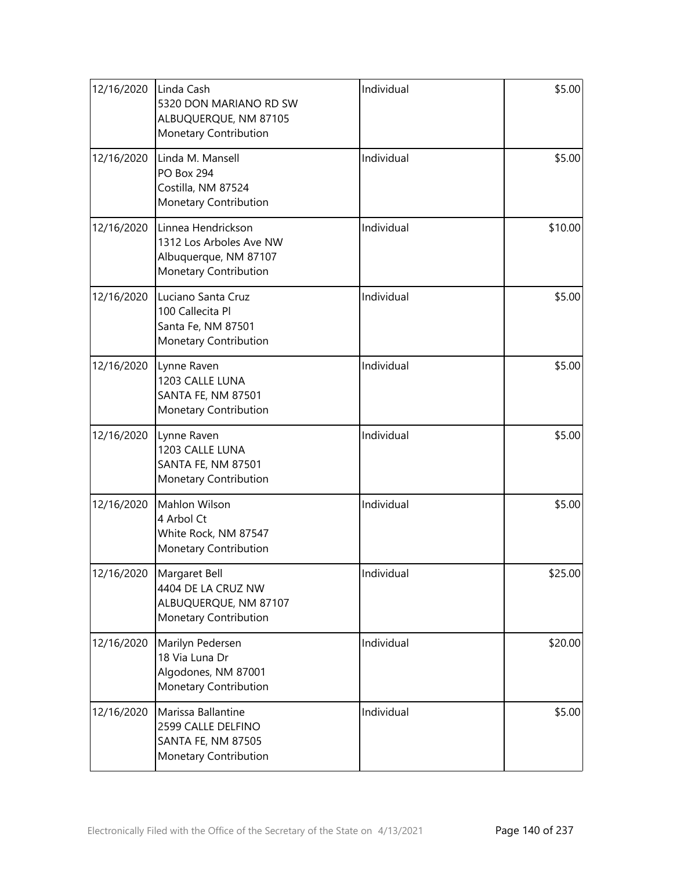| 12/16/2020 | Linda Cash<br>5320 DON MARIANO RD SW<br>ALBUQUERQUE, NM 87105<br>Monetary Contribution          | Individual | \$5.00  |
|------------|-------------------------------------------------------------------------------------------------|------------|---------|
| 12/16/2020 | Linda M. Mansell<br><b>PO Box 294</b><br>Costilla, NM 87524<br>Monetary Contribution            | Individual | \$5.00  |
| 12/16/2020 | Linnea Hendrickson<br>1312 Los Arboles Ave NW<br>Albuquerque, NM 87107<br>Monetary Contribution | Individual | \$10.00 |
| 12/16/2020 | Luciano Santa Cruz<br>100 Callecita Pl<br>Santa Fe, NM 87501<br>Monetary Contribution           | Individual | \$5.00  |
| 12/16/2020 | Lynne Raven<br>1203 CALLE LUNA<br>SANTA FE, NM 87501<br>Monetary Contribution                   | Individual | \$5.00  |
| 12/16/2020 | Lynne Raven<br>1203 CALLE LUNA<br>SANTA FE, NM 87501<br>Monetary Contribution                   | Individual | \$5.00  |
| 12/16/2020 | Mahlon Wilson<br>4 Arbol Ct<br>White Rock, NM 87547<br>Monetary Contribution                    | Individual | \$5.00  |
| 12/16/2020 | Margaret Bell<br>4404 DE LA CRUZ NW<br>ALBUQUERQUE, NM 87107<br>Monetary Contribution           | Individual | \$25.00 |
| 12/16/2020 | Marilyn Pedersen<br>18 Via Luna Dr<br>Algodones, NM 87001<br>Monetary Contribution              | Individual | \$20.00 |
| 12/16/2020 | Marissa Ballantine<br>2599 CALLE DELFINO<br>SANTA FE, NM 87505<br>Monetary Contribution         | Individual | \$5.00  |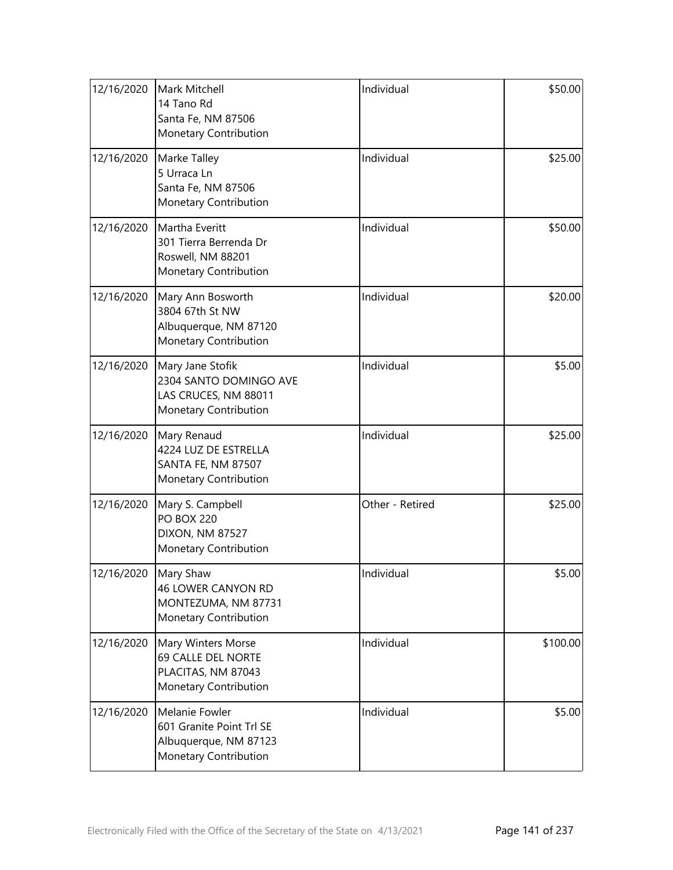| 12/16/2020 | Mark Mitchell<br>14 Tano Rd<br>Santa Fe, NM 87506<br>Monetary Contribution                   | Individual      | \$50.00  |
|------------|----------------------------------------------------------------------------------------------|-----------------|----------|
| 12/16/2020 | Marke Talley<br>5 Urraca Ln<br>Santa Fe, NM 87506<br>Monetary Contribution                   | Individual      | \$25.00  |
| 12/16/2020 | Martha Everitt<br>301 Tierra Berrenda Dr<br>Roswell, NM 88201<br>Monetary Contribution       | Individual      | \$50.00  |
| 12/16/2020 | Mary Ann Bosworth<br>3804 67th St NW<br>Albuquerque, NM 87120<br>Monetary Contribution       | Individual      | \$20.00  |
| 12/16/2020 | Mary Jane Stofik<br>2304 SANTO DOMINGO AVE<br>LAS CRUCES, NM 88011<br>Monetary Contribution  | Individual      | \$5.00   |
| 12/16/2020 | Mary Renaud<br>4224 LUZ DE ESTRELLA<br>SANTA FE, NM 87507<br>Monetary Contribution           | Individual      | \$25.00  |
| 12/16/2020 | Mary S. Campbell<br><b>PO BOX 220</b><br>DIXON, NM 87527<br>Monetary Contribution            | Other - Retired | \$25.00  |
| 12/16/2020 | Mary Shaw<br><b>46 LOWER CANYON RD</b><br>MONTEZUMA, NM 87731<br>Monetary Contribution       | Individual      | \$5.00   |
| 12/16/2020 | Mary Winters Morse<br>69 CALLE DEL NORTE<br>PLACITAS, NM 87043<br>Monetary Contribution      | Individual      | \$100.00 |
| 12/16/2020 | Melanie Fowler<br>601 Granite Point Trl SE<br>Albuquerque, NM 87123<br>Monetary Contribution | Individual      | \$5.00   |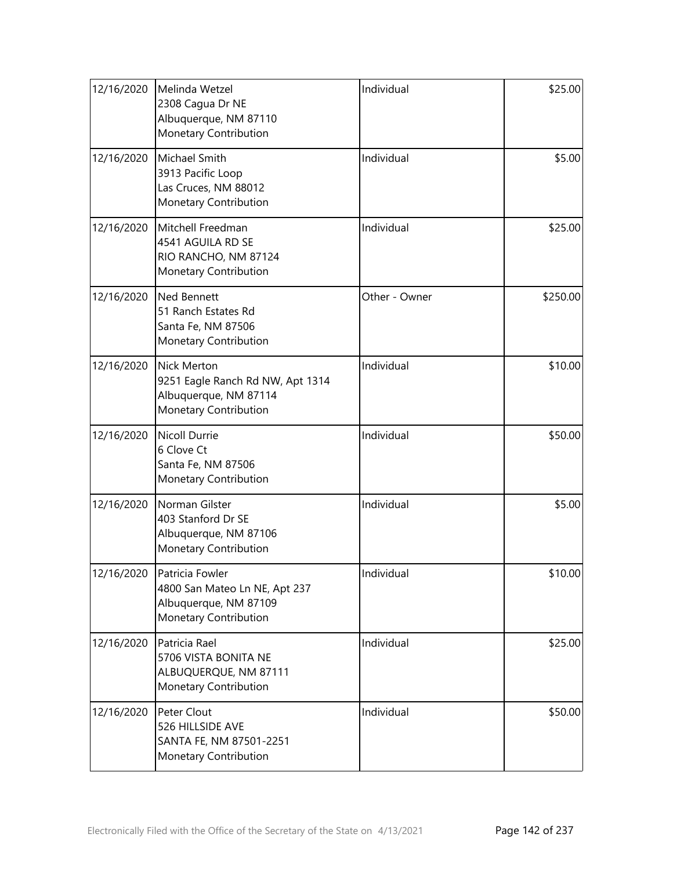| 12/16/2020 | Melinda Wetzel<br>2308 Cagua Dr NE<br>Albuquerque, NM 87110<br>Monetary Contribution                     | Individual    | \$25.00  |
|------------|----------------------------------------------------------------------------------------------------------|---------------|----------|
| 12/16/2020 | Michael Smith<br>3913 Pacific Loop<br>Las Cruces, NM 88012<br>Monetary Contribution                      | Individual    | \$5.00   |
| 12/16/2020 | Mitchell Freedman<br>4541 AGUILA RD SE<br>RIO RANCHO, NM 87124<br>Monetary Contribution                  | Individual    | \$25.00  |
| 12/16/2020 | <b>Ned Bennett</b><br>51 Ranch Estates Rd<br>Santa Fe, NM 87506<br>Monetary Contribution                 | Other - Owner | \$250.00 |
| 12/16/2020 | <b>Nick Merton</b><br>9251 Eagle Ranch Rd NW, Apt 1314<br>Albuquerque, NM 87114<br>Monetary Contribution | Individual    | \$10.00  |
| 12/16/2020 | <b>Nicoll Durrie</b><br>6 Clove Ct<br>Santa Fe, NM 87506<br>Monetary Contribution                        | Individual    | \$50.00  |
| 12/16/2020 | Norman Gilster<br>403 Stanford Dr SE<br>Albuquerque, NM 87106<br>Monetary Contribution                   | Individual    | \$5.00   |
| 12/16/2020 | Patricia Fowler<br>4800 San Mateo Ln NE, Apt 237<br>Albuquerque, NM 87109<br>Monetary Contribution       | Individual    | \$10.00  |
| 12/16/2020 | Patricia Rael<br>5706 VISTA BONITA NE<br>ALBUQUERQUE, NM 87111<br>Monetary Contribution                  | Individual    | \$25.00  |
| 12/16/2020 | Peter Clout<br>526 HILLSIDE AVE<br>SANTA FE, NM 87501-2251<br>Monetary Contribution                      | Individual    | \$50.00  |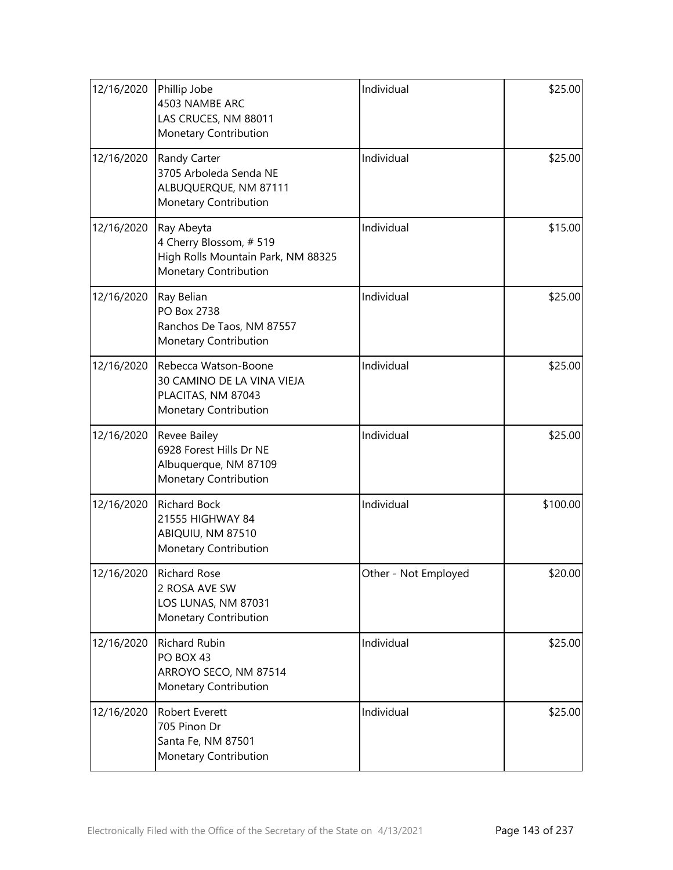| 12/16/2020 | Phillip Jobe<br>4503 NAMBE ARC<br>LAS CRUCES, NM 88011<br>Monetary Contribution                     | Individual           | \$25.00  |
|------------|-----------------------------------------------------------------------------------------------------|----------------------|----------|
| 12/16/2020 | Randy Carter<br>3705 Arboleda Senda NE<br>ALBUQUERQUE, NM 87111<br>Monetary Contribution            | Individual           | \$25.00  |
| 12/16/2020 | Ray Abeyta<br>4 Cherry Blossom, #519<br>High Rolls Mountain Park, NM 88325<br>Monetary Contribution | Individual           | \$15.00  |
| 12/16/2020 | Ray Belian<br>PO Box 2738<br>Ranchos De Taos, NM 87557<br>Monetary Contribution                     | Individual           | \$25.00  |
| 12/16/2020 | Rebecca Watson-Boone<br>30 CAMINO DE LA VINA VIEJA<br>PLACITAS, NM 87043<br>Monetary Contribution   | Individual           | \$25.00  |
| 12/16/2020 | <b>Revee Bailey</b><br>6928 Forest Hills Dr NE<br>Albuquerque, NM 87109<br>Monetary Contribution    | Individual           | \$25.00  |
| 12/16/2020 | <b>Richard Bock</b><br>21555 HIGHWAY 84<br>ABIQUIU, NM 87510<br>Monetary Contribution               | Individual           | \$100.00 |
| 12/16/2020 | <b>Richard Rose</b><br>2 ROSA AVE SW<br>LOS LUNAS, NM 87031<br>Monetary Contribution                | Other - Not Employed | \$20.00  |
| 12/16/2020 | <b>Richard Rubin</b><br>PO BOX 43<br>ARROYO SECO, NM 87514<br>Monetary Contribution                 | Individual           | \$25.00  |
| 12/16/2020 | Robert Everett<br>705 Pinon Dr<br>Santa Fe, NM 87501<br>Monetary Contribution                       | Individual           | \$25.00  |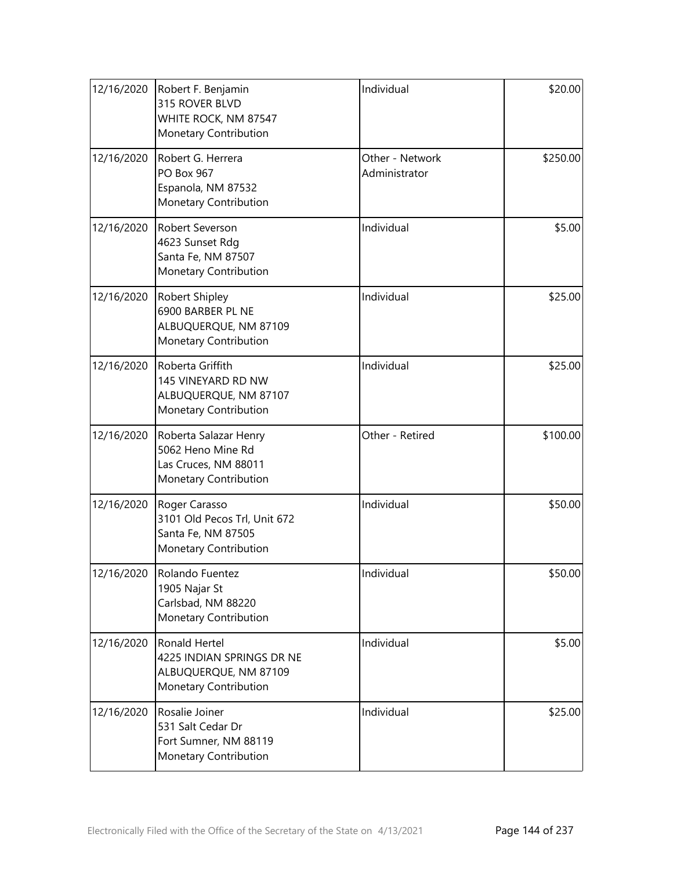| 12/16/2020 | Robert F. Benjamin<br>315 ROVER BLVD<br>WHITE ROCK, NM 87547<br>Monetary Contribution        | Individual                       | \$20.00  |
|------------|----------------------------------------------------------------------------------------------|----------------------------------|----------|
| 12/16/2020 | Robert G. Herrera<br>PO Box 967<br>Espanola, NM 87532<br>Monetary Contribution               | Other - Network<br>Administrator | \$250.00 |
| 12/16/2020 | Robert Severson<br>4623 Sunset Rdg<br>Santa Fe, NM 87507<br>Monetary Contribution            | Individual                       | \$5.00   |
| 12/16/2020 | Robert Shipley<br>6900 BARBER PL NE<br>ALBUQUERQUE, NM 87109<br>Monetary Contribution        | Individual                       | \$25.00  |
| 12/16/2020 | Roberta Griffith<br>145 VINEYARD RD NW<br>ALBUQUERQUE, NM 87107<br>Monetary Contribution     | Individual                       | \$25.00  |
| 12/16/2020 | Roberta Salazar Henry<br>5062 Heno Mine Rd<br>Las Cruces, NM 88011<br>Monetary Contribution  | Other - Retired                  | \$100.00 |
| 12/16/2020 | Roger Carasso<br>3101 Old Pecos Trl, Unit 672<br>Santa Fe, NM 87505<br>Monetary Contribution | Individual                       | \$50.00  |
| 12/16/2020 | Rolando Fuentez<br>1905 Najar St<br>Carlsbad, NM 88220<br>Monetary Contribution              | Individual                       | \$50.00  |
| 12/16/2020 | Ronald Hertel<br>4225 INDIAN SPRINGS DR NE<br>ALBUQUERQUE, NM 87109<br>Monetary Contribution | Individual                       | \$5.00   |
| 12/16/2020 | Rosalie Joiner<br>531 Salt Cedar Dr<br>Fort Sumner, NM 88119<br>Monetary Contribution        | Individual                       | \$25.00  |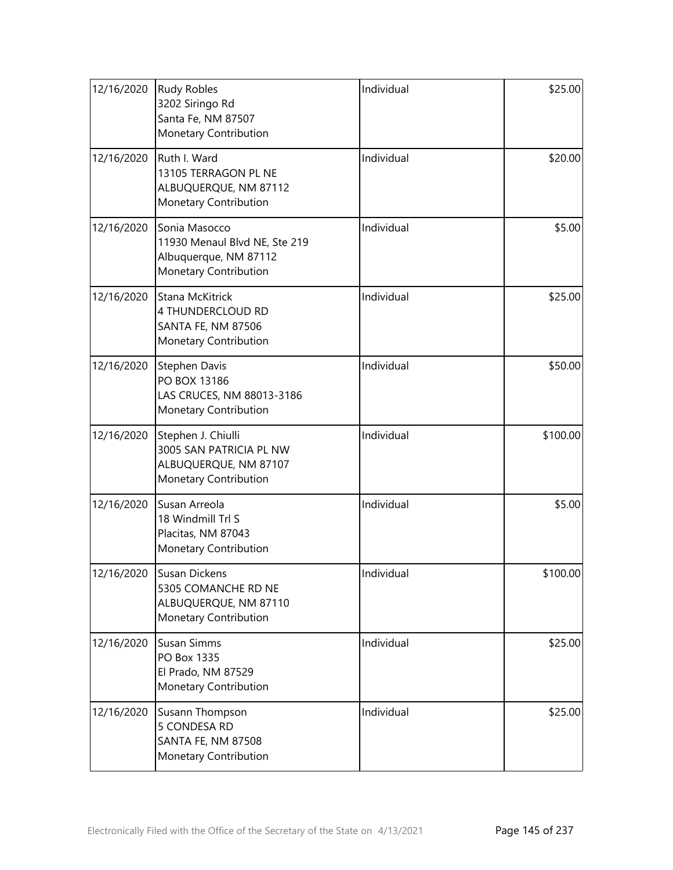| 12/16/2020 | <b>Rudy Robles</b><br>3202 Siringo Rd<br>Santa Fe, NM 87507<br>Monetary Contribution             | Individual | \$25.00  |
|------------|--------------------------------------------------------------------------------------------------|------------|----------|
| 12/16/2020 | Ruth I. Ward<br>13105 TERRAGON PL NE<br>ALBUQUERQUE, NM 87112<br>Monetary Contribution           | Individual | \$20.00  |
| 12/16/2020 | Sonia Masocco<br>11930 Menaul Blvd NE, Ste 219<br>Albuquerque, NM 87112<br>Monetary Contribution | Individual | \$5.00   |
| 12/16/2020 | Stana McKitrick<br>4 THUNDERCLOUD RD<br>SANTA FE, NM 87506<br>Monetary Contribution              | Individual | \$25.00  |
| 12/16/2020 | Stephen Davis<br>PO BOX 13186<br>LAS CRUCES, NM 88013-3186<br>Monetary Contribution              | Individual | \$50.00  |
| 12/16/2020 | Stephen J. Chiulli<br>3005 SAN PATRICIA PL NW<br>ALBUQUERQUE, NM 87107<br>Monetary Contribution  | Individual | \$100.00 |
| 12/16/2020 | Susan Arreola<br>18 Windmill Trl S<br>Placitas, NM 87043<br>Monetary Contribution                | Individual | \$5.00   |
| 12/16/2020 | Susan Dickens<br>5305 COMANCHE RD NE<br>ALBUQUERQUE, NM 87110<br>Monetary Contribution           | Individual | \$100.00 |
| 12/16/2020 | Susan Simms<br>PO Box 1335<br>El Prado, NM 87529<br>Monetary Contribution                        | Individual | \$25.00  |
| 12/16/2020 | Susann Thompson<br>5 CONDESA RD<br>SANTA FE, NM 87508<br>Monetary Contribution                   | Individual | \$25.00  |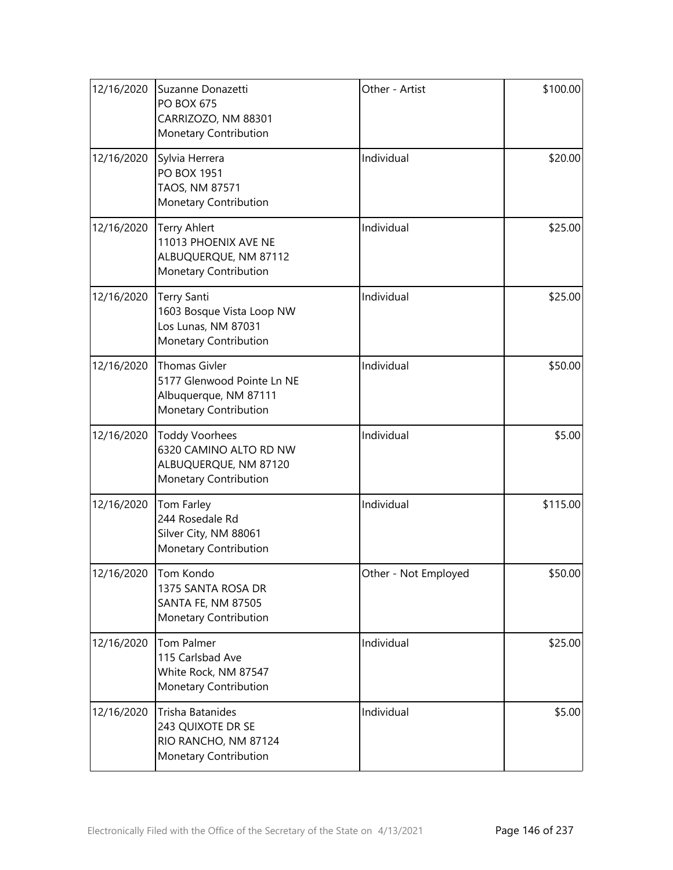| 12/16/2020 | Suzanne Donazetti<br><b>PO BOX 675</b><br>CARRIZOZO, NM 88301<br>Monetary Contribution               | Other - Artist       | \$100.00 |
|------------|------------------------------------------------------------------------------------------------------|----------------------|----------|
| 12/16/2020 | Sylvia Herrera<br><b>PO BOX 1951</b><br>TAOS, NM 87571<br>Monetary Contribution                      | Individual           | \$20.00  |
| 12/16/2020 | <b>Terry Ahlert</b><br>11013 PHOENIX AVE NE<br>ALBUQUERQUE, NM 87112<br>Monetary Contribution        | Individual           | \$25.00  |
| 12/16/2020 | Terry Santi<br>1603 Bosque Vista Loop NW<br>Los Lunas, NM 87031<br>Monetary Contribution             | Individual           | \$25.00  |
| 12/16/2020 | <b>Thomas Givler</b><br>5177 Glenwood Pointe Ln NE<br>Albuquerque, NM 87111<br>Monetary Contribution | Individual           | \$50.00  |
| 12/16/2020 | <b>Toddy Voorhees</b><br>6320 CAMINO ALTO RD NW<br>ALBUQUERQUE, NM 87120<br>Monetary Contribution    | Individual           | \$5.00   |
| 12/16/2020 | Tom Farley<br>244 Rosedale Rd<br>Silver City, NM 88061<br>Monetary Contribution                      | Individual           | \$115.00 |
| 12/16/2020 | Tom Kondo<br>1375 SANTA ROSA DR<br><b>SANTA FE, NM 87505</b><br>Monetary Contribution                | Other - Not Employed | \$50.00  |
| 12/16/2020 | Tom Palmer<br>115 Carlsbad Ave<br>White Rock, NM 87547<br>Monetary Contribution                      | Individual           | \$25.00  |
| 12/16/2020 | Trisha Batanides<br>243 QUIXOTE DR SE<br>RIO RANCHO, NM 87124<br>Monetary Contribution               | Individual           | \$5.00   |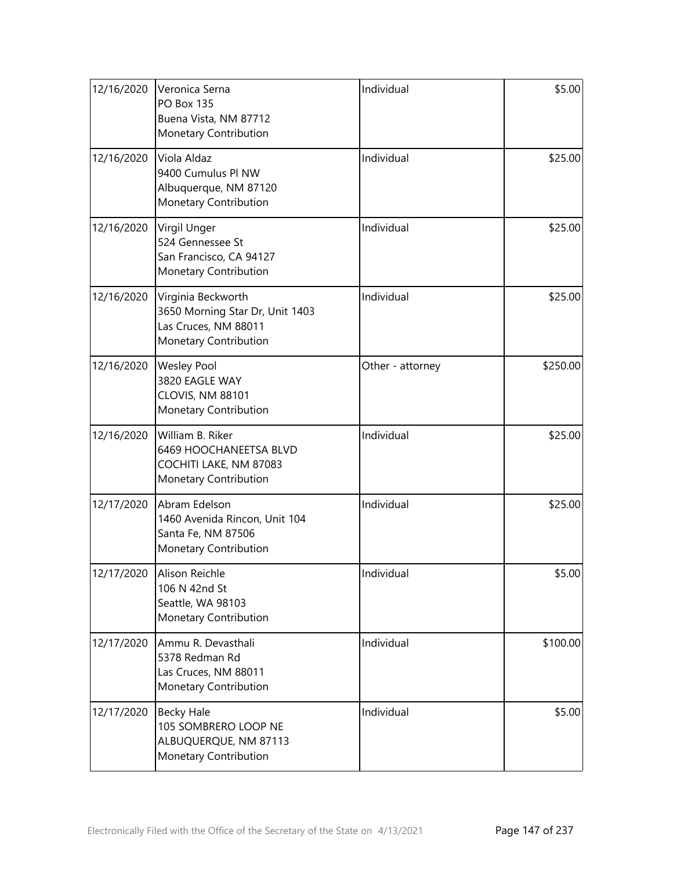| 12/16/2020 | Veronica Serna<br><b>PO Box 135</b><br>Buena Vista, NM 87712<br>Monetary Contribution                  | Individual       | \$5.00   |
|------------|--------------------------------------------------------------------------------------------------------|------------------|----------|
| 12/16/2020 | Viola Aldaz<br>9400 Cumulus PI NW<br>Albuquerque, NM 87120<br>Monetary Contribution                    | Individual       | \$25.00  |
| 12/16/2020 | Virgil Unger<br>524 Gennessee St<br>San Francisco, CA 94127<br>Monetary Contribution                   | Individual       | \$25.00  |
| 12/16/2020 | Virginia Beckworth<br>3650 Morning Star Dr, Unit 1403<br>Las Cruces, NM 88011<br>Monetary Contribution | Individual       | \$25.00  |
| 12/16/2020 | <b>Wesley Pool</b><br>3820 EAGLE WAY<br>CLOVIS, NM 88101<br>Monetary Contribution                      | Other - attorney | \$250.00 |
| 12/16/2020 | William B. Riker<br>6469 HOOCHANEETSA BLVD<br>COCHITI LAKE, NM 87083<br>Monetary Contribution          | Individual       | \$25.00  |
| 12/17/2020 | Abram Edelson<br>1460 Avenida Rincon, Unit 104<br>Santa Fe, NM 87506<br>Monetary Contribution          | Individual       | \$25.00  |
| 12/17/2020 | Alison Reichle<br>106 N 42nd St<br>Seattle, WA 98103<br>Monetary Contribution                          | Individual       | \$5.00   |
| 12/17/2020 | Ammu R. Devasthali<br>5378 Redman Rd<br>Las Cruces, NM 88011<br>Monetary Contribution                  | Individual       | \$100.00 |
| 12/17/2020 | <b>Becky Hale</b><br>105 SOMBRERO LOOP NE<br>ALBUQUERQUE, NM 87113<br>Monetary Contribution            | Individual       | \$5.00   |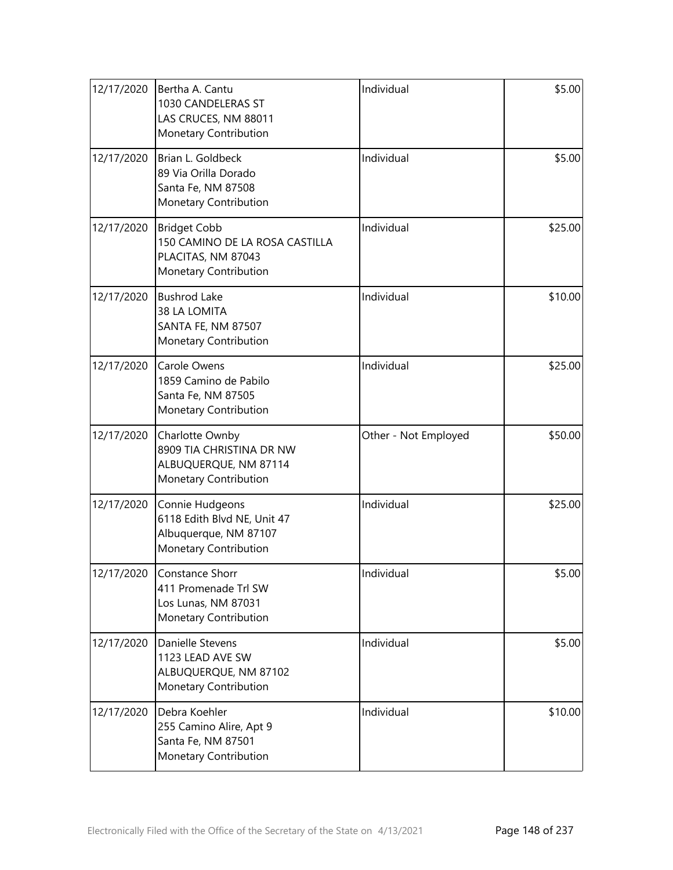| 12/17/2020 | Bertha A. Cantu<br>1030 CANDELERAS ST<br>LAS CRUCES, NM 88011<br>Monetary Contribution               | Individual           | \$5.00  |
|------------|------------------------------------------------------------------------------------------------------|----------------------|---------|
| 12/17/2020 | Brian L. Goldbeck<br>89 Via Orilla Dorado<br>Santa Fe, NM 87508<br>Monetary Contribution             | Individual           | \$5.00  |
| 12/17/2020 | <b>Bridget Cobb</b><br>150 CAMINO DE LA ROSA CASTILLA<br>PLACITAS, NM 87043<br>Monetary Contribution | Individual           | \$25.00 |
| 12/17/2020 | <b>Bushrod Lake</b><br>38 LA LOMITA<br>SANTA FE, NM 87507<br>Monetary Contribution                   | Individual           | \$10.00 |
| 12/17/2020 | Carole Owens<br>1859 Camino de Pabilo<br>Santa Fe, NM 87505<br>Monetary Contribution                 | Individual           | \$25.00 |
| 12/17/2020 | Charlotte Ownby<br>8909 TIA CHRISTINA DR NW<br>ALBUQUERQUE, NM 87114<br>Monetary Contribution        | Other - Not Employed | \$50.00 |
| 12/17/2020 | Connie Hudgeons<br>6118 Edith Blvd NE, Unit 47<br>Albuquerque, NM 87107<br>Monetary Contribution     | Individual           | \$25.00 |
| 12/17/2020 | Constance Shorr<br>411 Promenade Trl SW<br>Los Lunas, NM 87031<br>Monetary Contribution              | Individual           | \$5.00  |
| 12/17/2020 | Danielle Stevens<br>1123 LEAD AVE SW<br>ALBUQUERQUE, NM 87102<br>Monetary Contribution               | Individual           | \$5.00  |
| 12/17/2020 | Debra Koehler<br>255 Camino Alire, Apt 9<br>Santa Fe, NM 87501<br>Monetary Contribution              | Individual           | \$10.00 |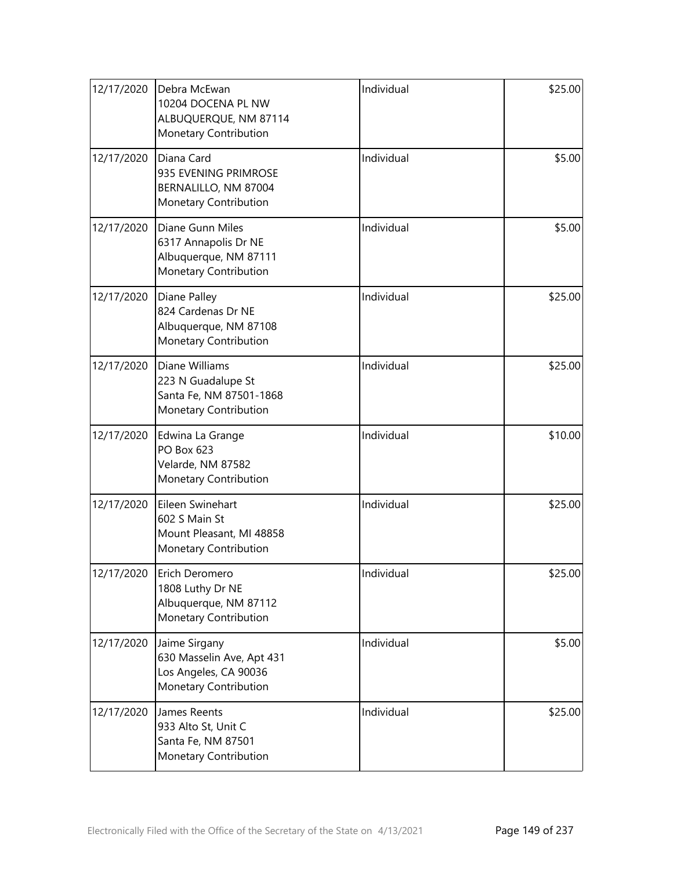| 12/17/2020 | Debra McEwan<br>10204 DOCENA PL NW<br>ALBUQUERQUE, NM 87114<br>Monetary Contribution         | Individual | \$25.00 |
|------------|----------------------------------------------------------------------------------------------|------------|---------|
| 12/17/2020 | Diana Card<br>935 EVENING PRIMROSE<br>BERNALILLO, NM 87004<br>Monetary Contribution          | Individual | \$5.00  |
| 12/17/2020 | Diane Gunn Miles<br>6317 Annapolis Dr NE<br>Albuquerque, NM 87111<br>Monetary Contribution   | Individual | \$5.00  |
| 12/17/2020 | Diane Palley<br>824 Cardenas Dr NE<br>Albuquerque, NM 87108<br>Monetary Contribution         | Individual | \$25.00 |
| 12/17/2020 | Diane Williams<br>223 N Guadalupe St<br>Santa Fe, NM 87501-1868<br>Monetary Contribution     | Individual | \$25.00 |
| 12/17/2020 | Edwina La Grange<br>PO Box 623<br>Velarde, NM 87582<br>Monetary Contribution                 | Individual | \$10.00 |
| 12/17/2020 | Eileen Swinehart<br>602 S Main St<br>Mount Pleasant, MI 48858<br>Monetary Contribution       | Individual | \$25.00 |
| 12/17/2020 | Erich Deromero<br>1808 Luthy Dr NE<br>Albuquerque, NM 87112<br>Monetary Contribution         | Individual | \$25.00 |
| 12/17/2020 | Jaime Sirgany<br>630 Masselin Ave, Apt 431<br>Los Angeles, CA 90036<br>Monetary Contribution | Individual | \$5.00  |
| 12/17/2020 | James Reents<br>933 Alto St, Unit C<br>Santa Fe, NM 87501<br>Monetary Contribution           | Individual | \$25.00 |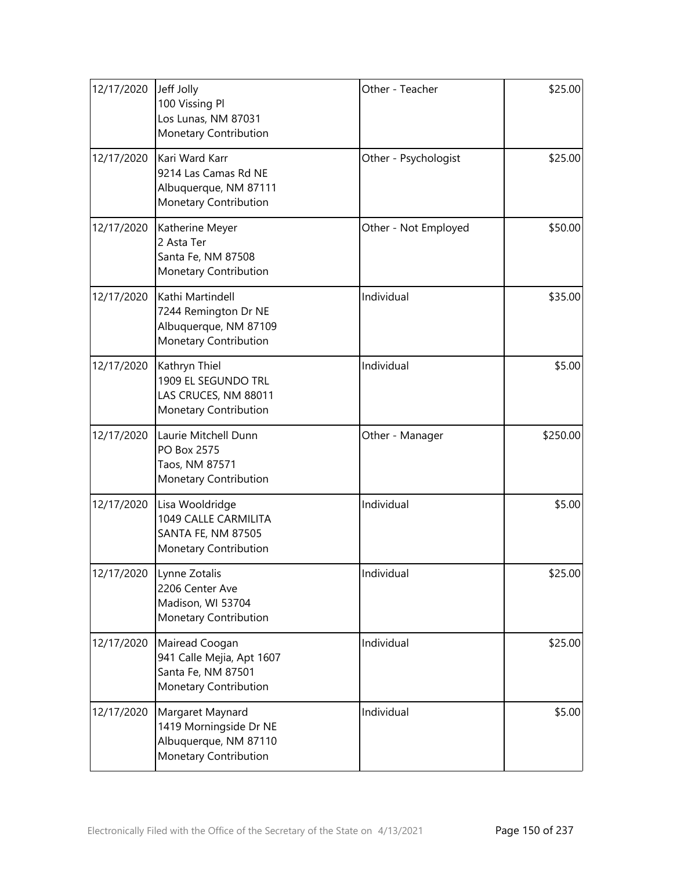| 12/17/2020 | Jeff Jolly<br>100 Vissing Pl<br>Los Lunas, NM 87031<br>Monetary Contribution                 | Other - Teacher      | \$25.00  |
|------------|----------------------------------------------------------------------------------------------|----------------------|----------|
| 12/17/2020 | Kari Ward Karr<br>9214 Las Camas Rd NE<br>Albuquerque, NM 87111<br>Monetary Contribution     | Other - Psychologist | \$25.00  |
| 12/17/2020 | Katherine Meyer<br>2 Asta Ter<br>Santa Fe, NM 87508<br>Monetary Contribution                 | Other - Not Employed | \$50.00  |
| 12/17/2020 | Kathi Martindell<br>7244 Remington Dr NE<br>Albuquerque, NM 87109<br>Monetary Contribution   | Individual           | \$35.00  |
| 12/17/2020 | Kathryn Thiel<br>1909 EL SEGUNDO TRL<br>LAS CRUCES, NM 88011<br>Monetary Contribution        | Individual           | \$5.00   |
| 12/17/2020 | Laurie Mitchell Dunn<br>PO Box 2575<br>Taos, NM 87571<br>Monetary Contribution               | Other - Manager      | \$250.00 |
| 12/17/2020 | Lisa Wooldridge<br>1049 CALLE CARMILITA<br>SANTA FE, NM 87505<br>Monetary Contribution       | Individual           | \$5.00   |
| 12/17/2020 | Lynne Zotalis<br>2206 Center Ave<br>Madison, WI 53704<br>Monetary Contribution               | Individual           | \$25.00  |
| 12/17/2020 | Mairead Coogan<br>941 Calle Mejia, Apt 1607<br>Santa Fe, NM 87501<br>Monetary Contribution   | Individual           | \$25.00  |
| 12/17/2020 | Margaret Maynard<br>1419 Morningside Dr NE<br>Albuquerque, NM 87110<br>Monetary Contribution | Individual           | \$5.00   |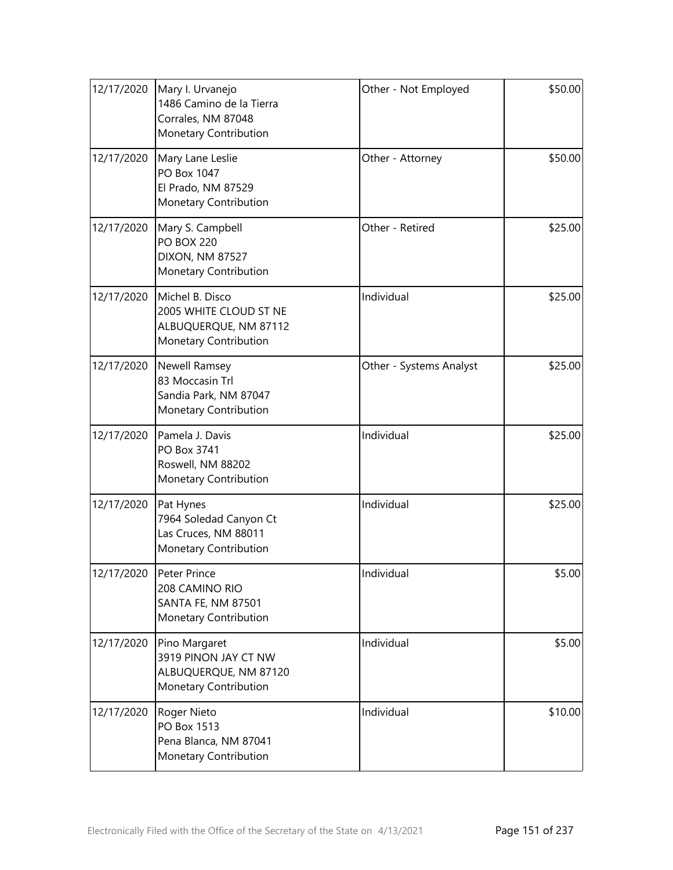| 12/17/2020 | Mary I. Urvanejo<br>1486 Camino de la Tierra<br>Corrales, NM 87048<br>Monetary Contribution | Other - Not Employed    | \$50.00 |
|------------|---------------------------------------------------------------------------------------------|-------------------------|---------|
| 12/17/2020 | Mary Lane Leslie<br>PO Box 1047<br>El Prado, NM 87529<br>Monetary Contribution              | Other - Attorney        | \$50.00 |
| 12/17/2020 | Mary S. Campbell<br><b>PO BOX 220</b><br><b>DIXON, NM 87527</b><br>Monetary Contribution    | Other - Retired         | \$25.00 |
| 12/17/2020 | Michel B. Disco<br>2005 WHITE CLOUD ST NE<br>ALBUQUERQUE, NM 87112<br>Monetary Contribution | Individual              | \$25.00 |
| 12/17/2020 | Newell Ramsey<br>83 Moccasin Trl<br>Sandia Park, NM 87047<br>Monetary Contribution          | Other - Systems Analyst | \$25.00 |
| 12/17/2020 | Pamela J. Davis<br>PO Box 3741<br>Roswell, NM 88202<br>Monetary Contribution                | Individual              | \$25.00 |
| 12/17/2020 | Pat Hynes<br>7964 Soledad Canyon Ct<br>Las Cruces, NM 88011<br>Monetary Contribution        | Individual              | \$25.00 |
| 12/17/2020 | Peter Prince<br>208 CAMINO RIO<br><b>SANTA FE, NM 87501</b><br>Monetary Contribution        | Individual              | \$5.00  |
| 12/17/2020 | Pino Margaret<br>3919 PINON JAY CT NW<br>ALBUQUERQUE, NM 87120<br>Monetary Contribution     | Individual              | \$5.00  |
| 12/17/2020 | Roger Nieto<br>PO Box 1513<br>Pena Blanca, NM 87041<br>Monetary Contribution                | Individual              | \$10.00 |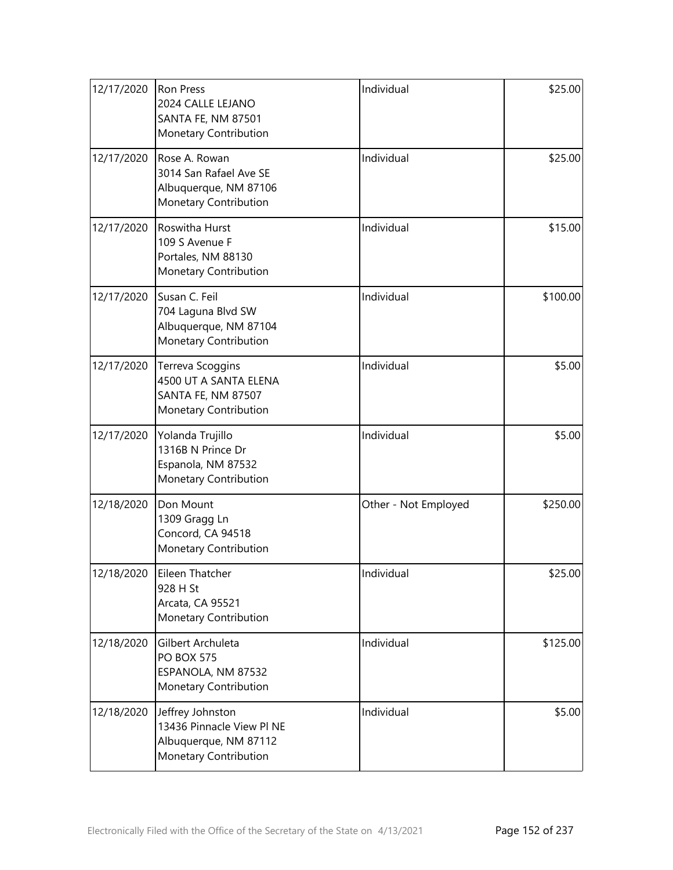| 12/17/2020 | <b>Ron Press</b><br>2024 CALLE LEJANO<br>SANTA FE, NM 87501<br>Monetary Contribution            | Individual           | \$25.00  |
|------------|-------------------------------------------------------------------------------------------------|----------------------|----------|
| 12/17/2020 | Rose A. Rowan<br>3014 San Rafael Ave SE<br>Albuquerque, NM 87106<br>Monetary Contribution       | Individual           | \$25.00  |
| 12/17/2020 | <b>Roswitha Hurst</b><br>109 S Avenue F<br>Portales, NM 88130<br>Monetary Contribution          | Individual           | \$15.00  |
| 12/17/2020 | Susan C. Feil<br>704 Laguna Blvd SW<br>Albuquerque, NM 87104<br>Monetary Contribution           | Individual           | \$100.00 |
| 12/17/2020 | Terreva Scoggins<br>4500 UT A SANTA ELENA<br>SANTA FE, NM 87507<br>Monetary Contribution        | Individual           | \$5.00   |
| 12/17/2020 | Yolanda Trujillo<br>1316B N Prince Dr<br>Espanola, NM 87532<br>Monetary Contribution            | Individual           | \$5.00   |
| 12/18/2020 | Don Mount<br>1309 Gragg Ln<br>Concord, CA 94518<br>Monetary Contribution                        | Other - Not Employed | \$250.00 |
| 12/18/2020 | Eileen Thatcher<br>928 H St<br>Arcata, CA 95521<br>Monetary Contribution                        | Individual           | \$25.00  |
| 12/18/2020 | Gilbert Archuleta<br><b>PO BOX 575</b><br>ESPANOLA, NM 87532<br>Monetary Contribution           | Individual           | \$125.00 |
| 12/18/2020 | Jeffrey Johnston<br>13436 Pinnacle View Pl NE<br>Albuquerque, NM 87112<br>Monetary Contribution | Individual           | \$5.00   |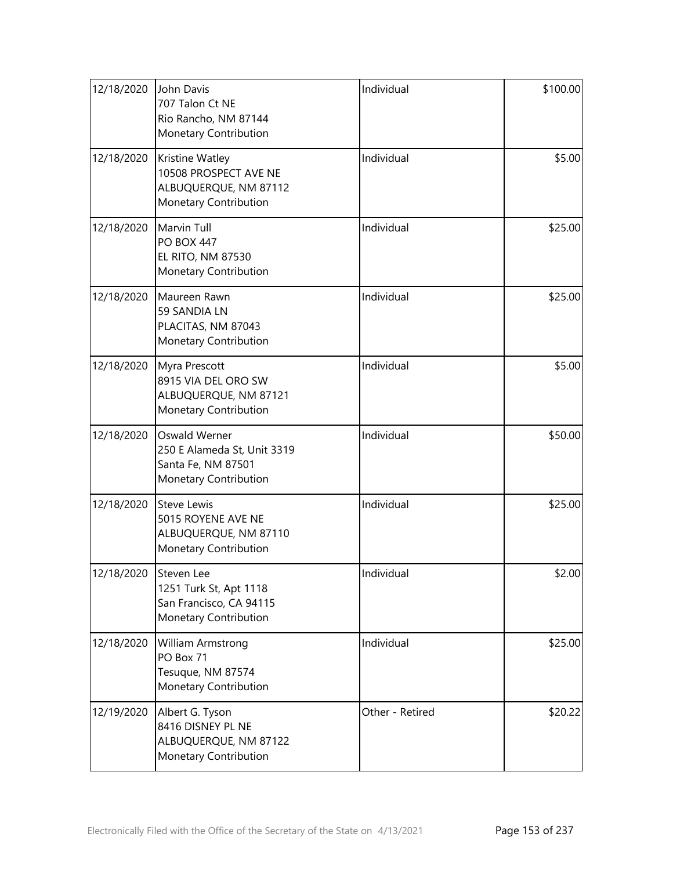| 12/18/2020 | John Davis<br>707 Talon Ct NE<br>Rio Rancho, NM 87144<br>Monetary Contribution              | Individual      | \$100.00 |
|------------|---------------------------------------------------------------------------------------------|-----------------|----------|
| 12/18/2020 | Kristine Watley<br>10508 PROSPECT AVE NE<br>ALBUQUERQUE, NM 87112<br>Monetary Contribution  | Individual      | \$5.00   |
| 12/18/2020 | Marvin Tull<br><b>PO BOX 447</b><br>EL RITO, NM 87530<br>Monetary Contribution              | Individual      | \$25.00  |
| 12/18/2020 | Maureen Rawn<br>59 SANDIA LN<br>PLACITAS, NM 87043<br>Monetary Contribution                 | Individual      | \$25.00  |
| 12/18/2020 | Myra Prescott<br>8915 VIA DEL ORO SW<br>ALBUQUERQUE, NM 87121<br>Monetary Contribution      | Individual      | \$5.00   |
| 12/18/2020 | Oswald Werner<br>250 E Alameda St, Unit 3319<br>Santa Fe, NM 87501<br>Monetary Contribution | Individual      | \$50.00  |
| 12/18/2020 | <b>Steve Lewis</b><br>5015 ROYENE AVE NE<br>ALBUQUERQUE, NM 87110<br>Monetary Contribution  | Individual      | \$25.00  |
| 12/18/2020 | Steven Lee<br>1251 Turk St, Apt 1118<br>San Francisco, CA 94115<br>Monetary Contribution    | Individual      | \$2.00   |
| 12/18/2020 | William Armstrong<br>PO Box 71<br>Tesuque, NM 87574<br>Monetary Contribution                | Individual      | \$25.00  |
| 12/19/2020 | Albert G. Tyson<br>8416 DISNEY PL NE<br>ALBUQUERQUE, NM 87122<br>Monetary Contribution      | Other - Retired | \$20.22  |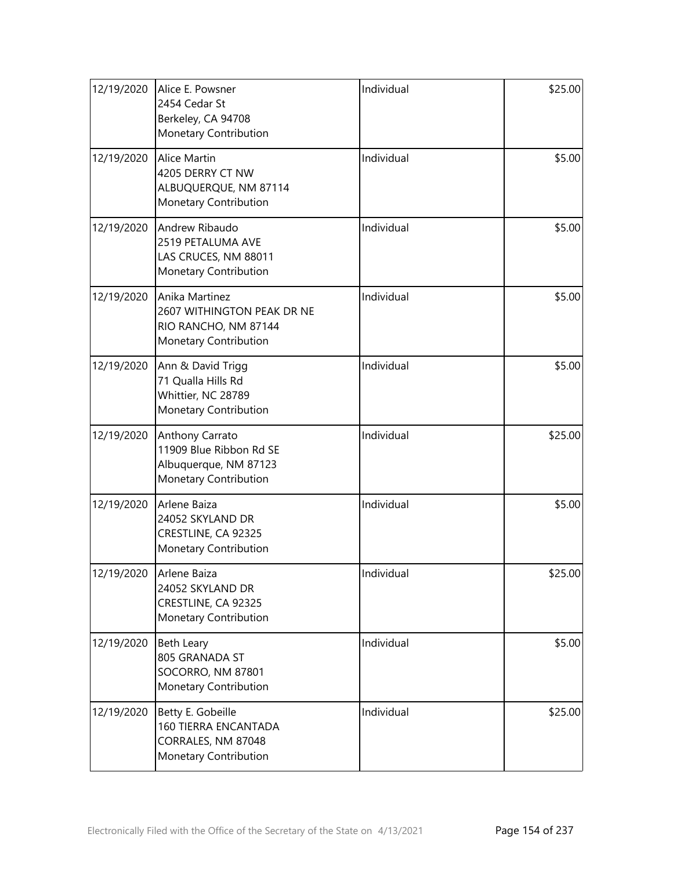| 12/19/2020 | Alice E. Powsner<br>2454 Cedar St<br>Berkeley, CA 94708<br>Monetary Contribution                | Individual | \$25.00 |
|------------|-------------------------------------------------------------------------------------------------|------------|---------|
| 12/19/2020 | Alice Martin<br>4205 DERRY CT NW<br>ALBUQUERQUE, NM 87114<br>Monetary Contribution              | Individual | \$5.00  |
| 12/19/2020 | Andrew Ribaudo<br>2519 PETALUMA AVE<br>LAS CRUCES, NM 88011<br>Monetary Contribution            | Individual | \$5.00  |
| 12/19/2020 | Anika Martinez<br>2607 WITHINGTON PEAK DR NE<br>RIO RANCHO, NM 87144<br>Monetary Contribution   | Individual | \$5.00  |
| 12/19/2020 | Ann & David Trigg<br>71 Qualla Hills Rd<br>Whittier, NC 28789<br>Monetary Contribution          | Individual | \$5.00  |
| 12/19/2020 | Anthony Carrato<br>11909 Blue Ribbon Rd SE<br>Albuquerque, NM 87123<br>Monetary Contribution    | Individual | \$25.00 |
| 12/19/2020 | Arlene Baiza<br>24052 SKYLAND DR<br>CRESTLINE, CA 92325<br>Monetary Contribution                | Individual | \$5.00  |
| 12/19/2020 | Arlene Baiza<br>24052 SKYLAND DR<br>CRESTLINE, CA 92325<br>Monetary Contribution                | Individual | \$25.00 |
| 12/19/2020 | Beth Leary<br>805 GRANADA ST<br>SOCORRO, NM 87801<br>Monetary Contribution                      | Individual | \$5.00  |
| 12/19/2020 | Betty E. Gobeille<br><b>160 TIERRA ENCANTADA</b><br>CORRALES, NM 87048<br>Monetary Contribution | Individual | \$25.00 |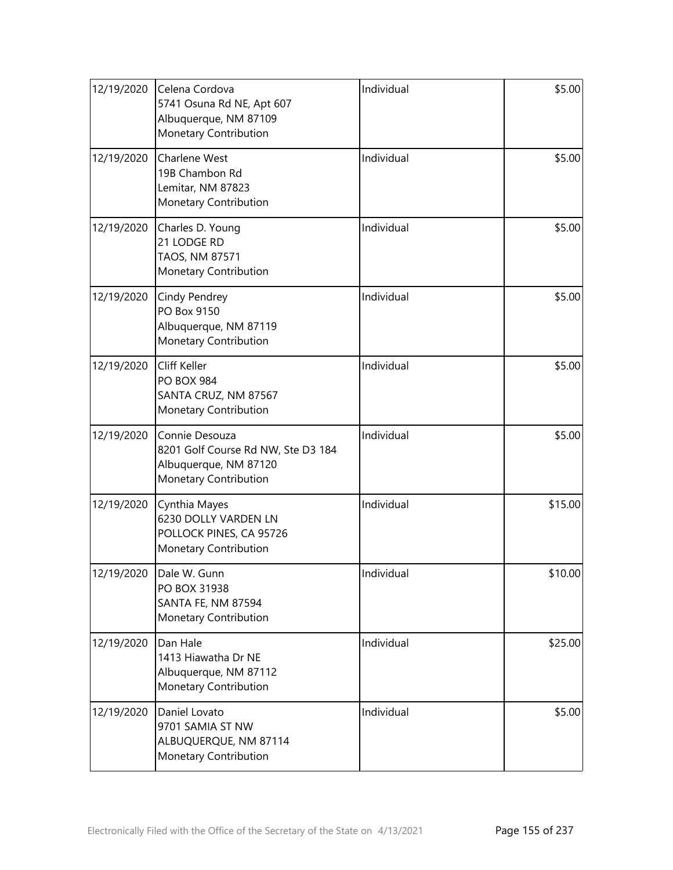| 12/19/2020 | Celena Cordova<br>5741 Osuna Rd NE, Apt 607<br>Albuquerque, NM 87109<br>Monetary Contribution          | Individual | \$5.00  |
|------------|--------------------------------------------------------------------------------------------------------|------------|---------|
| 12/19/2020 | Charlene West<br>19B Chambon Rd<br>Lemitar, NM 87823<br>Monetary Contribution                          | Individual | \$5.00  |
| 12/19/2020 | Charles D. Young<br>21 LODGE RD<br>TAOS, NM 87571<br>Monetary Contribution                             | Individual | \$5.00  |
| 12/19/2020 | Cindy Pendrey<br>PO Box 9150<br>Albuquerque, NM 87119<br>Monetary Contribution                         | Individual | \$5.00  |
| 12/19/2020 | Cliff Keller<br><b>PO BOX 984</b><br>SANTA CRUZ, NM 87567<br>Monetary Contribution                     | Individual | \$5.00  |
| 12/19/2020 | Connie Desouza<br>8201 Golf Course Rd NW, Ste D3 184<br>Albuquerque, NM 87120<br>Monetary Contribution | Individual | \$5.00  |
| 12/19/2020 | Cynthia Mayes<br>6230 DOLLY VARDEN LN<br>POLLOCK PINES, CA 95726<br>Monetary Contribution              | Individual | \$15.00 |
| 12/19/2020 | Dale W. Gunn<br>PO BOX 31938<br>SANTA FE, NM 87594<br>Monetary Contribution                            | Individual | \$10.00 |
| 12/19/2020 | Dan Hale<br>1413 Hiawatha Dr NE<br>Albuquerque, NM 87112<br>Monetary Contribution                      | Individual | \$25.00 |
| 12/19/2020 | Daniel Lovato<br>9701 SAMIA ST NW<br>ALBUQUERQUE, NM 87114<br>Monetary Contribution                    | Individual | \$5.00  |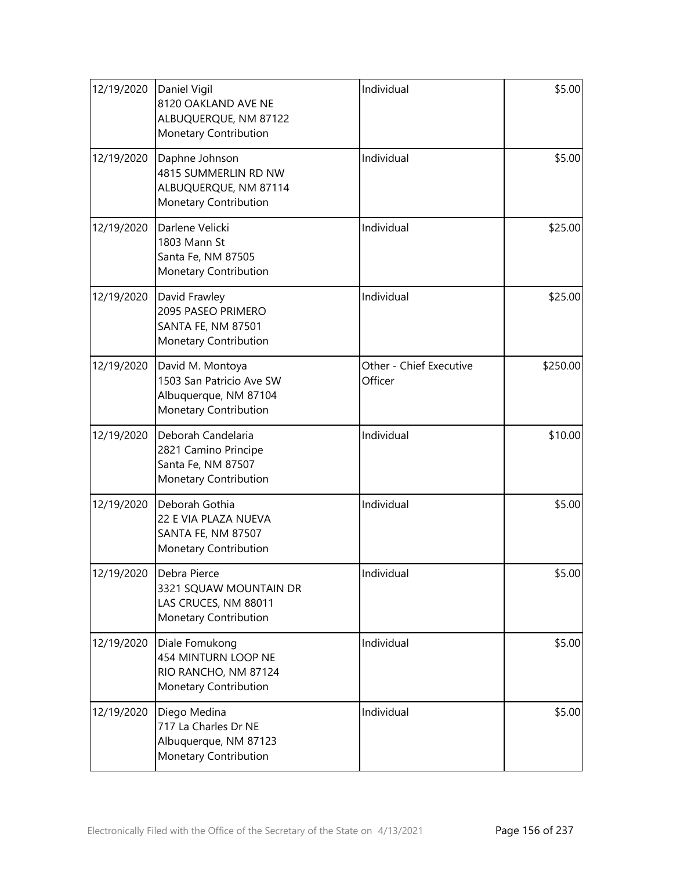| 12/19/2020 | Daniel Vigil<br>8120 OAKLAND AVE NE<br>ALBUQUERQUE, NM 87122<br>Monetary Contribution            | Individual                         | \$5.00   |
|------------|--------------------------------------------------------------------------------------------------|------------------------------------|----------|
| 12/19/2020 | Daphne Johnson<br>4815 SUMMERLIN RD NW<br>ALBUQUERQUE, NM 87114<br><b>Monetary Contribution</b>  | Individual                         | \$5.00   |
| 12/19/2020 | Darlene Velicki<br>1803 Mann St<br>Santa Fe, NM 87505<br>Monetary Contribution                   | Individual                         | \$25.00  |
| 12/19/2020 | David Frawley<br>2095 PASEO PRIMERO<br><b>SANTA FE, NM 87501</b><br><b>Monetary Contribution</b> | Individual                         | \$25.00  |
| 12/19/2020 | David M. Montoya<br>1503 San Patricio Ave SW<br>Albuquerque, NM 87104<br>Monetary Contribution   | Other - Chief Executive<br>Officer | \$250.00 |
| 12/19/2020 | Deborah Candelaria<br>2821 Camino Principe<br>Santa Fe, NM 87507<br>Monetary Contribution        | Individual                         | \$10.00  |
| 12/19/2020 | Deborah Gothia<br>22 E VIA PLAZA NUEVA<br>SANTA FE, NM 87507<br>Monetary Contribution            | Individual                         | \$5.00   |
| 12/19/2020 | Debra Pierce<br>3321 SQUAW MOUNTAIN DR<br>LAS CRUCES, NM 88011<br>Monetary Contribution          | Individual                         | \$5.00   |
| 12/19/2020 | Diale Fomukong<br>454 MINTURN LOOP NE<br>RIO RANCHO, NM 87124<br>Monetary Contribution           | Individual                         | \$5.00   |
| 12/19/2020 | Diego Medina<br>717 La Charles Dr NE<br>Albuquerque, NM 87123<br>Monetary Contribution           | Individual                         | \$5.00   |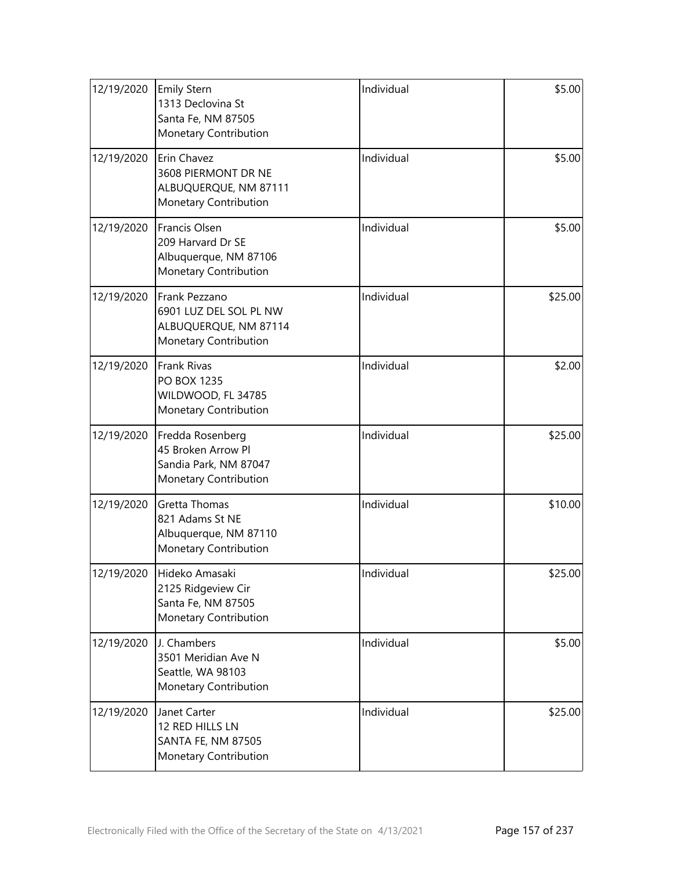| 12/19/2020 | <b>Emily Stern</b><br>1313 Declovina St<br>Santa Fe, NM 87505<br>Monetary Contribution    | Individual | \$5.00  |
|------------|-------------------------------------------------------------------------------------------|------------|---------|
| 12/19/2020 | Erin Chavez<br>3608 PIERMONT DR NE<br>ALBUQUERQUE, NM 87111<br>Monetary Contribution      | Individual | \$5.00  |
| 12/19/2020 | Francis Olsen<br>209 Harvard Dr SE<br>Albuquerque, NM 87106<br>Monetary Contribution      | Individual | \$5.00  |
| 12/19/2020 | Frank Pezzano<br>6901 LUZ DEL SOL PL NW<br>ALBUQUERQUE, NM 87114<br>Monetary Contribution | Individual | \$25.00 |
| 12/19/2020 | <b>Frank Rivas</b><br>PO BOX 1235<br>WILDWOOD, FL 34785<br>Monetary Contribution          | Individual | \$2.00  |
| 12/19/2020 | Fredda Rosenberg<br>45 Broken Arrow Pl<br>Sandia Park, NM 87047<br>Monetary Contribution  | Individual | \$25.00 |
| 12/19/2020 | <b>Gretta Thomas</b><br>821 Adams St NE<br>Albuquerque, NM 87110<br>Monetary Contribution | Individual | \$10.00 |
| 12/19/2020 | Hideko Amasaki<br>2125 Ridgeview Cir<br>Santa Fe, NM 87505<br>Monetary Contribution       | Individual | \$25.00 |
| 12/19/2020 | J. Chambers<br>3501 Meridian Ave N<br>Seattle, WA 98103<br>Monetary Contribution          | Individual | \$5.00  |
| 12/19/2020 | Janet Carter<br>12 RED HILLS LN<br><b>SANTA FE, NM 87505</b><br>Monetary Contribution     | Individual | \$25.00 |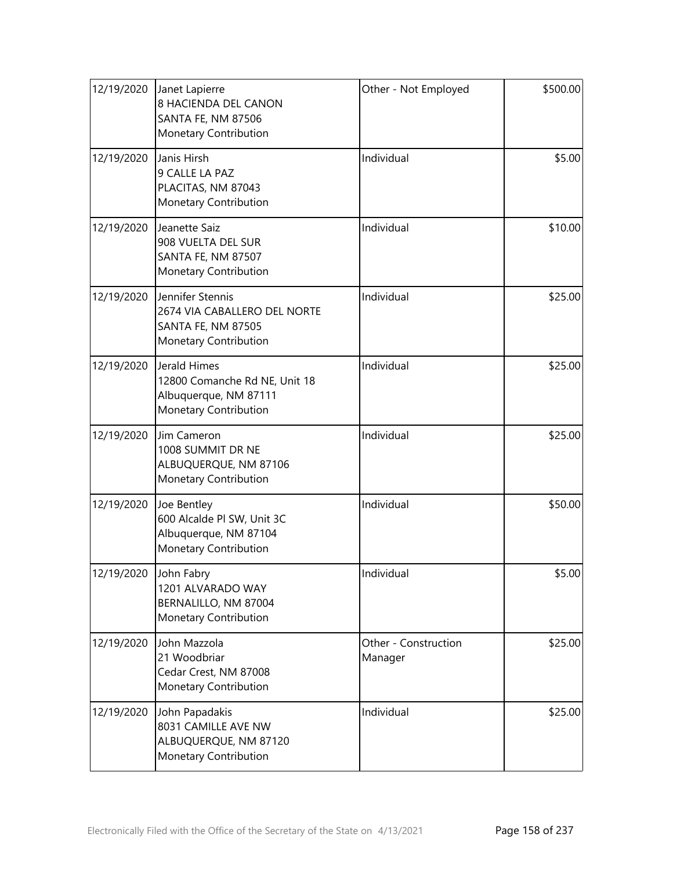| 12/19/2020 | Janet Lapierre<br>8 HACIENDA DEL CANON<br><b>SANTA FE, NM 87506</b><br>Monetary Contribution       | Other - Not Employed            | \$500.00 |
|------------|----------------------------------------------------------------------------------------------------|---------------------------------|----------|
| 12/19/2020 | Janis Hirsh<br>9 CALLE LA PAZ<br>PLACITAS, NM 87043<br>Monetary Contribution                       | Individual                      | \$5.00   |
| 12/19/2020 | Jeanette Saiz<br>908 VUELTA DEL SUR<br>SANTA FE, NM 87507<br>Monetary Contribution                 | Individual                      | \$10.00  |
| 12/19/2020 | Jennifer Stennis<br>2674 VIA CABALLERO DEL NORTE<br>SANTA FE, NM 87505<br>Monetary Contribution    | Individual                      | \$25.00  |
| 12/19/2020 | Jerald Himes<br>12800 Comanche Rd NE, Unit 18<br>Albuquerque, NM 87111<br>Monetary Contribution    | Individual                      | \$25.00  |
| 12/19/2020 | Jim Cameron<br>1008 SUMMIT DR NE<br>ALBUQUERQUE, NM 87106<br>Monetary Contribution                 | Individual                      | \$25.00  |
| 12/19/2020 | Joe Bentley<br>600 Alcalde Pl SW, Unit 3C<br>Albuquerque, NM 87104<br><b>Monetary Contribution</b> | Individual                      | \$50.00  |
| 12/19/2020 | John Fabry<br>1201 ALVARADO WAY<br>BERNALILLO, NM 87004<br>Monetary Contribution                   | Individual                      | \$5.00   |
| 12/19/2020 | John Mazzola<br>21 Woodbriar<br>Cedar Crest, NM 87008<br>Monetary Contribution                     | Other - Construction<br>Manager | \$25.00  |
| 12/19/2020 | John Papadakis<br>8031 CAMILLE AVE NW<br>ALBUQUERQUE, NM 87120<br>Monetary Contribution            | Individual                      | \$25.00  |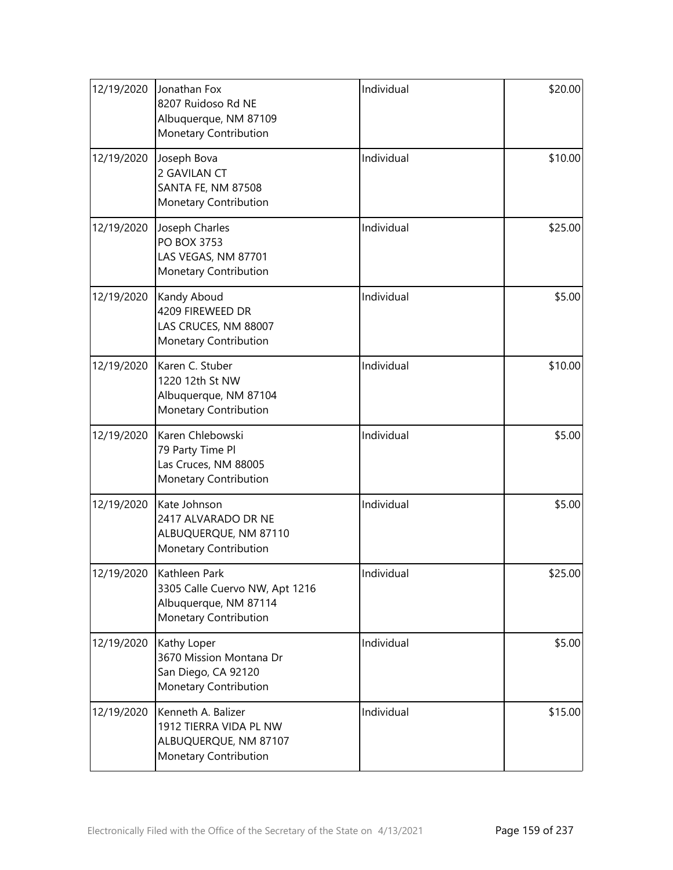| 12/19/2020 | Jonathan Fox<br>8207 Ruidoso Rd NE<br>Albuquerque, NM 87109<br>Monetary Contribution                          | Individual | \$20.00 |
|------------|---------------------------------------------------------------------------------------------------------------|------------|---------|
| 12/19/2020 | Joseph Bova<br>2 GAVILAN CT<br><b>SANTA FE, NM 87508</b><br>Monetary Contribution                             | Individual | \$10.00 |
| 12/19/2020 | Joseph Charles<br>PO BOX 3753<br>LAS VEGAS, NM 87701<br>Monetary Contribution                                 | Individual | \$25.00 |
| 12/19/2020 | Kandy Aboud<br>4209 FIREWEED DR<br>LAS CRUCES, NM 88007<br>Monetary Contribution                              | Individual | \$5.00  |
| 12/19/2020 | Karen C. Stuber<br>1220 12th St NW<br>Albuquerque, NM 87104<br>Monetary Contribution                          | Individual | \$10.00 |
| 12/19/2020 | Karen Chlebowski<br>79 Party Time Pl<br>Las Cruces, NM 88005<br>Monetary Contribution                         | Individual | \$5.00  |
| 12/19/2020 | Kate Johnson<br>2417 ALVARADO DR NE<br>ALBUQUERQUE, NM 87110<br>Monetary Contribution                         | Individual | \$5.00  |
|            | 12/19/2020  Kathleen Park<br>3305 Calle Cuervo NW, Apt 1216<br>Albuquerque, NM 87114<br>Monetary Contribution | Individual | \$25.00 |
| 12/19/2020 | Kathy Loper<br>3670 Mission Montana Dr<br>San Diego, CA 92120<br>Monetary Contribution                        | Individual | \$5.00  |
| 12/19/2020 | Kenneth A. Balizer<br>1912 TIERRA VIDA PL NW<br>ALBUQUERQUE, NM 87107<br>Monetary Contribution                | Individual | \$15.00 |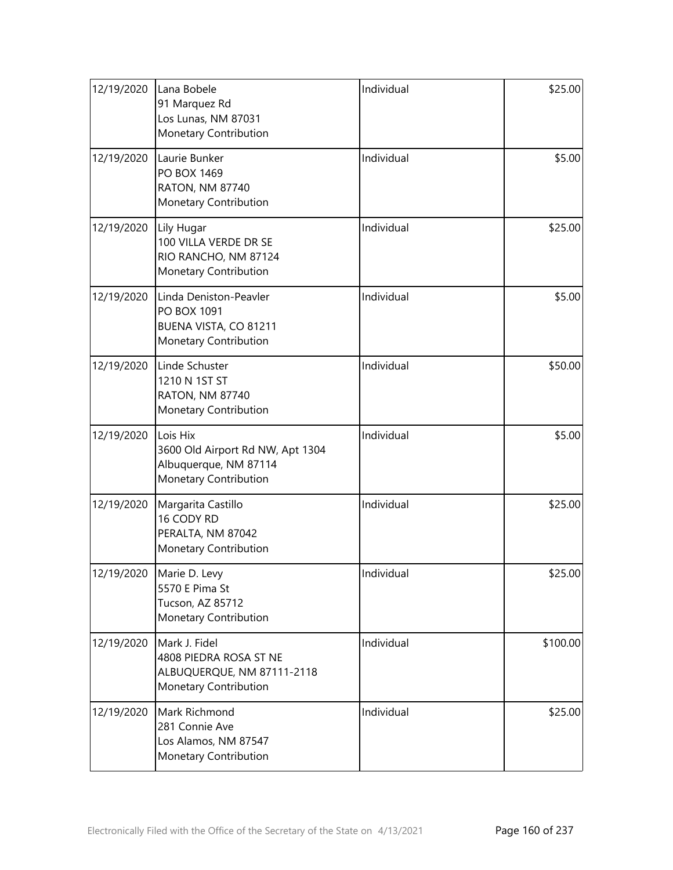| 12/19/2020 | Lana Bobele<br>91 Marquez Rd<br>Los Lunas, NM 87031<br>Monetary Contribution                     | Individual | \$25.00  |
|------------|--------------------------------------------------------------------------------------------------|------------|----------|
| 12/19/2020 | Laurie Bunker<br>PO BOX 1469<br><b>RATON, NM 87740</b><br>Monetary Contribution                  | Individual | \$5.00   |
| 12/19/2020 | Lily Hugar<br>100 VILLA VERDE DR SE<br>RIO RANCHO, NM 87124<br>Monetary Contribution             | Individual | \$25.00  |
| 12/19/2020 | Linda Deniston-Peavler<br>PO BOX 1091<br>BUENA VISTA, CO 81211<br>Monetary Contribution          | Individual | \$5.00   |
| 12/19/2020 | Linde Schuster<br>1210 N 1ST ST<br><b>RATON, NM 87740</b><br>Monetary Contribution               | Individual | \$50.00  |
| 12/19/2020 | Lois Hix<br>3600 Old Airport Rd NW, Apt 1304<br>Albuquerque, NM 87114<br>Monetary Contribution   | Individual | \$5.00   |
| 12/19/2020 | Margarita Castillo<br>16 CODY RD<br>PERALTA, NM 87042<br>Monetary Contribution                   | Individual | \$25.00  |
|            | 12/19/2020   Marie D. Levy<br>5570 E Pima St<br>Tucson, AZ 85712<br><b>Monetary Contribution</b> | Individual | \$25.00  |
| 12/19/2020 | Mark J. Fidel<br>4808 PIEDRA ROSA ST NE<br>ALBUQUERQUE, NM 87111-2118<br>Monetary Contribution   | Individual | \$100.00 |
| 12/19/2020 | Mark Richmond<br>281 Connie Ave<br>Los Alamos, NM 87547<br>Monetary Contribution                 | Individual | \$25.00  |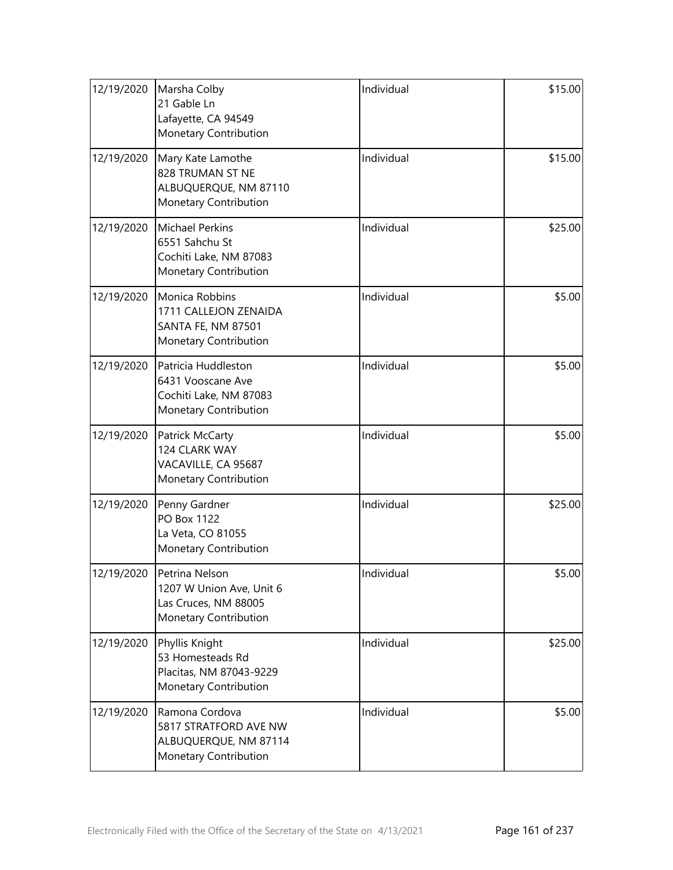| 12/19/2020 | Marsha Colby<br>21 Gable Ln<br>Lafayette, CA 94549<br>Monetary Contribution                          | Individual | \$15.00 |
|------------|------------------------------------------------------------------------------------------------------|------------|---------|
| 12/19/2020 | Mary Kate Lamothe<br>828 TRUMAN ST NE<br>ALBUQUERQUE, NM 87110<br>Monetary Contribution              | Individual | \$15.00 |
| 12/19/2020 | <b>Michael Perkins</b><br>6551 Sahchu St<br>Cochiti Lake, NM 87083<br>Monetary Contribution          | Individual | \$25.00 |
| 12/19/2020 | <b>Monica Robbins</b><br>1711 CALLEJON ZENAIDA<br><b>SANTA FE, NM 87501</b><br>Monetary Contribution | Individual | \$5.00  |
| 12/19/2020 | Patricia Huddleston<br>6431 Vooscane Ave<br>Cochiti Lake, NM 87083<br>Monetary Contribution          | Individual | \$5.00  |
| 12/19/2020 | Patrick McCarty<br>124 CLARK WAY<br>VACAVILLE, CA 95687<br>Monetary Contribution                     | Individual | \$5.00  |
| 12/19/2020 | Penny Gardner<br>PO Box 1122<br>La Veta, CO 81055<br>Monetary Contribution                           | Individual | \$25.00 |
| 12/19/2020 | Petrina Nelson<br>1207 W Union Ave, Unit 6<br>Las Cruces, NM 88005<br>Monetary Contribution          | Individual | \$5.00  |
| 12/19/2020 | Phyllis Knight<br>53 Homesteads Rd<br>Placitas, NM 87043-9229<br>Monetary Contribution               | Individual | \$25.00 |
| 12/19/2020 | Ramona Cordova<br>5817 STRATFORD AVE NW<br>ALBUQUERQUE, NM 87114<br>Monetary Contribution            | Individual | \$5.00  |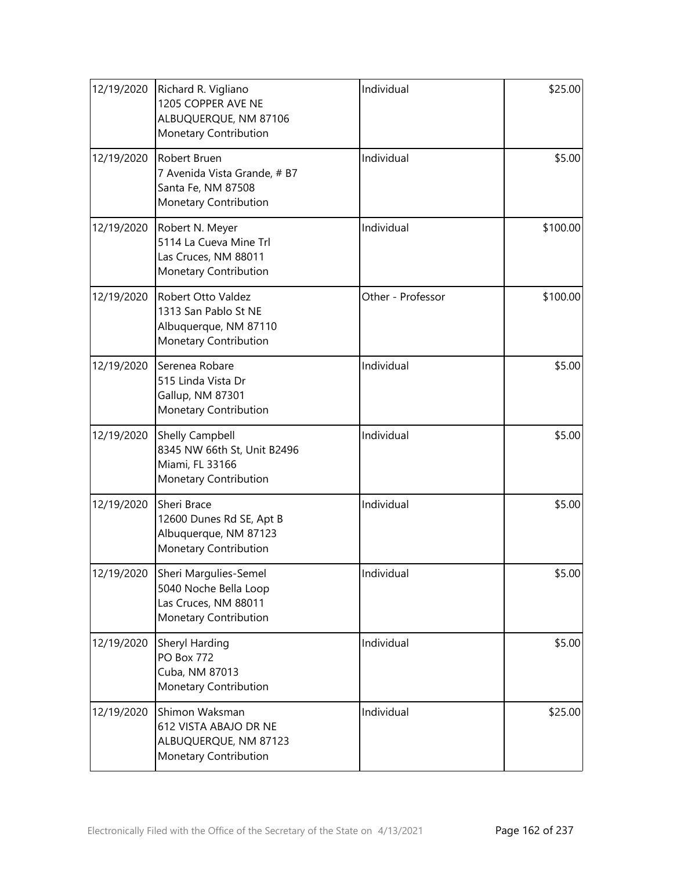| 12/19/2020 | Richard R. Vigliano<br>1205 COPPER AVE NE<br>ALBUQUERQUE, NM 87106<br>Monetary Contribution       | Individual        | \$25.00  |
|------------|---------------------------------------------------------------------------------------------------|-------------------|----------|
| 12/19/2020 | Robert Bruen<br>7 Avenida Vista Grande, # B7<br>Santa Fe, NM 87508<br>Monetary Contribution       | Individual        | \$5.00   |
| 12/19/2020 | Robert N. Meyer<br>5114 La Cueva Mine Trl<br>Las Cruces, NM 88011<br>Monetary Contribution        | Individual        | \$100.00 |
| 12/19/2020 | Robert Otto Valdez<br>1313 San Pablo St NE<br>Albuquerque, NM 87110<br>Monetary Contribution      | Other - Professor | \$100.00 |
| 12/19/2020 | Serenea Robare<br>515 Linda Vista Dr<br>Gallup, NM 87301<br>Monetary Contribution                 | Individual        | \$5.00   |
| 12/19/2020 | <b>Shelly Campbell</b><br>8345 NW 66th St, Unit B2496<br>Miami, FL 33166<br>Monetary Contribution | Individual        | \$5.00   |
| 12/19/2020 | Sheri Brace<br>12600 Dunes Rd SE, Apt B<br>Albuquerque, NM 87123<br>Monetary Contribution         | Individual        | \$5.00   |
| 12/19/2020 | Sheri Margulies-Semel<br>5040 Noche Bella Loop<br>Las Cruces, NM 88011<br>Monetary Contribution   | Individual        | \$5.00   |
| 12/19/2020 | Sheryl Harding<br><b>PO Box 772</b><br>Cuba, NM 87013<br>Monetary Contribution                    | Individual        | \$5.00   |
| 12/19/2020 | Shimon Waksman<br>612 VISTA ABAJO DR NE<br>ALBUQUERQUE, NM 87123<br>Monetary Contribution         | Individual        | \$25.00  |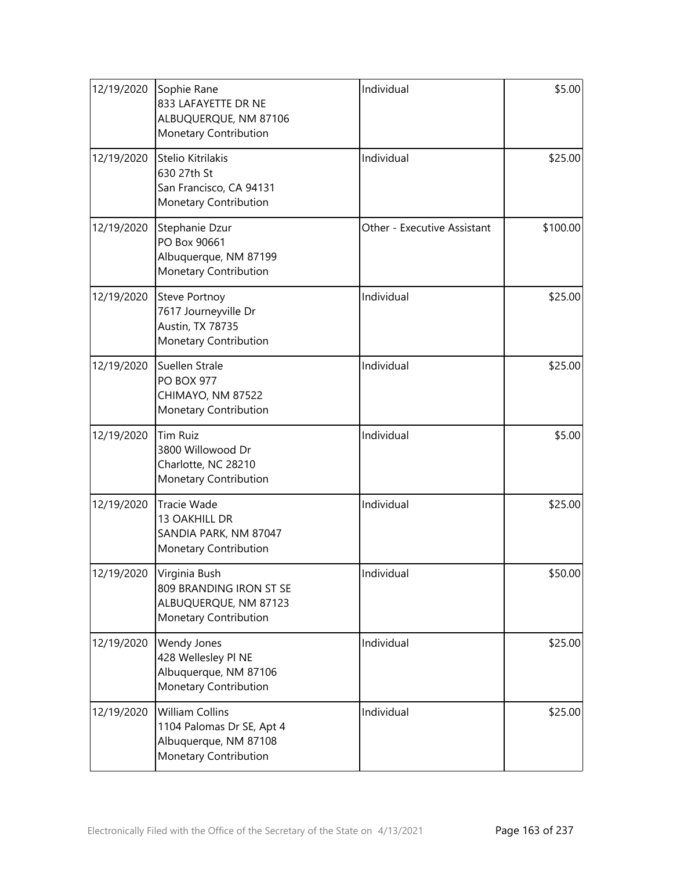| 12/19/2020 | Sophie Rane<br>833 LAFAYETTE DR NE<br>ALBUQUERQUE, NM 87106<br>Monetary Contribution           | Individual                  | \$5.00   |
|------------|------------------------------------------------------------------------------------------------|-----------------------------|----------|
| 12/19/2020 | Stelio Kitrilakis<br>630 27th St<br>San Francisco, CA 94131<br>Monetary Contribution           | Individual                  | \$25.00  |
| 12/19/2020 | Stephanie Dzur<br>PO Box 90661<br>Albuquerque, NM 87199<br>Monetary Contribution               | Other - Executive Assistant | \$100.00 |
| 12/19/2020 | <b>Steve Portnoy</b><br>7617 Journeyville Dr<br>Austin, TX 78735<br>Monetary Contribution      | Individual                  | \$25.00  |
| 12/19/2020 | Suellen Strale<br><b>PO BOX 977</b><br>CHIMAYO, NM 87522<br>Monetary Contribution              | Individual                  | \$25.00  |
| 12/19/2020 | <b>Tim Ruiz</b><br>3800 Willowood Dr<br>Charlotte, NC 28210<br>Monetary Contribution           | Individual                  | \$5.00   |
| 12/19/2020 | Tracie Wade<br>13 OAKHILL DR<br>SANDIA PARK, NM 87047<br>Monetary Contribution                 | Individual                  | \$25.00  |
| 12/19/2020 | Virginia Bush<br>809 BRANDING IRON ST SE<br>ALBUQUERQUE, NM 87123<br>Monetary Contribution     | Individual                  | \$50.00  |
| 12/19/2020 | Wendy Jones<br>428 Wellesley PI NE<br>Albuquerque, NM 87106<br>Monetary Contribution           | Individual                  | \$25.00  |
| 12/19/2020 | William Collins<br>1104 Palomas Dr SE, Apt 4<br>Albuquerque, NM 87108<br>Monetary Contribution | Individual                  | \$25.00  |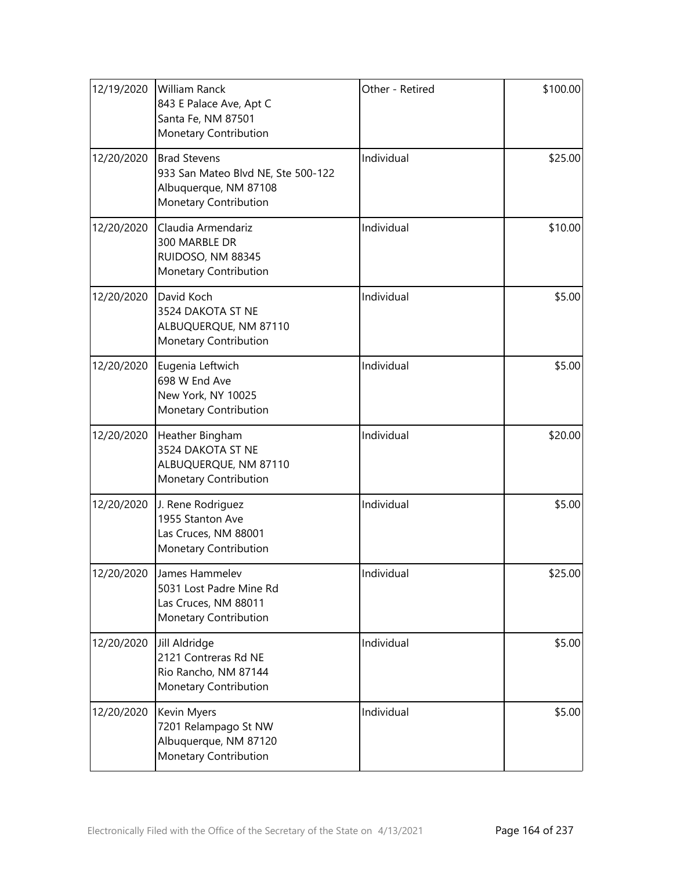| 12/19/2020 | William Ranck<br>843 E Palace Ave, Apt C<br>Santa Fe, NM 87501<br>Monetary Contribution                     | Other - Retired | \$100.00 |
|------------|-------------------------------------------------------------------------------------------------------------|-----------------|----------|
| 12/20/2020 | <b>Brad Stevens</b><br>933 San Mateo Blvd NE, Ste 500-122<br>Albuquerque, NM 87108<br>Monetary Contribution | Individual      | \$25.00  |
| 12/20/2020 | Claudia Armendariz<br>300 MARBLE DR<br>RUIDOSO, NM 88345<br>Monetary Contribution                           | Individual      | \$10.00  |
| 12/20/2020 | David Koch<br>3524 DAKOTA ST NE<br>ALBUQUERQUE, NM 87110<br>Monetary Contribution                           | Individual      | \$5.00   |
| 12/20/2020 | Eugenia Leftwich<br>698 W End Ave<br>New York, NY 10025<br>Monetary Contribution                            | Individual      | \$5.00   |
| 12/20/2020 | Heather Bingham<br>3524 DAKOTA ST NE<br>ALBUQUERQUE, NM 87110<br>Monetary Contribution                      | Individual      | \$20.00  |
| 12/20/2020 | J. Rene Rodriguez<br>1955 Stanton Ave<br>Las Cruces, NM 88001<br>Monetary Contribution                      | Individual      | \$5.00   |
| 12/20/2020 | James Hammelev<br>5031 Lost Padre Mine Rd<br>Las Cruces, NM 88011<br>Monetary Contribution                  | Individual      | \$25.00  |
| 12/20/2020 | Jill Aldridge<br>2121 Contreras Rd NE<br>Rio Rancho, NM 87144<br><b>Monetary Contribution</b>               | Individual      | \$5.00   |
| 12/20/2020 | Kevin Myers<br>7201 Relampago St NW<br>Albuquerque, NM 87120<br>Monetary Contribution                       | Individual      | \$5.00   |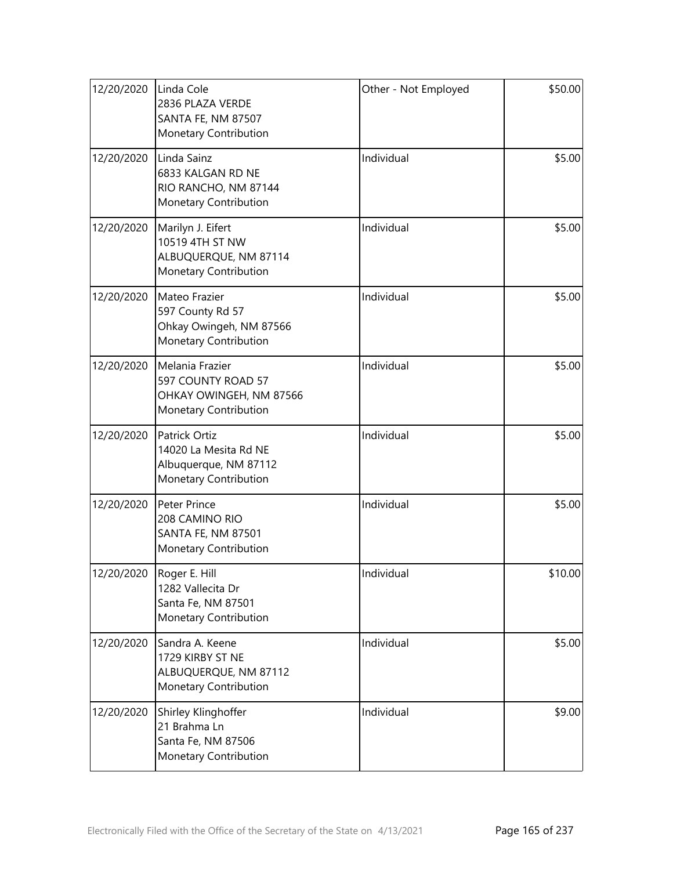| 12/20/2020 | Linda Cole<br>2836 PLAZA VERDE<br>SANTA FE, NM 87507<br>Monetary Contribution                 | Other - Not Employed | \$50.00 |
|------------|-----------------------------------------------------------------------------------------------|----------------------|---------|
| 12/20/2020 | Linda Sainz<br>6833 KALGAN RD NE<br>RIO RANCHO, NM 87144<br>Monetary Contribution             | Individual           | \$5.00  |
| 12/20/2020 | Marilyn J. Eifert<br>10519 4TH ST NW<br>ALBUQUERQUE, NM 87114<br>Monetary Contribution        | Individual           | \$5.00  |
| 12/20/2020 | Mateo Frazier<br>597 County Rd 57<br>Ohkay Owingeh, NM 87566<br>Monetary Contribution         | Individual           | \$5.00  |
| 12/20/2020 | Melania Frazier<br>597 COUNTY ROAD 57<br>OHKAY OWINGEH, NM 87566<br>Monetary Contribution     | Individual           | \$5.00  |
| 12/20/2020 | Patrick Ortiz<br>14020 La Mesita Rd NE<br>Albuquerque, NM 87112<br>Monetary Contribution      | Individual           | \$5.00  |
| 12/20/2020 | Peter Prince<br>208 CAMINO RIO<br><b>SANTA FE, NM 87501</b><br>Monetary Contribution          | Individual           | \$5.00  |
|            | 12/20/2020  Roger E. Hill<br>1282 Vallecita Dr<br>Santa Fe, NM 87501<br>Monetary Contribution | Individual           | \$10.00 |
| 12/20/2020 | Sandra A. Keene<br>1729 KIRBY ST NE<br>ALBUQUERQUE, NM 87112<br>Monetary Contribution         | Individual           | \$5.00  |
| 12/20/2020 | Shirley Klinghoffer<br>21 Brahma Ln<br>Santa Fe, NM 87506<br>Monetary Contribution            | Individual           | \$9.00  |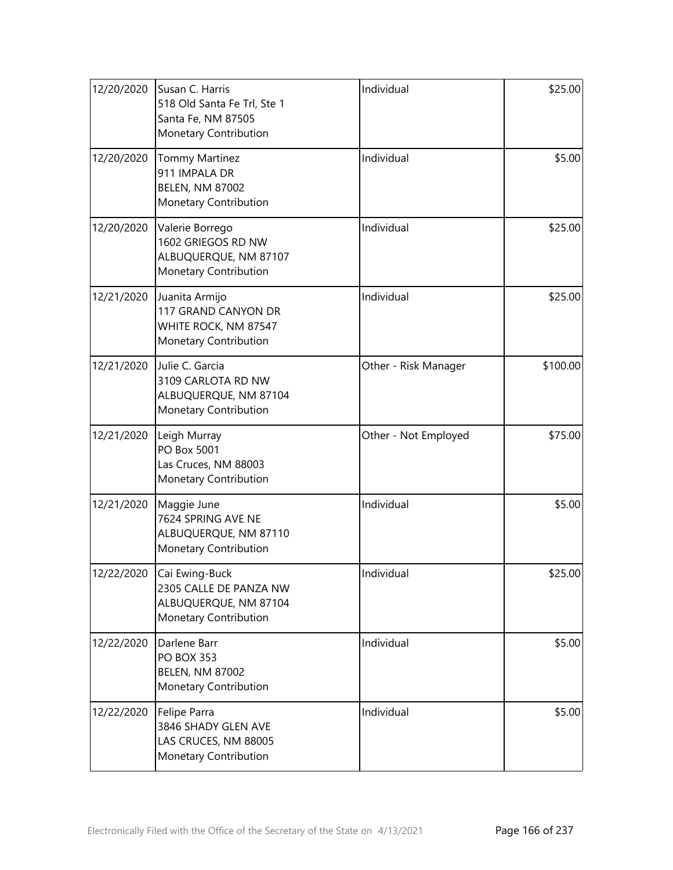| 12/20/2020 | Susan C. Harris<br>518 Old Santa Fe Trl, Ste 1<br>Santa Fe, NM 87505<br>Monetary Contribution | Individual           | \$25.00  |
|------------|-----------------------------------------------------------------------------------------------|----------------------|----------|
| 12/20/2020 | <b>Tommy Martinez</b><br>911 IMPALA DR<br><b>BELEN, NM 87002</b><br>Monetary Contribution     | Individual           | \$5.00   |
| 12/20/2020 | Valerie Borrego<br>1602 GRIEGOS RD NW<br>ALBUQUERQUE, NM 87107<br>Monetary Contribution       | Individual           | \$25.00  |
| 12/21/2020 | Juanita Armijo<br>117 GRAND CANYON DR<br>WHITE ROCK, NM 87547<br>Monetary Contribution        | Individual           | \$25.00  |
| 12/21/2020 | Julie C. Garcia<br>3109 CARLOTA RD NW<br>ALBUQUERQUE, NM 87104<br>Monetary Contribution       | Other - Risk Manager | \$100.00 |
| 12/21/2020 | Leigh Murray<br>PO Box 5001<br>Las Cruces, NM 88003<br>Monetary Contribution                  | Other - Not Employed | \$75.00  |
| 12/21/2020 | Maggie June<br>7624 SPRING AVE NE<br>ALBUQUERQUE, NM 87110<br>Monetary Contribution           | Individual           | \$5.00   |
| 12/22/2020 | Cai Ewing-Buck<br>2305 CALLE DE PANZA NW<br>ALBUQUERQUE, NM 87104<br>Monetary Contribution    | Individual           | \$25.00  |
| 12/22/2020 | Darlene Barr<br><b>PO BOX 353</b><br><b>BELEN, NM 87002</b><br>Monetary Contribution          | Individual           | \$5.00   |
| 12/22/2020 | Felipe Parra<br>3846 SHADY GLEN AVE<br>LAS CRUCES, NM 88005<br>Monetary Contribution          | Individual           | \$5.00   |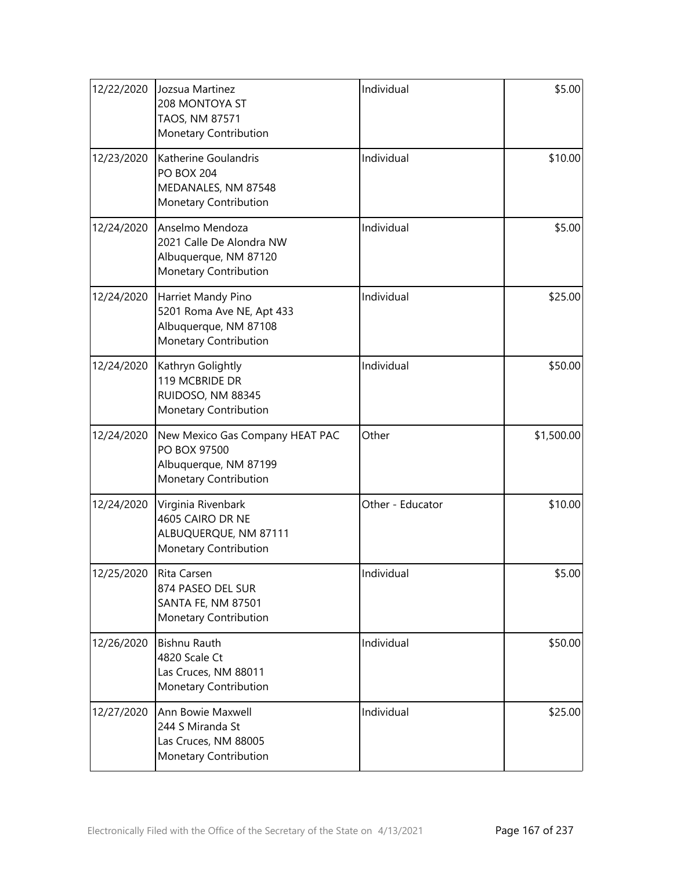| 12/22/2020 | Jozsua Martinez<br>208 MONTOYA ST<br>TAOS, NM 87571<br>Monetary Contribution                      | Individual       | \$5.00     |
|------------|---------------------------------------------------------------------------------------------------|------------------|------------|
| 12/23/2020 | Katherine Goulandris<br><b>PO BOX 204</b><br>MEDANALES, NM 87548<br>Monetary Contribution         | Individual       | \$10.00    |
| 12/24/2020 | Anselmo Mendoza<br>2021 Calle De Alondra NW<br>Albuquerque, NM 87120<br>Monetary Contribution     | Individual       | \$5.00     |
| 12/24/2020 | Harriet Mandy Pino<br>5201 Roma Ave NE, Apt 433<br>Albuquerque, NM 87108<br>Monetary Contribution | Individual       | \$25.00    |
| 12/24/2020 | Kathryn Golightly<br>119 MCBRIDE DR<br>RUIDOSO, NM 88345<br>Monetary Contribution                 | Individual       | \$50.00    |
| 12/24/2020 | New Mexico Gas Company HEAT PAC<br>PO BOX 97500<br>Albuquerque, NM 87199<br>Monetary Contribution | Other            | \$1,500.00 |
| 12/24/2020 | Virginia Rivenbark<br>4605 CAIRO DR NE<br>ALBUQUERQUE, NM 87111<br>Monetary Contribution          | Other - Educator | \$10.00    |
| 12/25/2020 | Rita Carsen<br>874 PASEO DEL SUR<br><b>SANTA FE, NM 87501</b><br>Monetary Contribution            | Individual       | \$5.00     |
| 12/26/2020 | <b>Bishnu Rauth</b><br>4820 Scale Ct<br>Las Cruces, NM 88011<br>Monetary Contribution             | Individual       | \$50.00    |
| 12/27/2020 | Ann Bowie Maxwell<br>244 S Miranda St<br>Las Cruces, NM 88005<br>Monetary Contribution            | Individual       | \$25.00    |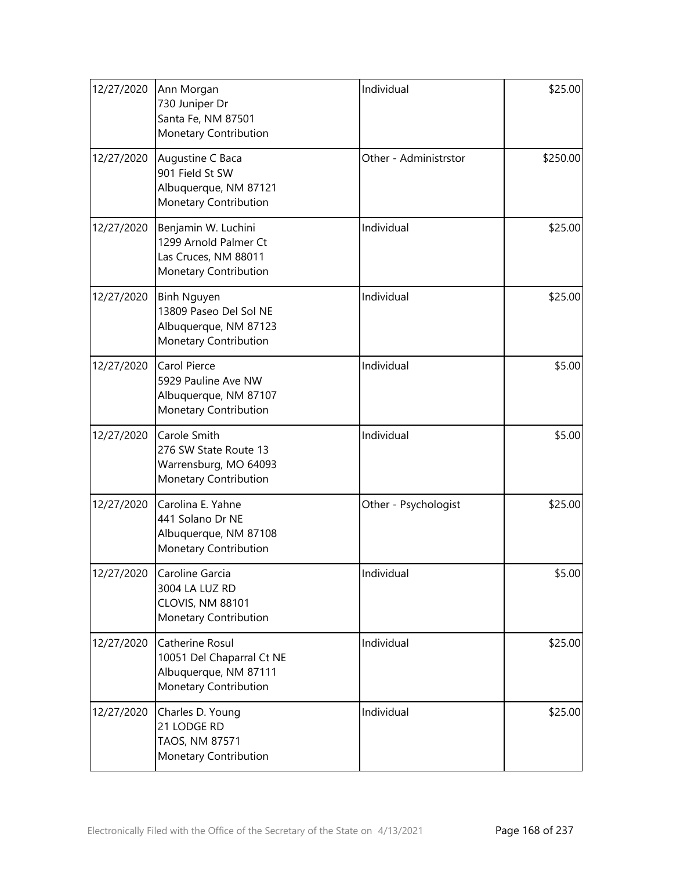| 12/27/2020 | Ann Morgan<br>730 Juniper Dr<br>Santa Fe, NM 87501<br>Monetary Contribution                           | Individual            | \$25.00  |
|------------|-------------------------------------------------------------------------------------------------------|-----------------------|----------|
| 12/27/2020 | Augustine C Baca<br>901 Field St SW<br>Albuquerque, NM 87121<br>Monetary Contribution                 | Other - Administrstor | \$250.00 |
| 12/27/2020 | Benjamin W. Luchini<br>1299 Arnold Palmer Ct<br>Las Cruces, NM 88011<br>Monetary Contribution         | Individual            | \$25.00  |
| 12/27/2020 | <b>Binh Nguyen</b><br>13809 Paseo Del Sol NE<br>Albuquerque, NM 87123<br>Monetary Contribution        | Individual            | \$25.00  |
| 12/27/2020 | Carol Pierce<br>5929 Pauline Ave NW<br>Albuquerque, NM 87107<br>Monetary Contribution                 | Individual            | \$5.00   |
| 12/27/2020 | Carole Smith<br>276 SW State Route 13<br>Warrensburg, MO 64093<br>Monetary Contribution               | Individual            | \$5.00   |
| 12/27/2020 | Carolina E. Yahne<br>441 Solano Dr NE<br>Albuquerque, NM 87108<br><b>Monetary Contribution</b>        | Other - Psychologist  | \$25.00  |
| 12/27/2020 | Caroline Garcia<br>3004 LA LUZ RD<br>CLOVIS, NM 88101<br>Monetary Contribution                        | Individual            | \$5.00   |
| 12/27/2020 | Catherine Rosul<br>10051 Del Chaparral Ct NE<br>Albuquerque, NM 87111<br><b>Monetary Contribution</b> | Individual            | \$25.00  |
| 12/27/2020 | Charles D. Young<br>21 LODGE RD<br>TAOS, NM 87571<br>Monetary Contribution                            | Individual            | \$25.00  |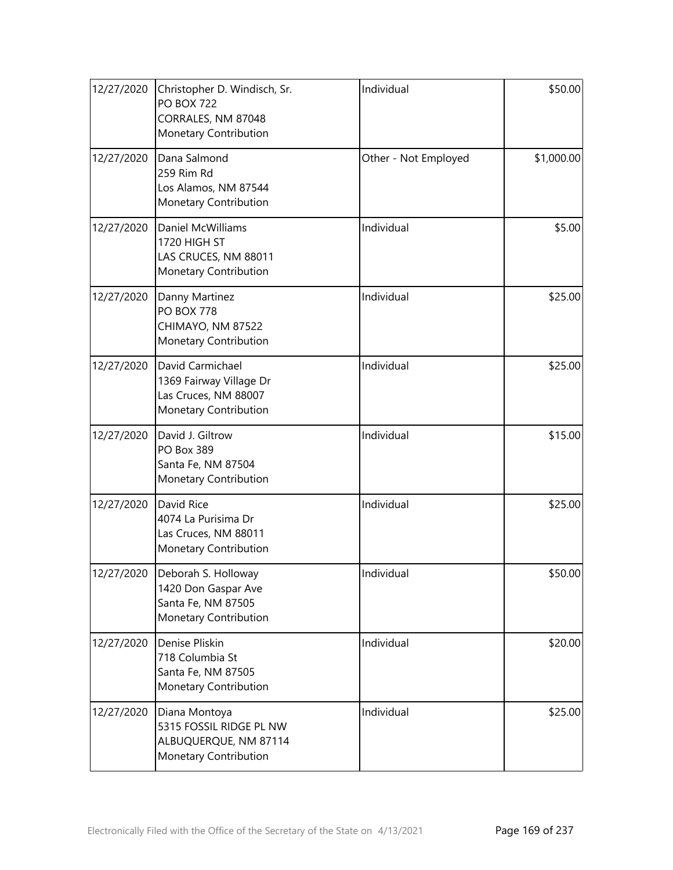| 12/27/2020 | Christopher D. Windisch, Sr.<br><b>PO BOX 722</b><br>CORRALES, NM 87048<br>Monetary Contribution | Individual           | \$50.00    |
|------------|--------------------------------------------------------------------------------------------------|----------------------|------------|
| 12/27/2020 | Dana Salmond<br>259 Rim Rd<br>Los Alamos, NM 87544<br>Monetary Contribution                      | Other - Not Employed | \$1,000.00 |
| 12/27/2020 | <b>Daniel McWilliams</b><br>1720 HIGH ST<br>LAS CRUCES, NM 88011<br>Monetary Contribution        | Individual           | \$5.00     |
| 12/27/2020 | Danny Martinez<br><b>PO BOX 778</b><br>CHIMAYO, NM 87522<br>Monetary Contribution                | Individual           | \$25.00    |
| 12/27/2020 | David Carmichael<br>1369 Fairway Village Dr<br>Las Cruces, NM 88007<br>Monetary Contribution     | Individual           | \$25.00    |
| 12/27/2020 | David J. Giltrow<br>PO Box 389<br>Santa Fe, NM 87504<br>Monetary Contribution                    | Individual           | \$15.00    |
| 12/27/2020 | David Rice<br>4074 La Purisima Dr<br>Las Cruces, NM 88011<br>Monetary Contribution               | Individual           | \$25.00    |
| 12/27/2020 | Deborah S. Holloway<br>1420 Don Gaspar Ave<br>Santa Fe, NM 87505<br>Monetary Contribution        | Individual           | \$50.00    |
| 12/27/2020 | Denise Pliskin<br>718 Columbia St<br>Santa Fe, NM 87505<br>Monetary Contribution                 | Individual           | \$20.00    |
| 12/27/2020 | Diana Montoya<br>5315 FOSSIL RIDGE PL NW<br>ALBUQUERQUE, NM 87114<br>Monetary Contribution       | Individual           | \$25.00    |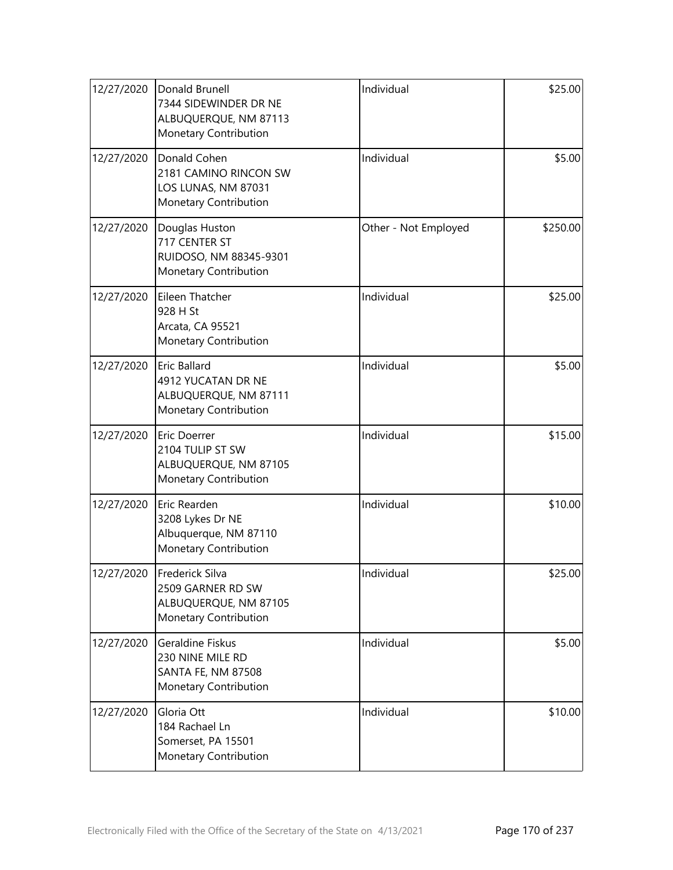| 12/27/2020 | Donald Brunell<br>7344 SIDEWINDER DR NE<br>ALBUQUERQUE, NM 87113<br>Monetary Contribution | Individual           | \$25.00  |
|------------|-------------------------------------------------------------------------------------------|----------------------|----------|
| 12/27/2020 | Donald Cohen<br>2181 CAMINO RINCON SW<br>LOS LUNAS, NM 87031<br>Monetary Contribution     | Individual           | \$5.00   |
| 12/27/2020 | Douglas Huston<br>717 CENTER ST<br>RUIDOSO, NM 88345-9301<br>Monetary Contribution        | Other - Not Employed | \$250.00 |
| 12/27/2020 | Eileen Thatcher<br>928 H St<br>Arcata, CA 95521<br>Monetary Contribution                  | Individual           | \$25.00  |
| 12/27/2020 | Eric Ballard<br>4912 YUCATAN DR NE<br>ALBUQUERQUE, NM 87111<br>Monetary Contribution      | Individual           | \$5.00   |
| 12/27/2020 | Eric Doerrer<br>2104 TULIP ST SW<br>ALBUQUERQUE, NM 87105<br>Monetary Contribution        | Individual           | \$15.00  |
| 12/27/2020 | Eric Rearden<br>3208 Lykes Dr NE<br>Albuquerque, NM 87110<br>Monetary Contribution        | Individual           | \$10.00  |
| 12/27/2020 | Frederick Silva<br>2509 GARNER RD SW<br>ALBUQUERQUE, NM 87105<br>Monetary Contribution    | Individual           | \$25.00  |
| 12/27/2020 | Geraldine Fiskus<br>230 NINE MILE RD<br>SANTA FE, NM 87508<br>Monetary Contribution       | Individual           | \$5.00   |
| 12/27/2020 | Gloria Ott<br>184 Rachael Ln<br>Somerset, PA 15501<br>Monetary Contribution               | Individual           | \$10.00  |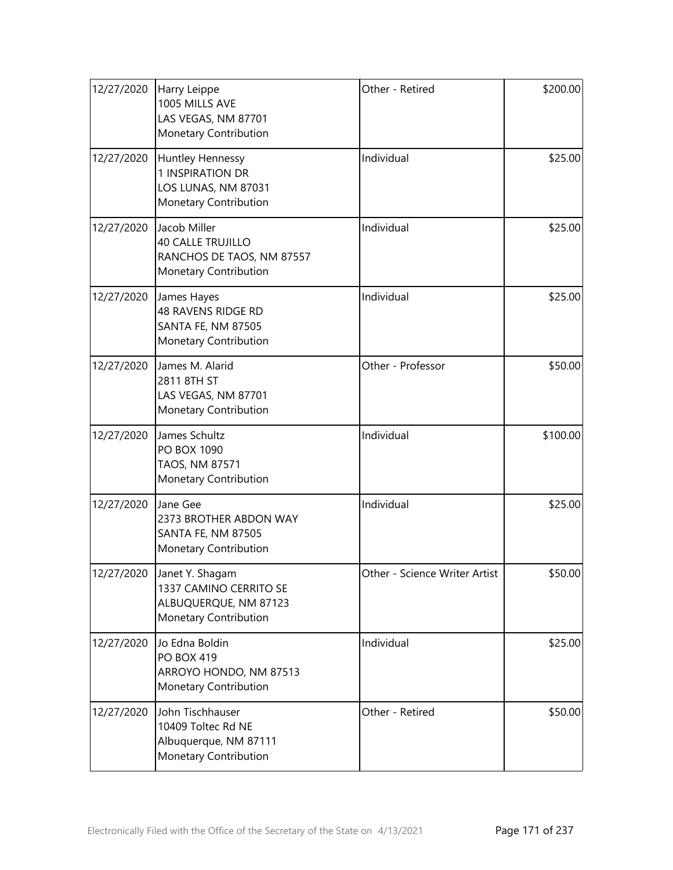| 12/27/2020 | <b>Harry Leippe</b><br>1005 MILLS AVE<br>LAS VEGAS, NM 87701<br>Monetary Contribution          | Other - Retired               | \$200.00 |
|------------|------------------------------------------------------------------------------------------------|-------------------------------|----------|
| 12/27/2020 | Huntley Hennessy<br>1 INSPIRATION DR<br>LOS LUNAS, NM 87031<br>Monetary Contribution           | Individual                    | \$25.00  |
| 12/27/2020 | Jacob Miller<br><b>40 CALLE TRUJILLO</b><br>RANCHOS DE TAOS, NM 87557<br>Monetary Contribution | Individual                    | \$25.00  |
| 12/27/2020 | James Hayes<br><b>48 RAVENS RIDGE RD</b><br><b>SANTA FE, NM 87505</b><br>Monetary Contribution | Individual                    | \$25.00  |
| 12/27/2020 | James M. Alarid<br>2811 8TH ST<br>LAS VEGAS, NM 87701<br>Monetary Contribution                 | Other - Professor             | \$50.00  |
| 12/27/2020 | James Schultz<br>PO BOX 1090<br>TAOS, NM 87571<br>Monetary Contribution                        | Individual                    | \$100.00 |
| 12/27/2020 | Jane Gee<br>2373 BROTHER ABDON WAY<br><b>SANTA FE, NM 87505</b><br>Monetary Contribution       | Individual                    | \$25.00  |
| 12/27/2020 | Janet Y. Shagam<br>1337 CAMINO CERRITO SE<br>ALBUQUERQUE, NM 87123<br>Monetary Contribution    | Other - Science Writer Artist | \$50.00  |
| 12/27/2020 | Jo Edna Boldin<br><b>PO BOX 419</b><br>ARROYO HONDO, NM 87513<br>Monetary Contribution         | Individual                    | \$25.00  |
| 12/27/2020 | John Tischhauser<br>10409 Toltec Rd NE<br>Albuquerque, NM 87111<br>Monetary Contribution       | Other - Retired               | \$50.00  |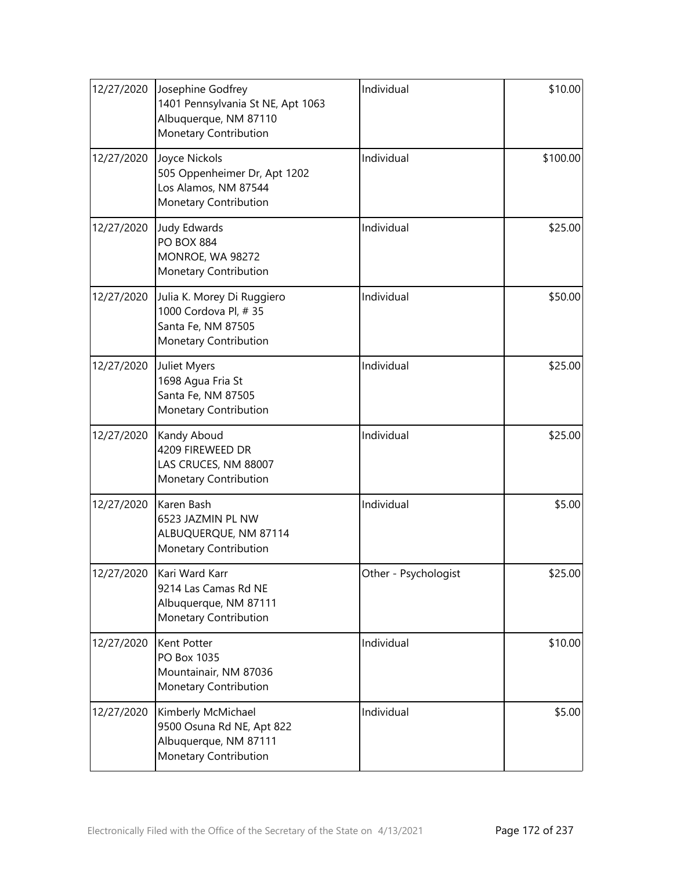| 12/27/2020 | Josephine Godfrey<br>1401 Pennsylvania St NE, Apt 1063<br>Albuquerque, NM 87110<br>Monetary Contribution | Individual           | \$10.00  |
|------------|----------------------------------------------------------------------------------------------------------|----------------------|----------|
| 12/27/2020 | Joyce Nickols<br>505 Oppenheimer Dr, Apt 1202<br>Los Alamos, NM 87544<br>Monetary Contribution           | Individual           | \$100.00 |
| 12/27/2020 | <b>Judy Edwards</b><br><b>PO BOX 884</b><br>MONROE, WA 98272<br>Monetary Contribution                    | Individual           | \$25.00  |
| 12/27/2020 | Julia K. Morey Di Ruggiero<br>1000 Cordova Pl, #35<br>Santa Fe, NM 87505<br>Monetary Contribution        | Individual           | \$50.00  |
| 12/27/2020 | Juliet Myers<br>1698 Agua Fria St<br>Santa Fe, NM 87505<br>Monetary Contribution                         | Individual           | \$25.00  |
| 12/27/2020 | Kandy Aboud<br>4209 FIREWEED DR<br>LAS CRUCES, NM 88007<br>Monetary Contribution                         | Individual           | \$25.00  |
| 12/27/2020 | Karen Bash<br>6523 JAZMIN PL NW<br>ALBUQUERQUE, NM 87114<br>Monetary Contribution                        | Individual           | \$5.00   |
| 12/27/2020 | Kari Ward Karr<br>9214 Las Camas Rd NE<br>Albuquerque, NM 87111<br>Monetary Contribution                 | Other - Psychologist | \$25.00  |
| 12/27/2020 | Kent Potter<br>PO Box 1035<br>Mountainair, NM 87036<br>Monetary Contribution                             | Individual           | \$10.00  |
| 12/27/2020 | Kimberly McMichael<br>9500 Osuna Rd NE, Apt 822<br>Albuquerque, NM 87111<br>Monetary Contribution        | Individual           | \$5.00   |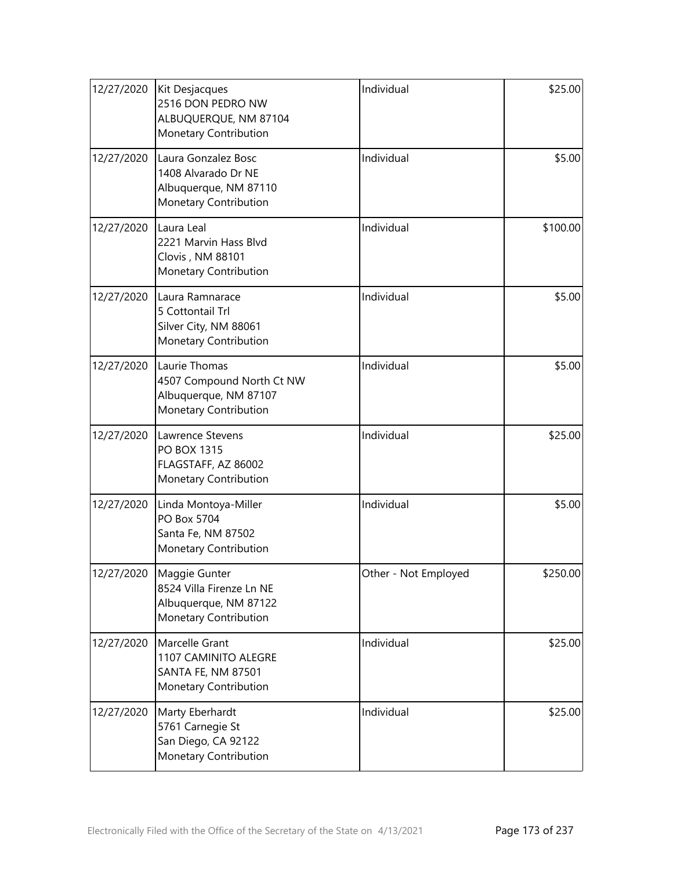| 12/27/2020 | Kit Desjacques<br>2516 DON PEDRO NW<br>ALBUQUERQUE, NM 87104<br>Monetary Contribution        | Individual           | \$25.00  |
|------------|----------------------------------------------------------------------------------------------|----------------------|----------|
| 12/27/2020 | Laura Gonzalez Bosc<br>1408 Alvarado Dr NE<br>Albuquerque, NM 87110<br>Monetary Contribution | Individual           | \$5.00   |
| 12/27/2020 | Laura Leal<br>2221 Marvin Hass Blvd<br>Clovis, NM 88101<br>Monetary Contribution             | Individual           | \$100.00 |
| 12/27/2020 | Laura Ramnarace<br>5 Cottontail Trl<br>Silver City, NM 88061<br>Monetary Contribution        | Individual           | \$5.00   |
| 12/27/2020 | Laurie Thomas<br>4507 Compound North Ct NW<br>Albuquerque, NM 87107<br>Monetary Contribution | Individual           | \$5.00   |
| 12/27/2020 | Lawrence Stevens<br><b>PO BOX 1315</b><br>FLAGSTAFF, AZ 86002<br>Monetary Contribution       | Individual           | \$25.00  |
| 12/27/2020 | Linda Montoya-Miller<br>PO Box 5704<br>Santa Fe, NM 87502<br>Monetary Contribution           | Individual           | \$5.00   |
| 12/27/2020 | Maggie Gunter<br>8524 Villa Firenze Ln NE<br>Albuquerque, NM 87122<br>Monetary Contribution  | Other - Not Employed | \$250.00 |
| 12/27/2020 | Marcelle Grant<br>1107 CAMINITO ALEGRE<br>SANTA FE, NM 87501<br>Monetary Contribution        | Individual           | \$25.00  |
| 12/27/2020 | Marty Eberhardt<br>5761 Carnegie St<br>San Diego, CA 92122<br>Monetary Contribution          | Individual           | \$25.00  |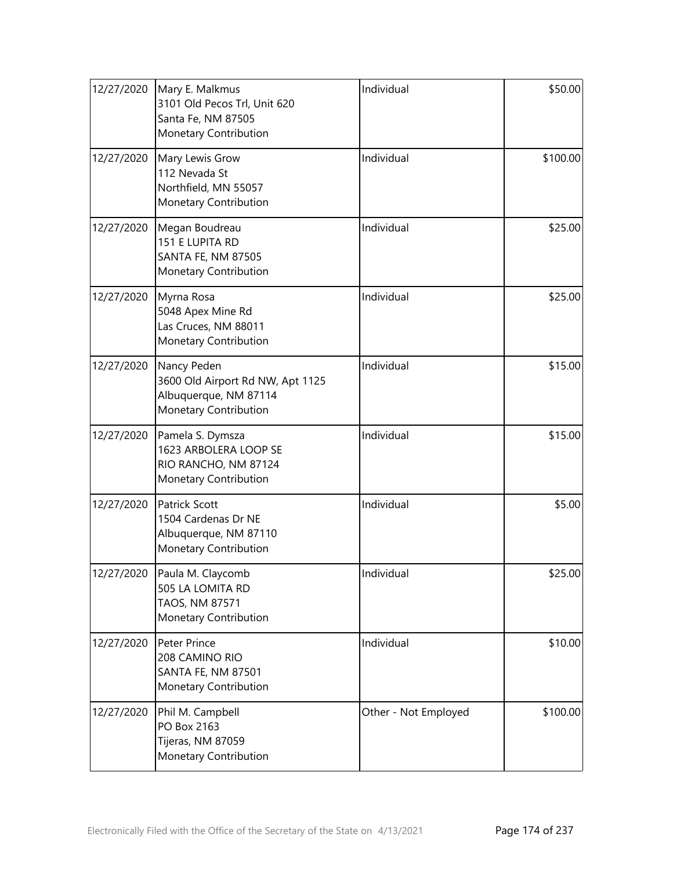| 12/27/2020 | Mary E. Malkmus<br>3101 Old Pecos Trl, Unit 620<br>Santa Fe, NM 87505<br>Monetary Contribution    | Individual           | \$50.00  |
|------------|---------------------------------------------------------------------------------------------------|----------------------|----------|
| 12/27/2020 | Mary Lewis Grow<br>112 Nevada St<br>Northfield, MN 55057<br>Monetary Contribution                 | Individual           | \$100.00 |
| 12/27/2020 | Megan Boudreau<br>151 E LUPITA RD<br><b>SANTA FE, NM 87505</b><br>Monetary Contribution           | Individual           | \$25.00  |
| 12/27/2020 | Myrna Rosa<br>5048 Apex Mine Rd<br>Las Cruces, NM 88011<br>Monetary Contribution                  | Individual           | \$25.00  |
| 12/27/2020 | Nancy Peden<br>3600 Old Airport Rd NW, Apt 1125<br>Albuquerque, NM 87114<br>Monetary Contribution | Individual           | \$15.00  |
| 12/27/2020 | Pamela S. Dymsza<br>1623 ARBOLERA LOOP SE<br>RIO RANCHO, NM 87124<br>Monetary Contribution        | Individual           | \$15.00  |
| 12/27/2020 | <b>Patrick Scott</b><br>1504 Cardenas Dr NE<br>Albuquerque, NM 87110<br>Monetary Contribution     | Individual           | \$5.00   |
| 12/27/2020 | Paula M. Claycomb<br>505 LA LOMITA RD<br>TAOS, NM 87571<br>Monetary Contribution                  | Individual           | \$25.00  |
| 12/27/2020 | Peter Prince<br>208 CAMINO RIO<br><b>SANTA FE, NM 87501</b><br>Monetary Contribution              | Individual           | \$10.00  |
| 12/27/2020 | Phil M. Campbell<br>PO Box 2163<br>Tijeras, NM 87059<br>Monetary Contribution                     | Other - Not Employed | \$100.00 |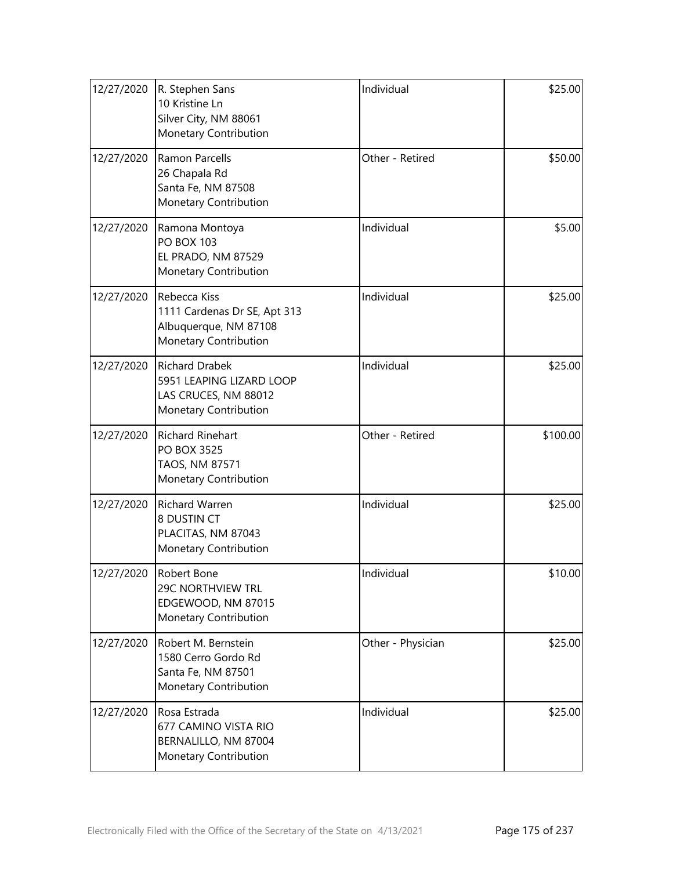| 12/27/2020 | R. Stephen Sans<br>10 Kristine Ln<br>Silver City, NM 88061<br>Monetary Contribution                | Individual        | \$25.00  |
|------------|----------------------------------------------------------------------------------------------------|-------------------|----------|
| 12/27/2020 | <b>Ramon Parcells</b><br>26 Chapala Rd<br>Santa Fe, NM 87508<br>Monetary Contribution              | Other - Retired   | \$50.00  |
| 12/27/2020 | Ramona Montoya<br><b>PO BOX 103</b><br>EL PRADO, NM 87529<br>Monetary Contribution                 | Individual        | \$5.00   |
| 12/27/2020 | Rebecca Kiss<br>1111 Cardenas Dr SE, Apt 313<br>Albuquerque, NM 87108<br>Monetary Contribution     | Individual        | \$25.00  |
| 12/27/2020 | <b>Richard Drabek</b><br>5951 LEAPING LIZARD LOOP<br>LAS CRUCES, NM 88012<br>Monetary Contribution | Individual        | \$25.00  |
| 12/27/2020 | <b>Richard Rinehart</b><br><b>PO BOX 3525</b><br>TAOS, NM 87571<br>Monetary Contribution           | Other - Retired   | \$100.00 |
| 12/27/2020 | Richard Warren<br>8 DUSTIN CT<br>PLACITAS, NM 87043<br>Monetary Contribution                       | Individual        | \$25.00  |
| 12/27/2020 | Robert Bone<br><b>29C NORTHVIEW TRL</b><br>EDGEWOOD, NM 87015<br>Monetary Contribution             | Individual        | \$10.00  |
| 12/27/2020 | Robert M. Bernstein<br>1580 Cerro Gordo Rd<br>Santa Fe, NM 87501<br>Monetary Contribution          | Other - Physician | \$25.00  |
| 12/27/2020 | Rosa Estrada<br>677 CAMINO VISTA RIO<br>BERNALILLO, NM 87004<br>Monetary Contribution              | Individual        | \$25.00  |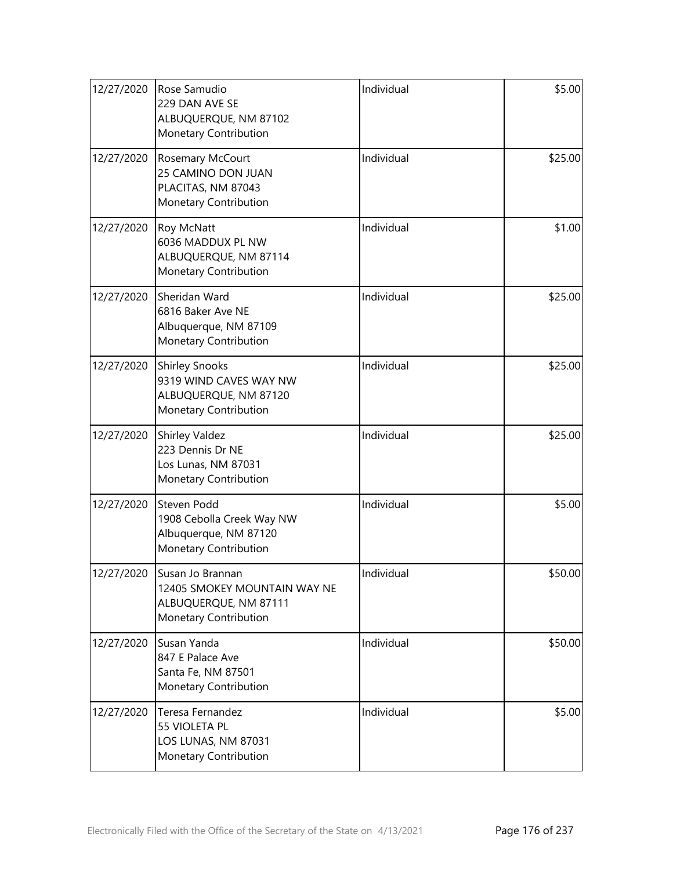| 12/27/2020 | Rose Samudio<br>229 DAN AVE SE<br>ALBUQUERQUE, NM 87102<br>Monetary Contribution                   | Individual | \$5.00  |
|------------|----------------------------------------------------------------------------------------------------|------------|---------|
| 12/27/2020 | Rosemary McCourt<br>25 CAMINO DON JUAN<br>PLACITAS, NM 87043<br>Monetary Contribution              | Individual | \$25.00 |
| 12/27/2020 | Roy McNatt<br>6036 MADDUX PL NW<br>ALBUQUERQUE, NM 87114<br>Monetary Contribution                  | Individual | \$1.00  |
| 12/27/2020 | Sheridan Ward<br>6816 Baker Ave NE<br>Albuquerque, NM 87109<br>Monetary Contribution               | Individual | \$25.00 |
| 12/27/2020 | <b>Shirley Snooks</b><br>9319 WIND CAVES WAY NW<br>ALBUQUERQUE, NM 87120<br>Monetary Contribution  | Individual | \$25.00 |
| 12/27/2020 | Shirley Valdez<br>223 Dennis Dr NE<br>Los Lunas, NM 87031<br>Monetary Contribution                 | Individual | \$25.00 |
| 12/27/2020 | Steven Podd<br>1908 Cebolla Creek Way NW<br>Albuquerque, NM 87120<br>Monetary Contribution         | Individual | \$5.00  |
| 12/27/2020 | Susan Jo Brannan<br>12405 SMOKEY MOUNTAIN WAY NE<br>ALBUQUERQUE, NM 87111<br>Monetary Contribution | Individual | \$50.00 |
| 12/27/2020 | Susan Yanda<br>847 E Palace Ave<br>Santa Fe, NM 87501<br>Monetary Contribution                     | Individual | \$50.00 |
| 12/27/2020 | Teresa Fernandez<br>55 VIOLETA PL<br>LOS LUNAS, NM 87031<br>Monetary Contribution                  | Individual | \$5.00  |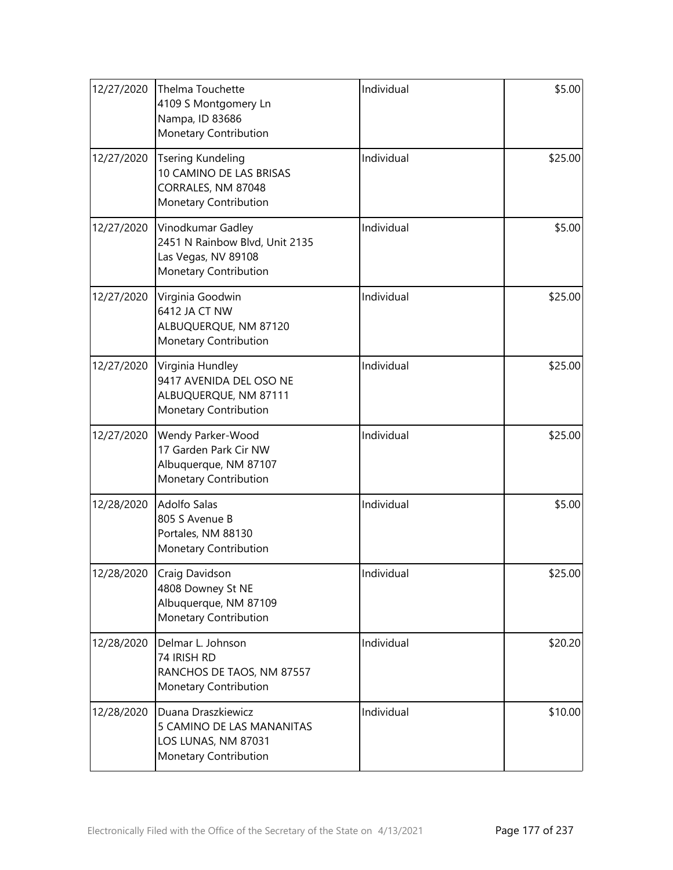| 12/27/2020 | Thelma Touchette<br>4109 S Montgomery Ln<br>Nampa, ID 83686<br>Monetary Contribution                | Individual | \$5.00  |
|------------|-----------------------------------------------------------------------------------------------------|------------|---------|
| 12/27/2020 | <b>Tsering Kundeling</b><br>10 CAMINO DE LAS BRISAS<br>CORRALES, NM 87048<br>Monetary Contribution  | Individual | \$25.00 |
| 12/27/2020 | Vinodkumar Gadley<br>2451 N Rainbow Blvd, Unit 2135<br>Las Vegas, NV 89108<br>Monetary Contribution | Individual | \$5.00  |
| 12/27/2020 | Virginia Goodwin<br>6412 JA CT NW<br>ALBUQUERQUE, NM 87120<br>Monetary Contribution                 | Individual | \$25.00 |
| 12/27/2020 | Virginia Hundley<br>9417 AVENIDA DEL OSO NE<br>ALBUQUERQUE, NM 87111<br>Monetary Contribution       | Individual | \$25.00 |
| 12/27/2020 | Wendy Parker-Wood<br>17 Garden Park Cir NW<br>Albuquerque, NM 87107<br>Monetary Contribution        | Individual | \$25.00 |
| 12/28/2020 | <b>Adolfo Salas</b><br>805 S Avenue B<br>Portales, NM 88130<br>Monetary Contribution                | Individual | \$5.00  |
| 12/28/2020 | Craig Davidson<br>4808 Downey St NE<br>Albuquerque, NM 87109<br>Monetary Contribution               | Individual | \$25.00 |
| 12/28/2020 | Delmar L. Johnson<br>74 IRISH RD<br>RANCHOS DE TAOS, NM 87557<br>Monetary Contribution              | Individual | \$20.20 |
| 12/28/2020 | Duana Draszkiewicz<br>5 CAMINO DE LAS MANANITAS<br>LOS LUNAS, NM 87031<br>Monetary Contribution     | Individual | \$10.00 |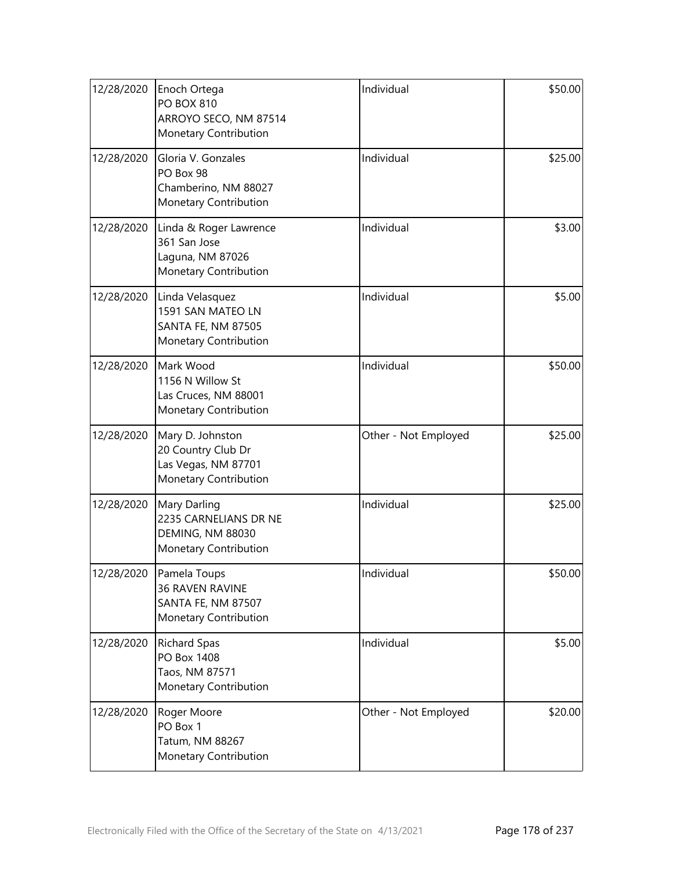| 12/28/2020 | Enoch Ortega<br><b>PO BOX 810</b><br>ARROYO SECO, NM 87514<br>Monetary Contribution              | Individual           | \$50.00 |
|------------|--------------------------------------------------------------------------------------------------|----------------------|---------|
| 12/28/2020 | Gloria V. Gonzales<br>PO Box 98<br>Chamberino, NM 88027<br>Monetary Contribution                 | Individual           | \$25.00 |
| 12/28/2020 | Linda & Roger Lawrence<br>361 San Jose<br>Laguna, NM 87026<br>Monetary Contribution              | Individual           | \$3.00  |
| 12/28/2020 | Linda Velasquez<br>1591 SAN MATEO LN<br><b>SANTA FE, NM 87505</b><br>Monetary Contribution       | Individual           | \$5.00  |
| 12/28/2020 | Mark Wood<br>1156 N Willow St<br>Las Cruces, NM 88001<br>Monetary Contribution                   | Individual           | \$50.00 |
| 12/28/2020 | Mary D. Johnston<br>20 Country Club Dr<br>Las Vegas, NM 87701<br>Monetary Contribution           | Other - Not Employed | \$25.00 |
| 12/28/2020 | Mary Darling<br>2235 CARNELIANS DR NE<br>DEMING, NM 88030<br>Monetary Contribution               | Individual           | \$25.00 |
|            | 12/28/2020 Pamela Toups<br><b>36 RAVEN RAVINE</b><br>SANTA FE, NM 87507<br>Monetary Contribution | Individual           | \$50.00 |
| 12/28/2020 | <b>Richard Spas</b><br>PO Box 1408<br>Taos, NM 87571<br>Monetary Contribution                    | Individual           | \$5.00  |
| 12/28/2020 | Roger Moore<br>PO Box 1<br>Tatum, NM 88267<br>Monetary Contribution                              | Other - Not Employed | \$20.00 |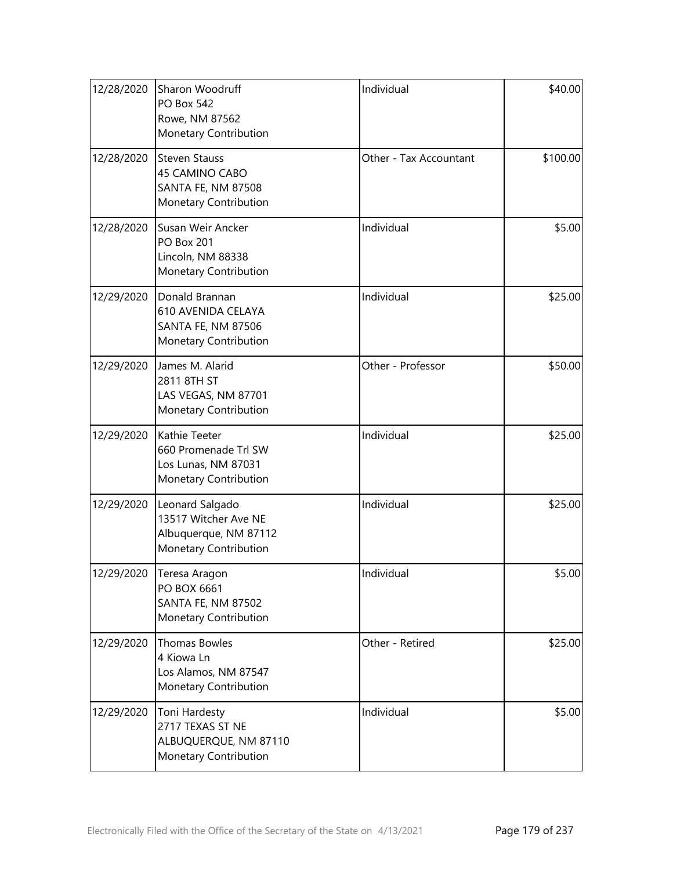| 12/28/2020 | Sharon Woodruff<br><b>PO Box 542</b><br>Rowe, NM 87562<br><b>Monetary Contribution</b>      | Individual             | \$40.00  |
|------------|---------------------------------------------------------------------------------------------|------------------------|----------|
| 12/28/2020 | <b>Steven Stauss</b><br>45 CAMINO CABO<br>SANTA FE, NM 87508<br>Monetary Contribution       | Other - Tax Accountant | \$100.00 |
| 12/28/2020 | Susan Weir Ancker<br><b>PO Box 201</b><br>Lincoln, NM 88338<br><b>Monetary Contribution</b> | Individual             | \$5.00   |
| 12/29/2020 | Donald Brannan<br><b>610 AVENIDA CELAYA</b><br>SANTA FE, NM 87506<br>Monetary Contribution  | Individual             | \$25.00  |
| 12/29/2020 | James M. Alarid<br>2811 8TH ST<br>LAS VEGAS, NM 87701<br><b>Monetary Contribution</b>       | Other - Professor      | \$50.00  |
| 12/29/2020 | Kathie Teeter<br>660 Promenade Trl SW<br>Los Lunas, NM 87031<br>Monetary Contribution       | Individual             | \$25.00  |
| 12/29/2020 | Leonard Salgado<br>13517 Witcher Ave NE<br>Albuquerque, NM 87112<br>Monetary Contribution   | Individual             | \$25.00  |
| 12/29/2020 | Teresa Aragon<br>PO BOX 6661<br>SANTA FE, NM 87502<br>Monetary Contribution                 | Individual             | \$5.00   |
| 12/29/2020 | Thomas Bowles<br>4 Kiowa Ln<br>Los Alamos, NM 87547<br>Monetary Contribution                | Other - Retired        | \$25.00  |
| 12/29/2020 | Toni Hardesty<br>2717 TEXAS ST NE<br>ALBUQUERQUE, NM 87110<br>Monetary Contribution         | Individual             | \$5.00   |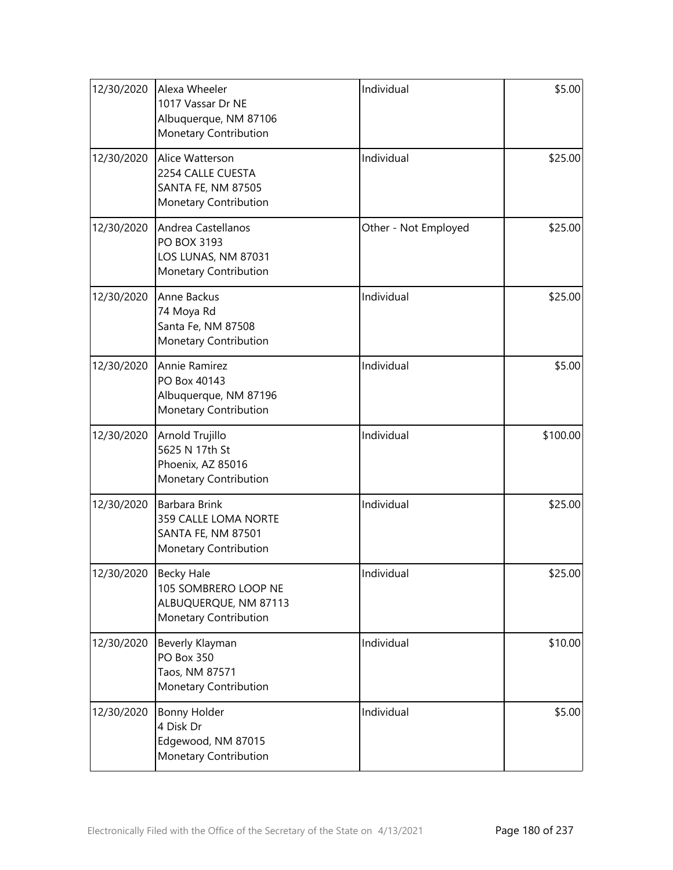| 12/30/2020 | Alexa Wheeler<br>1017 Vassar Dr NE<br>Albuquerque, NM 87106<br>Monetary Contribution        | Individual           | \$5.00   |
|------------|---------------------------------------------------------------------------------------------|----------------------|----------|
| 12/30/2020 | Alice Watterson<br>2254 CALLE CUESTA<br><b>SANTA FE, NM 87505</b><br>Monetary Contribution  | Individual           | \$25.00  |
| 12/30/2020 | Andrea Castellanos<br>PO BOX 3193<br>LOS LUNAS, NM 87031<br>Monetary Contribution           | Other - Not Employed | \$25.00  |
| 12/30/2020 | Anne Backus<br>74 Moya Rd<br>Santa Fe, NM 87508<br>Monetary Contribution                    | Individual           | \$25.00  |
| 12/30/2020 | Annie Ramirez<br>PO Box 40143<br>Albuquerque, NM 87196<br>Monetary Contribution             | Individual           | \$5.00   |
| 12/30/2020 | Arnold Trujillo<br>5625 N 17th St<br>Phoenix, AZ 85016<br>Monetary Contribution             | Individual           | \$100.00 |
| 12/30/2020 | Barbara Brink<br>359 CALLE LOMA NORTE<br><b>SANTA FE, NM 87501</b><br>Monetary Contribution | Individual           | \$25.00  |
| 12/30/2020 | Becky Hale<br>105 SOMBRERO LOOP NE<br>ALBUQUERQUE, NM 87113<br>Monetary Contribution        | Individual           | \$25.00  |
| 12/30/2020 | Beverly Klayman<br><b>PO Box 350</b><br>Taos, NM 87571<br>Monetary Contribution             | Individual           | \$10.00  |
| 12/30/2020 | Bonny Holder<br>4 Disk Dr<br>Edgewood, NM 87015<br>Monetary Contribution                    | Individual           | \$5.00   |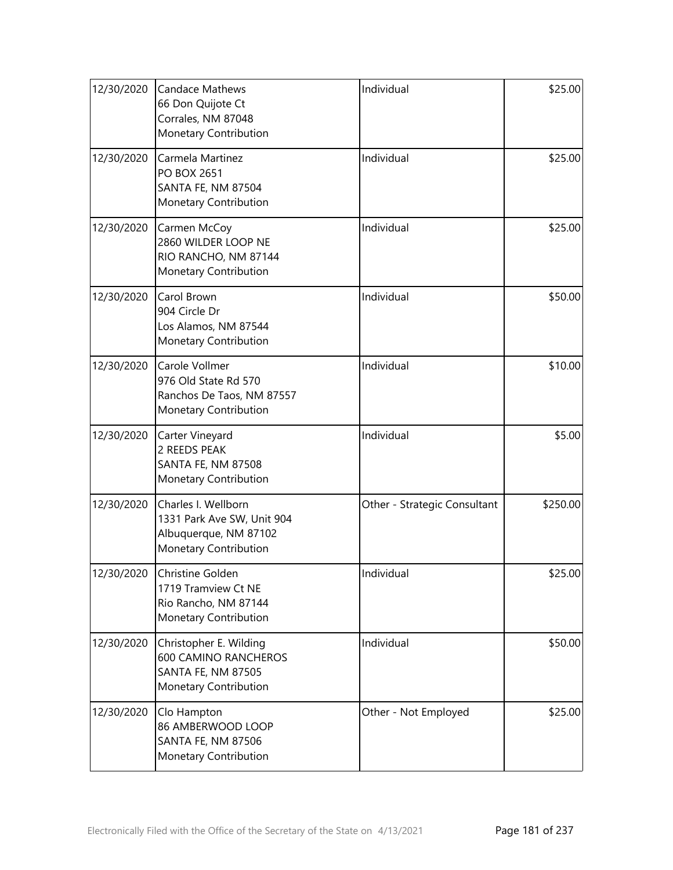| 12/30/2020 | <b>Candace Mathews</b><br>66 Don Quijote Ct<br>Corrales, NM 87048<br>Monetary Contribution                  | Individual                   | \$25.00  |
|------------|-------------------------------------------------------------------------------------------------------------|------------------------------|----------|
| 12/30/2020 | Carmela Martinez<br><b>PO BOX 2651</b><br><b>SANTA FE, NM 87504</b><br>Monetary Contribution                | Individual                   | \$25.00  |
| 12/30/2020 | Carmen McCoy<br>2860 WILDER LOOP NE<br>RIO RANCHO, NM 87144<br>Monetary Contribution                        | Individual                   | \$25.00  |
| 12/30/2020 | Carol Brown<br>904 Circle Dr<br>Los Alamos, NM 87544<br>Monetary Contribution                               | Individual                   | \$50.00  |
| 12/30/2020 | Carole Vollmer<br>976 Old State Rd 570<br>Ranchos De Taos, NM 87557<br>Monetary Contribution                | Individual                   | \$10.00  |
| 12/30/2020 | Carter Vineyard<br>2 REEDS PEAK<br><b>SANTA FE, NM 87508</b><br>Monetary Contribution                       | Individual                   | \$5.00   |
| 12/30/2020 | Charles I. Wellborn<br>1331 Park Ave SW, Unit 904<br>Albuquerque, NM 87102<br>Monetary Contribution         | Other - Strategic Consultant | \$250.00 |
| 12/30/2020 | Christine Golden<br>1719 Tramview Ct NE<br>Rio Rancho, NM 87144<br>Monetary Contribution                    | Individual                   | \$25.00  |
| 12/30/2020 | Christopher E. Wilding<br><b>600 CAMINO RANCHEROS</b><br><b>SANTA FE, NM 87505</b><br>Monetary Contribution | Individual                   | \$50.00  |
| 12/30/2020 | Clo Hampton<br>86 AMBERWOOD LOOP<br>SANTA FE, NM 87506<br>Monetary Contribution                             | Other - Not Employed         | \$25.00  |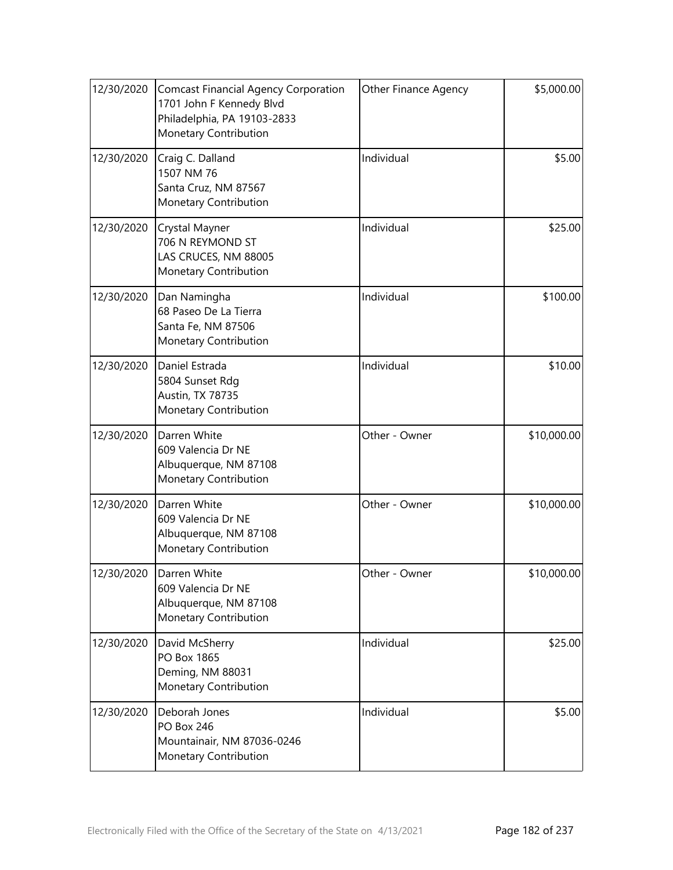| 12/30/2020 | <b>Comcast Financial Agency Corporation</b><br>1701 John F Kennedy Blvd<br>Philadelphia, PA 19103-2833<br>Monetary Contribution | Other Finance Agency | \$5,000.00  |
|------------|---------------------------------------------------------------------------------------------------------------------------------|----------------------|-------------|
| 12/30/2020 | Craig C. Dalland<br>1507 NM 76<br>Santa Cruz, NM 87567<br>Monetary Contribution                                                 | Individual           | \$5.00      |
| 12/30/2020 | Crystal Mayner<br>706 N REYMOND ST<br>LAS CRUCES, NM 88005<br>Monetary Contribution                                             | Individual           | \$25.00     |
| 12/30/2020 | Dan Namingha<br>68 Paseo De La Tierra<br>Santa Fe, NM 87506<br>Monetary Contribution                                            | Individual           | \$100.00    |
| 12/30/2020 | Daniel Estrada<br>5804 Sunset Rdg<br><b>Austin, TX 78735</b><br>Monetary Contribution                                           | Individual           | \$10.00     |
| 12/30/2020 | Darren White<br>609 Valencia Dr NE<br>Albuquerque, NM 87108<br>Monetary Contribution                                            | Other - Owner        | \$10,000.00 |
| 12/30/2020 | Darren White<br>609 Valencia Dr NE<br>Albuquerque, NM 87108<br>Monetary Contribution                                            | Other - Owner        | \$10,000.00 |
| 12/30/2020 | Darren White<br>609 Valencia Dr NE<br>Albuquerque, NM 87108<br>Monetary Contribution                                            | Other - Owner        | \$10,000.00 |
| 12/30/2020 | David McSherry<br>PO Box 1865<br>Deming, NM 88031<br>Monetary Contribution                                                      | Individual           | \$25.00     |
| 12/30/2020 | Deborah Jones<br><b>PO Box 246</b><br>Mountainair, NM 87036-0246<br>Monetary Contribution                                       | Individual           | \$5.00      |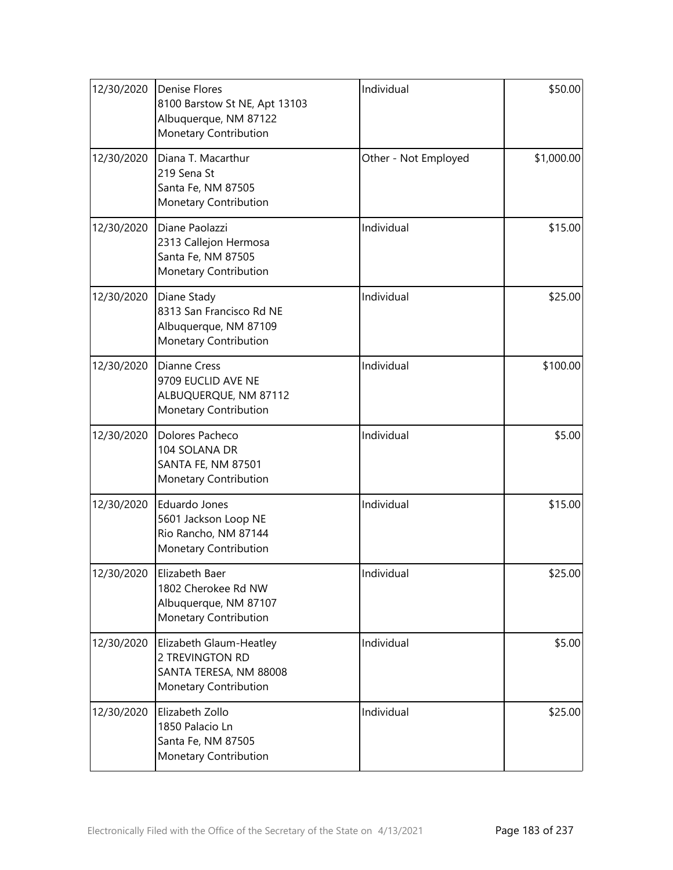| 12/30/2020 | <b>Denise Flores</b><br>8100 Barstow St NE, Apt 13103<br>Albuquerque, NM 87122<br>Monetary Contribution | Individual           | \$50.00    |
|------------|---------------------------------------------------------------------------------------------------------|----------------------|------------|
| 12/30/2020 | Diana T. Macarthur<br>219 Sena St<br>Santa Fe, NM 87505<br>Monetary Contribution                        | Other - Not Employed | \$1,000.00 |
| 12/30/2020 | Diane Paolazzi<br>2313 Callejon Hermosa<br>Santa Fe, NM 87505<br>Monetary Contribution                  | Individual           | \$15.00    |
| 12/30/2020 | Diane Stady<br>8313 San Francisco Rd NE<br>Albuquerque, NM 87109<br>Monetary Contribution               | Individual           | \$25.00    |
| 12/30/2020 | <b>Dianne Cress</b><br>9709 EUCLID AVE NE<br>ALBUQUERQUE, NM 87112<br>Monetary Contribution             | Individual           | \$100.00   |
| 12/30/2020 | Dolores Pacheco<br>104 SOLANA DR<br><b>SANTA FE, NM 87501</b><br>Monetary Contribution                  | Individual           | \$5.00     |
| 12/30/2020 | Eduardo Jones<br>5601 Jackson Loop NE<br>Rio Rancho, NM 87144<br>Monetary Contribution                  | Individual           | \$15.00    |
| 12/30/2020 | Elizabeth Baer<br>1802 Cherokee Rd NW<br>Albuquerque, NM 87107<br>Monetary Contribution                 | Individual           | \$25.00    |
| 12/30/2020 | Elizabeth Glaum-Heatley<br>2 TREVINGTON RD<br>SANTA TERESA, NM 88008<br>Monetary Contribution           | Individual           | \$5.00     |
| 12/30/2020 | Elizabeth Zollo<br>1850 Palacio Ln<br>Santa Fe, NM 87505<br>Monetary Contribution                       | Individual           | \$25.00    |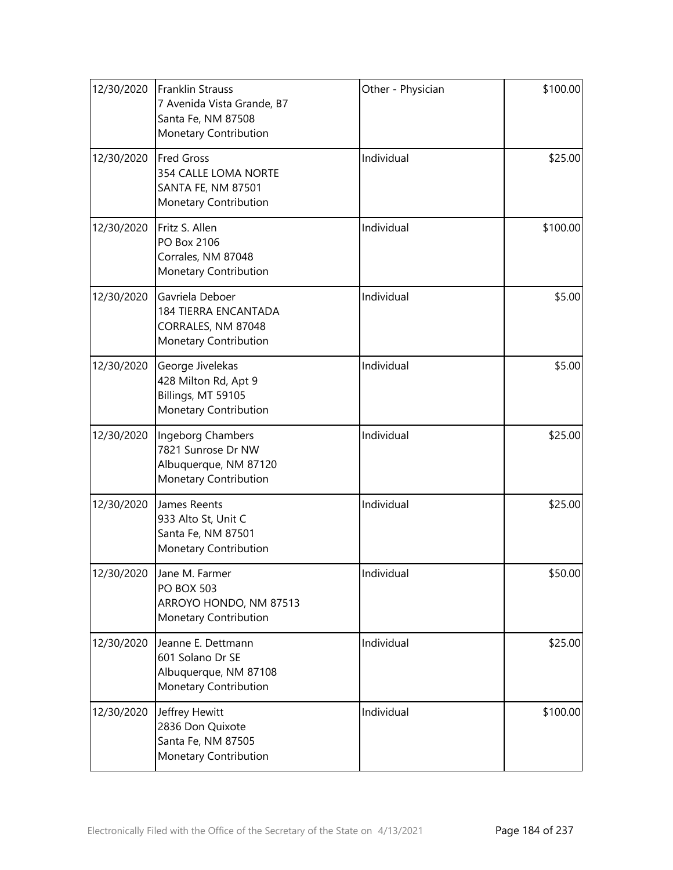| 12/30/2020 | <b>Franklin Strauss</b><br>7 Avenida Vista Grande, B7<br>Santa Fe, NM 87508<br>Monetary Contribution | Other - Physician | \$100.00 |
|------------|------------------------------------------------------------------------------------------------------|-------------------|----------|
| 12/30/2020 | <b>Fred Gross</b><br>354 CALLE LOMA NORTE<br>SANTA FE, NM 87501<br>Monetary Contribution             | Individual        | \$25.00  |
| 12/30/2020 | Fritz S. Allen<br>PO Box 2106<br>Corrales, NM 87048<br>Monetary Contribution                         | Individual        | \$100.00 |
| 12/30/2020 | Gavriela Deboer<br><b>184 TIERRA ENCANTADA</b><br>CORRALES, NM 87048<br>Monetary Contribution        | Individual        | \$5.00   |
| 12/30/2020 | George Jivelekas<br>428 Milton Rd, Apt 9<br>Billings, MT 59105<br>Monetary Contribution              | Individual        | \$5.00   |
| 12/30/2020 | Ingeborg Chambers<br>7821 Sunrose Dr NW<br>Albuquerque, NM 87120<br>Monetary Contribution            | Individual        | \$25.00  |
| 12/30/2020 | James Reents<br>933 Alto St, Unit C<br>Santa Fe, NM 87501<br>Monetary Contribution                   | Individual        | \$25.00  |
| 12/30/2020 | Jane M. Farmer<br><b>PO BOX 503</b><br>ARROYO HONDO, NM 87513<br>Monetary Contribution               | Individual        | \$50.00  |
| 12/30/2020 | Jeanne E. Dettmann<br>601 Solano Dr SE<br>Albuquerque, NM 87108<br>Monetary Contribution             | Individual        | \$25.00  |
| 12/30/2020 | Jeffrey Hewitt<br>2836 Don Quixote<br>Santa Fe, NM 87505<br>Monetary Contribution                    | Individual        | \$100.00 |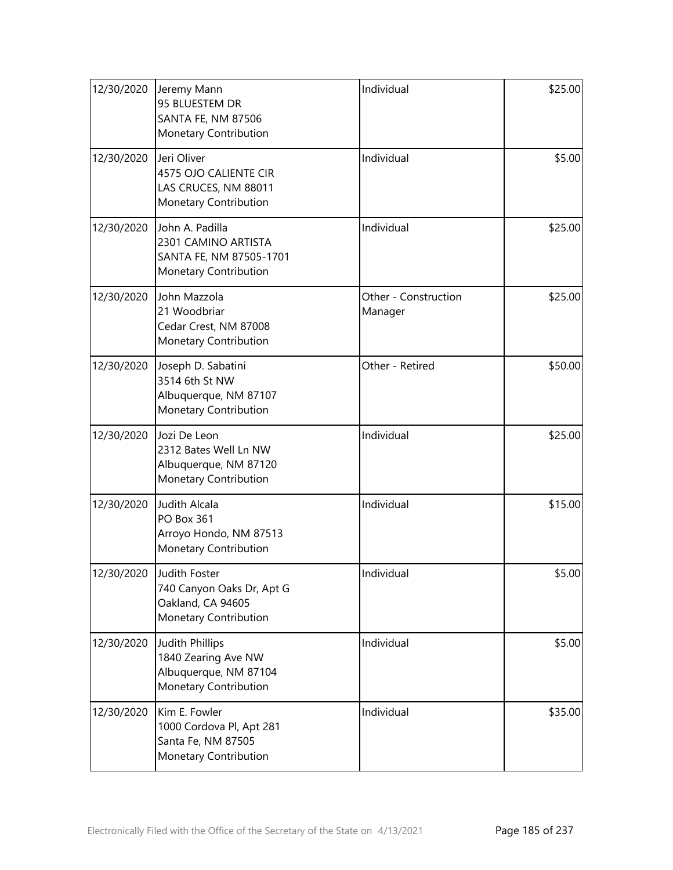| 12/30/2020 | Jeremy Mann<br>95 BLUESTEM DR<br><b>SANTA FE, NM 87506</b><br>Monetary Contribution        | Individual                      | \$25.00 |
|------------|--------------------------------------------------------------------------------------------|---------------------------------|---------|
| 12/30/2020 | Jeri Oliver<br>4575 OJO CALIENTE CIR<br>LAS CRUCES, NM 88011<br>Monetary Contribution      | Individual                      | \$5.00  |
| 12/30/2020 | John A. Padilla<br>2301 CAMINO ARTISTA<br>SANTA FE, NM 87505-1701<br>Monetary Contribution | Individual                      | \$25.00 |
| 12/30/2020 | John Mazzola<br>21 Woodbriar<br>Cedar Crest, NM 87008<br>Monetary Contribution             | Other - Construction<br>Manager | \$25.00 |
| 12/30/2020 | Joseph D. Sabatini<br>3514 6th St NW<br>Albuquerque, NM 87107<br>Monetary Contribution     | Other - Retired                 | \$50.00 |
| 12/30/2020 | Jozi De Leon<br>2312 Bates Well Ln NW<br>Albuquerque, NM 87120<br>Monetary Contribution    | Individual                      | \$25.00 |
| 12/30/2020 | Judith Alcala<br><b>PO Box 361</b><br>Arroyo Hondo, NM 87513<br>Monetary Contribution      | Individual                      | \$15.00 |
| 12/30/2020 | Judith Foster<br>740 Canyon Oaks Dr, Apt G<br>Oakland, CA 94605<br>Monetary Contribution   | Individual                      | \$5.00  |
| 12/30/2020 | Judith Phillips<br>1840 Zearing Ave NW<br>Albuquerque, NM 87104<br>Monetary Contribution   | Individual                      | \$5.00  |
| 12/30/2020 | Kim E. Fowler<br>1000 Cordova Pl, Apt 281<br>Santa Fe, NM 87505<br>Monetary Contribution   | Individual                      | \$35.00 |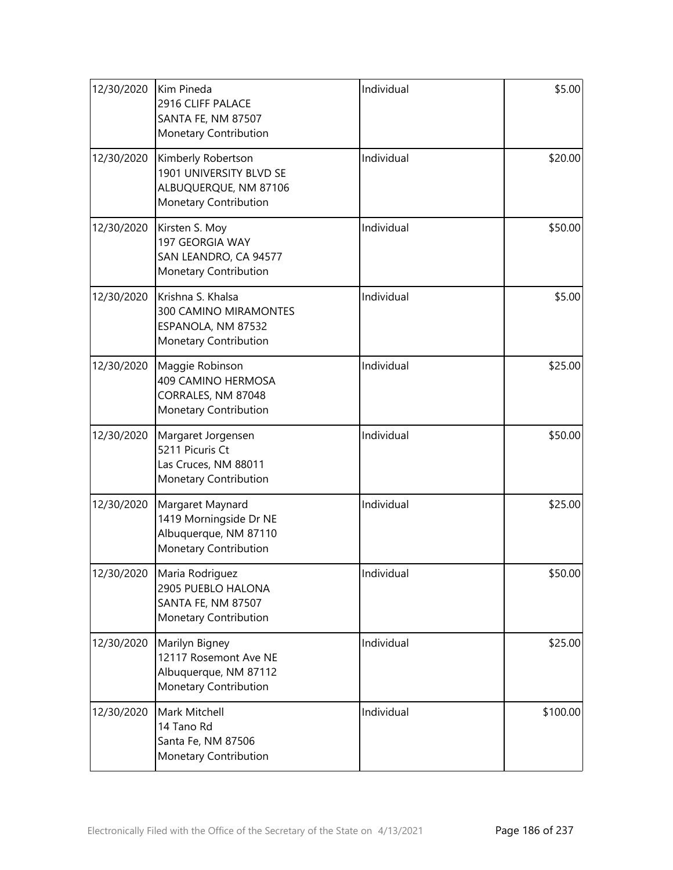| 12/30/2020 | Kim Pineda<br>2916 CLIFF PALACE<br>SANTA FE, NM 87507<br>Monetary Contribution                   | Individual | \$5.00   |
|------------|--------------------------------------------------------------------------------------------------|------------|----------|
| 12/30/2020 | Kimberly Robertson<br>1901 UNIVERSITY BLVD SE<br>ALBUQUERQUE, NM 87106<br>Monetary Contribution  | Individual | \$20.00  |
| 12/30/2020 | Kirsten S. Moy<br>197 GEORGIA WAY<br>SAN LEANDRO, CA 94577<br>Monetary Contribution              | Individual | \$50.00  |
| 12/30/2020 | Krishna S. Khalsa<br>300 CAMINO MIRAMONTES<br>ESPANOLA, NM 87532<br><b>Monetary Contribution</b> | Individual | \$5.00   |
| 12/30/2020 | Maggie Robinson<br>409 CAMINO HERMOSA<br>CORRALES, NM 87048<br>Monetary Contribution             | Individual | \$25.00  |
| 12/30/2020 | Margaret Jorgensen<br>5211 Picuris Ct<br>Las Cruces, NM 88011<br>Monetary Contribution           | Individual | \$50.00  |
| 12/30/2020 | Margaret Maynard<br>1419 Morningside Dr NE<br>Albuquerque, NM 87110<br>Monetary Contribution     | Individual | \$25.00  |
| 12/30/2020 | Maria Rodriguez<br>2905 PUEBLO HALONA<br>SANTA FE, NM 87507<br>Monetary Contribution             | Individual | \$50.00  |
| 12/30/2020 | Marilyn Bigney<br>12117 Rosemont Ave NE<br>Albuquerque, NM 87112<br>Monetary Contribution        | Individual | \$25.00  |
| 12/30/2020 | Mark Mitchell<br>14 Tano Rd<br>Santa Fe, NM 87506<br>Monetary Contribution                       | Individual | \$100.00 |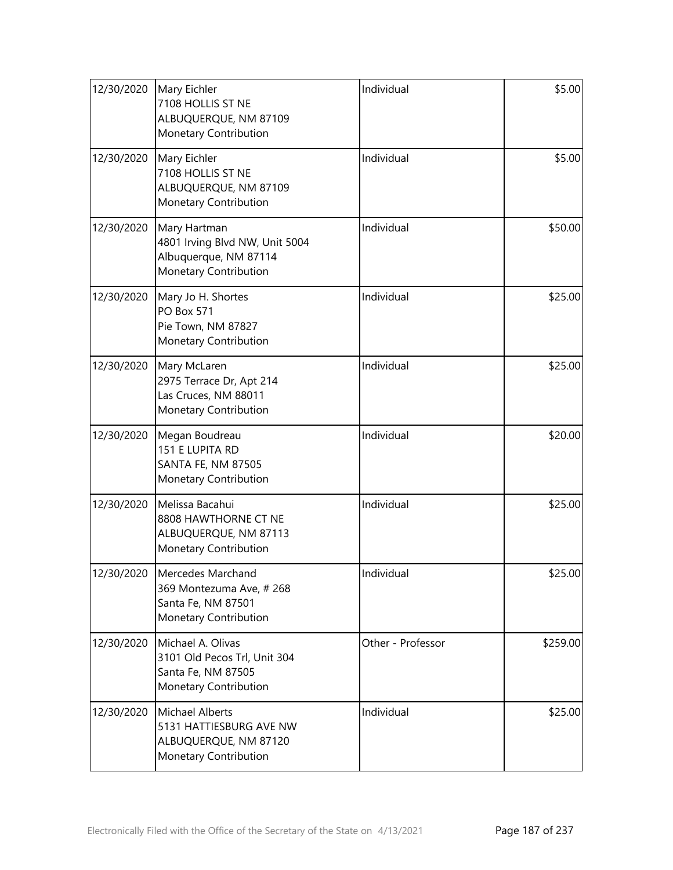| 12/30/2020 | Mary Eichler<br>7108 HOLLIS ST NE<br>ALBUQUERQUE, NM 87109<br>Monetary Contribution                 | Individual        | \$5.00   |
|------------|-----------------------------------------------------------------------------------------------------|-------------------|----------|
| 12/30/2020 | Mary Eichler<br>7108 HOLLIS ST NE<br>ALBUQUERQUE, NM 87109<br>Monetary Contribution                 | Individual        | \$5.00   |
| 12/30/2020 | Mary Hartman<br>4801 Irving Blvd NW, Unit 5004<br>Albuquerque, NM 87114<br>Monetary Contribution    | Individual        | \$50.00  |
| 12/30/2020 | Mary Jo H. Shortes<br><b>PO Box 571</b><br>Pie Town, NM 87827<br>Monetary Contribution              | Individual        | \$25.00  |
| 12/30/2020 | Mary McLaren<br>2975 Terrace Dr, Apt 214<br>Las Cruces, NM 88011<br>Monetary Contribution           | Individual        | \$25.00  |
| 12/30/2020 | Megan Boudreau<br>151 E LUPITA RD<br><b>SANTA FE, NM 87505</b><br>Monetary Contribution             | Individual        | \$20.00  |
| 12/30/2020 | Melissa Bacahui<br>8808 HAWTHORNE CT NE<br>ALBUQUERQUE, NM 87113<br>Monetary Contribution           | Individual        | \$25.00  |
| 12/30/2020 | Mercedes Marchand<br>369 Montezuma Ave, #268<br>Santa Fe, NM 87501<br>Monetary Contribution         | Individual        | \$25.00  |
| 12/30/2020 | Michael A. Olivas<br>3101 Old Pecos Trl, Unit 304<br>Santa Fe, NM 87505<br>Monetary Contribution    | Other - Professor | \$259.00 |
| 12/30/2020 | <b>Michael Alberts</b><br>5131 HATTIESBURG AVE NW<br>ALBUQUERQUE, NM 87120<br>Monetary Contribution | Individual        | \$25.00  |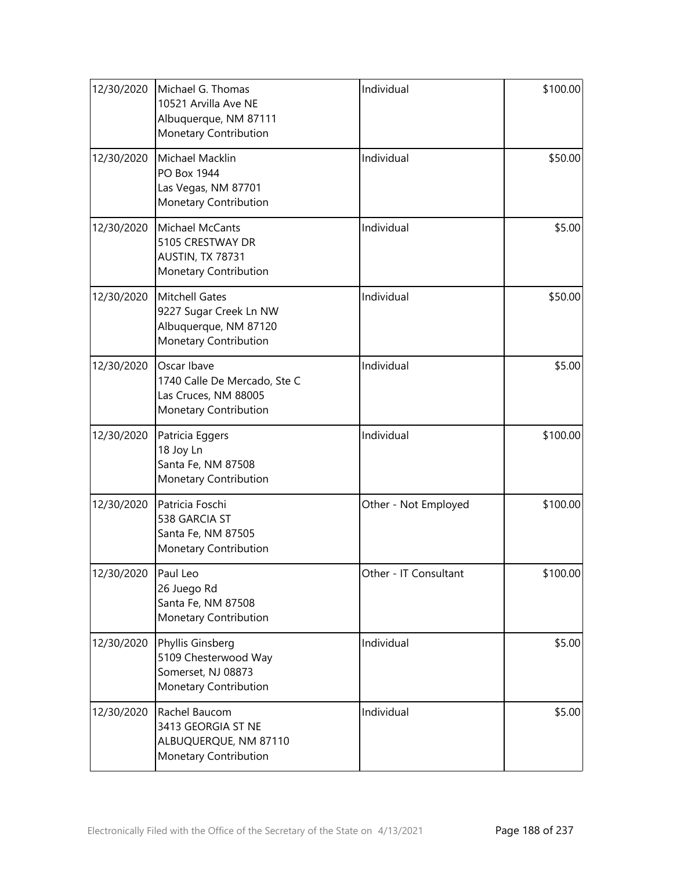| 12/30/2020 | Michael G. Thomas<br>10521 Arvilla Ave NE<br>Albuquerque, NM 87111<br>Monetary Contribution       | Individual            | \$100.00 |
|------------|---------------------------------------------------------------------------------------------------|-----------------------|----------|
| 12/30/2020 | Michael Macklin<br>PO Box 1944<br>Las Vegas, NM 87701<br>Monetary Contribution                    | Individual            | \$50.00  |
| 12/30/2020 | Michael McCants<br>5105 CRESTWAY DR<br>AUSTIN, TX 78731<br>Monetary Contribution                  | Individual            | \$5.00   |
| 12/30/2020 | <b>Mitchell Gates</b><br>9227 Sugar Creek Ln NW<br>Albuquerque, NM 87120<br>Monetary Contribution | Individual            | \$50.00  |
| 12/30/2020 | Oscar Ibave<br>1740 Calle De Mercado, Ste C<br>Las Cruces, NM 88005<br>Monetary Contribution      | Individual            | \$5.00   |
| 12/30/2020 | Patricia Eggers<br>18 Joy Ln<br>Santa Fe, NM 87508<br>Monetary Contribution                       | Individual            | \$100.00 |
| 12/30/2020 | Patricia Foschi<br>538 GARCIA ST<br>Santa Fe, NM 87505<br>Monetary Contribution                   | Other - Not Employed  | \$100.00 |
| 12/30/2020 | Paul Leo<br>26 Juego Rd<br>Santa Fe, NM 87508<br>Monetary Contribution                            | Other - IT Consultant | \$100.00 |
| 12/30/2020 | Phyllis Ginsberg<br>5109 Chesterwood Way<br>Somerset, NJ 08873<br>Monetary Contribution           | Individual            | \$5.00   |
| 12/30/2020 | Rachel Baucom<br>3413 GEORGIA ST NE<br>ALBUQUERQUE, NM 87110<br>Monetary Contribution             | Individual            | \$5.00   |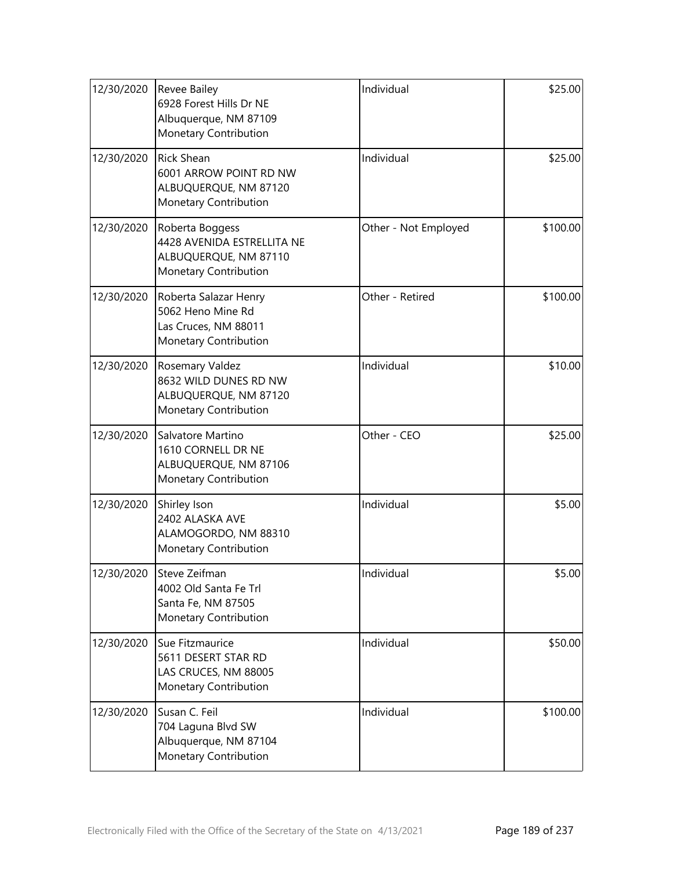| 12/30/2020 | <b>Revee Bailey</b><br>6928 Forest Hills Dr NE<br>Albuquerque, NM 87109<br>Monetary Contribution | Individual           | \$25.00  |
|------------|--------------------------------------------------------------------------------------------------|----------------------|----------|
| 12/30/2020 | <b>Rick Shean</b><br>6001 ARROW POINT RD NW<br>ALBUQUERQUE, NM 87120<br>Monetary Contribution    | Individual           | \$25.00  |
| 12/30/2020 | Roberta Boggess<br>4428 AVENIDA ESTRELLITA NE<br>ALBUQUERQUE, NM 87110<br>Monetary Contribution  | Other - Not Employed | \$100.00 |
| 12/30/2020 | Roberta Salazar Henry<br>5062 Heno Mine Rd<br>Las Cruces, NM 88011<br>Monetary Contribution      | Other - Retired      | \$100.00 |
| 12/30/2020 | Rosemary Valdez<br>8632 WILD DUNES RD NW<br>ALBUQUERQUE, NM 87120<br>Monetary Contribution       | Individual           | \$10.00  |
| 12/30/2020 | Salvatore Martino<br>1610 CORNELL DR NE<br>ALBUQUERQUE, NM 87106<br>Monetary Contribution        | Other - CEO          | \$25.00  |
| 12/30/2020 | Shirley Ison<br>2402 ALASKA AVE<br>ALAMOGORDO, NM 88310<br>Monetary Contribution                 | Individual           | \$5.00   |
| 12/30/2020 | Steve Zeifman<br>4002 Old Santa Fe Trl<br>Santa Fe, NM 87505<br>Monetary Contribution            | Individual           | \$5.00   |
| 12/30/2020 | Sue Fitzmaurice<br>5611 DESERT STAR RD<br>LAS CRUCES, NM 88005<br>Monetary Contribution          | Individual           | \$50.00  |
| 12/30/2020 | Susan C. Feil<br>704 Laguna Blvd SW<br>Albuquerque, NM 87104<br>Monetary Contribution            | Individual           | \$100.00 |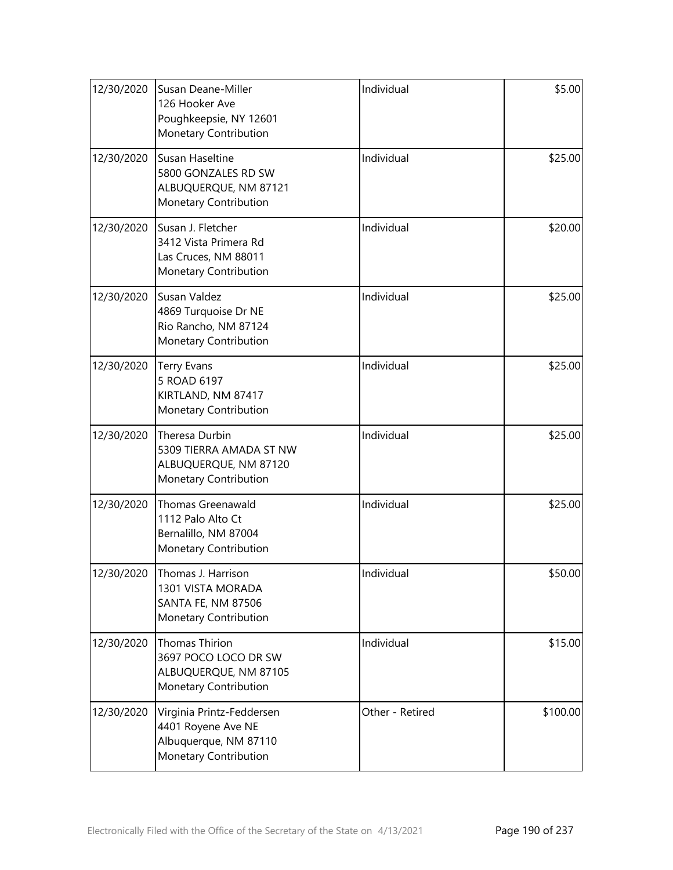| 12/30/2020 | Susan Deane-Miller<br>126 Hooker Ave<br>Poughkeepsie, NY 12601<br>Monetary Contribution           | Individual      | \$5.00   |
|------------|---------------------------------------------------------------------------------------------------|-----------------|----------|
| 12/30/2020 | Susan Haseltine<br>5800 GONZALES RD SW<br>ALBUQUERQUE, NM 87121<br>Monetary Contribution          | Individual      | \$25.00  |
| 12/30/2020 | Susan J. Fletcher<br>3412 Vista Primera Rd<br>Las Cruces, NM 88011<br>Monetary Contribution       | Individual      | \$20.00  |
| 12/30/2020 | Susan Valdez<br>4869 Turquoise Dr NE<br>Rio Rancho, NM 87124<br>Monetary Contribution             | Individual      | \$25.00  |
| 12/30/2020 | <b>Terry Evans</b><br>5 ROAD 6197<br>KIRTLAND, NM 87417<br>Monetary Contribution                  | Individual      | \$25.00  |
| 12/30/2020 | Theresa Durbin<br>5309 TIERRA AMADA ST NW<br>ALBUQUERQUE, NM 87120<br>Monetary Contribution       | Individual      | \$25.00  |
| 12/30/2020 | <b>Thomas Greenawald</b><br>1112 Palo Alto Ct<br>Bernalillo, NM 87004<br>Monetary Contribution    | Individual      | \$25.00  |
| 12/30/2020 | Thomas J. Harrison<br>1301 VISTA MORADA<br>SANTA FE, NM 87506<br>Monetary Contribution            | Individual      | \$50.00  |
| 12/30/2020 | Thomas Thirion<br>3697 POCO LOCO DR SW<br>ALBUQUERQUE, NM 87105<br>Monetary Contribution          | Individual      | \$15.00  |
| 12/30/2020 | Virginia Printz-Feddersen<br>4401 Royene Ave NE<br>Albuquerque, NM 87110<br>Monetary Contribution | Other - Retired | \$100.00 |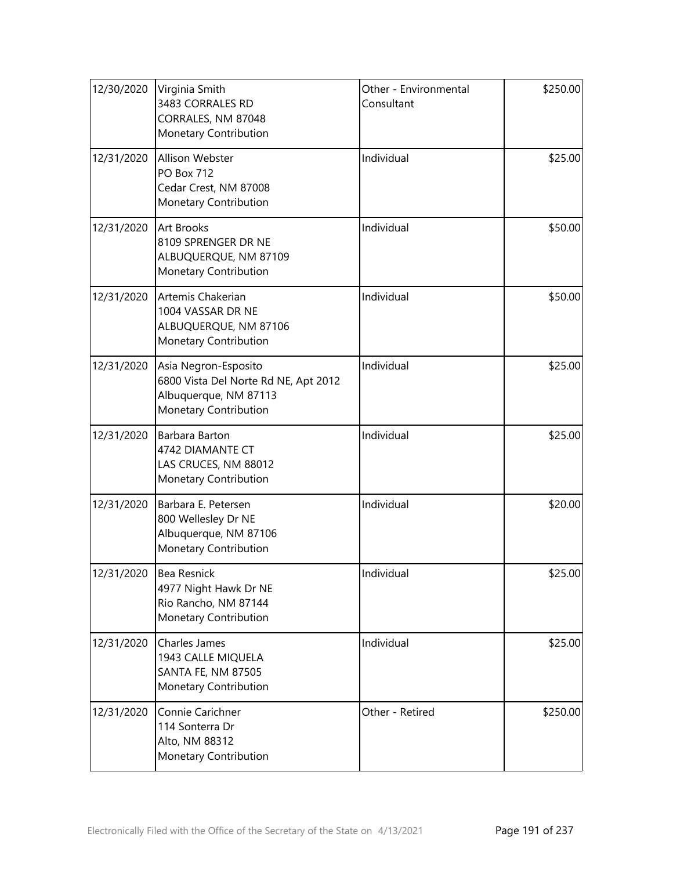| 12/30/2020 | Virginia Smith<br>3483 CORRALES RD<br>CORRALES, NM 87048<br>Monetary Contribution                              | Other - Environmental<br>Consultant | \$250.00 |
|------------|----------------------------------------------------------------------------------------------------------------|-------------------------------------|----------|
| 12/31/2020 | Allison Webster<br><b>PO Box 712</b><br>Cedar Crest, NM 87008<br>Monetary Contribution                         | Individual                          | \$25.00  |
| 12/31/2020 | <b>Art Brooks</b><br>8109 SPRENGER DR NE<br>ALBUQUERQUE, NM 87109<br>Monetary Contribution                     | Individual                          | \$50.00  |
| 12/31/2020 | Artemis Chakerian<br>1004 VASSAR DR NE<br>ALBUQUERQUE, NM 87106<br><b>Monetary Contribution</b>                | Individual                          | \$50.00  |
| 12/31/2020 | Asia Negron-Esposito<br>6800 Vista Del Norte Rd NE, Apt 2012<br>Albuquerque, NM 87113<br>Monetary Contribution | Individual                          | \$25.00  |
| 12/31/2020 | Barbara Barton<br>4742 DIAMANTE CT<br>LAS CRUCES, NM 88012<br>Monetary Contribution                            | Individual                          | \$25.00  |
| 12/31/2020 | Barbara E. Petersen<br>800 Wellesley Dr NE<br>Albuquerque, NM 87106<br>Monetary Contribution                   | Individual                          | \$20.00  |
| 12/31/2020 | Bea Resnick<br>4977 Night Hawk Dr NE<br>Rio Rancho, NM 87144<br>Monetary Contribution                          | Individual                          | \$25.00  |
| 12/31/2020 | Charles James<br>1943 CALLE MIQUELA<br>SANTA FE, NM 87505<br>Monetary Contribution                             | Individual                          | \$25.00  |
| 12/31/2020 | Connie Carichner<br>114 Sonterra Dr<br>Alto, NM 88312<br>Monetary Contribution                                 | Other - Retired                     | \$250.00 |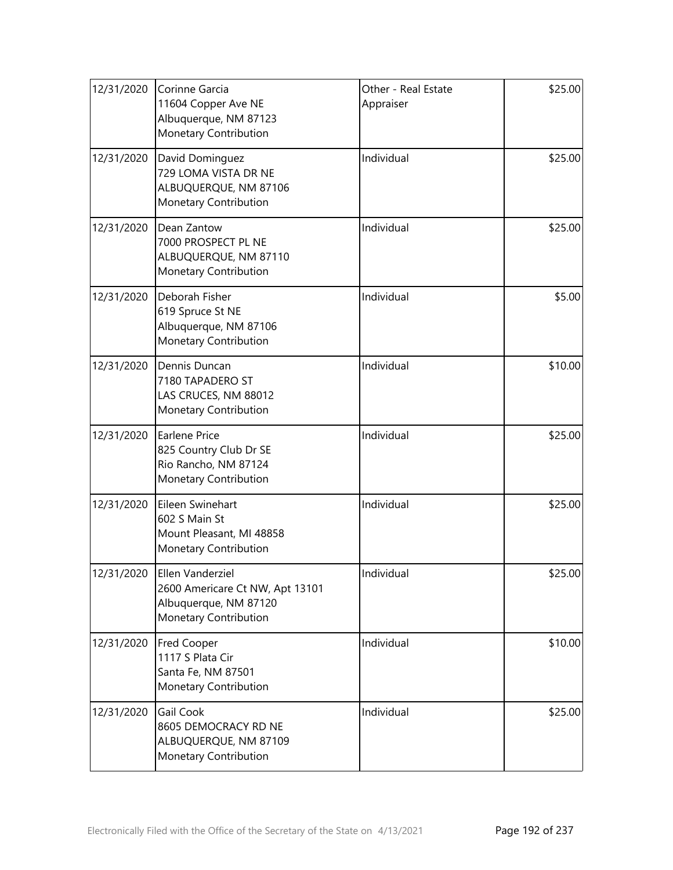| 12/31/2020 | Corinne Garcia<br>11604 Copper Ave NE<br>Albuquerque, NM 87123<br>Monetary Contribution               | Other - Real Estate<br>Appraiser | \$25.00 |
|------------|-------------------------------------------------------------------------------------------------------|----------------------------------|---------|
| 12/31/2020 | David Dominguez<br>729 LOMA VISTA DR NE<br>ALBUQUERQUE, NM 87106<br>Monetary Contribution             | Individual                       | \$25.00 |
| 12/31/2020 | Dean Zantow<br>7000 PROSPECT PL NE<br>ALBUQUERQUE, NM 87110<br>Monetary Contribution                  | Individual                       | \$25.00 |
| 12/31/2020 | Deborah Fisher<br>619 Spruce St NE<br>Albuquerque, NM 87106<br>Monetary Contribution                  | Individual                       | \$5.00  |
| 12/31/2020 | Dennis Duncan<br>7180 TAPADERO ST<br>LAS CRUCES, NM 88012<br>Monetary Contribution                    | Individual                       | \$10.00 |
| 12/31/2020 | <b>Earlene Price</b><br>825 Country Club Dr SE<br>Rio Rancho, NM 87124<br>Monetary Contribution       | Individual                       | \$25.00 |
| 12/31/2020 | Eileen Swinehart<br>602 S Main St<br>Mount Pleasant, MI 48858<br>Monetary Contribution                | Individual                       | \$25.00 |
| 12/31/2020 | Ellen Vanderziel<br>2600 Americare Ct NW, Apt 13101<br>Albuquerque, NM 87120<br>Monetary Contribution | Individual                       | \$25.00 |
| 12/31/2020 | <b>Fred Cooper</b><br>1117 S Plata Cir<br>Santa Fe, NM 87501<br>Monetary Contribution                 | Individual                       | \$10.00 |
| 12/31/2020 | Gail Cook<br>8605 DEMOCRACY RD NE<br>ALBUQUERQUE, NM 87109<br>Monetary Contribution                   | Individual                       | \$25.00 |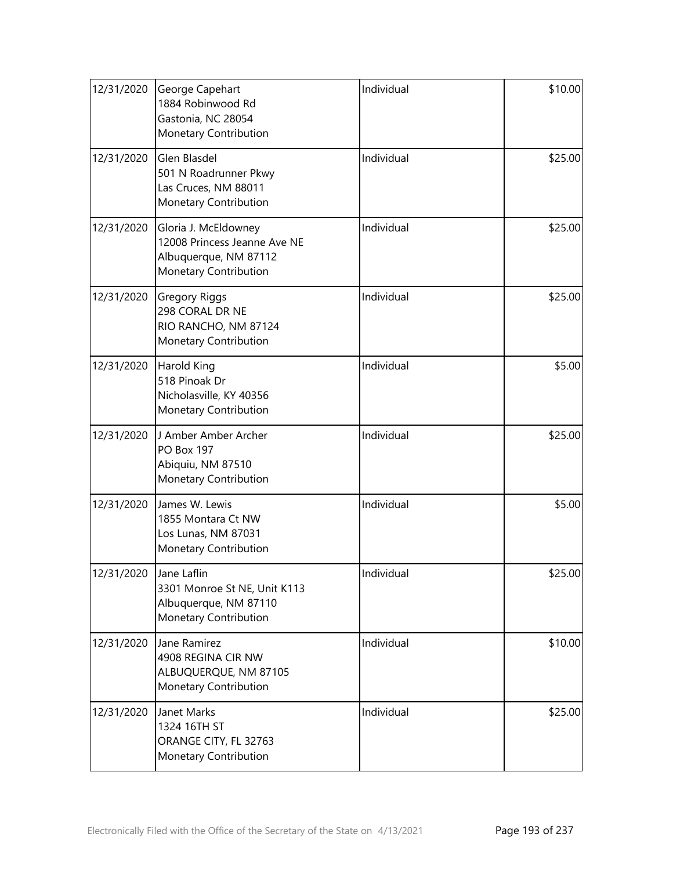| 12/31/2020                                                                                                           | George Capehart<br>1884 Robinwood Rd<br>Gastonia, NC 28054<br>Monetary Contribution           | Individual | \$10.00 |
|----------------------------------------------------------------------------------------------------------------------|-----------------------------------------------------------------------------------------------|------------|---------|
| 12/31/2020                                                                                                           | Glen Blasdel<br>501 N Roadrunner Pkwy<br>Las Cruces, NM 88011<br>Monetary Contribution        | Individual | \$25.00 |
| 12/31/2020<br>Gloria J. McEldowney<br>12008 Princess Jeanne Ave NE<br>Albuquerque, NM 87112<br>Monetary Contribution |                                                                                               | Individual | \$25.00 |
| 12/31/2020<br><b>Gregory Riggs</b><br>298 CORAL DR NE<br>RIO RANCHO, NM 87124<br>Monetary Contribution               |                                                                                               | Individual | \$25.00 |
| 12/31/2020                                                                                                           | Harold King<br>518 Pinoak Dr<br>Nicholasville, KY 40356<br>Monetary Contribution              | Individual | \$5.00  |
| 12/31/2020                                                                                                           | J Amber Amber Archer<br><b>PO Box 197</b><br>Abiquiu, NM 87510<br>Monetary Contribution       | Individual | \$25.00 |
| 12/31/2020                                                                                                           | James W. Lewis<br>1855 Montara Ct NW<br>Los Lunas, NM 87031<br>Monetary Contribution          | Individual | \$5.00  |
| 12/31/2020                                                                                                           | Jane Laflin<br>3301 Monroe St NE, Unit K113<br>Albuquerque, NM 87110<br>Monetary Contribution | Individual | \$25.00 |
| 12/31/2020                                                                                                           | Jane Ramirez<br>4908 REGINA CIR NW<br>ALBUQUERQUE, NM 87105<br>Monetary Contribution          | Individual | \$10.00 |
| 12/31/2020                                                                                                           | Janet Marks<br>1324 16TH ST<br>ORANGE CITY, FL 32763<br>Monetary Contribution                 | Individual | \$25.00 |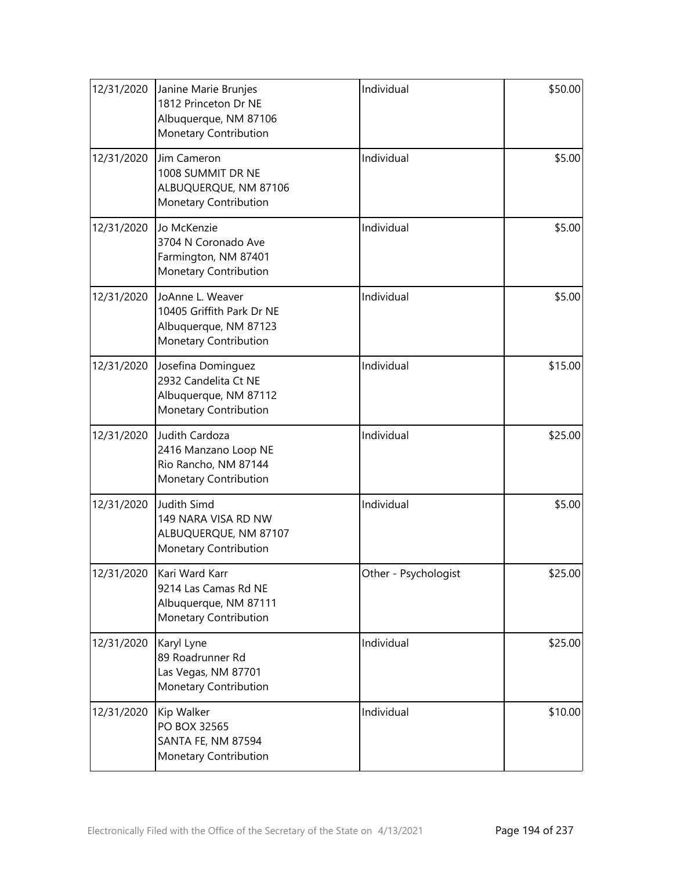| 12/31/2020 | Janine Marie Brunjes<br>1812 Princeton Dr NE<br>Albuquerque, NM 87106<br>Monetary Contribution  | Individual                      | \$50.00 |
|------------|-------------------------------------------------------------------------------------------------|---------------------------------|---------|
| 12/31/2020 | Jim Cameron<br>1008 SUMMIT DR NE<br>ALBUQUERQUE, NM 87106<br>Monetary Contribution              | Individual                      | \$5.00  |
| 12/31/2020 | Jo McKenzie<br>3704 N Coronado Ave<br>Farmington, NM 87401<br>Monetary Contribution             | Individual                      | \$5.00  |
| 12/31/2020 | JoAnne L. Weaver<br>10405 Griffith Park Dr NE<br>Albuquerque, NM 87123<br>Monetary Contribution | Individual                      | \$5.00  |
| 12/31/2020 | Josefina Dominguez<br>2932 Candelita Ct NE<br>Albuquerque, NM 87112<br>Monetary Contribution    | Individual                      | \$15.00 |
| 12/31/2020 | Judith Cardoza<br>2416 Manzano Loop NE<br>Rio Rancho, NM 87144<br>Monetary Contribution         | Individual                      | \$25.00 |
| 12/31/2020 | <b>Judith Simd</b><br>149 NARA VISA RD NW<br>ALBUQUERQUE, NM 87107<br>Monetary Contribution     | Individual                      | \$5.00  |
| 12/31/2020 | Kari Ward Karr<br>9214 Las Camas Rd NE<br>Albuquerque, NM 87111<br>Monetary Contribution        | Other - Psychologist<br>\$25.00 |         |
| 12/31/2020 | Karyl Lyne<br>89 Roadrunner Rd<br>Las Vegas, NM 87701<br>Monetary Contribution                  | Individual                      | \$25.00 |
| 12/31/2020 | Kip Walker<br>PO BOX 32565<br>SANTA FE, NM 87594<br>Monetary Contribution                       | Individual                      | \$10.00 |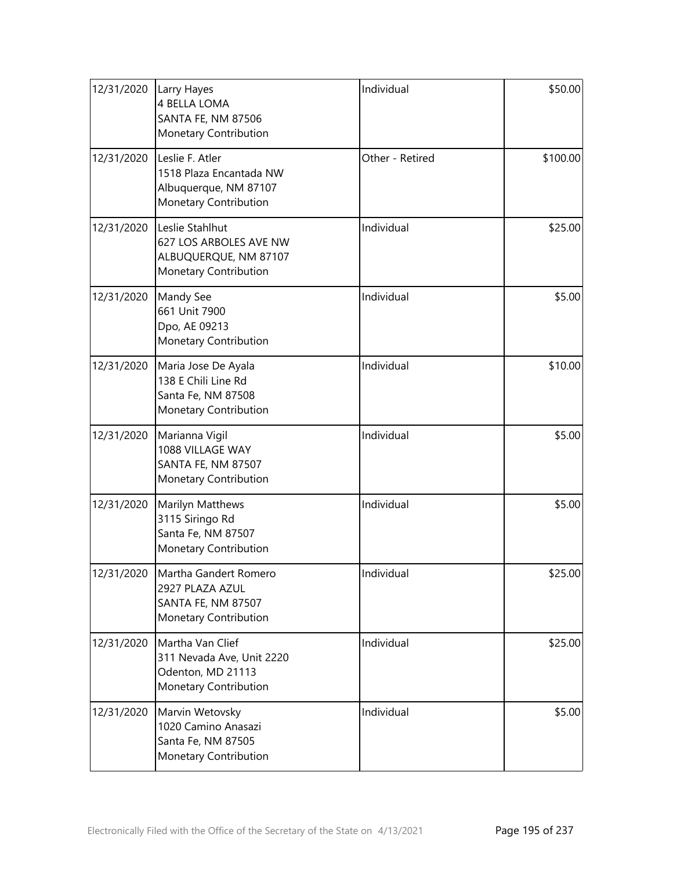| 12/31/2020 | Larry Hayes<br>4 BELLA LOMA<br><b>SANTA FE, NM 87506</b><br>Monetary Contribution                   | Individual      | \$50.00  |
|------------|-----------------------------------------------------------------------------------------------------|-----------------|----------|
| 12/31/2020 | Leslie F. Atler<br>1518 Plaza Encantada NW<br>Albuquerque, NM 87107<br><b>Monetary Contribution</b> | Other - Retired | \$100.00 |
| 12/31/2020 | Leslie Stahlhut<br>627 LOS ARBOLES AVE NW<br>ALBUQUERQUE, NM 87107<br>Monetary Contribution         | Individual      | \$25.00  |
| 12/31/2020 | Mandy See<br>661 Unit 7900<br>Dpo, AE 09213<br>Monetary Contribution                                | Individual      | \$5.00   |
| 12/31/2020 | Maria Jose De Ayala<br>138 E Chili Line Rd<br>Santa Fe, NM 87508<br>Monetary Contribution           | Individual      | \$10.00  |
| 12/31/2020 | Marianna Vigil<br>1088 VILLAGE WAY<br>SANTA FE, NM 87507<br>Monetary Contribution                   | Individual      | \$5.00   |
| 12/31/2020 | Marilyn Matthews<br>3115 Siringo Rd<br>Santa Fe, NM 87507<br>Monetary Contribution                  | Individual      | \$5.00   |
| 12/31/2020 | Martha Gandert Romero<br>2927 PLAZA AZUL<br>SANTA FE, NM 87507<br>Monetary Contribution             | Individual      | \$25.00  |
| 12/31/2020 | Martha Van Clief<br>311 Nevada Ave, Unit 2220<br>Odenton, MD 21113<br>Monetary Contribution         | Individual      | \$25.00  |
| 12/31/2020 | Marvin Wetovsky<br>1020 Camino Anasazi<br>Santa Fe, NM 87505<br>Monetary Contribution               | Individual      | \$5.00   |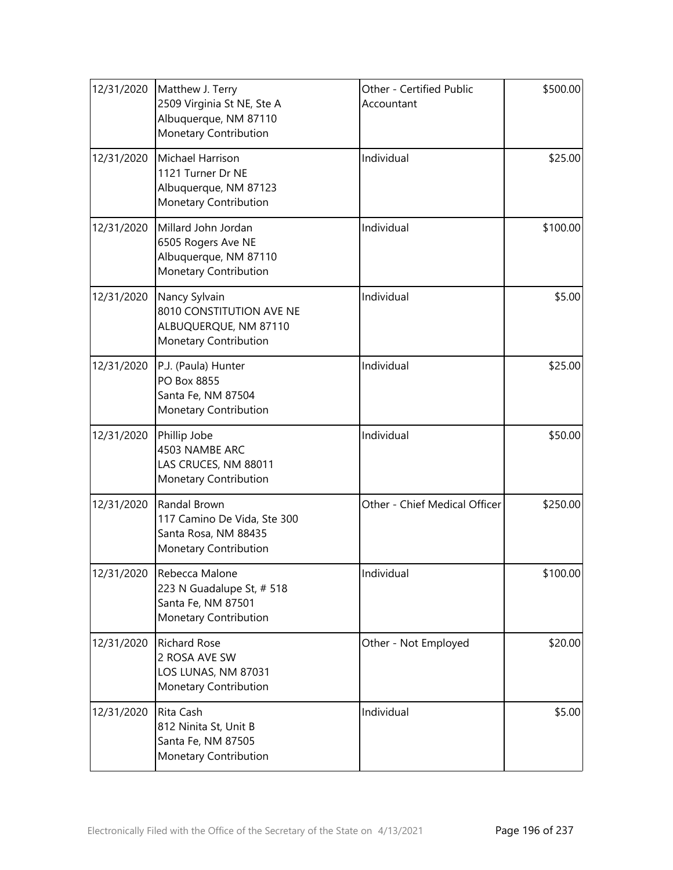| 12/31/2020 | Matthew J. Terry<br>2509 Virginia St NE, Ste A<br>Albuquerque, NM 87110<br>Monetary Contribution   | \$500.00<br>Other - Certified Public<br>Accountant |          |
|------------|----------------------------------------------------------------------------------------------------|----------------------------------------------------|----------|
| 12/31/2020 | Michael Harrison<br>1121 Turner Dr NE<br>Albuquerque, NM 87123<br>Monetary Contribution            | Individual                                         | \$25.00  |
| 12/31/2020 | Millard John Jordan<br>6505 Rogers Ave NE<br>Albuquerque, NM 87110<br>Monetary Contribution        | Individual                                         | \$100.00 |
| 12/31/2020 | Nancy Sylvain<br>8010 CONSTITUTION AVE NE<br>ALBUQUERQUE, NM 87110<br>Monetary Contribution        | Individual                                         | \$5.00   |
| 12/31/2020 | P.J. (Paula) Hunter<br>PO Box 8855<br>Santa Fe, NM 87504<br>Monetary Contribution                  | Individual                                         | \$25.00  |
| 12/31/2020 | Phillip Jobe<br>4503 NAMBE ARC<br>LAS CRUCES, NM 88011<br>Monetary Contribution                    | Individual                                         | \$50.00  |
| 12/31/2020 | Randal Brown<br>117 Camino De Vida, Ste 300<br>Santa Rosa, NM 88435<br>Monetary Contribution       | Other - Chief Medical Officer                      | \$250.00 |
| 12/31/2020 | <b>IRebecca Malone</b><br>223 N Guadalupe St, # 518<br>Santa Fe, NM 87501<br>Monetary Contribution | Individual                                         | \$100.00 |
| 12/31/2020 | <b>Richard Rose</b><br>2 ROSA AVE SW<br>LOS LUNAS, NM 87031<br><b>Monetary Contribution</b>        | Other - Not Employed                               | \$20.00  |
| 12/31/2020 | Rita Cash<br>812 Ninita St, Unit B<br>Santa Fe, NM 87505<br>Monetary Contribution                  | Individual                                         | \$5.00   |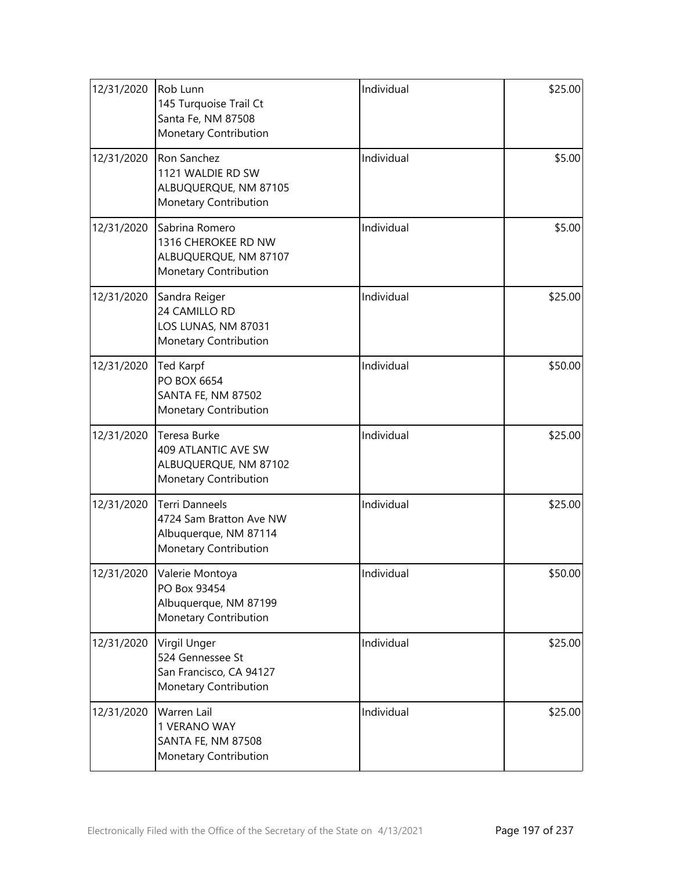| 12/31/2020                                                                                            | Rob Lunn<br>145 Turquoise Trail Ct<br>Santa Fe, NM 87508<br>Monetary Contribution                         | Individual | \$25.00 |
|-------------------------------------------------------------------------------------------------------|-----------------------------------------------------------------------------------------------------------|------------|---------|
| 12/31/2020                                                                                            | Ron Sanchez<br>1121 WALDIE RD SW<br>ALBUQUERQUE, NM 87105<br>Monetary Contribution                        | Individual | \$5.00  |
| Sabrina Romero<br>12/31/2020<br>1316 CHEROKEE RD NW<br>ALBUQUERQUE, NM 87107<br>Monetary Contribution |                                                                                                           | Individual | \$5.00  |
| 12/31/2020<br>Sandra Reiger<br>24 CAMILLO RD<br>LOS LUNAS, NM 87031<br>Monetary Contribution          |                                                                                                           | Individual | \$25.00 |
| 12/31/2020                                                                                            | <b>Ted Karpf</b><br>PO BOX 6654<br>SANTA FE, NM 87502<br>Monetary Contribution                            | Individual | \$50.00 |
| 12/31/2020                                                                                            | Teresa Burke<br>409 ATLANTIC AVE SW<br>ALBUQUERQUE, NM 87102<br>Monetary Contribution                     | Individual | \$25.00 |
| 12/31/2020                                                                                            | <b>Terri Danneels</b><br>4724 Sam Bratton Ave NW<br>Albuquerque, NM 87114<br><b>Monetary Contribution</b> | Individual | \$25.00 |
| 12/31/2020                                                                                            | Valerie Montoya<br>PO Box 93454<br>Albuquerque, NM 87199<br>Monetary Contribution                         | Individual | \$50.00 |
| 12/31/2020                                                                                            | Virgil Unger<br>524 Gennessee St<br>San Francisco, CA 94127<br>Monetary Contribution                      | Individual | \$25.00 |
| 12/31/2020                                                                                            | Warren Lail<br>1 VERANO WAY<br>SANTA FE, NM 87508<br>Monetary Contribution                                | Individual | \$25.00 |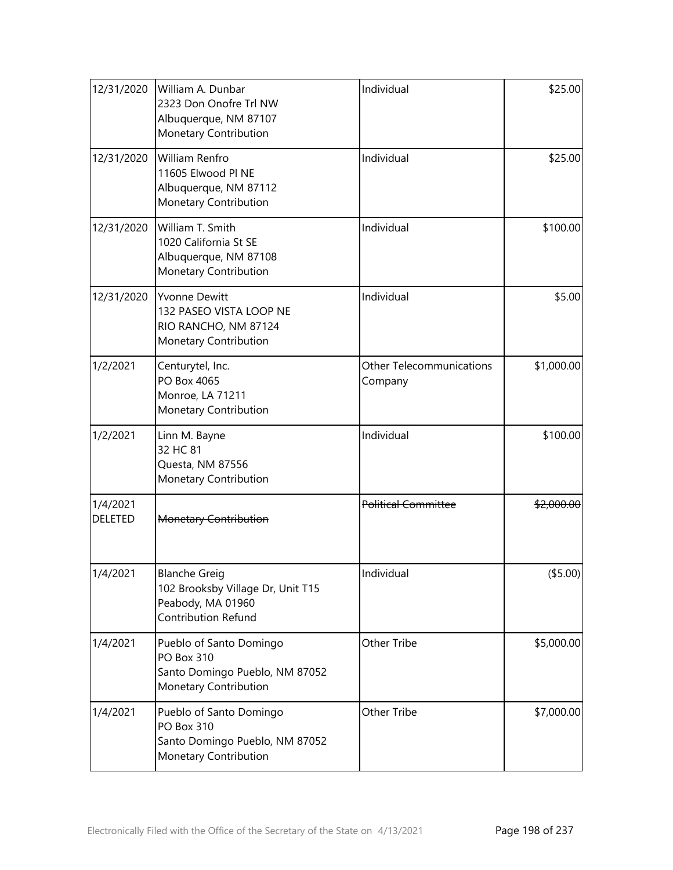| 12/31/2020                 | William A. Dunbar<br>2323 Don Onofre Trl NW<br>Albuquerque, NM 87107<br>Monetary Contribution             | Individual                                 | \$25.00    |
|----------------------------|-----------------------------------------------------------------------------------------------------------|--------------------------------------------|------------|
| 12/31/2020                 | William Renfro<br>11605 Elwood Pl NE<br>Albuquerque, NM 87112<br>Monetary Contribution                    | Individual                                 | \$25.00    |
| 12/31/2020                 | William T. Smith<br>Individual<br>1020 California St SE<br>Albuquerque, NM 87108<br>Monetary Contribution |                                            | \$100.00   |
| 12/31/2020                 | <b>Yvonne Dewitt</b><br>132 PASEO VISTA LOOP NE<br>RIO RANCHO, NM 87124<br>Monetary Contribution          | Individual                                 | \$5.00     |
| 1/2/2021                   | Centurytel, Inc.<br>PO Box 4065<br>Monroe, LA 71211<br>Monetary Contribution                              | <b>Other Telecommunications</b><br>Company | \$1,000.00 |
| 1/2/2021                   | Linn M. Bayne<br>32 HC 81<br>Questa, NM 87556<br>Monetary Contribution                                    | Individual                                 | \$100.00   |
| 1/4/2021<br><b>DELETED</b> | <b>Monetary Contribution</b>                                                                              | <b>Political Committee</b>                 | \$2,000.00 |
| 1/4/2021                   | <b>Blanche Greig</b><br>102 Brooksby Village Dr, Unit T15<br>Peabody, MA 01960<br>Contribution Refund     | Individual<br>(\$5.00)                     |            |
| 1/4/2021                   | Pueblo of Santo Domingo<br><b>PO Box 310</b><br>Santo Domingo Pueblo, NM 87052<br>Monetary Contribution   | Other Tribe                                | \$5,000.00 |
| 1/4/2021                   | Pueblo of Santo Domingo<br><b>PO Box 310</b><br>Santo Domingo Pueblo, NM 87052<br>Monetary Contribution   | <b>Other Tribe</b>                         | \$7,000.00 |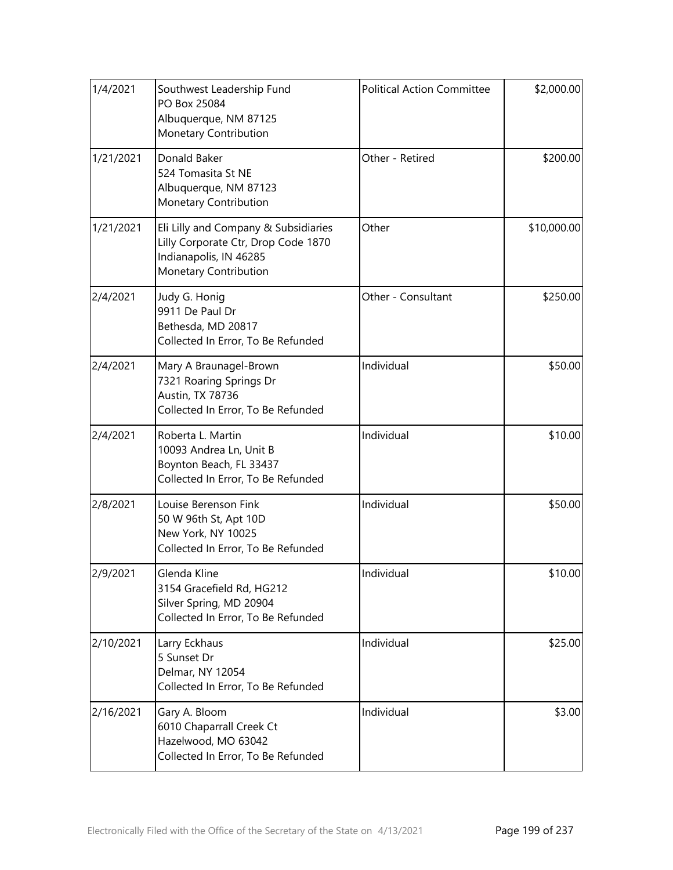| 1/4/2021  | Southwest Leadership Fund<br>PO Box 25084<br>Albuquerque, NM 87125<br>Monetary Contribution                                             | <b>Political Action Committee</b> |             | \$2,000.00 |
|-----------|-----------------------------------------------------------------------------------------------------------------------------------------|-----------------------------------|-------------|------------|
| 1/21/2021 | Donald Baker<br>524 Tomasita St NE<br>Albuquerque, NM 87123<br>Monetary Contribution                                                    | Other - Retired                   | \$200.00    |            |
| 1/21/2021 | Other<br>Eli Lilly and Company & Subsidiaries<br>Lilly Corporate Ctr, Drop Code 1870<br>Indianapolis, IN 46285<br>Monetary Contribution |                                   | \$10,000.00 |            |
| 2/4/2021  | Judy G. Honig<br>9911 De Paul Dr<br>Bethesda, MD 20817<br>Collected In Error, To Be Refunded                                            | Other - Consultant                | \$250.00    |            |
| 2/4/2021  | Mary A Braunagel-Brown<br>7321 Roaring Springs Dr<br>Austin, TX 78736<br>Collected In Error, To Be Refunded                             | Individual                        | \$50.00     |            |
| 2/4/2021  | Roberta L. Martin<br>10093 Andrea Ln, Unit B<br>Boynton Beach, FL 33437<br>Collected In Error, To Be Refunded                           | Individual                        | \$10.00     |            |
| 2/8/2021  | Louise Berenson Fink<br>50 W 96th St, Apt 10D<br>New York, NY 10025<br>Collected In Error, To Be Refunded                               | Individual                        | \$50.00     |            |
| 2/9/2021  | Glenda Kline<br>3154 Gracefield Rd, HG212<br>Silver Spring, MD 20904<br>Collected In Error, To Be Refunded                              | Individual<br>\$10.00             |             |            |
| 2/10/2021 | Larry Eckhaus<br>5 Sunset Dr<br>Delmar, NY 12054<br>Collected In Error, To Be Refunded                                                  | Individual                        | \$25.00     |            |
| 2/16/2021 | Gary A. Bloom<br>6010 Chaparrall Creek Ct<br>Hazelwood, MO 63042<br>Collected In Error, To Be Refunded                                  | Individual                        | \$3.00      |            |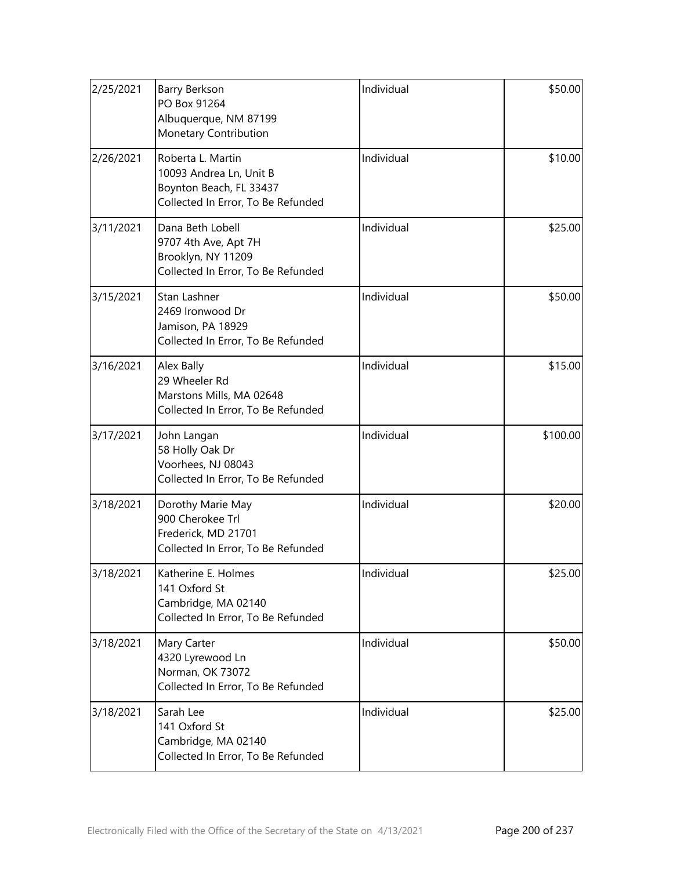| 2/25/2021 | Barry Berkson<br>PO Box 91264<br>Albuquerque, NM 87199<br>Monetary Contribution                               | Individual | \$50.00  |
|-----------|---------------------------------------------------------------------------------------------------------------|------------|----------|
| 2/26/2021 | Roberta L. Martin<br>10093 Andrea Ln, Unit B<br>Boynton Beach, FL 33437<br>Collected In Error, To Be Refunded | Individual | \$10.00  |
| 3/11/2021 | Dana Beth Lobell<br>9707 4th Ave, Apt 7H<br>Brooklyn, NY 11209<br>Collected In Error, To Be Refunded          | Individual | \$25.00  |
| 3/15/2021 | Stan Lashner<br>2469 Ironwood Dr<br>Jamison, PA 18929<br>Collected In Error, To Be Refunded                   | Individual | \$50.00  |
| 3/16/2021 | Alex Bally<br>29 Wheeler Rd<br>Marstons Mills, MA 02648<br>Collected In Error, To Be Refunded                 | Individual | \$15.00  |
| 3/17/2021 | John Langan<br>58 Holly Oak Dr<br>Voorhees, NJ 08043<br>Collected In Error, To Be Refunded                    | Individual | \$100.00 |
| 3/18/2021 | Dorothy Marie May<br>900 Cherokee Trl<br>Frederick, MD 21701<br>Collected In Error, To Be Refunded            | Individual | \$20.00  |
| 3/18/2021 | Katherine E. Holmes<br>141 Oxford St<br>Cambridge, MA 02140<br>Collected In Error, To Be Refunded             | Individual | \$25.00  |
| 3/18/2021 | Mary Carter<br>4320 Lyrewood Ln<br>Norman, OK 73072<br>Collected In Error, To Be Refunded                     | Individual | \$50.00  |
| 3/18/2021 | Sarah Lee<br>141 Oxford St<br>Cambridge, MA 02140<br>Collected In Error, To Be Refunded                       | Individual | \$25.00  |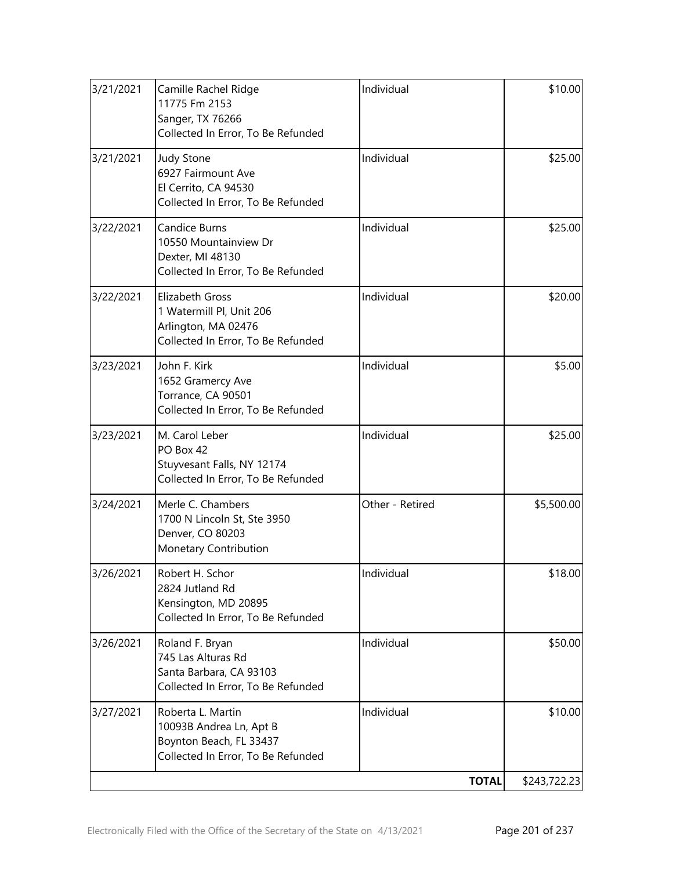| 3/21/2021 | Camille Rachel Ridge<br>11775 Fm 2153<br>Sanger, TX 76266<br>Collected In Error, To Be Refunded                 | Individual<br>\$10.00 |              |
|-----------|-----------------------------------------------------------------------------------------------------------------|-----------------------|--------------|
| 3/21/2021 | <b>Judy Stone</b><br>6927 Fairmount Ave<br>El Cerrito, CA 94530<br>Collected In Error, To Be Refunded           | Individual            | \$25.00      |
| 3/22/2021 | <b>Candice Burns</b><br>10550 Mountainview Dr<br>Dexter, MI 48130<br>Collected In Error, To Be Refunded         | Individual            | \$25.00      |
| 3/22/2021 | <b>Elizabeth Gross</b><br>1 Watermill Pl, Unit 206<br>Arlington, MA 02476<br>Collected In Error, To Be Refunded | Individual            | \$20.00      |
| 3/23/2021 | John F. Kirk<br>1652 Gramercy Ave<br>Torrance, CA 90501<br>Collected In Error, To Be Refunded                   | Individual            | \$5.00       |
| 3/23/2021 | M. Carol Leber<br>PO Box 42<br>Stuyvesant Falls, NY 12174<br>Collected In Error, To Be Refunded                 | Individual            | \$25.00      |
| 3/24/2021 | Merle C. Chambers<br>1700 N Lincoln St, Ste 3950<br>Denver, CO 80203<br>Monetary Contribution                   | Other - Retired       | \$5,500.00   |
| 3/26/2021 | Robert H. Schor<br>2824 Jutland Rd<br>Kensington, MD 20895<br>Collected In Error, To Be Refunded                | Individual            | \$18.00      |
| 3/26/2021 | Roland F. Bryan<br>745 Las Alturas Rd<br>Santa Barbara, CA 93103<br>Collected In Error, To Be Refunded          | Individual            | \$50.00      |
| 3/27/2021 | Roberta L. Martin<br>10093B Andrea Ln, Apt B<br>Boynton Beach, FL 33437<br>Collected In Error, To Be Refunded   | Individual            | \$10.00      |
|           |                                                                                                                 | <b>TOTAL</b>          | \$243,722.23 |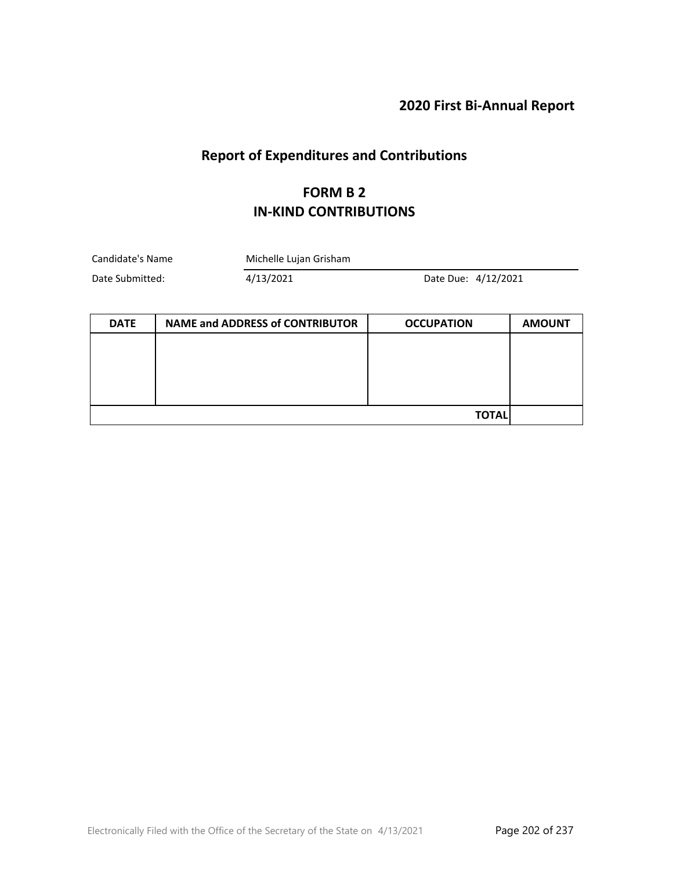## **2020 First Bi-Annual Report**

# **Report of Expenditures and Contributions**

#### **FORM B 2 IN-KIND CONTRIBUTIONS**

| Candidate's Name | Michelle Lujan Grisham |                     |  |
|------------------|------------------------|---------------------|--|
| Date Submitted:  | 4/13/2021              | Date Due: 4/12/2021 |  |

| <b>DATE</b> | <b>NAME and ADDRESS of CONTRIBUTOR</b> | <b>OCCUPATION</b> | <b>AMOUNT</b> |
|-------------|----------------------------------------|-------------------|---------------|
|             |                                        |                   |               |
|             |                                        |                   |               |
|             |                                        |                   |               |
|             |                                        |                   |               |
|             |                                        | <b>TOTAL</b>      |               |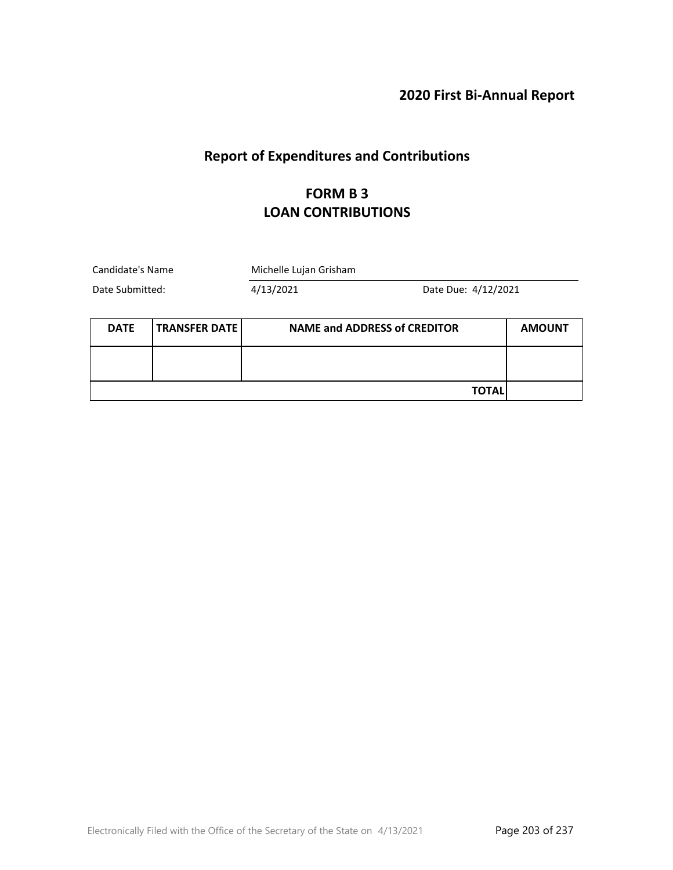#### **2020 First Bi-Annual Report**

# **Report of Expenditures and Contributions**

#### **FORM B 3 LOAN CONTRIBUTIONS**

| Candidate's Name |                        | Michelle Lujan Grisham              |                     |               |
|------------------|------------------------|-------------------------------------|---------------------|---------------|
| Date Submitted:  |                        | 4/13/2021                           | Date Due: 4/12/2021 |               |
|                  |                        |                                     |                     |               |
| <b>DATE</b>      | <b>TRANSFER DATE  </b> | <b>NAME and ADDRESS of CREDITOR</b> |                     | <b>AMOUNT</b> |
|                  |                        |                                     |                     |               |
|                  |                        |                                     |                     |               |
|                  |                        |                                     | TOTAL               |               |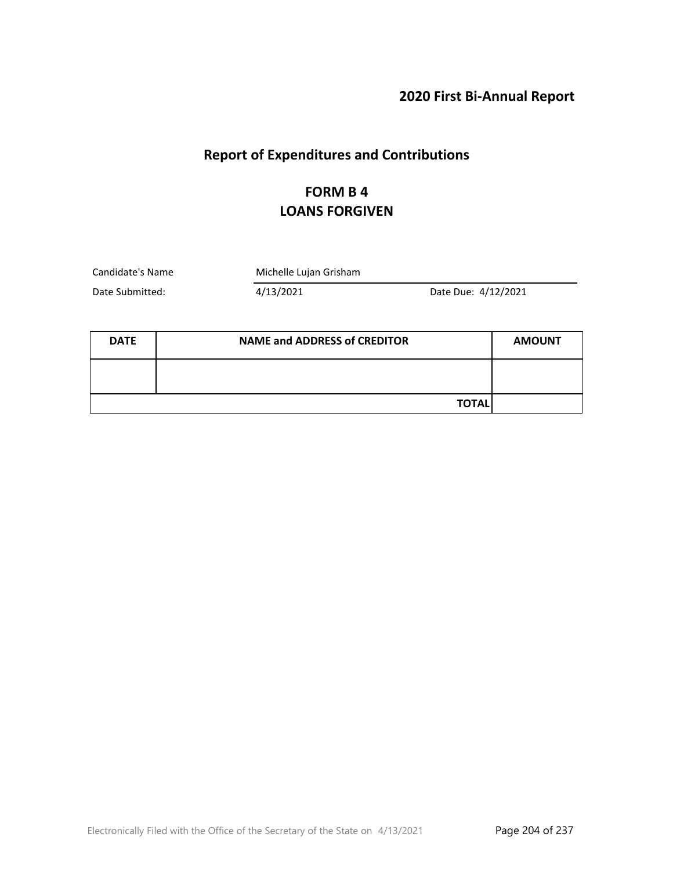# **2020 First Bi-Annual Report**

## **Report of Expenditures and Contributions**

### **FORM B 4 LOANS FORGIVEN**

Candidate's Name Michelle Lujan Grisham

Date Submitted: 4/13/2021 Date Due: 4/12/2021

| <b>DATE</b> | <b>NAME and ADDRESS of CREDITOR</b> | <b>AMOUNT</b> |
|-------------|-------------------------------------|---------------|
|             |                                     |               |
|             | <b>TOTAL</b>                        |               |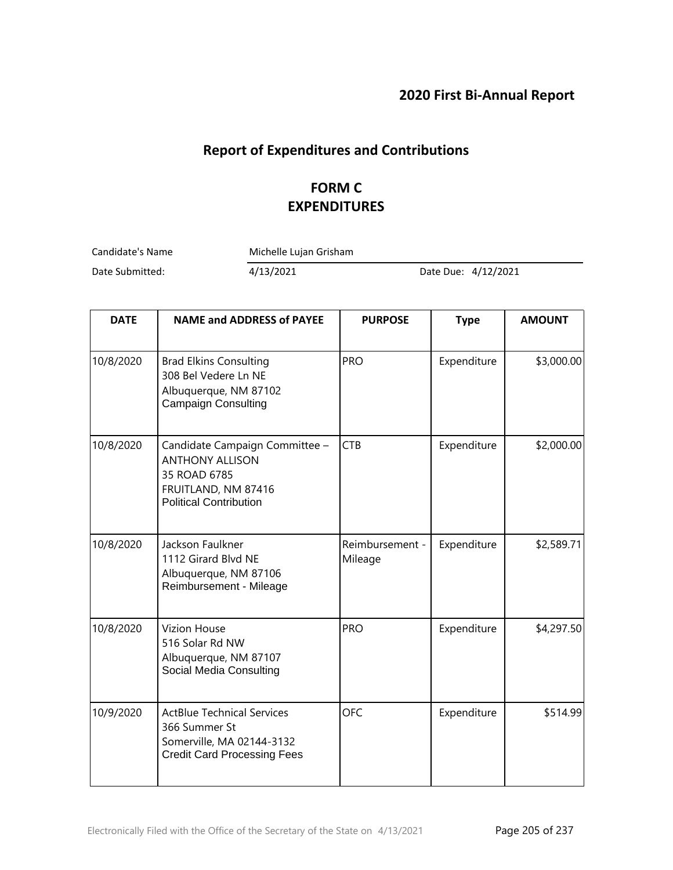## **Report of Expenditures and Contributions**

## **FORM C EXPENDITURES**

Candidate's Name Michelle Lujan Grisham

Date Submitted: 4/13/2021 Date Due: 4/12/2021

| <b>DATE</b> | <b>NAME and ADDRESS of PAYEE</b>                                                                                                 | <b>PURPOSE</b>             | <b>Type</b> | <b>AMOUNT</b> |
|-------------|----------------------------------------------------------------------------------------------------------------------------------|----------------------------|-------------|---------------|
| 10/8/2020   | <b>Brad Elkins Consulting</b><br>308 Bel Vedere Ln NE<br>Albuquerque, NM 87102<br><b>Campaign Consulting</b>                     | <b>PRO</b>                 | Expenditure | \$3,000.00    |
| 10/8/2020   | Candidate Campaign Committee -<br><b>ANTHONY ALLISON</b><br>35 ROAD 6785<br>FRUITLAND, NM 87416<br><b>Political Contribution</b> | <b>CTB</b>                 | Expenditure | \$2,000.00    |
| 10/8/2020   | Jackson Faulkner<br>1112 Girard Blvd NE<br>Albuquerque, NM 87106<br>Reimbursement - Mileage                                      | Reimbursement -<br>Mileage | Expenditure | \$2,589.71    |
| 10/8/2020   | <b>Vizion House</b><br>516 Solar Rd NW<br>Albuquerque, NM 87107<br>Social Media Consulting                                       | <b>PRO</b>                 | Expenditure | \$4,297.50    |
| 10/9/2020   | <b>ActBlue Technical Services</b><br>366 Summer St<br>Somerville, MA 02144-3132<br><b>Credit Card Processing Fees</b>            | <b>OFC</b>                 | Expenditure | \$514.99      |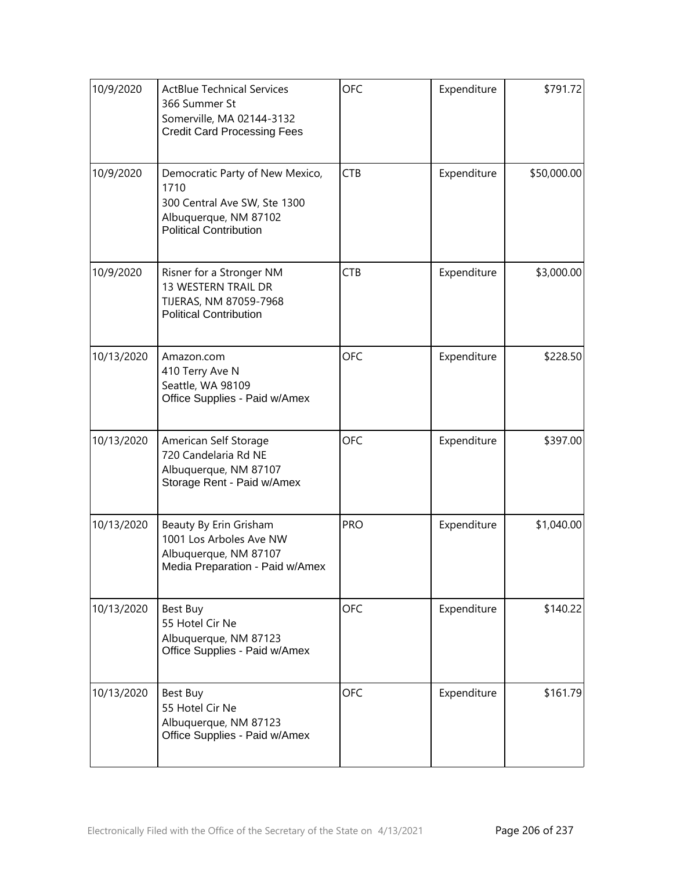| 10/9/2020  | <b>ActBlue Technical Services</b><br>366 Summer St<br>Somerville, MA 02144-3132<br><b>Credit Card Processing Fees</b>             | <b>OFC</b> | Expenditure | \$791.72    |
|------------|-----------------------------------------------------------------------------------------------------------------------------------|------------|-------------|-------------|
| 10/9/2020  | Democratic Party of New Mexico,<br>1710<br>300 Central Ave SW, Ste 1300<br>Albuquerque, NM 87102<br><b>Political Contribution</b> | <b>CTB</b> | Expenditure | \$50,000.00 |
| 10/9/2020  | Risner for a Stronger NM<br>13 WESTERN TRAIL DR<br>TIJERAS, NM 87059-7968<br><b>Political Contribution</b>                        | <b>CTB</b> | Expenditure | \$3,000.00  |
| 10/13/2020 | Amazon.com<br>410 Terry Ave N<br>Seattle, WA 98109<br>Office Supplies - Paid w/Amex                                               | <b>OFC</b> | Expenditure | \$228.50    |
| 10/13/2020 | American Self Storage<br>720 Candelaria Rd NE<br>Albuquerque, NM 87107<br>Storage Rent - Paid w/Amex                              | <b>OFC</b> | Expenditure | \$397.00    |
| 10/13/2020 | Beauty By Erin Grisham<br>1001 Los Arboles Ave NW<br>Albuquerque, NM 87107<br>Media Preparation - Paid w/Amex                     | <b>PRO</b> | Expenditure | \$1,040.00  |
| 10/13/2020 | Best Buy<br>55 Hotel Cir Ne<br>Albuquerque, NM 87123<br>Office Supplies - Paid w/Amex                                             | <b>OFC</b> | Expenditure | \$140.22    |
| 10/13/2020 | Best Buy<br>55 Hotel Cir Ne<br>Albuquerque, NM 87123<br>Office Supplies - Paid w/Amex                                             | <b>OFC</b> | Expenditure | \$161.79    |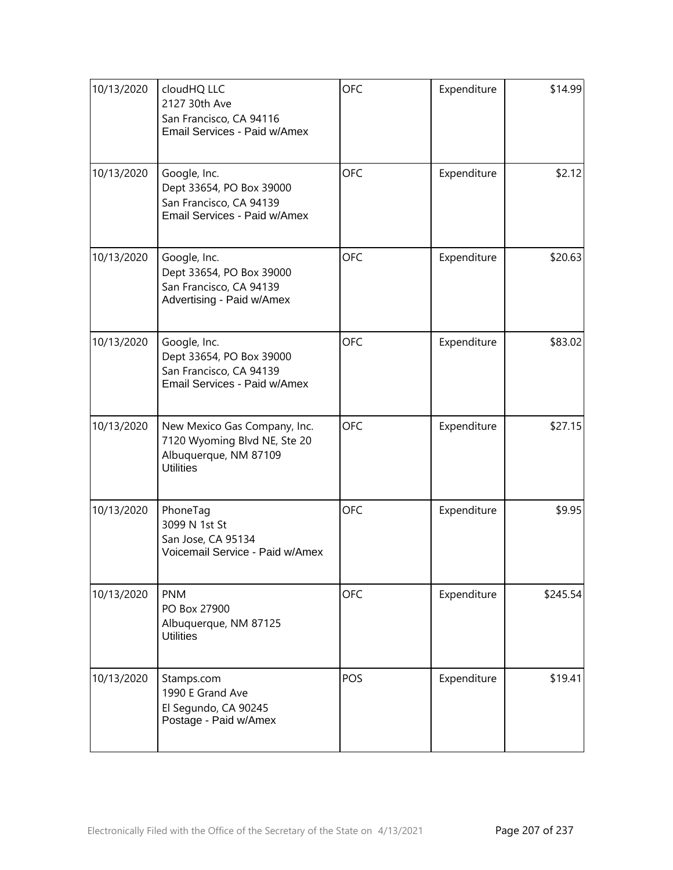| 10/13/2020 | cloudHQ LLC<br>2127 30th Ave<br>San Francisco, CA 94116<br>Email Services - Paid w/Amex                   | OFC        | Expenditure | \$14.99  |
|------------|-----------------------------------------------------------------------------------------------------------|------------|-------------|----------|
| 10/13/2020 | Google, Inc.<br>Dept 33654, PO Box 39000<br>San Francisco, CA 94139<br>Email Services - Paid w/Amex       | <b>OFC</b> | Expenditure | \$2.12   |
| 10/13/2020 | Google, Inc.<br>Dept 33654, PO Box 39000<br>San Francisco, CA 94139<br>Advertising - Paid w/Amex          | <b>OFC</b> | Expenditure | \$20.63  |
| 10/13/2020 | Google, Inc.<br>Dept 33654, PO Box 39000<br>San Francisco, CA 94139<br>Email Services - Paid w/Amex       | <b>OFC</b> | Expenditure | \$83.02  |
| 10/13/2020 | New Mexico Gas Company, Inc.<br>7120 Wyoming Blvd NE, Ste 20<br>Albuquerque, NM 87109<br><b>Utilities</b> | <b>OFC</b> | Expenditure | \$27.15  |
| 10/13/2020 | PhoneTag<br>3099 N 1st St<br>San Jose, CA 95134<br>Voicemail Service - Paid w/Amex                        | <b>OFC</b> | Expenditure | \$9.95   |
| 10/13/2020 | <b>PNM</b><br>PO Box 27900<br>Albuquerque, NM 87125<br><b>Utilities</b>                                   | <b>OFC</b> | Expenditure | \$245.54 |
| 10/13/2020 | Stamps.com<br>1990 E Grand Ave<br>El Segundo, CA 90245<br>Postage - Paid w/Amex                           | POS        | Expenditure | \$19.41  |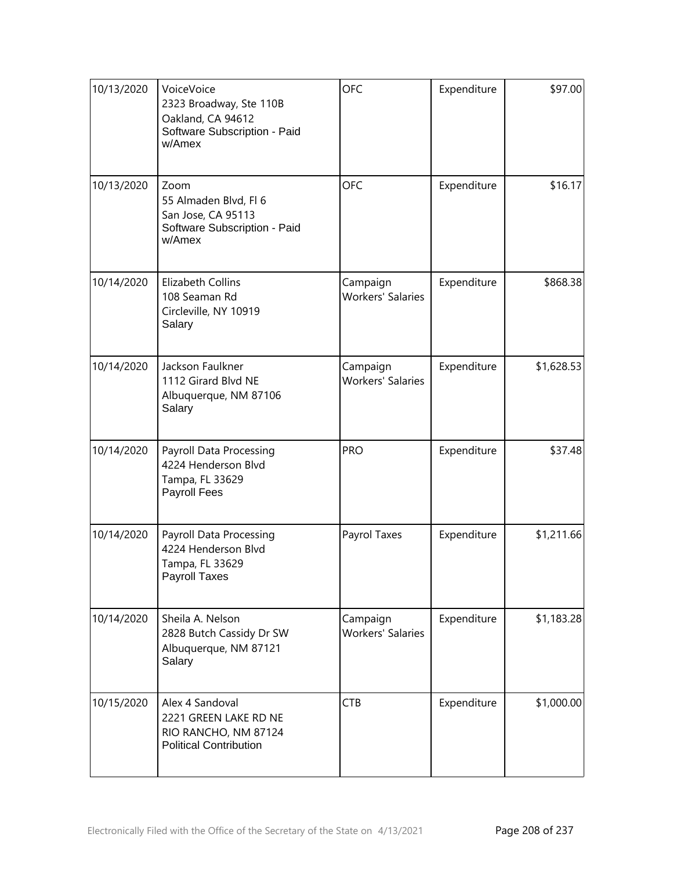| 10/13/2020 | VoiceVoice<br>2323 Broadway, Ste 110B<br>Oakland, CA 94612<br>Software Subscription - Paid<br>w/Amex | <b>OFC</b>                           | Expenditure | \$97.00    |
|------------|------------------------------------------------------------------------------------------------------|--------------------------------------|-------------|------------|
| 10/13/2020 | Zoom<br>55 Almaden Blvd, Fl 6<br>San Jose, CA 95113<br>Software Subscription - Paid<br>w/Amex        | <b>OFC</b>                           | Expenditure | \$16.17    |
| 10/14/2020 | Elizabeth Collins<br>108 Seaman Rd<br>Circleville, NY 10919<br>Salary                                | Campaign<br><b>Workers' Salaries</b> | Expenditure | \$868.38   |
| 10/14/2020 | Jackson Faulkner<br>1112 Girard Blvd NE<br>Albuquerque, NM 87106<br>Salary                           | Campaign<br><b>Workers' Salaries</b> | Expenditure | \$1,628.53 |
| 10/14/2020 | Payroll Data Processing<br>4224 Henderson Blvd<br>Tampa, FL 33629<br>Payroll Fees                    | <b>PRO</b>                           | Expenditure | \$37.48    |
| 10/14/2020 | Payroll Data Processing<br>4224 Henderson Blvd<br>Tampa, FL 33629<br>Payroll Taxes                   | Payrol Taxes                         | Expenditure | \$1,211.66 |
| 10/14/2020 | Sheila A. Nelson<br>2828 Butch Cassidy Dr SW<br>Albuquerque, NM 87121<br>Salary                      | Campaign<br><b>Workers' Salaries</b> | Expenditure | \$1,183.28 |
| 10/15/2020 | Alex 4 Sandoval<br>2221 GREEN LAKE RD NE<br>RIO RANCHO, NM 87124<br><b>Political Contribution</b>    | <b>CTB</b>                           | Expenditure | \$1,000.00 |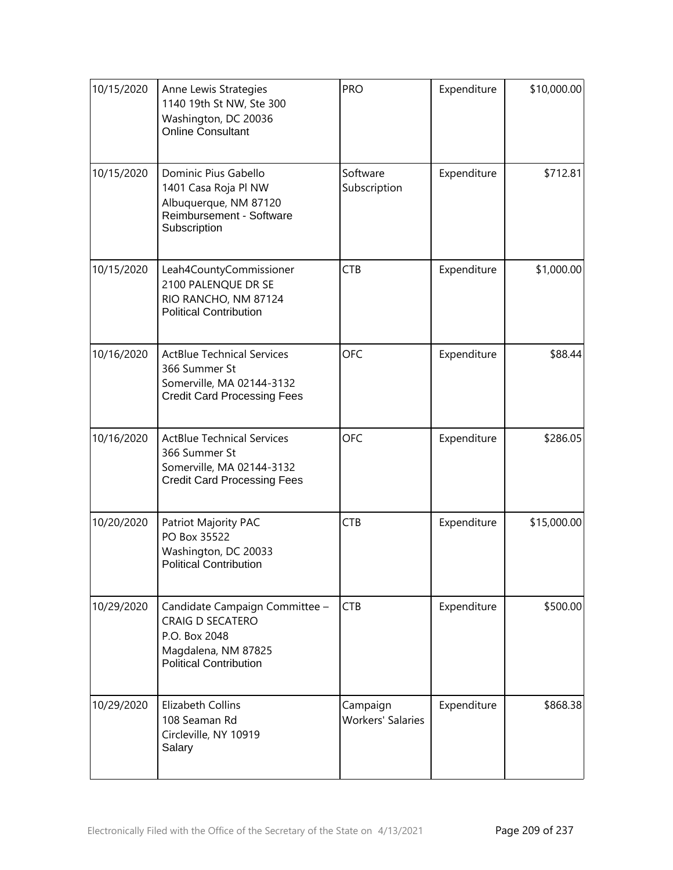| 10/15/2020 | Anne Lewis Strategies<br>1140 19th St NW, Ste 300<br>Washington, DC 20036<br><b>Online Consultant</b>                              | <b>PRO</b>                           | Expenditure | \$10,000.00 |
|------------|------------------------------------------------------------------------------------------------------------------------------------|--------------------------------------|-------------|-------------|
| 10/15/2020 | Dominic Pius Gabello<br>1401 Casa Roja Pl NW<br>Albuquerque, NM 87120<br>Reimbursement - Software<br>Subscription                  | Software<br>Subscription             | Expenditure | \$712.81    |
| 10/15/2020 | Leah4CountyCommissioner<br>2100 PALENQUE DR SE<br>RIO RANCHO, NM 87124<br><b>Political Contribution</b>                            | <b>CTB</b>                           | Expenditure | \$1,000.00  |
| 10/16/2020 | <b>ActBlue Technical Services</b><br>366 Summer St<br>Somerville, MA 02144-3132<br><b>Credit Card Processing Fees</b>              | <b>OFC</b>                           | Expenditure | \$88.44     |
| 10/16/2020 | <b>ActBlue Technical Services</b><br>366 Summer St<br>Somerville, MA 02144-3132<br><b>Credit Card Processing Fees</b>              | <b>OFC</b>                           | Expenditure | \$286.05    |
| 10/20/2020 | Patriot Majority PAC<br>PO Box 35522<br>Washington, DC 20033<br><b>Political Contribution</b>                                      | <b>CTB</b>                           | Expenditure | \$15,000.00 |
| 10/29/2020 | Candidate Campaign Committee -<br><b>CRAIG D SECATERO</b><br>P.O. Box 2048<br>Magdalena, NM 87825<br><b>Political Contribution</b> | <b>CTB</b>                           | Expenditure | \$500.00    |
| 10/29/2020 | <b>Elizabeth Collins</b><br>108 Seaman Rd<br>Circleville, NY 10919<br>Salary                                                       | Campaign<br><b>Workers' Salaries</b> | Expenditure | \$868.38    |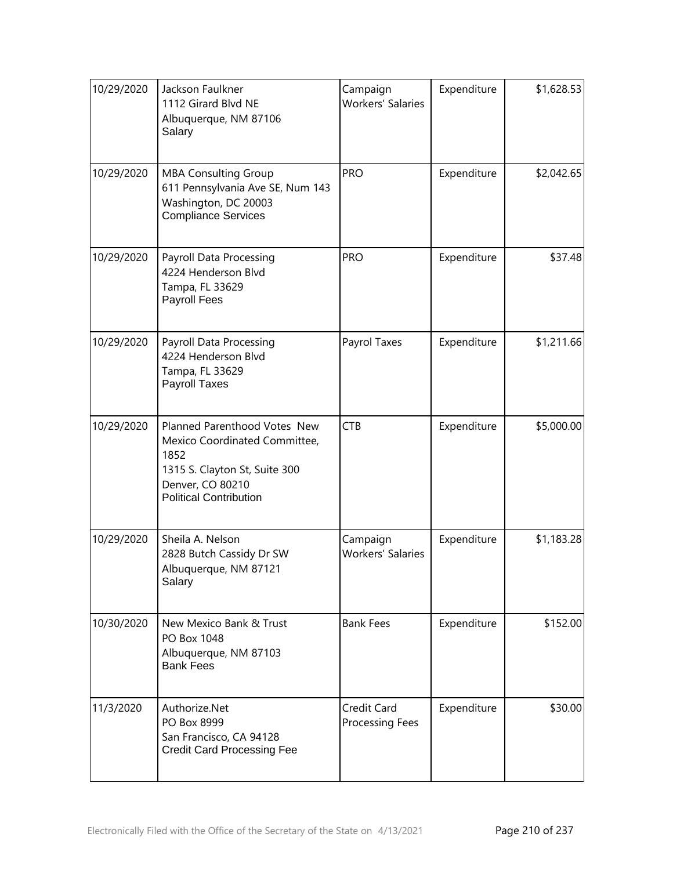| 10/29/2020 | Jackson Faulkner<br>1112 Girard Blvd NE<br>Albuquerque, NM 87106<br>Salary                                                                                  | Campaign<br><b>Workers' Salaries</b> | Expenditure | \$1,628.53 |
|------------|-------------------------------------------------------------------------------------------------------------------------------------------------------------|--------------------------------------|-------------|------------|
| 10/29/2020 | <b>MBA Consulting Group</b><br>611 Pennsylvania Ave SE, Num 143<br>Washington, DC 20003<br><b>Compliance Services</b>                                       | <b>PRO</b>                           | Expenditure | \$2,042.65 |
| 10/29/2020 | Payroll Data Processing<br>4224 Henderson Blvd<br>Tampa, FL 33629<br>Payroll Fees                                                                           | <b>PRO</b>                           | Expenditure | \$37.48    |
| 10/29/2020 | Payroll Data Processing<br>4224 Henderson Blvd<br>Tampa, FL 33629<br><b>Payroll Taxes</b>                                                                   | Payrol Taxes                         | Expenditure | \$1,211.66 |
| 10/29/2020 | Planned Parenthood Votes New<br>Mexico Coordinated Committee,<br>1852<br>1315 S. Clayton St, Suite 300<br>Denver, CO 80210<br><b>Political Contribution</b> | <b>CTB</b>                           | Expenditure | \$5,000.00 |
| 10/29/2020 | Sheila A. Nelson<br>2828 Butch Cassidy Dr SW<br>Albuquerque, NM 87121<br>Salary                                                                             | Campaign<br><b>Workers' Salaries</b> | Expenditure | \$1,183.28 |
| 10/30/2020 | New Mexico Bank & Trust<br>PO Box 1048<br>Albuquerque, NM 87103<br><b>Bank Fees</b>                                                                         | <b>Bank Fees</b>                     | Expenditure | \$152.00   |
| 11/3/2020  | Authorize.Net<br>PO Box 8999<br>San Francisco, CA 94128<br><b>Credit Card Processing Fee</b>                                                                | Credit Card<br>Processing Fees       | Expenditure | \$30.00    |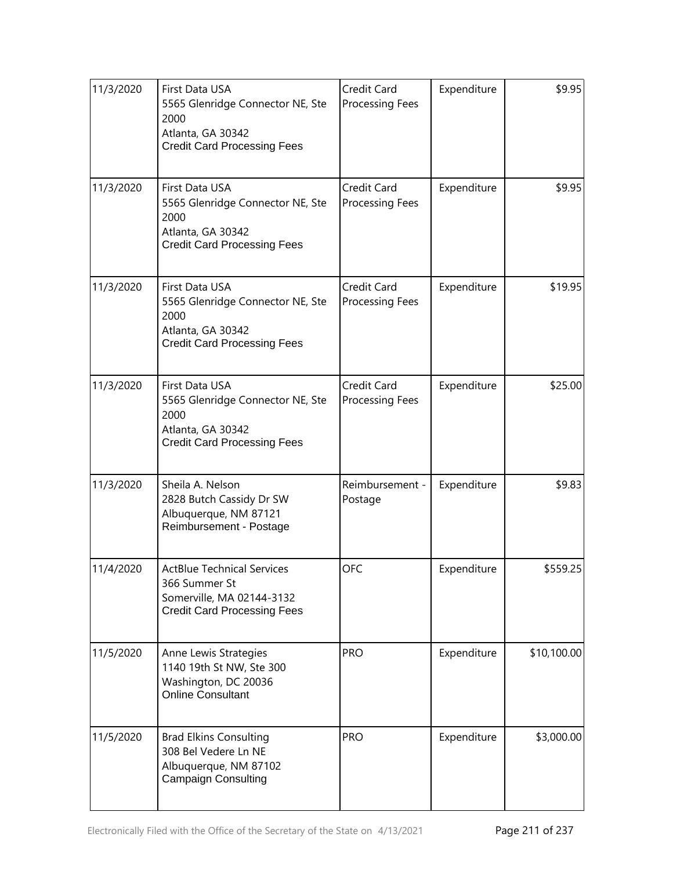| 11/3/2020 | First Data USA<br>5565 Glenridge Connector NE, Ste<br>2000<br>Atlanta, GA 30342<br><b>Credit Card Processing Fees</b> | Credit Card<br>Processing Fees | Expenditure | \$9.95      |
|-----------|-----------------------------------------------------------------------------------------------------------------------|--------------------------------|-------------|-------------|
| 11/3/2020 | First Data USA<br>5565 Glenridge Connector NE, Ste<br>2000<br>Atlanta, GA 30342<br><b>Credit Card Processing Fees</b> | Credit Card<br>Processing Fees | Expenditure | \$9.95      |
| 11/3/2020 | First Data USA<br>5565 Glenridge Connector NE, Ste<br>2000<br>Atlanta, GA 30342<br><b>Credit Card Processing Fees</b> | Credit Card<br>Processing Fees | Expenditure | \$19.95     |
| 11/3/2020 | First Data USA<br>5565 Glenridge Connector NE, Ste<br>2000<br>Atlanta, GA 30342<br><b>Credit Card Processing Fees</b> | Credit Card<br>Processing Fees | Expenditure | \$25.00     |
| 11/3/2020 | Sheila A. Nelson<br>2828 Butch Cassidy Dr SW<br>Albuquerque, NM 87121<br>Reimbursement - Postage                      | Reimbursement -<br>Postage     | Expenditure | \$9.83      |
| 11/4/2020 | <b>ActBlue Technical Services</b><br>366 Summer St<br>Somerville, MA 02144-3132<br><b>Credit Card Processing Fees</b> | OFC                            | Expenditure | \$559.25    |
| 11/5/2020 | Anne Lewis Strategies<br>1140 19th St NW, Ste 300<br>Washington, DC 20036<br><b>Online Consultant</b>                 | <b>PRO</b>                     | Expenditure | \$10,100.00 |
| 11/5/2020 | <b>Brad Elkins Consulting</b><br>308 Bel Vedere Ln NE<br>Albuquerque, NM 87102<br><b>Campaign Consulting</b>          | <b>PRO</b>                     | Expenditure | \$3,000.00  |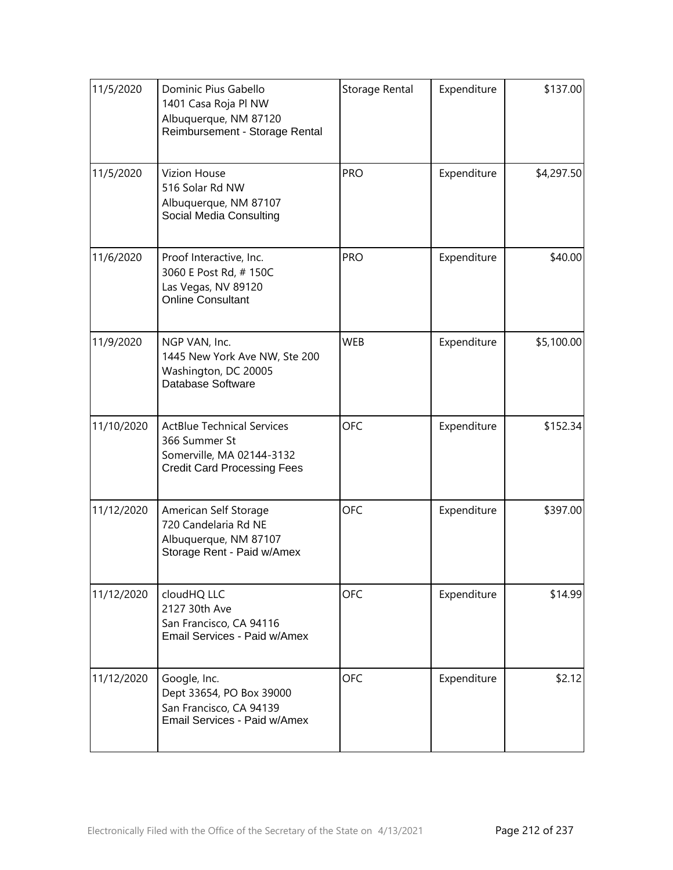| 11/5/2020  | Dominic Pius Gabello<br>1401 Casa Roja Pl NW<br>Albuquerque, NM 87120<br>Reimbursement - Storage Rental               | Storage Rental | Expenditure | \$137.00   |
|------------|-----------------------------------------------------------------------------------------------------------------------|----------------|-------------|------------|
| 11/5/2020  | <b>Vizion House</b><br>516 Solar Rd NW<br>Albuquerque, NM 87107<br>Social Media Consulting                            | <b>PRO</b>     | Expenditure | \$4,297.50 |
| 11/6/2020  | Proof Interactive, Inc.<br>3060 E Post Rd, #150C<br>Las Vegas, NV 89120<br>Online Consultant                          | <b>PRO</b>     | Expenditure | \$40.00    |
| 11/9/2020  | NGP VAN, Inc.<br>1445 New York Ave NW, Ste 200<br>Washington, DC 20005<br>Database Software                           | <b>WEB</b>     | Expenditure | \$5,100.00 |
| 11/10/2020 | <b>ActBlue Technical Services</b><br>366 Summer St<br>Somerville, MA 02144-3132<br><b>Credit Card Processing Fees</b> | <b>OFC</b>     | Expenditure | \$152.34   |
| 11/12/2020 | American Self Storage<br>720 Candelaria Rd NE<br>Albuquerque, NM 87107<br>Storage Rent - Paid w/Amex                  | <b>OFC</b>     | Expenditure | \$397.00   |
| 11/12/2020 | cloudHQ LLC<br>2127 30th Ave<br>San Francisco, CA 94116<br>Email Services - Paid w/Amex                               | OFC            | Expenditure | \$14.99    |
| 11/12/2020 | Google, Inc.<br>Dept 33654, PO Box 39000<br>San Francisco, CA 94139<br>Email Services - Paid w/Amex                   | <b>OFC</b>     | Expenditure | \$2.12     |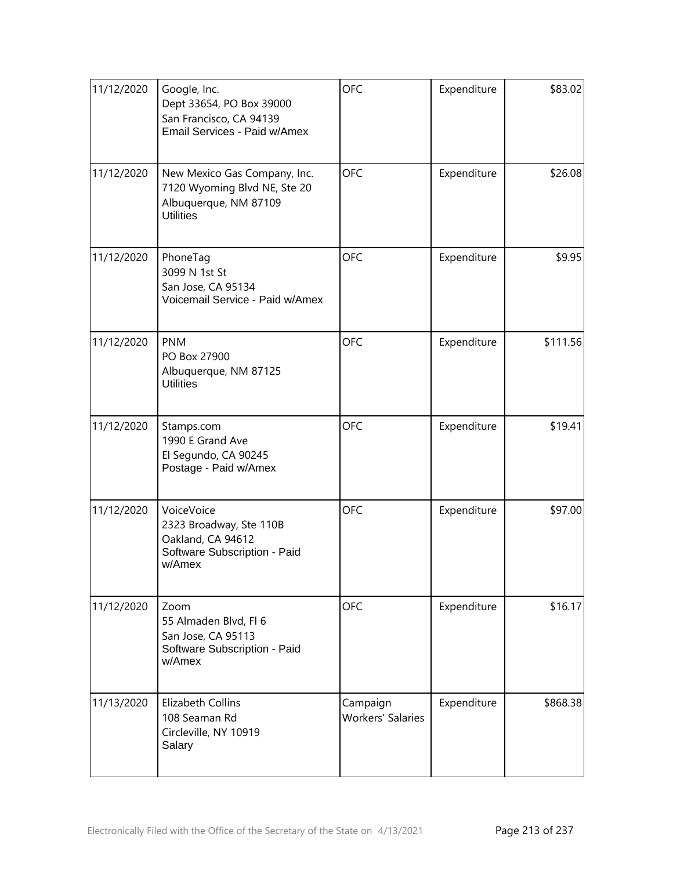| 11/12/2020 | Google, Inc.<br>Dept 33654, PO Box 39000<br>San Francisco, CA 94139<br>Email Services - Paid w/Amex       | <b>OFC</b>                           | Expenditure | \$83.02  |
|------------|-----------------------------------------------------------------------------------------------------------|--------------------------------------|-------------|----------|
| 11/12/2020 | New Mexico Gas Company, Inc.<br>7120 Wyoming Blvd NE, Ste 20<br>Albuquerque, NM 87109<br><b>Utilities</b> | <b>OFC</b>                           | Expenditure | \$26.08  |
| 11/12/2020 | PhoneTag<br>3099 N 1st St<br>San Jose, CA 95134<br>Voicemail Service - Paid w/Amex                        | <b>OFC</b>                           | Expenditure | \$9.95   |
| 11/12/2020 | <b>PNM</b><br>PO Box 27900<br>Albuquerque, NM 87125<br><b>Utilities</b>                                   | <b>OFC</b>                           | Expenditure | \$111.56 |
| 11/12/2020 | Stamps.com<br>1990 E Grand Ave<br>El Segundo, CA 90245<br>Postage - Paid w/Amex                           | <b>OFC</b>                           | Expenditure | \$19.41  |
| 11/12/2020 | VoiceVoice<br>2323 Broadway, Ste 110B<br>Oakland, CA 94612<br>Software Subscription - Paid<br>w/Amex      | <b>OFC</b>                           | Expenditure | \$97.00  |
| 11/12/2020 | Zoom<br>55 Almaden Blvd, Fl 6<br>San Jose, CA 95113<br>Software Subscription - Paid<br>w/Amex             | <b>OFC</b>                           | Expenditure | \$16.17  |
| 11/13/2020 | <b>Elizabeth Collins</b><br>108 Seaman Rd<br>Circleville, NY 10919<br>Salary                              | Campaign<br><b>Workers' Salaries</b> | Expenditure | \$868.38 |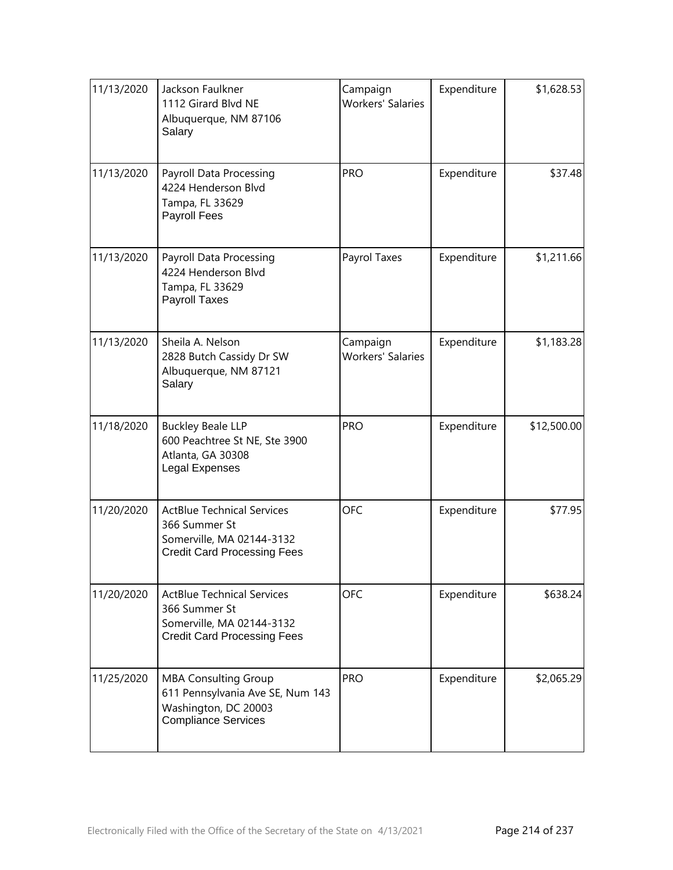| 11/13/2020 | Jackson Faulkner<br>1112 Girard Blvd NE<br>Albuquerque, NM 87106<br>Salary                                            | Campaign<br><b>Workers' Salaries</b> | Expenditure | \$1,628.53  |
|------------|-----------------------------------------------------------------------------------------------------------------------|--------------------------------------|-------------|-------------|
| 11/13/2020 | Payroll Data Processing<br>4224 Henderson Blvd<br>Tampa, FL 33629<br>Payroll Fees                                     | <b>PRO</b>                           | Expenditure | \$37.48     |
| 11/13/2020 | Payroll Data Processing<br>4224 Henderson Blvd<br>Tampa, FL 33629<br><b>Payroll Taxes</b>                             | Payrol Taxes                         | Expenditure | \$1,211.66  |
| 11/13/2020 | Sheila A. Nelson<br>2828 Butch Cassidy Dr SW<br>Albuquerque, NM 87121<br>Salary                                       | Campaign<br><b>Workers' Salaries</b> | Expenditure | \$1,183.28  |
| 11/18/2020 | <b>Buckley Beale LLP</b><br>600 Peachtree St NE, Ste 3900<br>Atlanta, GA 30308<br>Legal Expenses                      | <b>PRO</b>                           | Expenditure | \$12,500.00 |
| 11/20/2020 | <b>ActBlue Technical Services</b><br>366 Summer St<br>Somerville, MA 02144-3132<br><b>Credit Card Processing Fees</b> | <b>OFC</b>                           | Expenditure | \$77.95     |
| 11/20/2020 | <b>ActBlue Technical Services</b><br>366 Summer St<br>Somerville, MA 02144-3132<br><b>Credit Card Processing Fees</b> | <b>OFC</b>                           | Expenditure | \$638.24    |
| 11/25/2020 | <b>MBA Consulting Group</b><br>611 Pennsylvania Ave SE, Num 143<br>Washington, DC 20003<br><b>Compliance Services</b> | <b>PRO</b>                           | Expenditure | \$2,065.29  |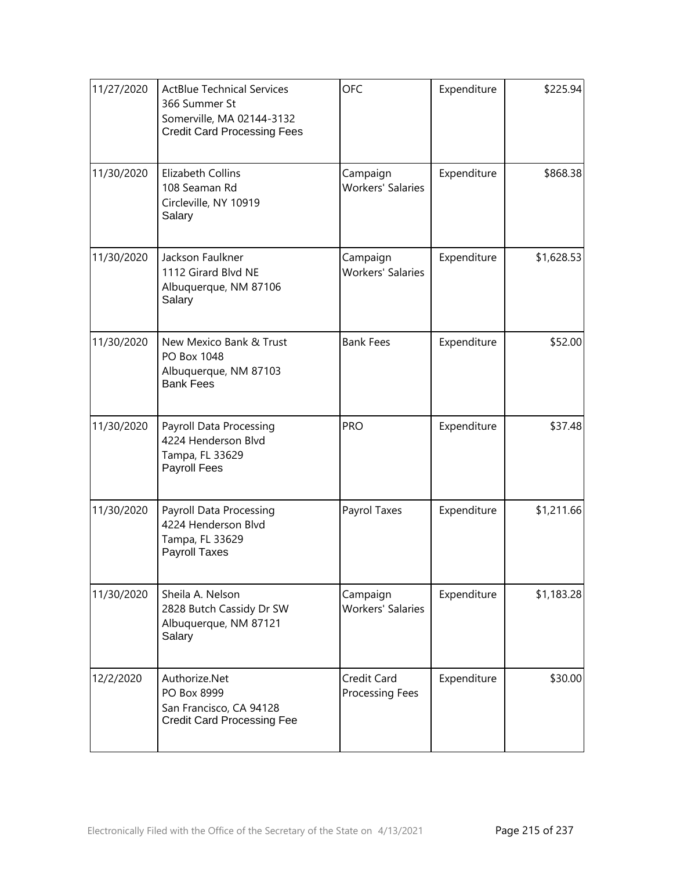| 11/27/2020 | <b>ActBlue Technical Services</b><br>366 Summer St<br>Somerville, MA 02144-3132<br><b>Credit Card Processing Fees</b> | <b>OFC</b>                           | Expenditure | \$225.94   |
|------------|-----------------------------------------------------------------------------------------------------------------------|--------------------------------------|-------------|------------|
| 11/30/2020 | <b>Elizabeth Collins</b><br>108 Seaman Rd<br>Circleville, NY 10919<br>Salary                                          | Campaign<br><b>Workers' Salaries</b> | Expenditure | \$868.38   |
| 11/30/2020 | Jackson Faulkner<br>1112 Girard Blvd NE<br>Albuquerque, NM 87106<br>Salary                                            | Campaign<br><b>Workers' Salaries</b> | Expenditure | \$1,628.53 |
| 11/30/2020 | New Mexico Bank & Trust<br>PO Box 1048<br>Albuquerque, NM 87103<br><b>Bank Fees</b>                                   | <b>Bank Fees</b>                     | Expenditure | \$52.00    |
| 11/30/2020 | <b>Payroll Data Processing</b><br>4224 Henderson Blvd<br>Tampa, FL 33629<br>Payroll Fees                              | <b>PRO</b>                           | Expenditure | \$37.48    |
| 11/30/2020 | <b>Payroll Data Processing</b><br>4224 Henderson Blvd<br>Tampa, FL 33629<br><b>Payroll Taxes</b>                      | Payrol Taxes                         | Expenditure | \$1,211.66 |
| 11/30/2020 | Sheila A. Nelson<br>2828 Butch Cassidy Dr SW<br>Albuquerque, NM 87121<br>Salary                                       | Campaign<br><b>Workers' Salaries</b> | Expenditure | \$1,183.28 |
| 12/2/2020  | Authorize.Net<br>PO Box 8999<br>San Francisco, CA 94128<br><b>Credit Card Processing Fee</b>                          | Credit Card<br>Processing Fees       | Expenditure | \$30.00    |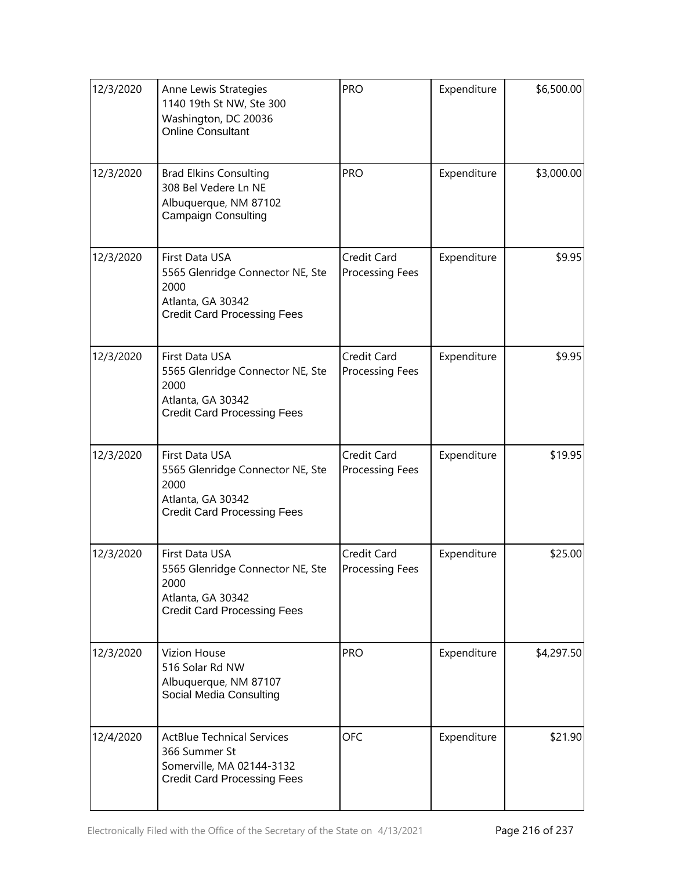| 12/3/2020 | Anne Lewis Strategies<br>1140 19th St NW, Ste 300<br>Washington, DC 20036<br><b>Online Consultant</b>                 | <b>PRO</b>                            | Expenditure | \$6,500.00 |
|-----------|-----------------------------------------------------------------------------------------------------------------------|---------------------------------------|-------------|------------|
| 12/3/2020 | <b>Brad Elkins Consulting</b><br>308 Bel Vedere Ln NE<br>Albuquerque, NM 87102<br><b>Campaign Consulting</b>          | <b>PRO</b>                            | Expenditure | \$3,000.00 |
| 12/3/2020 | First Data USA<br>5565 Glenridge Connector NE, Ste<br>2000<br>Atlanta, GA 30342<br><b>Credit Card Processing Fees</b> | Credit Card<br>Processing Fees        | Expenditure | \$9.95     |
| 12/3/2020 | First Data USA<br>5565 Glenridge Connector NE, Ste<br>2000<br>Atlanta, GA 30342<br><b>Credit Card Processing Fees</b> | Credit Card<br><b>Processing Fees</b> | Expenditure | \$9.95     |
| 12/3/2020 | First Data USA<br>5565 Glenridge Connector NE, Ste<br>2000<br>Atlanta, GA 30342<br><b>Credit Card Processing Fees</b> | Credit Card<br>Processing Fees        | Expenditure | \$19.95    |
| 12/3/2020 | First Data USA<br>5565 Glenridge Connector NE, Ste<br>2000<br>Atlanta, GA 30342<br><b>Credit Card Processing Fees</b> | Credit Card<br>Processing Fees        | Expenditure | \$25.00    |
| 12/3/2020 | <b>Vizion House</b><br>516 Solar Rd NW<br>Albuquerque, NM 87107<br>Social Media Consulting                            | <b>PRO</b>                            | Expenditure | \$4,297.50 |
| 12/4/2020 | <b>ActBlue Technical Services</b><br>366 Summer St<br>Somerville, MA 02144-3132<br><b>Credit Card Processing Fees</b> | <b>OFC</b>                            | Expenditure | \$21.90    |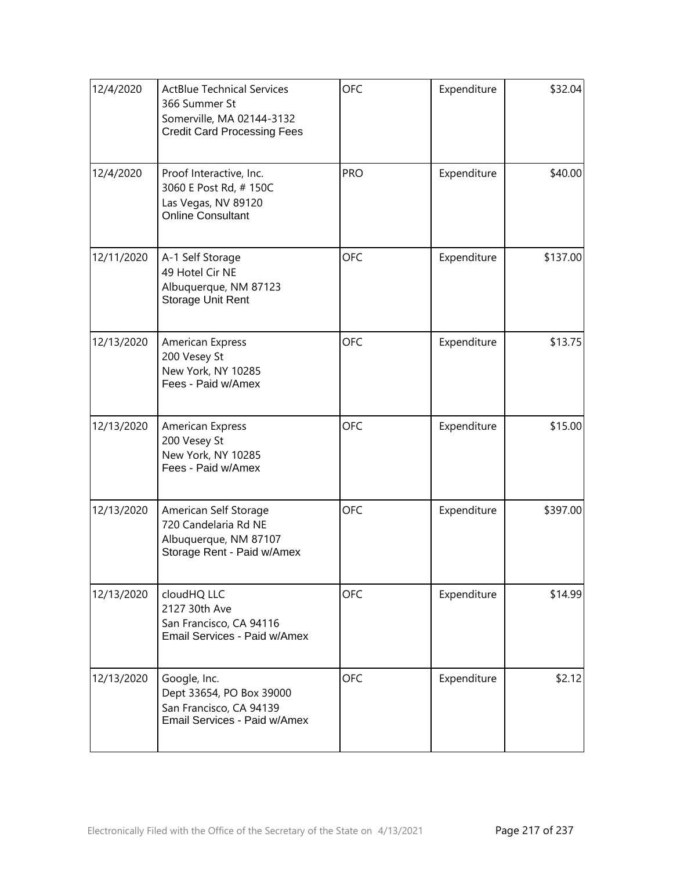| 12/4/2020  | <b>ActBlue Technical Services</b><br>366 Summer St<br>Somerville, MA 02144-3132<br><b>Credit Card Processing Fees</b> | <b>OFC</b> | Expenditure | \$32.04  |
|------------|-----------------------------------------------------------------------------------------------------------------------|------------|-------------|----------|
| 12/4/2020  | Proof Interactive, Inc.<br>3060 E Post Rd, #150C<br>Las Vegas, NV 89120<br><b>Online Consultant</b>                   | <b>PRO</b> | Expenditure | \$40.00  |
| 12/11/2020 | A-1 Self Storage<br>49 Hotel Cir NE<br>Albuquerque, NM 87123<br>Storage Unit Rent                                     | <b>OFC</b> | Expenditure | \$137.00 |
| 12/13/2020 | <b>American Express</b><br>200 Vesey St<br>New York, NY 10285<br>Fees - Paid w/Amex                                   | <b>OFC</b> | Expenditure | \$13.75  |
| 12/13/2020 | American Express<br>200 Vesey St<br>New York, NY 10285<br>Fees - Paid w/Amex                                          | <b>OFC</b> | Expenditure | \$15.00  |
| 12/13/2020 | American Self Storage<br>720 Candelaria Rd NE<br>Albuquerque, NM 87107<br>Storage Rent - Paid w/Amex                  | <b>OFC</b> | Expenditure | \$397.00 |
| 12/13/2020 | cloudHQ LLC<br>2127 30th Ave<br>San Francisco, CA 94116<br>Email Services - Paid w/Amex                               | <b>OFC</b> | Expenditure | \$14.99  |
| 12/13/2020 | Google, Inc.<br>Dept 33654, PO Box 39000<br>San Francisco, CA 94139<br>Email Services - Paid w/Amex                   | <b>OFC</b> | Expenditure | \$2.12   |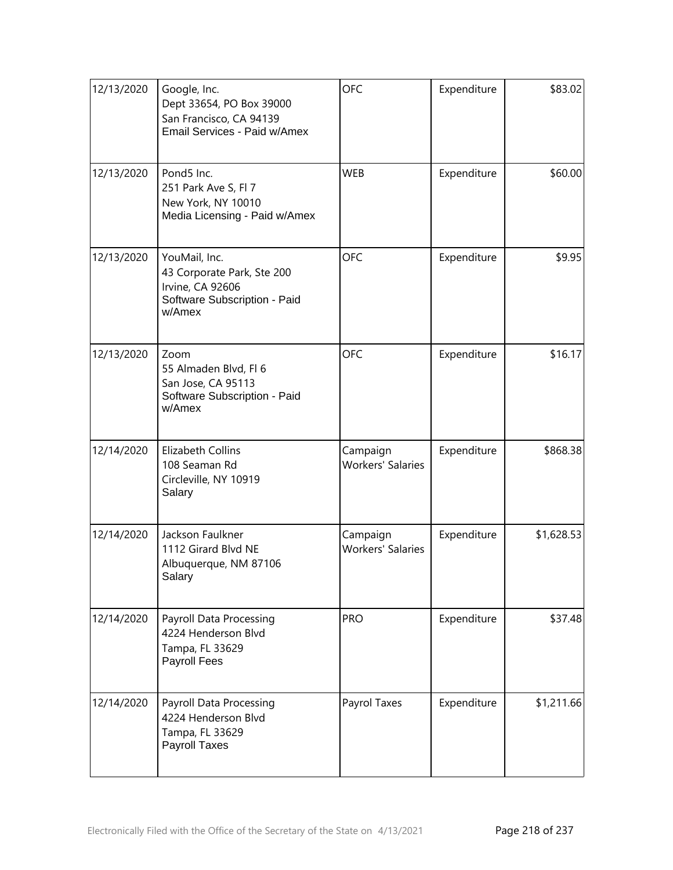| 12/13/2020 | Google, Inc.<br>Dept 33654, PO Box 39000<br>San Francisco, CA 94139<br>Email Services - Paid w/Amex       | <b>OFC</b>                           | Expenditure | \$83.02    |
|------------|-----------------------------------------------------------------------------------------------------------|--------------------------------------|-------------|------------|
| 12/13/2020 | Pond5 Inc.<br>251 Park Ave S, Fl 7<br>New York, NY 10010<br>Media Licensing - Paid w/Amex                 | <b>WEB</b>                           | Expenditure | \$60.00    |
| 12/13/2020 | YouMail, Inc.<br>43 Corporate Park, Ste 200<br>Irvine, CA 92606<br>Software Subscription - Paid<br>w/Amex | <b>OFC</b>                           | Expenditure | \$9.95     |
| 12/13/2020 | Zoom<br>55 Almaden Blvd, Fl 6<br>San Jose, CA 95113<br>Software Subscription - Paid<br>w/Amex             | <b>OFC</b>                           | Expenditure | \$16.17    |
| 12/14/2020 | Elizabeth Collins<br>108 Seaman Rd<br>Circleville, NY 10919<br>Salary                                     | Campaign<br><b>Workers' Salaries</b> | Expenditure | \$868.38   |
| 12/14/2020 | Jackson Faulkner<br>1112 Girard Blvd NE<br>Albuquerque, NM 87106<br>Salary                                | Campaign<br><b>Workers' Salaries</b> | Expenditure | \$1,628.53 |
| 12/14/2020 | Payroll Data Processing<br>4224 Henderson Blvd<br>Tampa, FL 33629<br>Payroll Fees                         | <b>PRO</b>                           | Expenditure | \$37.48    |
| 12/14/2020 | Payroll Data Processing<br>4224 Henderson Blvd<br>Tampa, FL 33629<br>Payroll Taxes                        | Payrol Taxes                         | Expenditure | \$1,211.66 |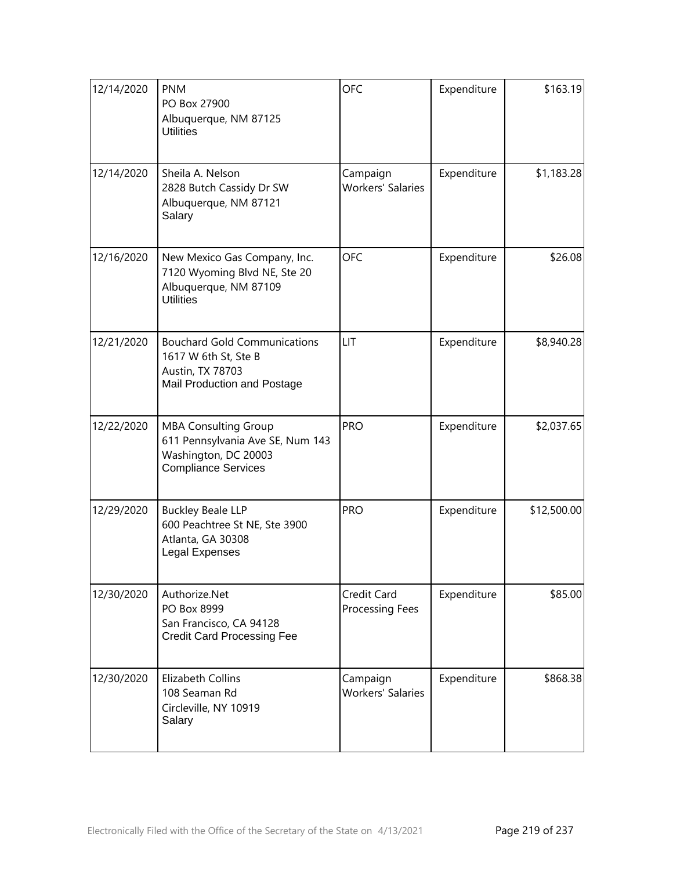| 12/14/2020 | <b>PNM</b><br>PO Box 27900<br>Albuquerque, NM 87125<br><b>Utilities</b>                                               | <b>OFC</b>                           | Expenditure | \$163.19    |
|------------|-----------------------------------------------------------------------------------------------------------------------|--------------------------------------|-------------|-------------|
| 12/14/2020 | Sheila A. Nelson<br>2828 Butch Cassidy Dr SW<br>Albuquerque, NM 87121<br>Salary                                       | Campaign<br><b>Workers' Salaries</b> | Expenditure | \$1,183.28  |
| 12/16/2020 | New Mexico Gas Company, Inc.<br>7120 Wyoming Blvd NE, Ste 20<br>Albuquerque, NM 87109<br><b>Utilities</b>             | <b>OFC</b>                           | Expenditure | \$26.08     |
| 12/21/2020 | <b>Bouchard Gold Communications</b><br>1617 W 6th St, Ste B<br>Austin, TX 78703<br>Mail Production and Postage        | LIT                                  | Expenditure | \$8,940.28  |
| 12/22/2020 | <b>MBA Consulting Group</b><br>611 Pennsylvania Ave SE, Num 143<br>Washington, DC 20003<br><b>Compliance Services</b> | <b>PRO</b>                           | Expenditure | \$2,037.65  |
| 12/29/2020 | <b>Buckley Beale LLP</b><br>600 Peachtree St NE, Ste 3900<br>Atlanta, GA 30308<br>Legal Expenses                      | <b>PRO</b>                           | Expenditure | \$12,500.00 |
| 12/30/2020 | Authorize.Net<br>PO Box 8999<br>San Francisco, CA 94128<br><b>Credit Card Processing Fee</b>                          | Credit Card<br>Processing Fees       | Expenditure | \$85.00     |
| 12/30/2020 | <b>Elizabeth Collins</b><br>108 Seaman Rd<br>Circleville, NY 10919<br>Salary                                          | Campaign<br><b>Workers' Salaries</b> | Expenditure | \$868.38    |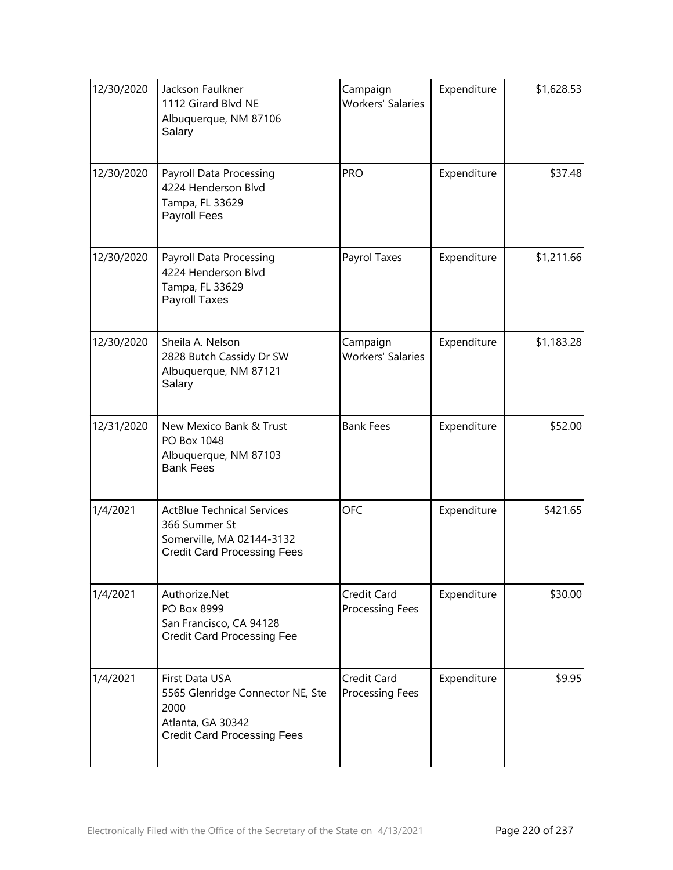| 12/30/2020 | Jackson Faulkner<br>1112 Girard Blvd NE<br>Albuquerque, NM 87106<br>Salary                                            | Campaign<br><b>Workers' Salaries</b>  | Expenditure | \$1,628.53 |
|------------|-----------------------------------------------------------------------------------------------------------------------|---------------------------------------|-------------|------------|
| 12/30/2020 | Payroll Data Processing<br>4224 Henderson Blvd<br>Tampa, FL 33629<br>Payroll Fees                                     | <b>PRO</b>                            | Expenditure | \$37.48    |
| 12/30/2020 | Payroll Data Processing<br>4224 Henderson Blvd<br>Tampa, FL 33629<br>Payroll Taxes                                    | Payrol Taxes                          | Expenditure | \$1,211.66 |
| 12/30/2020 | Sheila A. Nelson<br>2828 Butch Cassidy Dr SW<br>Albuquerque, NM 87121<br>Salary                                       | Campaign<br><b>Workers' Salaries</b>  | Expenditure | \$1,183.28 |
| 12/31/2020 | New Mexico Bank & Trust<br>PO Box 1048<br>Albuquerque, NM 87103<br><b>Bank Fees</b>                                   | <b>Bank Fees</b>                      | Expenditure | \$52.00    |
| 1/4/2021   | <b>ActBlue Technical Services</b><br>366 Summer St<br>Somerville, MA 02144-3132<br><b>Credit Card Processing Fees</b> | <b>OFC</b>                            | Expenditure | \$421.65   |
| 1/4/2021   | Authorize.Net<br>PO Box 8999<br>San Francisco, CA 94128<br><b>Credit Card Processing Fee</b>                          | Credit Card<br>Processing Fees        | Expenditure | \$30.00    |
| 1/4/2021   | First Data USA<br>5565 Glenridge Connector NE, Ste<br>2000<br>Atlanta, GA 30342<br><b>Credit Card Processing Fees</b> | Credit Card<br><b>Processing Fees</b> | Expenditure | \$9.95     |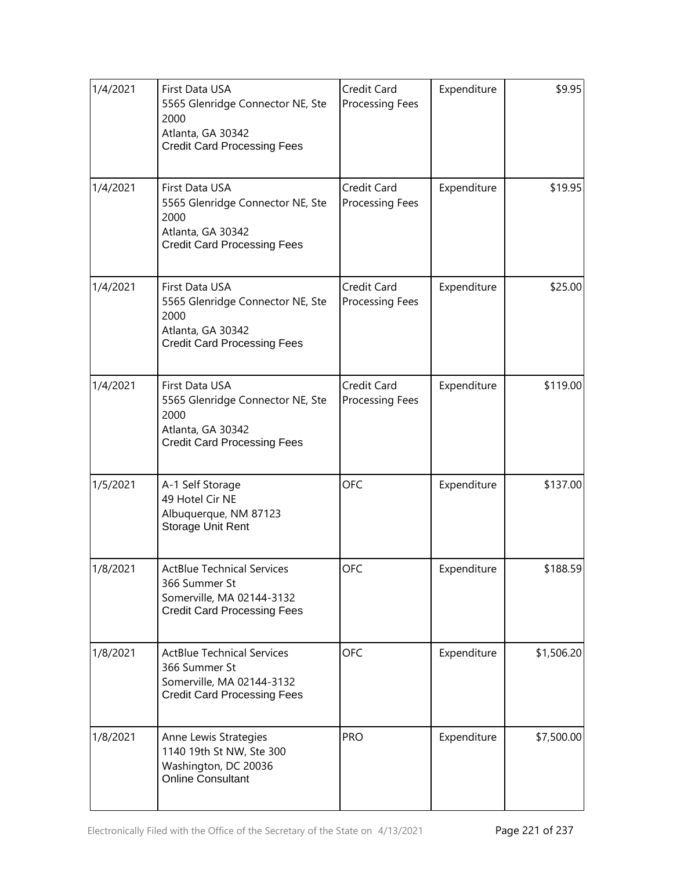| 1/4/2021 | First Data USA<br>5565 Glenridge Connector NE, Ste<br>2000<br>Atlanta, GA 30342<br><b>Credit Card Processing Fees</b> | Credit Card<br><b>Processing Fees</b> | Expenditure | \$9.95     |
|----------|-----------------------------------------------------------------------------------------------------------------------|---------------------------------------|-------------|------------|
| 1/4/2021 | First Data USA<br>5565 Glenridge Connector NE, Ste<br>2000<br>Atlanta, GA 30342<br><b>Credit Card Processing Fees</b> | Credit Card<br><b>Processing Fees</b> | Expenditure | \$19.95    |
| 1/4/2021 | First Data USA<br>5565 Glenridge Connector NE, Ste<br>2000<br>Atlanta, GA 30342<br><b>Credit Card Processing Fees</b> | Credit Card<br><b>Processing Fees</b> | Expenditure | \$25.00    |
| 1/4/2021 | First Data USA<br>5565 Glenridge Connector NE, Ste<br>2000<br>Atlanta, GA 30342<br><b>Credit Card Processing Fees</b> | Credit Card<br>Processing Fees        | Expenditure | \$119.00   |
| 1/5/2021 | A-1 Self Storage<br>49 Hotel Cir NE<br>Albuquerque, NM 87123<br>Storage Unit Rent                                     | <b>OFC</b>                            | Expenditure | \$137.00   |
| 1/8/2021 | ActBlue Technical Services<br>366 Summer St<br>Somerville, MA 02144-3132<br><b>Credit Card Processing Fees</b>        | <b>OFC</b>                            | Expenditure | \$188.59   |
| 1/8/2021 | <b>ActBlue Technical Services</b><br>366 Summer St<br>Somerville, MA 02144-3132<br><b>Credit Card Processing Fees</b> | <b>OFC</b>                            | Expenditure | \$1,506.20 |
| 1/8/2021 | Anne Lewis Strategies<br>1140 19th St NW, Ste 300<br>Washington, DC 20036<br><b>Online Consultant</b>                 | <b>PRO</b>                            | Expenditure | \$7,500.00 |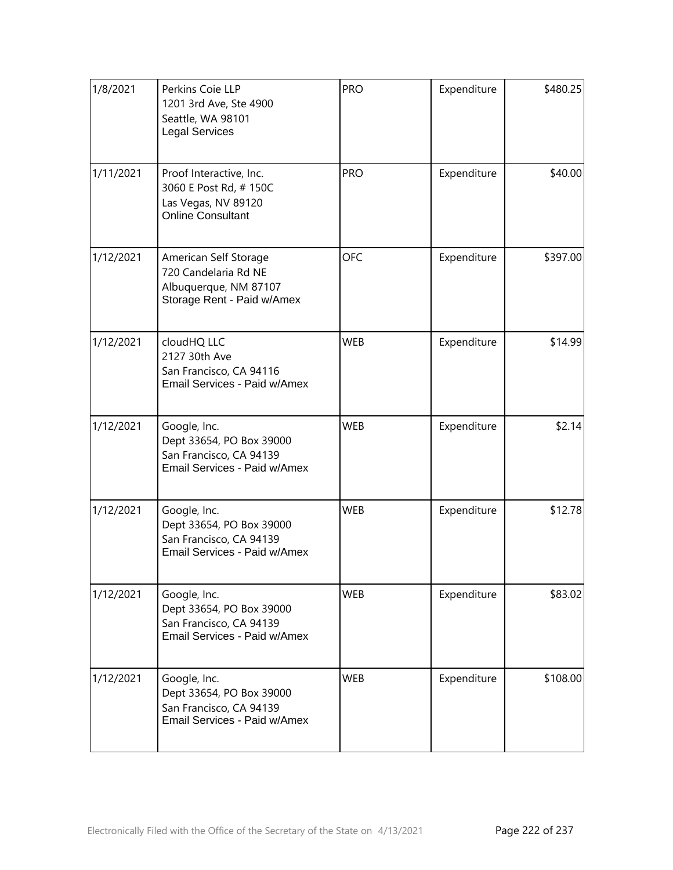| 1/8/2021  | Perkins Coie LLP<br>1201 3rd Ave, Ste 4900<br>Seattle, WA 98101<br><b>Legal Services</b>             | <b>PRO</b> | Expenditure | \$480.25 |
|-----------|------------------------------------------------------------------------------------------------------|------------|-------------|----------|
| 1/11/2021 | Proof Interactive, Inc.<br>3060 E Post Rd, #150C<br>Las Vegas, NV 89120<br><b>Online Consultant</b>  | <b>PRO</b> | Expenditure | \$40.00  |
| 1/12/2021 | American Self Storage<br>720 Candelaria Rd NE<br>Albuquerque, NM 87107<br>Storage Rent - Paid w/Amex | <b>OFC</b> | Expenditure | \$397.00 |
| 1/12/2021 | cloudHQ LLC<br>2127 30th Ave<br>San Francisco, CA 94116<br>Email Services - Paid w/Amex              | <b>WEB</b> | Expenditure | \$14.99  |
| 1/12/2021 | Google, Inc.<br>Dept 33654, PO Box 39000<br>San Francisco, CA 94139<br>Email Services - Paid w/Amex  | <b>WEB</b> | Expenditure | \$2.14   |
| 1/12/2021 | Google, Inc.<br>Dept 33654, PO Box 39000<br>San Francisco, CA 94139<br>Email Services - Paid w/Amex  | <b>WEB</b> | Expenditure | \$12.78  |
| 1/12/2021 | Google, Inc.<br>Dept 33654, PO Box 39000<br>San Francisco, CA 94139<br>Email Services - Paid w/Amex  | <b>WEB</b> | Expenditure | \$83.02  |
| 1/12/2021 | Google, Inc.<br>Dept 33654, PO Box 39000<br>San Francisco, CA 94139<br>Email Services - Paid w/Amex  | <b>WEB</b> | Expenditure | \$108.00 |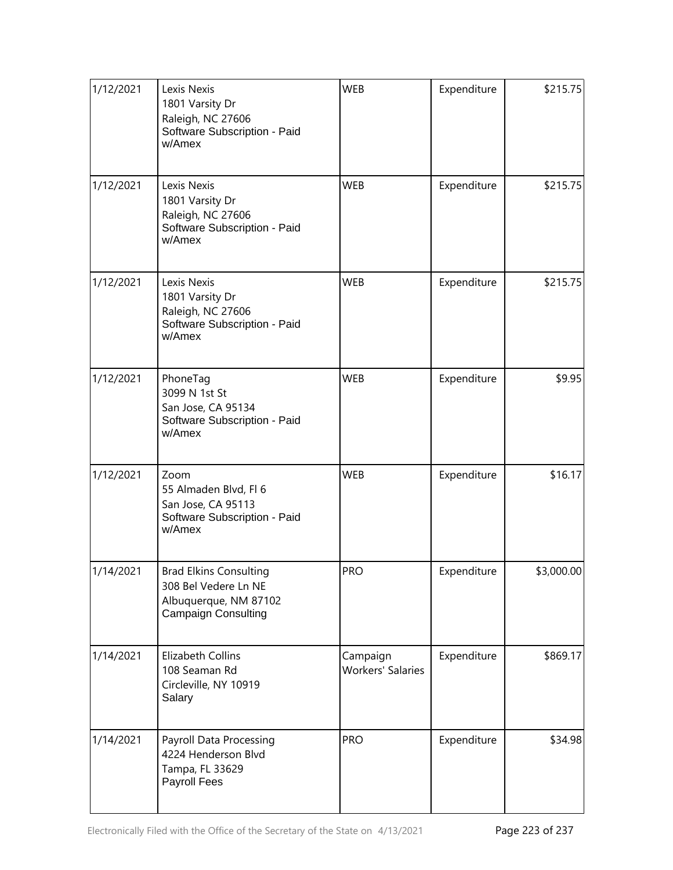| 1/12/2021 | Lexis Nexis<br>1801 Varsity Dr<br>Raleigh, NC 27606<br>Software Subscription - Paid<br>w/Amex                | <b>WEB</b>                           | Expenditure | \$215.75   |
|-----------|--------------------------------------------------------------------------------------------------------------|--------------------------------------|-------------|------------|
| 1/12/2021 | Lexis Nexis<br>1801 Varsity Dr<br>Raleigh, NC 27606<br>Software Subscription - Paid<br>w/Amex                | <b>WEB</b>                           | Expenditure | \$215.75   |
| 1/12/2021 | Lexis Nexis<br>1801 Varsity Dr<br>Raleigh, NC 27606<br>Software Subscription - Paid<br>w/Amex                | <b>WEB</b>                           | Expenditure | \$215.75   |
| 1/12/2021 | PhoneTag<br>3099 N 1st St<br>San Jose, CA 95134<br>Software Subscription - Paid<br>w/Amex                    | <b>WEB</b>                           | Expenditure | \$9.95     |
| 1/12/2021 | Zoom<br>55 Almaden Blvd, Fl 6<br>San Jose, CA 95113<br>Software Subscription - Paid<br>w/Amex                | <b>WEB</b>                           | Expenditure | \$16.17    |
| 1/14/2021 | <b>Brad Elkins Consulting</b><br>308 Bel Vedere Ln NE<br>Albuquerque, NM 87102<br><b>Campaign Consulting</b> | <b>PRO</b>                           | Expenditure | \$3,000.00 |
| 1/14/2021 | Elizabeth Collins<br>108 Seaman Rd<br>Circleville, NY 10919<br>Salary                                        | Campaign<br><b>Workers' Salaries</b> | Expenditure | \$869.17   |
| 1/14/2021 | Payroll Data Processing<br>4224 Henderson Blvd<br>Tampa, FL 33629<br>Payroll Fees                            | <b>PRO</b>                           | Expenditure | \$34.98    |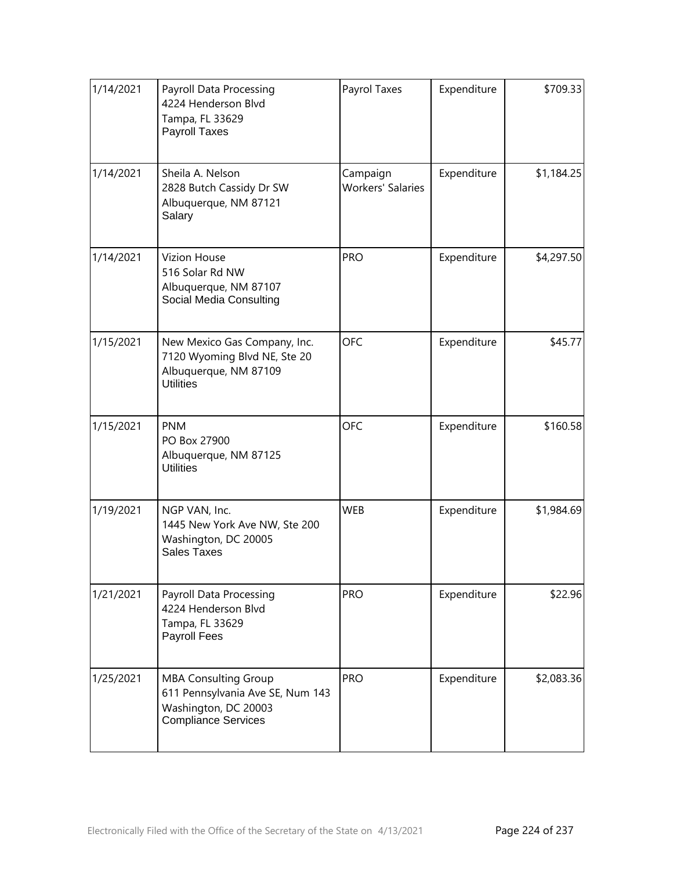| 1/14/2021 | Payroll Data Processing<br>4224 Henderson Blvd<br>Tampa, FL 33629<br>Payroll Taxes                                    | Payrol Taxes                         | Expenditure | \$709.33   |
|-----------|-----------------------------------------------------------------------------------------------------------------------|--------------------------------------|-------------|------------|
| 1/14/2021 | Sheila A. Nelson<br>2828 Butch Cassidy Dr SW<br>Albuquerque, NM 87121<br>Salary                                       | Campaign<br><b>Workers' Salaries</b> | Expenditure | \$1,184.25 |
| 1/14/2021 | <b>Vizion House</b><br>516 Solar Rd NW<br>Albuquerque, NM 87107<br>Social Media Consulting                            | <b>PRO</b>                           | Expenditure | \$4,297.50 |
| 1/15/2021 | New Mexico Gas Company, Inc.<br>7120 Wyoming Blvd NE, Ste 20<br>Albuquerque, NM 87109<br><b>Utilities</b>             | <b>OFC</b>                           | Expenditure | \$45.77    |
| 1/15/2021 | <b>PNM</b><br>PO Box 27900<br>Albuquerque, NM 87125<br><b>Utilities</b>                                               | <b>OFC</b>                           | Expenditure | \$160.58   |
| 1/19/2021 | NGP VAN, Inc.<br>1445 New York Ave NW, Ste 200<br>Washington, DC 20005<br>Sales Taxes                                 | <b>WEB</b>                           | Expenditure | \$1,984.69 |
| 1/21/2021 | Payroll Data Processing<br>4224 Henderson Blvd<br>Tampa, FL 33629<br>Payroll Fees                                     | <b>PRO</b>                           | Expenditure | \$22.96    |
| 1/25/2021 | <b>MBA Consulting Group</b><br>611 Pennsylvania Ave SE, Num 143<br>Washington, DC 20003<br><b>Compliance Services</b> | <b>PRO</b>                           | Expenditure | \$2,083.36 |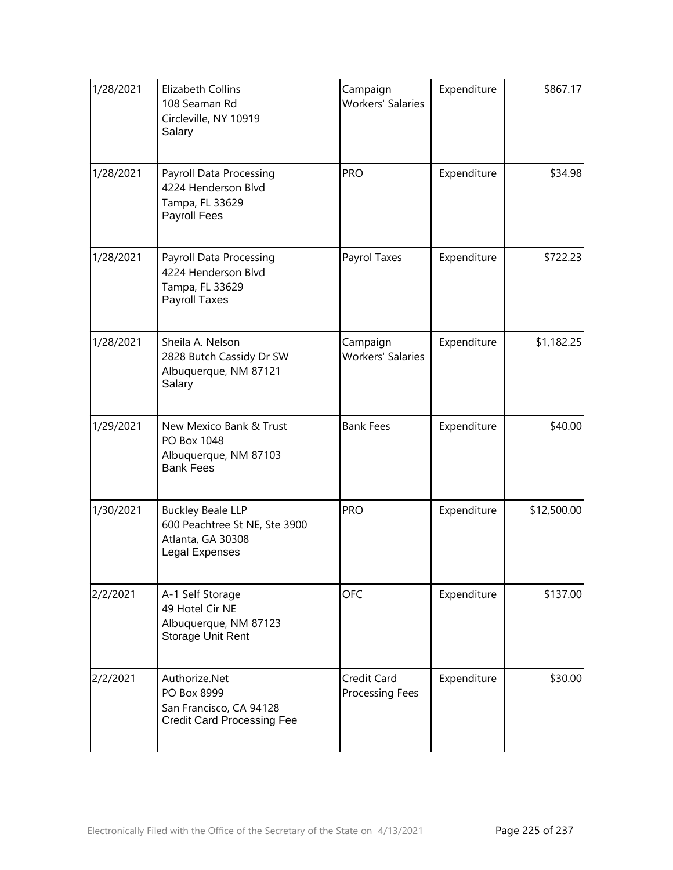| 1/28/2021 | Elizabeth Collins<br>108 Seaman Rd<br>Circleville, NY 10919<br>Salary                                   | Campaign<br><b>Workers' Salaries</b> | Expenditure | \$867.17    |
|-----------|---------------------------------------------------------------------------------------------------------|--------------------------------------|-------------|-------------|
| 1/28/2021 | Payroll Data Processing<br>4224 Henderson Blvd<br>Tampa, FL 33629<br>Payroll Fees                       | <b>PRO</b>                           | Expenditure | \$34.98     |
| 1/28/2021 | Payroll Data Processing<br>4224 Henderson Blvd<br>Tampa, FL 33629<br>Payroll Taxes                      | Payrol Taxes                         | Expenditure | \$722.23    |
| 1/28/2021 | Sheila A. Nelson<br>2828 Butch Cassidy Dr SW<br>Albuquerque, NM 87121<br>Salary                         | Campaign<br><b>Workers' Salaries</b> | Expenditure | \$1,182.25  |
| 1/29/2021 | New Mexico Bank & Trust<br>PO Box 1048<br>Albuquerque, NM 87103<br><b>Bank Fees</b>                     | <b>Bank Fees</b>                     | Expenditure | \$40.00     |
| 1/30/2021 | <b>Buckley Beale LLP</b><br>600 Peachtree St NE, Ste 3900<br>Atlanta, GA 30308<br><b>Legal Expenses</b> | <b>PRO</b>                           | Expenditure | \$12,500.00 |
| 2/2/2021  | A-1 Self Storage<br>49 Hotel Cir NE<br>Albuquerque, NM 87123<br>Storage Unit Rent                       | <b>OFC</b>                           | Expenditure | \$137.00    |
| 2/2/2021  | Authorize.Net<br>PO Box 8999<br>San Francisco, CA 94128<br><b>Credit Card Processing Fee</b>            | Credit Card<br>Processing Fees       | Expenditure | \$30.00     |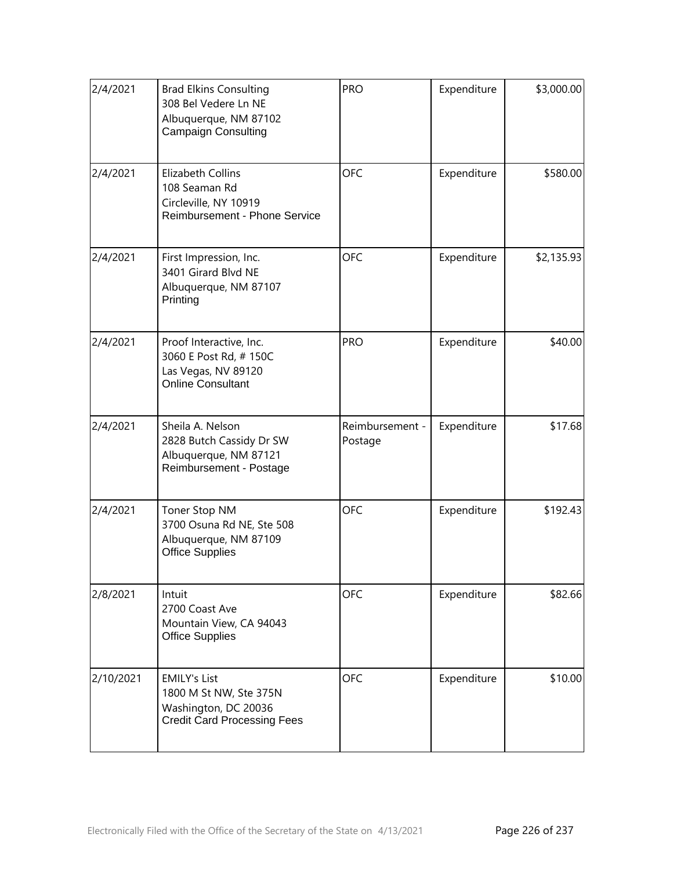| 2/4/2021  | <b>Brad Elkins Consulting</b><br>308 Bel Vedere Ln NE<br>Albuquerque, NM 87102<br><b>Campaign Consulting</b> | <b>PRO</b>                 | Expenditure | \$3,000.00 |
|-----------|--------------------------------------------------------------------------------------------------------------|----------------------------|-------------|------------|
| 2/4/2021  | <b>Elizabeth Collins</b><br>108 Seaman Rd<br>Circleville, NY 10919<br>Reimbursement - Phone Service          | <b>OFC</b>                 | Expenditure | \$580.00   |
| 2/4/2021  | First Impression, Inc.<br>3401 Girard Blvd NE<br>Albuquerque, NM 87107<br>Printing                           | <b>OFC</b>                 | Expenditure | \$2,135.93 |
| 2/4/2021  | Proof Interactive, Inc.<br>3060 E Post Rd, #150C<br>Las Vegas, NV 89120<br><b>Online Consultant</b>          | <b>PRO</b>                 | Expenditure | \$40.00    |
| 2/4/2021  | Sheila A. Nelson<br>2828 Butch Cassidy Dr SW<br>Albuquerque, NM 87121<br>Reimbursement - Postage             | Reimbursement -<br>Postage | Expenditure | \$17.68    |
| 2/4/2021  | Toner Stop NM<br>3700 Osuna Rd NE, Ste 508<br>Albuquerque, NM 87109<br><b>Office Supplies</b>                | <b>OFC</b>                 | Expenditure | \$192.43   |
| 2/8/2021  | Intuit<br>2700 Coast Ave<br>Mountain View, CA 94043<br><b>Office Supplies</b>                                | <b>OFC</b>                 | Expenditure | \$82.66    |
| 2/10/2021 | <b>EMILY's List</b><br>1800 M St NW, Ste 375N<br>Washington, DC 20036<br><b>Credit Card Processing Fees</b>  | <b>OFC</b>                 | Expenditure | \$10.00    |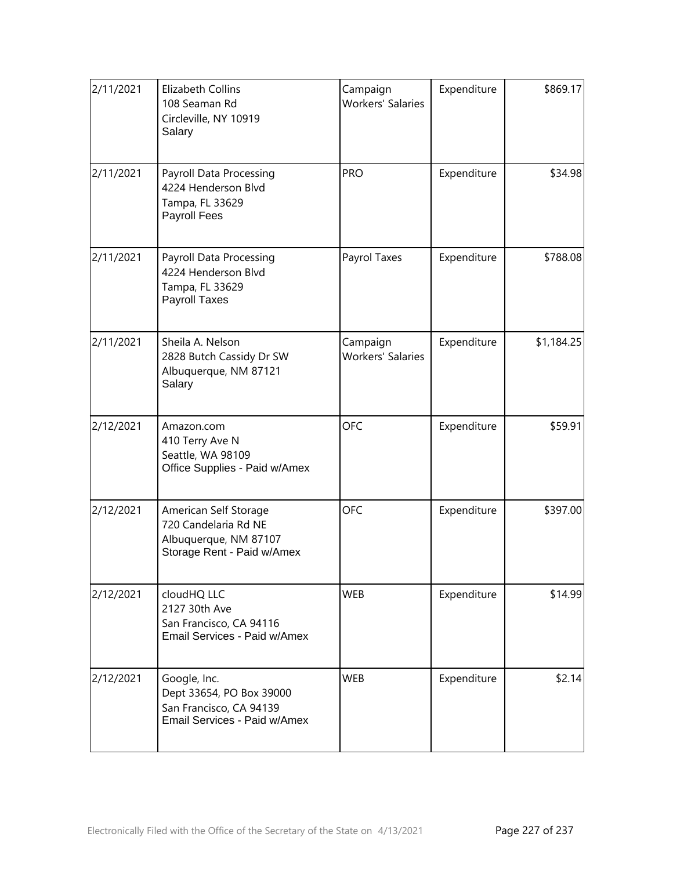| 2/11/2021 | Elizabeth Collins<br>108 Seaman Rd<br>Circleville, NY 10919<br>Salary                                | Campaign<br><b>Workers' Salaries</b> | Expenditure | \$869.17   |
|-----------|------------------------------------------------------------------------------------------------------|--------------------------------------|-------------|------------|
| 2/11/2021 | Payroll Data Processing<br>4224 Henderson Blvd<br>Tampa, FL 33629<br>Payroll Fees                    | <b>PRO</b>                           | Expenditure | \$34.98    |
| 2/11/2021 | Payroll Data Processing<br>4224 Henderson Blvd<br>Tampa, FL 33629<br>Payroll Taxes                   | Payrol Taxes                         | Expenditure | \$788.08   |
| 2/11/2021 | Sheila A. Nelson<br>2828 Butch Cassidy Dr SW<br>Albuquerque, NM 87121<br>Salary                      | Campaign<br><b>Workers' Salaries</b> | Expenditure | \$1,184.25 |
| 2/12/2021 | Amazon.com<br>410 Terry Ave N<br>Seattle, WA 98109<br>Office Supplies - Paid w/Amex                  | <b>OFC</b>                           | Expenditure | \$59.91    |
| 2/12/2021 | American Self Storage<br>720 Candelaria Rd NE<br>Albuquerque, NM 87107<br>Storage Rent - Paid w/Amex | <b>OFC</b>                           | Expenditure | \$397.00   |
| 2/12/2021 | cloudHQ LLC<br>2127 30th Ave<br>San Francisco, CA 94116<br>Email Services - Paid w/Amex              | <b>WEB</b>                           | Expenditure | \$14.99    |
| 2/12/2021 | Google, Inc.<br>Dept 33654, PO Box 39000<br>San Francisco, CA 94139<br>Email Services - Paid w/Amex  | <b>WEB</b>                           | Expenditure | \$2.14     |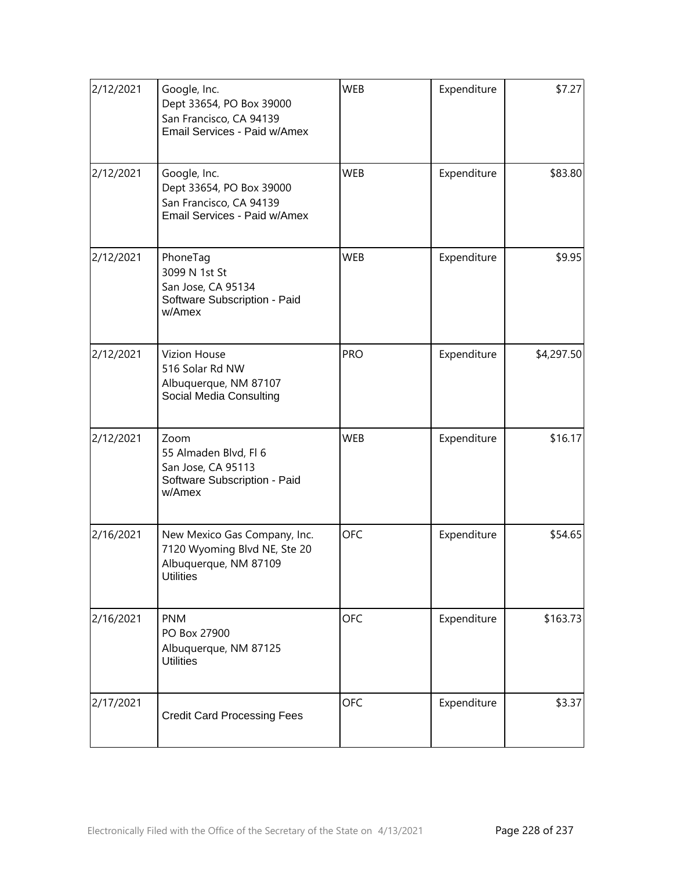| 2/12/2021 | Google, Inc.<br>Dept 33654, PO Box 39000<br>San Francisco, CA 94139<br>Email Services - Paid w/Amex       | <b>WEB</b> | Expenditure | \$7.27     |
|-----------|-----------------------------------------------------------------------------------------------------------|------------|-------------|------------|
| 2/12/2021 | Google, Inc.<br>Dept 33654, PO Box 39000<br>San Francisco, CA 94139<br>Email Services - Paid w/Amex       | <b>WEB</b> | Expenditure | \$83.80    |
| 2/12/2021 | PhoneTag<br>3099 N 1st St<br>San Jose, CA 95134<br>Software Subscription - Paid<br>w/Amex                 | <b>WEB</b> | Expenditure | \$9.95     |
| 2/12/2021 | <b>Vizion House</b><br>516 Solar Rd NW<br>Albuquerque, NM 87107<br>Social Media Consulting                | <b>PRO</b> | Expenditure | \$4,297.50 |
| 2/12/2021 | Zoom<br>55 Almaden Blvd, Fl 6<br>San Jose, CA 95113<br>Software Subscription - Paid<br>w/Amex             | <b>WEB</b> | Expenditure | \$16.17    |
| 2/16/2021 | New Mexico Gas Company, Inc.<br>7120 Wyoming Blvd NE, Ste 20<br>Albuquerque, NM 87109<br><b>Utilities</b> | <b>OFC</b> | Expenditure | \$54.65    |
| 2/16/2021 | <b>PNM</b><br>PO Box 27900<br>Albuquerque, NM 87125<br><b>Utilities</b>                                   | <b>OFC</b> | Expenditure | \$163.73   |
| 2/17/2021 | <b>Credit Card Processing Fees</b>                                                                        | <b>OFC</b> | Expenditure | \$3.37     |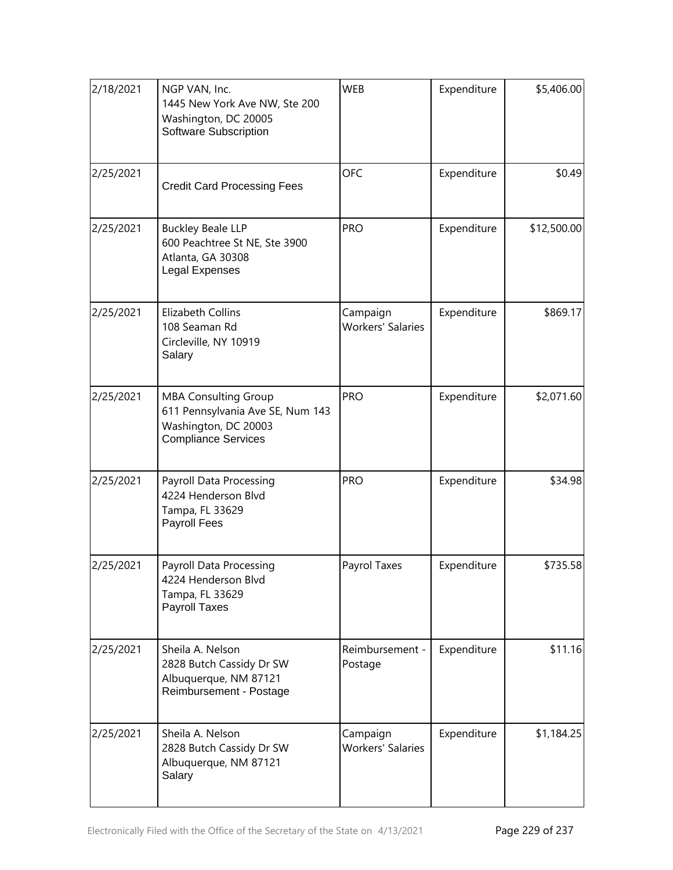| 2/18/2021 | NGP VAN, Inc.<br>1445 New York Ave NW, Ste 200<br>Washington, DC 20005<br>Software Subscription                       | <b>WEB</b>                           | Expenditure | \$5,406.00  |
|-----------|-----------------------------------------------------------------------------------------------------------------------|--------------------------------------|-------------|-------------|
| 2/25/2021 | <b>Credit Card Processing Fees</b>                                                                                    | <b>OFC</b>                           | Expenditure | \$0.49      |
| 2/25/2021 | <b>PRO</b><br><b>Buckley Beale LLP</b><br>600 Peachtree St NE, Ste 3900<br>Atlanta, GA 30308<br>Legal Expenses        |                                      | Expenditure | \$12,500.00 |
| 2/25/2021 | Elizabeth Collins<br>108 Seaman Rd<br>Circleville, NY 10919<br>Salary                                                 | Campaign<br><b>Workers' Salaries</b> | Expenditure | \$869.17    |
| 2/25/2021 | <b>MBA Consulting Group</b><br>611 Pennsylvania Ave SE, Num 143<br>Washington, DC 20003<br><b>Compliance Services</b> | <b>PRO</b>                           | Expenditure | \$2,071.60  |
| 2/25/2021 | <b>Payroll Data Processing</b><br>4224 Henderson Blvd<br>Tampa, FL 33629<br>Payroll Fees                              | <b>PRO</b>                           | Expenditure | \$34.98     |
| 2/25/2021 | Payroll Data Processing<br>4224 Henderson Blvd<br>Tampa, FL 33629<br>Payroll Taxes                                    | Payrol Taxes                         | Expenditure | \$735.58    |
| 2/25/2021 | Sheila A. Nelson<br>2828 Butch Cassidy Dr SW<br>Albuquerque, NM 87121<br>Reimbursement - Postage                      | Reimbursement -<br>Postage           | Expenditure | \$11.16     |
| 2/25/2021 | Sheila A. Nelson<br>2828 Butch Cassidy Dr SW<br>Albuquerque, NM 87121<br>Salary                                       | Campaign<br><b>Workers' Salaries</b> | Expenditure | \$1,184.25  |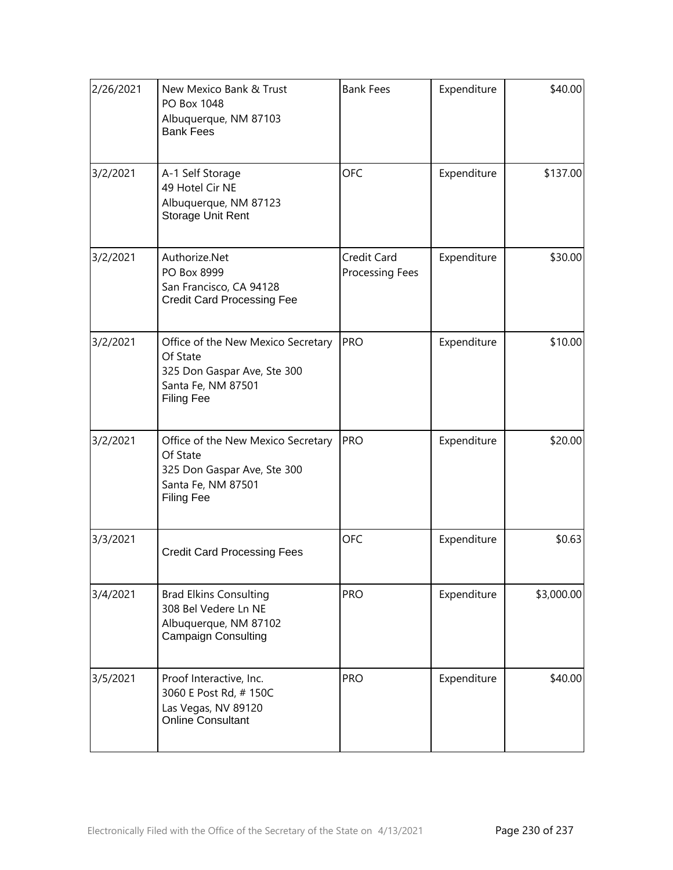| 2/26/2021 | New Mexico Bank & Trust<br>PO Box 1048<br>Albuquerque, NM 87103<br><b>Bank Fees</b>                                      | <b>Bank Fees</b>               | Expenditure | \$40.00    |
|-----------|--------------------------------------------------------------------------------------------------------------------------|--------------------------------|-------------|------------|
| 3/2/2021  | A-1 Self Storage<br>49 Hotel Cir NE<br>Albuquerque, NM 87123<br><b>Storage Unit Rent</b>                                 | <b>OFC</b>                     | Expenditure | \$137.00   |
| 3/2/2021  | Authorize.Net<br>PO Box 8999<br>San Francisco, CA 94128<br><b>Credit Card Processing Fee</b>                             | Credit Card<br>Processing Fees | Expenditure | \$30.00    |
| 3/2/2021  | Office of the New Mexico Secretary<br>Of State<br>325 Don Gaspar Ave, Ste 300<br>Santa Fe, NM 87501<br><b>Filing Fee</b> | <b>PRO</b>                     | Expenditure | \$10.00    |
| 3/2/2021  | Office of the New Mexico Secretary<br>Of State<br>325 Don Gaspar Ave, Ste 300<br>Santa Fe, NM 87501<br><b>Filing Fee</b> | <b>PRO</b>                     | Expenditure | \$20.00    |
| 3/3/2021  | <b>Credit Card Processing Fees</b>                                                                                       | <b>OFC</b>                     | Expenditure | \$0.63     |
| 3/4/2021  | <b>Brad Elkins Consulting</b><br>308 Bel Vedere Ln NE<br>Albuquerque, NM 87102<br><b>Campaign Consulting</b>             | <b>PRO</b>                     | Expenditure | \$3,000.00 |
| 3/5/2021  | Proof Interactive, Inc.<br>3060 E Post Rd, #150C<br>Las Vegas, NV 89120<br><b>Online Consultant</b>                      | <b>PRO</b>                     | Expenditure | \$40.00    |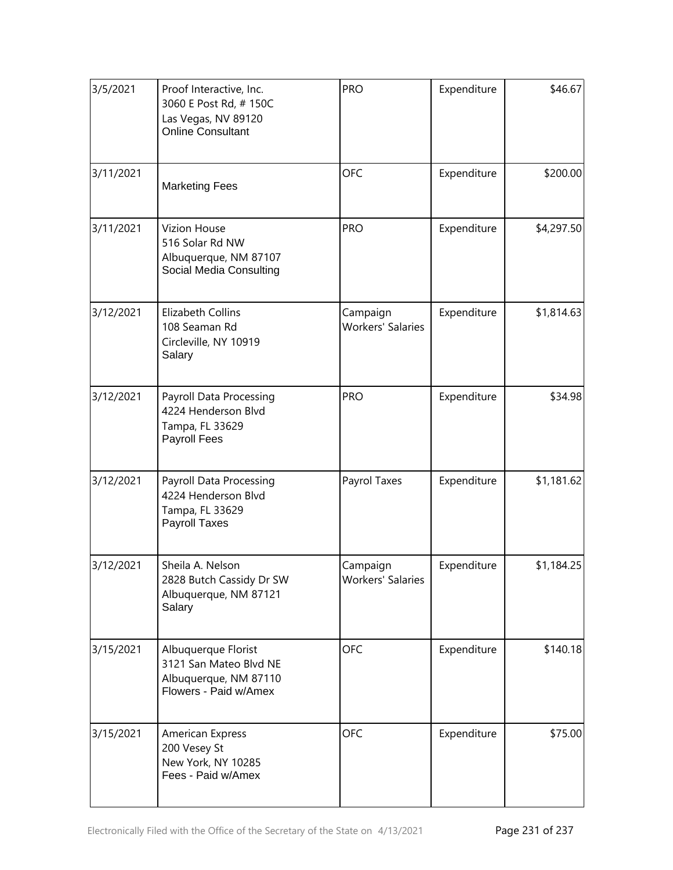| 3/5/2021  | Proof Interactive, Inc.<br>3060 E Post Rd, #150C<br>Las Vegas, NV 89120<br><b>Online Consultant</b>      | PRO                                  | Expenditure | \$46.67    |
|-----------|----------------------------------------------------------------------------------------------------------|--------------------------------------|-------------|------------|
| 3/11/2021 | <b>Marketing Fees</b>                                                                                    | <b>OFC</b>                           | Expenditure | \$200.00   |
| 3/11/2021 | <b>PRO</b><br><b>Vizion House</b><br>516 Solar Rd NW<br>Albuquerque, NM 87107<br>Social Media Consulting |                                      | Expenditure | \$4,297.50 |
| 3/12/2021 | <b>Elizabeth Collins</b><br>108 Seaman Rd<br>Circleville, NY 10919<br>Salary                             | Campaign<br><b>Workers' Salaries</b> | Expenditure | \$1,814.63 |
| 3/12/2021 | Payroll Data Processing<br>4224 Henderson Blvd<br>Tampa, FL 33629<br><b>Payroll Fees</b>                 | <b>PRO</b>                           | Expenditure | \$34.98    |
| 3/12/2021 | <b>Payroll Data Processing</b><br>4224 Henderson Blvd<br>Tampa, FL 33629<br>Payroll Taxes                | Payrol Taxes                         | Expenditure | \$1,181.62 |
| 3/12/2021 | Sheila A. Nelson<br>2828 Butch Cassidy Dr SW<br>Albuquerque, NM 87121<br>Salary                          | Campaign<br><b>Workers' Salaries</b> | Expenditure | \$1,184.25 |
| 3/15/2021 | Albuquerque Florist<br>3121 San Mateo Blvd NE<br>Albuquerque, NM 87110<br>Flowers - Paid w/Amex          | <b>OFC</b>                           | Expenditure | \$140.18   |
| 3/15/2021 | American Express<br>200 Vesey St<br>New York, NY 10285<br>Fees - Paid w/Amex                             | <b>OFC</b>                           | Expenditure | \$75.00    |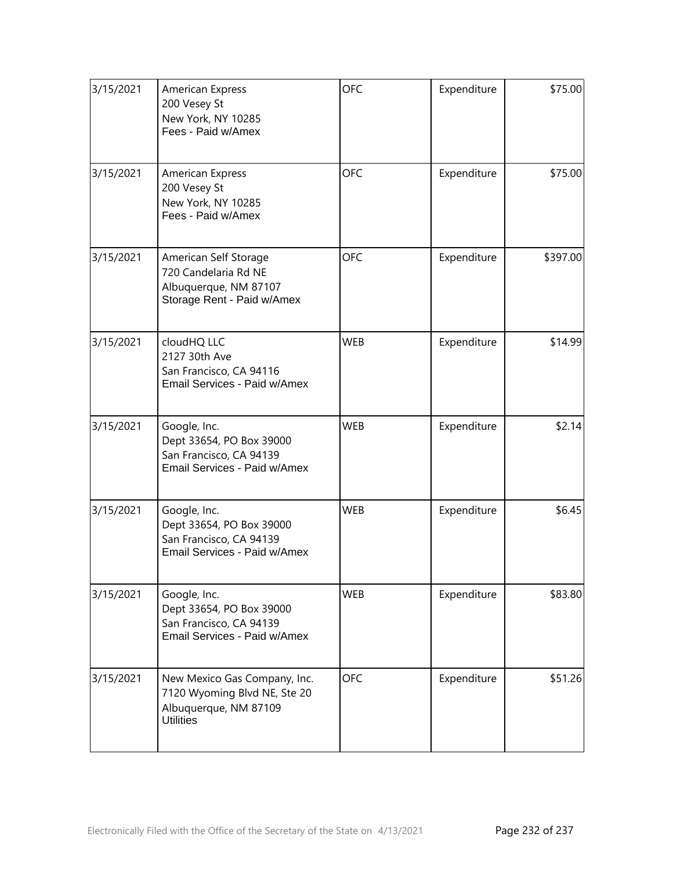| 3/15/2021 | <b>American Express</b><br>200 Vesey St<br>New York, NY 10285<br>Fees - Paid w/Amex                       | <b>OFC</b> | Expenditure | \$75.00  |
|-----------|-----------------------------------------------------------------------------------------------------------|------------|-------------|----------|
| 3/15/2021 | <b>American Express</b><br>200 Vesey St<br>New York, NY 10285<br>Fees - Paid w/Amex                       | <b>OFC</b> | Expenditure | \$75.00  |
| 3/15/2021 | American Self Storage<br>720 Candelaria Rd NE<br>Albuquerque, NM 87107<br>Storage Rent - Paid w/Amex      | <b>OFC</b> | Expenditure | \$397.00 |
| 3/15/2021 | cloudHQ LLC<br>2127 30th Ave<br>San Francisco, CA 94116<br>Email Services - Paid w/Amex                   | <b>WEB</b> | Expenditure | \$14.99  |
| 3/15/2021 | Google, Inc.<br>Dept 33654, PO Box 39000<br>San Francisco, CA 94139<br>Email Services - Paid w/Amex       | <b>WEB</b> | Expenditure | \$2.14   |
| 3/15/2021 | Google, Inc.<br>Dept 33654, PO Box 39000<br>San Francisco, CA 94139<br>Email Services - Paid w/Amex       | <b>WEB</b> | Expenditure | \$6.45   |
| 3/15/2021 | Google, Inc.<br>Dept 33654, PO Box 39000<br>San Francisco, CA 94139<br>Email Services - Paid w/Amex       | <b>WEB</b> | Expenditure | \$83.80  |
| 3/15/2021 | New Mexico Gas Company, Inc.<br>7120 Wyoming Blvd NE, Ste 20<br>Albuquerque, NM 87109<br><b>Utilities</b> | <b>OFC</b> | Expenditure | \$51.26  |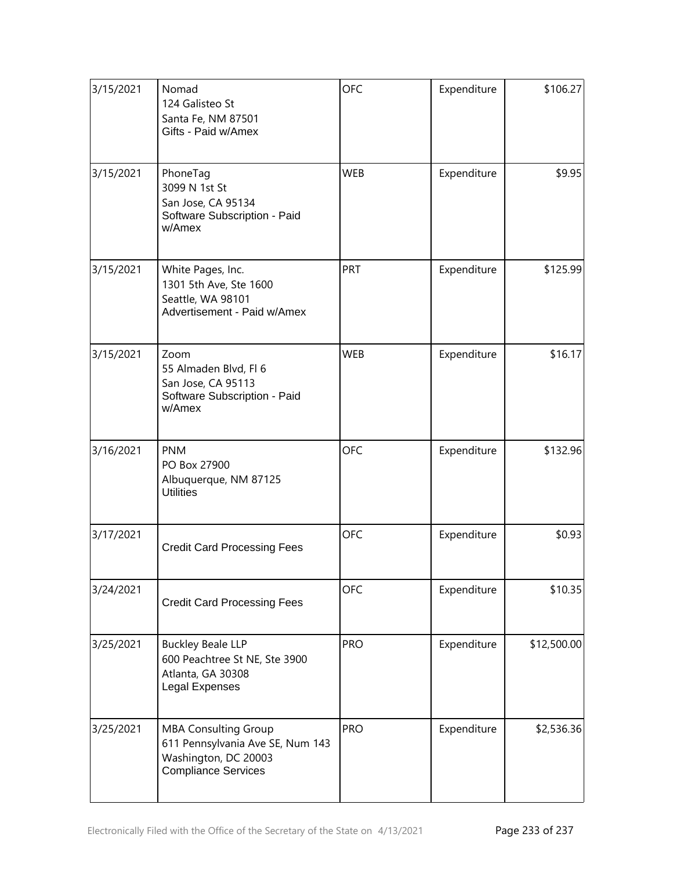| 3/15/2021 | Nomad<br>124 Galisteo St<br>Santa Fe, NM 87501<br>Gifts - Paid w/Amex                                                 | <b>OFC</b> | Expenditure | \$106.27    |
|-----------|-----------------------------------------------------------------------------------------------------------------------|------------|-------------|-------------|
| 3/15/2021 | PhoneTag<br>3099 N 1st St<br>San Jose, CA 95134<br>Software Subscription - Paid<br>w/Amex                             | <b>WEB</b> | Expenditure | \$9.95      |
| 3/15/2021 | White Pages, Inc.<br>1301 5th Ave, Ste 1600<br>Seattle, WA 98101<br>Advertisement - Paid w/Amex                       | PRT        | Expenditure | \$125.99    |
| 3/15/2021 | Zoom<br>55 Almaden Blvd, Fl 6<br>San Jose, CA 95113<br>Software Subscription - Paid<br>w/Amex                         | <b>WEB</b> | Expenditure | \$16.17     |
| 3/16/2021 | <b>PNM</b><br>PO Box 27900<br>Albuquerque, NM 87125<br><b>Utilities</b>                                               | <b>OFC</b> | Expenditure | \$132.96    |
| 3/17/2021 | <b>Credit Card Processing Fees</b>                                                                                    | <b>OFC</b> | Expenditure | \$0.93      |
| 3/24/2021 | <b>Credit Card Processing Fees</b>                                                                                    | <b>OFC</b> | Expenditure | \$10.35     |
| 3/25/2021 | <b>Buckley Beale LLP</b><br>600 Peachtree St NE, Ste 3900<br>Atlanta, GA 30308<br>Legal Expenses                      | <b>PRO</b> | Expenditure | \$12,500.00 |
| 3/25/2021 | <b>MBA Consulting Group</b><br>611 Pennsylvania Ave SE, Num 143<br>Washington, DC 20003<br><b>Compliance Services</b> | <b>PRO</b> | Expenditure | \$2,536.36  |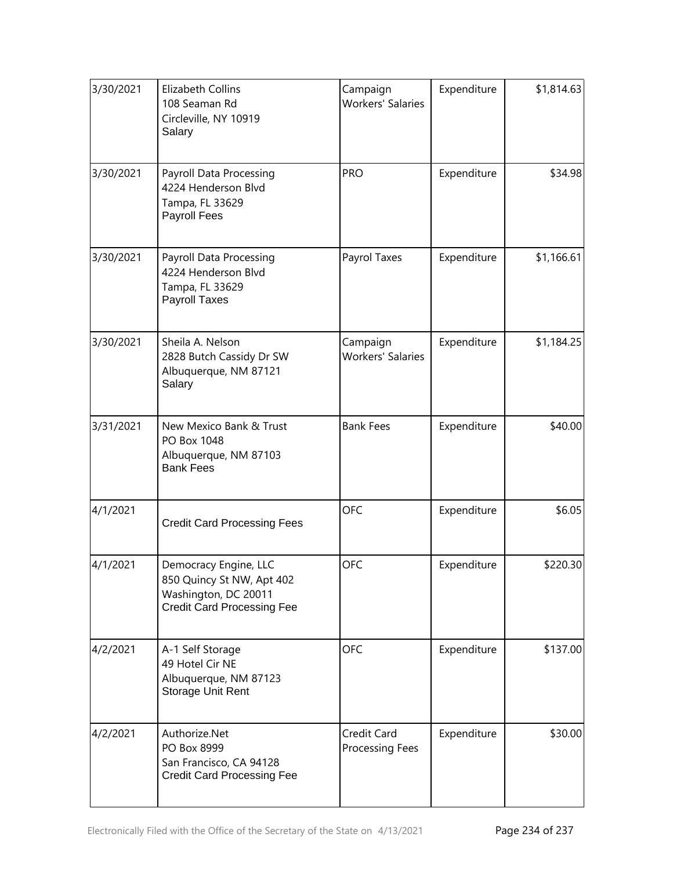| 3/30/2021 | <b>Elizabeth Collins</b><br>108 Seaman Rd<br>Circleville, NY 10919<br>Salary                                    | Campaign<br><b>Workers' Salaries</b> | Expenditure | \$1,814.63 |
|-----------|-----------------------------------------------------------------------------------------------------------------|--------------------------------------|-------------|------------|
| 3/30/2021 | Payroll Data Processing<br>4224 Henderson Blvd<br>Tampa, FL 33629<br><b>Payroll Fees</b>                        | <b>PRO</b>                           | Expenditure | \$34.98    |
| 3/30/2021 | Payroll Data Processing<br>4224 Henderson Blvd<br>Tampa, FL 33629<br>Payroll Taxes                              | Payrol Taxes                         | Expenditure | \$1,166.61 |
| 3/30/2021 | Sheila A. Nelson<br>2828 Butch Cassidy Dr SW<br>Albuquerque, NM 87121<br>Salary                                 | Campaign<br><b>Workers' Salaries</b> | Expenditure | \$1,184.25 |
| 3/31/2021 | New Mexico Bank & Trust<br>PO Box 1048<br>Albuquerque, NM 87103<br><b>Bank Fees</b>                             | <b>Bank Fees</b>                     | Expenditure | \$40.00    |
| 4/1/2021  | <b>Credit Card Processing Fees</b>                                                                              | <b>OFC</b>                           | Expenditure | \$6.05     |
| 4/1/2021  | Democracy Engine, LLC<br>850 Quincy St NW, Apt 402<br>Washington, DC 20011<br><b>Credit Card Processing Fee</b> | <b>OFC</b>                           | Expenditure | \$220.30   |
| 4/2/2021  | A-1 Self Storage<br>49 Hotel Cir NE<br>Albuquerque, NM 87123<br>Storage Unit Rent                               | <b>OFC</b>                           | Expenditure | \$137.00   |
| 4/2/2021  | Authorize.Net<br>PO Box 8999<br>San Francisco, CA 94128<br><b>Credit Card Processing Fee</b>                    | Credit Card<br>Processing Fees       | Expenditure | \$30.00    |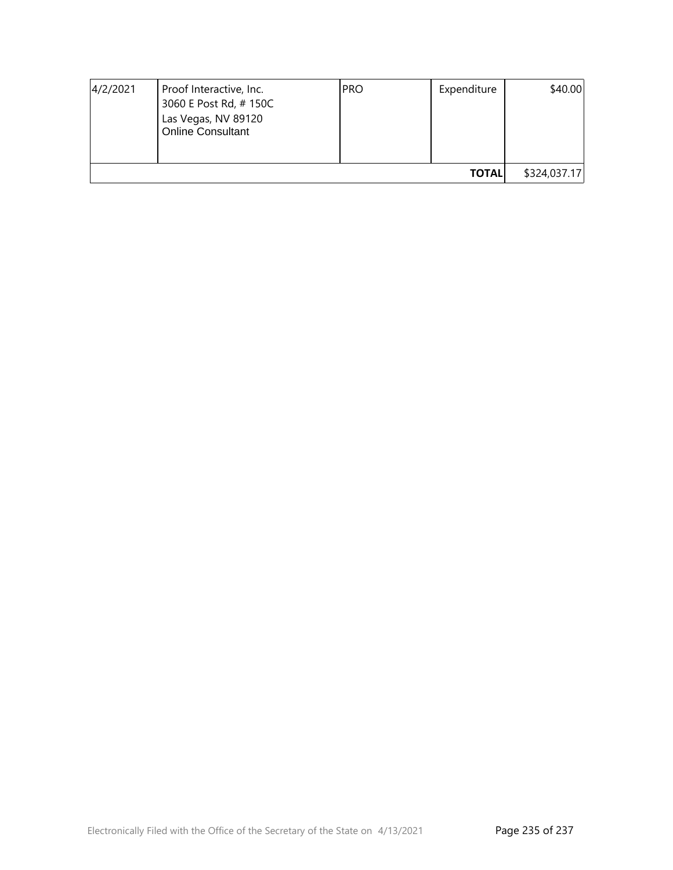| 4/2/2021     | Proof Interactive, Inc.<br>3060 E Post Rd, #150C<br>Las Vegas, NV 89120<br><b>Online Consultant</b> | <b>PRO</b> | Expenditure | \$40.00 |
|--------------|-----------------------------------------------------------------------------------------------------|------------|-------------|---------|
| <b>TOTAL</b> |                                                                                                     |            |             |         |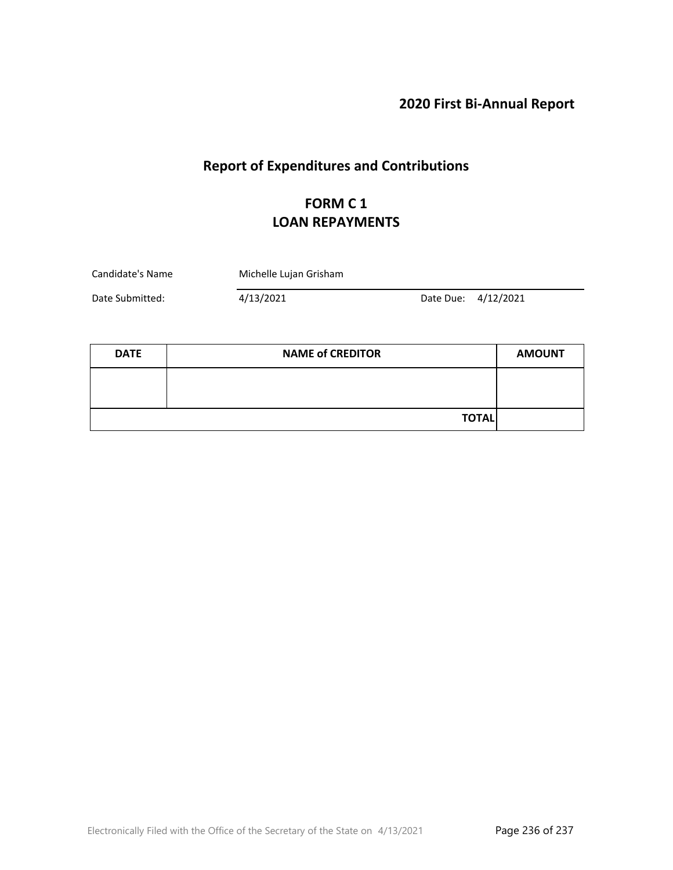**2020 First Bi-Annual Report**

# **Report of Expenditures and Contributions**

### **FORM C 1 LOAN REPAYMENTS**

| Candidate's Name | Michelle Lujan Grisham |  |                     |
|------------------|------------------------|--|---------------------|
| Date Submitted:  | 4/13/2021              |  | Date Due: 4/12/2021 |

| <b>DATE</b> | <b>NAME of CREDITOR</b> | <b>AMOUNT</b> |
|-------------|-------------------------|---------------|
|             |                         |               |
|             |                         |               |
|             | <b>TOTAL</b>            |               |